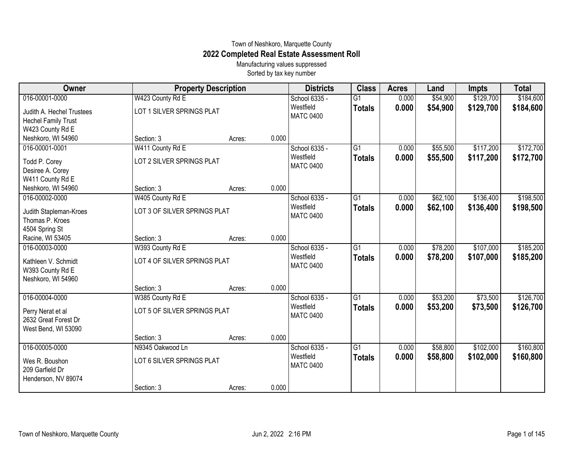## Town of Neshkoro, Marquette County **2022 Completed Real Estate Assessment Roll**

Manufacturing values suppressed Sorted by tax key number

| Owner                      |                              | <b>Property Description</b> |       | <b>Districts</b>              | <b>Class</b>    | <b>Acres</b> | Land     | <b>Impts</b> | <b>Total</b> |
|----------------------------|------------------------------|-----------------------------|-------|-------------------------------|-----------------|--------------|----------|--------------|--------------|
| 016-00001-0000             | W423 County Rd E             |                             |       | School 6335 -                 | $\overline{G1}$ | 0.000        | \$54,900 | \$129,700    | \$184,600    |
| Judith A. Hechel Trustees  | LOT 1 SILVER SPRINGS PLAT    |                             |       | Westfield<br><b>MATC 0400</b> | <b>Totals</b>   | 0.000        | \$54,900 | \$129,700    | \$184,600    |
| <b>Hechel Family Trust</b> |                              |                             |       |                               |                 |              |          |              |              |
| W423 County Rd E           |                              |                             |       |                               |                 |              |          |              |              |
| Neshkoro, WI 54960         | Section: 3                   | Acres:                      | 0.000 |                               |                 |              |          |              |              |
| 016-00001-0001             | W411 County Rd E             |                             |       | School 6335 -                 | $\overline{G1}$ | 0.000        | \$55,500 | \$117,200    | \$172,700    |
| Todd P. Corey              | LOT 2 SILVER SPRINGS PLAT    |                             |       | Westfield                     | <b>Totals</b>   | 0.000        | \$55,500 | \$117,200    | \$172,700    |
| Desiree A. Corey           |                              |                             |       | <b>MATC 0400</b>              |                 |              |          |              |              |
| W411 County Rd E           |                              |                             |       |                               |                 |              |          |              |              |
| Neshkoro, WI 54960         | Section: 3                   | Acres:                      | 0.000 |                               |                 |              |          |              |              |
| 016-00002-0000             | W405 County Rd E             |                             |       | School 6335 -                 | $\overline{G1}$ | 0.000        | \$62,100 | \$136,400    | \$198,500    |
| Judith Stapleman-Kroes     | LOT 3 OF SILVER SPRINGS PLAT |                             |       | Westfield                     | <b>Totals</b>   | 0.000        | \$62,100 | \$136,400    | \$198,500    |
| Thomas P. Kroes            |                              |                             |       | <b>MATC 0400</b>              |                 |              |          |              |              |
| 4504 Spring St             |                              |                             |       |                               |                 |              |          |              |              |
| Racine, WI 53405           | Section: 3                   | Acres:                      | 0.000 |                               |                 |              |          |              |              |
| 016-00003-0000             | W393 County Rd E             |                             |       | School 6335 -                 | $\overline{G1}$ | 0.000        | \$78,200 | \$107,000    | \$185,200    |
| Kathleen V. Schmidt        | LOT 4 OF SILVER SPRINGS PLAT |                             |       | Westfield                     | <b>Totals</b>   | 0.000        | \$78,200 | \$107,000    | \$185,200    |
| W393 County Rd E           |                              |                             |       | <b>MATC 0400</b>              |                 |              |          |              |              |
| Neshkoro, WI 54960         |                              |                             |       |                               |                 |              |          |              |              |
|                            | Section: 3                   | Acres:                      | 0.000 |                               |                 |              |          |              |              |
| 016-00004-0000             | W385 County Rd E             |                             |       | School 6335 -                 | $\overline{G1}$ | 0.000        | \$53,200 | \$73,500     | \$126,700    |
| Perry Nerat et al          | LOT 5 OF SILVER SPRINGS PLAT |                             |       | Westfield                     | <b>Totals</b>   | 0.000        | \$53,200 | \$73,500     | \$126,700    |
| 2632 Great Forest Dr       |                              |                             |       | <b>MATC 0400</b>              |                 |              |          |              |              |
| West Bend, WI 53090        |                              |                             |       |                               |                 |              |          |              |              |
|                            | Section: 3                   | Acres:                      | 0.000 |                               |                 |              |          |              |              |
| 016-00005-0000             | N9345 Oakwood Ln             |                             |       | School 6335 -                 | $\overline{G1}$ | 0.000        | \$58,800 | \$102,000    | \$160,800    |
| Wes R. Boushon             | LOT 6 SILVER SPRINGS PLAT    |                             |       | Westfield                     | <b>Totals</b>   | 0.000        | \$58,800 | \$102,000    | \$160,800    |
| 209 Garfield Dr            |                              |                             |       | <b>MATC 0400</b>              |                 |              |          |              |              |
| Henderson, NV 89074        |                              |                             |       |                               |                 |              |          |              |              |
|                            | Section: 3                   | Acres:                      | 0.000 |                               |                 |              |          |              |              |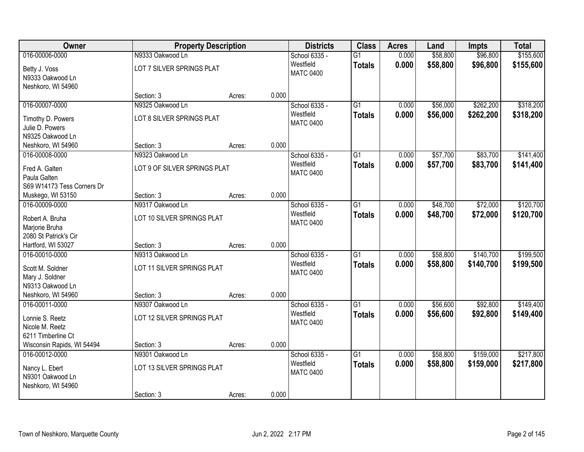| Owner                      | <b>Property Description</b>  |        |       | <b>Districts</b> | <b>Class</b>    | <b>Acres</b> | Land     | <b>Impts</b> | <b>Total</b> |
|----------------------------|------------------------------|--------|-------|------------------|-----------------|--------------|----------|--------------|--------------|
| 016-00006-0000             | N9333 Oakwood Ln             |        |       | School 6335 -    | $\overline{G1}$ | 0.000        | \$58,800 | \$96,800     | \$155,600    |
| Betty J. Voss              | LOT 7 SILVER SPRINGS PLAT    |        |       | Westfield        | <b>Totals</b>   | 0.000        | \$58,800 | \$96,800     | \$155,600    |
| N9333 Oakwood Ln           |                              |        |       | <b>MATC 0400</b> |                 |              |          |              |              |
| Neshkoro, WI 54960         |                              |        |       |                  |                 |              |          |              |              |
|                            | Section: 3                   | Acres: | 0.000 |                  |                 |              |          |              |              |
| 016-00007-0000             | N9325 Oakwood Ln             |        |       | School 6335 -    | $\overline{G1}$ | 0.000        | \$56,000 | \$262,200    | \$318,200    |
| Timothy D. Powers          | LOT 8 SILVER SPRINGS PLAT    |        |       | Westfield        | <b>Totals</b>   | 0.000        | \$56,000 | \$262,200    | \$318,200    |
| Julie D. Powers            |                              |        |       | <b>MATC 0400</b> |                 |              |          |              |              |
| N9325 Oakwood Ln           |                              |        |       |                  |                 |              |          |              |              |
| Neshkoro, WI 54960         | Section: 3                   | Acres: | 0.000 |                  |                 |              |          |              |              |
| 016-00008-0000             | N9323 Oakwood Ln             |        |       | School 6335 -    | G1              | 0.000        | \$57,700 | \$83,700     | \$141,400    |
| Fred A. Galten             | LOT 9 OF SILVER SPRINGS PLAT |        |       | Westfield        | <b>Totals</b>   | 0.000        | \$57,700 | \$83,700     | \$141,400    |
| Paula Galten               |                              |        |       | <b>MATC 0400</b> |                 |              |          |              |              |
| S69 W14173 Tess Corners Dr |                              |        |       |                  |                 |              |          |              |              |
| Muskego, WI 53150          | Section: 3                   | Acres: | 0.000 |                  |                 |              |          |              |              |
| 016-00009-0000             | N9317 Oakwood Ln             |        |       | School 6335 -    | G1              | 0.000        | \$48,700 | \$72,000     | \$120,700    |
| Robert A. Bruha            | LOT 10 SILVER SPRINGS PLAT   |        |       | Westfield        | <b>Totals</b>   | 0.000        | \$48,700 | \$72,000     | \$120,700    |
| Marjorie Bruha             |                              |        |       | <b>MATC 0400</b> |                 |              |          |              |              |
| 2080 St Patrick's Cir      |                              |        |       |                  |                 |              |          |              |              |
| Hartford, WI 53027         | Section: 3                   | Acres: | 0.000 |                  |                 |              |          |              |              |
| 016-00010-0000             | N9313 Oakwood Ln             |        |       | School 6335 -    | $\overline{G1}$ | 0.000        | \$58,800 | \$140,700    | \$199,500    |
| Scott M. Soldner           | LOT 11 SILVER SPRINGS PLAT   |        |       | Westfield        | <b>Totals</b>   | 0.000        | \$58,800 | \$140,700    | \$199,500    |
| Mary J. Soldner            |                              |        |       | <b>MATC 0400</b> |                 |              |          |              |              |
| N9313 Oakwood Ln           |                              |        |       |                  |                 |              |          |              |              |
| Neshkoro, WI 54960         | Section: 3                   | Acres: | 0.000 |                  |                 |              |          |              |              |
| 016-00011-0000             | N9307 Oakwood Ln             |        |       | School 6335 -    | $\overline{G1}$ | 0.000        | \$56,600 | \$92,800     | \$149,400    |
| Lonnie S. Reetz            | LOT 12 SILVER SPRINGS PLAT   |        |       | Westfield        | <b>Totals</b>   | 0.000        | \$56,600 | \$92,800     | \$149,400    |
| Nicole M. Reetz            |                              |        |       | <b>MATC 0400</b> |                 |              |          |              |              |
| 6211 Timberline Ct         |                              |        |       |                  |                 |              |          |              |              |
| Wisconsin Rapids, WI 54494 | Section: 3                   | Acres: | 0.000 |                  |                 |              |          |              |              |
| 016-00012-0000             | N9301 Oakwood Ln             |        |       | School 6335 -    | $\overline{G1}$ | 0.000        | \$58,800 | \$159,000    | \$217,800    |
| Nancy L. Ebert             | LOT 13 SILVER SPRINGS PLAT   |        |       | Westfield        | <b>Totals</b>   | 0.000        | \$58,800 | \$159,000    | \$217,800    |
| N9301 Oakwood Ln           |                              |        |       | <b>MATC 0400</b> |                 |              |          |              |              |
| Neshkoro, WI 54960         |                              |        |       |                  |                 |              |          |              |              |
|                            | Section: 3                   | Acres: | 0.000 |                  |                 |              |          |              |              |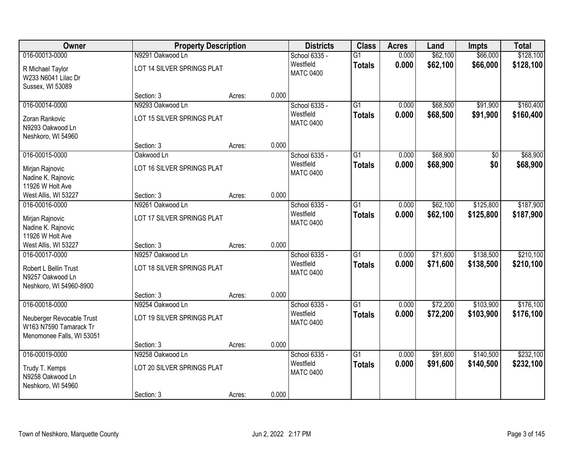| Owner                                                                            | <b>Property Description</b> |        |       | <b>Districts</b>              | <b>Class</b>    | <b>Acres</b> | Land     | <b>Impts</b>    | <b>Total</b> |
|----------------------------------------------------------------------------------|-----------------------------|--------|-------|-------------------------------|-----------------|--------------|----------|-----------------|--------------|
| 016-00013-0000                                                                   | N9291 Oakwood Ln            |        |       | School 6335 -                 | $\overline{G1}$ | 0.000        | \$62,100 | \$66,000        | \$128,100    |
| R Michael Taylor<br>W233 N6041 Lilac Dr<br>Sussex, WI 53089                      | LOT 14 SILVER SPRINGS PLAT  |        |       | Westfield<br><b>MATC 0400</b> | <b>Totals</b>   | 0.000        | \$62,100 | \$66,000        | \$128,100    |
|                                                                                  | Section: 3                  | Acres: | 0.000 |                               |                 |              |          |                 |              |
| 016-00014-0000                                                                   | N9293 Oakwood Ln            |        |       | School 6335 -                 | $\overline{G1}$ | 0.000        | \$68,500 | \$91,900        | \$160,400    |
| Zoran Rankovic<br>N9293 Oakwood Ln<br>Neshkoro, WI 54960                         | LOT 15 SILVER SPRINGS PLAT  |        |       | Westfield<br><b>MATC 0400</b> | <b>Totals</b>   | 0.000        | \$68,500 | \$91,900        | \$160,400    |
|                                                                                  | Section: 3                  | Acres: | 0.000 |                               |                 |              |          |                 |              |
| 016-00015-0000                                                                   | Oakwood Ln                  |        |       | School 6335 -                 | $\overline{G1}$ | 0.000        | \$68,900 | $\overline{50}$ | \$68,900     |
| Mirjan Rajnovic<br>Nadine K. Rajnovic<br>11926 W Holt Ave                        | LOT 16 SILVER SPRINGS PLAT  |        |       | Westfield<br><b>MATC 0400</b> | <b>Totals</b>   | 0.000        | \$68,900 | \$0             | \$68,900     |
| West Allis, WI 53227                                                             | Section: 3                  | Acres: | 0.000 |                               |                 |              |          |                 |              |
| 016-00016-0000                                                                   | N9261 Oakwood Ln            |        |       | School 6335 -                 | $\overline{G1}$ | 0.000        | \$62,100 | \$125,800       | \$187,900    |
| Mirjan Rajnovic<br>Nadine K. Rajnovic<br>11926 W Holt Ave                        | LOT 17 SILVER SPRINGS PLAT  |        |       | Westfield<br><b>MATC 0400</b> | <b>Totals</b>   | 0.000        | \$62,100 | \$125,800       | \$187,900    |
| West Allis, WI 53227                                                             | Section: 3                  | Acres: | 0.000 |                               |                 |              |          |                 |              |
| 016-00017-0000                                                                   | N9257 Oakwood Ln            |        |       | School 6335 -                 | $\overline{G1}$ | 0.000        | \$71,600 | \$138,500       | \$210,100    |
| Robert L Bellin Trust<br>N9257 Oakwood Ln<br>Neshkoro, WI 54960-8900             | LOT 18 SILVER SPRINGS PLAT  |        |       | Westfield<br><b>MATC 0400</b> | <b>Totals</b>   | 0.000        | \$71,600 | \$138,500       | \$210,100    |
|                                                                                  | Section: 3                  | Acres: | 0.000 |                               |                 |              |          |                 |              |
| 016-00018-0000                                                                   | N9254 Oakwood Ln            |        |       | School 6335 -                 | $\overline{G1}$ | 0.000        | \$72,200 | \$103,900       | \$176,100    |
| Neuberger Revocable Trust<br>W163 N7590 Tamarack Tr<br>Menomonee Falls, WI 53051 | LOT 19 SILVER SPRINGS PLAT  |        |       | Westfield<br><b>MATC 0400</b> | <b>Totals</b>   | 0.000        | \$72,200 | \$103,900       | \$176,100    |
|                                                                                  | Section: 3                  | Acres: | 0.000 |                               |                 |              |          |                 |              |
| 016-00019-0000                                                                   | N9258 Oakwood Ln            |        |       | School 6335 -                 | $\overline{G1}$ | 0.000        | \$91,600 | \$140,500       | \$232,100    |
| Trudy T. Kemps<br>N9258 Oakwood Ln<br>Neshkoro, WI 54960                         | LOT 20 SILVER SPRINGS PLAT  |        |       | Westfield<br><b>MATC 0400</b> | <b>Totals</b>   | 0.000        | \$91,600 | \$140,500       | \$232,100    |
|                                                                                  | Section: 3                  | Acres: | 0.000 |                               |                 |              |          |                 |              |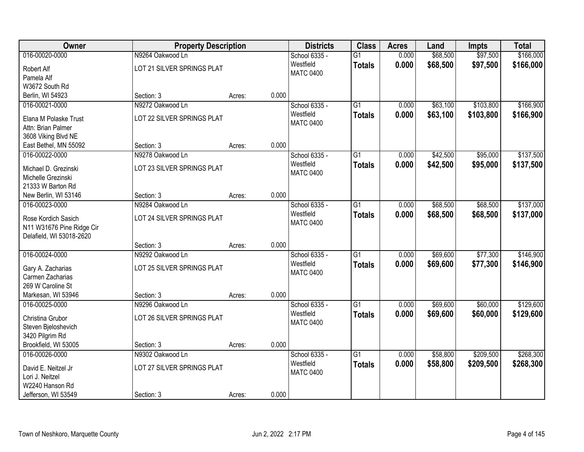| Owner                     | <b>Property Description</b> |        |       | <b>Districts</b> | <b>Class</b>    | <b>Acres</b> | Land     | <b>Impts</b> | <b>Total</b> |
|---------------------------|-----------------------------|--------|-------|------------------|-----------------|--------------|----------|--------------|--------------|
| 016-00020-0000            | N9264 Oakwood Ln            |        |       | School 6335 -    | $\overline{G1}$ | 0.000        | \$68,500 | \$97,500     | \$166,000    |
| Robert Alf                | LOT 21 SILVER SPRINGS PLAT  |        |       | Westfield        | <b>Totals</b>   | 0.000        | \$68,500 | \$97,500     | \$166,000    |
| Pamela Alf                |                             |        |       | <b>MATC 0400</b> |                 |              |          |              |              |
| W3672 South Rd            |                             |        |       |                  |                 |              |          |              |              |
| Berlin, WI 54923          | Section: 3                  | Acres: | 0.000 |                  |                 |              |          |              |              |
| 016-00021-0000            | N9272 Oakwood Ln            |        |       | School 6335 -    | $\overline{G1}$ | 0.000        | \$63,100 | \$103,800    | \$166,900    |
| Elana M Polaske Trust     | LOT 22 SILVER SPRINGS PLAT  |        |       | Westfield        | <b>Totals</b>   | 0.000        | \$63,100 | \$103,800    | \$166,900    |
| Attn: Brian Palmer        |                             |        |       | <b>MATC 0400</b> |                 |              |          |              |              |
| 3608 Viking Blvd NE       |                             |        |       |                  |                 |              |          |              |              |
| East Bethel, MN 55092     | Section: 3                  | Acres: | 0.000 |                  |                 |              |          |              |              |
| 016-00022-0000            | N9278 Oakwood Ln            |        |       | School 6335 -    | G1              | 0.000        | \$42,500 | \$95,000     | \$137,500    |
| Michael D. Grezinski      | LOT 23 SILVER SPRINGS PLAT  |        |       | Westfield        | <b>Totals</b>   | 0.000        | \$42,500 | \$95,000     | \$137,500    |
| Michelle Grezinski        |                             |        |       | <b>MATC 0400</b> |                 |              |          |              |              |
| 21333 W Barton Rd         |                             |        |       |                  |                 |              |          |              |              |
| New Berlin, WI 53146      | Section: 3                  | Acres: | 0.000 |                  |                 |              |          |              |              |
| 016-00023-0000            | N9284 Oakwood Ln            |        |       | School 6335 -    | $\overline{G1}$ | 0.000        | \$68,500 | \$68,500     | \$137,000    |
| Rose Kordich Sasich       | LOT 24 SILVER SPRINGS PLAT  |        |       | Westfield        | <b>Totals</b>   | 0.000        | \$68,500 | \$68,500     | \$137,000    |
| N11 W31676 Pine Ridge Cir |                             |        |       | <b>MATC 0400</b> |                 |              |          |              |              |
| Delafield, WI 53018-2620  |                             |        |       |                  |                 |              |          |              |              |
|                           | Section: 3                  | Acres: | 0.000 |                  |                 |              |          |              |              |
| 016-00024-0000            | N9292 Oakwood Ln            |        |       | School 6335 -    | $\overline{G1}$ | 0.000        | \$69,600 | \$77,300     | \$146,900    |
| Gary A. Zacharias         | LOT 25 SILVER SPRINGS PLAT  |        |       | Westfield        | <b>Totals</b>   | 0.000        | \$69,600 | \$77,300     | \$146,900    |
| Carmen Zacharias          |                             |        |       | <b>MATC 0400</b> |                 |              |          |              |              |
| 269 W Caroline St         |                             |        |       |                  |                 |              |          |              |              |
| Markesan, WI 53946        | Section: 3                  | Acres: | 0.000 |                  |                 |              |          |              |              |
| 016-00025-0000            | N9296 Oakwood Ln            |        |       | School 6335 -    | G1              | 0.000        | \$69,600 | \$60,000     | \$129,600    |
| Christina Grubor          | LOT 26 SILVER SPRINGS PLAT  |        |       | Westfield        | <b>Totals</b>   | 0.000        | \$69,600 | \$60,000     | \$129,600    |
| Steven Bjeloshevich       |                             |        |       | <b>MATC 0400</b> |                 |              |          |              |              |
| 3420 Pilgrim Rd           |                             |        |       |                  |                 |              |          |              |              |
| Brookfield, WI 53005      | Section: 3                  | Acres: | 0.000 |                  |                 |              |          |              |              |
| 016-00026-0000            | N9302 Oakwood Ln            |        |       | School 6335 -    | $\overline{G1}$ | 0.000        | \$58,800 | \$209,500    | \$268,300    |
| David E. Neitzel Jr       | LOT 27 SILVER SPRINGS PLAT  |        |       | Westfield        | <b>Totals</b>   | 0.000        | \$58,800 | \$209,500    | \$268,300    |
| Lori J. Neitzel           |                             |        |       | <b>MATC 0400</b> |                 |              |          |              |              |
| W2240 Hanson Rd           |                             |        |       |                  |                 |              |          |              |              |
| Jefferson, WI 53549       | Section: 3                  | Acres: | 0.000 |                  |                 |              |          |              |              |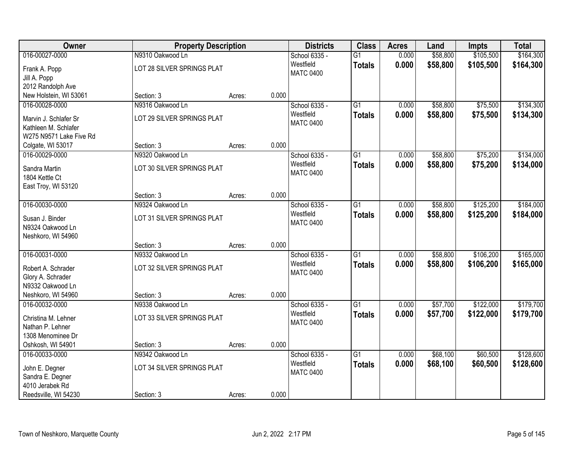| Owner                   | <b>Property Description</b> |        |       | <b>Districts</b>              | <b>Class</b>    | <b>Acres</b> | Land     | <b>Impts</b> | <b>Total</b> |
|-------------------------|-----------------------------|--------|-------|-------------------------------|-----------------|--------------|----------|--------------|--------------|
| 016-00027-0000          | N9310 Oakwood Ln            |        |       | School 6335 -                 | $\overline{G1}$ | 0.000        | \$58,800 | \$105,500    | \$164,300    |
| Frank A. Popp           | LOT 28 SILVER SPRINGS PLAT  |        |       | Westfield                     | <b>Totals</b>   | 0.000        | \$58,800 | \$105,500    | \$164,300    |
| Jill A. Popp            |                             |        |       | <b>MATC 0400</b>              |                 |              |          |              |              |
| 2012 Randolph Ave       |                             |        |       |                               |                 |              |          |              |              |
| New Holstein, WI 53061  | Section: 3                  | Acres: | 0.000 |                               |                 |              |          |              |              |
| 016-00028-0000          | N9316 Oakwood Ln            |        |       | School 6335 -                 | G1              | 0.000        | \$58,800 | \$75,500     | \$134,300    |
| Marvin J. Schlafer Sr   | LOT 29 SILVER SPRINGS PLAT  |        |       | Westfield                     | <b>Totals</b>   | 0.000        | \$58,800 | \$75,500     | \$134,300    |
| Kathleen M. Schlafer    |                             |        |       | <b>MATC 0400</b>              |                 |              |          |              |              |
| W275 N9571 Lake Five Rd |                             |        |       |                               |                 |              |          |              |              |
| Colgate, WI 53017       | Section: 3                  | Acres: | 0.000 |                               |                 |              |          |              |              |
| 016-00029-0000          | N9320 Oakwood Ln            |        |       | School 6335 -                 | $\overline{G1}$ | 0.000        | \$58,800 | \$75,200     | \$134,000    |
| Sandra Martin           | LOT 30 SILVER SPRINGS PLAT  |        |       | Westfield                     | <b>Totals</b>   | 0.000        | \$58,800 | \$75,200     | \$134,000    |
| 1804 Kettle Ct          |                             |        |       | <b>MATC 0400</b>              |                 |              |          |              |              |
| East Troy, WI 53120     |                             |        |       |                               |                 |              |          |              |              |
|                         | Section: 3                  | Acres: | 0.000 |                               |                 |              |          |              |              |
| 016-00030-0000          | N9324 Oakwood Ln            |        |       | School 6335 -                 | $\overline{G1}$ | 0.000        | \$58,800 | \$125,200    | \$184,000    |
| Susan J. Binder         | LOT 31 SILVER SPRINGS PLAT  |        |       | Westfield                     | <b>Totals</b>   | 0.000        | \$58,800 | \$125,200    | \$184,000    |
| N9324 Oakwood Ln        |                             |        |       | <b>MATC 0400</b>              |                 |              |          |              |              |
| Neshkoro, WI 54960      |                             |        |       |                               |                 |              |          |              |              |
|                         | Section: 3                  | Acres: | 0.000 |                               |                 |              |          |              |              |
| 016-00031-0000          | N9332 Oakwood Ln            |        |       | School 6335 -                 | $\overline{G1}$ | 0.000        | \$58,800 | \$106,200    | \$165,000    |
| Robert A. Schrader      | LOT 32 SILVER SPRINGS PLAT  |        |       | Westfield                     | <b>Totals</b>   | 0.000        | \$58,800 | \$106,200    | \$165,000    |
| Glory A. Schrader       |                             |        |       | <b>MATC 0400</b>              |                 |              |          |              |              |
| N9332 Oakwood Ln        |                             |        |       |                               |                 |              |          |              |              |
| Neshkoro, WI 54960      | Section: 3                  | Acres: | 0.000 |                               |                 |              |          |              |              |
| 016-00032-0000          | N9338 Oakwood Ln            |        |       | School 6335 -                 | $\overline{G1}$ | 0.000        | \$57,700 | \$122,000    | \$179,700    |
| Christina M. Lehner     | LOT 33 SILVER SPRINGS PLAT  |        |       | Westfield<br><b>MATC 0400</b> | <b>Totals</b>   | 0.000        | \$57,700 | \$122,000    | \$179,700    |
| Nathan P. Lehner        |                             |        |       |                               |                 |              |          |              |              |
| 1308 Menominee Dr       |                             |        |       |                               |                 |              |          |              |              |
| Oshkosh, WI 54901       | Section: 3                  | Acres: | 0.000 |                               |                 |              |          |              |              |
| 016-00033-0000          | N9342 Oakwood Ln            |        |       | School 6335 -                 | $\overline{G1}$ | 0.000        | \$68,100 | \$60,500     | \$128,600    |
| John E. Degner          | LOT 34 SILVER SPRINGS PLAT  |        |       | Westfield<br><b>MATC 0400</b> | <b>Totals</b>   | 0.000        | \$68,100 | \$60,500     | \$128,600    |
| Sandra E. Degner        |                             |        |       |                               |                 |              |          |              |              |
| 4010 Jerabek Rd         |                             |        |       |                               |                 |              |          |              |              |
| Reedsville, WI 54230    | Section: 3                  | Acres: | 0.000 |                               |                 |              |          |              |              |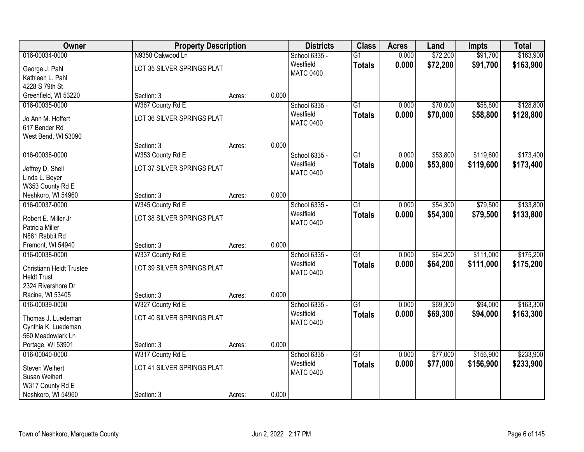| Owner                    | <b>Property Description</b> |        |       | <b>Districts</b> | <b>Class</b>    | <b>Acres</b> | Land     | <b>Impts</b> | <b>Total</b> |
|--------------------------|-----------------------------|--------|-------|------------------|-----------------|--------------|----------|--------------|--------------|
| 016-00034-0000           | N9350 Oakwood Ln            |        |       | School 6335 -    | $\overline{G1}$ | 0.000        | \$72,200 | \$91,700     | \$163,900    |
| George J. Pahl           | LOT 35 SILVER SPRINGS PLAT  |        |       | Westfield        | <b>Totals</b>   | 0.000        | \$72,200 | \$91,700     | \$163,900    |
| Kathleen L. Pahl         |                             |        |       | <b>MATC 0400</b> |                 |              |          |              |              |
| 4228 S 79th St           |                             |        |       |                  |                 |              |          |              |              |
| Greenfield, WI 53220     | Section: 3                  | Acres: | 0.000 |                  |                 |              |          |              |              |
| 016-00035-0000           | W367 County Rd E            |        |       | School 6335 -    | $\overline{G1}$ | 0.000        | \$70,000 | \$58,800     | \$128,800    |
| Jo Ann M. Hoffert        | LOT 36 SILVER SPRINGS PLAT  |        |       | Westfield        | <b>Totals</b>   | 0.000        | \$70,000 | \$58,800     | \$128,800    |
| 617 Bender Rd            |                             |        |       | <b>MATC 0400</b> |                 |              |          |              |              |
| West Bend, WI 53090      |                             |        |       |                  |                 |              |          |              |              |
|                          | Section: 3                  | Acres: | 0.000 |                  |                 |              |          |              |              |
| 016-00036-0000           | W353 County Rd E            |        |       | School 6335 -    | $\overline{G1}$ | 0.000        | \$53,800 | \$119,600    | \$173,400    |
| Jeffrey D. Shell         | LOT 37 SILVER SPRINGS PLAT  |        |       | Westfield        | <b>Totals</b>   | 0.000        | \$53,800 | \$119,600    | \$173,400    |
| Linda L. Beyer           |                             |        |       | <b>MATC 0400</b> |                 |              |          |              |              |
| W353 County Rd E         |                             |        |       |                  |                 |              |          |              |              |
| Neshkoro, WI 54960       | Section: 3                  | Acres: | 0.000 |                  |                 |              |          |              |              |
| 016-00037-0000           | W345 County Rd E            |        |       | School 6335 -    | $\overline{G1}$ | 0.000        | \$54,300 | \$79,500     | \$133,800    |
| Robert E. Miller Jr      | LOT 38 SILVER SPRINGS PLAT  |        |       | Westfield        | <b>Totals</b>   | 0.000        | \$54,300 | \$79,500     | \$133,800    |
| Patricia Miller          |                             |        |       | <b>MATC 0400</b> |                 |              |          |              |              |
| N861 Rabbit Rd           |                             |        |       |                  |                 |              |          |              |              |
| Fremont, WI 54940        | Section: 3                  | Acres: | 0.000 |                  |                 |              |          |              |              |
| 016-00038-0000           | W337 County Rd E            |        |       | School 6335 -    | $\overline{G1}$ | 0.000        | \$64,200 | \$111,000    | \$175,200    |
| Christiann Heldt Trustee | LOT 39 SILVER SPRINGS PLAT  |        |       | Westfield        | <b>Totals</b>   | 0.000        | \$64,200 | \$111,000    | \$175,200    |
| <b>Heldt Trust</b>       |                             |        |       | <b>MATC 0400</b> |                 |              |          |              |              |
| 2324 Rivershore Dr       |                             |        |       |                  |                 |              |          |              |              |
| Racine, WI 53405         | Section: 3                  | Acres: | 0.000 |                  |                 |              |          |              |              |
| 016-00039-0000           | W327 County Rd E            |        |       | School 6335 -    | $\overline{G1}$ | 0.000        | \$69,300 | \$94,000     | \$163,300    |
| Thomas J. Luedeman       | LOT 40 SILVER SPRINGS PLAT  |        |       | Westfield        | <b>Totals</b>   | 0.000        | \$69,300 | \$94,000     | \$163,300    |
| Cynthia K. Luedeman      |                             |        |       | <b>MATC 0400</b> |                 |              |          |              |              |
| 560 Meadowlark Ln        |                             |        |       |                  |                 |              |          |              |              |
| Portage, WI 53901        | Section: 3                  | Acres: | 0.000 |                  |                 |              |          |              |              |
| 016-00040-0000           | W317 County Rd E            |        |       | School 6335 -    | $\overline{G1}$ | 0.000        | \$77,000 | \$156,900    | \$233,900    |
| Steven Weihert           | LOT 41 SILVER SPRINGS PLAT  |        |       | Westfield        | <b>Totals</b>   | 0.000        | \$77,000 | \$156,900    | \$233,900    |
| Susan Weihert            |                             |        |       | <b>MATC 0400</b> |                 |              |          |              |              |
| W317 County Rd E         |                             |        |       |                  |                 |              |          |              |              |
| Neshkoro, WI 54960       | Section: 3                  | Acres: | 0.000 |                  |                 |              |          |              |              |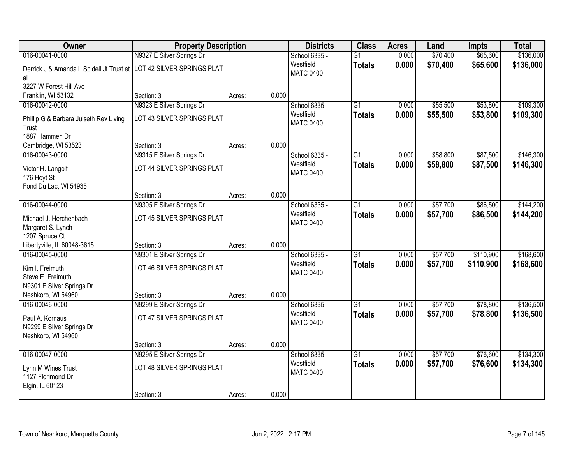| Owner                                                                       | <b>Property Description</b> |        |       | <b>Districts</b>              | <b>Class</b>    | <b>Acres</b> | Land     | <b>Impts</b> | <b>Total</b> |
|-----------------------------------------------------------------------------|-----------------------------|--------|-------|-------------------------------|-----------------|--------------|----------|--------------|--------------|
| 016-00041-0000                                                              | N9327 E Silver Springs Dr   |        |       | School 6335 -                 | G1              | 0.000        | \$70,400 | \$65,600     | \$136,000    |
| Derrick J & Amanda L Spidell Jt Trust et   LOT 42 SILVER SPRINGS PLAT<br>al |                             |        |       | Westfield<br><b>MATC 0400</b> | <b>Totals</b>   | 0.000        | \$70,400 | \$65,600     | \$136,000    |
| 3227 W Forest Hill Ave                                                      |                             |        |       |                               |                 |              |          |              |              |
| Franklin, WI 53132                                                          | Section: 3                  | Acres: | 0.000 |                               |                 |              |          |              |              |
| 016-00042-0000                                                              | N9323 E Silver Springs Dr   |        |       | School 6335 -                 | G1              | 0.000        | \$55,500 | \$53,800     | \$109,300    |
| Phillip G & Barbara Julseth Rev Living<br>Trust                             | LOT 43 SILVER SPRINGS PLAT  |        |       | Westfield<br><b>MATC 0400</b> | <b>Totals</b>   | 0.000        | \$55,500 | \$53,800     | \$109,300    |
| 1887 Hammen Dr                                                              |                             |        |       |                               |                 |              |          |              |              |
| Cambridge, WI 53523                                                         | Section: 3                  | Acres: | 0.000 |                               |                 |              |          |              |              |
| 016-00043-0000                                                              | N9315 E Silver Springs Dr   |        |       | School 6335 -                 | $\overline{G1}$ | 0.000        | \$58,800 | \$87,500     | \$146,300    |
| Victor H. Langolf                                                           | LOT 44 SILVER SPRINGS PLAT  |        |       | Westfield<br><b>MATC 0400</b> | <b>Totals</b>   | 0.000        | \$58,800 | \$87,500     | \$146,300    |
| 176 Hoyt St                                                                 |                             |        |       |                               |                 |              |          |              |              |
| Fond Du Lac, WI 54935                                                       | Section: 3                  | Acres: | 0.000 |                               |                 |              |          |              |              |
| 016-00044-0000                                                              | N9305 E Silver Springs Dr   |        |       | School 6335 -                 | $\overline{G1}$ | 0.000        | \$57,700 | \$86,500     | \$144,200    |
|                                                                             |                             |        |       | Westfield                     | <b>Totals</b>   | 0.000        | \$57,700 | \$86,500     | \$144,200    |
| Michael J. Herchenbach                                                      | LOT 45 SILVER SPRINGS PLAT  |        |       | <b>MATC 0400</b>              |                 |              |          |              |              |
| Margaret S. Lynch                                                           |                             |        |       |                               |                 |              |          |              |              |
| 1207 Spruce Ct<br>Libertyville, IL 60048-3615                               | Section: 3                  | Acres: | 0.000 |                               |                 |              |          |              |              |
| 016-00045-0000                                                              | N9301 E Silver Springs Dr   |        |       | School 6335 -                 | $\overline{G1}$ | 0.000        | \$57,700 | \$110,900    | \$168,600    |
|                                                                             |                             |        |       | Westfield                     | <b>Totals</b>   | 0.000        | \$57,700 | \$110,900    | \$168,600    |
| Kim I. Freimuth                                                             | LOT 46 SILVER SPRINGS PLAT  |        |       | <b>MATC 0400</b>              |                 |              |          |              |              |
| Steve E. Freimuth                                                           |                             |        |       |                               |                 |              |          |              |              |
| N9301 E Silver Springs Dr<br>Neshkoro, WI 54960                             | Section: 3                  |        | 0.000 |                               |                 |              |          |              |              |
| 016-00046-0000                                                              | N9299 E Silver Springs Dr   | Acres: |       | School 6335 -                 | $\overline{G1}$ | 0.000        | \$57,700 | \$78,800     | \$136,500    |
|                                                                             |                             |        |       | Westfield                     | <b>Totals</b>   | 0.000        | \$57,700 | \$78,800     | \$136,500    |
| Paul A. Kornaus                                                             | LOT 47 SILVER SPRINGS PLAT  |        |       | <b>MATC 0400</b>              |                 |              |          |              |              |
| N9299 E Silver Springs Dr                                                   |                             |        |       |                               |                 |              |          |              |              |
| Neshkoro, WI 54960                                                          | Section: 3                  | Acres: | 0.000 |                               |                 |              |          |              |              |
| 016-00047-0000                                                              | N9295 E Silver Springs Dr   |        |       | School 6335 -                 | $\overline{G1}$ | 0.000        | \$57,700 | \$76,600     | \$134,300    |
|                                                                             |                             |        |       | Westfield                     | <b>Totals</b>   | 0.000        | \$57,700 | \$76,600     | \$134,300    |
| Lynn M Wines Trust                                                          | LOT 48 SILVER SPRINGS PLAT  |        |       | <b>MATC 0400</b>              |                 |              |          |              |              |
| 1127 Florimond Dr                                                           |                             |        |       |                               |                 |              |          |              |              |
| Elgin, IL 60123                                                             | Section: 3                  | Acres: | 0.000 |                               |                 |              |          |              |              |
|                                                                             |                             |        |       |                               |                 |              |          |              |              |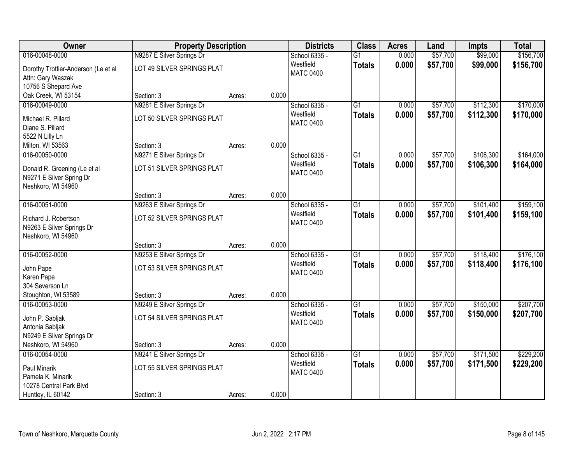| Owner                               | <b>Property Description</b> |        |       | <b>Districts</b>              | <b>Class</b>    | <b>Acres</b> | Land     | Impts     | <b>Total</b> |
|-------------------------------------|-----------------------------|--------|-------|-------------------------------|-----------------|--------------|----------|-----------|--------------|
| 016-00048-0000                      | N9287 E Silver Springs Dr   |        |       | School 6335 -                 | $\overline{G1}$ | 0.000        | \$57,700 | \$99,000  | \$156,700    |
| Dorothy Trottier-Anderson (Le et al | LOT 49 SILVER SPRINGS PLAT  |        |       | Westfield<br><b>MATC 0400</b> | <b>Totals</b>   | 0.000        | \$57,700 | \$99,000  | \$156,700    |
| Attn: Gary Waszak                   |                             |        |       |                               |                 |              |          |           |              |
| 10756 S Shepard Ave                 |                             |        |       |                               |                 |              |          |           |              |
| Oak Creek, WI 53154                 | Section: 3                  | Acres: | 0.000 |                               |                 |              |          |           |              |
| 016-00049-0000                      | N9281 E Silver Springs Dr   |        |       | School 6335 -                 | $\overline{G1}$ | 0.000        | \$57,700 | \$112,300 | \$170,000    |
| Michael R. Pillard                  | LOT 50 SILVER SPRINGS PLAT  |        |       | Westfield<br><b>MATC 0400</b> | <b>Totals</b>   | 0.000        | \$57,700 | \$112,300 | \$170,000    |
| Diane S. Pillard                    |                             |        |       |                               |                 |              |          |           |              |
| 5522 N Lilly Ln                     |                             |        |       |                               |                 |              |          |           |              |
| Milton, WI 53563                    | Section: 3                  | Acres: | 0.000 |                               |                 |              |          |           |              |
| 016-00050-0000                      | N9271 E Silver Springs Dr   |        |       | School 6335 -                 | G1              | 0.000        | \$57,700 | \$106,300 | \$164,000    |
| Donald R. Greening (Le et al        | LOT 51 SILVER SPRINGS PLAT  |        |       | Westfield                     | <b>Totals</b>   | 0.000        | \$57,700 | \$106,300 | \$164,000    |
| N9271 E Silver Spring Dr            |                             |        |       | <b>MATC 0400</b>              |                 |              |          |           |              |
| Neshkoro, WI 54960                  |                             |        |       |                               |                 |              |          |           |              |
|                                     | Section: 3                  | Acres: | 0.000 |                               |                 |              |          |           |              |
| 016-00051-0000                      | N9263 E Silver Springs Dr   |        |       | School 6335 -                 | $\overline{G1}$ | 0.000        | \$57,700 | \$101,400 | \$159,100    |
| Richard J. Robertson                | LOT 52 SILVER SPRINGS PLAT  |        |       | Westfield                     | <b>Totals</b>   | 0.000        | \$57,700 | \$101,400 | \$159,100    |
| N9263 E Silver Springs Dr           |                             |        |       | <b>MATC 0400</b>              |                 |              |          |           |              |
| Neshkoro, WI 54960                  |                             |        |       |                               |                 |              |          |           |              |
|                                     | Section: 3                  | Acres: | 0.000 |                               |                 |              |          |           |              |
| 016-00052-0000                      | N9253 E Silver Springs Dr   |        |       | School 6335 -                 | $\overline{G1}$ | 0.000        | \$57,700 | \$118,400 | \$176,100    |
| John Pape                           | LOT 53 SILVER SPRINGS PLAT  |        |       | Westfield                     | <b>Totals</b>   | 0.000        | \$57,700 | \$118,400 | \$176,100    |
| Karen Pape                          |                             |        |       | <b>MATC 0400</b>              |                 |              |          |           |              |
| 304 Severson Ln                     |                             |        |       |                               |                 |              |          |           |              |
| Stoughton, WI 53589                 | Section: 3                  | Acres: | 0.000 |                               |                 |              |          |           |              |
| 016-00053-0000                      | N9249 E Silver Springs Dr   |        |       | School 6335 -                 | $\overline{G1}$ | 0.000        | \$57,700 | \$150,000 | \$207,700    |
| John P. Sabljak                     | LOT 54 SILVER SPRINGS PLAT  |        |       | Westfield                     | <b>Totals</b>   | 0.000        | \$57,700 | \$150,000 | \$207,700    |
| Antonia Sabljak                     |                             |        |       | <b>MATC 0400</b>              |                 |              |          |           |              |
| N9249 E Silver Springs Dr           |                             |        |       |                               |                 |              |          |           |              |
| Neshkoro, WI 54960                  | Section: 3                  | Acres: | 0.000 |                               |                 |              |          |           |              |
| 016-00054-0000                      | N9241 E Silver Springs Dr   |        |       | School 6335 -                 | $\overline{G1}$ | 0.000        | \$57,700 | \$171,500 | \$229,200    |
| Paul Minarik                        | LOT 55 SILVER SPRINGS PLAT  |        |       | Westfield                     | <b>Totals</b>   | 0.000        | \$57,700 | \$171,500 | \$229,200    |
| Pamela K. Minarik                   |                             |        |       | <b>MATC 0400</b>              |                 |              |          |           |              |
| 10278 Central Park Blvd             |                             |        |       |                               |                 |              |          |           |              |
| Huntley, IL 60142                   | Section: 3                  | Acres: | 0.000 |                               |                 |              |          |           |              |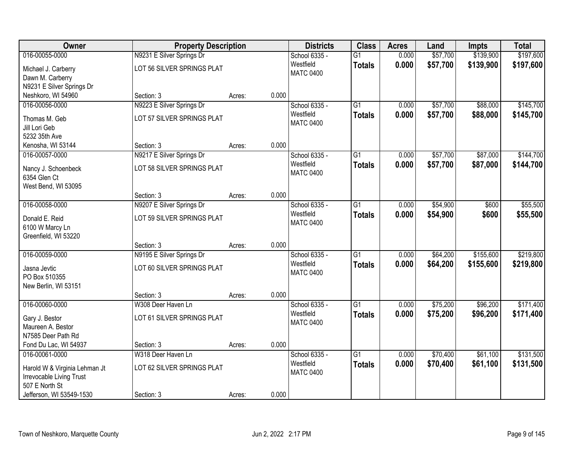| Owner                         | <b>Property Description</b>       |        |       | <b>Districts</b>              | <b>Class</b>    | <b>Acres</b> | Land     | <b>Impts</b> | <b>Total</b> |
|-------------------------------|-----------------------------------|--------|-------|-------------------------------|-----------------|--------------|----------|--------------|--------------|
| 016-00055-0000                | N9231 E Silver Springs Dr         |        |       | School 6335 -                 | G1              | 0.000        | \$57,700 | \$139,900    | \$197,600    |
| Michael J. Carberry           | LOT 56 SILVER SPRINGS PLAT        |        |       | Westfield                     | <b>Totals</b>   | 0.000        | \$57,700 | \$139,900    | \$197,600    |
| Dawn M. Carberry              |                                   |        |       | <b>MATC 0400</b>              |                 |              |          |              |              |
| N9231 E Silver Springs Dr     |                                   |        |       |                               |                 |              |          |              |              |
| Neshkoro, WI 54960            | Section: 3                        | Acres: | 0.000 |                               |                 |              |          |              |              |
| 016-00056-0000                | N9223 E Silver Springs Dr         |        |       | School 6335 -                 | $\overline{G1}$ | 0.000        | \$57,700 | \$88,000     | \$145,700    |
| Thomas M. Geb                 | <b>LOT 57 SILVER SPRINGS PLAT</b> |        |       | Westfield                     | <b>Totals</b>   | 0.000        | \$57,700 | \$88,000     | \$145,700    |
| Jill Lori Geb                 |                                   |        |       | <b>MATC 0400</b>              |                 |              |          |              |              |
| 5232 35th Ave                 |                                   |        |       |                               |                 |              |          |              |              |
| Kenosha, WI 53144             | Section: 3                        | Acres: | 0.000 |                               |                 |              |          |              |              |
| 016-00057-0000                | N9217 E Silver Springs Dr         |        |       | School 6335 -                 | $\overline{G1}$ | 0.000        | \$57,700 | \$87,000     | \$144,700    |
| Nancy J. Schoenbeck           | LOT 58 SILVER SPRINGS PLAT        |        |       | Westfield                     | <b>Totals</b>   | 0.000        | \$57,700 | \$87,000     | \$144,700    |
| 6354 Glen Ct                  |                                   |        |       | <b>MATC 0400</b>              |                 |              |          |              |              |
| West Bend, WI 53095           |                                   |        |       |                               |                 |              |          |              |              |
|                               | Section: 3                        | Acres: | 0.000 |                               |                 |              |          |              |              |
| 016-00058-0000                | N9207 E Silver Springs Dr         |        |       | School 6335 -                 | G1              | 0.000        | \$54,900 | \$600        | \$55,500     |
| Donald E. Reid                | LOT 59 SILVER SPRINGS PLAT        |        |       | Westfield                     | <b>Totals</b>   | 0.000        | \$54,900 | \$600        | \$55,500     |
| 6100 W Marcy Ln               |                                   |        |       | <b>MATC 0400</b>              |                 |              |          |              |              |
| Greenfield, WI 53220          |                                   |        |       |                               |                 |              |          |              |              |
|                               | Section: 3                        | Acres: | 0.000 |                               |                 |              |          |              |              |
| 016-00059-0000                | N9195 E Silver Springs Dr         |        |       | School 6335 -                 | $\overline{G1}$ | 0.000        | \$64,200 | \$155,600    | \$219,800    |
| Jasna Jevtic                  | LOT 60 SILVER SPRINGS PLAT        |        |       | Westfield<br><b>MATC 0400</b> | <b>Totals</b>   | 0.000        | \$64,200 | \$155,600    | \$219,800    |
| PO Box 510355                 |                                   |        |       |                               |                 |              |          |              |              |
| New Berlin, WI 53151          |                                   |        |       |                               |                 |              |          |              |              |
|                               | Section: 3                        | Acres: | 0.000 |                               |                 |              |          |              |              |
| 016-00060-0000                | W308 Deer Haven Ln                |        |       | School 6335 -                 | $\overline{G1}$ | 0.000        | \$75,200 | \$96,200     | \$171,400    |
| Gary J. Bestor                | LOT 61 SILVER SPRINGS PLAT        |        |       | Westfield<br><b>MATC 0400</b> | <b>Totals</b>   | 0.000        | \$75,200 | \$96,200     | \$171,400    |
| Maureen A. Bestor             |                                   |        |       |                               |                 |              |          |              |              |
| N7585 Deer Path Rd            |                                   |        |       |                               |                 |              |          |              |              |
| Fond Du Lac, WI 54937         | Section: 3                        | Acres: | 0.000 |                               |                 |              |          |              |              |
| 016-00061-0000                | W318 Deer Haven Ln                |        |       | School 6335 -                 | $\overline{G1}$ | 0.000        | \$70,400 | \$61,100     | \$131,500    |
| Harold W & Virginia Lehman Jt | LOT 62 SILVER SPRINGS PLAT        |        |       | Westfield<br><b>MATC 0400</b> | <b>Totals</b>   | 0.000        | \$70,400 | \$61,100     | \$131,500    |
| Irrevocable Living Trust      |                                   |        |       |                               |                 |              |          |              |              |
| 507 E North St                |                                   |        |       |                               |                 |              |          |              |              |
| Jefferson, WI 53549-1530      | Section: 3                        | Acres: | 0.000 |                               |                 |              |          |              |              |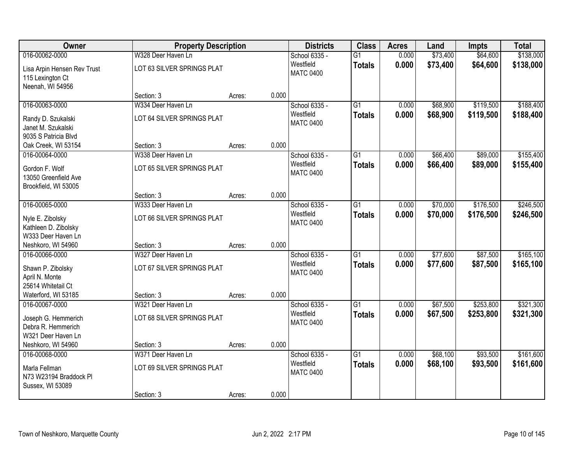| Owner                                                               | <b>Property Description</b> |        |       | <b>Districts</b>              | <b>Class</b>    | <b>Acres</b> | Land     | <b>Impts</b> | <b>Total</b> |
|---------------------------------------------------------------------|-----------------------------|--------|-------|-------------------------------|-----------------|--------------|----------|--------------|--------------|
| 016-00062-0000                                                      | W328 Deer Haven Ln          |        |       | School 6335 -                 | $\overline{G1}$ | 0.000        | \$73,400 | \$64,600     | \$138,000    |
| Lisa Arpin Hensen Rev Trust<br>115 Lexington Ct<br>Neenah, WI 54956 | LOT 63 SILVER SPRINGS PLAT  |        |       | Westfield<br><b>MATC 0400</b> | <b>Totals</b>   | 0.000        | \$73,400 | \$64,600     | \$138,000    |
|                                                                     | Section: 3                  | Acres: | 0.000 |                               |                 |              |          |              |              |
| 016-00063-0000                                                      | W334 Deer Haven Ln          |        |       | School 6335 -                 | $\overline{G1}$ | 0.000        | \$68,900 | \$119,500    | \$188,400    |
| Randy D. Szukalski<br>Janet M. Szukalski<br>9035 S Patricia Blvd    | LOT 64 SILVER SPRINGS PLAT  |        |       | Westfield<br><b>MATC 0400</b> | <b>Totals</b>   | 0.000        | \$68,900 | \$119,500    | \$188,400    |
| Oak Creek, WI 53154                                                 | Section: 3                  | Acres: | 0.000 |                               |                 |              |          |              |              |
| 016-00064-0000                                                      | W338 Deer Haven Ln          |        |       | School 6335 -                 | $\overline{G1}$ | 0.000        | \$66,400 | \$89,000     | \$155,400    |
| Gordon F. Wolf<br>13050 Greenfield Ave<br>Brookfield, WI 53005      | LOT 65 SILVER SPRINGS PLAT  |        |       | Westfield<br><b>MATC 0400</b> | <b>Totals</b>   | 0.000        | \$66,400 | \$89,000     | \$155,400    |
|                                                                     | Section: 3                  | Acres: | 0.000 |                               |                 |              |          |              |              |
| 016-00065-0000                                                      | W333 Deer Haven Ln          |        |       | School 6335 -                 | $\overline{G1}$ | 0.000        | \$70,000 | \$176,500    | \$246,500    |
| Nyle E. Zibolsky<br>Kathleen D. Zibolsky<br>W333 Deer Haven Ln      | LOT 66 SILVER SPRINGS PLAT  |        |       | Westfield<br><b>MATC 0400</b> | <b>Totals</b>   | 0.000        | \$70,000 | \$176,500    | \$246,500    |
| Neshkoro, WI 54960                                                  | Section: 3                  | Acres: | 0.000 |                               |                 |              |          |              |              |
| 016-00066-0000                                                      | W327 Deer Haven Ln          |        |       | School 6335 -                 | $\overline{G1}$ | 0.000        | \$77,600 | \$87,500     | \$165,100    |
| Shawn P. Zibolsky<br>April N. Monte<br>25614 Whitetail Ct           | LOT 67 SILVER SPRINGS PLAT  |        |       | Westfield<br><b>MATC 0400</b> | <b>Totals</b>   | 0.000        | \$77,600 | \$87,500     | \$165,100    |
| Waterford, WI 53185                                                 | Section: 3                  | Acres: | 0.000 |                               |                 |              |          |              |              |
| 016-00067-0000                                                      | W321 Deer Haven Ln          |        |       | School 6335 -                 | $\overline{G1}$ | 0.000        | \$67,500 | \$253,800    | \$321,300    |
| Joseph G. Hemmerich<br>Debra R. Hemmerich<br>W321 Deer Haven Ln     | LOT 68 SILVER SPRINGS PLAT  |        |       | Westfield<br><b>MATC 0400</b> | <b>Totals</b>   | 0.000        | \$67,500 | \$253,800    | \$321,300    |
| Neshkoro, WI 54960                                                  | Section: 3                  | Acres: | 0.000 |                               |                 |              |          |              |              |
| 016-00068-0000                                                      | W371 Deer Haven Ln          |        |       | School 6335 -                 | $\overline{G1}$ | 0.000        | \$68,100 | \$93,500     | \$161,600    |
| Marla Fellman<br>N73 W23194 Braddock Pl<br>Sussex, WI 53089         | LOT 69 SILVER SPRINGS PLAT  |        |       | Westfield<br><b>MATC 0400</b> | <b>Totals</b>   | 0.000        | \$68,100 | \$93,500     | \$161,600    |
|                                                                     | Section: 3                  | Acres: | 0.000 |                               |                 |              |          |              |              |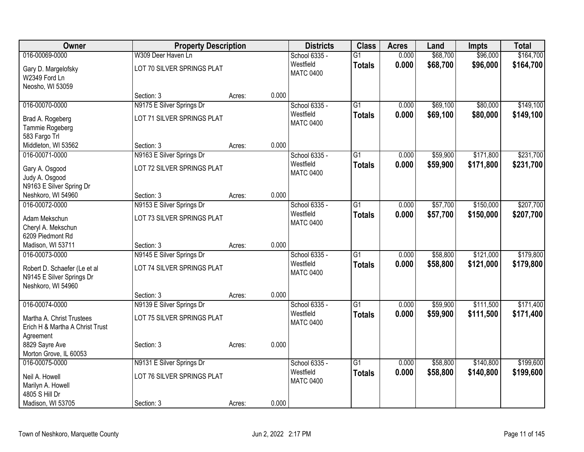| Owner                           | <b>Property Description</b> |        |       | <b>Districts</b> | <b>Class</b>    | <b>Acres</b> | Land     | <b>Impts</b> | <b>Total</b> |
|---------------------------------|-----------------------------|--------|-------|------------------|-----------------|--------------|----------|--------------|--------------|
| 016-00069-0000                  | W309 Deer Haven Ln          |        |       | School 6335 -    | $\overline{G1}$ | 0.000        | \$68,700 | \$96,000     | \$164,700    |
| Gary D. Margelofsky             | LOT 70 SILVER SPRINGS PLAT  |        |       | Westfield        | <b>Totals</b>   | 0.000        | \$68,700 | \$96,000     | \$164,700    |
| W2349 Ford Ln                   |                             |        |       | <b>MATC 0400</b> |                 |              |          |              |              |
| Neosho, WI 53059                |                             |        |       |                  |                 |              |          |              |              |
|                                 | Section: 3                  | Acres: | 0.000 |                  |                 |              |          |              |              |
| 016-00070-0000                  | N9175 E Silver Springs Dr   |        |       | School 6335 -    | G1              | 0.000        | \$69,100 | \$80,000     | \$149,100    |
| Brad A. Rogeberg                | LOT 71 SILVER SPRINGS PLAT  |        |       | Westfield        | <b>Totals</b>   | 0.000        | \$69,100 | \$80,000     | \$149,100    |
| Tammie Rogeberg                 |                             |        |       | <b>MATC 0400</b> |                 |              |          |              |              |
| 583 Fargo Trl                   |                             |        |       |                  |                 |              |          |              |              |
| Middleton, WI 53562             | Section: 3                  | Acres: | 0.000 |                  |                 |              |          |              |              |
| 016-00071-0000                  | N9163 E Silver Springs Dr   |        |       | School 6335 -    | $\overline{G1}$ | 0.000        | \$59,900 | \$171,800    | \$231,700    |
| Gary A. Osgood                  | LOT 72 SILVER SPRINGS PLAT  |        |       | Westfield        | <b>Totals</b>   | 0.000        | \$59,900 | \$171,800    | \$231,700    |
| Judy A. Osgood                  |                             |        |       | <b>MATC 0400</b> |                 |              |          |              |              |
| N9163 E Silver Spring Dr        |                             |        |       |                  |                 |              |          |              |              |
| Neshkoro, WI 54960              | Section: 3                  | Acres: | 0.000 |                  |                 |              |          |              |              |
| 016-00072-0000                  | N9153 E Silver Springs Dr   |        |       | School 6335 -    | $\overline{G1}$ | 0.000        | \$57,700 | \$150,000    | \$207,700    |
| Adam Mekschun                   | LOT 73 SILVER SPRINGS PLAT  |        |       | Westfield        | <b>Totals</b>   | 0.000        | \$57,700 | \$150,000    | \$207,700    |
| Cheryl A. Mekschun              |                             |        |       | <b>MATC 0400</b> |                 |              |          |              |              |
| 6209 Piedmont Rd                |                             |        |       |                  |                 |              |          |              |              |
| Madison, WI 53711               | Section: 3                  | Acres: | 0.000 |                  |                 |              |          |              |              |
| 016-00073-0000                  | N9145 E Silver Springs Dr   |        |       | School 6335 -    | $\overline{G1}$ | 0.000        | \$58,800 | \$121,000    | \$179,800    |
| Robert D. Schaefer (Le et al    | LOT 74 SILVER SPRINGS PLAT  |        |       | Westfield        | <b>Totals</b>   | 0.000        | \$58,800 | \$121,000    | \$179,800    |
| N9145 E Silver Springs Dr       |                             |        |       | <b>MATC 0400</b> |                 |              |          |              |              |
| Neshkoro, WI 54960              |                             |        |       |                  |                 |              |          |              |              |
|                                 | Section: 3                  | Acres: | 0.000 |                  |                 |              |          |              |              |
| 016-00074-0000                  | N9139 E Silver Springs Dr   |        |       | School 6335 -    | $\overline{G1}$ | 0.000        | \$59,900 | \$111,500    | \$171,400    |
| Martha A. Christ Trustees       | LOT 75 SILVER SPRINGS PLAT  |        |       | Westfield        | <b>Totals</b>   | 0.000        | \$59,900 | \$111,500    | \$171,400    |
| Erich H & Martha A Christ Trust |                             |        |       | <b>MATC 0400</b> |                 |              |          |              |              |
| Agreement                       |                             |        |       |                  |                 |              |          |              |              |
| 8829 Sayre Ave                  | Section: 3                  | Acres: | 0.000 |                  |                 |              |          |              |              |
| Morton Grove, IL 60053          |                             |        |       |                  |                 |              |          |              |              |
| 016-00075-0000                  | N9131 E Silver Springs Dr   |        |       | School 6335 -    | $\overline{G1}$ | 0.000        | \$58,800 | \$140,800    | \$199,600    |
| Neil A. Howell                  | LOT 76 SILVER SPRINGS PLAT  |        |       | Westfield        | <b>Totals</b>   | 0.000        | \$58,800 | \$140,800    | \$199,600    |
| Marilyn A. Howell               |                             |        |       | <b>MATC 0400</b> |                 |              |          |              |              |
| 4805 S Hill Dr                  |                             |        |       |                  |                 |              |          |              |              |
| Madison, WI 53705               | Section: 3                  | Acres: | 0.000 |                  |                 |              |          |              |              |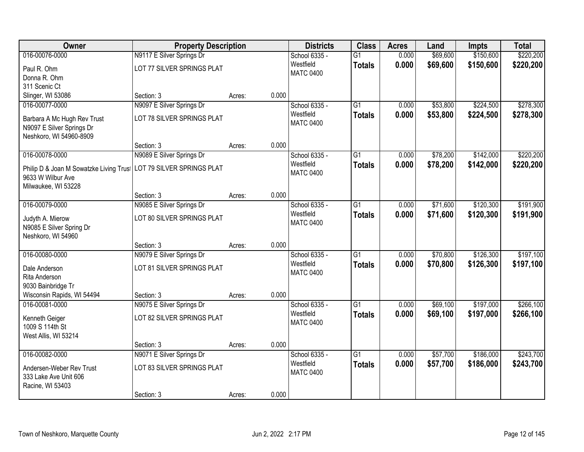| Owner                                                    | <b>Property Description</b> |        |       | <b>Districts</b> | <b>Class</b>    | <b>Acres</b> | Land     | <b>Impts</b> | <b>Total</b> |
|----------------------------------------------------------|-----------------------------|--------|-------|------------------|-----------------|--------------|----------|--------------|--------------|
| 016-00076-0000                                           | N9117 E Silver Springs Dr   |        |       | School 6335 -    | $\overline{G1}$ | 0.000        | \$69,600 | \$150,600    | \$220,200    |
| Paul R. Ohm                                              | LOT 77 SILVER SPRINGS PLAT  |        |       | Westfield        | <b>Totals</b>   | 0.000        | \$69,600 | \$150,600    | \$220,200    |
| Donna R. Ohm                                             |                             |        |       | <b>MATC 0400</b> |                 |              |          |              |              |
| 311 Scenic Ct                                            |                             |        |       |                  |                 |              |          |              |              |
| Slinger, WI 53086                                        | Section: 3                  | Acres: | 0.000 |                  |                 |              |          |              |              |
| 016-00077-0000                                           | N9097 E Silver Springs Dr   |        |       | School 6335 -    | $\overline{G1}$ | 0.000        | \$53,800 | \$224,500    | \$278,300    |
|                                                          | LOT 78 SILVER SPRINGS PLAT  |        |       | Westfield        | <b>Totals</b>   | 0.000        | \$53,800 | \$224,500    | \$278,300    |
| Barbara A Mc Hugh Rev Trust<br>N9097 E Silver Springs Dr |                             |        |       | <b>MATC 0400</b> |                 |              |          |              |              |
| Neshkoro, WI 54960-8909                                  |                             |        |       |                  |                 |              |          |              |              |
|                                                          | Section: 3                  | Acres: | 0.000 |                  |                 |              |          |              |              |
| 016-00078-0000                                           | N9089 E Silver Springs Dr   |        |       | School 6335 -    | $\overline{G1}$ | 0.000        | \$78,200 | \$142,000    | \$220,200    |
|                                                          |                             |        |       | Westfield        | <b>Totals</b>   | 0.000        | \$78,200 | \$142,000    | \$220,200    |
| Philip D & Joan M Sowatzke Living Trust                  | LOT 79 SILVER SPRINGS PLAT  |        |       | <b>MATC 0400</b> |                 |              |          |              |              |
| 9633 W Wilbur Ave                                        |                             |        |       |                  |                 |              |          |              |              |
| Milwaukee, WI 53228                                      | Section: 3                  |        | 0.000 |                  |                 |              |          |              |              |
| 016-00079-0000                                           | N9085 E Silver Springs Dr   | Acres: |       | School 6335 -    | G1              | 0.000        | \$71,600 | \$120,300    | \$191,900    |
|                                                          |                             |        |       | Westfield        | <b>Totals</b>   | 0.000        | \$71,600 | \$120,300    | \$191,900    |
| Judyth A. Mierow                                         | LOT 80 SILVER SPRINGS PLAT  |        |       | <b>MATC 0400</b> |                 |              |          |              |              |
| N9085 E Silver Spring Dr                                 |                             |        |       |                  |                 |              |          |              |              |
| Neshkoro, WI 54960                                       |                             |        |       |                  |                 |              |          |              |              |
|                                                          | Section: 3                  | Acres: | 0.000 |                  |                 |              |          |              |              |
| 016-00080-0000                                           | N9079 E Silver Springs Dr   |        |       | School 6335 -    | $\overline{G1}$ | 0.000        | \$70,800 | \$126,300    | \$197,100    |
| Dale Anderson                                            | LOT 81 SILVER SPRINGS PLAT  |        |       | Westfield        | <b>Totals</b>   | 0.000        | \$70,800 | \$126,300    | \$197,100    |
| Rita Anderson                                            |                             |        |       | <b>MATC 0400</b> |                 |              |          |              |              |
| 9030 Bainbridge Tr                                       |                             |        |       |                  |                 |              |          |              |              |
| Wisconsin Rapids, WI 54494                               | Section: 3                  | Acres: | 0.000 |                  |                 |              |          |              |              |
| 016-00081-0000                                           | N9075 E Silver Springs Dr   |        |       | School 6335 -    | $\overline{G1}$ | 0.000        | \$69,100 | \$197,000    | \$266,100    |
| Kenneth Geiger                                           | LOT 82 SILVER SPRINGS PLAT  |        |       | Westfield        | <b>Totals</b>   | 0.000        | \$69,100 | \$197,000    | \$266,100    |
| 1009 S 114th St                                          |                             |        |       | <b>MATC 0400</b> |                 |              |          |              |              |
| West Allis, WI 53214                                     |                             |        |       |                  |                 |              |          |              |              |
|                                                          | Section: 3                  | Acres: | 0.000 |                  |                 |              |          |              |              |
| 016-00082-0000                                           | N9071 E Silver Springs Dr   |        |       | School 6335 -    | $\overline{G1}$ | 0.000        | \$57,700 | \$186,000    | \$243,700    |
| Andersen-Weber Rev Trust                                 | LOT 83 SILVER SPRINGS PLAT  |        |       | Westfield        | <b>Totals</b>   | 0.000        | \$57,700 | \$186,000    | \$243,700    |
| 333 Lake Ave Unit 606                                    |                             |        |       | <b>MATC 0400</b> |                 |              |          |              |              |
| Racine, WI 53403                                         |                             |        |       |                  |                 |              |          |              |              |
|                                                          | Section: 3                  | Acres: | 0.000 |                  |                 |              |          |              |              |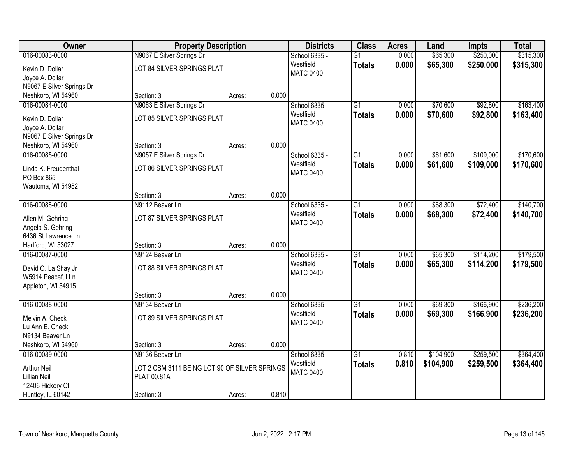| Owner                                    | <b>Property Description</b>                   |        |       | <b>Districts</b> | <b>Class</b>    | <b>Acres</b> | Land      | Impts     | <b>Total</b> |
|------------------------------------------|-----------------------------------------------|--------|-------|------------------|-----------------|--------------|-----------|-----------|--------------|
| 016-00083-0000                           | N9067 E Silver Springs Dr                     |        |       | School 6335 -    | $\overline{G1}$ | 0.000        | \$65,300  | \$250,000 | \$315,300    |
| Kevin D. Dollar                          | LOT 84 SILVER SPRINGS PLAT                    |        |       | Westfield        | <b>Totals</b>   | 0.000        | \$65,300  | \$250,000 | \$315,300    |
| Joyce A. Dollar                          |                                               |        |       | <b>MATC 0400</b> |                 |              |           |           |              |
| N9067 E Silver Springs Dr                |                                               |        |       |                  |                 |              |           |           |              |
| Neshkoro, WI 54960                       | Section: 3                                    | Acres: | 0.000 |                  |                 |              |           |           |              |
| 016-00084-0000                           | N9063 E Silver Springs Dr                     |        |       | School 6335 -    | $\overline{G1}$ | 0.000        | \$70,600  | \$92,800  | \$163,400    |
| Kevin D. Dollar                          | LOT 85 SILVER SPRINGS PLAT                    |        |       | Westfield        | <b>Totals</b>   | 0.000        | \$70,600  | \$92,800  | \$163,400    |
| Joyce A. Dollar                          |                                               |        |       | <b>MATC 0400</b> |                 |              |           |           |              |
| N9067 E Silver Springs Dr                |                                               |        |       |                  |                 |              |           |           |              |
| Neshkoro, WI 54960                       | Section: 3                                    | Acres: | 0.000 |                  |                 |              |           |           |              |
| 016-00085-0000                           | N9057 E Silver Springs Dr                     |        |       | School 6335 -    | $\overline{G1}$ | 0.000        | \$61,600  | \$109,000 | \$170,600    |
| Linda K. Freudenthal                     | LOT 86 SILVER SPRINGS PLAT                    |        |       | Westfield        | <b>Totals</b>   | 0.000        | \$61,600  | \$109,000 | \$170,600    |
| PO Box 865                               |                                               |        |       | <b>MATC 0400</b> |                 |              |           |           |              |
| Wautoma, WI 54982                        |                                               |        |       |                  |                 |              |           |           |              |
|                                          | Section: 3                                    | Acres: | 0.000 |                  |                 |              |           |           |              |
| 016-00086-0000                           | N9112 Beaver Ln                               |        |       | School 6335 -    | $\overline{G1}$ | 0.000        | \$68,300  | \$72,400  | \$140,700    |
|                                          |                                               |        |       | Westfield        | <b>Totals</b>   | 0.000        | \$68,300  | \$72,400  | \$140,700    |
| Allen M. Gehring                         | LOT 87 SILVER SPRINGS PLAT                    |        |       | <b>MATC 0400</b> |                 |              |           |           |              |
| Angela S. Gehring<br>6436 St Lawrence Ln |                                               |        |       |                  |                 |              |           |           |              |
| Hartford, WI 53027                       | Section: 3                                    | Acres: | 0.000 |                  |                 |              |           |           |              |
| 016-00087-0000                           | N9124 Beaver Ln                               |        |       | School 6335 -    | $\overline{G1}$ | 0.000        | \$65,300  | \$114,200 | \$179,500    |
|                                          |                                               |        |       | Westfield        | <b>Totals</b>   | 0.000        | \$65,300  | \$114,200 | \$179,500    |
| David O. La Shay Jr                      | LOT 88 SILVER SPRINGS PLAT                    |        |       | <b>MATC 0400</b> |                 |              |           |           |              |
| W5914 Peaceful Ln                        |                                               |        |       |                  |                 |              |           |           |              |
| Appleton, WI 54915                       | Section: 3                                    | Acres: | 0.000 |                  |                 |              |           |           |              |
| 016-00088-0000                           | N9134 Beaver Ln                               |        |       | School 6335 -    | $\overline{G1}$ | 0.000        | \$69,300  | \$166,900 | \$236,200    |
|                                          |                                               |        |       | Westfield        | <b>Totals</b>   | 0.000        | \$69,300  | \$166,900 | \$236,200    |
| Melvin A. Check                          | LOT 89 SILVER SPRINGS PLAT                    |        |       | <b>MATC 0400</b> |                 |              |           |           |              |
| Lu Ann E. Check                          |                                               |        |       |                  |                 |              |           |           |              |
| N9134 Beaver Ln                          |                                               |        | 0.000 |                  |                 |              |           |           |              |
| Neshkoro, WI 54960<br>016-00089-0000     | Section: 3<br>N9136 Beaver Ln                 | Acres: |       | School 6335 -    | $\overline{G1}$ | 0.810        | \$104,900 | \$259,500 | \$364,400    |
|                                          |                                               |        |       | Westfield        |                 | 0.810        | \$104,900 | \$259,500 | \$364,400    |
| <b>Arthur Neil</b>                       | LOT 2 CSM 3111 BEING LOT 90 OF SILVER SPRINGS |        |       | <b>MATC 0400</b> | <b>Totals</b>   |              |           |           |              |
| <b>Lillian Neil</b>                      | PLAT 00.81A                                   |        |       |                  |                 |              |           |           |              |
| 12406 Hickory Ct                         |                                               |        |       |                  |                 |              |           |           |              |
| Huntley, IL 60142                        | Section: 3                                    | Acres: | 0.810 |                  |                 |              |           |           |              |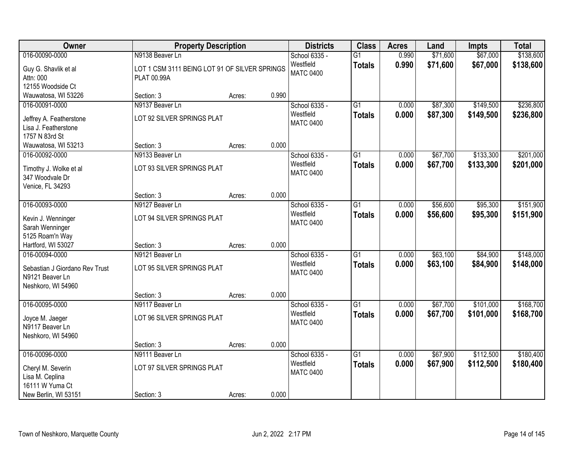| Owner                                                                                             | <b>Property Description</b>                                                     |        |       | <b>Districts</b>                               | <b>Class</b>                     | <b>Acres</b>   | Land                 | Impts                  | <b>Total</b>           |
|---------------------------------------------------------------------------------------------------|---------------------------------------------------------------------------------|--------|-------|------------------------------------------------|----------------------------------|----------------|----------------------|------------------------|------------------------|
| 016-00090-0000<br>Guy G. Shavlik et al<br>Attn: 000<br>12155 Woodside Ct                          | N9138 Beaver Ln<br>LOT 1 CSM 3111 BEING LOT 91 OF SILVER SPRINGS<br>PLAT 00.99A |        |       | School 6335 -<br>Westfield<br><b>MATC 0400</b> | $\overline{G1}$<br><b>Totals</b> | 0.990<br>0.990 | \$71,600<br>\$71,600 | \$67,000<br>\$67,000   | \$138,600<br>\$138,600 |
| Wauwatosa, WI 53226                                                                               | Section: 3                                                                      | Acres: | 0.990 |                                                |                                  |                |                      |                        |                        |
| 016-00091-0000<br>Jeffrey A. Featherstone<br>Lisa J. Featherstone<br>1757 N 83rd St               | N9137 Beaver Ln<br>LOT 92 SILVER SPRINGS PLAT                                   |        |       | School 6335 -<br>Westfield<br><b>MATC 0400</b> | $\overline{G1}$<br><b>Totals</b> | 0.000<br>0.000 | \$87,300<br>\$87,300 | \$149,500<br>\$149,500 | \$236,800<br>\$236,800 |
| Wauwatosa, WI 53213                                                                               | Section: 3                                                                      | Acres: | 0.000 |                                                |                                  |                |                      |                        |                        |
| 016-00092-0000<br>Timothy J. Wolke et al<br>347 Woodvale Dr<br>Venice, FL 34293                   | N9133 Beaver Ln<br>LOT 93 SILVER SPRINGS PLAT                                   |        |       | School 6335 -<br>Westfield<br><b>MATC 0400</b> | $\overline{G1}$<br><b>Totals</b> | 0.000<br>0.000 | \$67,700<br>\$67,700 | \$133,300<br>\$133,300 | \$201,000<br>\$201,000 |
|                                                                                                   | Section: 3                                                                      | Acres: | 0.000 |                                                |                                  |                |                      |                        |                        |
| 016-00093-0000<br>Kevin J. Wenninger<br>Sarah Wenninger<br>5125 Roam'n Way                        | N9127 Beaver Ln<br>LOT 94 SILVER SPRINGS PLAT                                   |        |       | School 6335 -<br>Westfield<br><b>MATC 0400</b> | $\overline{G1}$<br><b>Totals</b> | 0.000<br>0.000 | \$56,600<br>\$56,600 | \$95,300<br>\$95,300   | \$151,900<br>\$151,900 |
| Hartford, WI 53027                                                                                | Section: 3                                                                      | Acres: | 0.000 |                                                |                                  |                |                      |                        |                        |
| 016-00094-0000<br>Sebastian J Giordano Rev Trust<br>N9121 Beaver Ln<br>Neshkoro, WI 54960         | N9121 Beaver Ln<br>LOT 95 SILVER SPRINGS PLAT                                   |        |       | School 6335 -<br>Westfield<br><b>MATC 0400</b> | $\overline{G1}$<br><b>Totals</b> | 0.000<br>0.000 | \$63,100<br>\$63,100 | \$84,900<br>\$84,900   | \$148,000<br>\$148,000 |
|                                                                                                   | Section: 3                                                                      | Acres: | 0.000 |                                                |                                  |                |                      |                        |                        |
| 016-00095-0000<br>Joyce M. Jaeger<br>N9117 Beaver Ln<br>Neshkoro, WI 54960                        | N9117 Beaver Ln<br>LOT 96 SILVER SPRINGS PLAT                                   |        |       | School 6335 -<br>Westfield<br><b>MATC 0400</b> | $\overline{G1}$<br><b>Totals</b> | 0.000<br>0.000 | \$67,700<br>\$67,700 | \$101,000<br>\$101,000 | \$168,700<br>\$168,700 |
|                                                                                                   | Section: 3                                                                      | Acres: | 0.000 |                                                |                                  |                |                      |                        |                        |
| 016-00096-0000<br>Cheryl M. Severin<br>Lisa M. Ceplina<br>16111 W Yuma Ct<br>New Berlin, WI 53151 | N9111 Beaver Ln<br>LOT 97 SILVER SPRINGS PLAT<br>Section: 3                     | Acres: | 0.000 | School 6335 -<br>Westfield<br><b>MATC 0400</b> | $\overline{G1}$<br><b>Totals</b> | 0.000<br>0.000 | \$67,900<br>\$67,900 | \$112,500<br>\$112,500 | \$180,400<br>\$180,400 |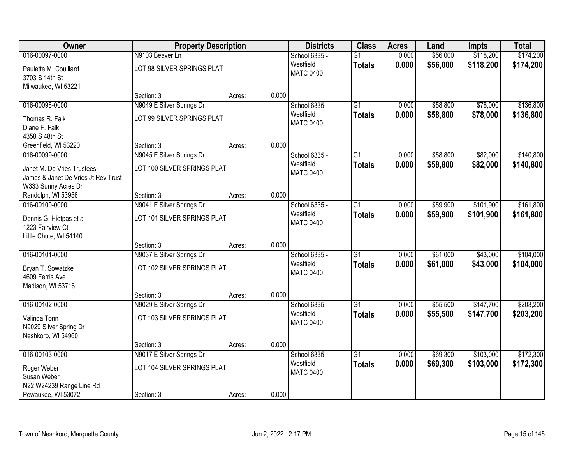| Owner                               | <b>Property Description</b> |        |       | <b>Districts</b> | <b>Class</b>    | <b>Acres</b> | Land     | Impts     | <b>Total</b> |
|-------------------------------------|-----------------------------|--------|-------|------------------|-----------------|--------------|----------|-----------|--------------|
| 016-00097-0000                      | N9103 Beaver Ln             |        |       | School 6335 -    | $\overline{G1}$ | 0.000        | \$56,000 | \$118,200 | \$174,200    |
| Paulette M. Couillard               | LOT 98 SILVER SPRINGS PLAT  |        |       | Westfield        | <b>Totals</b>   | 0.000        | \$56,000 | \$118,200 | \$174,200    |
| 3703 S 14th St                      |                             |        |       | <b>MATC 0400</b> |                 |              |          |           |              |
| Milwaukee, WI 53221                 |                             |        |       |                  |                 |              |          |           |              |
|                                     | Section: 3                  | Acres: | 0.000 |                  |                 |              |          |           |              |
| 016-00098-0000                      | N9049 E Silver Springs Dr   |        |       | School 6335 -    | $\overline{G1}$ | 0.000        | \$58,800 | \$78,000  | \$136,800    |
| Thomas R. Falk                      | LOT 99 SILVER SPRINGS PLAT  |        |       | Westfield        | <b>Totals</b>   | 0.000        | \$58,800 | \$78,000  | \$136,800    |
| Diane F. Falk                       |                             |        |       | <b>MATC 0400</b> |                 |              |          |           |              |
| 4358 S 48th St                      |                             |        |       |                  |                 |              |          |           |              |
| Greenfield, WI 53220                | Section: 3                  | Acres: | 0.000 |                  |                 |              |          |           |              |
| 016-00099-0000                      | N9045 E Silver Springs Dr   |        |       | School 6335 -    | G1              | 0.000        | \$58,800 | \$82,000  | \$140,800    |
| Janet M. De Vries Trustees          | LOT 100 SILVER SPRINGS PLAT |        |       | Westfield        | <b>Totals</b>   | 0.000        | \$58,800 | \$82,000  | \$140,800    |
| James & Janet De Vries Jt Rev Trust |                             |        |       | <b>MATC 0400</b> |                 |              |          |           |              |
| W333 Sunny Acres Dr                 |                             |        |       |                  |                 |              |          |           |              |
| Randolph, WI 53956                  | Section: 3                  | Acres: | 0.000 |                  |                 |              |          |           |              |
| 016-00100-0000                      | N9041 E Silver Springs Dr   |        |       | School 6335 -    | $\overline{G1}$ | 0.000        | \$59,900 | \$101,900 | \$161,800    |
| Dennis G. Hietpas et al             | LOT 101 SILVER SPRINGS PLAT |        |       | Westfield        | <b>Totals</b>   | 0.000        | \$59,900 | \$101,900 | \$161,800    |
| 1223 Fairview Ct                    |                             |        |       | <b>MATC 0400</b> |                 |              |          |           |              |
| Little Chute, WI 54140              |                             |        |       |                  |                 |              |          |           |              |
|                                     | Section: 3                  | Acres: | 0.000 |                  |                 |              |          |           |              |
| 016-00101-0000                      | N9037 E Silver Springs Dr   |        |       | School 6335 -    | $\overline{G1}$ | 0.000        | \$61,000 | \$43,000  | \$104,000    |
| Bryan T. Sowatzke                   | LOT 102 SILVER SPRINGS PLAT |        |       | Westfield        | <b>Totals</b>   | 0.000        | \$61,000 | \$43,000  | \$104,000    |
| 4609 Ferris Ave                     |                             |        |       | <b>MATC 0400</b> |                 |              |          |           |              |
| Madison, WI 53716                   |                             |        |       |                  |                 |              |          |           |              |
|                                     | Section: 3                  | Acres: | 0.000 |                  |                 |              |          |           |              |
| 016-00102-0000                      | N9029 E Silver Springs Dr   |        |       | School 6335 -    | $\overline{G1}$ | 0.000        | \$55,500 | \$147,700 | \$203,200    |
| Valinda Tonn                        | LOT 103 SILVER SPRINGS PLAT |        |       | Westfield        | <b>Totals</b>   | 0.000        | \$55,500 | \$147,700 | \$203,200    |
| N9029 Silver Spring Dr              |                             |        |       | <b>MATC 0400</b> |                 |              |          |           |              |
| Neshkoro, WI 54960                  |                             |        |       |                  |                 |              |          |           |              |
|                                     | Section: 3                  | Acres: | 0.000 |                  |                 |              |          |           |              |
| 016-00103-0000                      | N9017 E Silver Springs Dr   |        |       | School 6335 -    | $\overline{G1}$ | 0.000        | \$69,300 | \$103,000 | \$172,300    |
| Roger Weber                         | LOT 104 SILVER SPRINGS PLAT |        |       | Westfield        | <b>Totals</b>   | 0.000        | \$69,300 | \$103,000 | \$172,300    |
| Susan Weber                         |                             |        |       | <b>MATC 0400</b> |                 |              |          |           |              |
| N22 W24239 Range Line Rd            |                             |        |       |                  |                 |              |          |           |              |
| Pewaukee, WI 53072                  | Section: 3                  | Acres: | 0.000 |                  |                 |              |          |           |              |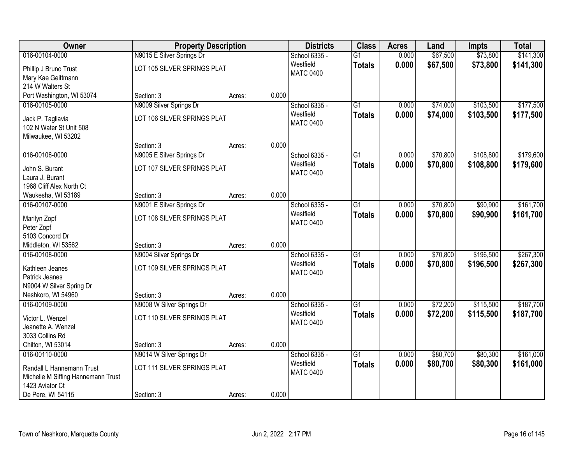| Owner                                                 | <b>Property Description</b> |        |       | <b>Districts</b> | <b>Class</b>    | <b>Acres</b> | Land     | <b>Impts</b> | <b>Total</b> |
|-------------------------------------------------------|-----------------------------|--------|-------|------------------|-----------------|--------------|----------|--------------|--------------|
| 016-00104-0000                                        | N9015 E Silver Springs Dr   |        |       | School 6335 -    | $\overline{G1}$ | 0.000        | \$67,500 | \$73,800     | \$141,300    |
| Phillip J Bruno Trust                                 | LOT 105 SILVER SPRINGS PLAT |        |       | Westfield        | <b>Totals</b>   | 0.000        | \$67,500 | \$73,800     | \$141,300    |
| Mary Kae Geittmann                                    |                             |        |       | <b>MATC 0400</b> |                 |              |          |              |              |
| 214 W Walters St                                      |                             |        |       |                  |                 |              |          |              |              |
| Port Washington, WI 53074                             | Section: 3                  | Acres: | 0.000 |                  |                 |              |          |              |              |
| 016-00105-0000                                        | N9009 Silver Springs Dr     |        |       | School 6335 -    | $\overline{G1}$ | 0.000        | \$74,000 | \$103,500    | \$177,500    |
| Jack P. Tagliavia                                     | LOT 106 SILVER SPRINGS PLAT |        |       | Westfield        | <b>Totals</b>   | 0.000        | \$74,000 | \$103,500    | \$177,500    |
| 102 N Water St Unit 508                               |                             |        |       | <b>MATC 0400</b> |                 |              |          |              |              |
| Milwaukee, WI 53202                                   |                             |        |       |                  |                 |              |          |              |              |
|                                                       | Section: 3                  | Acres: | 0.000 |                  |                 |              |          |              |              |
| 016-00106-0000                                        | N9005 E Silver Springs Dr   |        |       | School 6335 -    | $\overline{G1}$ | 0.000        | \$70,800 | \$108,800    | \$179,600    |
| John S. Burant                                        | LOT 107 SILVER SPRINGS PLAT |        |       | Westfield        | <b>Totals</b>   | 0.000        | \$70,800 | \$108,800    | \$179,600    |
| Laura J. Burant                                       |                             |        |       | <b>MATC 0400</b> |                 |              |          |              |              |
| 1968 Cliff Alex North Ct                              |                             |        |       |                  |                 |              |          |              |              |
| Waukesha, WI 53189                                    | Section: 3                  | Acres: | 0.000 |                  |                 |              |          |              |              |
| 016-00107-0000                                        | N9001 E Silver Springs Dr   |        |       | School 6335 -    | G1              | 0.000        | \$70,800 | \$90,900     | \$161,700    |
|                                                       | LOT 108 SILVER SPRINGS PLAT |        |       | Westfield        | <b>Totals</b>   | 0.000        | \$70,800 | \$90,900     | \$161,700    |
| Marilyn Zopf<br>Peter Zopf                            |                             |        |       | <b>MATC 0400</b> |                 |              |          |              |              |
| 5103 Concord Dr                                       |                             |        |       |                  |                 |              |          |              |              |
| Middleton, WI 53562                                   | Section: 3                  | Acres: | 0.000 |                  |                 |              |          |              |              |
| 016-00108-0000                                        | N9004 Silver Springs Dr     |        |       | School 6335 -    | $\overline{G1}$ | 0.000        | \$70,800 | \$196,500    | \$267,300    |
|                                                       | LOT 109 SILVER SPRINGS PLAT |        |       | Westfield        | Totals          | 0.000        | \$70,800 | \$196,500    | \$267,300    |
| Kathleen Jeanes<br>Patrick Jeanes                     |                             |        |       | <b>MATC 0400</b> |                 |              |          |              |              |
| N9004 W Silver Spring Dr                              |                             |        |       |                  |                 |              |          |              |              |
| Neshkoro, WI 54960                                    | Section: 3                  | Acres: | 0.000 |                  |                 |              |          |              |              |
| 016-00109-0000                                        | N9008 W Silver Springs Dr   |        |       | School 6335 -    | $\overline{G1}$ | 0.000        | \$72,200 | \$115,500    | \$187,700    |
|                                                       |                             |        |       | Westfield        | <b>Totals</b>   | 0.000        | \$72,200 | \$115,500    | \$187,700    |
| Victor L. Wenzel<br>Jeanette A. Wenzel                | LOT 110 SILVER SPRINGS PLAT |        |       | <b>MATC 0400</b> |                 |              |          |              |              |
| 3033 Collins Rd                                       |                             |        |       |                  |                 |              |          |              |              |
| Chilton, WI 53014                                     | Section: 3                  | Acres: | 0.000 |                  |                 |              |          |              |              |
| 016-00110-0000                                        | N9014 W Silver Springs Dr   |        |       | School 6335 -    | $\overline{G1}$ | 0.000        | \$80,700 | \$80,300     | \$161,000    |
|                                                       |                             |        |       | Westfield        | <b>Totals</b>   | 0.000        | \$80,700 | \$80,300     | \$161,000    |
| Randall L Hannemann Trust                             | LOT 111 SILVER SPRINGS PLAT |        |       | <b>MATC 0400</b> |                 |              |          |              |              |
| Michelle M Siffing Hannemann Trust<br>1423 Aviator Ct |                             |        |       |                  |                 |              |          |              |              |
| De Pere, WI 54115                                     | Section: 3                  | Acres: | 0.000 |                  |                 |              |          |              |              |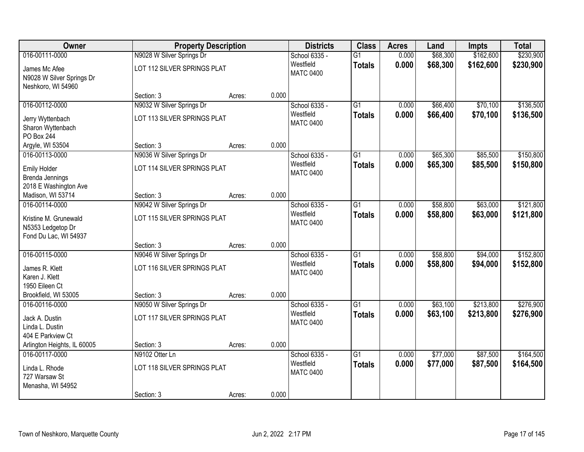| Owner                             |                             | <b>Property Description</b> |       | <b>Districts</b>              | <b>Class</b>    | <b>Acres</b> | Land     | Impts     | <b>Total</b> |
|-----------------------------------|-----------------------------|-----------------------------|-------|-------------------------------|-----------------|--------------|----------|-----------|--------------|
| 016-00111-0000                    | N9028 W Silver Springs Dr   |                             |       | School 6335 -                 | $\overline{G1}$ | 0.000        | \$68,300 | \$162,600 | \$230,900    |
| James Mc Afee                     | LOT 112 SILVER SPRINGS PLAT |                             |       | Westfield<br><b>MATC 0400</b> | <b>Totals</b>   | 0.000        | \$68,300 | \$162,600 | \$230,900    |
| N9028 W Silver Springs Dr         |                             |                             |       |                               |                 |              |          |           |              |
| Neshkoro, WI 54960                |                             |                             |       |                               |                 |              |          |           |              |
|                                   | Section: 3                  | Acres:                      | 0.000 |                               |                 |              |          |           |              |
| 016-00112-0000                    | N9032 W Silver Springs Dr   |                             |       | School 6335 -                 | $\overline{G1}$ | 0.000        | \$66,400 | \$70,100  | \$136,500    |
| Jerry Wyttenbach                  | LOT 113 SILVER SPRINGS PLAT |                             |       | Westfield<br><b>MATC 0400</b> | <b>Totals</b>   | 0.000        | \$66,400 | \$70,100  | \$136,500    |
| Sharon Wyttenbach                 |                             |                             |       |                               |                 |              |          |           |              |
| PO Box 244                        |                             |                             |       |                               |                 |              |          |           |              |
| Argyle, WI 53504                  | Section: 3                  | Acres:                      | 0.000 |                               |                 |              |          |           |              |
| 016-00113-0000                    | N9036 W Silver Springs Dr   |                             |       | School 6335 -                 | $\overline{G1}$ | 0.000        | \$65,300 | \$85,500  | \$150,800    |
| <b>Emily Holder</b>               | LOT 114 SILVER SPRINGS PLAT |                             |       | Westfield                     | <b>Totals</b>   | 0.000        | \$65,300 | \$85,500  | \$150,800    |
| Brenda Jennings                   |                             |                             |       | <b>MATC 0400</b>              |                 |              |          |           |              |
| 2018 E Washington Ave             |                             |                             |       |                               |                 |              |          |           |              |
| Madison, WI 53714                 | Section: 3                  | Acres:                      | 0.000 |                               |                 |              |          |           |              |
| 016-00114-0000                    | N9042 W Silver Springs Dr   |                             |       | School 6335 -                 | $\overline{G1}$ | 0.000        | \$58,800 | \$63,000  | \$121,800    |
| Kristine M. Grunewald             | LOT 115 SILVER SPRINGS PLAT |                             |       | Westfield                     | <b>Totals</b>   | 0.000        | \$58,800 | \$63,000  | \$121,800    |
| N5353 Ledgetop Dr                 |                             |                             |       | <b>MATC 0400</b>              |                 |              |          |           |              |
| Fond Du Lac, WI 54937             |                             |                             |       |                               |                 |              |          |           |              |
|                                   | Section: 3                  | Acres:                      | 0.000 |                               |                 |              |          |           |              |
| 016-00115-0000                    | N9046 W Silver Springs Dr   |                             |       | School 6335 -                 | $\overline{G1}$ | 0.000        | \$58,800 | \$94,000  | \$152,800    |
| James R. Klett                    | LOT 116 SILVER SPRINGS PLAT |                             |       | Westfield                     | <b>Totals</b>   | 0.000        | \$58,800 | \$94,000  | \$152,800    |
| Karen J. Klett                    |                             |                             |       | <b>MATC 0400</b>              |                 |              |          |           |              |
| 1950 Eileen Ct                    |                             |                             |       |                               |                 |              |          |           |              |
| Brookfield, WI 53005              | Section: 3                  | Acres:                      | 0.000 |                               |                 |              |          |           |              |
| 016-00116-0000                    | N9050 W Silver Springs Dr   |                             |       | School 6335 -                 | $\overline{G1}$ | 0.000        | \$63,100 | \$213,800 | \$276,900    |
|                                   |                             |                             |       | Westfield                     | <b>Totals</b>   | 0.000        | \$63,100 | \$213,800 | \$276,900    |
| Jack A. Dustin<br>Linda L. Dustin | LOT 117 SILVER SPRINGS PLAT |                             |       | <b>MATC 0400</b>              |                 |              |          |           |              |
| 404 E Parkview Ct                 |                             |                             |       |                               |                 |              |          |           |              |
| Arlington Heights, IL 60005       | Section: 3                  | Acres:                      | 0.000 |                               |                 |              |          |           |              |
| 016-00117-0000                    | N9102 Otter Ln              |                             |       | School 6335 -                 | $\overline{G1}$ | 0.000        | \$77,000 | \$87,500  | \$164,500    |
|                                   |                             |                             |       | Westfield                     | <b>Totals</b>   | 0.000        | \$77,000 | \$87,500  | \$164,500    |
| Linda L. Rhode                    | LOT 118 SILVER SPRINGS PLAT |                             |       | <b>MATC 0400</b>              |                 |              |          |           |              |
| 727 Warsaw St                     |                             |                             |       |                               |                 |              |          |           |              |
| Menasha, WI 54952                 | Section: 3                  |                             | 0.000 |                               |                 |              |          |           |              |
|                                   |                             | Acres:                      |       |                               |                 |              |          |           |              |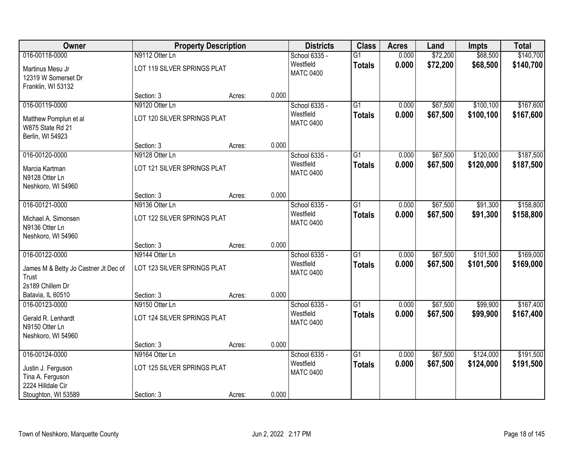| Owner                                                         | <b>Property Description</b> |        |       | <b>Districts</b>              | <b>Class</b>                     | <b>Acres</b>   | Land                 | <b>Impts</b>           | <b>Total</b>           |
|---------------------------------------------------------------|-----------------------------|--------|-------|-------------------------------|----------------------------------|----------------|----------------------|------------------------|------------------------|
| 016-00118-0000                                                | N9112 Otter Ln              |        |       | School 6335 -                 | G <sub>1</sub>                   | 0.000          | \$72,200             | \$68,500               | \$140,700              |
| Martinus Mesu Jr<br>12319 W Somerset Dr<br>Franklin, WI 53132 | LOT 119 SILVER SPRINGS PLAT |        |       | Westfield<br><b>MATC 0400</b> | <b>Totals</b>                    | 0.000          | \$72,200             | \$68,500               | \$140,700              |
|                                                               | Section: 3                  | Acres: | 0.000 |                               |                                  |                |                      |                        |                        |
| 016-00119-0000                                                | N9120 Otter Ln              |        |       | School 6335 -                 | $\overline{G1}$                  | 0.000          | \$67,500             | \$100,100              | \$167,600              |
| Matthew Pomplun et al<br>W875 State Rd 21<br>Berlin, WI 54923 | LOT 120 SILVER SPRINGS PLAT |        |       | Westfield<br><b>MATC 0400</b> | <b>Totals</b>                    | 0.000          | \$67,500             | \$100,100              | \$167,600              |
|                                                               | Section: 3                  | Acres: | 0.000 |                               |                                  |                |                      |                        |                        |
| 016-00120-0000                                                | N9128 Otter Ln              |        |       | School 6335 -                 | $\overline{G1}$                  | 0.000          | \$67,500             | \$120,000              | \$187,500              |
| Marcia Kartman<br>N9128 Otter Ln<br>Neshkoro, WI 54960        | LOT 121 SILVER SPRINGS PLAT |        |       | Westfield<br><b>MATC 0400</b> | <b>Totals</b>                    | 0.000          | \$67,500             | \$120,000              | \$187,500              |
|                                                               | Section: 3                  | Acres: | 0.000 |                               |                                  |                |                      |                        |                        |
| 016-00121-0000                                                | N9136 Otter Ln              |        |       | School 6335 -                 | $\overline{G1}$                  | 0.000          | \$67,500             | \$91,300               | \$158,800              |
| Michael A. Simonsen<br>N9136 Otter Ln<br>Neshkoro, WI 54960   | LOT 122 SILVER SPRINGS PLAT |        |       | Westfield<br><b>MATC 0400</b> | <b>Totals</b>                    | 0.000          | \$67,500             | \$91,300               | \$158,800              |
|                                                               | Section: 3                  | Acres: | 0.000 |                               |                                  |                |                      |                        |                        |
| 016-00122-0000                                                | N9144 Otter Ln              |        |       | School 6335 -<br>Westfield    | $\overline{G1}$<br><b>Totals</b> | 0.000<br>0.000 | \$67,500<br>\$67,500 | \$101,500<br>\$101,500 | \$169,000<br>\$169,000 |
| James M & Betty Jo Castner Jt Dec of<br>Trust                 | LOT 123 SILVER SPRINGS PLAT |        |       | <b>MATC 0400</b>              |                                  |                |                      |                        |                        |
| 2s189 Chillem Dr                                              |                             |        |       |                               |                                  |                |                      |                        |                        |
| Batavia, IL 60510                                             | Section: 3                  | Acres: | 0.000 |                               |                                  |                |                      |                        |                        |
| 016-00123-0000                                                | N9150 Otter Ln              |        |       | School 6335 -                 | $\overline{G1}$                  | 0.000          | \$67,500             | \$99,900               | \$167,400              |
| Gerald R. Lenhardt<br>N9150 Otter Ln<br>Neshkoro, WI 54960    | LOT 124 SILVER SPRINGS PLAT |        |       | Westfield<br><b>MATC 0400</b> | <b>Totals</b>                    | 0.000          | \$67,500             | \$99,900               | \$167,400              |
|                                                               | Section: 3                  | Acres: | 0.000 |                               |                                  |                |                      |                        |                        |
| 016-00124-0000                                                | N9164 Otter Ln              |        |       | School 6335 -                 | $\overline{G1}$                  | 0.000          | \$67,500             | \$124,000              | \$191,500              |
| Justin J. Ferguson<br>Tina A. Ferguson                        | LOT 125 SILVER SPRINGS PLAT |        |       | Westfield<br><b>MATC 0400</b> | <b>Totals</b>                    | 0.000          | \$67,500             | \$124,000              | \$191,500              |
| 2224 Hilldale Cir<br>Stoughton, WI 53589                      | Section: 3                  | Acres: | 0.000 |                               |                                  |                |                      |                        |                        |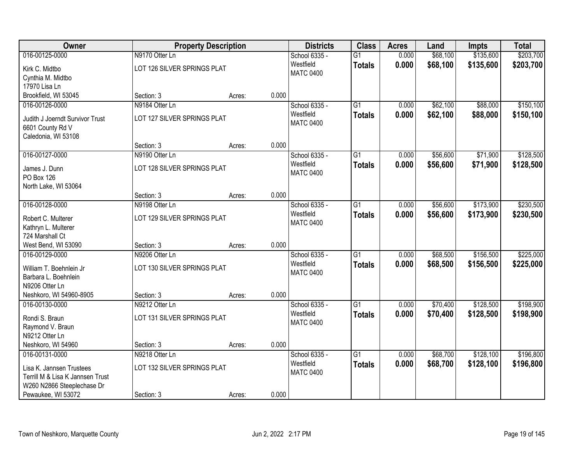| Owner                            | <b>Property Description</b> |        |       | <b>Districts</b> | <b>Class</b>    | <b>Acres</b> | Land     | <b>Impts</b> | <b>Total</b> |
|----------------------------------|-----------------------------|--------|-------|------------------|-----------------|--------------|----------|--------------|--------------|
| 016-00125-0000                   | N9170 Otter Ln              |        |       | School 6335 -    | $\overline{G1}$ | 0.000        | \$68,100 | \$135,600    | \$203,700    |
| Kirk C. Midtbo                   | LOT 126 SILVER SPRINGS PLAT |        |       | Westfield        | <b>Totals</b>   | 0.000        | \$68,100 | \$135,600    | \$203,700    |
| Cynthia M. Midtbo                |                             |        |       | <b>MATC 0400</b> |                 |              |          |              |              |
| 17970 Lisa Ln                    |                             |        |       |                  |                 |              |          |              |              |
| Brookfield, WI 53045             | Section: 3                  | Acres: | 0.000 |                  |                 |              |          |              |              |
| 016-00126-0000                   | N9184 Otter Ln              |        |       | School 6335 -    | $\overline{G1}$ | 0.000        | \$62,100 | \$88,000     | \$150,100    |
| Judith J Joerndt Survivor Trust  | LOT 127 SILVER SPRINGS PLAT |        |       | Westfield        | <b>Totals</b>   | 0.000        | \$62,100 | \$88,000     | \$150,100    |
| 6601 County Rd V                 |                             |        |       | <b>MATC 0400</b> |                 |              |          |              |              |
| Caledonia, WI 53108              |                             |        |       |                  |                 |              |          |              |              |
|                                  | Section: 3                  | Acres: | 0.000 |                  |                 |              |          |              |              |
| 016-00127-0000                   | N9190 Otter Ln              |        |       | School 6335 -    | $\overline{G1}$ | 0.000        | \$56,600 | \$71,900     | \$128,500    |
| James J. Dunn                    | LOT 128 SILVER SPRINGS PLAT |        |       | Westfield        | <b>Totals</b>   | 0.000        | \$56,600 | \$71,900     | \$128,500    |
| PO Box 126                       |                             |        |       | <b>MATC 0400</b> |                 |              |          |              |              |
| North Lake, WI 53064             |                             |        |       |                  |                 |              |          |              |              |
|                                  | Section: 3                  | Acres: | 0.000 |                  |                 |              |          |              |              |
| 016-00128-0000                   | N9198 Otter Ln              |        |       | School 6335 -    | $\overline{G1}$ | 0.000        | \$56,600 | \$173,900    | \$230,500    |
| Robert C. Multerer               | LOT 129 SILVER SPRINGS PLAT |        |       | Westfield        | <b>Totals</b>   | 0.000        | \$56,600 | \$173,900    | \$230,500    |
| Kathryn L. Multerer              |                             |        |       | <b>MATC 0400</b> |                 |              |          |              |              |
| 724 Marshall Ct                  |                             |        |       |                  |                 |              |          |              |              |
| West Bend, WI 53090              | Section: 3                  | Acres: | 0.000 |                  |                 |              |          |              |              |
| 016-00129-0000                   | N9206 Otter Ln              |        |       | School 6335 -    | $\overline{G1}$ | 0.000        | \$68,500 | \$156,500    | \$225,000    |
| William T. Boehnlein Jr.         | LOT 130 SILVER SPRINGS PLAT |        |       | Westfield        | <b>Totals</b>   | 0.000        | \$68,500 | \$156,500    | \$225,000    |
| Barbara L. Boehnlein             |                             |        |       | <b>MATC 0400</b> |                 |              |          |              |              |
| N9206 Otter Ln                   |                             |        |       |                  |                 |              |          |              |              |
| Neshkoro, WI 54960-8905          | Section: 3                  | Acres: | 0.000 |                  |                 |              |          |              |              |
| 016-00130-0000                   | N9212 Otter Ln              |        |       | School 6335 -    | $\overline{G1}$ | 0.000        | \$70,400 | \$128,500    | \$198,900    |
| Rondi S. Braun                   | LOT 131 SILVER SPRINGS PLAT |        |       | Westfield        | <b>Totals</b>   | 0.000        | \$70,400 | \$128,500    | \$198,900    |
| Raymond V. Braun                 |                             |        |       | <b>MATC 0400</b> |                 |              |          |              |              |
| N9212 Otter Ln                   |                             |        |       |                  |                 |              |          |              |              |
| Neshkoro, WI 54960               | Section: 3                  | Acres: | 0.000 |                  |                 |              |          |              |              |
| 016-00131-0000                   | N9218 Otter Ln              |        |       | School 6335 -    | $\overline{G1}$ | 0.000        | \$68,700 | \$128,100    | \$196,800    |
| Lisa K. Jannsen Trustees         | LOT 132 SILVER SPRINGS PLAT |        |       | Westfield        | <b>Totals</b>   | 0.000        | \$68,700 | \$128,100    | \$196,800    |
| Terrill M & Lisa K Jannsen Trust |                             |        |       | <b>MATC 0400</b> |                 |              |          |              |              |
| W260 N2866 Steeplechase Dr       |                             |        |       |                  |                 |              |          |              |              |
| Pewaukee, WI 53072               | Section: 3                  | Acres: | 0.000 |                  |                 |              |          |              |              |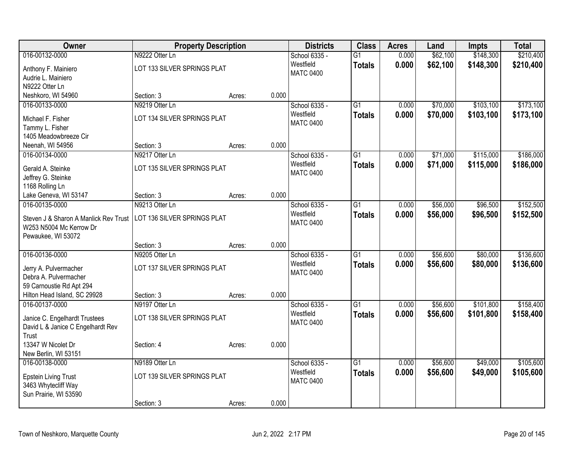| Owner                                                            | <b>Property Description</b> |                 | <b>Districts</b> | <b>Class</b>    | <b>Acres</b> | Land     | Impts     | <b>Total</b> |
|------------------------------------------------------------------|-----------------------------|-----------------|------------------|-----------------|--------------|----------|-----------|--------------|
| 016-00132-0000                                                   | N9222 Otter Ln              |                 | School 6335 -    | $\overline{G1}$ | 0.000        | \$62,100 | \$148,300 | \$210,400    |
| Anthony F. Mainiero                                              | LOT 133 SILVER SPRINGS PLAT |                 | Westfield        | <b>Totals</b>   | 0.000        | \$62,100 | \$148,300 | \$210,400    |
| Audrie L. Mainiero                                               |                             |                 | <b>MATC 0400</b> |                 |              |          |           |              |
| N9222 Otter Ln                                                   |                             |                 |                  |                 |              |          |           |              |
| Neshkoro, WI 54960                                               | Section: 3                  | 0.000<br>Acres: |                  |                 |              |          |           |              |
| 016-00133-0000                                                   | N9219 Otter Ln              |                 | School 6335 -    | $\overline{G1}$ | 0.000        | \$70,000 | \$103,100 | \$173,100    |
| Michael F. Fisher                                                | LOT 134 SILVER SPRINGS PLAT |                 | Westfield        | <b>Totals</b>   | 0.000        | \$70,000 | \$103,100 | \$173,100    |
| Tammy L. Fisher                                                  |                             |                 | <b>MATC 0400</b> |                 |              |          |           |              |
| 1405 Meadowbreeze Cir                                            |                             |                 |                  |                 |              |          |           |              |
| Neenah, WI 54956                                                 | Section: 3                  | 0.000<br>Acres: |                  |                 |              |          |           |              |
| 016-00134-0000                                                   | N9217 Otter Ln              |                 | School 6335 -    | G1              | 0.000        | \$71,000 | \$115,000 | \$186,000    |
| Gerald A. Steinke                                                | LOT 135 SILVER SPRINGS PLAT |                 | Westfield        | <b>Totals</b>   | 0.000        | \$71,000 | \$115,000 | \$186,000    |
| Jeffrey G. Steinke                                               |                             |                 | <b>MATC 0400</b> |                 |              |          |           |              |
| 1168 Rolling Ln                                                  |                             |                 |                  |                 |              |          |           |              |
| Lake Geneva, WI 53147                                            | Section: 3                  | 0.000<br>Acres: |                  |                 |              |          |           |              |
| 016-00135-0000                                                   | N9213 Otter Ln              |                 | School 6335 -    | $\overline{G1}$ | 0.000        | \$56,000 | \$96,500  | \$152,500    |
|                                                                  |                             |                 | Westfield        | <b>Totals</b>   | 0.000        | \$56,000 | \$96,500  | \$152,500    |
| Steven J & Sharon A Manlick Rev Trust<br>W253 N5004 Mc Kerrow Dr | LOT 136 SILVER SPRINGS PLAT |                 | <b>MATC 0400</b> |                 |              |          |           |              |
| Pewaukee, WI 53072                                               |                             |                 |                  |                 |              |          |           |              |
|                                                                  | Section: 3                  | 0.000<br>Acres: |                  |                 |              |          |           |              |
| 016-00136-0000                                                   | N9205 Otter Ln              |                 | School 6335 -    | $\overline{G1}$ | 0.000        | \$56,600 | \$80,000  | \$136,600    |
|                                                                  |                             |                 | Westfield        | <b>Totals</b>   | 0.000        | \$56,600 | \$80,000  | \$136,600    |
| Jerry A. Pulvermacher                                            | LOT 137 SILVER SPRINGS PLAT |                 | <b>MATC 0400</b> |                 |              |          |           |              |
| Debra A. Pulvermacher                                            |                             |                 |                  |                 |              |          |           |              |
| 59 Carnoustie Rd Apt 294<br>Hilton Head Island, SC 29928         | Section: 3                  | 0.000           |                  |                 |              |          |           |              |
| 016-00137-0000                                                   | N9197 Otter Ln              | Acres:          | School 6335 -    | $\overline{G1}$ | 0.000        | \$56,600 | \$101,800 | \$158,400    |
|                                                                  |                             |                 | Westfield        | <b>Totals</b>   | 0.000        | \$56,600 | \$101,800 | \$158,400    |
| Janice C. Engelhardt Trustees                                    | LOT 138 SILVER SPRINGS PLAT |                 | <b>MATC 0400</b> |                 |              |          |           |              |
| David L & Janice C Engelhardt Rev                                |                             |                 |                  |                 |              |          |           |              |
| Trust                                                            |                             |                 |                  |                 |              |          |           |              |
| 13347 W Nicolet Dr                                               | Section: 4                  | 0.000<br>Acres: |                  |                 |              |          |           |              |
| New Berlin, WI 53151<br>016-00138-0000                           | N9189 Otter Ln              |                 | School 6335 -    | $\overline{G1}$ | 0.000        | \$56,600 | \$49,000  | \$105,600    |
|                                                                  |                             |                 | Westfield        |                 | 0.000        |          |           |              |
| <b>Epstein Living Trust</b>                                      | LOT 139 SILVER SPRINGS PLAT |                 | <b>MATC 0400</b> | <b>Totals</b>   |              | \$56,600 | \$49,000  | \$105,600    |
| 3463 Whytecliff Way                                              |                             |                 |                  |                 |              |          |           |              |
| Sun Prairie, WI 53590                                            |                             |                 |                  |                 |              |          |           |              |
|                                                                  | Section: 3                  | 0.000<br>Acres: |                  |                 |              |          |           |              |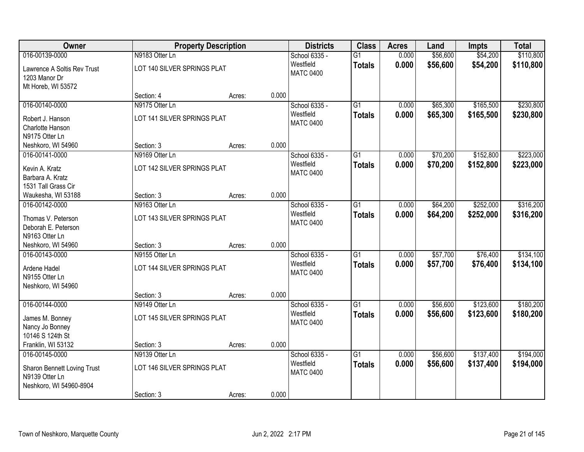| Owner                                        |                             | <b>Property Description</b> |       | <b>Districts</b>              | <b>Class</b>    | <b>Acres</b> | Land     | <b>Impts</b> | <b>Total</b> |
|----------------------------------------------|-----------------------------|-----------------------------|-------|-------------------------------|-----------------|--------------|----------|--------------|--------------|
| 016-00139-0000                               | N9183 Otter Ln              |                             |       | School 6335 -                 | $\overline{G1}$ | 0.000        | \$56,600 | \$54,200     | \$110,800    |
| Lawrence A Soltis Rev Trust<br>1203 Manor Dr | LOT 140 SILVER SPRINGS PLAT |                             |       | Westfield<br><b>MATC 0400</b> | <b>Totals</b>   | 0.000        | \$56,600 | \$54,200     | \$110,800    |
| Mt Horeb, WI 53572                           |                             |                             |       |                               |                 |              |          |              |              |
|                                              | Section: 4                  | Acres:                      | 0.000 |                               |                 |              |          |              |              |
| 016-00140-0000                               | N9175 Otter Ln              |                             |       | School 6335 -                 | $\overline{G1}$ | 0.000        | \$65,300 | \$165,500    | \$230,800    |
| Robert J. Hanson                             | LOT 141 SILVER SPRINGS PLAT |                             |       | Westfield                     | <b>Totals</b>   | 0.000        | \$65,300 | \$165,500    | \$230,800    |
| Charlotte Hanson                             |                             |                             |       | <b>MATC 0400</b>              |                 |              |          |              |              |
| N9175 Otter Ln                               |                             |                             |       |                               |                 |              |          |              |              |
| Neshkoro, WI 54960                           | Section: 3                  | Acres:                      | 0.000 |                               |                 |              |          |              |              |
| 016-00141-0000                               | N9169 Otter Ln              |                             |       | School 6335 -                 | $\overline{G1}$ | 0.000        | \$70,200 | \$152,800    | \$223,000    |
| Kevin A. Kratz                               | LOT 142 SILVER SPRINGS PLAT |                             |       | Westfield                     | <b>Totals</b>   | 0.000        | \$70,200 | \$152,800    | \$223,000    |
| Barbara A. Kratz                             |                             |                             |       | <b>MATC 0400</b>              |                 |              |          |              |              |
| 1531 Tall Grass Cir                          |                             |                             |       |                               |                 |              |          |              |              |
| Waukesha, WI 53188                           | Section: 3                  | Acres:                      | 0.000 |                               |                 |              |          |              |              |
| 016-00142-0000                               | N9163 Otter Ln              |                             |       | School 6335 -                 | G1              | 0.000        | \$64,200 | \$252,000    | \$316,200    |
| Thomas V. Peterson                           | LOT 143 SILVER SPRINGS PLAT |                             |       | Westfield                     | <b>Totals</b>   | 0.000        | \$64,200 | \$252,000    | \$316,200    |
| Deborah E. Peterson                          |                             |                             |       | <b>MATC 0400</b>              |                 |              |          |              |              |
| N9163 Otter Ln                               |                             |                             |       |                               |                 |              |          |              |              |
| Neshkoro, WI 54960                           | Section: 3                  | Acres:                      | 0.000 |                               |                 |              |          |              |              |
| 016-00143-0000                               | N9155 Otter Ln              |                             |       | School 6335 -                 | $\overline{G1}$ | 0.000        | \$57,700 | \$76,400     | \$134,100    |
|                                              |                             |                             |       | Westfield                     | <b>Totals</b>   | 0.000        | \$57,700 | \$76,400     | \$134,100    |
| Ardene Hadel                                 | LOT 144 SILVER SPRINGS PLAT |                             |       | <b>MATC 0400</b>              |                 |              |          |              |              |
| N9155 Otter Ln                               |                             |                             |       |                               |                 |              |          |              |              |
| Neshkoro, WI 54960                           | Section: 3                  |                             | 0.000 |                               |                 |              |          |              |              |
| 016-00144-0000                               | N9149 Otter Ln              | Acres:                      |       | School 6335 -                 | $\overline{G1}$ | 0.000        | \$56,600 | \$123,600    | \$180,200    |
|                                              |                             |                             |       | Westfield                     |                 | 0.000        | \$56,600 | \$123,600    | \$180,200    |
| James M. Bonney                              | LOT 145 SILVER SPRINGS PLAT |                             |       | <b>MATC 0400</b>              | <b>Totals</b>   |              |          |              |              |
| Nancy Jo Bonney                              |                             |                             |       |                               |                 |              |          |              |              |
| 10146 S 124th St                             |                             |                             |       |                               |                 |              |          |              |              |
| Franklin, WI 53132                           | Section: 3                  | Acres:                      | 0.000 |                               |                 |              |          |              |              |
| 016-00145-0000                               | N9139 Otter Ln              |                             |       | School 6335 -                 | $\overline{G1}$ | 0.000        | \$56,600 | \$137,400    | \$194,000    |
| Sharon Bennett Loving Trust                  | LOT 146 SILVER SPRINGS PLAT |                             |       | Westfield                     | <b>Totals</b>   | 0.000        | \$56,600 | \$137,400    | \$194,000    |
| N9139 Otter Ln                               |                             |                             |       | <b>MATC 0400</b>              |                 |              |          |              |              |
| Neshkoro, WI 54960-8904                      |                             |                             |       |                               |                 |              |          |              |              |
|                                              | Section: 3                  | Acres:                      | 0.000 |                               |                 |              |          |              |              |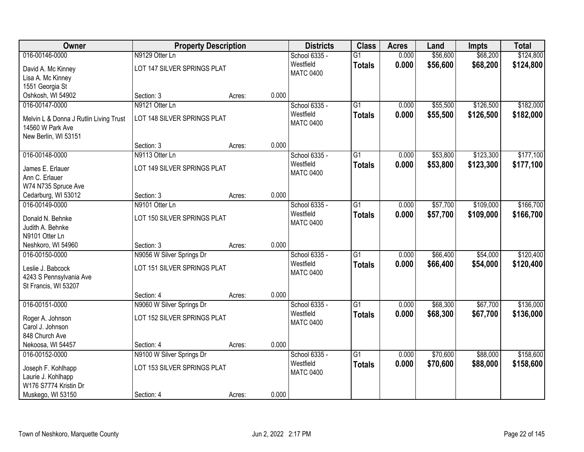| Owner                                                      | <b>Property Description</b> |                 | <b>Districts</b> | <b>Class</b>    | <b>Acres</b> | Land     | <b>Impts</b> | <b>Total</b> |
|------------------------------------------------------------|-----------------------------|-----------------|------------------|-----------------|--------------|----------|--------------|--------------|
| 016-00146-0000                                             | N9129 Otter Ln              |                 | School 6335 -    | $\overline{G1}$ | 0.000        | \$56,600 | \$68,200     | \$124,800    |
| David A. Mc Kinney                                         | LOT 147 SILVER SPRINGS PLAT |                 | Westfield        | <b>Totals</b>   | 0.000        | \$56,600 | \$68,200     | \$124,800    |
| Lisa A. Mc Kinney                                          |                             |                 | <b>MATC 0400</b> |                 |              |          |              |              |
| 1551 Georgia St                                            |                             |                 |                  |                 |              |          |              |              |
| Oshkosh, WI 54902                                          | Section: 3                  | 0.000<br>Acres: |                  |                 |              |          |              |              |
| 016-00147-0000                                             | N9121 Otter Ln              |                 | School 6335 -    | $\overline{G1}$ | 0.000        | \$55,500 | \$126,500    | \$182,000    |
|                                                            | LOT 148 SILVER SPRINGS PLAT |                 | Westfield        | <b>Totals</b>   | 0.000        | \$55,500 | \$126,500    | \$182,000    |
| Melvin L & Donna J Rutlin Living Trust<br>14560 W Park Ave |                             |                 | <b>MATC 0400</b> |                 |              |          |              |              |
| New Berlin, WI 53151                                       |                             |                 |                  |                 |              |          |              |              |
|                                                            | Section: 3                  | 0.000<br>Acres: |                  |                 |              |          |              |              |
| 016-00148-0000                                             | N9113 Otter Ln              |                 | School 6335 -    | G1              | 0.000        | \$53,800 | \$123,300    | \$177,100    |
|                                                            |                             |                 | Westfield        | <b>Totals</b>   | 0.000        | \$53,800 | \$123,300    | \$177,100    |
| James E. Erlauer                                           | LOT 149 SILVER SPRINGS PLAT |                 | <b>MATC 0400</b> |                 |              |          |              |              |
| Ann C. Erlauer                                             |                             |                 |                  |                 |              |          |              |              |
| W74 N735 Spruce Ave                                        |                             |                 |                  |                 |              |          |              |              |
| Cedarburg, WI 53012                                        | Section: 3                  | 0.000<br>Acres: |                  |                 |              |          |              |              |
| 016-00149-0000                                             | N9101 Otter Ln              |                 | School 6335 -    | G1              | 0.000        | \$57,700 | \$109,000    | \$166,700    |
| Donald N. Behnke                                           | LOT 150 SILVER SPRINGS PLAT |                 | Westfield        | <b>Totals</b>   | 0.000        | \$57,700 | \$109,000    | \$166,700    |
| Judith A. Behnke                                           |                             |                 | <b>MATC 0400</b> |                 |              |          |              |              |
| N9101 Otter Ln                                             |                             |                 |                  |                 |              |          |              |              |
| Neshkoro, WI 54960                                         | Section: 3                  | 0.000<br>Acres: |                  |                 |              |          |              |              |
| 016-00150-0000                                             | N9056 W Silver Springs Dr   |                 | School 6335 -    | $\overline{G1}$ | 0.000        | \$66,400 | \$54,000     | \$120,400    |
| Leslie J. Babcock                                          | LOT 151 SILVER SPRINGS PLAT |                 | Westfield        | <b>Totals</b>   | 0.000        | \$66,400 | \$54,000     | \$120,400    |
| 4243 S Pennsylvania Ave                                    |                             |                 | <b>MATC 0400</b> |                 |              |          |              |              |
| St Francis, WI 53207                                       |                             |                 |                  |                 |              |          |              |              |
|                                                            | Section: 4                  | 0.000<br>Acres: |                  |                 |              |          |              |              |
| 016-00151-0000                                             | N9060 W Silver Springs Dr   |                 | School 6335 -    | $\overline{G1}$ | 0.000        | \$68,300 | \$67,700     | \$136,000    |
|                                                            |                             |                 | Westfield        | <b>Totals</b>   | 0.000        | \$68,300 | \$67,700     | \$136,000    |
| Roger A. Johnson                                           | LOT 152 SILVER SPRINGS PLAT |                 | <b>MATC 0400</b> |                 |              |          |              |              |
| Carol J. Johnson                                           |                             |                 |                  |                 |              |          |              |              |
| 848 Church Ave                                             |                             |                 |                  |                 |              |          |              |              |
| Nekoosa, WI 54457                                          | Section: 4                  | 0.000<br>Acres: |                  |                 |              |          |              |              |
| 016-00152-0000                                             | N9100 W Silver Springs Dr   |                 | School 6335 -    | $\overline{G1}$ | 0.000        | \$70,600 | \$88,000     | \$158,600    |
| Joseph F. Kohlhapp                                         | LOT 153 SILVER SPRINGS PLAT |                 | Westfield        | <b>Totals</b>   | 0.000        | \$70,600 | \$88,000     | \$158,600    |
| Laurie J. Kohlhapp                                         |                             |                 | <b>MATC 0400</b> |                 |              |          |              |              |
| W176 S7774 Kristin Dr                                      |                             |                 |                  |                 |              |          |              |              |
| Muskego, WI 53150                                          | Section: 4                  | 0.000<br>Acres: |                  |                 |              |          |              |              |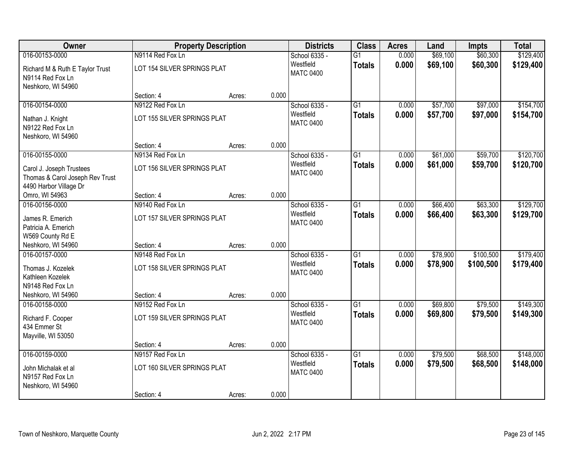| Owner                                                                                 | <b>Property Description</b>               |        |       | <b>Districts</b>              | <b>Class</b>    | <b>Acres</b> | Land     | <b>Impts</b> | <b>Total</b> |
|---------------------------------------------------------------------------------------|-------------------------------------------|--------|-------|-------------------------------|-----------------|--------------|----------|--------------|--------------|
| 016-00153-0000                                                                        | N9114 Red Fox Ln                          |        |       | School 6335 -                 | $\overline{G1}$ | 0.000        | \$69,100 | \$60,300     | \$129,400    |
| Richard M & Ruth E Taylor Trust<br>N9114 Red Fox Ln<br>Neshkoro, WI 54960             | LOT 154 SILVER SPRINGS PLAT               |        |       | Westfield<br><b>MATC 0400</b> | <b>Totals</b>   | 0.000        | \$69,100 | \$60,300     | \$129,400    |
|                                                                                       | Section: 4                                | Acres: | 0.000 |                               |                 |              |          |              |              |
| 016-00154-0000                                                                        | N9122 Red Fox Ln                          |        |       | School 6335 -                 | $\overline{G1}$ | 0.000        | \$57,700 | \$97,000     | \$154,700    |
| Nathan J. Knight<br>N9122 Red Fox Ln<br>Neshkoro, WI 54960                            | LOT 155 SILVER SPRINGS PLAT               |        |       | Westfield<br><b>MATC 0400</b> | <b>Totals</b>   | 0.000        | \$57,700 | \$97,000     | \$154,700    |
|                                                                                       | Section: 4                                | Acres: | 0.000 |                               |                 |              |          |              |              |
| 016-00155-0000                                                                        | N9134 Red Fox Ln                          |        |       | School 6335 -                 | $\overline{G1}$ | 0.000        | \$61,000 | \$59,700     | \$120,700    |
| Carol J. Joseph Trustees<br>Thomas & Carol Joseph Rev Trust<br>4490 Harbor Village Dr | LOT 156 SILVER SPRINGS PLAT               |        |       | Westfield<br><b>MATC 0400</b> | <b>Totals</b>   | 0.000        | \$61,000 | \$59,700     | \$120,700    |
| Omro, WI 54963                                                                        | Section: 4                                | Acres: | 0.000 |                               |                 |              |          |              |              |
| 016-00156-0000                                                                        | N9140 Red Fox Ln                          |        |       | School 6335 -                 | $\overline{G1}$ | 0.000        | \$66,400 | \$63,300     | \$129,700    |
| James R. Emerich<br>Patricia A. Emerich<br>W569 County Rd E                           | LOT 157 SILVER SPRINGS PLAT               |        |       | Westfield<br><b>MATC 0400</b> | <b>Totals</b>   | 0.000        | \$66,400 | \$63,300     | \$129,700    |
| Neshkoro, WI 54960                                                                    | Section: 4                                | Acres: | 0.000 |                               |                 |              |          |              |              |
| 016-00157-0000                                                                        | N9148 Red Fox Ln                          |        |       | School 6335 -                 | $\overline{G1}$ | 0.000        | \$78,900 | \$100,500    | \$179,400    |
| Thomas J. Kozelek<br>Kathleen Kozelek<br>N9148 Red Fox Ln<br>Neshkoro, WI 54960       | LOT 158 SILVER SPRINGS PLAT<br>Section: 4 |        | 0.000 | Westfield<br><b>MATC 0400</b> | <b>Totals</b>   | 0.000        | \$78,900 | \$100,500    | \$179,400    |
| 016-00158-0000                                                                        | N9152 Red Fox Ln                          | Acres: |       | School 6335 -                 | $\overline{G1}$ | 0.000        | \$69,800 | \$79,500     | \$149,300    |
| Richard F. Cooper<br>434 Emmer St<br>Mayville, WI 53050                               | LOT 159 SILVER SPRINGS PLAT               |        |       | Westfield<br><b>MATC 0400</b> | <b>Totals</b>   | 0.000        | \$69,800 | \$79,500     | \$149,300    |
|                                                                                       | Section: 4                                | Acres: | 0.000 |                               |                 |              |          |              |              |
| 016-00159-0000                                                                        | N9157 Red Fox Ln                          |        |       | School 6335 -                 | $\overline{G1}$ | 0.000        | \$79,500 | \$68,500     | \$148,000    |
| John Michalak et al<br>N9157 Red Fox Ln<br>Neshkoro, WI 54960                         | LOT 160 SILVER SPRINGS PLAT               |        |       | Westfield<br><b>MATC 0400</b> | <b>Totals</b>   | 0.000        | \$79,500 | \$68,500     | \$148,000    |
|                                                                                       | Section: 4                                | Acres: | 0.000 |                               |                 |              |          |              |              |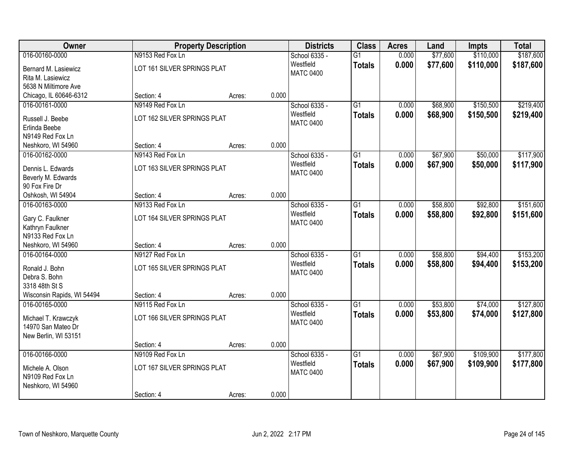| Owner                                        |                                | <b>Property Description</b> |       | <b>Districts</b> | <b>Class</b>    | <b>Acres</b> | Land     | Impts     | <b>Total</b> |
|----------------------------------------------|--------------------------------|-----------------------------|-------|------------------|-----------------|--------------|----------|-----------|--------------|
| 016-00160-0000                               | N9153 Red Fox Ln               |                             |       | School 6335 -    | $\overline{G1}$ | 0.000        | \$77,600 | \$110,000 | \$187,600    |
| Bernard M. Lasiewicz                         | LOT 161 SILVER SPRINGS PLAT    |                             |       | Westfield        | <b>Totals</b>   | 0.000        | \$77,600 | \$110,000 | \$187,600    |
| Rita M. Lasiewicz                            |                                |                             |       | <b>MATC 0400</b> |                 |              |          |           |              |
| 5638 N Miltimore Ave                         |                                |                             |       |                  |                 |              |          |           |              |
| Chicago, IL 60646-6312                       | Section: 4                     | Acres:                      | 0.000 |                  |                 |              |          |           |              |
| 016-00161-0000                               | N9149 Red Fox Ln               |                             |       | School 6335 -    | $\overline{G1}$ | 0.000        | \$68,900 | \$150,500 | \$219,400    |
| Russell J. Beebe                             | LOT 162 SILVER SPRINGS PLAT    |                             |       | Westfield        | <b>Totals</b>   | 0.000        | \$68,900 | \$150,500 | \$219,400    |
| Erlinda Beebe                                |                                |                             |       | <b>MATC 0400</b> |                 |              |          |           |              |
| N9149 Red Fox Ln                             |                                |                             |       |                  |                 |              |          |           |              |
| Neshkoro, WI 54960                           | Section: 4                     | Acres:                      | 0.000 |                  |                 |              |          |           |              |
| 016-00162-0000                               | N9143 Red Fox Ln               |                             |       | School 6335 -    | $\overline{G1}$ | 0.000        | \$67,900 | \$50,000  | \$117,900    |
| Dennis L. Edwards                            | LOT 163 SILVER SPRINGS PLAT    |                             |       | Westfield        | <b>Totals</b>   | 0.000        | \$67,900 | \$50,000  | \$117,900    |
| Beverly M. Edwards                           |                                |                             |       | <b>MATC 0400</b> |                 |              |          |           |              |
| 90 Fox Fire Dr                               |                                |                             |       |                  |                 |              |          |           |              |
| Oshkosh, WI 54904                            | Section: 4                     | Acres:                      | 0.000 |                  |                 |              |          |           |              |
| 016-00163-0000                               | N9133 Red Fox Ln               |                             |       | School 6335 -    | $\overline{G1}$ | 0.000        | \$58,800 | \$92,800  | \$151,600    |
|                                              |                                |                             |       | Westfield        | <b>Totals</b>   | 0.000        | \$58,800 | \$92,800  | \$151,600    |
| Gary C. Faulkner<br>Kathryn Faulkner         | LOT 164 SILVER SPRINGS PLAT    |                             |       | <b>MATC 0400</b> |                 |              |          |           |              |
| N9133 Red Fox Ln                             |                                |                             |       |                  |                 |              |          |           |              |
| Neshkoro, WI 54960                           | Section: 4                     | Acres:                      | 0.000 |                  |                 |              |          |           |              |
| 016-00164-0000                               | N9127 Red Fox Ln               |                             |       | School 6335 -    | $\overline{G1}$ | 0.000        | \$58,800 | \$94,400  | \$153,200    |
|                                              |                                |                             |       | Westfield        | <b>Totals</b>   | 0.000        | \$58,800 | \$94,400  | \$153,200    |
| Ronald J. Bohn                               | LOT 165 SILVER SPRINGS PLAT    |                             |       | <b>MATC 0400</b> |                 |              |          |           |              |
| Debra S. Bohn                                |                                |                             |       |                  |                 |              |          |           |              |
| 3318 48th St S<br>Wisconsin Rapids, WI 54494 | Section: 4                     | Acres:                      | 0.000 |                  |                 |              |          |           |              |
| 016-00165-0000                               | N9115 Red Fox Ln               |                             |       | School 6335 -    | $\overline{G1}$ | 0.000        | \$53,800 | \$74,000  | \$127,800    |
|                                              |                                |                             |       | Westfield        | <b>Totals</b>   | 0.000        | \$53,800 | \$74,000  | \$127,800    |
| Michael T. Krawczyk                          | LOT 166 SILVER SPRINGS PLAT    |                             |       | <b>MATC 0400</b> |                 |              |          |           |              |
| 14970 San Mateo Dr                           |                                |                             |       |                  |                 |              |          |           |              |
| New Berlin, WI 53151                         |                                |                             | 0.000 |                  |                 |              |          |           |              |
| 016-00166-0000                               | Section: 4<br>N9109 Red Fox Ln | Acres:                      |       | School 6335 -    | $\overline{G1}$ | 0.000        | \$67,900 | \$109,900 | \$177,800    |
|                                              |                                |                             |       | Westfield        | <b>Totals</b>   | 0.000        | \$67,900 | \$109,900 | \$177,800    |
| Michele A. Olson                             | LOT 167 SILVER SPRINGS PLAT    |                             |       | <b>MATC 0400</b> |                 |              |          |           |              |
| N9109 Red Fox Ln                             |                                |                             |       |                  |                 |              |          |           |              |
| Neshkoro, WI 54960                           |                                |                             |       |                  |                 |              |          |           |              |
|                                              | Section: 4                     | Acres:                      | 0.000 |                  |                 |              |          |           |              |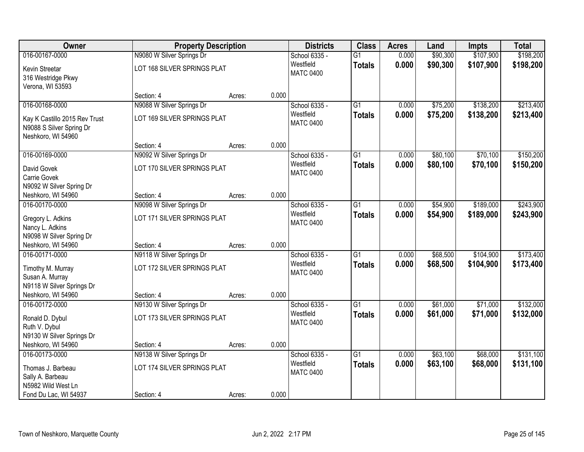| <b>Owner</b>                                                                    | <b>Property Description</b> |        |       | <b>Districts</b>              | <b>Class</b>    | <b>Acres</b>   | Land                 | Impts                  | <b>Total</b>           |
|---------------------------------------------------------------------------------|-----------------------------|--------|-------|-------------------------------|-----------------|----------------|----------------------|------------------------|------------------------|
| 016-00167-0000                                                                  | N9080 W Silver Springs Dr   |        |       | School 6335 -                 | $\overline{G1}$ | 0.000          | \$90,300             | \$107,900              | \$198,200              |
| Kevin Streetar<br>316 Westridge Pkwy<br>Verona, WI 53593                        | LOT 168 SILVER SPRINGS PLAT |        |       | Westfield<br><b>MATC 0400</b> | <b>Totals</b>   | 0.000          | \$90,300             | \$107,900              | \$198,200              |
|                                                                                 | Section: 4                  | Acres: | 0.000 |                               |                 |                |                      |                        |                        |
| 016-00168-0000                                                                  | N9088 W Silver Springs Dr   |        |       | School 6335 -                 | $\overline{G1}$ | 0.000          | \$75,200             | \$138,200              | \$213,400              |
| Kay K Castillo 2015 Rev Trust<br>N9088 S Silver Spring Dr<br>Neshkoro, WI 54960 | LOT 169 SILVER SPRINGS PLAT |        |       | Westfield<br><b>MATC 0400</b> | <b>Totals</b>   | 0.000          | \$75,200             | \$138,200              | \$213,400              |
|                                                                                 | Section: 4                  | Acres: | 0.000 |                               |                 |                |                      |                        |                        |
| 016-00169-0000                                                                  | N9092 W Silver Springs Dr   |        |       | School 6335 -                 | G1              | 0.000          | \$80,100             | \$70,100               | \$150,200              |
| David Govek                                                                     | LOT 170 SILVER SPRINGS PLAT |        |       | Westfield<br><b>MATC 0400</b> | <b>Totals</b>   | 0.000          | \$80,100             | \$70,100               | \$150,200              |
| Carrie Govek                                                                    |                             |        |       |                               |                 |                |                      |                        |                        |
| N9092 W Silver Spring Dr                                                        |                             |        |       |                               |                 |                |                      |                        |                        |
| Neshkoro, WI 54960                                                              | Section: 4                  | Acres: | 0.000 |                               |                 |                |                      |                        |                        |
| 016-00170-0000                                                                  | N9098 W Silver Springs Dr   |        |       | School 6335 -<br>Westfield    | G1              | 0.000<br>0.000 | \$54,900<br>\$54,900 | \$189,000<br>\$189,000 | \$243,900<br>\$243,900 |
| Gregory L. Adkins                                                               | LOT 171 SILVER SPRINGS PLAT |        |       | <b>MATC 0400</b>              | <b>Totals</b>   |                |                      |                        |                        |
| Nancy L. Adkins                                                                 |                             |        |       |                               |                 |                |                      |                        |                        |
| N9098 W Silver Spring Dr<br>Neshkoro, WI 54960                                  | Section: 4                  | Acres: | 0.000 |                               |                 |                |                      |                        |                        |
| 016-00171-0000                                                                  | N9118 W Silver Springs Dr   |        |       | School 6335 -                 | $\overline{G1}$ | 0.000          | \$68,500             | \$104,900              | \$173,400              |
|                                                                                 |                             |        |       | Westfield                     | <b>Totals</b>   | 0.000          | \$68,500             | \$104,900              | \$173,400              |
| Timothy M. Murray                                                               | LOT 172 SILVER SPRINGS PLAT |        |       | <b>MATC 0400</b>              |                 |                |                      |                        |                        |
| Susan A. Murray<br>N9118 W Silver Springs Dr                                    |                             |        |       |                               |                 |                |                      |                        |                        |
| Neshkoro, WI 54960                                                              | Section: 4                  | Acres: | 0.000 |                               |                 |                |                      |                        |                        |
| 016-00172-0000                                                                  | N9130 W Silver Springs Dr   |        |       | School 6335 -                 | $\overline{G1}$ | 0.000          | \$61,000             | \$71,000               | \$132,000              |
|                                                                                 |                             |        |       | Westfield                     | <b>Totals</b>   | 0.000          | \$61,000             | \$71,000               | \$132,000              |
| Ronald D. Dybul<br>Ruth V. Dybul                                                | LOT 173 SILVER SPRINGS PLAT |        |       | <b>MATC 0400</b>              |                 |                |                      |                        |                        |
| N9130 W Silver Springs Dr                                                       |                             |        |       |                               |                 |                |                      |                        |                        |
| Neshkoro, WI 54960                                                              | Section: 4                  | Acres: | 0.000 |                               |                 |                |                      |                        |                        |
| 016-00173-0000                                                                  | N9138 W Silver Springs Dr   |        |       | School 6335 -                 | $\overline{G1}$ | 0.000          | \$63,100             | \$68,000               | \$131,100              |
| Thomas J. Barbeau                                                               | LOT 174 SILVER SPRINGS PLAT |        |       | Westfield                     | <b>Totals</b>   | 0.000          | \$63,100             | \$68,000               | \$131,100              |
| Sally A. Barbeau                                                                |                             |        |       | <b>MATC 0400</b>              |                 |                |                      |                        |                        |
| N5982 Wild West Ln                                                              |                             |        |       |                               |                 |                |                      |                        |                        |
| Fond Du Lac, WI 54937                                                           | Section: 4                  | Acres: | 0.000 |                               |                 |                |                      |                        |                        |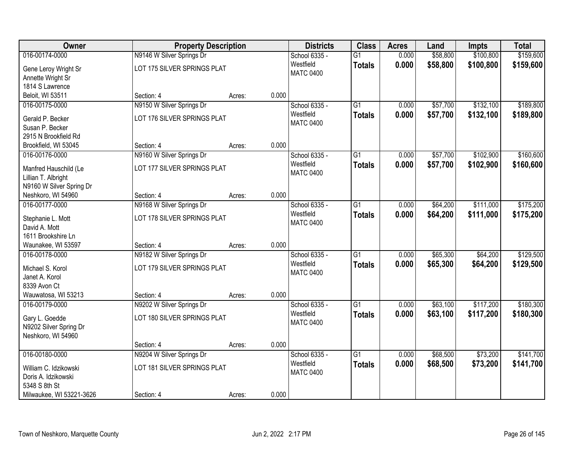| Owner                    |                             | <b>Property Description</b> |       | <b>Districts</b>              | <b>Class</b>    | <b>Acres</b> | Land     | Impts     | <b>Total</b> |
|--------------------------|-----------------------------|-----------------------------|-------|-------------------------------|-----------------|--------------|----------|-----------|--------------|
| 016-00174-0000           | N9146 W Silver Springs Dr   |                             |       | School 6335 -                 | $\overline{G1}$ | 0.000        | \$58,800 | \$100,800 | \$159,600    |
| Gene Leroy Wright Sr     | LOT 175 SILVER SPRINGS PLAT |                             |       | Westfield<br><b>MATC 0400</b> | <b>Totals</b>   | 0.000        | \$58,800 | \$100,800 | \$159,600    |
| Annette Wright Sr        |                             |                             |       |                               |                 |              |          |           |              |
| 1814 S Lawrence          |                             |                             |       |                               |                 |              |          |           |              |
| Beloit, WI 53511         | Section: 4                  | Acres:                      | 0.000 |                               |                 |              |          |           |              |
| 016-00175-0000           | N9150 W Silver Springs Dr   |                             |       | School 6335 -                 | $\overline{G1}$ | 0.000        | \$57,700 | \$132,100 | \$189,800    |
| Gerald P. Becker         | LOT 176 SILVER SPRINGS PLAT |                             |       | Westfield                     | <b>Totals</b>   | 0.000        | \$57,700 | \$132,100 | \$189,800    |
| Susan P. Becker          |                             |                             |       | <b>MATC 0400</b>              |                 |              |          |           |              |
| 2915 N Brookfield Rd     |                             |                             |       |                               |                 |              |          |           |              |
| Brookfield, WI 53045     | Section: 4                  | Acres:                      | 0.000 |                               |                 |              |          |           |              |
| 016-00176-0000           | N9160 W Silver Springs Dr   |                             |       | School 6335 -                 | $\overline{G1}$ | 0.000        | \$57,700 | \$102,900 | \$160,600    |
| Manfred Hauschild (Le    | LOT 177 SILVER SPRINGS PLAT |                             |       | Westfield                     | <b>Totals</b>   | 0.000        | \$57,700 | \$102,900 | \$160,600    |
| Lillian T. Albright      |                             |                             |       | <b>MATC 0400</b>              |                 |              |          |           |              |
| N9160 W Silver Spring Dr |                             |                             |       |                               |                 |              |          |           |              |
| Neshkoro, WI 54960       | Section: 4                  | Acres:                      | 0.000 |                               |                 |              |          |           |              |
| 016-00177-0000           | N9168 W Silver Springs Dr   |                             |       | School 6335 -                 | $\overline{G1}$ | 0.000        | \$64,200 | \$111,000 | \$175,200    |
|                          |                             |                             |       | Westfield                     | <b>Totals</b>   | 0.000        | \$64,200 | \$111,000 | \$175,200    |
| Stephanie L. Mott        | LOT 178 SILVER SPRINGS PLAT |                             |       | <b>MATC 0400</b>              |                 |              |          |           |              |
| David A. Mott            |                             |                             |       |                               |                 |              |          |           |              |
| 1611 Brookshire Ln       |                             |                             |       |                               |                 |              |          |           |              |
| Waunakee, WI 53597       | Section: 4                  | Acres:                      | 0.000 |                               |                 |              |          |           |              |
| 016-00178-0000           | N9182 W Silver Springs Dr   |                             |       | School 6335 -                 | $\overline{G1}$ | 0.000        | \$65,300 | \$64,200  | \$129,500    |
| Michael S. Korol         | LOT 179 SILVER SPRINGS PLAT |                             |       | Westfield                     | <b>Totals</b>   | 0.000        | \$65,300 | \$64,200  | \$129,500    |
| Janet A. Korol           |                             |                             |       | <b>MATC 0400</b>              |                 |              |          |           |              |
| 8339 Avon Ct             |                             |                             |       |                               |                 |              |          |           |              |
| Wauwatosa, WI 53213      | Section: 4                  | Acres:                      | 0.000 |                               |                 |              |          |           |              |
| 016-00179-0000           | N9202 W Silver Springs Dr   |                             |       | School 6335 -                 | $\overline{G1}$ | 0.000        | \$63,100 | \$117,200 | \$180,300    |
| Gary L. Goedde           | LOT 180 SILVER SPRINGS PLAT |                             |       | Westfield                     | <b>Totals</b>   | 0.000        | \$63,100 | \$117,200 | \$180,300    |
| N9202 Silver Spring Dr   |                             |                             |       | <b>MATC 0400</b>              |                 |              |          |           |              |
| Neshkoro, WI 54960       |                             |                             |       |                               |                 |              |          |           |              |
|                          | Section: 4                  | Acres:                      | 0.000 |                               |                 |              |          |           |              |
| 016-00180-0000           | N9204 W Silver Springs Dr   |                             |       | School 6335 -                 | $\overline{G1}$ | 0.000        | \$68,500 | \$73,200  | \$141,700    |
|                          |                             |                             |       | Westfield                     | <b>Totals</b>   | 0.000        | \$68,500 | \$73,200  | \$141,700    |
| William C. Idzikowski    | LOT 181 SILVER SPRINGS PLAT |                             |       | <b>MATC 0400</b>              |                 |              |          |           |              |
| Doris A. Idzikowski      |                             |                             |       |                               |                 |              |          |           |              |
| 5348 S 8th St            |                             |                             |       |                               |                 |              |          |           |              |
| Milwaukee, WI 53221-3626 | Section: 4                  | Acres:                      | 0.000 |                               |                 |              |          |           |              |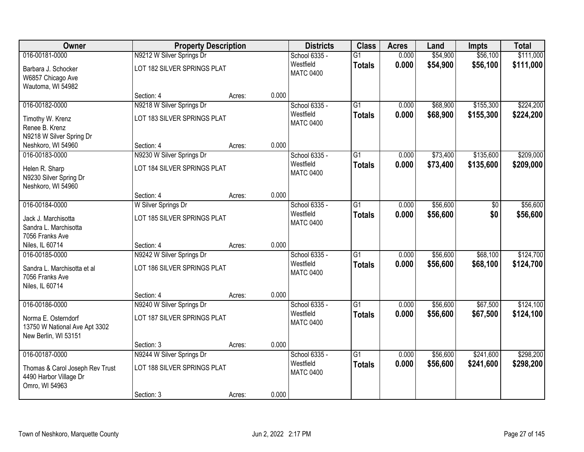| Owner                                                                        | <b>Property Description</b> |        | <b>Districts</b>              | <b>Class</b>    | <b>Acres</b> | Land     | <b>Impts</b> | <b>Total</b> |
|------------------------------------------------------------------------------|-----------------------------|--------|-------------------------------|-----------------|--------------|----------|--------------|--------------|
| 016-00181-0000                                                               | N9212 W Silver Springs Dr   |        | School 6335 -                 | $\overline{G1}$ | 0.000        | \$54,900 | \$56,100     | \$111,000    |
| Barbara J. Schocker<br>W6857 Chicago Ave<br>Wautoma, WI 54982                | LOT 182 SILVER SPRINGS PLAT |        | Westfield<br><b>MATC 0400</b> | <b>Totals</b>   | 0.000        | \$54,900 | \$56,100     | \$111,000    |
|                                                                              | Section: 4                  | Acres: | 0.000                         |                 |              |          |              |              |
| 016-00182-0000                                                               | N9218 W Silver Springs Dr   |        | School 6335 -                 | $\overline{G1}$ | 0.000        | \$68,900 | \$155,300    | \$224,200    |
| Timothy W. Krenz<br>Renee B. Krenz                                           | LOT 183 SILVER SPRINGS PLAT |        | Westfield<br><b>MATC 0400</b> | <b>Totals</b>   | 0.000        | \$68,900 | \$155,300    | \$224,200    |
| N9218 W Silver Spring Dr<br>Neshkoro, WI 54960                               | Section: 4                  | Acres: | 0.000                         |                 |              |          |              |              |
| 016-00183-0000                                                               | N9230 W Silver Springs Dr   |        | School 6335 -                 | G1              | 0.000        | \$73,400 | \$135,600    | \$209,000    |
| Helen R. Sharp<br>N9230 Silver Spring Dr<br>Neshkoro, WI 54960               | LOT 184 SILVER SPRINGS PLAT |        | Westfield<br><b>MATC 0400</b> | <b>Totals</b>   | 0.000        | \$73,400 | \$135,600    | \$209,000    |
|                                                                              | Section: 4                  | Acres: | 0.000                         |                 |              |          |              |              |
| 016-00184-0000                                                               | W Silver Springs Dr         |        | School 6335 -                 | $\overline{G1}$ | 0.000        | \$56,600 | \$0          | \$56,600     |
| Jack J. Marchisotta<br>Sandra L. Marchisotta<br>7056 Franks Ave              | LOT 185 SILVER SPRINGS PLAT |        | Westfield<br><b>MATC 0400</b> | <b>Totals</b>   | 0.000        | \$56,600 | \$0          | \$56,600     |
| Niles, IL 60714                                                              | Section: 4                  | Acres: | 0.000                         |                 |              |          |              |              |
| 016-00185-0000                                                               | N9242 W Silver Springs Dr   |        | School 6335 -                 | $\overline{G1}$ | 0.000        | \$56,600 | \$68,100     | \$124,700    |
| Sandra L. Marchisotta et al<br>7056 Franks Ave<br>Niles, IL 60714            | LOT 186 SILVER SPRINGS PLAT |        | Westfield<br><b>MATC 0400</b> | <b>Totals</b>   | 0.000        | \$56,600 | \$68,100     | \$124,700    |
|                                                                              | Section: 4                  | Acres: | 0.000                         |                 |              |          |              |              |
| 016-00186-0000                                                               | N9240 W Silver Springs Dr   |        | School 6335 -                 | $\overline{G1}$ | 0.000        | \$56,600 | \$67,500     | \$124,100    |
| Norma E. Osterndorf<br>13750 W National Ave Apt 3302<br>New Berlin, WI 53151 | LOT 187 SILVER SPRINGS PLAT |        | Westfield<br><b>MATC 0400</b> | <b>Totals</b>   | 0.000        | \$56,600 | \$67,500     | \$124,100    |
|                                                                              | Section: 3                  | Acres: | 0.000                         |                 |              |          |              |              |
| 016-00187-0000                                                               | N9244 W Silver Springs Dr   |        | School 6335 -                 | $\overline{G1}$ | 0.000        | \$56,600 | \$241,600    | \$298,200    |
| Thomas & Carol Joseph Rev Trust<br>4490 Harbor Village Dr<br>Omro, WI 54963  | LOT 188 SILVER SPRINGS PLAT |        | Westfield<br><b>MATC 0400</b> | <b>Totals</b>   | 0.000        | \$56,600 | \$241,600    | \$298,200    |
|                                                                              | Section: 3                  | Acres: | 0.000                         |                 |              |          |              |              |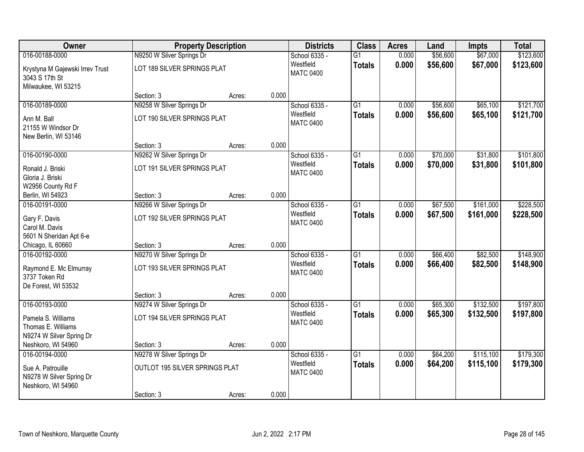| Owner                                                                    |                                | <b>Property Description</b> |       | <b>Districts</b>              | <b>Class</b>    | <b>Acres</b> | Land     | <b>Impts</b> | <b>Total</b> |
|--------------------------------------------------------------------------|--------------------------------|-----------------------------|-------|-------------------------------|-----------------|--------------|----------|--------------|--------------|
| 016-00188-0000                                                           | N9250 W Silver Springs Dr      |                             |       | School 6335 -                 | $\overline{G1}$ | 0.000        | \$56,600 | \$67,000     | \$123,600    |
| Krystyna M Gajewski Irrev Trust<br>3043 S 17th St<br>Milwaukee, WI 53215 | LOT 189 SILVER SPRINGS PLAT    |                             |       | Westfield<br><b>MATC 0400</b> | <b>Totals</b>   | 0.000        | \$56,600 | \$67,000     | \$123,600    |
|                                                                          | Section: 3                     | Acres:                      | 0.000 |                               |                 |              |          |              |              |
| 016-00189-0000                                                           | N9258 W Silver Springs Dr      |                             |       | School 6335 -                 | G1              | 0.000        | \$56,600 | \$65,100     | \$121,700    |
| Ann M. Ball<br>21155 W Windsor Dr<br>New Berlin, WI 53146                | LOT 190 SILVER SPRINGS PLAT    |                             |       | Westfield<br><b>MATC 0400</b> | <b>Totals</b>   | 0.000        | \$56,600 | \$65,100     | \$121,700    |
|                                                                          | Section: 3                     | Acres:                      | 0.000 |                               |                 |              |          |              |              |
| 016-00190-0000                                                           | N9262 W Silver Springs Dr      |                             |       | School 6335 -                 | $\overline{G1}$ | 0.000        | \$70,000 | \$31,800     | \$101,800    |
| Ronald J. Briski<br>Gloria J. Briski<br>W2956 County Rd F                | LOT 191 SILVER SPRINGS PLAT    |                             |       | Westfield<br><b>MATC 0400</b> | <b>Totals</b>   | 0.000        | \$70,000 | \$31,800     | \$101,800    |
| Berlin, WI 54923                                                         | Section: 3                     | Acres:                      | 0.000 |                               |                 |              |          |              |              |
| 016-00191-0000                                                           | N9266 W Silver Springs Dr      |                             |       | School 6335 -                 | $\overline{G1}$ | 0.000        | \$67,500 | \$161,000    | \$228,500    |
| Gary F. Davis<br>Carol M. Davis<br>5601 N Sheridan Apt 6-e               | LOT 192 SILVER SPRINGS PLAT    |                             |       | Westfield<br><b>MATC 0400</b> | <b>Totals</b>   | 0.000        | \$67,500 | \$161,000    | \$228,500    |
| Chicago, IL 60660                                                        | Section: 3                     | Acres:                      | 0.000 |                               |                 |              |          |              |              |
| 016-00192-0000                                                           | N9270 W Silver Springs Dr      |                             |       | School 6335 -                 | $\overline{G1}$ | 0.000        | \$66,400 | \$82,500     | \$148,900    |
| Raymond E. Mc Elmurray<br>3737 Token Rd<br>De Forest, WI 53532           | LOT 193 SILVER SPRINGS PLAT    |                             |       | Westfield<br><b>MATC 0400</b> | <b>Totals</b>   | 0.000        | \$66,400 | \$82,500     | \$148,900    |
|                                                                          | Section: 3                     | Acres:                      | 0.000 |                               |                 |              |          |              |              |
| 016-00193-0000                                                           | N9274 W Silver Springs Dr      |                             |       | School 6335 -                 | $\overline{G1}$ | 0.000        | \$65,300 | \$132,500    | \$197,800    |
| Pamela S. Williams<br>Thomas E. Williams<br>N9274 W Silver Spring Dr     | LOT 194 SILVER SPRINGS PLAT    |                             |       | Westfield<br><b>MATC 0400</b> | <b>Totals</b>   | 0.000        | \$65,300 | \$132,500    | \$197,800    |
| Neshkoro, WI 54960                                                       | Section: 3                     | Acres:                      | 0.000 |                               |                 |              |          |              |              |
| 016-00194-0000                                                           | N9278 W Silver Springs Dr      |                             |       | School 6335 -                 | $\overline{G1}$ | 0.000        | \$64,200 | \$115,100    | \$179,300    |
| Sue A. Patrouille<br>N9278 W Silver Spring Dr<br>Neshkoro, WI 54960      | OUTLOT 195 SILVER SPRINGS PLAT |                             |       | Westfield<br><b>MATC 0400</b> | <b>Totals</b>   | 0.000        | \$64,200 | \$115,100    | \$179,300    |
|                                                                          | Section: 3                     | Acres:                      | 0.000 |                               |                 |              |          |              |              |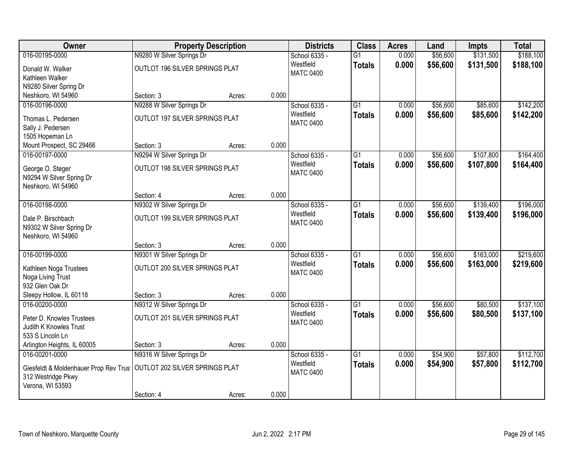| Owner                                 | <b>Property Description</b>    |        |       | <b>Districts</b> | <b>Class</b>    | <b>Acres</b> | Land     | <b>Impts</b> | <b>Total</b> |
|---------------------------------------|--------------------------------|--------|-------|------------------|-----------------|--------------|----------|--------------|--------------|
| 016-00195-0000                        | N9280 W Silver Springs Dr      |        |       | School 6335 -    | $\overline{G1}$ | 0.000        | \$56,600 | \$131,500    | \$188,100    |
| Donald W. Walker                      | OUTLOT 196 SILVER SPRINGS PLAT |        |       | Westfield        | <b>Totals</b>   | 0.000        | \$56,600 | \$131,500    | \$188,100    |
| Kathleen Walker                       |                                |        |       | <b>MATC 0400</b> |                 |              |          |              |              |
| N9280 Silver Spring Dr                |                                |        |       |                  |                 |              |          |              |              |
| Neshkoro, WI 54960                    | Section: 3                     | Acres: | 0.000 |                  |                 |              |          |              |              |
| 016-00196-0000                        | N9288 W Silver Springs Dr      |        |       | School 6335 -    | G1              | 0.000        | \$56,600 | \$85,600     | \$142,200    |
| Thomas L. Pedersen                    | OUTLOT 197 SILVER SPRINGS PLAT |        |       | Westfield        | <b>Totals</b>   | 0.000        | \$56,600 | \$85,600     | \$142,200    |
| Sally J. Pedersen                     |                                |        |       | <b>MATC 0400</b> |                 |              |          |              |              |
| 1505 Hopeman Ln                       |                                |        |       |                  |                 |              |          |              |              |
| Mount Prospect, SC 29466              | Section: 3                     | Acres: | 0.000 |                  |                 |              |          |              |              |
| 016-00197-0000                        | N9294 W Silver Springs Dr      |        |       | School 6335 -    | $\overline{G1}$ | 0.000        | \$56,600 | \$107,800    | \$164,400    |
| George O. Steger                      | OUTLOT 198 SILVER SPRINGS PLAT |        |       | Westfield        | <b>Totals</b>   | 0.000        | \$56,600 | \$107,800    | \$164,400    |
| N9294 W Silver Spring Dr              |                                |        |       | <b>MATC 0400</b> |                 |              |          |              |              |
| Neshkoro, WI 54960                    |                                |        |       |                  |                 |              |          |              |              |
|                                       | Section: 4                     | Acres: | 0.000 |                  |                 |              |          |              |              |
| 016-00198-0000                        | N9302 W Silver Springs Dr      |        |       | School 6335 -    | $\overline{G1}$ | 0.000        | \$56,600 | \$139,400    | \$196,000    |
| Dale P. Birschbach                    | OUTLOT 199 SILVER SPRINGS PLAT |        |       | Westfield        | <b>Totals</b>   | 0.000        | \$56,600 | \$139,400    | \$196,000    |
| N9302 W Silver Spring Dr              |                                |        |       | <b>MATC 0400</b> |                 |              |          |              |              |
| Neshkoro, WI 54960                    |                                |        |       |                  |                 |              |          |              |              |
|                                       | Section: 3                     | Acres: | 0.000 |                  |                 |              |          |              |              |
| 016-00199-0000                        | N9301 W Silver Springs Dr      |        |       | School 6335 -    | $\overline{G1}$ | 0.000        | \$56,600 | \$163,000    | \$219,600    |
| Kathleen Noga Trustees                | OUTLOT 200 SILVER SPRINGS PLAT |        |       | Westfield        | <b>Totals</b>   | 0.000        | \$56,600 | \$163,000    | \$219,600    |
| Noga Living Trust                     |                                |        |       | <b>MATC 0400</b> |                 |              |          |              |              |
| 932 Glen Oak Dr                       |                                |        |       |                  |                 |              |          |              |              |
| Sleepy Hollow, IL 60118               | Section: 3                     | Acres: | 0.000 |                  |                 |              |          |              |              |
| 016-00200-0000                        | N9312 W Silver Springs Dr      |        |       | School 6335 -    | $\overline{G1}$ | 0.000        | \$56,600 | \$80,500     | \$137,100    |
| Peter D. Knowles Trustees             | OUTLOT 201 SILVER SPRINGS PLAT |        |       | Westfield        | <b>Totals</b>   | 0.000        | \$56,600 | \$80,500     | \$137,100    |
| Judith K Knowles Trust                |                                |        |       | <b>MATC 0400</b> |                 |              |          |              |              |
| 533 S Lincoln Ln                      |                                |        |       |                  |                 |              |          |              |              |
| Arlington Heights, IL 60005           | Section: 3                     | Acres: | 0.000 |                  |                 |              |          |              |              |
| 016-00201-0000                        | N9316 W Silver Springs Dr      |        |       | School 6335 -    | $\overline{G1}$ | 0.000        | \$54,900 | \$57,800     | \$112,700    |
| Giesfeldt & Moldenhauer Prop Rev Trus | OUTLOT 202 SILVER SPRINGS PLAT |        |       | Westfield        | <b>Totals</b>   | 0.000        | \$54,900 | \$57,800     | \$112,700    |
| 312 Westridge Pkwy                    |                                |        |       | <b>MATC 0400</b> |                 |              |          |              |              |
| Verona, WI 53593                      |                                |        |       |                  |                 |              |          |              |              |
|                                       | Section: 4                     | Acres: | 0.000 |                  |                 |              |          |              |              |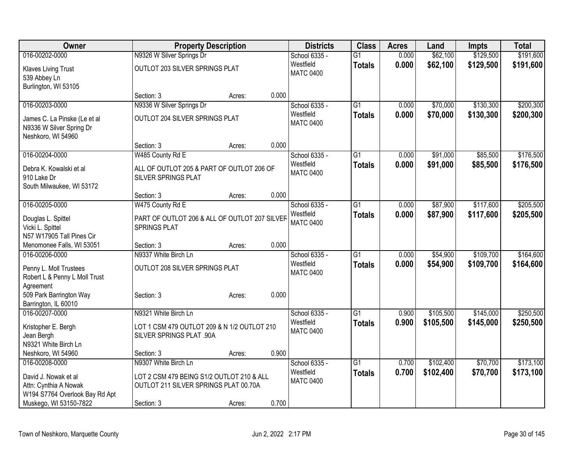| <b>Owner</b>                   | <b>Property Description</b>                   |        |       | <b>Districts</b>           | <b>Class</b>    | <b>Acres</b>   | Land      | <b>Impts</b> | <b>Total</b> |
|--------------------------------|-----------------------------------------------|--------|-------|----------------------------|-----------------|----------------|-----------|--------------|--------------|
| 016-00202-0000                 | N9326 W Silver Springs Dr                     |        |       | School 6335 -              | $\overline{G1}$ | 0.000          | \$62,100  | \$129,500    | \$191,600    |
| <b>Klaves Living Trust</b>     | OUTLOT 203 SILVER SPRINGS PLAT                |        |       | Westfield                  | <b>Totals</b>   | 0.000          | \$62,100  | \$129,500    | \$191,600    |
| 539 Abbey Ln                   |                                               |        |       | <b>MATC 0400</b>           |                 |                |           |              |              |
| Burlington, WI 53105           |                                               |        |       |                            |                 |                |           |              |              |
|                                | Section: 3                                    | Acres: | 0.000 |                            |                 |                |           |              |              |
| 016-00203-0000                 | N9336 W Silver Springs Dr                     |        |       | School 6335 -              | G1              | 0.000          | \$70,000  | \$130,300    | \$200,300    |
| James C. La Pinske (Le et al   | OUTLOT 204 SILVER SPRINGS PLAT                |        |       | Westfield                  | <b>Totals</b>   | 0.000          | \$70,000  | \$130,300    | \$200,300    |
| N9336 W Silver Spring Dr       |                                               |        |       | <b>MATC 0400</b>           |                 |                |           |              |              |
| Neshkoro, WI 54960             |                                               |        |       |                            |                 |                |           |              |              |
|                                | Section: 3                                    | Acres: | 0.000 |                            |                 |                |           |              |              |
| 016-00204-0000                 | W485 County Rd E                              |        |       | School 6335 -              | $\overline{G1}$ | 0.000          | \$91,000  | \$85,500     | \$176,500    |
| Debra K. Kowalski et al        | ALL OF OUTLOT 205 & PART OF OUTLOT 206 OF     |        |       | Westfield                  | <b>Totals</b>   | 0.000          | \$91,000  | \$85,500     | \$176,500    |
| 910 Lake Dr                    | SILVER SPRINGS PLAT                           |        |       | <b>MATC 0400</b>           |                 |                |           |              |              |
| South Milwaukee, WI 53172      |                                               |        |       |                            |                 |                |           |              |              |
|                                | Section: 3                                    | Acres: | 0.000 |                            |                 |                |           |              |              |
| 016-00205-0000                 | W475 County Rd E                              |        |       | School 6335 -              | $\overline{G1}$ | 0.000          | \$87,900  | \$117,600    | \$205,500    |
| Douglas L. Spittel             | PART OF OUTLOT 206 & ALL OF OUTLOT 207 SILVER |        |       | Westfield                  | <b>Totals</b>   | 0.000          | \$87,900  | \$117,600    | \$205,500    |
| Vicki L. Spittel               | SPRINGS PLAT                                  |        |       | <b>MATC 0400</b>           |                 |                |           |              |              |
| N57 W17905 Tall Pines Cir      |                                               |        |       |                            |                 |                |           |              |              |
| Menomonee Falls, WI 53051      | Section: 3                                    | Acres: | 0.000 |                            |                 |                |           |              |              |
| 016-00206-0000                 | N9337 White Birch Ln                          |        |       | School 6335 -              | $\overline{G1}$ | 0.000          | \$54,900  | \$109,700    | \$164,600    |
| Penny L. Moll Trustees         | OUTLOT 208 SILVER SPRINGS PLAT                |        |       | Westfield                  | <b>Totals</b>   | 0.000          | \$54,900  | \$109,700    | \$164,600    |
| Robert L & Penny L Moll Trust  |                                               |        |       | <b>MATC 0400</b>           |                 |                |           |              |              |
| Agreement                      |                                               |        |       |                            |                 |                |           |              |              |
| 509 Park Barrington Way        | Section: 3                                    | Acres: | 0.000 |                            |                 |                |           |              |              |
| Barrington, IL 60010           |                                               |        |       |                            |                 |                |           |              |              |
| 016-00207-0000                 | N9321 White Birch Ln                          |        |       | School 6335 -<br>Westfield | $\overline{G1}$ | 0.900          | \$105,500 | \$145,000    | \$250,500    |
| Kristopher E. Bergh            | LOT 1 CSM 479 OUTLOT 209 & N 1/2 OUTLOT 210   |        |       | <b>MATC 0400</b>           | <b>Totals</b>   | 0.900          | \$105,500 | \$145,000    | \$250,500    |
| Jean Bergh                     | <b>SILVER SPRINGS PLAT .90A</b>               |        |       |                            |                 |                |           |              |              |
| N9321 White Birch Ln           |                                               |        |       |                            |                 |                |           |              |              |
| Neshkoro, WI 54960             | Section: 3                                    | Acres: | 0.900 |                            | $\overline{G1}$ |                |           |              |              |
| 016-00208-0000                 | N9307 White Birch Ln                          |        |       | School 6335 -<br>Westfield |                 | 0.700<br>0.700 | \$102,400 | \$70,700     | \$173,100    |
| David J. Nowak et al           | LOT 2 CSM 479 BEING S1/2 OUTLOT 210 & ALL     |        |       | <b>MATC 0400</b>           | <b>Totals</b>   |                | \$102,400 | \$70,700     | \$173,100    |
| Attn: Cynthia A Nowak          | OUTLOT 211 SILVER SPRINGS PLAT 00.70A         |        |       |                            |                 |                |           |              |              |
| W194 S7764 Overlook Bay Rd Apt |                                               |        |       |                            |                 |                |           |              |              |
| Muskego, WI 53150-7822         | Section: 3                                    | Acres: | 0.700 |                            |                 |                |           |              |              |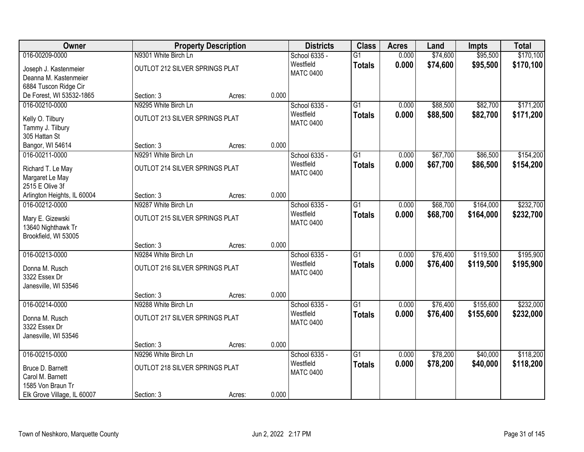| Owner                       |                                | <b>Property Description</b> |       | <b>Districts</b> | <b>Class</b>    | <b>Acres</b> | Land     | <b>Impts</b> | <b>Total</b> |
|-----------------------------|--------------------------------|-----------------------------|-------|------------------|-----------------|--------------|----------|--------------|--------------|
| 016-00209-0000              | N9301 White Birch Ln           |                             |       | School 6335 -    | $\overline{G1}$ | 0.000        | \$74,600 | \$95,500     | \$170,100    |
| Joseph J. Kastenmeier       | OUTLOT 212 SILVER SPRINGS PLAT |                             |       | Westfield        | <b>Totals</b>   | 0.000        | \$74,600 | \$95,500     | \$170,100    |
| Deanna M. Kastenmeier       |                                |                             |       | <b>MATC 0400</b> |                 |              |          |              |              |
| 6884 Tuscon Ridge Cir       |                                |                             |       |                  |                 |              |          |              |              |
| De Forest, WI 53532-1865    | Section: 3                     | Acres:                      | 0.000 |                  |                 |              |          |              |              |
| 016-00210-0000              | N9295 White Birch Ln           |                             |       | School 6335 -    | $\overline{G1}$ | 0.000        | \$88,500 | \$82,700     | \$171,200    |
| Kelly O. Tilbury            | OUTLOT 213 SILVER SPRINGS PLAT |                             |       | Westfield        | <b>Totals</b>   | 0.000        | \$88,500 | \$82,700     | \$171,200    |
| Tammy J. Tilbury            |                                |                             |       | <b>MATC 0400</b> |                 |              |          |              |              |
| 305 Hattan St               |                                |                             |       |                  |                 |              |          |              |              |
| Bangor, WI 54614            | Section: 3                     | Acres:                      | 0.000 |                  |                 |              |          |              |              |
| 016-00211-0000              | N9291 White Birch Ln           |                             |       | School 6335 -    | G1              | 0.000        | \$67,700 | \$86,500     | \$154,200    |
| Richard T. Le May           | OUTLOT 214 SILVER SPRINGS PLAT |                             |       | Westfield        | <b>Totals</b>   | 0.000        | \$67,700 | \$86,500     | \$154,200    |
| Margaret Le May             |                                |                             |       | <b>MATC 0400</b> |                 |              |          |              |              |
| 2515 E Olive 3f             |                                |                             |       |                  |                 |              |          |              |              |
| Arlington Heights, IL 60004 | Section: 3                     | Acres:                      | 0.000 |                  |                 |              |          |              |              |
| 016-00212-0000              | N9287 White Birch Ln           |                             |       | School 6335 -    | G1              | 0.000        | \$68,700 | \$164,000    | \$232,700    |
| Mary E. Gizewski            | OUTLOT 215 SILVER SPRINGS PLAT |                             |       | Westfield        | <b>Totals</b>   | 0.000        | \$68,700 | \$164,000    | \$232,700    |
| 13640 Nighthawk Tr          |                                |                             |       | <b>MATC 0400</b> |                 |              |          |              |              |
| Brookfield, WI 53005        |                                |                             |       |                  |                 |              |          |              |              |
|                             | Section: 3                     | Acres:                      | 0.000 |                  |                 |              |          |              |              |
| 016-00213-0000              | N9284 White Birch Ln           |                             |       | School 6335 -    | $\overline{G1}$ | 0.000        | \$76,400 | \$119,500    | \$195,900    |
| Donna M. Rusch              | OUTLOT 216 SILVER SPRINGS PLAT |                             |       | Westfield        | <b>Totals</b>   | 0.000        | \$76,400 | \$119,500    | \$195,900    |
| 3322 Essex Dr               |                                |                             |       | <b>MATC 0400</b> |                 |              |          |              |              |
| Janesville, WI 53546        |                                |                             |       |                  |                 |              |          |              |              |
|                             | Section: 3                     | Acres:                      | 0.000 |                  |                 |              |          |              |              |
| 016-00214-0000              | N9288 White Birch Ln           |                             |       | School 6335 -    | $\overline{G1}$ | 0.000        | \$76,400 | \$155,600    | \$232,000    |
| Donna M. Rusch              | OUTLOT 217 SILVER SPRINGS PLAT |                             |       | Westfield        | <b>Totals</b>   | 0.000        | \$76,400 | \$155,600    | \$232,000    |
| 3322 Essex Dr               |                                |                             |       | <b>MATC 0400</b> |                 |              |          |              |              |
| Janesville, WI 53546        |                                |                             |       |                  |                 |              |          |              |              |
|                             | Section: 3                     | Acres:                      | 0.000 |                  |                 |              |          |              |              |
| 016-00215-0000              | N9296 White Birch Ln           |                             |       | School 6335 -    | $\overline{G1}$ | 0.000        | \$78,200 | \$40,000     | \$118,200    |
| Bruce D. Barnett            | OUTLOT 218 SILVER SPRINGS PLAT |                             |       | Westfield        | <b>Totals</b>   | 0.000        | \$78,200 | \$40,000     | \$118,200    |
| Carol M. Barnett            |                                |                             |       | <b>MATC 0400</b> |                 |              |          |              |              |
| 1585 Von Braun Tr           |                                |                             |       |                  |                 |              |          |              |              |
| Elk Grove Village, IL 60007 | Section: 3                     | Acres:                      | 0.000 |                  |                 |              |          |              |              |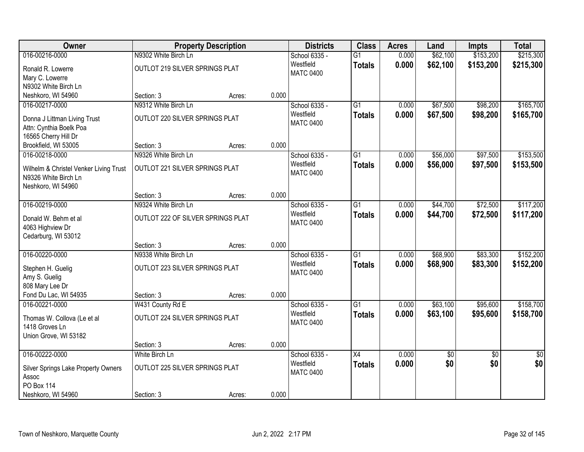| Owner                                                          |                                   | <b>Property Description</b> |       | <b>Districts</b>           | <b>Class</b>    | <b>Acres</b> | Land       | <b>Impts</b>    | <b>Total</b>    |
|----------------------------------------------------------------|-----------------------------------|-----------------------------|-------|----------------------------|-----------------|--------------|------------|-----------------|-----------------|
| 016-00216-0000                                                 | N9302 White Birch Ln              |                             |       | School 6335 -              | $\overline{G1}$ | 0.000        | \$62,100   | \$153,200       | \$215,300       |
| Ronald R. Lowerre                                              | OUTLOT 219 SILVER SPRINGS PLAT    |                             |       | Westfield                  | <b>Totals</b>   | 0.000        | \$62,100   | \$153,200       | \$215,300       |
| Mary C. Lowerre                                                |                                   |                             |       | <b>MATC 0400</b>           |                 |              |            |                 |                 |
| N9302 White Birch Ln                                           |                                   |                             |       |                            |                 |              |            |                 |                 |
| Neshkoro, WI 54960                                             | Section: 3                        | Acres:                      | 0.000 |                            |                 |              |            |                 |                 |
| 016-00217-0000                                                 | N9312 White Birch Ln              |                             |       | School 6335 -              | G1              | 0.000        | \$67,500   | \$98,200        | \$165,700       |
| Donna J Littman Living Trust                                   | OUTLOT 220 SILVER SPRINGS PLAT    |                             |       | Westfield                  | <b>Totals</b>   | 0.000        | \$67,500   | \$98,200        | \$165,700       |
| Attn: Cynthia Boelk Poa                                        |                                   |                             |       | <b>MATC 0400</b>           |                 |              |            |                 |                 |
| 16565 Cherry Hill Dr                                           |                                   |                             |       |                            |                 |              |            |                 |                 |
| Brookfield, WI 53005                                           | Section: 3                        | Acres:                      | 0.000 |                            |                 |              |            |                 |                 |
| 016-00218-0000                                                 | N9326 White Birch Ln              |                             |       | School 6335 -              | $\overline{G1}$ | 0.000        | \$56,000   | \$97,500        | \$153,500       |
|                                                                | OUTLOT 221 SILVER SPRINGS PLAT    |                             |       | Westfield                  | <b>Totals</b>   | 0.000        | \$56,000   | \$97,500        | \$153,500       |
| Wilhelm & Christel Venker Living Trust<br>N9326 White Birch Ln |                                   |                             |       | <b>MATC 0400</b>           |                 |              |            |                 |                 |
| Neshkoro, WI 54960                                             |                                   |                             |       |                            |                 |              |            |                 |                 |
|                                                                | Section: 3                        | Acres:                      | 0.000 |                            |                 |              |            |                 |                 |
| 016-00219-0000                                                 | N9324 White Birch Ln              |                             |       | School 6335 -              | G1              | 0.000        | \$44,700   | \$72,500        | \$117,200       |
|                                                                |                                   |                             |       | Westfield                  | <b>Totals</b>   | 0.000        | \$44,700   | \$72,500        | \$117,200       |
| Donald W. Behm et al                                           | OUTLOT 222 OF SILVER SPRINGS PLAT |                             |       | <b>MATC 0400</b>           |                 |              |            |                 |                 |
| 4063 Highview Dr<br>Cedarburg, WI 53012                        |                                   |                             |       |                            |                 |              |            |                 |                 |
|                                                                | Section: 3                        | Acres:                      | 0.000 |                            |                 |              |            |                 |                 |
| 016-00220-0000                                                 | N9338 White Birch Ln              |                             |       | School 6335 -              | $\overline{G1}$ | 0.000        | \$68,900   | \$83,300        | \$152,200       |
|                                                                |                                   |                             |       | Westfield                  | <b>Totals</b>   | 0.000        | \$68,900   | \$83,300        | \$152,200       |
| Stephen H. Guelig                                              | OUTLOT 223 SILVER SPRINGS PLAT    |                             |       | <b>MATC 0400</b>           |                 |              |            |                 |                 |
| Amy S. Guelig                                                  |                                   |                             |       |                            |                 |              |            |                 |                 |
| 808 Mary Lee Dr                                                |                                   |                             |       |                            |                 |              |            |                 |                 |
| Fond Du Lac, WI 54935                                          | Section: 3                        | Acres:                      | 0.000 |                            |                 |              |            |                 |                 |
| 016-00221-0000                                                 | W431 County Rd E                  |                             |       | School 6335 -<br>Westfield | $\overline{G1}$ | 0.000        | \$63,100   | \$95,600        | \$158,700       |
| Thomas W. Collova (Le et al                                    | OUTLOT 224 SILVER SPRINGS PLAT    |                             |       | <b>MATC 0400</b>           | <b>Totals</b>   | 0.000        | \$63,100   | \$95,600        | \$158,700       |
| 1418 Groves Ln                                                 |                                   |                             |       |                            |                 |              |            |                 |                 |
| Union Grove, WI 53182                                          |                                   |                             |       |                            |                 |              |            |                 |                 |
|                                                                | Section: 3                        | Acres:                      | 0.000 |                            |                 |              |            |                 |                 |
| 016-00222-0000                                                 | White Birch Ln                    |                             |       | School 6335 -              | $\overline{X4}$ | 0.000        | $\sqrt{6}$ | $\overline{30}$ | $\overline{50}$ |
| Silver Springs Lake Property Owners                            | OUTLOT 225 SILVER SPRINGS PLAT    |                             |       | Westfield                  | <b>Totals</b>   | 0.000        | \$0        | \$0             | \$0             |
| Assoc                                                          |                                   |                             |       | <b>MATC 0400</b>           |                 |              |            |                 |                 |
| <b>PO Box 114</b>                                              |                                   |                             |       |                            |                 |              |            |                 |                 |
| Neshkoro, WI 54960                                             | Section: 3                        | Acres:                      | 0.000 |                            |                 |              |            |                 |                 |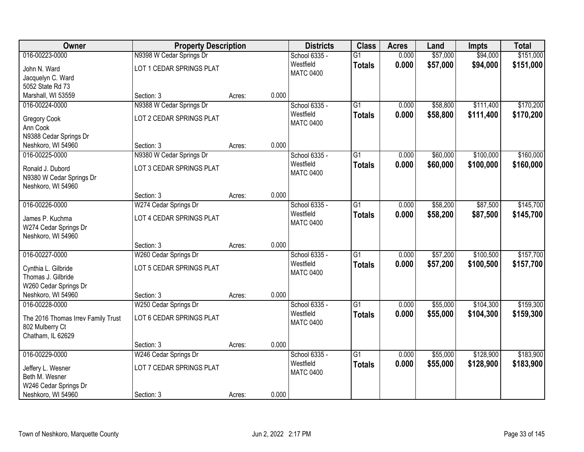| Owner                                                                                                      | <b>Property Description</b>                                     |        |       | <b>Districts</b>                               | <b>Class</b>                     | <b>Acres</b>   | Land                 | <b>Impts</b>           | <b>Total</b>           |
|------------------------------------------------------------------------------------------------------------|-----------------------------------------------------------------|--------|-------|------------------------------------------------|----------------------------------|----------------|----------------------|------------------------|------------------------|
| 016-00223-0000<br>John N. Ward<br>Jacquelyn C. Ward                                                        | N9398 W Cedar Springs Dr<br>LOT 1 CEDAR SPRINGS PLAT            |        |       | School 6335 -<br>Westfield<br><b>MATC 0400</b> | $\overline{G1}$<br><b>Totals</b> | 0.000<br>0.000 | \$57,000<br>\$57,000 | \$94,000<br>\$94,000   | \$151,000<br>\$151,000 |
| 5052 State Rd 73<br>Marshall, WI 53559                                                                     | Section: 3                                                      | Acres: | 0.000 |                                                |                                  |                |                      |                        |                        |
| 016-00224-0000<br>Gregory Cook<br>Ann Cook<br>N9388 Cedar Springs Dr                                       | N9388 W Cedar Springs Dr<br>LOT 2 CEDAR SPRINGS PLAT            |        |       | School 6335 -<br>Westfield<br><b>MATC 0400</b> | $\overline{G1}$<br><b>Totals</b> | 0.000<br>0.000 | \$58,800<br>\$58,800 | \$111,400<br>\$111,400 | \$170,200<br>\$170,200 |
| Neshkoro, WI 54960                                                                                         | Section: 3                                                      | Acres: | 0.000 |                                                |                                  |                |                      |                        |                        |
| 016-00225-0000<br>Ronald J. Dubord<br>N9380 W Cedar Springs Dr<br>Neshkoro, WI 54960                       | N9380 W Cedar Springs Dr<br>LOT 3 CEDAR SPRINGS PLAT            |        |       | School 6335 -<br>Westfield<br><b>MATC 0400</b> | $\overline{G1}$<br><b>Totals</b> | 0.000<br>0.000 | \$60,000<br>\$60,000 | \$100,000<br>\$100,000 | \$160,000<br>\$160,000 |
|                                                                                                            | Section: 3                                                      | Acres: | 0.000 |                                                |                                  |                |                      |                        |                        |
| 016-00226-0000<br>James P. Kuchma<br>W274 Cedar Springs Dr<br>Neshkoro, WI 54960                           | W274 Cedar Springs Dr<br>LOT 4 CEDAR SPRINGS PLAT               |        |       | School 6335 -<br>Westfield<br><b>MATC 0400</b> | $\overline{G1}$<br><b>Totals</b> | 0.000<br>0.000 | \$58,200<br>\$58,200 | \$87,500<br>\$87,500   | \$145,700<br>\$145,700 |
|                                                                                                            | Section: 3                                                      | Acres: | 0.000 |                                                |                                  |                |                      |                        |                        |
| 016-00227-0000<br>Cynthia L. Gilbride<br>Thomas J. Gilbride<br>W260 Cedar Springs Dr<br>Neshkoro, WI 54960 | W260 Cedar Springs Dr<br>LOT 5 CEDAR SPRINGS PLAT<br>Section: 3 | Acres: | 0.000 | School 6335 -<br>Westfield<br><b>MATC 0400</b> | $\overline{G1}$<br><b>Totals</b> | 0.000<br>0.000 | \$57,200<br>\$57,200 | \$100,500<br>\$100,500 | \$157,700<br>\$157,700 |
| 016-00228-0000                                                                                             | W250 Cedar Springs Dr                                           |        |       | School 6335 -                                  | $\overline{G1}$                  | 0.000          | \$55,000             | \$104,300              | \$159,300              |
| The 2016 Thomas Irrev Family Trust<br>802 Mulberry Ct<br>Chatham, IL 62629                                 | LOT 6 CEDAR SPRINGS PLAT                                        |        |       | Westfield<br><b>MATC 0400</b>                  | <b>Totals</b>                    | 0.000          | \$55,000             | \$104,300              | \$159,300              |
|                                                                                                            | Section: 3                                                      | Acres: | 0.000 |                                                |                                  |                |                      |                        |                        |
| 016-00229-0000<br>Jeffery L. Wesner<br>Beth M. Wesner<br>W246 Cedar Springs Dr<br>Neshkoro, WI 54960       | W246 Cedar Springs Dr<br>LOT 7 CEDAR SPRINGS PLAT<br>Section: 3 | Acres: | 0.000 | School 6335 -<br>Westfield<br><b>MATC 0400</b> | $\overline{G1}$<br><b>Totals</b> | 0.000<br>0.000 | \$55,000<br>\$55,000 | \$128,900<br>\$128,900 | \$183,900<br>\$183,900 |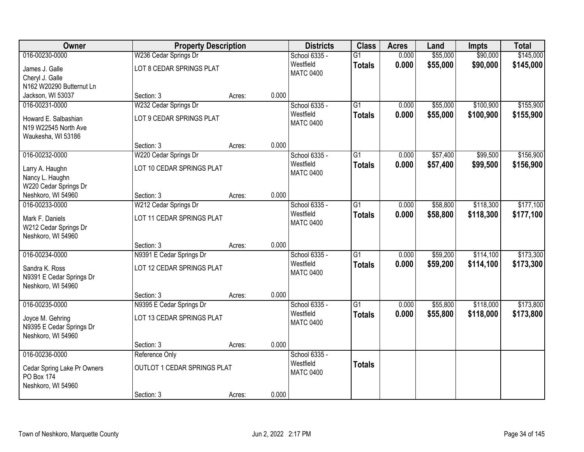| <b>Owner</b>                | <b>Property Description</b>        |        |       | <b>Districts</b> | <b>Class</b>    | <b>Acres</b> | Land     | <b>Impts</b> | <b>Total</b> |
|-----------------------------|------------------------------------|--------|-------|------------------|-----------------|--------------|----------|--------------|--------------|
| 016-00230-0000              | W236 Cedar Springs Dr              |        |       | School 6335 -    | $\overline{G1}$ | 0.000        | \$55,000 | \$90,000     | \$145,000    |
| James J. Galle              | LOT 8 CEDAR SPRINGS PLAT           |        |       | Westfield        | <b>Totals</b>   | 0.000        | \$55,000 | \$90,000     | \$145,000    |
| Cheryl J. Galle             |                                    |        |       | <b>MATC 0400</b> |                 |              |          |              |              |
| N162 W20290 Butternut Ln    |                                    |        |       |                  |                 |              |          |              |              |
| Jackson, WI 53037           | Section: 3                         | Acres: | 0.000 |                  |                 |              |          |              |              |
| 016-00231-0000              | W232 Cedar Springs Dr              |        |       | School 6335 -    | $\overline{G1}$ | 0.000        | \$55,000 | \$100,900    | \$155,900    |
| Howard E. Salbashian        | LOT 9 CEDAR SPRINGS PLAT           |        |       | Westfield        | <b>Totals</b>   | 0.000        | \$55,000 | \$100,900    | \$155,900    |
| N19 W22545 North Ave        |                                    |        |       | <b>MATC 0400</b> |                 |              |          |              |              |
| Waukesha, WI 53186          |                                    |        |       |                  |                 |              |          |              |              |
|                             | Section: 3                         | Acres: | 0.000 |                  |                 |              |          |              |              |
| 016-00232-0000              | W220 Cedar Springs Dr              |        |       | School 6335 -    | $\overline{G1}$ | 0.000        | \$57,400 | \$99,500     | \$156,900    |
| Larry A. Haughn             | LOT 10 CEDAR SPRINGS PLAT          |        |       | Westfield        | <b>Totals</b>   | 0.000        | \$57,400 | \$99,500     | \$156,900    |
| Nancy L. Haughn             |                                    |        |       | <b>MATC 0400</b> |                 |              |          |              |              |
| W220 Cedar Springs Dr       |                                    |        |       |                  |                 |              |          |              |              |
| Neshkoro, WI 54960          | Section: 3                         | Acres: | 0.000 |                  |                 |              |          |              |              |
| 016-00233-0000              | W212 Cedar Springs Dr              |        |       | School 6335 -    | G1              | 0.000        | \$58,800 | \$118,300    | \$177,100    |
| Mark F. Daniels             | LOT 11 CEDAR SPRINGS PLAT          |        |       | Westfield        | <b>Totals</b>   | 0.000        | \$58,800 | \$118,300    | \$177,100    |
| W212 Cedar Springs Dr       |                                    |        |       | <b>MATC 0400</b> |                 |              |          |              |              |
| Neshkoro, WI 54960          |                                    |        |       |                  |                 |              |          |              |              |
|                             | Section: 3                         | Acres: | 0.000 |                  |                 |              |          |              |              |
| 016-00234-0000              | N9391 E Cedar Springs Dr           |        |       | School 6335 -    | $\overline{G1}$ | 0.000        | \$59,200 | \$114,100    | \$173,300    |
| Sandra K. Ross              | LOT 12 CEDAR SPRINGS PLAT          |        |       | Westfield        | <b>Totals</b>   | 0.000        | \$59,200 | \$114,100    | \$173,300    |
| N9391 E Cedar Springs Dr    |                                    |        |       | <b>MATC 0400</b> |                 |              |          |              |              |
| Neshkoro, WI 54960          |                                    |        |       |                  |                 |              |          |              |              |
|                             | Section: 3                         | Acres: | 0.000 |                  |                 |              |          |              |              |
| 016-00235-0000              | N9395 E Cedar Springs Dr           |        |       | School 6335 -    | $\overline{G1}$ | 0.000        | \$55,800 | \$118,000    | \$173,800    |
| Joyce M. Gehring            | LOT 13 CEDAR SPRINGS PLAT          |        |       | Westfield        | <b>Totals</b>   | 0.000        | \$55,800 | \$118,000    | \$173,800    |
| N9395 E Cedar Springs Dr    |                                    |        |       | <b>MATC 0400</b> |                 |              |          |              |              |
| Neshkoro, WI 54960          |                                    |        |       |                  |                 |              |          |              |              |
|                             | Section: 3                         | Acres: | 0.000 |                  |                 |              |          |              |              |
| 016-00236-0000              | Reference Only                     |        |       | School 6335 -    |                 |              |          |              |              |
| Cedar Spring Lake Pr Owners | <b>OUTLOT 1 CEDAR SPRINGS PLAT</b> |        |       | Westfield        | <b>Totals</b>   |              |          |              |              |
| <b>PO Box 174</b>           |                                    |        |       | <b>MATC 0400</b> |                 |              |          |              |              |
| Neshkoro, WI 54960          |                                    |        |       |                  |                 |              |          |              |              |
|                             | Section: 3                         | Acres: | 0.000 |                  |                 |              |          |              |              |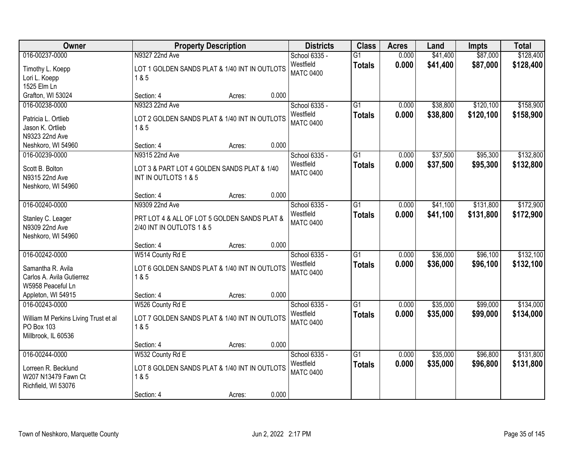| Owner                                                                                                       | <b>Property Description</b>                                                                 |        |       | <b>Districts</b>                               | <b>Class</b>                     | <b>Acres</b>   | Land                 | <b>Impts</b>           | <b>Total</b>           |
|-------------------------------------------------------------------------------------------------------------|---------------------------------------------------------------------------------------------|--------|-------|------------------------------------------------|----------------------------------|----------------|----------------------|------------------------|------------------------|
| 016-00237-0000<br>Timothy L. Koepp<br>Lori L. Koepp                                                         | N9327 22nd Ave<br>LOT 1 GOLDEN SANDS PLAT & 1/40 INT IN OUTLOTS<br>1&5                      |        |       | School 6335 -<br>Westfield<br><b>MATC 0400</b> | $\overline{G1}$<br><b>Totals</b> | 0.000<br>0.000 | \$41,400<br>\$41,400 | \$87,000<br>\$87,000   | \$128,400<br>\$128,400 |
| 1525 Elm Ln<br>Grafton, WI 53024                                                                            | Section: 4                                                                                  | Acres: | 0.000 |                                                |                                  |                |                      |                        |                        |
| 016-00238-0000<br>Patricia L. Ortlieb<br>Jason K. Ortlieb<br>N9323 22nd Ave                                 | N9323 22nd Ave<br>LOT 2 GOLDEN SANDS PLAT & 1/40 INT IN OUTLOTS<br>1&5                      |        |       | School 6335 -<br>Westfield<br><b>MATC 0400</b> | $\overline{G1}$<br><b>Totals</b> | 0.000<br>0.000 | \$38,800<br>\$38,800 | \$120,100<br>\$120,100 | \$158,900<br>\$158,900 |
| Neshkoro, WI 54960<br>016-00239-0000                                                                        | Section: 4<br>N9315 22nd Ave                                                                | Acres: | 0.000 | School 6335 -<br>Westfield                     | $\overline{G1}$<br><b>Totals</b> | 0.000<br>0.000 | \$37,500<br>\$37,500 | \$95,300<br>\$95,300   | \$132,800<br>\$132,800 |
| Scott B. Bolton<br>N9315 22nd Ave<br>Neshkoro, WI 54960                                                     | LOT 3 & PART LOT 4 GOLDEN SANDS PLAT & 1/40<br>INT IN OUTLOTS 1 & 5                         |        |       | <b>MATC 0400</b>                               |                                  |                |                      |                        |                        |
|                                                                                                             | Section: 4                                                                                  | Acres: | 0.000 |                                                |                                  |                |                      |                        |                        |
| 016-00240-0000<br>Stanley C. Leager<br>N9309 22nd Ave<br>Neshkoro, WI 54960                                 | N9309 22nd Ave<br>PRT LOT 4 & ALL OF LOT 5 GOLDEN SANDS PLAT &<br>2/40 INT IN OUTLOTS 1 & 5 |        |       | School 6335 -<br>Westfield<br><b>MATC 0400</b> | $\overline{G1}$<br><b>Totals</b> | 0.000<br>0.000 | \$41,100<br>\$41,100 | \$131,800<br>\$131,800 | \$172,900<br>\$172,900 |
|                                                                                                             | Section: 4                                                                                  | Acres: | 0.000 |                                                |                                  |                |                      |                        |                        |
| 016-00242-0000<br>Samantha R. Avila<br>Carlos A. Avila Gutierrez<br>W5958 Peaceful Ln<br>Appleton, WI 54915 | W514 County Rd E<br>LOT 6 GOLDEN SANDS PLAT & 1/40 INT IN OUTLOTS<br>1 & 5<br>Section: 4    | Acres: | 0.000 | School 6335 -<br>Westfield<br><b>MATC 0400</b> | $\overline{G1}$<br><b>Totals</b> | 0.000<br>0.000 | \$36,000<br>\$36,000 | \$96,100<br>\$96,100   | \$132,100<br>\$132,100 |
| 016-00243-0000                                                                                              | W526 County Rd E                                                                            |        |       | School 6335 -                                  | G <sub>1</sub>                   | 0.000          | \$35,000             | \$99,000               | \$134,000              |
| William M Perkins Living Trust et al<br>PO Box 103<br>Millbrook, IL 60536                                   | LOT 7 GOLDEN SANDS PLAT & 1/40 INT IN OUTLOTS<br>1 & 5                                      |        |       | Westfield<br><b>MATC 0400</b>                  | <b>Totals</b>                    | 0.000          | \$35,000             | \$99,000               | \$134,000              |
|                                                                                                             | Section: 4                                                                                  | Acres: | 0.000 |                                                |                                  |                |                      |                        |                        |
| 016-00244-0000<br>Lorreen R. Becklund<br>W207 N13479 Fawn Ct<br>Richfield, WI 53076                         | W532 County Rd E<br>LOT 8 GOLDEN SANDS PLAT & 1/40 INT IN OUTLOTS<br>1 & 5<br>Section: 4    | Acres: | 0.000 | School 6335 -<br>Westfield<br><b>MATC 0400</b> | G1<br><b>Totals</b>              | 0.000<br>0.000 | \$35,000<br>\$35,000 | \$96,800<br>\$96,800   | \$131,800<br>\$131,800 |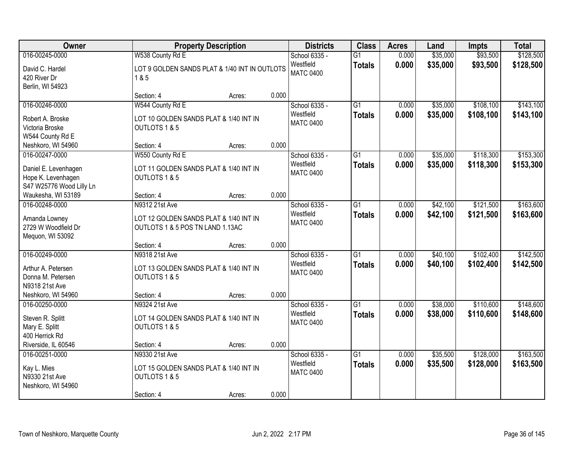| Owner                                                                                             | <b>Property Description</b>                                                                  |        |       | <b>Districts</b>                               | <b>Class</b>                     | <b>Acres</b>   | Land                 | <b>Impts</b>           | <b>Total</b>           |
|---------------------------------------------------------------------------------------------------|----------------------------------------------------------------------------------------------|--------|-------|------------------------------------------------|----------------------------------|----------------|----------------------|------------------------|------------------------|
| 016-00245-0000<br>David C. Hardel<br>420 River Dr<br>Berlin, WI 54923                             | W538 County Rd E<br>LOT 9 GOLDEN SANDS PLAT & 1/40 INT IN OUTLOTS<br>1 & 5                   |        |       | School 6335 -<br>Westfield<br><b>MATC 0400</b> | $\overline{G1}$<br><b>Totals</b> | 0.000<br>0.000 | \$35,000<br>\$35,000 | \$93,500<br>\$93,500   | \$128,500<br>\$128,500 |
|                                                                                                   | Section: 4                                                                                   | Acres: | 0.000 |                                                |                                  |                |                      |                        |                        |
| 016-00246-0000<br>Robert A. Broske<br>Victoria Broske<br>W544 County Rd E                         | W544 County Rd E<br>LOT 10 GOLDEN SANDS PLAT & 1/40 INT IN<br>OUTLOTS 1 & 5                  |        |       | School 6335 -<br>Westfield<br><b>MATC 0400</b> | $\overline{G1}$<br><b>Totals</b> | 0.000<br>0.000 | \$35,000<br>\$35,000 | \$108,100<br>\$108,100 | \$143,100<br>\$143,100 |
| Neshkoro, WI 54960                                                                                | Section: 4                                                                                   | Acres: | 0.000 |                                                |                                  |                |                      |                        |                        |
| 016-00247-0000<br>Daniel E. Levenhagen<br>Hope K. Levenhagen<br>S47 W25776 Wood Lilly Ln          | W550 County Rd E<br>LOT 11 GOLDEN SANDS PLAT & 1/40 INT IN<br>OUTLOTS 1 & 5                  |        |       | School 6335 -<br>Westfield<br><b>MATC 0400</b> | G1<br><b>Totals</b>              | 0.000<br>0.000 | \$35,000<br>\$35,000 | \$118,300<br>\$118,300 | \$153,300<br>\$153,300 |
| Waukesha, WI 53189                                                                                | Section: 4                                                                                   | Acres: | 0.000 |                                                |                                  |                |                      |                        |                        |
| 016-00248-0000<br>Amanda Lowney<br>2729 W Woodfield Dr<br>Mequon, WI 53092                        | N9312 21st Ave<br>LOT 12 GOLDEN SANDS PLAT & 1/40 INT IN<br>OUTLOTS 1 & 5 POS TN LAND 1.13AC |        |       | School 6335 -<br>Westfield<br><b>MATC 0400</b> | $\overline{G1}$<br><b>Totals</b> | 0.000<br>0.000 | \$42,100<br>\$42,100 | \$121,500<br>\$121,500 | \$163,600<br>\$163,600 |
|                                                                                                   | Section: 4                                                                                   | Acres: | 0.000 |                                                |                                  |                |                      |                        |                        |
| 016-00249-0000<br>Arthur A. Petersen<br>Donna M. Petersen<br>N9318 21st Ave<br>Neshkoro, WI 54960 | N9318 21st Ave<br>LOT 13 GOLDEN SANDS PLAT & 1/40 INT IN<br>OUTLOTS 1 & 5<br>Section: 4      | Acres: | 0.000 | School 6335 -<br>Westfield<br><b>MATC 0400</b> | $\overline{G1}$<br><b>Totals</b> | 0.000<br>0.000 | \$40,100<br>\$40,100 | \$102,400<br>\$102,400 | \$142,500<br>\$142,500 |
| 016-00250-0000                                                                                    | N9324 21st Ave                                                                               |        |       | School 6335 -                                  | $\overline{G1}$                  | 0.000          | \$38,000             | \$110,600              | \$148,600              |
| Steven R. Splitt<br>Mary E. Splitt<br>400 Herrick Rd                                              | LOT 14 GOLDEN SANDS PLAT & 1/40 INT IN<br>OUTLOTS 1 & 5                                      |        |       | Westfield<br><b>MATC 0400</b>                  | <b>Totals</b>                    | 0.000          | \$38,000             | \$110,600              | \$148,600              |
| Riverside, IL 60546                                                                               | Section: 4                                                                                   | Acres: | 0.000 |                                                |                                  |                |                      |                        |                        |
| 016-00251-0000<br>Kay L. Mies<br>N9330 21st Ave<br>Neshkoro, WI 54960                             | N9330 21st Ave<br>LOT 15 GOLDEN SANDS PLAT & 1/40 INT IN<br>OUTLOTS 1 & 5<br>Section: 4      | Acres: | 0.000 | School 6335 -<br>Westfield<br><b>MATC 0400</b> | $\overline{G1}$<br><b>Totals</b> | 0.000<br>0.000 | \$35,500<br>\$35,500 | \$128,000<br>\$128,000 | \$163,500<br>\$163,500 |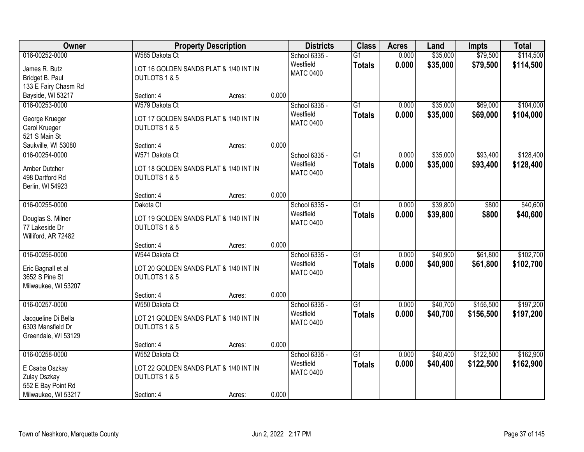| Owner                                                                                         |                                                                                         | <b>Property Description</b> |       | <b>Districts</b>                               | <b>Class</b>                     | <b>Acres</b>   | Land                 | <b>Impts</b>           | <b>Total</b>           |
|-----------------------------------------------------------------------------------------------|-----------------------------------------------------------------------------------------|-----------------------------|-------|------------------------------------------------|----------------------------------|----------------|----------------------|------------------------|------------------------|
| 016-00252-0000<br>James R. Butz<br>Bridget B. Paul                                            | W585 Dakota Ct<br>LOT 16 GOLDEN SANDS PLAT & 1/40 INT IN<br>OUTLOTS 1 & 5               |                             |       | School 6335 -<br>Westfield<br><b>MATC 0400</b> | $\overline{G1}$<br><b>Totals</b> | 0.000<br>0.000 | \$35,000<br>\$35,000 | \$79,500<br>\$79,500   | \$114,500<br>\$114,500 |
| 133 E Fairy Chasm Rd<br>Bayside, WI 53217                                                     | Section: 4                                                                              | Acres:                      | 0.000 |                                                |                                  |                |                      |                        |                        |
| 016-00253-0000<br>George Krueger<br>Carol Krueger<br>521 S Main St                            | W579 Dakota Ct<br>LOT 17 GOLDEN SANDS PLAT & 1/40 INT IN<br>OUTLOTS 1 & 5               |                             |       | School 6335 -<br>Westfield<br><b>MATC 0400</b> | $\overline{G1}$<br><b>Totals</b> | 0.000<br>0.000 | \$35,000<br>\$35,000 | \$69,000<br>\$69,000   | \$104,000<br>\$104,000 |
| Saukville, WI 53080                                                                           | Section: 4                                                                              | Acres:                      | 0.000 |                                                |                                  |                |                      |                        |                        |
| 016-00254-0000<br>Amber Dutcher<br>498 Dartford Rd<br>Berlin, WI 54923                        | W571 Dakota Ct<br>LOT 18 GOLDEN SANDS PLAT & 1/40 INT IN<br>OUTLOTS 1 & 5               |                             |       | School 6335 -<br>Westfield<br><b>MATC 0400</b> | $\overline{G1}$<br><b>Totals</b> | 0.000<br>0.000 | \$35,000<br>\$35,000 | \$93,400<br>\$93,400   | \$128,400<br>\$128,400 |
|                                                                                               | Section: 4                                                                              | Acres:                      | 0.000 |                                                |                                  |                |                      |                        |                        |
| 016-00255-0000<br>Douglas S. Milner<br>77 Lakeside Dr<br>Williford, AR 72482                  | Dakota Ct<br>LOT 19 GOLDEN SANDS PLAT & 1/40 INT IN<br>OUTLOTS 1 & 5                    |                             |       | School 6335 -<br>Westfield<br><b>MATC 0400</b> | $\overline{G1}$<br><b>Totals</b> | 0.000<br>0.000 | \$39,800<br>\$39,800 | \$800<br>\$800         | \$40,600<br>\$40,600   |
|                                                                                               | Section: 4                                                                              | Acres:                      | 0.000 |                                                |                                  |                |                      |                        |                        |
| 016-00256-0000<br>Eric Bagnall et al<br>3652 S Pine St<br>Milwaukee, WI 53207                 | W544 Dakota Ct<br>LOT 20 GOLDEN SANDS PLAT & 1/40 INT IN<br>OUTLOTS 1 & 5               |                             |       | School 6335 -<br>Westfield<br><b>MATC 0400</b> | $\overline{G1}$<br><b>Totals</b> | 0.000<br>0.000 | \$40,900<br>\$40,900 | \$61,800<br>\$61,800   | \$102,700<br>\$102,700 |
|                                                                                               | Section: 4                                                                              | Acres:                      | 0.000 |                                                | $\overline{G1}$                  |                |                      |                        |                        |
| 016-00257-0000<br>Jacqueline Di Bella<br>6303 Mansfield Dr<br>Greendale, WI 53129             | W550 Dakota Ct<br>LOT 21 GOLDEN SANDS PLAT & 1/40 INT IN<br>OUTLOTS 1 & 5               |                             |       | School 6335 -<br>Westfield<br><b>MATC 0400</b> | <b>Totals</b>                    | 0.000<br>0.000 | \$40,700<br>\$40,700 | \$156,500<br>\$156,500 | \$197,200<br>\$197,200 |
|                                                                                               | Section: 4                                                                              | Acres:                      | 0.000 |                                                |                                  |                |                      |                        |                        |
| 016-00258-0000<br>E Csaba Oszkay<br>Zulay Oszkay<br>552 E Bay Point Rd<br>Milwaukee, WI 53217 | W552 Dakota Ct<br>LOT 22 GOLDEN SANDS PLAT & 1/40 INT IN<br>OUTLOTS 1 & 5<br>Section: 4 | Acres:                      | 0.000 | School 6335 -<br>Westfield<br><b>MATC 0400</b> | $\overline{G1}$<br><b>Totals</b> | 0.000<br>0.000 | \$40,400<br>\$40,400 | \$122,500<br>\$122,500 | \$162,900<br>\$162,900 |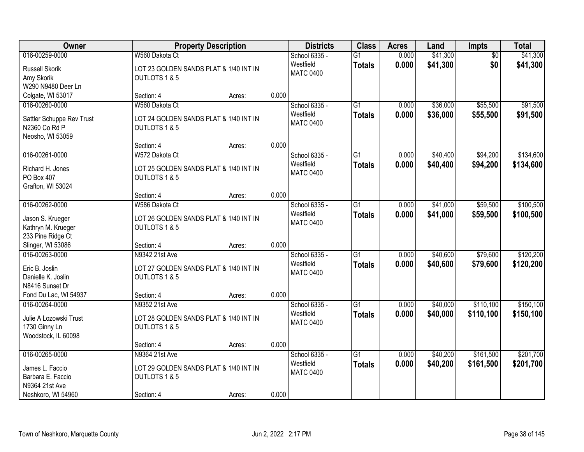| Owner                                  |                                        | <b>Property Description</b> |       | <b>Districts</b>              | <b>Class</b>    | <b>Acres</b> | Land     | <b>Impts</b>    | <b>Total</b> |
|----------------------------------------|----------------------------------------|-----------------------------|-------|-------------------------------|-----------------|--------------|----------|-----------------|--------------|
| 016-00259-0000                         | W560 Dakota Ct                         |                             |       | School 6335 -                 | $\overline{G1}$ | 0.000        | \$41,300 | $\overline{50}$ | \$41,300     |
| Russell Skorik                         | LOT 23 GOLDEN SANDS PLAT & 1/40 INT IN |                             |       | Westfield<br><b>MATC 0400</b> | <b>Totals</b>   | 0.000        | \$41,300 | \$0             | \$41,300     |
| Amy Skorik                             | OUTLOTS 1 & 5                          |                             |       |                               |                 |              |          |                 |              |
| W290 N9480 Deer Ln                     |                                        |                             |       |                               |                 |              |          |                 |              |
| Colgate, WI 53017                      | Section: 4                             | Acres:                      | 0.000 |                               |                 |              |          |                 |              |
| 016-00260-0000                         | W560 Dakota Ct                         |                             |       | School 6335 -                 | $\overline{G1}$ | 0.000        | \$36,000 | \$55,500        | \$91,500     |
| Sattler Schuppe Rev Trust              | LOT 24 GOLDEN SANDS PLAT & 1/40 INT IN |                             |       | Westfield                     | <b>Totals</b>   | 0.000        | \$36,000 | \$55,500        | \$91,500     |
| N2360 Co Rd P                          | OUTLOTS 1 & 5                          |                             |       | <b>MATC 0400</b>              |                 |              |          |                 |              |
| Neosho, WI 53059                       |                                        |                             |       |                               |                 |              |          |                 |              |
|                                        | Section: 4                             | Acres:                      | 0.000 |                               |                 |              |          |                 |              |
| 016-00261-0000                         | W572 Dakota Ct                         |                             |       | School 6335 -                 | $\overline{G1}$ | 0.000        | \$40,400 | \$94,200        | \$134,600    |
| Richard H. Jones                       | LOT 25 GOLDEN SANDS PLAT & 1/40 INT IN |                             |       | Westfield                     | <b>Totals</b>   | 0.000        | \$40,400 | \$94,200        | \$134,600    |
| PO Box 407                             | OUTLOTS 1 & 5                          |                             |       | <b>MATC 0400</b>              |                 |              |          |                 |              |
| Grafton, WI 53024                      |                                        |                             |       |                               |                 |              |          |                 |              |
|                                        | Section: 4                             | Acres:                      | 0.000 |                               |                 |              |          |                 |              |
| 016-00262-0000                         | W586 Dakota Ct                         |                             |       | School 6335 -                 | $\overline{G1}$ | 0.000        | \$41,000 | \$59,500        | \$100,500    |
|                                        |                                        |                             |       | Westfield                     | <b>Totals</b>   | 0.000        | \$41,000 | \$59,500        | \$100,500    |
| Jason S. Krueger                       | LOT 26 GOLDEN SANDS PLAT & 1/40 INT IN |                             |       | <b>MATC 0400</b>              |                 |              |          |                 |              |
| Kathryn M. Krueger                     | OUTLOTS 1 & 5                          |                             |       |                               |                 |              |          |                 |              |
| 233 Pine Ridge Ct<br>Slinger, WI 53086 | Section: 4                             | Acres:                      | 0.000 |                               |                 |              |          |                 |              |
| 016-00263-0000                         | N9342 21st Ave                         |                             |       | School 6335 -                 | $\overline{G1}$ | 0.000        | \$40,600 | \$79,600        | \$120,200    |
|                                        |                                        |                             |       | Westfield                     |                 | 0.000        |          |                 |              |
| Eric B. Joslin                         | LOT 27 GOLDEN SANDS PLAT & 1/40 INT IN |                             |       | <b>MATC 0400</b>              | <b>Totals</b>   |              | \$40,600 | \$79,600        | \$120,200    |
| Danielle K. Joslin                     | OUTLOTS 1 & 5                          |                             |       |                               |                 |              |          |                 |              |
| N8416 Sunset Dr                        |                                        |                             |       |                               |                 |              |          |                 |              |
| Fond Du Lac, WI 54937                  | Section: 4                             | Acres:                      | 0.000 |                               |                 |              |          |                 |              |
| 016-00264-0000                         | N9352 21st Ave                         |                             |       | School 6335 -                 | $\overline{G1}$ | 0.000        | \$40,000 | \$110,100       | \$150,100    |
| Julie A Lozowski Trust                 | LOT 28 GOLDEN SANDS PLAT & 1/40 INT IN |                             |       | Westfield                     | <b>Totals</b>   | 0.000        | \$40,000 | \$110,100       | \$150,100    |
| 1730 Ginny Ln                          | OUTLOTS 1 & 5                          |                             |       | <b>MATC 0400</b>              |                 |              |          |                 |              |
| Woodstock, IL 60098                    |                                        |                             |       |                               |                 |              |          |                 |              |
|                                        | Section: 4                             | Acres:                      | 0.000 |                               |                 |              |          |                 |              |
| 016-00265-0000                         | N9364 21st Ave                         |                             |       | School 6335 -                 | $\overline{G1}$ | 0.000        | \$40,200 | \$161,500       | \$201,700    |
| James L. Faccio                        | LOT 29 GOLDEN SANDS PLAT & 1/40 INT IN |                             |       | Westfield                     | <b>Totals</b>   | 0.000        | \$40,200 | \$161,500       | \$201,700    |
| Barbara E. Faccio                      | OUTLOTS 1 & 5                          |                             |       | <b>MATC 0400</b>              |                 |              |          |                 |              |
| N9364 21st Ave                         |                                        |                             |       |                               |                 |              |          |                 |              |
| Neshkoro, WI 54960                     | Section: 4                             | Acres:                      | 0.000 |                               |                 |              |          |                 |              |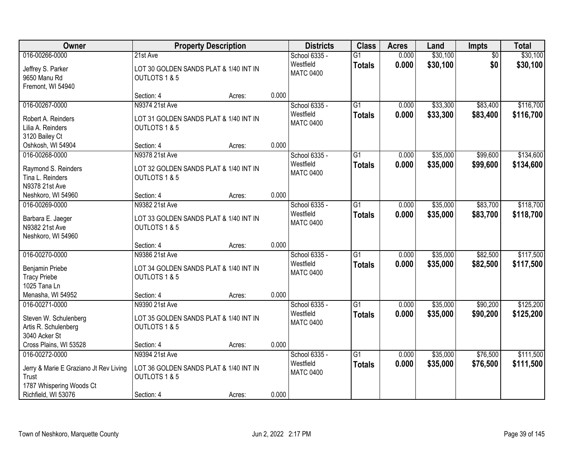| Owner                                                                       | <b>Property Description</b>                             |        | <b>Districts</b> | <b>Class</b>                  | <b>Acres</b>                     | Land           | <b>Impts</b>         | <b>Total</b>         |                        |
|-----------------------------------------------------------------------------|---------------------------------------------------------|--------|------------------|-------------------------------|----------------------------------|----------------|----------------------|----------------------|------------------------|
| 016-00266-0000                                                              | 21st Ave                                                |        |                  | School 6335 -                 | $\overline{G1}$                  | 0.000          | \$30,100             | $\overline{50}$      | \$30,100               |
| Jeffrey S. Parker<br>9650 Manu Rd<br>Fremont, WI 54940                      | LOT 30 GOLDEN SANDS PLAT & 1/40 INT IN<br>OUTLOTS 1 & 5 |        |                  | Westfield<br><b>MATC 0400</b> | <b>Totals</b>                    | 0.000          | \$30,100             | \$0                  | \$30,100               |
|                                                                             | Section: 4                                              | Acres: | 0.000            |                               |                                  |                |                      |                      |                        |
| 016-00267-0000                                                              | N9374 21st Ave                                          |        |                  | School 6335 -                 | $\overline{G1}$                  | 0.000          | \$33,300             | \$83,400             | \$116,700              |
| Robert A. Reinders<br>Lilia A. Reinders<br>3120 Bailey Ct                   | LOT 31 GOLDEN SANDS PLAT & 1/40 INT IN<br>OUTLOTS 1 & 5 |        |                  | Westfield<br><b>MATC 0400</b> | <b>Totals</b>                    | 0.000          | \$33,300             | \$83,400             | \$116,700              |
| Oshkosh, WI 54904                                                           | Section: 4                                              | Acres: | 0.000            |                               |                                  |                |                      |                      |                        |
| 016-00268-0000                                                              | N9378 21st Ave                                          |        |                  | School 6335 -                 | G1                               | 0.000          | \$35,000             | \$99,600             | \$134,600              |
| Raymond S. Reinders<br>Tina L. Reinders<br>N9378 21st Ave                   | LOT 32 GOLDEN SANDS PLAT & 1/40 INT IN<br>OUTLOTS 1 & 5 |        |                  | Westfield<br><b>MATC 0400</b> | <b>Totals</b>                    | 0.000          | \$35,000             | \$99,600             | \$134,600              |
| Neshkoro, WI 54960                                                          | Section: 4                                              | Acres: | 0.000            |                               |                                  |                |                      |                      |                        |
| 016-00269-0000                                                              | N9382 21st Ave                                          |        |                  | School 6335 -                 | $\overline{G1}$                  | 0.000          | \$35,000             | \$83,700             | \$118,700              |
| Barbara E. Jaeger<br>N9382 21st Ave<br>Neshkoro, WI 54960                   | LOT 33 GOLDEN SANDS PLAT & 1/40 INT IN<br>OUTLOTS 1 & 5 |        |                  | Westfield<br><b>MATC 0400</b> | <b>Totals</b>                    | 0.000          | \$35,000             | \$83,700             | \$118,700              |
|                                                                             | Section: 4                                              | Acres: | 0.000            |                               |                                  |                |                      |                      |                        |
| 016-00270-0000                                                              | N9386 21st Ave                                          |        |                  | School 6335 -<br>Westfield    | $\overline{G1}$<br><b>Totals</b> | 0.000<br>0.000 | \$35,000<br>\$35,000 | \$82,500<br>\$82,500 | \$117,500<br>\$117,500 |
| Benjamin Priebe                                                             | LOT 34 GOLDEN SANDS PLAT & 1/40 INT IN                  |        |                  | <b>MATC 0400</b>              |                                  |                |                      |                      |                        |
| <b>Tracy Priebe</b><br>1025 Tana Ln                                         | OUTLOTS 1 & 5                                           |        |                  |                               |                                  |                |                      |                      |                        |
| Menasha, WI 54952                                                           | Section: 4                                              | Acres: | 0.000            |                               |                                  |                |                      |                      |                        |
| 016-00271-0000                                                              | N9390 21st Ave                                          |        |                  | School 6335 -                 | $\overline{G1}$                  | 0.000          | \$35,000             | \$90,200             | \$125,200              |
| Steven W. Schulenberg<br>Artis R. Schulenberg<br>3040 Acker St              | LOT 35 GOLDEN SANDS PLAT & 1/40 INT IN<br>OUTLOTS 1 & 5 |        |                  | Westfield<br><b>MATC 0400</b> | <b>Totals</b>                    | 0.000          | \$35,000             | \$90,200             | \$125,200              |
| Cross Plains, WI 53528                                                      | Section: 4                                              | Acres: | 0.000            |                               |                                  |                |                      |                      |                        |
| 016-00272-0000                                                              | N9394 21st Ave                                          |        |                  | School 6335 -                 | $\overline{G1}$                  | 0.000          | \$35,000             | \$76,500             | \$111,500              |
| Jerry & Marie E Graziano Jt Rev Living<br>Trust<br>1787 Whispering Woods Ct | LOT 36 GOLDEN SANDS PLAT & 1/40 INT IN<br>OUTLOTS 1 & 5 |        |                  | Westfield<br><b>MATC 0400</b> | <b>Totals</b>                    | 0.000          | \$35,000             | \$76,500             | \$111,500              |
| Richfield, WI 53076                                                         | Section: 4                                              | Acres: | 0.000            |                               |                                  |                |                      |                      |                        |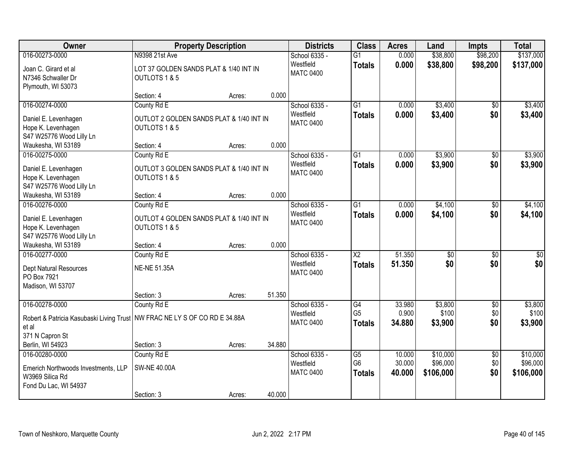| Owner                                                                                                          | <b>Property Description</b>                                                            |        |        | <b>Districts</b>                               | <b>Class</b>                            | <b>Acres</b>               | Land                              | <b>Impts</b>                  | <b>Total</b>                      |
|----------------------------------------------------------------------------------------------------------------|----------------------------------------------------------------------------------------|--------|--------|------------------------------------------------|-----------------------------------------|----------------------------|-----------------------------------|-------------------------------|-----------------------------------|
| 016-00273-0000<br>Joan C. Girard et al<br>N7346 Schwaller Dr<br>Plymouth, WI 53073                             | N9398 21st Ave<br>LOT 37 GOLDEN SANDS PLAT & 1/40 INT IN<br>OUTLOTS 1 & 5              |        |        | School 6335 -<br>Westfield<br><b>MATC 0400</b> | $\overline{G1}$<br><b>Totals</b>        | 0.000<br>0.000             | \$38,800<br>\$38,800              | \$98,200<br>\$98,200          | \$137,000<br>\$137,000            |
|                                                                                                                | Section: 4                                                                             | Acres: | 0.000  |                                                |                                         |                            |                                   |                               |                                   |
| 016-00274-0000<br>Daniel E. Levenhagen<br>Hope K. Levenhagen<br>S47 W25776 Wood Lilly Ln<br>Waukesha, WI 53189 | County Rd E<br>OUTLOT 2 GOLDEN SANDS PLAT & 1/40 INT IN<br>OUTLOTS 1 & 5<br>Section: 4 | Acres: | 0.000  | School 6335 -<br>Westfield<br><b>MATC 0400</b> | $\overline{G1}$<br><b>Totals</b>        | 0.000<br>0.000             | \$3,400<br>\$3,400                | $\overline{50}$<br>\$0        | \$3,400<br>\$3,400                |
| 016-00275-0000                                                                                                 | County Rd E                                                                            |        |        | School 6335 -                                  | G1                                      | 0.000                      | \$3,900                           | \$0                           | \$3,900                           |
| Daniel E. Levenhagen<br>Hope K. Levenhagen<br>S47 W25776 Wood Lilly Ln                                         | OUTLOT 3 GOLDEN SANDS PLAT & 1/40 INT IN<br>OUTLOTS 1 & 5                              |        |        | Westfield<br><b>MATC 0400</b>                  | <b>Totals</b>                           | 0.000                      | \$3,900                           | \$0                           | \$3,900                           |
| Waukesha, WI 53189                                                                                             | Section: 4                                                                             | Acres: | 0.000  |                                                |                                         |                            |                                   |                               |                                   |
| 016-00276-0000<br>Daniel E. Levenhagen<br>Hope K. Levenhagen<br>S47 W25776 Wood Lilly Ln                       | County Rd E<br>OUTLOT 4 GOLDEN SANDS PLAT & 1/40 INT IN<br>OUTLOTS 1 & 5               |        |        | School 6335 -<br>Westfield<br><b>MATC 0400</b> | G1<br><b>Totals</b>                     | 0.000<br>0.000             | \$4,100<br>\$4,100                | $\sqrt[6]{3}$<br>\$0          | \$4,100<br>\$4,100                |
| Waukesha, WI 53189                                                                                             | Section: 4                                                                             | Acres: | 0.000  |                                                |                                         |                            |                                   |                               |                                   |
| 016-00277-0000<br>Dept Natural Resources<br>PO Box 7921<br>Madison, WI 53707                                   | County Rd E<br><b>NE-NE 51.35A</b><br>Section: 3                                       | Acres: | 51.350 | School 6335 -<br>Westfield<br><b>MATC 0400</b> | $\overline{\text{X2}}$<br><b>Totals</b> | 51.350<br>51.350           | $\overline{50}$<br>\$0            | $\overline{50}$<br>\$0        | $\sqrt{50}$<br>\$0                |
| 016-00278-0000                                                                                                 | County Rd E                                                                            |        |        | School 6335 -                                  | $\overline{G4}$                         | 33.980                     | \$3,800                           | $\overline{50}$               | \$3,800                           |
| Robert & Patricia Kasubaski Living Trust<br>et al<br>371 N Capron St                                           | NW FRAC NE LY S OF CO RD E 34.88A                                                      |        |        | Westfield<br><b>MATC 0400</b>                  | G <sub>5</sub><br><b>Totals</b>         | 0.900<br>34.880            | \$100<br>\$3,900                  | \$0<br>\$0                    | \$100<br>\$3,900                  |
| Berlin, WI 54923                                                                                               | Section: 3                                                                             | Acres: | 34.880 |                                                |                                         |                            |                                   |                               |                                   |
| 016-00280-0000<br>Emerich Northwoods Investments, LLP<br>W3969 Silica Rd<br>Fond Du Lac, WI 54937              | County Rd E<br><b>SW-NE 40.00A</b><br>Section: 3                                       | Acres: | 40.000 | School 6335 -<br>Westfield<br><b>MATC 0400</b> | G5<br>G <sub>6</sub><br><b>Totals</b>   | 10.000<br>30.000<br>40.000 | \$10,000<br>\$96,000<br>\$106,000 | $\overline{50}$<br>\$0<br>\$0 | \$10,000<br>\$96,000<br>\$106,000 |
|                                                                                                                |                                                                                        |        |        |                                                |                                         |                            |                                   |                               |                                   |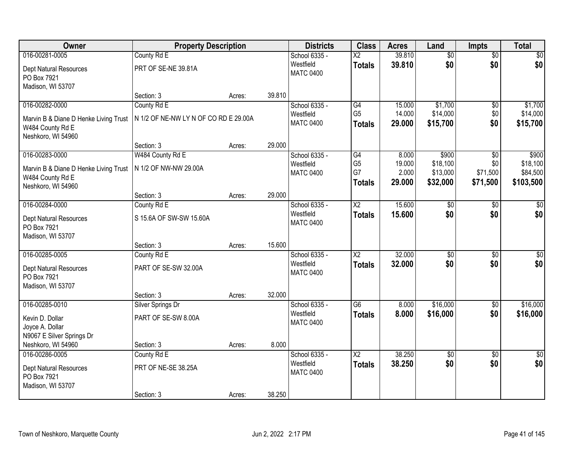| Owner                                 | <b>Property Description</b>           |        | <b>Districts</b> | <b>Class</b>                  | <b>Acres</b>             | Land   | <b>Impts</b>    | <b>Total</b>    |                 |
|---------------------------------------|---------------------------------------|--------|------------------|-------------------------------|--------------------------|--------|-----------------|-----------------|-----------------|
| 016-00281-0005                        | County Rd E                           |        |                  | School 6335 -                 | $\overline{\mathsf{X2}}$ | 39.810 | $\overline{50}$ | $\overline{50}$ | $\sqrt{50}$     |
| Dept Natural Resources<br>PO Box 7921 | PRT OF SE-NE 39.81A                   |        |                  | Westfield<br><b>MATC 0400</b> | <b>Totals</b>            | 39.810 | \$0             | \$0             | \$0             |
| Madison, WI 53707                     |                                       |        |                  |                               |                          |        |                 |                 |                 |
|                                       | Section: 3                            | Acres: | 39.810           |                               |                          |        |                 |                 |                 |
| 016-00282-0000                        | County Rd E                           |        |                  | School 6335 -                 | G4                       | 15.000 | \$1,700         | \$0             | \$1,700         |
| Marvin B & Diane D Henke Living Trust | N 1/2 OF NE-NW LY N OF CO RD E 29.00A |        |                  | Westfield                     | G <sub>5</sub>           | 14.000 | \$14,000        | \$0             | \$14,000        |
| W484 County Rd E                      |                                       |        |                  | <b>MATC 0400</b>              | <b>Totals</b>            | 29.000 | \$15,700        | \$0             | \$15,700        |
| Neshkoro, WI 54960                    |                                       |        |                  |                               |                          |        |                 |                 |                 |
|                                       | Section: 3                            | Acres: | 29.000           |                               |                          |        |                 |                 |                 |
| 016-00283-0000                        | W484 County Rd E                      |        |                  | School 6335 -                 | $\overline{G4}$          | 8.000  | \$900           | $\overline{50}$ | \$900           |
| Marvin B & Diane D Henke Living Trust | N 1/2 OF NW-NW 29.00A                 |        |                  | Westfield                     | G <sub>5</sub>           | 19.000 | \$18,100        | \$0             | \$18,100        |
| W484 County Rd E                      |                                       |        |                  | <b>MATC 0400</b>              | G7                       | 2.000  | \$13,000        | \$71,500        | \$84,500        |
| Neshkoro, WI 54960                    |                                       |        |                  |                               | <b>Totals</b>            | 29.000 | \$32,000        | \$71,500        | \$103,500       |
|                                       | Section: 3                            | Acres: | 29.000           |                               |                          |        |                 |                 |                 |
| 016-00284-0000                        | County Rd E                           |        |                  | School 6335 -                 | $\overline{\text{X2}}$   | 15.600 | \$0             | \$0             | \$0             |
| Dept Natural Resources                | S 15.6A OF SW-SW 15.60A               |        |                  | Westfield                     | <b>Totals</b>            | 15.600 | \$0             | \$0             | \$0             |
| PO Box 7921                           |                                       |        |                  | <b>MATC 0400</b>              |                          |        |                 |                 |                 |
| Madison, WI 53707                     |                                       |        |                  |                               |                          |        |                 |                 |                 |
|                                       | Section: 3                            | Acres: | 15.600           |                               |                          |        |                 |                 |                 |
| 016-00285-0005                        | County Rd E                           |        |                  | School 6335 -                 | $\overline{\text{X2}}$   | 32.000 | $\overline{50}$ | $\overline{30}$ | $\overline{50}$ |
| Dept Natural Resources                | PART OF SE-SW 32.00A                  |        |                  | Westfield                     | <b>Totals</b>            | 32.000 | \$0             | \$0             | \$0             |
| PO Box 7921                           |                                       |        |                  | <b>MATC 0400</b>              |                          |        |                 |                 |                 |
| Madison, WI 53707                     |                                       |        |                  |                               |                          |        |                 |                 |                 |
|                                       | Section: 3                            | Acres: | 32.000           |                               |                          |        |                 |                 |                 |
| 016-00285-0010                        | Silver Springs Dr                     |        |                  | School 6335 -                 | $\overline{G6}$          | 8.000  | \$16,000        | $\sqrt{$0}$     | \$16,000        |
| Kevin D. Dollar                       | PART OF SE-SW 8.00A                   |        |                  | Westfield                     | <b>Totals</b>            | 8.000  | \$16,000        | \$0             | \$16,000        |
| Joyce A. Dollar                       |                                       |        |                  | <b>MATC 0400</b>              |                          |        |                 |                 |                 |
| N9067 E Silver Springs Dr             |                                       |        |                  |                               |                          |        |                 |                 |                 |
| Neshkoro, WI 54960                    | Section: 3                            | Acres: | 8.000            |                               |                          |        |                 |                 |                 |
| 016-00286-0005                        | County Rd E                           |        |                  | School 6335 -                 | $\overline{\text{X2}}$   | 38.250 | $\overline{50}$ | $\overline{50}$ | $\frac{1}{2}$   |
| Dept Natural Resources                | PRT OF NE-SE 38.25A                   |        |                  | Westfield                     | <b>Totals</b>            | 38.250 | \$0             | \$0             | \$0             |
| PO Box 7921                           |                                       |        |                  | <b>MATC 0400</b>              |                          |        |                 |                 |                 |
| Madison, WI 53707                     |                                       |        |                  |                               |                          |        |                 |                 |                 |
|                                       | Section: 3                            | Acres: | 38.250           |                               |                          |        |                 |                 |                 |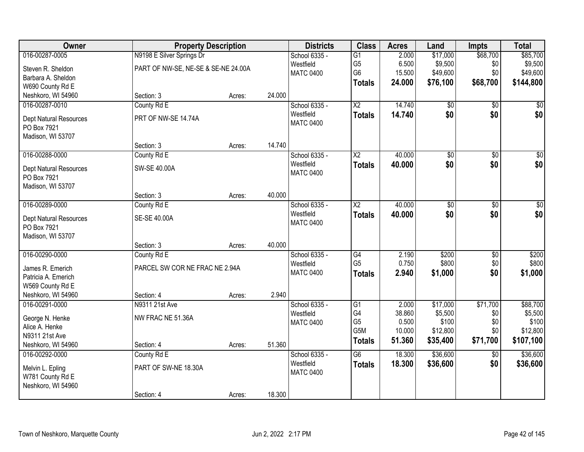| Owner                         | <b>Property Description</b>         |        |        | <b>Districts</b> | <b>Class</b>           | <b>Acres</b> | Land            | <b>Impts</b>    | <b>Total</b> |
|-------------------------------|-------------------------------------|--------|--------|------------------|------------------------|--------------|-----------------|-----------------|--------------|
| 016-00287-0005                | N9198 E Silver Springs Dr           |        |        | School 6335 -    | G1                     | 2.000        | \$17,000        | \$68,700        | \$85,700     |
| Steven R. Sheldon             | PART OF NW-SE, NE-SE & SE-NE 24.00A |        |        | Westfield        | G <sub>5</sub>         | 6.500        | \$9,500         | \$0             | \$9,500      |
| Barbara A. Sheldon            |                                     |        |        | <b>MATC 0400</b> | G <sub>6</sub>         | 15.500       | \$49,600        | \$0             | \$49,600     |
| W690 County Rd E              |                                     |        |        |                  | <b>Totals</b>          | 24.000       | \$76,100        | \$68,700        | \$144,800    |
| Neshkoro, WI 54960            | Section: 3                          | Acres: | 24.000 |                  |                        |              |                 |                 |              |
| 016-00287-0010                | County Rd E                         |        |        | School 6335 -    | $\overline{X2}$        | 14.740       | \$0             | $\overline{50}$ | \$0          |
| Dept Natural Resources        | PRT OF NW-SE 14.74A                 |        |        | Westfield        | <b>Totals</b>          | 14.740       | \$0             | \$0             | \$0          |
| PO Box 7921                   |                                     |        |        | <b>MATC 0400</b> |                        |              |                 |                 |              |
| Madison, WI 53707             |                                     |        |        |                  |                        |              |                 |                 |              |
|                               | Section: 3                          | Acres: | 14.740 |                  |                        |              |                 |                 |              |
| 016-00288-0000                | County Rd E                         |        |        | School 6335 -    | $\overline{X2}$        | 40.000       | $\overline{50}$ | \$0             | \$0          |
| Dept Natural Resources        | SW-SE 40.00A                        |        |        | Westfield        | <b>Totals</b>          | 40.000       | \$0             | \$0             | \$0          |
| PO Box 7921                   |                                     |        |        | <b>MATC 0400</b> |                        |              |                 |                 |              |
| Madison, WI 53707             |                                     |        |        |                  |                        |              |                 |                 |              |
|                               | Section: 3                          | Acres: | 40.000 |                  |                        |              |                 |                 |              |
| 016-00289-0000                | County Rd E                         |        |        | School 6335 -    | $\overline{\text{X2}}$ | 40.000       | $\overline{50}$ | \$0             | $\sqrt{50}$  |
| <b>Dept Natural Resources</b> | SE-SE 40.00A                        |        |        | Westfield        | <b>Totals</b>          | 40.000       | \$0             | \$0             | \$0          |
| PO Box 7921                   |                                     |        |        | <b>MATC 0400</b> |                        |              |                 |                 |              |
| Madison, WI 53707             |                                     |        |        |                  |                        |              |                 |                 |              |
|                               | Section: 3                          | Acres: | 40.000 |                  |                        |              |                 |                 |              |
| 016-00290-0000                | County Rd E                         |        |        | School 6335 -    | G4                     | 2.190        | \$200           | \$0             | \$200        |
| James R. Emerich              | PARCEL SW COR NE FRAC NE 2.94A      |        |        | Westfield        | G <sub>5</sub>         | 0.750        | \$800           | \$0             | \$800        |
| Patricia A. Emerich           |                                     |        |        | <b>MATC 0400</b> | <b>Totals</b>          | 2.940        | \$1,000         | \$0             | \$1,000      |
| W569 County Rd E              |                                     |        |        |                  |                        |              |                 |                 |              |
| Neshkoro, WI 54960            | Section: 4                          | Acres: | 2.940  |                  |                        |              |                 |                 |              |
| 016-00291-0000                | N9311 21st Ave                      |        |        | School 6335 -    | G1                     | 2.000        | \$17,000        | \$71,700        | \$88,700     |
| George N. Henke               | NW FRAC NE 51.36A                   |        |        | Westfield        | G4                     | 38.860       | \$5,500         | \$0             | \$5,500      |
| Alice A. Henke                |                                     |        |        | <b>MATC 0400</b> | G <sub>5</sub>         | 0.500        | \$100           | \$0             | \$100        |
| N9311 21st Ave                |                                     |        |        |                  | G5M                    | 10.000       | \$12,800        | \$0             | \$12,800     |
| Neshkoro, WI 54960            | Section: 4                          | Acres: | 51.360 |                  | <b>Totals</b>          | 51.360       | \$35,400        | \$71,700        | \$107,100    |
| 016-00292-0000                | County Rd E                         |        |        | School 6335 -    | $\overline{G6}$        | 18.300       | \$36,600        | $\overline{50}$ | \$36,600     |
| Melvin L. Epling              | PART OF SW-NE 18.30A                |        |        | Westfield        | <b>Totals</b>          | 18.300       | \$36,600        | \$0             | \$36,600     |
| W781 County Rd E              |                                     |        |        | <b>MATC 0400</b> |                        |              |                 |                 |              |
| Neshkoro, WI 54960            |                                     |        |        |                  |                        |              |                 |                 |              |
|                               | Section: 4                          | Acres: | 18.300 |                  |                        |              |                 |                 |              |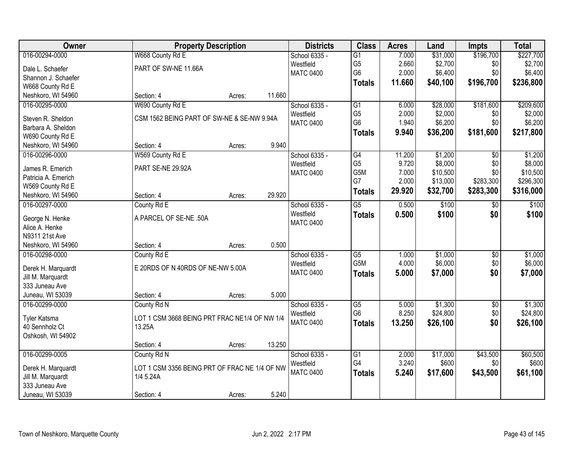| Owner                          | <b>Property Description</b>                             |        |        | <b>Districts</b>           | <b>Class</b>     | <b>Acres</b>   | Land              | <b>Impts</b>    | <b>Total</b> |
|--------------------------------|---------------------------------------------------------|--------|--------|----------------------------|------------------|----------------|-------------------|-----------------|--------------|
| 016-00294-0000                 | W668 County Rd E                                        |        |        | School 6335 -              | $\overline{G1}$  | 7.000          | \$31,000          | \$196,700       | \$227,700    |
| Dale L. Schaefer               | PART OF SW-NE 11.66A                                    |        |        | Westfield                  | G <sub>5</sub>   | 2.660          | \$2,700           | \$0             | \$2,700      |
| Shannon J. Schaefer            |                                                         |        |        | <b>MATC 0400</b>           | G <sub>6</sub>   | 2.000          | \$6,400           | \$0             | \$6,400      |
| W668 County Rd E               |                                                         |        |        |                            | <b>Totals</b>    | 11.660         | \$40,100          | \$196,700       | \$236,800    |
| Neshkoro, WI 54960             | Section: 4                                              | Acres: | 11.660 |                            |                  |                |                   |                 |              |
| 016-00295-0000                 | W690 County Rd E                                        |        |        | School 6335 -              | $\overline{G1}$  | 6.000          | \$28,000          | \$181,600       | \$209,600    |
|                                |                                                         |        |        | Westfield                  | G <sub>5</sub>   | 2.000          | \$2,000           | \$0             | \$2,000      |
| Steven R. Sheldon              | CSM 1562 BEING PART OF SW-NE & SE-NW 9.94A              |        |        | <b>MATC 0400</b>           | G <sub>6</sub>   | 1.940          | \$6,200           | \$0             | \$6,200      |
| Barbara A. Sheldon             |                                                         |        |        |                            | <b>Totals</b>    | 9.940          | \$36,200          | \$181,600       | \$217,800    |
| W690 County Rd E               |                                                         |        |        |                            |                  |                |                   |                 |              |
| Neshkoro, WI 54960             | Section: 4                                              | Acres: | 9.940  |                            |                  |                |                   |                 |              |
| 016-00296-0000                 | W569 County Rd E                                        |        |        | School 6335 -              | G4               | 11.200         | \$1,200           | \$0             | \$1,200      |
| James R. Emerich               | PART SE-NE 29.92A                                       |        |        | Westfield                  | G <sub>5</sub>   | 9.720          | \$8,000           | \$0             | \$8,000      |
| Patricia A. Emerich            |                                                         |        |        | <b>MATC 0400</b>           | G5M              | 7.000          | \$10,500          | \$0             | \$10,500     |
| W569 County Rd E               |                                                         |        |        |                            | G7               | 2.000          | \$13,000          | \$283,300       | \$296,300    |
| Neshkoro, WI 54960             | Section: 4                                              | Acres: | 29.920 |                            | <b>Totals</b>    | 29.920         | \$32,700          | \$283,300       | \$316,000    |
| 016-00297-0000                 | County Rd E                                             |        |        | School 6335 -              | $\overline{G5}$  | 0.500          | \$100             | \$0             | \$100        |
|                                |                                                         |        |        | Westfield                  | <b>Totals</b>    | 0.500          | \$100             | \$0             | \$100        |
| George N. Henke                | A PARCEL OF SE-NE .50A                                  |        |        | <b>MATC 0400</b>           |                  |                |                   |                 |              |
| Alice A. Henke                 |                                                         |        |        |                            |                  |                |                   |                 |              |
| N9311 21st Ave                 |                                                         |        |        |                            |                  |                |                   |                 |              |
| Neshkoro, WI 54960             | Section: 4                                              | Acres: | 0.500  |                            |                  |                |                   |                 |              |
| 016-00298-0000                 | County Rd E                                             |        |        | School 6335 -              | $\overline{G5}$  | 1.000          | \$1,000           | \$0             | \$1,000      |
| Derek H. Marquardt             | E 20RDS OF N 40RDS OF NE-NW 5.00A                       |        |        | Westfield                  | G <sub>5</sub> M | 4.000          | \$6,000           | \$0             | \$6,000      |
| Jill M. Marquardt              |                                                         |        |        | <b>MATC 0400</b>           | <b>Totals</b>    | 5.000          | \$7,000           | \$0             | \$7,000      |
| 333 Juneau Ave                 |                                                         |        |        |                            |                  |                |                   |                 |              |
| Juneau, WI 53039               | Section: 4                                              | Acres: | 5.000  |                            |                  |                |                   |                 |              |
| 016-00299-0000                 | County Rd N                                             |        |        | School 6335 -              | $\overline{G5}$  | 5.000          | \$1,300           | $\sqrt{6}$      | \$1,300      |
|                                |                                                         |        |        | Westfield                  | G <sub>6</sub>   | 8.250          | \$24,800          | \$0             | \$24,800     |
| Tyler Katsma<br>40 Sennholz Ct | LOT 1 CSM 3668 BEING PRT FRAC NE1/4 OF NW 1/4<br>13.25A |        |        | <b>MATC 0400</b>           | <b>Totals</b>    | 13.250         | \$26,100          | \$0             | \$26,100     |
|                                |                                                         |        |        |                            |                  |                |                   |                 |              |
| Oshkosh, WI 54902              | Section: 4                                              |        | 13.250 |                            |                  |                |                   |                 |              |
| 016-00299-0005                 |                                                         | Acres: |        |                            |                  |                |                   |                 | \$60,500     |
|                                | County Rd N                                             |        |        | School 6335 -<br>Westfield | G1<br>G4         | 2.000<br>3.240 | \$17,000<br>\$600 | \$43,500<br>\$0 | \$600        |
| Derek H. Marquardt             | LOT 1 CSM 3356 BEING PRT OF FRAC NE 1/4 OF NW           |        |        |                            |                  |                |                   |                 |              |
| Jill M. Marquardt              | 1/4 5.24A                                               |        |        | <b>MATC 0400</b>           | <b>Totals</b>    | 5.240          | \$17,600          | \$43,500        | \$61,100     |
| 333 Juneau Ave                 |                                                         |        |        |                            |                  |                |                   |                 |              |
| Juneau, WI 53039               | Section: 4                                              | Acres: | 5.240  |                            |                  |                |                   |                 |              |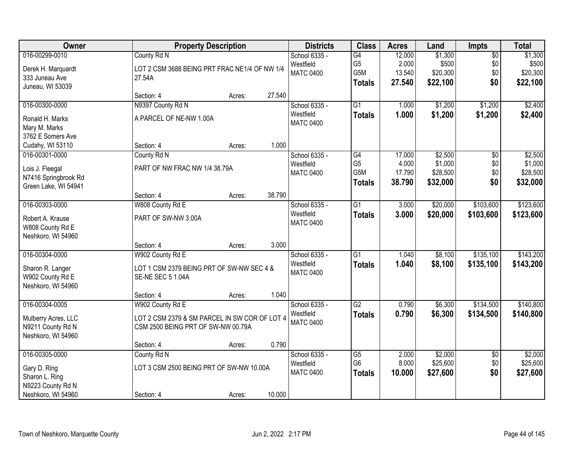| Owner                | <b>Property Description</b>                   | <b>Districts</b> | <b>Class</b> | <b>Acres</b>     | Land            | Impts  | <b>Total</b> |                 |           |
|----------------------|-----------------------------------------------|------------------|--------------|------------------|-----------------|--------|--------------|-----------------|-----------|
| 016-00299-0010       | County Rd N                                   |                  |              | School 6335 -    | G4              | 12.000 | \$1,300      | $\overline{50}$ | \$1,300   |
| Derek H. Marquardt   | LOT 2 CSM 3688 BEING PRT FRAC NE1/4 OF NW 1/4 |                  |              | Westfield        | G <sub>5</sub>  | 2.000  | \$500        | \$0             | \$500     |
| 333 Juneau Ave       | 27.54A                                        |                  |              | <b>MATC 0400</b> | G5M             | 13.540 | \$20,300     | \$0             | \$20,300  |
| Juneau, WI 53039     |                                               |                  |              |                  | <b>Totals</b>   | 27.540 | \$22,100     | \$0             | \$22,100  |
|                      | Section: 4                                    | Acres:           | 27.540       |                  |                 |        |              |                 |           |
| 016-00300-0000       | N9397 County Rd N                             |                  |              | School 6335 -    | $\overline{G1}$ | 1.000  | \$1,200      | \$1,200         | \$2,400   |
| Ronald H. Marks      | A PARCEL OF NE-NW 1.00A                       |                  |              | Westfield        | <b>Totals</b>   | 1.000  | \$1,200      | \$1,200         | \$2,400   |
| Mary M. Marks        |                                               |                  |              | <b>MATC 0400</b> |                 |        |              |                 |           |
| 3762 E Somers Ave    |                                               |                  |              |                  |                 |        |              |                 |           |
| Cudahy, WI 53110     | Section: 4                                    | Acres:           | 1.000        |                  |                 |        |              |                 |           |
| 016-00301-0000       | County Rd N                                   |                  |              | School 6335 -    | G4              | 17.000 | \$2,500      | $\overline{50}$ | \$2,500   |
| Lois J. Fleegal      | PART OF NW FRAC NW 1/4 38.79A                 |                  |              | Westfield        | G <sub>5</sub>  | 4.000  | \$1,000      | \$0             | \$1,000   |
| N7416 Springbrook Rd |                                               |                  |              | <b>MATC 0400</b> | G5M             | 17.790 | \$28,500     | \$0             | \$28,500  |
| Green Lake, WI 54941 |                                               |                  |              |                  | <b>Totals</b>   | 38.790 | \$32,000     | \$0             | \$32,000  |
|                      | Section: 4                                    | Acres:           | 38.790       |                  |                 |        |              |                 |           |
| 016-00303-0000       | W808 County Rd E                              |                  |              | School 6335 -    | $\overline{G1}$ | 3.000  | \$20,000     | \$103,600       | \$123,600 |
| Robert A. Krause     | PART OF SW-NW 3.00A                           |                  |              | Westfield        | <b>Totals</b>   | 3.000  | \$20,000     | \$103,600       | \$123,600 |
| W808 County Rd E     |                                               |                  |              | <b>MATC 0400</b> |                 |        |              |                 |           |
| Neshkoro, WI 54960   |                                               |                  |              |                  |                 |        |              |                 |           |
|                      | Section: 4                                    | Acres:           | 3.000        |                  |                 |        |              |                 |           |
| 016-00304-0000       | W902 County Rd E                              |                  |              | School 6335 -    | $\overline{G1}$ | 1.040  | \$8,100      | \$135,100       | \$143,200 |
|                      |                                               |                  |              | Westfield        | <b>Totals</b>   | 1.040  | \$8,100      | \$135,100       | \$143,200 |
| Sharon R. Langer     | LOT 1 CSM 2379 BEING PRT OF SW-NW SEC 4 &     |                  |              | <b>MATC 0400</b> |                 |        |              |                 |           |
| W902 County Rd E     | <b>SE-NE SEC 5 1.04A</b>                      |                  |              |                  |                 |        |              |                 |           |
| Neshkoro, WI 54960   |                                               |                  | 1.040        |                  |                 |        |              |                 |           |
| 016-00304-0005       | Section: 4<br>W902 County Rd E                | Acres:           |              | School 6335 -    | G2              | 0.790  | \$6,300      | \$134,500       | \$140,800 |
|                      |                                               |                  |              | Westfield        |                 |        |              |                 |           |
| Mulberry Acres, LLC  | LOT 2 CSM 2379 & SM PARCEL IN SW COR OF LOT 4 |                  |              | <b>MATC 0400</b> | <b>Totals</b>   | 0.790  | \$6,300      | \$134,500       | \$140,800 |
| N9211 County Rd N    | CSM 2500 BEING PRT OF SW-NW 00.79A            |                  |              |                  |                 |        |              |                 |           |
| Neshkoro, WI 54960   |                                               |                  |              |                  |                 |        |              |                 |           |
|                      | Section: 4                                    | Acres:           | 0.790        |                  |                 |        |              |                 |           |
| 016-00305-0000       | County Rd N                                   |                  |              | School 6335 -    | G5              | 2.000  | \$2,000      | $\overline{50}$ | \$2,000   |
| Gary D. Ring         | LOT 3 CSM 2500 BEING PRT OF SW-NW 10.00A      |                  |              | Westfield        | G <sub>6</sub>  | 8.000  | \$25,600     | \$0             | \$25,600  |
| Sharon L. Ring       |                                               |                  |              | <b>MATC 0400</b> | <b>Totals</b>   | 10.000 | \$27,600     | \$0             | \$27,600  |
| N9223 County Rd N    |                                               |                  |              |                  |                 |        |              |                 |           |
| Neshkoro, WI 54960   | Section: 4                                    | Acres:           | 10.000       |                  |                 |        |              |                 |           |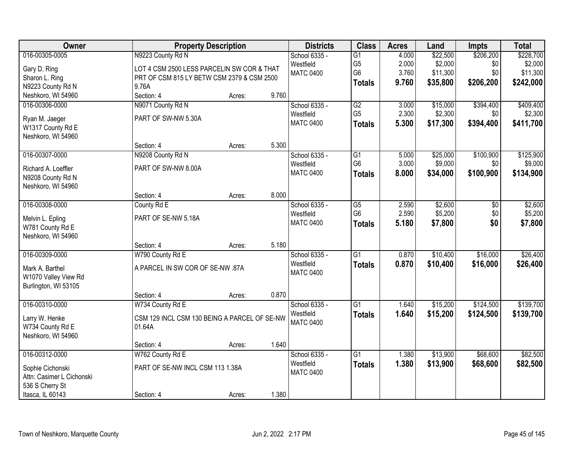| Owner                     | <b>Property Description</b>                  |        |       | <b>Districts</b>           | <b>Class</b>                      | <b>Acres</b>   | Land                | <b>Impts</b>     | <b>Total</b>         |
|---------------------------|----------------------------------------------|--------|-------|----------------------------|-----------------------------------|----------------|---------------------|------------------|----------------------|
| 016-00305-0005            | N9223 County Rd N                            |        |       | School 6335 -              | $\overline{G1}$                   | 4.000          | \$22,500            | \$206,200        | \$228,700            |
| Gary D. Ring              | LOT 4 CSM 2500 LESS PARCELIN SW COR & THAT   |        |       | Westfield                  | G <sub>5</sub>                    | 2.000          | \$2,000             | \$0              | \$2,000              |
| Sharon L. Ring            | PRT OF CSM 815 LY BETW CSM 2379 & CSM 2500   |        |       | <b>MATC 0400</b>           | G <sub>6</sub>                    | 3.760          | \$11,300            | \$0              | \$11,300             |
| N9223 County Rd N         | 9.76A                                        |        |       |                            | <b>Totals</b>                     | 9.760          | \$35,800            | \$206,200        | \$242,000            |
| Neshkoro, WI 54960        | Section: 4                                   | Acres: | 9.760 |                            |                                   |                |                     |                  |                      |
| 016-00306-0000            | N9071 County Rd N                            |        |       | School 6335 -              | G2                                | 3.000          | \$15,000            | \$394,400        | \$409,400            |
|                           |                                              |        |       | Westfield                  | G <sub>5</sub>                    | 2.300          | \$2,300             | \$0              | \$2,300              |
| Ryan M. Jaeger            | PART OF SW-NW 5.30A                          |        |       | <b>MATC 0400</b>           | <b>Totals</b>                     | 5.300          | \$17,300            | \$394,400        | \$411,700            |
| W1317 County Rd E         |                                              |        |       |                            |                                   |                |                     |                  |                      |
| Neshkoro, WI 54960        |                                              |        |       |                            |                                   |                |                     |                  |                      |
|                           | Section: 4                                   | Acres: | 5.300 |                            |                                   |                |                     |                  |                      |
| 016-00307-0000            | N9208 County Rd N                            |        |       | School 6335 -<br>Westfield | $\overline{G1}$<br>G <sub>6</sub> | 5.000<br>3.000 | \$25,000<br>\$9,000 | \$100,900<br>\$0 | \$125,900<br>\$9,000 |
| Richard A. Loeffler       | PART OF SW-NW 8.00A                          |        |       | <b>MATC 0400</b>           |                                   | 8.000          |                     |                  |                      |
| N9208 County Rd N         |                                              |        |       |                            | <b>Totals</b>                     |                | \$34,000            | \$100,900        | \$134,900            |
| Neshkoro, WI 54960        |                                              |        |       |                            |                                   |                |                     |                  |                      |
|                           | Section: 4                                   | Acres: | 8.000 |                            |                                   |                |                     |                  |                      |
| 016-00308-0000            | County Rd E                                  |        |       | School 6335 -              | G5                                | 2.590          | \$2,600             | \$0              | \$2,600              |
| Melvin L. Epling          | PART OF SE-NW 5.18A                          |        |       | Westfield                  | G <sub>6</sub>                    | 2.590          | \$5,200             | \$0              | \$5,200              |
| W781 County Rd E          |                                              |        |       | <b>MATC 0400</b>           | <b>Totals</b>                     | 5.180          | \$7,800             | \$0              | \$7,800              |
| Neshkoro, WI 54960        |                                              |        |       |                            |                                   |                |                     |                  |                      |
|                           | Section: 4                                   | Acres: | 5.180 |                            |                                   |                |                     |                  |                      |
| 016-00309-0000            | W790 County Rd E                             |        |       | School 6335 -              | $\overline{G1}$                   | 0.870          | \$10,400            | \$16,000         | \$26,400             |
|                           |                                              |        |       | Westfield                  | <b>Totals</b>                     | 0.870          | \$10,400            | \$16,000         | \$26,400             |
| Mark A. Barthel           | A PARCEL IN SW COR OF SE-NW .87A             |        |       | <b>MATC 0400</b>           |                                   |                |                     |                  |                      |
| W1070 Valley View Rd      |                                              |        |       |                            |                                   |                |                     |                  |                      |
| Burlington, WI 53105      |                                              |        | 0.870 |                            |                                   |                |                     |                  |                      |
|                           | Section: 4                                   | Acres: |       |                            |                                   |                |                     |                  |                      |
| 016-00310-0000            | W734 County Rd E                             |        |       | School 6335 -<br>Westfield | $\overline{G1}$                   | 1.640          | \$15,200            | \$124,500        | \$139,700            |
| Larry W. Henke            | CSM 129 INCL CSM 130 BEING A PARCEL OF SE-NW |        |       | <b>MATC 0400</b>           | <b>Totals</b>                     | 1.640          | \$15,200            | \$124,500        | \$139,700            |
| W734 County Rd E          | 01.64A                                       |        |       |                            |                                   |                |                     |                  |                      |
| Neshkoro, WI 54960        |                                              |        |       |                            |                                   |                |                     |                  |                      |
|                           | Section: 4                                   | Acres: | 1.640 |                            |                                   |                |                     |                  |                      |
| 016-00312-0000            | W762 County Rd E                             |        |       | School 6335 -              | $\overline{G1}$                   | 1.380          | \$13,900            | \$68,600         | \$82,500             |
| Sophie Cichonski          | PART OF SE-NW INCL CSM 113 1.38A             |        |       | Westfield                  | <b>Totals</b>                     | 1.380          | \$13,900            | \$68,600         | \$82,500             |
| Attn: Casimer L Cichonski |                                              |        |       | <b>MATC 0400</b>           |                                   |                |                     |                  |                      |
| 536 S Cherry St           |                                              |        |       |                            |                                   |                |                     |                  |                      |
| Itasca, IL 60143          | Section: 4                                   | Acres: | 1.380 |                            |                                   |                |                     |                  |                      |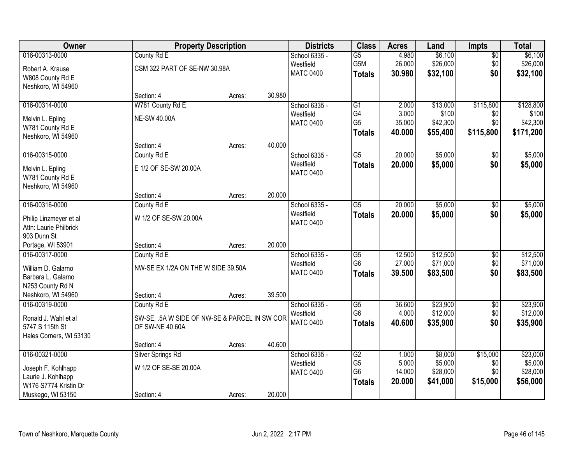| 016-00313-0000<br>\$6,100<br>County Rd E<br>School 6335 -<br>$\overline{G5}$<br>4.980<br>\$6,100<br>$\overline{50}$<br>G5M<br>\$26,000<br>\$26,000<br>26.000<br>\$0<br>Westfield<br>CSM 322 PART OF SE-NW 30.98A<br>Robert A. Krause<br><b>MATC 0400</b><br>\$0<br>30.980<br>\$32,100<br>\$32,100<br><b>Totals</b><br>W808 County Rd E<br>Neshkoro, WI 54960<br>30.980<br>Section: 4<br>Acres:<br>W781 County Rd E<br>\$13,000<br>\$115,800<br>016-00314-0000<br>School 6335 -<br>$\overline{G1}$<br>2.000<br>G4<br>3.000<br>\$100<br>Westfield<br>\$0<br><b>NE-SW 40.00A</b><br>Melvin L. Epling<br>G <sub>5</sub><br>35.000<br>\$42,300<br>\$0<br><b>MATC 0400</b><br>W781 County Rd E<br>40.000<br>\$115,800<br>\$55,400<br><b>Totals</b><br>Neshkoro, WI 54960<br>40.000<br>Section: 4<br>Acres:<br>\$5,000<br>016-00315-0000<br>County Rd E<br>School 6335 -<br>$\overline{G5}$<br>20.000<br>\$0<br>Westfield<br>\$0<br>20.000<br>\$5,000<br><b>Totals</b><br>E 1/2 OF SE-SW 20.00A<br>Melvin L. Epling<br><b>MATC 0400</b><br>W781 County Rd E<br>Neshkoro, WI 54960<br>20.000<br>Section: 4<br>Acres:<br>20.000<br>\$5,000<br>016-00316-0000<br>County Rd E<br>School 6335 -<br>$\overline{G5}$<br>\$0<br>Westfield<br>\$0<br>20.000<br>\$5,000<br><b>Totals</b><br>W 1/2 OF SE-SW 20.00A<br>Philip Linzmeyer et al<br><b>MATC 0400</b><br>Attn: Laurie Philbrick<br>903 Dunn St<br>20.000<br>Portage, WI 53901<br>Section: 4<br>Acres:<br>12.500<br>\$12,500<br>016-00317-0000<br>County Rd E<br>$\overline{G5}$<br>$\overline{50}$<br>School 6335 -<br>G <sub>6</sub><br>27.000<br>\$71,000<br>\$0<br>Westfield<br>William D. Galarno<br>NW-SE EX 1/2A ON THE W SIDE 39.50A<br>\$0<br><b>MATC 0400</b><br>39.500<br>\$83,500<br><b>Totals</b><br>Barbara L. Galarno<br>N253 County Rd N |
|--------------------------------------------------------------------------------------------------------------------------------------------------------------------------------------------------------------------------------------------------------------------------------------------------------------------------------------------------------------------------------------------------------------------------------------------------------------------------------------------------------------------------------------------------------------------------------------------------------------------------------------------------------------------------------------------------------------------------------------------------------------------------------------------------------------------------------------------------------------------------------------------------------------------------------------------------------------------------------------------------------------------------------------------------------------------------------------------------------------------------------------------------------------------------------------------------------------------------------------------------------------------------------------------------------------------------------------------------------------------------------------------------------------------------------------------------------------------------------------------------------------------------------------------------------------------------------------------------------------------------------------------------------------------------------------------------------------------------------------------------------------------------------------------------|
|                                                                                                                                                                                                                                                                                                                                                                                                                                                                                                                                                                                                                                                                                                                                                                                                                                                                                                                                                                                                                                                                                                                                                                                                                                                                                                                                                                                                                                                                                                                                                                                                                                                                                                                                                                                                  |
| \$128,800<br>\$5,000                                                                                                                                                                                                                                                                                                                                                                                                                                                                                                                                                                                                                                                                                                                                                                                                                                                                                                                                                                                                                                                                                                                                                                                                                                                                                                                                                                                                                                                                                                                                                                                                                                                                                                                                                                             |
|                                                                                                                                                                                                                                                                                                                                                                                                                                                                                                                                                                                                                                                                                                                                                                                                                                                                                                                                                                                                                                                                                                                                                                                                                                                                                                                                                                                                                                                                                                                                                                                                                                                                                                                                                                                                  |
|                                                                                                                                                                                                                                                                                                                                                                                                                                                                                                                                                                                                                                                                                                                                                                                                                                                                                                                                                                                                                                                                                                                                                                                                                                                                                                                                                                                                                                                                                                                                                                                                                                                                                                                                                                                                  |
|                                                                                                                                                                                                                                                                                                                                                                                                                                                                                                                                                                                                                                                                                                                                                                                                                                                                                                                                                                                                                                                                                                                                                                                                                                                                                                                                                                                                                                                                                                                                                                                                                                                                                                                                                                                                  |
| \$100<br>\$42,300<br>\$171,200<br>\$5,000<br>\$5,000<br>\$5,000<br>\$12,500<br>\$71,000<br>\$83,500                                                                                                                                                                                                                                                                                                                                                                                                                                                                                                                                                                                                                                                                                                                                                                                                                                                                                                                                                                                                                                                                                                                                                                                                                                                                                                                                                                                                                                                                                                                                                                                                                                                                                              |
|                                                                                                                                                                                                                                                                                                                                                                                                                                                                                                                                                                                                                                                                                                                                                                                                                                                                                                                                                                                                                                                                                                                                                                                                                                                                                                                                                                                                                                                                                                                                                                                                                                                                                                                                                                                                  |
|                                                                                                                                                                                                                                                                                                                                                                                                                                                                                                                                                                                                                                                                                                                                                                                                                                                                                                                                                                                                                                                                                                                                                                                                                                                                                                                                                                                                                                                                                                                                                                                                                                                                                                                                                                                                  |
|                                                                                                                                                                                                                                                                                                                                                                                                                                                                                                                                                                                                                                                                                                                                                                                                                                                                                                                                                                                                                                                                                                                                                                                                                                                                                                                                                                                                                                                                                                                                                                                                                                                                                                                                                                                                  |
|                                                                                                                                                                                                                                                                                                                                                                                                                                                                                                                                                                                                                                                                                                                                                                                                                                                                                                                                                                                                                                                                                                                                                                                                                                                                                                                                                                                                                                                                                                                                                                                                                                                                                                                                                                                                  |
|                                                                                                                                                                                                                                                                                                                                                                                                                                                                                                                                                                                                                                                                                                                                                                                                                                                                                                                                                                                                                                                                                                                                                                                                                                                                                                                                                                                                                                                                                                                                                                                                                                                                                                                                                                                                  |
|                                                                                                                                                                                                                                                                                                                                                                                                                                                                                                                                                                                                                                                                                                                                                                                                                                                                                                                                                                                                                                                                                                                                                                                                                                                                                                                                                                                                                                                                                                                                                                                                                                                                                                                                                                                                  |
|                                                                                                                                                                                                                                                                                                                                                                                                                                                                                                                                                                                                                                                                                                                                                                                                                                                                                                                                                                                                                                                                                                                                                                                                                                                                                                                                                                                                                                                                                                                                                                                                                                                                                                                                                                                                  |
|                                                                                                                                                                                                                                                                                                                                                                                                                                                                                                                                                                                                                                                                                                                                                                                                                                                                                                                                                                                                                                                                                                                                                                                                                                                                                                                                                                                                                                                                                                                                                                                                                                                                                                                                                                                                  |
|                                                                                                                                                                                                                                                                                                                                                                                                                                                                                                                                                                                                                                                                                                                                                                                                                                                                                                                                                                                                                                                                                                                                                                                                                                                                                                                                                                                                                                                                                                                                                                                                                                                                                                                                                                                                  |
|                                                                                                                                                                                                                                                                                                                                                                                                                                                                                                                                                                                                                                                                                                                                                                                                                                                                                                                                                                                                                                                                                                                                                                                                                                                                                                                                                                                                                                                                                                                                                                                                                                                                                                                                                                                                  |
|                                                                                                                                                                                                                                                                                                                                                                                                                                                                                                                                                                                                                                                                                                                                                                                                                                                                                                                                                                                                                                                                                                                                                                                                                                                                                                                                                                                                                                                                                                                                                                                                                                                                                                                                                                                                  |
|                                                                                                                                                                                                                                                                                                                                                                                                                                                                                                                                                                                                                                                                                                                                                                                                                                                                                                                                                                                                                                                                                                                                                                                                                                                                                                                                                                                                                                                                                                                                                                                                                                                                                                                                                                                                  |
|                                                                                                                                                                                                                                                                                                                                                                                                                                                                                                                                                                                                                                                                                                                                                                                                                                                                                                                                                                                                                                                                                                                                                                                                                                                                                                                                                                                                                                                                                                                                                                                                                                                                                                                                                                                                  |
|                                                                                                                                                                                                                                                                                                                                                                                                                                                                                                                                                                                                                                                                                                                                                                                                                                                                                                                                                                                                                                                                                                                                                                                                                                                                                                                                                                                                                                                                                                                                                                                                                                                                                                                                                                                                  |
|                                                                                                                                                                                                                                                                                                                                                                                                                                                                                                                                                                                                                                                                                                                                                                                                                                                                                                                                                                                                                                                                                                                                                                                                                                                                                                                                                                                                                                                                                                                                                                                                                                                                                                                                                                                                  |
|                                                                                                                                                                                                                                                                                                                                                                                                                                                                                                                                                                                                                                                                                                                                                                                                                                                                                                                                                                                                                                                                                                                                                                                                                                                                                                                                                                                                                                                                                                                                                                                                                                                                                                                                                                                                  |
|                                                                                                                                                                                                                                                                                                                                                                                                                                                                                                                                                                                                                                                                                                                                                                                                                                                                                                                                                                                                                                                                                                                                                                                                                                                                                                                                                                                                                                                                                                                                                                                                                                                                                                                                                                                                  |
|                                                                                                                                                                                                                                                                                                                                                                                                                                                                                                                                                                                                                                                                                                                                                                                                                                                                                                                                                                                                                                                                                                                                                                                                                                                                                                                                                                                                                                                                                                                                                                                                                                                                                                                                                                                                  |
| 39.500<br>Neshkoro, WI 54960<br>Section: 4<br>Acres:                                                                                                                                                                                                                                                                                                                                                                                                                                                                                                                                                                                                                                                                                                                                                                                                                                                                                                                                                                                                                                                                                                                                                                                                                                                                                                                                                                                                                                                                                                                                                                                                                                                                                                                                             |
| 016-00319-0000<br>$\overline{G5}$<br>36.600<br>\$23,900<br>\$23,900<br>County Rd E<br>School 6335 -<br>$\sqrt{6}$                                                                                                                                                                                                                                                                                                                                                                                                                                                                                                                                                                                                                                                                                                                                                                                                                                                                                                                                                                                                                                                                                                                                                                                                                                                                                                                                                                                                                                                                                                                                                                                                                                                                                |
| G <sub>6</sub><br>\$12,000<br>4.000<br>\$0<br>\$12,000<br>Westfield                                                                                                                                                                                                                                                                                                                                                                                                                                                                                                                                                                                                                                                                                                                                                                                                                                                                                                                                                                                                                                                                                                                                                                                                                                                                                                                                                                                                                                                                                                                                                                                                                                                                                                                              |
| Ronald J. Wahl et al<br>SW-SE, .5A W SIDE OF NW-SE & PARCEL IN SW COR<br>\$0<br><b>MATC 0400</b><br>\$35,900<br>40.600<br>\$35,900<br><b>Totals</b>                                                                                                                                                                                                                                                                                                                                                                                                                                                                                                                                                                                                                                                                                                                                                                                                                                                                                                                                                                                                                                                                                                                                                                                                                                                                                                                                                                                                                                                                                                                                                                                                                                              |
| 5747 S 115th St<br>OF SW-NE 40.60A<br>Hales Corners, WI 53130                                                                                                                                                                                                                                                                                                                                                                                                                                                                                                                                                                                                                                                                                                                                                                                                                                                                                                                                                                                                                                                                                                                                                                                                                                                                                                                                                                                                                                                                                                                                                                                                                                                                                                                                    |
| 40.600<br>Section: 4<br>Acres:                                                                                                                                                                                                                                                                                                                                                                                                                                                                                                                                                                                                                                                                                                                                                                                                                                                                                                                                                                                                                                                                                                                                                                                                                                                                                                                                                                                                                                                                                                                                                                                                                                                                                                                                                                   |
| 016-00321-0000<br>G2<br>\$8,000<br>\$15,000<br>\$23,000<br>Silver Springs Rd<br>School 6335 -<br>1.000                                                                                                                                                                                                                                                                                                                                                                                                                                                                                                                                                                                                                                                                                                                                                                                                                                                                                                                                                                                                                                                                                                                                                                                                                                                                                                                                                                                                                                                                                                                                                                                                                                                                                           |
| G <sub>5</sub><br>5.000<br>\$5,000<br>\$5,000<br>Westfield<br>\$0                                                                                                                                                                                                                                                                                                                                                                                                                                                                                                                                                                                                                                                                                                                                                                                                                                                                                                                                                                                                                                                                                                                                                                                                                                                                                                                                                                                                                                                                                                                                                                                                                                                                                                                                |
| W 1/2 OF SE-SE 20.00A<br>Joseph F. Kohlhapp<br>G <sub>6</sub><br>14.000<br>\$28,000<br>\$28,000<br>\$0<br><b>MATC 0400</b>                                                                                                                                                                                                                                                                                                                                                                                                                                                                                                                                                                                                                                                                                                                                                                                                                                                                                                                                                                                                                                                                                                                                                                                                                                                                                                                                                                                                                                                                                                                                                                                                                                                                       |
| Laurie J. Kohlhapp<br>20.000<br>\$41,000<br>\$15,000<br>\$56,000<br><b>Totals</b><br>W176 S7774 Kristin Dr                                                                                                                                                                                                                                                                                                                                                                                                                                                                                                                                                                                                                                                                                                                                                                                                                                                                                                                                                                                                                                                                                                                                                                                                                                                                                                                                                                                                                                                                                                                                                                                                                                                                                       |
| 20.000<br>Muskego, WI 53150<br>Section: 4<br>Acres:                                                                                                                                                                                                                                                                                                                                                                                                                                                                                                                                                                                                                                                                                                                                                                                                                                                                                                                                                                                                                                                                                                                                                                                                                                                                                                                                                                                                                                                                                                                                                                                                                                                                                                                                              |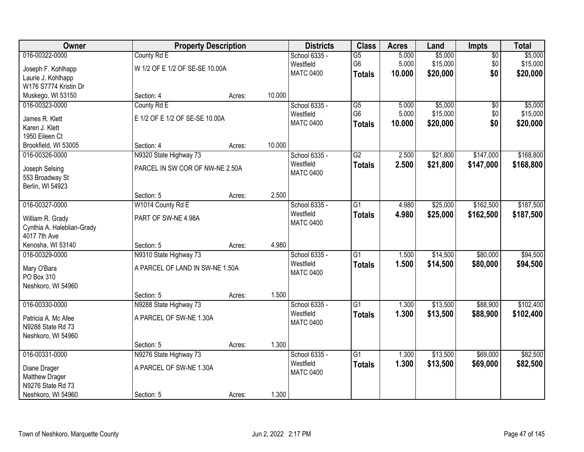| <b>Owner</b>               |                                 | <b>Property Description</b> |        | <b>Districts</b> | <b>Class</b>    | <b>Acres</b> | Land     | Impts           | <b>Total</b> |
|----------------------------|---------------------------------|-----------------------------|--------|------------------|-----------------|--------------|----------|-----------------|--------------|
| 016-00322-0000             | County Rd E                     |                             |        | School 6335 -    | $\overline{G5}$ | 5.000        | \$5,000  | $\overline{50}$ | \$5,000      |
| Joseph F. Kohlhapp         | W 1/2 OF E 1/2 OF SE-SE 10.00A  |                             |        | Westfield        | G <sub>6</sub>  | 5.000        | \$15,000 | \$0             | \$15,000     |
| Laurie J. Kohlhapp         |                                 |                             |        | <b>MATC 0400</b> | <b>Totals</b>   | 10.000       | \$20,000 | \$0             | \$20,000     |
| W176 S7774 Kristin Dr      |                                 |                             |        |                  |                 |              |          |                 |              |
| Muskego, WI 53150          | Section: 4                      | Acres:                      | 10.000 |                  |                 |              |          |                 |              |
| 016-00323-0000             | County Rd E                     |                             |        | School 6335 -    | $\overline{G5}$ | 5.000        | \$5,000  | $\overline{50}$ | \$5,000      |
| James R. Klett             | E 1/2 OF E 1/2 OF SE-SE 10.00A  |                             |        | Westfield        | G <sub>6</sub>  | 5.000        | \$15,000 | \$0             | \$15,000     |
| Karen J. Klett             |                                 |                             |        | <b>MATC 0400</b> | <b>Totals</b>   | 10.000       | \$20,000 | \$0             | \$20,000     |
| 1950 Eileen Ct             |                                 |                             |        |                  |                 |              |          |                 |              |
| Brookfield, WI 53005       | Section: 4                      | Acres:                      | 10.000 |                  |                 |              |          |                 |              |
| 016-00326-0000             | N9320 State Highway 73          |                             |        | School 6335 -    | $\overline{G2}$ | 2.500        | \$21,800 | \$147,000       | \$168,800    |
| Joseph Selsing             | PARCEL IN SW COR OF NW-NE 2.50A |                             |        | Westfield        | <b>Totals</b>   | 2.500        | \$21,800 | \$147,000       | \$168,800    |
| 553 Broadway St            |                                 |                             |        | <b>MATC 0400</b> |                 |              |          |                 |              |
| Berlin, WI 54923           |                                 |                             |        |                  |                 |              |          |                 |              |
|                            | Section: 5                      | Acres:                      | 2.500  |                  |                 |              |          |                 |              |
| 016-00327-0000             | W1014 County Rd E               |                             |        | School 6335 -    | $\overline{G1}$ | 4.980        | \$25,000 | \$162,500       | \$187,500    |
| William R. Grady           | PART OF SW-NE 4.98A             |                             |        | Westfield        | <b>Totals</b>   | 4.980        | \$25,000 | \$162,500       | \$187,500    |
| Cynthia A. Haleblian-Grady |                                 |                             |        | <b>MATC 0400</b> |                 |              |          |                 |              |
| 4017 7th Ave               |                                 |                             |        |                  |                 |              |          |                 |              |
| Kenosha, WI 53140          | Section: 5                      | Acres:                      | 4.980  |                  |                 |              |          |                 |              |
| 016-00329-0000             | N9310 State Highway 73          |                             |        | School 6335 -    | $\overline{G1}$ | 1.500        | \$14,500 | \$80,000        | \$94,500     |
| Mary O'Bara                | A PARCEL OF LAND IN SW-NE 1.50A |                             |        | Westfield        | <b>Totals</b>   | 1.500        | \$14,500 | \$80,000        | \$94,500     |
| PO Box 310                 |                                 |                             |        | <b>MATC 0400</b> |                 |              |          |                 |              |
| Neshkoro, WI 54960         |                                 |                             |        |                  |                 |              |          |                 |              |
|                            | Section: 5                      | Acres:                      | 1.500  |                  |                 |              |          |                 |              |
| 016-00330-0000             | N9288 State Highway 73          |                             |        | School 6335 -    | $\overline{G1}$ | 1.300        | \$13,500 | \$88,900        | \$102,400    |
| Patricia A. Mc Afee        | A PARCEL OF SW-NE 1.30A         |                             |        | Westfield        | <b>Totals</b>   | 1.300        | \$13,500 | \$88,900        | \$102,400    |
| N9288 State Rd 73          |                                 |                             |        | <b>MATC 0400</b> |                 |              |          |                 |              |
| Neshkoro, WI 54960         |                                 |                             |        |                  |                 |              |          |                 |              |
|                            | Section: 5                      | Acres:                      | 1.300  |                  |                 |              |          |                 |              |
| 016-00331-0000             | N9276 State Highway 73          |                             |        | School 6335 -    | $\overline{G1}$ | 1.300        | \$13,500 | \$69,000        | \$82,500     |
| Diane Drager               | A PARCEL OF SW-NE 1.30A         |                             |        | Westfield        | <b>Totals</b>   | 1.300        | \$13,500 | \$69,000        | \$82,500     |
| Matthew Drager             |                                 |                             |        | <b>MATC 0400</b> |                 |              |          |                 |              |
| N9276 State Rd 73          |                                 |                             |        |                  |                 |              |          |                 |              |
| Neshkoro, WI 54960         | Section: 5                      | Acres:                      | 1.300  |                  |                 |              |          |                 |              |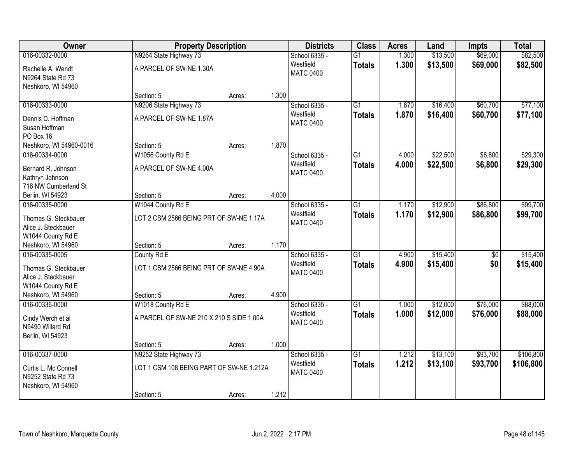| Owner                                                                              |                                                        | <b>Property Description</b> |       |                                                | <b>Class</b>                     | <b>Acres</b>   | Land                 | <b>Impts</b> | <b>Total</b>         |
|------------------------------------------------------------------------------------|--------------------------------------------------------|-----------------------------|-------|------------------------------------------------|----------------------------------|----------------|----------------------|--------------|----------------------|
| 016-00332-0000                                                                     | N9264 State Highway 73                                 |                             |       | School 6335 -                                  | $\overline{G1}$                  | 1.300          | \$13,500             | \$69,000     | \$82,500             |
| Rachelle A. Wendt<br>N9264 State Rd 73<br>Neshkoro, WI 54960                       | A PARCEL OF SW-NE 1.30A                                |                             |       | Westfield<br><b>MATC 0400</b>                  | <b>Totals</b>                    | 1.300          | \$13,500             | \$69,000     | \$82,500             |
|                                                                                    | Section: 5                                             | Acres:                      | 1.300 |                                                |                                  |                |                      |              |                      |
| 016-00333-0000                                                                     | N9206 State Highway 73                                 |                             |       | School 6335 -                                  | $\overline{G1}$                  | 1.870          | \$16,400             | \$60,700     | \$77,100             |
| Dennis D. Hoffman<br>Susan Hoffman<br>PO Box 16                                    | A PARCEL OF SW-NE 1.87A                                |                             |       | Westfield<br><b>MATC 0400</b>                  | <b>Totals</b>                    | 1.870          | \$16,400             | \$60,700     | \$77,100             |
| Neshkoro, WI 54960-0016                                                            | Section: 5                                             | Acres:                      | 1.870 |                                                |                                  |                |                      |              |                      |
| 016-00334-0000                                                                     | W1056 County Rd E                                      |                             |       | School 6335 -                                  | $\overline{G1}$                  | 4.000          | \$22,500             | \$6,800      | \$29,300             |
| Bernard R. Johnson<br>Kathryn Johnson                                              | A PARCEL OF SW-NE 4.00A                                |                             |       | Westfield<br><b>MATC 0400</b>                  | <b>Totals</b>                    | 4.000          | \$22,500             | \$6,800      | \$29,300             |
| 716 NW Cumberland St                                                               |                                                        |                             | 4.000 |                                                |                                  |                |                      |              |                      |
| Berlin, WI 54923<br>016-00335-0000                                                 | Section: 5<br>W1044 County Rd E                        | Acres:                      |       | School 6335 -                                  | $\overline{G1}$                  | 1.170          | \$12,900             | \$86,800     | \$99,700             |
| Thomas G. Steckbauer<br>Alice J. Steckbauer<br>W1044 County Rd E                   | LOT 2 CSM 2566 BEING PRT OF SW-NE 1.17A                |                             |       | Westfield<br><b>MATC 0400</b>                  | <b>Totals</b>                    | 1.170          | \$12,900             | \$86,800     | \$99,700             |
| Neshkoro, WI 54960                                                                 | Section: 5                                             | Acres:                      | 1.170 |                                                |                                  |                |                      |              |                      |
| 016-00335-0005<br>Thomas G. Steckbauer<br>Alice J. Steckbauer<br>W1044 County Rd E | County Rd E<br>LOT 1 CSM 2566 BEING PRT OF SW-NE 4.90A |                             |       | School 6335 -<br>Westfield<br><b>MATC 0400</b> | $\overline{G1}$<br><b>Totals</b> | 4.900<br>4.900 | \$15,400<br>\$15,400 | \$0<br>\$0   | \$15,400<br>\$15,400 |
| Neshkoro, WI 54960                                                                 | Section: 5                                             | Acres:                      | 4.900 |                                                |                                  |                |                      |              |                      |
| 016-00336-0000                                                                     | W1018 County Rd E                                      |                             |       | School 6335 -                                  | G1                               | 1.000          | \$12,000             | \$76,000     | \$88,000             |
| Cindy Werch et al<br>N9490 Willard Rd<br>Berlin, WI 54923                          | A PARCEL OF SW-NE 210 X 210 S SIDE 1.00A               |                             |       | Westfield<br><b>MATC 0400</b>                  | <b>Totals</b>                    | 1.000          | \$12,000             | \$76,000     | \$88,000             |
|                                                                                    | Section: 5                                             | Acres:                      | 1.000 |                                                |                                  |                |                      |              |                      |
| 016-00337-0000                                                                     | N9252 State Highway 73                                 |                             |       | School 6335 -                                  | $\overline{G1}$                  | 1.212          | \$13,100             | \$93,700     | \$106,800            |
| Curtis L. Mc Connell<br>N9252 State Rd 73<br>Neshkoro, WI 54960                    | LOT 1 CSM 108 BEING PART OF SW-NE 1.212A               |                             |       | Westfield<br><b>MATC 0400</b>                  | <b>Totals</b>                    | 1.212          | \$13,100             | \$93,700     | \$106,800            |
|                                                                                    | Section: 5                                             | Acres:                      | 1.212 |                                                |                                  |                |                      |              |                      |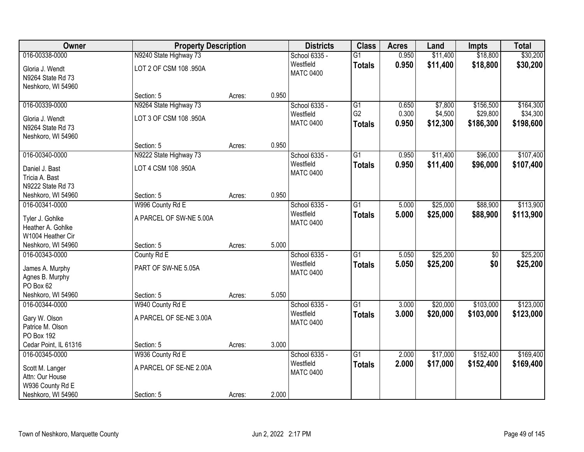| Owner                                | <b>Property Description</b> |        |       | <b>Districts</b> | <b>Class</b>    | <b>Acres</b> | Land     | <b>Impts</b>    | <b>Total</b> |
|--------------------------------------|-----------------------------|--------|-------|------------------|-----------------|--------------|----------|-----------------|--------------|
| 016-00338-0000                       | N9240 State Highway 73      |        |       | School 6335 -    | $\overline{G1}$ | 0.950        | \$11,400 | \$18,800        | \$30,200     |
| Gloria J. Wendt                      | LOT 2 OF CSM 108 .950A      |        |       | Westfield        | <b>Totals</b>   | 0.950        | \$11,400 | \$18,800        | \$30,200     |
| N9264 State Rd 73                    |                             |        |       | <b>MATC 0400</b> |                 |              |          |                 |              |
| Neshkoro, WI 54960                   |                             |        |       |                  |                 |              |          |                 |              |
|                                      | Section: 5                  | Acres: | 0.950 |                  |                 |              |          |                 |              |
| 016-00339-0000                       | N9264 State Highway 73      |        |       | School 6335 -    | $\overline{G1}$ | 0.650        | \$7,800  | \$156,500       | \$164,300    |
| Gloria J. Wendt                      | LOT 3 OF CSM 108 .950A      |        |       | Westfield        | G <sub>2</sub>  | 0.300        | \$4,500  | \$29,800        | \$34,300     |
| N9264 State Rd 73                    |                             |        |       | <b>MATC 0400</b> | <b>Totals</b>   | 0.950        | \$12,300 | \$186,300       | \$198,600    |
| Neshkoro, WI 54960                   |                             |        |       |                  |                 |              |          |                 |              |
|                                      | Section: 5                  | Acres: | 0.950 |                  |                 |              |          |                 |              |
| 016-00340-0000                       | N9222 State Highway 73      |        |       | School 6335 -    | G1              | 0.950        | \$11,400 | \$96,000        | \$107,400    |
| Daniel J. Bast                       | LOT 4 CSM 108 .950A         |        |       | Westfield        | <b>Totals</b>   | 0.950        | \$11,400 | \$96,000        | \$107,400    |
| Tricia A. Bast                       |                             |        |       | <b>MATC 0400</b> |                 |              |          |                 |              |
| N9222 State Rd 73                    |                             |        |       |                  |                 |              |          |                 |              |
| Neshkoro, WI 54960                   | Section: 5                  | Acres: | 0.950 |                  |                 |              |          |                 |              |
| 016-00341-0000                       | W996 County Rd E            |        |       | School 6335 -    | G1              | 5.000        | \$25,000 | \$88,900        | \$113,900    |
|                                      | A PARCEL OF SW-NE 5.00A     |        |       | Westfield        | <b>Totals</b>   | 5.000        | \$25,000 | \$88,900        | \$113,900    |
| Tyler J. Gohlke<br>Heather A. Gohlke |                             |        |       | <b>MATC 0400</b> |                 |              |          |                 |              |
| W1004 Heather Cir                    |                             |        |       |                  |                 |              |          |                 |              |
| Neshkoro, WI 54960                   | Section: 5                  | Acres: | 5.000 |                  |                 |              |          |                 |              |
| 016-00343-0000                       | County Rd E                 |        |       | School 6335 -    | $\overline{G1}$ | 5.050        | \$25,200 | $\overline{30}$ | \$25,200     |
|                                      |                             |        |       | Westfield        | Totals          | 5.050        | \$25,200 | \$0             | \$25,200     |
| James A. Murphy                      | PART OF SW-NE 5.05A         |        |       | <b>MATC 0400</b> |                 |              |          |                 |              |
| Agnes B. Murphy<br>PO Box 62         |                             |        |       |                  |                 |              |          |                 |              |
| Neshkoro, WI 54960                   | Section: 5                  | Acres: | 5.050 |                  |                 |              |          |                 |              |
| 016-00344-0000                       | W940 County Rd E            |        |       | School 6335 -    | $\overline{G1}$ | 3.000        | \$20,000 | \$103,000       | \$123,000    |
|                                      |                             |        |       | Westfield        | <b>Totals</b>   | 3.000        | \$20,000 | \$103,000       | \$123,000    |
| Gary W. Olson                        | A PARCEL OF SE-NE 3.00A     |        |       | <b>MATC 0400</b> |                 |              |          |                 |              |
| Patrice M. Olson                     |                             |        |       |                  |                 |              |          |                 |              |
| PO Box 192<br>Cedar Point, IL 61316  | Section: 5                  | Acres: | 3.000 |                  |                 |              |          |                 |              |
| 016-00345-0000                       | W936 County Rd E            |        |       | School 6335 -    | $\overline{G1}$ | 2.000        | \$17,000 | \$152,400       | \$169,400    |
|                                      |                             |        |       | Westfield        | <b>Totals</b>   | 2.000        | \$17,000 | \$152,400       | \$169,400    |
| Scott M. Langer                      | A PARCEL OF SE-NE 2.00A     |        |       | <b>MATC 0400</b> |                 |              |          |                 |              |
| Attn: Our House                      |                             |        |       |                  |                 |              |          |                 |              |
| W936 County Rd E                     |                             |        |       |                  |                 |              |          |                 |              |
| Neshkoro, WI 54960                   | Section: 5                  | Acres: | 2.000 |                  |                 |              |          |                 |              |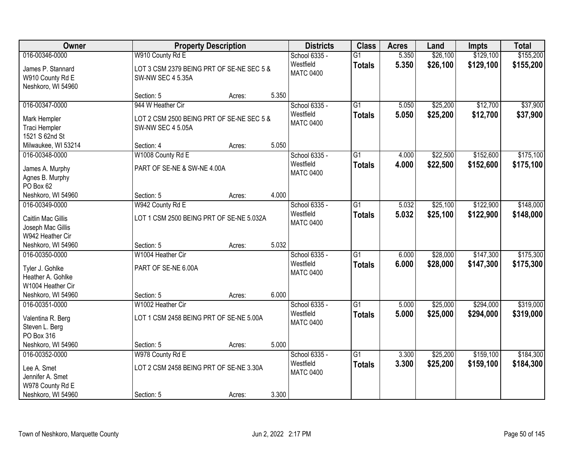| Owner                                                       | <b>Property Description</b>                                           |        |       | <b>Districts</b>                               | <b>Class</b>                     | <b>Acres</b>   | Land                 | <b>Impts</b>           | <b>Total</b>           |
|-------------------------------------------------------------|-----------------------------------------------------------------------|--------|-------|------------------------------------------------|----------------------------------|----------------|----------------------|------------------------|------------------------|
| 016-00346-0000<br>James P. Stannard                         | W910 County Rd E<br>LOT 3 CSM 2379 BEING PRT OF SE-NE SEC 5 &         |        |       | School 6335 -<br>Westfield<br><b>MATC 0400</b> | $\overline{G1}$<br><b>Totals</b> | 5.350<br>5.350 | \$26,100<br>\$26,100 | \$129,100<br>\$129,100 | \$155,200<br>\$155,200 |
| W910 County Rd E<br>Neshkoro, WI 54960                      | <b>SW-NW SEC 4 5.35A</b><br>Section: 5                                | Acres: | 5.350 |                                                |                                  |                |                      |                        |                        |
| 016-00347-0000                                              | 944 W Heather Cir                                                     |        |       | School 6335 -                                  | $\overline{G1}$                  | 5.050          | \$25,200             | \$12,700               | \$37,900               |
| Mark Hempler<br>Traci Hempler<br>1521 S 62nd St             | LOT 2 CSM 2500 BEING PRT OF SE-NE SEC 5 &<br><b>SW-NW SEC 4 5.05A</b> |        |       | Westfield<br><b>MATC 0400</b>                  | <b>Totals</b>                    | 5.050          | \$25,200             | \$12,700               | \$37,900               |
| Milwaukee, WI 53214                                         | Section: 4                                                            | Acres: | 5.050 |                                                |                                  |                |                      |                        |                        |
| 016-00348-0000                                              | W1008 County Rd E                                                     |        |       | School 6335 -                                  | G1                               | 4.000          | \$22,500             | \$152,600              | \$175,100              |
| James A. Murphy<br>Agnes B. Murphy<br>PO Box 62             | PART OF SE-NE & SW-NE 4.00A                                           |        |       | Westfield<br><b>MATC 0400</b>                  | <b>Totals</b>                    | 4.000          | \$22,500             | \$152,600              | \$175,100              |
| Neshkoro, WI 54960                                          | Section: 5                                                            | Acres: | 4.000 |                                                |                                  |                |                      |                        |                        |
| 016-00349-0000                                              | W942 County Rd E                                                      |        |       | School 6335 -                                  | $\overline{G1}$                  | 5.032          | \$25,100             | \$122,900              | \$148,000              |
| Caitlin Mac Gillis<br>Joseph Mac Gillis<br>W942 Heather Cir | LOT 1 CSM 2500 BEING PRT OF SE-NE 5.032A                              |        |       | Westfield<br><b>MATC 0400</b>                  | <b>Totals</b>                    | 5.032          | \$25,100             | \$122,900              | \$148,000              |
| Neshkoro, WI 54960                                          | Section: 5                                                            | Acres: | 5.032 |                                                |                                  |                |                      |                        |                        |
| 016-00350-0000                                              | W1004 Heather Cir                                                     |        |       | School 6335 -<br>Westfield                     | $\overline{G1}$                  | 6.000          | \$28,000             | \$147,300              | \$175,300              |
| Tyler J. Gohlke                                             | PART OF SE-NE 6.00A                                                   |        |       | <b>MATC 0400</b>                               | <b>Totals</b>                    | 6.000          | \$28,000             | \$147,300              | \$175,300              |
| Heather A. Gohlke                                           |                                                                       |        |       |                                                |                                  |                |                      |                        |                        |
| W1004 Heather Cir                                           |                                                                       |        |       |                                                |                                  |                |                      |                        |                        |
| Neshkoro, WI 54960                                          | Section: 5                                                            | Acres: | 6.000 |                                                |                                  |                |                      |                        |                        |
| 016-00351-0000                                              | W1002 Heather Cir                                                     |        |       | School 6335 -                                  | $\overline{G1}$                  | 5.000          | \$25,000             | \$294,000              | \$319,000              |
| Valentina R. Berg<br>Steven L. Berg                         | LOT 1 CSM 2458 BEING PRT OF SE-NE 5.00A                               |        |       | Westfield<br><b>MATC 0400</b>                  | <b>Totals</b>                    | 5.000          | \$25,000             | \$294,000              | \$319,000              |
| PO Box 316                                                  |                                                                       |        |       |                                                |                                  |                |                      |                        |                        |
| Neshkoro, WI 54960                                          | Section: 5                                                            | Acres: | 5.000 |                                                |                                  |                |                      |                        |                        |
| 016-00352-0000                                              | W978 County Rd E                                                      |        |       | School 6335 -                                  | $\overline{G1}$                  | 3.300          | \$25,200             | \$159,100              | \$184,300              |
| Lee A. Smet                                                 | LOT 2 CSM 2458 BEING PRT OF SE-NE 3.30A                               |        |       | Westfield                                      | <b>Totals</b>                    | 3.300          | \$25,200             | \$159,100              | \$184,300              |
| Jennifer A. Smet                                            |                                                                       |        |       | <b>MATC 0400</b>                               |                                  |                |                      |                        |                        |
| W978 County Rd E                                            |                                                                       |        |       |                                                |                                  |                |                      |                        |                        |
| Neshkoro, WI 54960                                          | Section: 5                                                            | Acres: | 3.300 |                                                |                                  |                |                      |                        |                        |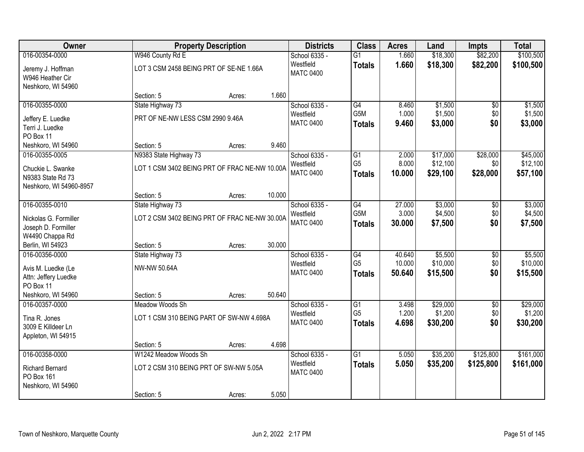| <b>Owner</b>                               |                                               | <b>Property Description</b> |        | <b>Districts</b>              | <b>Class</b>                      | <b>Acres</b>   | Land               | <b>Impts</b>    | <b>Total</b>       |
|--------------------------------------------|-----------------------------------------------|-----------------------------|--------|-------------------------------|-----------------------------------|----------------|--------------------|-----------------|--------------------|
| 016-00354-0000                             | W946 County Rd E                              |                             |        | School 6335 -                 | $\overline{G1}$                   | 1.660          | \$18,300           | \$82,200        | \$100,500          |
| Jeremy J. Hoffman                          | LOT 3 CSM 2458 BEING PRT OF SE-NE 1.66A       |                             |        | Westfield                     | <b>Totals</b>                     | 1.660          | \$18,300           | \$82,200        | \$100,500          |
| W946 Heather Cir                           |                                               |                             |        | <b>MATC 0400</b>              |                                   |                |                    |                 |                    |
| Neshkoro, WI 54960                         |                                               |                             |        |                               |                                   |                |                    |                 |                    |
|                                            | Section: 5                                    | Acres:                      | 1.660  |                               |                                   |                |                    |                 |                    |
| 016-00355-0000                             | State Highway 73                              |                             |        | School 6335 -                 | G4                                | 8.460          | \$1,500            | $\overline{50}$ | \$1,500            |
| Jeffery E. Luedke                          | PRT OF NE-NW LESS CSM 2990 9.46A              |                             |        | Westfield<br><b>MATC 0400</b> | G <sub>5</sub> M<br><b>Totals</b> | 1.000<br>9.460 | \$1,500<br>\$3,000 | \$0<br>\$0      | \$1,500<br>\$3,000 |
| Terri J. Luedke                            |                                               |                             |        |                               |                                   |                |                    |                 |                    |
| PO Box 11                                  |                                               |                             |        |                               |                                   |                |                    |                 |                    |
| Neshkoro, WI 54960                         | Section: 5                                    | Acres:                      | 9.460  |                               |                                   | 2.000          | \$17,000           | \$28,000        | \$45,000           |
| 016-00355-0005                             | N9383 State Highway 73                        |                             |        | School 6335 -<br>Westfield    | $\overline{G1}$<br>G <sub>5</sub> | 8.000          | \$12,100           | \$0             | \$12,100           |
| Chuckie L. Swanke                          | LOT 1 CSM 3402 BEING PRT OF FRAC NE-NW 10.00A |                             |        | <b>MATC 0400</b>              | <b>Totals</b>                     | 10,000         | \$29,100           | \$28,000        | \$57,100           |
| N9383 State Rd 73                          |                                               |                             |        |                               |                                   |                |                    |                 |                    |
| Neshkoro, WI 54960-8957                    | Section: 5                                    | Acres:                      | 10.000 |                               |                                   |                |                    |                 |                    |
| 016-00355-0010                             | State Highway 73                              |                             |        | School 6335 -                 | $\overline{G4}$                   | 27.000         | \$3,000            | $\overline{50}$ | \$3,000            |
|                                            |                                               |                             |        | Westfield                     | G <sub>5</sub> M                  | 3.000          | \$4,500            | \$0             | \$4,500            |
| Nickolas G. Formiller                      | LOT 2 CSM 3402 BEING PRT OF FRAC NE-NW 30.00A |                             |        | <b>MATC 0400</b>              | <b>Totals</b>                     | 30.000         | \$7,500            | \$0             | \$7,500            |
| Joseph D. Formiller<br>W4490 Chappa Rd     |                                               |                             |        |                               |                                   |                |                    |                 |                    |
| Berlin, WI 54923                           | Section: 5                                    | Acres:                      | 30.000 |                               |                                   |                |                    |                 |                    |
| 016-00356-0000                             | State Highway 73                              |                             |        | School 6335 -                 | G4                                | 40.640         | \$5,500            | \$0             | \$5,500            |
|                                            | <b>NW-NW 50.64A</b>                           |                             |        | Westfield                     | G <sub>5</sub>                    | 10.000         | \$10,000           | \$0             | \$10,000           |
| Avis M. Luedke (Le<br>Attn: Jeffery Luedke |                                               |                             |        | <b>MATC 0400</b>              | <b>Totals</b>                     | 50.640         | \$15,500           | \$0             | \$15,500           |
| PO Box 11                                  |                                               |                             |        |                               |                                   |                |                    |                 |                    |
| Neshkoro, WI 54960                         | Section: 5                                    | Acres:                      | 50.640 |                               |                                   |                |                    |                 |                    |
| 016-00357-0000                             | Meadow Woods Sh                               |                             |        | School 6335 -                 | $\overline{G1}$                   | 3.498          | \$29,000           | $\sqrt{6}$      | \$29,000           |
| Tina R. Jones                              | LOT 1 CSM 310 BEING PART OF SW-NW 4.698A      |                             |        | Westfield                     | G <sub>5</sub>                    | 1.200          | \$1,200            | \$0             | \$1,200            |
| 3009 E Killdeer Ln                         |                                               |                             |        | <b>MATC 0400</b>              | <b>Totals</b>                     | 4.698          | \$30,200           | \$0             | \$30,200           |
| Appleton, WI 54915                         |                                               |                             |        |                               |                                   |                |                    |                 |                    |
|                                            | Section: 5                                    | Acres:                      | 4.698  |                               |                                   |                |                    |                 |                    |
| 016-00358-0000                             | W1242 Meadow Woods Sh                         |                             |        | School 6335 -                 | $\overline{G1}$                   | 5.050          | \$35,200           | \$125,800       | \$161,000          |
| <b>Richard Bernard</b>                     | LOT 2 CSM 310 BEING PRT OF SW-NW 5.05A        |                             |        | Westfield                     | <b>Totals</b>                     | 5.050          | \$35,200           | \$125,800       | \$161,000          |
| PO Box 161                                 |                                               |                             |        | <b>MATC 0400</b>              |                                   |                |                    |                 |                    |
| Neshkoro, WI 54960                         |                                               |                             |        |                               |                                   |                |                    |                 |                    |
|                                            | Section: 5                                    | Acres:                      | 5.050  |                               |                                   |                |                    |                 |                    |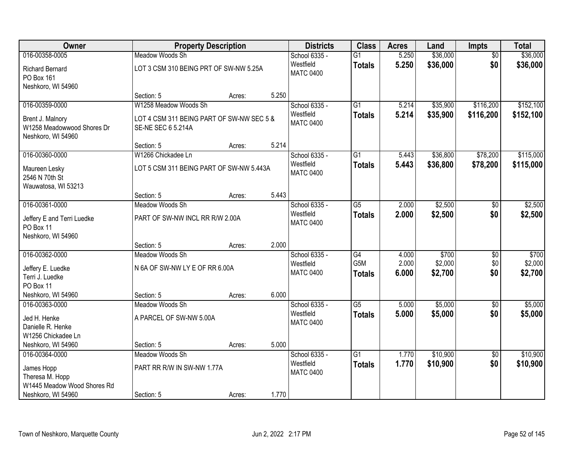| Owner                                                                |                                                                 | <b>Property Description</b> |       | <b>Districts</b>              | <b>Class</b>    | <b>Acres</b> | Land     | <b>Impts</b>    | <b>Total</b> |
|----------------------------------------------------------------------|-----------------------------------------------------------------|-----------------------------|-------|-------------------------------|-----------------|--------------|----------|-----------------|--------------|
| 016-00358-0005                                                       | Meadow Woods Sh                                                 |                             |       | School 6335 -                 | $\overline{G1}$ | 5.250        | \$36,000 | $\overline{50}$ | \$36,000     |
| <b>Richard Bernard</b><br>PO Box 161<br>Neshkoro, WI 54960           | LOT 3 CSM 310 BEING PRT OF SW-NW 5.25A                          |                             |       | Westfield<br><b>MATC 0400</b> | <b>Totals</b>   | 5.250        | \$36,000 | \$0             | \$36,000     |
|                                                                      | Section: 5                                                      | Acres:                      | 5.250 |                               |                 |              |          |                 |              |
| 016-00359-0000                                                       | W1258 Meadow Woods Sh                                           |                             |       | School 6335 -                 | $\overline{G1}$ | 5.214        | \$35,900 | \$116,200       | \$152,100    |
| Brent J. Malnory<br>W1258 Meadowwood Shores Dr<br>Neshkoro, WI 54960 | LOT 4 CSM 311 BEING PART OF SW-NW SEC 5 &<br>SE-NE SEC 6 5.214A |                             |       | Westfield<br><b>MATC 0400</b> | <b>Totals</b>   | 5.214        | \$35,900 | \$116,200       | \$152,100    |
|                                                                      | Section: 5                                                      | Acres:                      | 5.214 |                               |                 |              |          |                 |              |
| 016-00360-0000                                                       | W1266 Chickadee Ln                                              |                             |       | School 6335 -                 | G1              | 5.443        | \$36,800 | \$78,200        | \$115,000    |
| Maureen Lesky<br>2546 N 70th St<br>Wauwatosa, WI 53213               | LOT 5 CSM 311 BEING PART OF SW-NW 5.443A                        |                             |       | Westfield<br><b>MATC 0400</b> | <b>Totals</b>   | 5.443        | \$36,800 | \$78,200        | \$115,000    |
|                                                                      | Section: 5                                                      | Acres:                      | 5.443 |                               |                 |              |          |                 |              |
| 016-00361-0000                                                       | Meadow Woods Sh                                                 |                             |       | School 6335 -                 | $\overline{G5}$ | 2.000        | \$2,500  | $\overline{30}$ | \$2,500      |
| Jeffery E and Terri Luedke<br>PO Box 11<br>Neshkoro, WI 54960        | PART OF SW-NW INCL RR R/W 2.00A                                 |                             |       | Westfield<br><b>MATC 0400</b> | <b>Totals</b>   | 2.000        | \$2,500  | \$0             | \$2,500      |
|                                                                      | Section: 5                                                      | Acres:                      | 2.000 |                               |                 |              |          |                 |              |
| 016-00362-0000                                                       | Meadow Woods Sh                                                 |                             |       | School 6335 -                 | $\overline{G4}$ | 4.000        | \$700    | $\overline{50}$ | \$700        |
| Jeffery E. Luedke                                                    | N 6A OF SW-NW LY E OF RR 6.00A                                  |                             |       | Westfield                     | G5M             | 2.000        | \$2,000  | \$0             | \$2,000      |
| Terri J. Luedke                                                      |                                                                 |                             |       | <b>MATC 0400</b>              | <b>Totals</b>   | 6.000        | \$2,700  | \$0             | \$2,700      |
| PO Box 11                                                            |                                                                 |                             |       |                               |                 |              |          |                 |              |
| Neshkoro, WI 54960                                                   | Section: 5                                                      | Acres:                      | 6.000 |                               |                 |              |          |                 |              |
| 016-00363-0000                                                       | Meadow Woods Sh                                                 |                             |       | School 6335 -                 | $\overline{G5}$ | 5.000        | \$5,000  | $\sqrt{6}$      | \$5,000      |
| Jed H. Henke<br>Danielle R. Henke                                    | A PARCEL OF SW-NW 5.00A                                         |                             |       | Westfield<br><b>MATC 0400</b> | <b>Totals</b>   | 5.000        | \$5,000  | \$0             | \$5,000      |
| W1256 Chickadee Ln                                                   |                                                                 |                             |       |                               |                 |              |          |                 |              |
| Neshkoro, WI 54960                                                   | Section: 5                                                      | Acres:                      | 5.000 |                               |                 |              |          |                 |              |
| 016-00364-0000                                                       | Meadow Woods Sh                                                 |                             |       | School 6335 -                 | $\overline{G1}$ | 1.770        | \$10,900 | $\overline{50}$ | \$10,900     |
| James Hopp<br>Theresa M. Hopp<br>W1445 Meadow Wood Shores Rd         | PART RR R/W IN SW-NW 1.77A                                      |                             |       | Westfield<br><b>MATC 0400</b> | <b>Totals</b>   | 1.770        | \$10,900 | \$0             | \$10,900     |
| Neshkoro, WI 54960                                                   | Section: 5                                                      | Acres:                      | 1.770 |                               |                 |              |          |                 |              |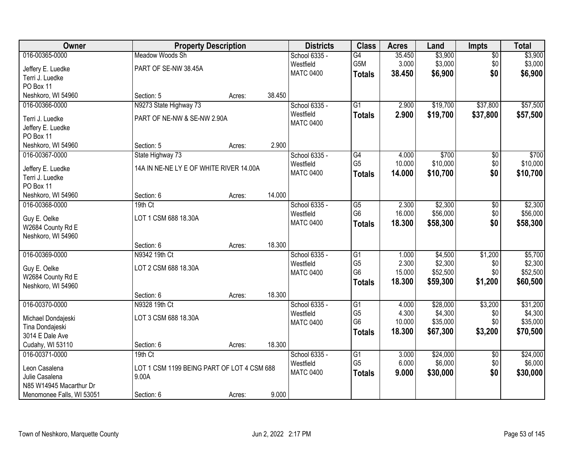| Owner                     | <b>Property Description</b>                |        |        | <b>Districts</b> | <b>Class</b>    | <b>Acres</b> | Land     | <b>Impts</b>    | <b>Total</b> |
|---------------------------|--------------------------------------------|--------|--------|------------------|-----------------|--------------|----------|-----------------|--------------|
| 016-00365-0000            | Meadow Woods Sh                            |        |        | School 6335 -    | $\overline{G4}$ | 35.450       | \$3,900  | \$0             | \$3,900      |
| Jeffery E. Luedke         | PART OF SE-NW 38.45A                       |        |        | Westfield        | G5M             | 3.000        | \$3,000  | \$0             | \$3,000      |
| Terri J. Luedke           |                                            |        |        | <b>MATC 0400</b> | <b>Totals</b>   | 38.450       | \$6,900  | \$0             | \$6,900      |
| PO Box 11                 |                                            |        |        |                  |                 |              |          |                 |              |
| Neshkoro, WI 54960        | Section: 5                                 | Acres: | 38.450 |                  |                 |              |          |                 |              |
| 016-00366-0000            | N9273 State Highway 73                     |        |        | School 6335 -    | $\overline{G1}$ | 2.900        | \$19,700 | \$37,800        | \$57,500     |
| Terri J. Luedke           | PART OF NE-NW & SE-NW 2.90A                |        |        | Westfield        | <b>Totals</b>   | 2.900        | \$19,700 | \$37,800        | \$57,500     |
| Jeffery E. Luedke         |                                            |        |        | <b>MATC 0400</b> |                 |              |          |                 |              |
| PO Box 11                 |                                            |        |        |                  |                 |              |          |                 |              |
| Neshkoro, WI 54960        | Section: 5                                 | Acres: | 2.900  |                  |                 |              |          |                 |              |
| 016-00367-0000            | State Highway 73                           |        |        | School 6335 -    | G4              | 4.000        | \$700    | \$0             | \$700        |
| Jeffery E. Luedke         | 14A IN NE-NE LY E OF WHITE RIVER 14.00A    |        |        | Westfield        | G <sub>5</sub>  | 10.000       | \$10,000 | \$0\$           | \$10,000     |
| Terri J. Luedke           |                                            |        |        | <b>MATC 0400</b> | <b>Totals</b>   | 14.000       | \$10,700 | \$0             | \$10,700     |
| PO Box 11                 |                                            |        |        |                  |                 |              |          |                 |              |
| Neshkoro, WI 54960        | Section: 6                                 | Acres: | 14.000 |                  |                 |              |          |                 |              |
| 016-00368-0000            | 19th Ct                                    |        |        | School 6335 -    | $\overline{G5}$ | 2.300        | \$2,300  | \$0             | \$2,300      |
| Guy E. Oelke              | LOT 1 CSM 688 18.30A                       |        |        | Westfield        | G <sub>6</sub>  | 16.000       | \$56,000 | \$0             | \$56,000     |
| W2684 County Rd E         |                                            |        |        | <b>MATC 0400</b> | <b>Totals</b>   | 18.300       | \$58,300 | \$0             | \$58,300     |
| Neshkoro, WI 54960        |                                            |        |        |                  |                 |              |          |                 |              |
|                           | Section: 6                                 | Acres: | 18.300 |                  |                 |              |          |                 |              |
| 016-00369-0000            | N9342 19th Ct                              |        |        | School 6335 -    | $\overline{G1}$ | 1.000        | \$4,500  | \$1,200         | \$5,700      |
| Guy E. Oelke              | LOT 2 CSM 688 18.30A                       |        |        | Westfield        | G <sub>5</sub>  | 2.300        | \$2,300  | \$0             | \$2,300      |
| W2684 County Rd E         |                                            |        |        | <b>MATC 0400</b> | G <sub>6</sub>  | 15.000       | \$52,500 | \$0             | \$52,500     |
| Neshkoro, WI 54960        |                                            |        |        |                  | <b>Totals</b>   | 18.300       | \$59,300 | \$1,200         | \$60,500     |
|                           | Section: 6                                 | Acres: | 18.300 |                  |                 |              |          |                 |              |
| 016-00370-0000            | N9328 19th Ct                              |        |        | School 6335 -    | G1              | 4.000        | \$28,000 | \$3,200         | \$31,200     |
| Michael Dondajeski        | LOT 3 CSM 688 18.30A                       |        |        | Westfield        | G <sub>5</sub>  | 4.300        | \$4,300  | \$0             | \$4,300      |
| Tina Dondajeski           |                                            |        |        | <b>MATC 0400</b> | G <sub>6</sub>  | 10.000       | \$35,000 | \$0             | \$35,000     |
| 3014 E Dale Ave           |                                            |        |        |                  | <b>Totals</b>   | 18.300       | \$67,300 | \$3,200         | \$70,500     |
| Cudahy, WI 53110          | Section: 6                                 | Acres: | 18.300 |                  |                 |              |          |                 |              |
| 016-00371-0000            | $19th$ Ct                                  |        |        | School 6335 -    | G1              | 3.000        | \$24,000 | $\overline{60}$ | \$24,000     |
| Leon Casalena             | LOT 1 CSM 1199 BEING PART OF LOT 4 CSM 688 |        |        | Westfield        | G <sub>5</sub>  | 6.000        | \$6,000  | \$0             | \$6,000      |
| Julie Casalena            | 9.00A                                      |        |        | <b>MATC 0400</b> | <b>Totals</b>   | 9.000        | \$30,000 | \$0             | \$30,000     |
| N85 W14945 Macarthur Dr   |                                            |        |        |                  |                 |              |          |                 |              |
| Menomonee Falls, WI 53051 | Section: 6                                 | Acres: | 9.000  |                  |                 |              |          |                 |              |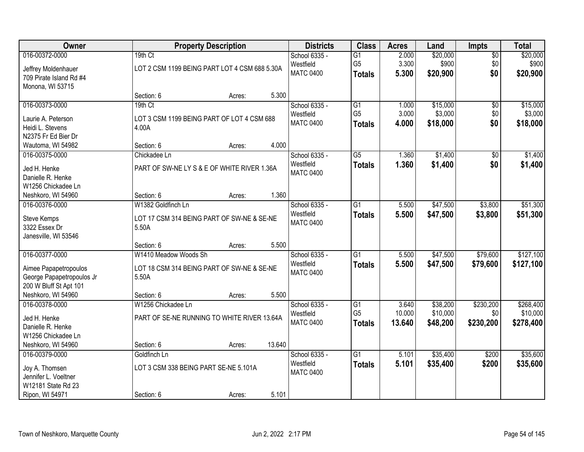| Owner                                  |                       | <b>Property Description</b>                   |        | <b>Districts</b> | <b>Class</b>    | <b>Acres</b> | Land     | <b>Impts</b>    | <b>Total</b> |
|----------------------------------------|-----------------------|-----------------------------------------------|--------|------------------|-----------------|--------------|----------|-----------------|--------------|
| 016-00372-0000                         | 19th Ct               |                                               |        | School 6335 -    | $\overline{G1}$ | 2.000        | \$20,000 | $\overline{50}$ | \$20,000     |
| Jeffrey Moldenhauer                    |                       | LOT 2 CSM 1199 BEING PART LOT 4 CSM 688 5.30A |        | Westfield        | G <sub>5</sub>  | 3.300        | \$900    | \$0             | \$900        |
| 709 Pirate Island Rd #4                |                       |                                               |        | <b>MATC 0400</b> | <b>Totals</b>   | 5.300        | \$20,900 | \$0             | \$20,900     |
| Monona, WI 53715                       |                       |                                               |        |                  |                 |              |          |                 |              |
|                                        | Section: 6            | Acres:                                        | 5.300  |                  |                 |              |          |                 |              |
| 016-00373-0000                         | 19th Ct               |                                               |        | School 6335 -    | $\overline{G1}$ | 1.000        | \$15,000 | $\overline{50}$ | \$15,000     |
| Laurie A. Peterson                     |                       | LOT 3 CSM 1199 BEING PART OF LOT 4 CSM 688    |        | Westfield        | G <sub>5</sub>  | 3.000        | \$3,000  | \$0             | \$3,000      |
| Heidi L. Stevens                       | 4.00A                 |                                               |        | <b>MATC 0400</b> | <b>Totals</b>   | 4.000        | \$18,000 | \$0             | \$18,000     |
| N2375 Fr Ed Bier Dr                    |                       |                                               |        |                  |                 |              |          |                 |              |
| Wautoma, WI 54982                      | Section: 6            | Acres:                                        | 4.000  |                  |                 |              |          |                 |              |
| 016-00375-0000                         | Chickadee Ln          |                                               |        | School 6335 -    | G5              | 1.360        | \$1,400  | \$0             | \$1,400      |
| Jed H. Henke                           |                       | PART OF SW-NE LY S & E OF WHITE RIVER 1.36A   |        | Westfield        | <b>Totals</b>   | 1.360        | \$1,400  | \$0             | \$1,400      |
| Danielle R. Henke                      |                       |                                               |        | <b>MATC 0400</b> |                 |              |          |                 |              |
| W1256 Chickadee Ln                     |                       |                                               |        |                  |                 |              |          |                 |              |
| Neshkoro, WI 54960                     | Section: 6            | Acres:                                        | 1.360  |                  |                 |              |          |                 |              |
| 016-00376-0000                         | W1382 Goldfinch Ln    |                                               |        | School 6335 -    | G1              | 5.500        | \$47,500 | \$3,800         | \$51,300     |
| Steve Kemps                            |                       | LOT 17 CSM 314 BEING PART OF SW-NE & SE-NE    |        | Westfield        | <b>Totals</b>   | 5.500        | \$47,500 | \$3,800         | \$51,300     |
| 3322 Essex Dr                          | 5.50A                 |                                               |        | <b>MATC 0400</b> |                 |              |          |                 |              |
| Janesville, WI 53546                   |                       |                                               |        |                  |                 |              |          |                 |              |
|                                        | Section: 6            | Acres:                                        | 5.500  |                  |                 |              |          |                 |              |
| 016-00377-0000                         | W1410 Meadow Woods Sh |                                               |        | School 6335 -    | $\overline{G1}$ | 5.500        | \$47,500 | \$79,600        | \$127,100    |
| Aimee Papapetropoulos                  |                       | LOT 18 CSM 314 BEING PART OF SW-NE & SE-NE    |        | Westfield        | <b>Totals</b>   | 5.500        | \$47,500 | \$79,600        | \$127,100    |
| George Papapetropoulos Jr              | 5.50A                 |                                               |        | <b>MATC 0400</b> |                 |              |          |                 |              |
| 200 W Bluff St Apt 101                 |                       |                                               |        |                  |                 |              |          |                 |              |
| Neshkoro, WI 54960                     | Section: 6            | Acres:                                        | 5.500  |                  |                 |              |          |                 |              |
| 016-00378-0000                         | W1256 Chickadee Ln    |                                               |        | School 6335 -    | $\overline{G1}$ | 3.640        | \$38,200 | \$230,200       | \$268,400    |
| Jed H. Henke                           |                       | PART OF SE-NE RUNNING TO WHITE RIVER 13.64A   |        | Westfield        | G <sub>5</sub>  | 10.000       | \$10,000 | \$0             | \$10,000     |
| Danielle R. Henke                      |                       |                                               |        | <b>MATC 0400</b> | <b>Totals</b>   | 13.640       | \$48,200 | \$230,200       | \$278,400    |
| W1256 Chickadee Ln                     |                       |                                               |        |                  |                 |              |          |                 |              |
| Neshkoro, WI 54960                     | Section: 6            | Acres:                                        | 13.640 |                  |                 |              |          |                 |              |
| 016-00379-0000                         | Goldfinch Ln          |                                               |        | School 6335 -    | $\overline{G1}$ | 5.101        | \$35,400 | \$200           | \$35,600     |
|                                        |                       | LOT 3 CSM 338 BEING PART SE-NE 5.101A         |        | Westfield        | <b>Totals</b>   | 5.101        | \$35,400 | \$200           | \$35,600     |
| Joy A. Thomsen<br>Jennifer L. Voeltner |                       |                                               |        | <b>MATC 0400</b> |                 |              |          |                 |              |
| W12181 State Rd 23                     |                       |                                               |        |                  |                 |              |          |                 |              |
| Ripon, WI 54971                        | Section: 6            | Acres:                                        | 5.101  |                  |                 |              |          |                 |              |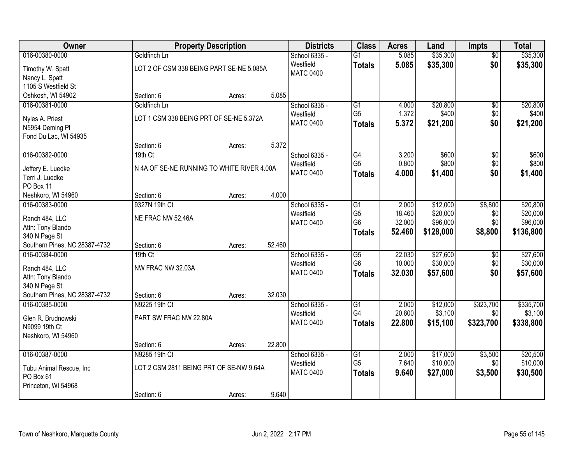| Owner                                          |                                            | <b>Property Description</b> |        | <b>Districts</b> | <b>Class</b>    | <b>Acres</b> | Land      | <b>Impts</b>    | <b>Total</b> |
|------------------------------------------------|--------------------------------------------|-----------------------------|--------|------------------|-----------------|--------------|-----------|-----------------|--------------|
| 016-00380-0000                                 | Goldfinch Ln                               |                             |        | School 6335 -    | $\overline{G1}$ | 5.085        | \$35,300  | \$0             | \$35,300     |
| Timothy W. Spatt                               | LOT 2 OF CSM 338 BEING PART SE-NE 5.085A   |                             |        | Westfield        | <b>Totals</b>   | 5.085        | \$35,300  | \$0             | \$35,300     |
| Nancy L. Spatt                                 |                                            |                             |        | <b>MATC 0400</b> |                 |              |           |                 |              |
| 1105 S Westfield St                            |                                            |                             |        |                  |                 |              |           |                 |              |
| Oshkosh, WI 54902                              | Section: 6                                 | Acres:                      | 5.085  |                  |                 |              |           |                 |              |
| 016-00381-0000                                 | Goldfinch Ln                               |                             |        | School 6335 -    | $\overline{G1}$ | 4.000        | \$20,800  | $\overline{50}$ | \$20,800     |
| Nyles A. Priest                                | LOT 1 CSM 338 BEING PRT OF SE-NE 5.372A    |                             |        | Westfield        | G <sub>5</sub>  | 1.372        | \$400     | \$0             | \$400        |
| N5954 Deming PI                                |                                            |                             |        | <b>MATC 0400</b> | <b>Totals</b>   | 5.372        | \$21,200  | \$0             | \$21,200     |
| Fond Du Lac, WI 54935                          |                                            |                             |        |                  |                 |              |           |                 |              |
|                                                | Section: 6                                 | Acres:                      | 5.372  |                  |                 |              |           |                 |              |
| 016-00382-0000                                 | 19th Ct                                    |                             |        | School 6335 -    | G4              | 3.200        | \$600     | \$0             | \$600        |
|                                                | N 4A OF SE-NE RUNNING TO WHITE RIVER 4.00A |                             |        | Westfield        | G <sub>5</sub>  | 0.800        | \$800     | \$0             | \$800        |
| Jeffery E. Luedke<br>Terri J. Luedke           |                                            |                             |        | <b>MATC 0400</b> | <b>Totals</b>   | 4.000        | \$1,400   | \$0             | \$1,400      |
| PO Box 11                                      |                                            |                             |        |                  |                 |              |           |                 |              |
| Neshkoro, WI 54960                             | Section: 6                                 | Acres:                      | 4.000  |                  |                 |              |           |                 |              |
| 016-00383-0000                                 | 9327N 19th Ct                              |                             |        | School 6335 -    | G1              | 2.000        | \$12,000  | \$8,800         | \$20,800     |
|                                                |                                            |                             |        | Westfield        | G <sub>5</sub>  | 18.460       | \$20,000  | \$0             | \$20,000     |
| Ranch 484, LLC<br>Attn: Tony Blando            | NE FRAC NW 52.46A                          |                             |        | <b>MATC 0400</b> | G <sub>6</sub>  | 32.000       | \$96,000  | \$0             | \$96,000     |
| 340 N Page St                                  |                                            |                             |        |                  | <b>Totals</b>   | 52.460       | \$128,000 | \$8,800         | \$136,800    |
| Southern Pines, NC 28387-4732                  | Section: 6                                 | Acres:                      | 52.460 |                  |                 |              |           |                 |              |
| 016-00384-0000                                 | $19th$ Ct                                  |                             |        | School 6335 -    | $\overline{G5}$ | 22.030       | \$27,600  | $\overline{50}$ | \$27,600     |
|                                                |                                            |                             |        | Westfield        | G <sub>6</sub>  | 10.000       | \$30,000  | \$0             | \$30,000     |
| Ranch 484, LLC                                 | NW FRAC NW 32.03A                          |                             |        | <b>MATC 0400</b> | <b>Totals</b>   | 32.030       | \$57,600  | \$0             | \$57,600     |
| Attn: Tony Blando                              |                                            |                             |        |                  |                 |              |           |                 |              |
| 340 N Page St<br>Southern Pines, NC 28387-4732 | Section: 6                                 | Acres:                      | 32.030 |                  |                 |              |           |                 |              |
| 016-00385-0000                                 | N9225 19th Ct                              |                             |        | School 6335 -    | G1              | 2.000        | \$12,000  | \$323,700       | \$335,700    |
|                                                |                                            |                             |        | Westfield        | G4              | 20.800       | \$3,100   | \$0             | \$3,100      |
| Glen R. Brudnowski                             | PART SW FRAC NW 22.80A                     |                             |        | <b>MATC 0400</b> | <b>Totals</b>   | 22,800       | \$15,100  | \$323,700       | \$338,800    |
| N9099 19th Ct                                  |                                            |                             |        |                  |                 |              |           |                 |              |
| Neshkoro, WI 54960                             |                                            |                             |        |                  |                 |              |           |                 |              |
| 016-00387-0000                                 | Section: 6<br>N9285 19th Ct                | Acres:                      | 22.800 | School 6335 -    | G1              | 2.000        | \$17,000  | \$3,500         | \$20,500     |
|                                                |                                            |                             |        | Westfield        | G <sub>5</sub>  | 7.640        | \$10,000  | \$0             | \$10,000     |
| Tubu Animal Rescue, Inc                        | LOT 2 CSM 2811 BEING PRT OF SE-NW 9.64A    |                             |        | <b>MATC 0400</b> | <b>Totals</b>   | 9.640        | \$27,000  | \$3,500         | \$30,500     |
| PO Box 61                                      |                                            |                             |        |                  |                 |              |           |                 |              |
| Princeton, WI 54968                            |                                            |                             |        |                  |                 |              |           |                 |              |
|                                                | Section: 6                                 | Acres:                      | 9.640  |                  |                 |              |           |                 |              |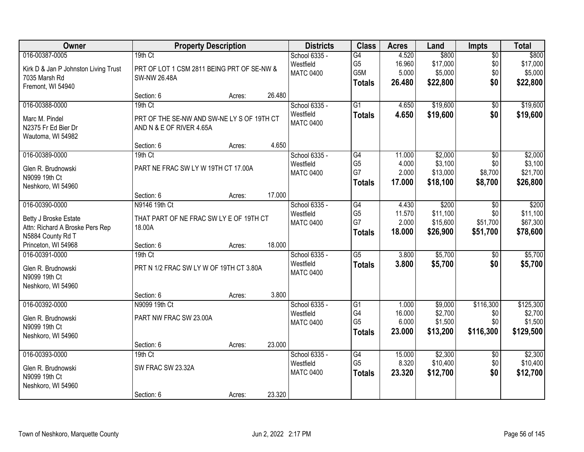| Owner                                                                                           |                                                                                   | <b>Property Description</b> |        | <b>Districts</b>                               | <b>Class</b>                                              | <b>Acres</b>                       | Land                                       | <b>Impts</b>                                | <b>Total</b>                                 |
|-------------------------------------------------------------------------------------------------|-----------------------------------------------------------------------------------|-----------------------------|--------|------------------------------------------------|-----------------------------------------------------------|------------------------------------|--------------------------------------------|---------------------------------------------|----------------------------------------------|
| 016-00387-0005<br>Kirk D & Jan P Johnston Living Trust<br>7035 Marsh Rd<br>Fremont, WI 54940    | 19th Ct<br>PRT OF LOT 1 CSM 2811 BEING PRT OF SE-NW &<br><b>SW-NW 26.48A</b>      |                             |        | School 6335 -<br>Westfield<br><b>MATC 0400</b> | $\overline{G4}$<br>G <sub>5</sub><br>G5M<br><b>Totals</b> | 4.520<br>16.960<br>5.000<br>26.480 | \$800<br>\$17,000<br>\$5,000<br>\$22,800   | $\overline{50}$<br>\$0<br>\$0<br>\$0        | \$800<br>\$17,000<br>\$5,000<br>\$22,800     |
|                                                                                                 | Section: 6                                                                        | Acres:                      | 26.480 |                                                |                                                           |                                    |                                            |                                             |                                              |
| 016-00388-0000<br>Marc M. Pindel<br>N2375 Fr Ed Bier Dr<br>Wautoma, WI 54982                    | 19th Ct<br>PRT OF THE SE-NW AND SW-NE LY S OF 19TH CT<br>AND N & E OF RIVER 4.65A |                             |        | School 6335 -<br>Westfield<br><b>MATC 0400</b> | $\overline{G1}$<br><b>Totals</b>                          | 4.650<br>4.650                     | \$19,600<br>\$19,600                       | $\overline{50}$<br>\$0                      | \$19,600<br>\$19,600                         |
|                                                                                                 | Section: 6                                                                        | Acres:                      | 4.650  |                                                |                                                           |                                    |                                            |                                             |                                              |
| 016-00389-0000<br>Glen R. Brudnowski<br>N9099 19th Ct<br>Neshkoro, WI 54960                     | 19th Ct<br>PART NE FRAC SW LY W 19TH CT 17.00A                                    |                             |        | School 6335 -<br>Westfield<br><b>MATC 0400</b> | G4<br>G <sub>5</sub><br>G7<br><b>Totals</b>               | 11.000<br>4.000<br>2.000<br>17.000 | \$2,000<br>\$3,100<br>\$13,000<br>\$18,100 | \$0<br>\$0<br>\$8,700<br>\$8,700            | \$2,000<br>\$3,100<br>\$21,700<br>\$26,800   |
|                                                                                                 | Section: 6                                                                        | Acres:                      | 17.000 |                                                |                                                           |                                    |                                            |                                             |                                              |
| 016-00390-0000<br>Betty J Broske Estate<br>Attn: Richard A Broske Pers Rep<br>N5884 County Rd T | N9146 19th Ct<br>THAT PART OF NE FRAC SW LY E OF 19TH CT<br>18.00A                |                             |        | School 6335 -<br>Westfield<br><b>MATC 0400</b> | G4<br>G <sub>5</sub><br>G7<br><b>Totals</b>               | 4.430<br>11.570<br>2.000<br>18.000 | \$200<br>\$11,100<br>\$15,600<br>\$26,900  | $\sqrt[6]{}$<br>\$0<br>\$51,700<br>\$51,700 | \$200<br>\$11,100<br>\$67,300<br>\$78,600    |
| Princeton, WI 54968                                                                             | Section: 6                                                                        | Acres:                      | 18.000 |                                                |                                                           |                                    |                                            |                                             |                                              |
| 016-00391-0000<br>Glen R. Brudnowski<br>N9099 19th Ct<br>Neshkoro, WI 54960                     | 19th Ct<br>PRT N 1/2 FRAC SW LY W OF 19TH CT 3.80A                                |                             |        | School 6335 -<br>Westfield<br><b>MATC 0400</b> | $\overline{\text{G5}}$<br><b>Totals</b>                   | 3.800<br>3.800                     | \$5,700<br>\$5,700                         | $\overline{50}$<br>\$0                      | \$5,700<br>\$5,700                           |
|                                                                                                 | Section: 6                                                                        | Acres:                      | 3.800  |                                                |                                                           |                                    |                                            |                                             |                                              |
| 016-00392-0000<br>Glen R. Brudnowski<br>N9099 19th Ct<br>Neshkoro, WI 54960                     | N9099 19th Ct<br>PART NW FRAC SW 23.00A                                           |                             |        | School 6335 -<br>Westfield<br><b>MATC 0400</b> | $\overline{G1}$<br>G4<br>G <sub>5</sub><br><b>Totals</b>  | 1.000<br>16.000<br>6.000<br>23.000 | \$9,000<br>\$2,700<br>\$1,500<br>\$13,200  | \$116,300<br>\$0<br>\$0<br>\$116,300        | \$125,300<br>\$2,700<br>\$1,500<br>\$129,500 |
|                                                                                                 | Section: 6                                                                        | Acres:                      | 23.000 |                                                |                                                           |                                    |                                            |                                             |                                              |
| 016-00393-0000<br>Glen R. Brudnowski<br>N9099 19th Ct<br>Neshkoro, WI 54960                     | $19th$ Ct<br>SW FRAC SW 23.32A<br>Section: 6                                      | Acres:                      | 23.320 | School 6335 -<br>Westfield<br><b>MATC 0400</b> | G4<br>G <sub>5</sub><br><b>Totals</b>                     | 15.000<br>8.320<br>23.320          | \$2,300<br>\$10,400<br>\$12,700            | $\overline{50}$<br>\$0<br>\$0               | \$2,300<br>\$10,400<br>\$12,700              |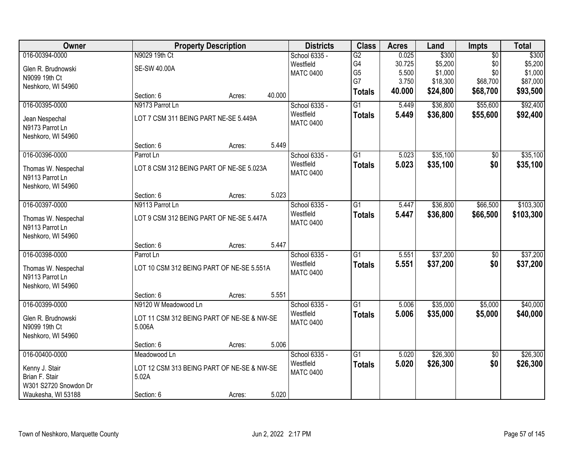| Owner                 |                                            | <b>Property Description</b> |        | <b>Districts</b> | <b>Class</b>    | <b>Acres</b> | Land     | <b>Impts</b>    | <b>Total</b> |
|-----------------------|--------------------------------------------|-----------------------------|--------|------------------|-----------------|--------------|----------|-----------------|--------------|
| 016-00394-0000        | N9029 19th Ct                              |                             |        | School 6335 -    | G2              | 0.025        | \$300    | $\overline{50}$ | \$300        |
| Glen R. Brudnowski    | <b>SE-SW 40.00A</b>                        |                             |        | Westfield        | G4              | 30.725       | \$5,200  | \$0             | \$5,200      |
| N9099 19th Ct         |                                            |                             |        | <b>MATC 0400</b> | G <sub>5</sub>  | 5.500        | \$1,000  | \$0             | \$1,000      |
| Neshkoro, WI 54960    |                                            |                             |        |                  | G7              | 3.750        | \$18,300 | \$68,700        | \$87,000     |
|                       | Section: 6                                 | Acres:                      | 40.000 |                  | <b>Totals</b>   | 40.000       | \$24,800 | \$68,700        | \$93,500     |
| 016-00395-0000        | N9173 Parrot Ln                            |                             |        | School 6335 -    | $\overline{G1}$ | 5.449        | \$36,800 | \$55,600        | \$92,400     |
| Jean Nespechal        | LOT 7 CSM 311 BEING PART NE-SE 5.449A      |                             |        | Westfield        | <b>Totals</b>   | 5.449        | \$36,800 | \$55,600        | \$92,400     |
| N9173 Parrot Ln       |                                            |                             |        | <b>MATC 0400</b> |                 |              |          |                 |              |
| Neshkoro, WI 54960    |                                            |                             |        |                  |                 |              |          |                 |              |
|                       | Section: 6                                 | Acres:                      | 5.449  |                  |                 |              |          |                 |              |
| 016-00396-0000        | Parrot Ln                                  |                             |        | School 6335 -    | G <sub>1</sub>  | 5.023        | \$35,100 | \$0             | \$35,100     |
| Thomas W. Nespechal   | LOT 8 CSM 312 BEING PART OF NE-SE 5.023A   |                             |        | Westfield        | <b>Totals</b>   | 5.023        | \$35,100 | \$0             | \$35,100     |
| N9113 Parrot Ln       |                                            |                             |        | <b>MATC 0400</b> |                 |              |          |                 |              |
| Neshkoro, WI 54960    |                                            |                             |        |                  |                 |              |          |                 |              |
|                       | Section: 6                                 | Acres:                      | 5.023  |                  |                 |              |          |                 |              |
| 016-00397-0000        | N9113 Parrot Ln                            |                             |        | School 6335 -    | $\overline{G1}$ | 5.447        | \$36,800 | \$66,500        | \$103,300    |
| Thomas W. Nespechal   | LOT 9 CSM 312 BEING PART OF NE-SE 5.447A   |                             |        | Westfield        | <b>Totals</b>   | 5.447        | \$36,800 | \$66,500        | \$103,300    |
| N9113 Parrot Ln       |                                            |                             |        | <b>MATC 0400</b> |                 |              |          |                 |              |
| Neshkoro, WI 54960    |                                            |                             |        |                  |                 |              |          |                 |              |
|                       | Section: 6                                 | Acres:                      | 5.447  |                  |                 |              |          |                 |              |
| 016-00398-0000        | Parrot Ln                                  |                             |        | School 6335 -    | $\overline{G1}$ | 5.551        | \$37,200 | $\overline{50}$ | \$37,200     |
| Thomas W. Nespechal   | LOT 10 CSM 312 BEING PART OF NE-SE 5.551A  |                             |        | Westfield        | <b>Totals</b>   | 5.551        | \$37,200 | \$0             | \$37,200     |
| N9113 Parrot Ln       |                                            |                             |        | <b>MATC 0400</b> |                 |              |          |                 |              |
| Neshkoro, WI 54960    |                                            |                             |        |                  |                 |              |          |                 |              |
|                       | Section: 6                                 | Acres:                      | 5.551  |                  |                 |              |          |                 |              |
| 016-00399-0000        | N9120 W Meadowood Ln                       |                             |        | School 6335 -    | $\overline{G1}$ | 5.006        | \$35,000 | \$5,000         | \$40,000     |
| Glen R. Brudnowski    | LOT 11 CSM 312 BEING PART OF NE-SE & NW-SE |                             |        | Westfield        | <b>Totals</b>   | 5.006        | \$35,000 | \$5,000         | \$40,000     |
| N9099 19th Ct         | 5.006A                                     |                             |        | <b>MATC 0400</b> |                 |              |          |                 |              |
| Neshkoro, WI 54960    |                                            |                             |        |                  |                 |              |          |                 |              |
|                       | Section: 6                                 | Acres:                      | 5.006  |                  |                 |              |          |                 |              |
| 016-00400-0000        | Meadowood Ln                               |                             |        | School 6335 -    | G1              | 5.020        | \$26,300 | $\overline{50}$ | \$26,300     |
| Kenny J. Stair        | LOT 12 CSM 313 BEING PART OF NE-SE & NW-SE |                             |        | Westfield        | <b>Totals</b>   | 5.020        | \$26,300 | \$0             | \$26,300     |
| Brian F. Stair        | 5.02A                                      |                             |        | <b>MATC 0400</b> |                 |              |          |                 |              |
| W301 S2720 Snowdon Dr |                                            |                             |        |                  |                 |              |          |                 |              |
| Waukesha, WI 53188    | Section: 6                                 | Acres:                      | 5.020  |                  |                 |              |          |                 |              |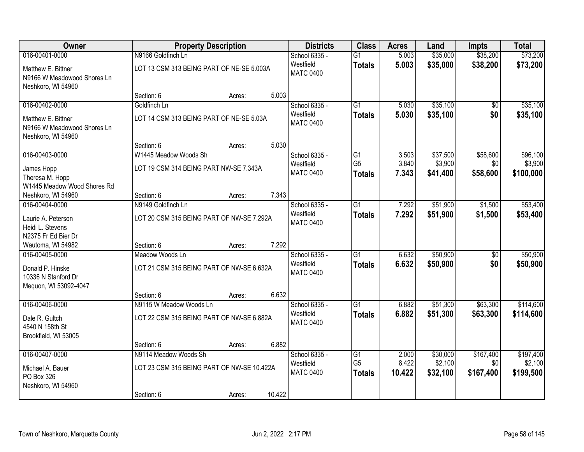| Owner                                                                   |                                            | <b>Property Description</b> |        | <b>Districts</b>              | <b>Class</b>    | <b>Acres</b> | Land     | <b>Impts</b>    | <b>Total</b> |
|-------------------------------------------------------------------------|--------------------------------------------|-----------------------------|--------|-------------------------------|-----------------|--------------|----------|-----------------|--------------|
| 016-00401-0000                                                          | N9166 Goldfinch Ln                         |                             |        | School 6335 -                 | $\overline{G1}$ | 5.003        | \$35,000 | \$38,200        | \$73,200     |
| Matthew E. Bittner<br>N9166 W Meadowood Shores Ln<br>Neshkoro, WI 54960 | LOT 13 CSM 313 BEING PART OF NE-SE 5.003A  |                             |        | Westfield<br><b>MATC 0400</b> | <b>Totals</b>   | 5.003        | \$35,000 | \$38,200        | \$73,200     |
|                                                                         | Section: 6                                 | Acres:                      | 5.003  |                               |                 |              |          |                 |              |
| 016-00402-0000                                                          | Goldfinch Ln                               |                             |        | School 6335 -                 | $\overline{G1}$ | 5.030        | \$35,100 | $\overline{50}$ | \$35,100     |
| Matthew E. Bittner<br>N9166 W Meadowood Shores Ln<br>Neshkoro, WI 54960 | LOT 14 CSM 313 BEING PART OF NE-SE 5.03A   |                             |        | Westfield<br><b>MATC 0400</b> | <b>Totals</b>   | 5.030        | \$35,100 | \$0             | \$35,100     |
|                                                                         | Section: 6                                 | Acres:                      | 5.030  |                               |                 |              |          |                 |              |
| 016-00403-0000                                                          | W1445 Meadow Woods Sh                      |                             |        | School 6335 -                 | G1              | 3.503        | \$37,500 | \$58,600        | \$96,100     |
| James Hopp                                                              | LOT 19 CSM 314 BEING PART NW-SE 7.343A     |                             |        | Westfield                     | G <sub>5</sub>  | 3.840        | \$3,900  | \$0             | \$3,900      |
| Theresa M. Hopp                                                         |                                            |                             |        | <b>MATC 0400</b>              | <b>Totals</b>   | 7.343        | \$41,400 | \$58,600        | \$100,000    |
| W1445 Meadow Wood Shores Rd                                             |                                            |                             |        |                               |                 |              |          |                 |              |
| Neshkoro, WI 54960                                                      | Section: 6                                 | Acres:                      | 7.343  |                               |                 |              |          |                 |              |
| 016-00404-0000                                                          | N9149 Goldfinch Ln                         |                             |        | School 6335 -                 | $\overline{G1}$ | 7.292        | \$51,900 | \$1,500         | \$53,400     |
| Laurie A. Peterson                                                      | LOT 20 CSM 315 BEING PART OF NW-SE 7.292A  |                             |        | Westfield<br><b>MATC 0400</b> | <b>Totals</b>   | 7.292        | \$51,900 | \$1,500         | \$53,400     |
| Heidi L. Stevens                                                        |                                            |                             |        |                               |                 |              |          |                 |              |
| N2375 Fr Ed Bier Dr                                                     |                                            |                             | 7.292  |                               |                 |              |          |                 |              |
| Wautoma, WI 54982<br>016-00405-0000                                     | Section: 6<br>Meadow Woods Ln              | Acres:                      |        | School 6335 -                 | $\overline{G1}$ | 6.632        | \$50,900 | $\overline{50}$ | \$50,900     |
|                                                                         |                                            |                             |        | Westfield                     | <b>Totals</b>   | 6.632        | \$50,900 | \$0             | \$50,900     |
| Donald P. Hinske                                                        | LOT 21 CSM 315 BEING PART OF NW-SE 6.632A  |                             |        | <b>MATC 0400</b>              |                 |              |          |                 |              |
| 10336 N Stanford Dr                                                     |                                            |                             |        |                               |                 |              |          |                 |              |
| Mequon, WI 53092-4047                                                   |                                            |                             | 6.632  |                               |                 |              |          |                 |              |
| 016-00406-0000                                                          | Section: 6<br>N9115 W Meadow Woods Ln      | Acres:                      |        | School 6335 -                 | $\overline{G1}$ | 6.882        | \$51,300 | \$63,300        | \$114,600    |
|                                                                         |                                            |                             |        | Westfield                     | <b>Totals</b>   | 6.882        | \$51,300 | \$63,300        | \$114,600    |
| Dale R. Gultch                                                          | LOT 22 CSM 315 BEING PART OF NW-SE 6.882A  |                             |        | <b>MATC 0400</b>              |                 |              |          |                 |              |
| 4540 N 158th St                                                         |                                            |                             |        |                               |                 |              |          |                 |              |
| Brookfield, WI 53005                                                    |                                            |                             | 6.882  |                               |                 |              |          |                 |              |
| 016-00407-0000                                                          | Section: 6<br>N9114 Meadow Woods Sh        | Acres:                      |        | School 6335 -                 | G1              | 2.000        | \$30,000 | \$167,400       | \$197,400    |
|                                                                         |                                            |                             |        | Westfield                     | G <sub>5</sub>  | 8.422        | \$2,100  | \$0             | \$2,100      |
| Michael A. Bauer                                                        | LOT 23 CSM 315 BEING PART OF NW-SE 10.422A |                             |        | <b>MATC 0400</b>              | <b>Totals</b>   | 10.422       | \$32,100 | \$167,400       | \$199,500    |
| PO Box 326                                                              |                                            |                             |        |                               |                 |              |          |                 |              |
| Neshkoro, WI 54960                                                      |                                            |                             | 10.422 |                               |                 |              |          |                 |              |
|                                                                         | Section: 6                                 | Acres:                      |        |                               |                 |              |          |                 |              |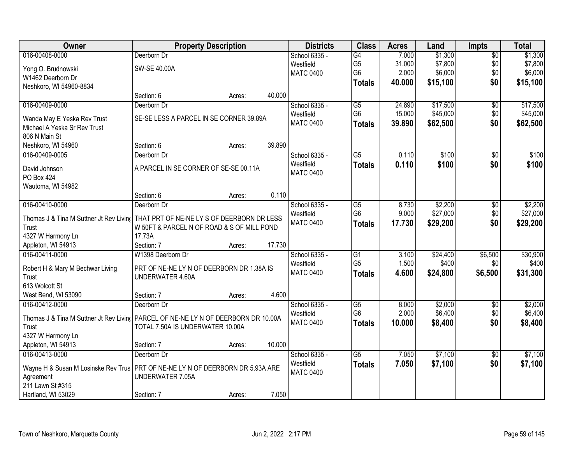| Owner                            | <b>Property Description</b>                                                        |        | <b>Districts</b> | <b>Class</b>    | <b>Acres</b> | Land     | <b>Impts</b>    | <b>Total</b> |
|----------------------------------|------------------------------------------------------------------------------------|--------|------------------|-----------------|--------------|----------|-----------------|--------------|
| 016-00408-0000                   | Deerborn Dr                                                                        |        | School 6335 -    | G4              | 7.000        | \$1,300  | \$0             | \$1,300      |
| Yong O. Brudnowski               | SW-SE 40.00A                                                                       |        | Westfield        | G <sub>5</sub>  | 31.000       | \$7,800  | \$0             | \$7,800      |
| W1462 Deerborn Dr                |                                                                                    |        | <b>MATC 0400</b> | G <sub>6</sub>  | 2.000        | \$6,000  | \$0             | \$6,000      |
| Neshkoro, WI 54960-8834          |                                                                                    |        |                  | <b>Totals</b>   | 40.000       | \$15,100 | \$0             | \$15,100     |
|                                  | Section: 6<br>Acres:                                                               | 40.000 |                  |                 |              |          |                 |              |
| 016-00409-0000                   | Deerborn Dr                                                                        |        | School 6335 -    | $\overline{G5}$ | 24.890       | \$17,500 | $\overline{50}$ | \$17,500     |
|                                  |                                                                                    |        | Westfield        | G <sub>6</sub>  | 15.000       | \$45,000 | \$0             | \$45,000     |
| Wanda May E Yeska Rev Trust      | SE-SE LESS A PARCEL IN SE CORNER 39.89A                                            |        | <b>MATC 0400</b> | <b>Totals</b>   | 39.890       | \$62,500 | \$0             | \$62,500     |
| Michael A Yeska Sr Rev Trust     |                                                                                    |        |                  |                 |              |          |                 |              |
| 806 N Main St                    |                                                                                    | 39.890 |                  |                 |              |          |                 |              |
| Neshkoro, WI 54960               | Section: 6<br>Acres:                                                               |        |                  |                 |              |          |                 |              |
| 016-00409-0005                   | Deerborn Dr                                                                        |        | School 6335 -    | G5              | 0.110        | \$100    | \$0             | \$100        |
| David Johnson                    | A PARCEL IN SE CORNER OF SE-SE 00.11A                                              |        | Westfield        | <b>Totals</b>   | 0.110        | \$100    | \$0             | \$100        |
| <b>PO Box 424</b>                |                                                                                    |        | <b>MATC 0400</b> |                 |              |          |                 |              |
| Wautoma, WI 54982                |                                                                                    |        |                  |                 |              |          |                 |              |
|                                  | Section: 6<br>Acres:                                                               | 0.110  |                  |                 |              |          |                 |              |
| 016-00410-0000                   | Deerborn Dr                                                                        |        | School 6335 -    | G5              | 8.730        | \$2,200  | \$0             | \$2,200      |
|                                  | Thomas J & Tina M Suttner Jt Rev Livin(THAT PRT OF NE-NE LY S OF DEERBORN DR LESS  |        | Westfield        | G <sub>6</sub>  | 9.000        | \$27,000 | \$0             | \$27,000     |
| Trust                            | W 50FT & PARCEL N OF ROAD & S OF MILL POND                                         |        | <b>MATC 0400</b> | <b>Totals</b>   | 17.730       | \$29,200 | \$0             | \$29,200     |
| 4327 W Harmony Ln                | 17.73A                                                                             |        |                  |                 |              |          |                 |              |
| Appleton, WI 54913               | Section: 7<br>Acres:                                                               | 17.730 |                  |                 |              |          |                 |              |
| 016-00411-0000                   | W1398 Deerborn Dr                                                                  |        | School 6335 -    | $\overline{G1}$ | 3.100        | \$24,400 | \$6,500         | \$30,900     |
|                                  |                                                                                    |        | Westfield        | G <sub>5</sub>  | 1.500        | \$400    | \$0             | \$400        |
| Robert H & Mary M Bechwar Living | PRT OF NE-NE LY N OF DEERBORN DR 1.38A IS                                          |        | <b>MATC 0400</b> | <b>Totals</b>   | 4.600        | \$24,800 | \$6,500         | \$31,300     |
| Trust                            | UNDERWATER 4.60A                                                                   |        |                  |                 |              |          |                 |              |
| 613 Wolcott St                   |                                                                                    |        |                  |                 |              |          |                 |              |
| West Bend, WI 53090              | Section: 7<br>Acres:                                                               | 4.600  |                  |                 |              |          |                 |              |
| 016-00412-0000                   | Deerborn Dr                                                                        |        | School 6335 -    | G5              | 8.000        | \$2,000  | $\overline{50}$ | \$2,000      |
|                                  | Thomas J & Tina M Suttner Jt Rev Livin( PARCEL OF NE-NE LY N OF DEERBORN DR 10.00A |        | Westfield        | G <sub>6</sub>  | 2.000        | \$6,400  | \$0             | \$6,400      |
| Trust                            | TOTAL 7.50A IS UNDERWATER 10.00A                                                   |        | <b>MATC 0400</b> | <b>Totals</b>   | 10.000       | \$8,400  | \$0             | \$8,400      |
| 4327 W Harmony Ln                |                                                                                    |        |                  |                 |              |          |                 |              |
| Appleton, WI 54913               | Section: 7<br>Acres:                                                               | 10.000 |                  |                 |              |          |                 |              |
| 016-00413-0000                   | Deerborn Dr                                                                        |        | School 6335 -    | $\overline{G5}$ | 7.050        | \$7,100  | $\overline{50}$ | \$7,100      |
|                                  |                                                                                    |        | Westfield        | <b>Totals</b>   | 7.050        | \$7,100  | \$0             | \$7,100      |
|                                  | Wayne H & Susan M Losinske Rev Trus   PRT OF NE-NE LY N OF DEERBORN DR 5.93A ARE   |        | <b>MATC 0400</b> |                 |              |          |                 |              |
| Agreement                        | UNDERWATER 7.05A                                                                   |        |                  |                 |              |          |                 |              |
| 211 Lawn St #315                 |                                                                                    |        |                  |                 |              |          |                 |              |
| Hartland, WI 53029               | Section: 7<br>Acres:                                                               | 7.050  |                  |                 |              |          |                 |              |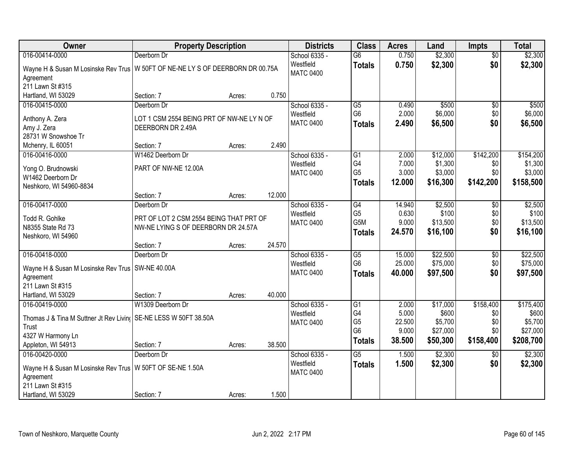| Owner                                                                          | <b>Property Description</b>               |        |        | <b>Districts</b>              | <b>Class</b>    | <b>Acres</b> | Land     | <b>Impts</b>    | <b>Total</b> |
|--------------------------------------------------------------------------------|-------------------------------------------|--------|--------|-------------------------------|-----------------|--------------|----------|-----------------|--------------|
| 016-00414-0000                                                                 | Deerborn Dr                               |        |        | School 6335 -                 | $\overline{G6}$ | 0.750        | \$2,300  | $\overline{50}$ | \$2,300      |
| Wayne H & Susan M Losinske Rev Trus W 50FT OF NE-NE LY S OF DEERBORN DR 00.75A |                                           |        |        | Westfield<br><b>MATC 0400</b> | <b>Totals</b>   | 0.750        | \$2,300  | \$0             | \$2,300      |
| Agreement<br>211 Lawn St #315                                                  |                                           |        |        |                               |                 |              |          |                 |              |
| Hartland, WI 53029                                                             | Section: 7                                | Acres: | 0.750  |                               |                 |              |          |                 |              |
| 016-00415-0000                                                                 | Deerborn Dr                               |        |        | School 6335 -                 | G5              | 0.490        | \$500    | \$0             | \$500        |
|                                                                                |                                           |        |        | Westfield                     | G <sub>6</sub>  | 2.000        | \$6,000  | \$0             | \$6,000      |
| Anthony A. Zera                                                                | LOT 1 CSM 2554 BEING PRT OF NW-NE LY N OF |        |        | <b>MATC 0400</b>              |                 | 2.490        | \$6,500  | \$0             | \$6,500      |
| Amy J. Zera                                                                    | DEERBORN DR 2.49A                         |        |        |                               | <b>Totals</b>   |              |          |                 |              |
| 28731 W Snowshoe Tr                                                            |                                           |        |        |                               |                 |              |          |                 |              |
| Mchenry, IL 60051                                                              | Section: 7                                | Acres: | 2.490  |                               |                 |              |          |                 |              |
| 016-00416-0000                                                                 | W1462 Deerborn Dr                         |        |        | School 6335 -                 | $\overline{G1}$ | 2.000        | \$12,000 | \$142,200       | \$154,200    |
| Yong O. Brudnowski                                                             | PART OF NW-NE 12.00A                      |        |        | Westfield                     | G4              | 7.000        | \$1,300  | \$0             | \$1,300      |
| W1462 Deerborn Dr                                                              |                                           |        |        | <b>MATC 0400</b>              | G <sub>5</sub>  | 3.000        | \$3,000  | \$0             | \$3,000      |
| Neshkoro, WI 54960-8834                                                        |                                           |        |        |                               | Totals          | 12.000       | \$16,300 | \$142,200       | \$158,500    |
|                                                                                | Section: 7                                | Acres: | 12.000 |                               |                 |              |          |                 |              |
| 016-00417-0000                                                                 | Deerborn Dr                               |        |        | School 6335 -                 | G4              | 14.940       | \$2,500  | $\sqrt[6]{3}$   | \$2,500      |
|                                                                                |                                           |        |        | Westfield                     | G <sub>5</sub>  | 0.630        | \$100    | \$0             | \$100        |
| Todd R. Gohlke                                                                 | PRT OF LOT 2 CSM 2554 BEING THAT PRT OF   |        |        | <b>MATC 0400</b>              | G5M             | 9.000        | \$13,500 | \$0             | \$13,500     |
| N8355 State Rd 73                                                              | NW-NE LYING S OF DEERBORN DR 24.57A       |        |        |                               | <b>Totals</b>   | 24.570       | \$16,100 | \$0             | \$16,100     |
| Neshkoro, WI 54960                                                             |                                           |        |        |                               |                 |              |          |                 |              |
|                                                                                | Section: 7                                | Acres: | 24.570 |                               |                 |              |          |                 |              |
| 016-00418-0000                                                                 | Deerborn Dr                               |        |        | School 6335 -                 | $\overline{G5}$ | 15.000       | \$22,500 | $\overline{50}$ | \$22,500     |
| Wayne H & Susan M Losinske Rev Trus   SW-NE 40.00A                             |                                           |        |        | Westfield                     | G <sub>6</sub>  | 25.000       | \$75,000 | \$0             | \$75,000     |
| Agreement                                                                      |                                           |        |        | <b>MATC 0400</b>              | <b>Totals</b>   | 40.000       | \$97,500 | \$0             | \$97,500     |
| 211 Lawn St #315                                                               |                                           |        |        |                               |                 |              |          |                 |              |
| Hartland, WI 53029                                                             | Section: 7                                | Acres: | 40.000 |                               |                 |              |          |                 |              |
| 016-00419-0000                                                                 | W1309 Deerborn Dr                         |        |        | School 6335 -                 | $\overline{G1}$ | 2.000        | \$17,000 | \$158,400       | \$175,400    |
|                                                                                |                                           |        |        | Westfield                     | G4              | 5.000        | \$600    | \$0             | \$600        |
| Thomas J & Tina M Suttner Jt Rev Livin( SE-NE LESS W 50FT 38.50A               |                                           |        |        | <b>MATC 0400</b>              | G <sub>5</sub>  | 22.500       | \$5,700  | \$0             | \$5,700      |
| Trust                                                                          |                                           |        |        |                               | G <sub>6</sub>  | 9.000        | \$27,000 | \$0             | \$27,000     |
| 4327 W Harmony Ln                                                              |                                           |        |        |                               | <b>Totals</b>   | 38.500       | \$50,300 | \$158,400       | \$208,700    |
| Appleton, WI 54913                                                             | Section: 7                                | Acres: | 38.500 |                               |                 |              |          |                 |              |
| 016-00420-0000                                                                 | Deerborn Dr                               |        |        | School 6335 -                 | $\overline{G5}$ | 1.500        | \$2,300  | $\overline{50}$ | \$2,300      |
| Wayne H & Susan M Losinske Rev Trus   W 50FT OF SE-NE 1.50A                    |                                           |        |        | Westfield                     | <b>Totals</b>   | 1.500        | \$2,300  | \$0             | \$2,300      |
| Agreement                                                                      |                                           |        |        | <b>MATC 0400</b>              |                 |              |          |                 |              |
| 211 Lawn St #315                                                               |                                           |        |        |                               |                 |              |          |                 |              |
| Hartland, WI 53029                                                             | Section: 7                                | Acres: | 1.500  |                               |                 |              |          |                 |              |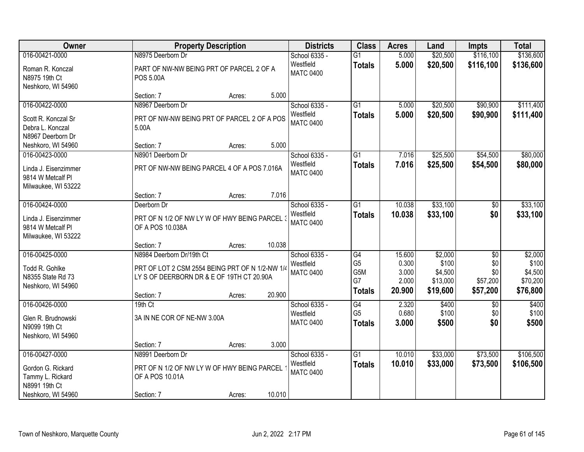| Owner                                                                        | <b>Property Description</b>                                                                                                                                 | <b>Districts</b>                               | <b>Class</b>                                                    | <b>Acres</b>                                | Land                                                | <b>Impts</b>                                          | <b>Total</b>                                        |
|------------------------------------------------------------------------------|-------------------------------------------------------------------------------------------------------------------------------------------------------------|------------------------------------------------|-----------------------------------------------------------------|---------------------------------------------|-----------------------------------------------------|-------------------------------------------------------|-----------------------------------------------------|
| 016-00421-0000                                                               | N8975 Deerborn Dr                                                                                                                                           | School 6335 -                                  | $\overline{G1}$                                                 | 5.000                                       | \$20,500                                            | \$116,100                                             | \$136,600                                           |
| Roman R. Konczal<br>N8975 19th Ct<br>Neshkoro, WI 54960                      | PART OF NW-NW BEING PRT OF PARCEL 2 OF A<br><b>POS 5.00A</b>                                                                                                | Westfield<br><b>MATC 0400</b>                  | <b>Totals</b>                                                   | 5.000                                       | \$20,500                                            | \$116,100                                             | \$136,600                                           |
|                                                                              | 5.000<br>Section: 7<br>Acres:                                                                                                                               |                                                |                                                                 |                                             |                                                     |                                                       |                                                     |
| 016-00422-0000                                                               | N8967 Deerborn Dr                                                                                                                                           | School 6335 -                                  | G1                                                              | 5.000                                       | \$20,500                                            | \$90,900                                              | \$111,400                                           |
| Scott R. Konczal Sr<br>Debra L. Konczal<br>N8967 Deerborn Dr                 | PRT OF NW-NW BEING PRT OF PARCEL 2 OF A POS<br>5.00A                                                                                                        | Westfield<br><b>MATC 0400</b>                  | <b>Totals</b>                                                   | 5.000                                       | \$20,500                                            | \$90,900                                              | \$111,400                                           |
| Neshkoro, WI 54960                                                           | 5.000<br>Section: 7<br>Acres:                                                                                                                               |                                                |                                                                 |                                             |                                                     |                                                       |                                                     |
| 016-00423-0000                                                               | N8901 Deerborn Dr                                                                                                                                           | School 6335 -                                  | G1                                                              | 7.016                                       | \$25,500                                            | \$54,500                                              | \$80,000                                            |
| Linda J. Eisenzimmer<br>9814 W Metcalf Pl<br>Milwaukee, WI 53222             | PRT OF NW-NW BEING PARCEL 4 OF A POS 7.016A                                                                                                                 | Westfield<br><b>MATC 0400</b>                  | <b>Totals</b>                                                   | 7.016                                       | \$25,500                                            | \$54,500                                              | \$80,000                                            |
|                                                                              | 7.016<br>Section: 7<br>Acres:                                                                                                                               |                                                |                                                                 |                                             |                                                     |                                                       |                                                     |
| 016-00424-0000                                                               | Deerborn Dr                                                                                                                                                 | School 6335 -                                  | G1                                                              | 10.038                                      | \$33,100                                            | \$0                                                   | \$33,100                                            |
| Linda J. Eisenzimmer<br>9814 W Metcalf Pl<br>Milwaukee, WI 53222             | PRT OF N 1/2 OF NW LY W OF HWY BEING PARCEL 3<br>OF A POS 10.038A                                                                                           | Westfield<br><b>MATC 0400</b>                  | <b>Totals</b>                                                   | 10.038                                      | \$33,100                                            | \$0                                                   | \$33,100                                            |
|                                                                              | 10.038<br>Section: 7<br>Acres:                                                                                                                              |                                                |                                                                 |                                             |                                                     |                                                       |                                                     |
| 016-00425-0000<br>Todd R. Gohlke<br>N8355 State Rd 73<br>Neshkoro, WI 54960  | N8984 Deerborn Dr/19th Ct<br>PRT OF LOT 2 CSM 2554 BEING PRT OF N 1/2-NW 1/4<br>LY S OF DEERBORN DR & E OF 19TH CT 20.90A<br>20.900<br>Section: 7<br>Acres: | School 6335 -<br>Westfield<br><b>MATC 0400</b> | $\overline{G4}$<br>G <sub>5</sub><br>G5M<br>G7<br><b>Totals</b> | 15.600<br>0.300<br>3.000<br>2.000<br>20.900 | \$2,000<br>\$100<br>\$4,500<br>\$13,000<br>\$19,600 | $\overline{30}$<br>\$0<br>\$0<br>\$57,200<br>\$57,200 | \$2,000<br>\$100<br>\$4,500<br>\$70,200<br>\$76,800 |
| 016-00426-0000                                                               | $19th$ Ct                                                                                                                                                   | School 6335 -                                  | G4                                                              | 2.320                                       | \$400                                               | $\sqrt{6}$                                            | \$400                                               |
| Glen R. Brudnowski<br>N9099 19th Ct<br>Neshkoro, WI 54960                    | 3A IN NE COR OF NE-NW 3.00A                                                                                                                                 | Westfield<br><b>MATC 0400</b>                  | G <sub>5</sub><br><b>Totals</b>                                 | 0.680<br>3.000                              | \$100<br>\$500                                      | \$0<br>\$0                                            | \$100<br>\$500                                      |
|                                                                              | 3.000<br>Section: 7<br>Acres:                                                                                                                               |                                                |                                                                 |                                             |                                                     |                                                       |                                                     |
| 016-00427-0000                                                               | N8991 Deerborn Dr                                                                                                                                           | School 6335 -                                  | $\overline{G1}$                                                 | 10.010                                      | \$33,000                                            | \$73,500                                              | \$106,500                                           |
| Gordon G. Rickard<br>Tammy L. Rickard<br>N8991 19th Ct<br>Neshkoro, WI 54960 | PRT OF N 1/2 OF NW LY W OF HWY BEING PARCEL<br>OF A POS 10.01A<br>10.010<br>Section: 7<br>Acres:                                                            | Westfield<br><b>MATC 0400</b>                  | <b>Totals</b>                                                   | 10.010                                      | \$33,000                                            | \$73,500                                              | \$106,500                                           |
|                                                                              |                                                                                                                                                             |                                                |                                                                 |                                             |                                                     |                                                       |                                                     |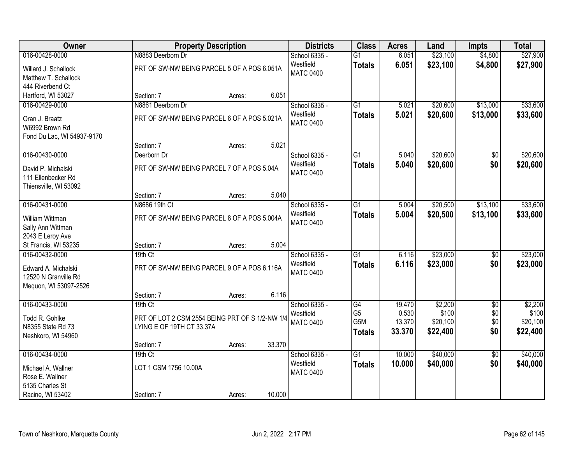| <b>Owner</b>                                                         |                                                                              | <b>Property Description</b> |        | <b>Districts</b>              | <b>Class</b>                           | <b>Acres</b>              | Land                          | <b>Impts</b>      | <b>Total</b>                  |
|----------------------------------------------------------------------|------------------------------------------------------------------------------|-----------------------------|--------|-------------------------------|----------------------------------------|---------------------------|-------------------------------|-------------------|-------------------------------|
| 016-00428-0000                                                       | N8883 Deerborn Dr                                                            |                             |        | School 6335 -                 | $\overline{G1}$                        | 6.051                     | \$23,100                      | \$4,800           | \$27,900                      |
| Willard J. Schallock<br>Matthew T. Schallock                         | PRT OF SW-NW BEING PARCEL 5 OF A POS 6.051A                                  |                             |        | Westfield<br><b>MATC 0400</b> | <b>Totals</b>                          | 6.051                     | \$23,100                      | \$4,800           | \$27,900                      |
| 444 Riverbend Ct                                                     |                                                                              |                             |        |                               |                                        |                           |                               |                   |                               |
| Hartford, WI 53027                                                   | Section: 7                                                                   | Acres:                      | 6.051  |                               |                                        |                           |                               |                   |                               |
| 016-00429-0000                                                       | N8861 Deerborn Dr                                                            |                             |        | School 6335 -                 | G1                                     | 5.021                     | \$20,600                      | \$13,000          | \$33,600                      |
| Oran J. Braatz<br>W6992 Brown Rd<br>Fond Du Lac, WI 54937-9170       | PRT OF SW-NW BEING PARCEL 6 OF A POS 5.021A                                  |                             |        | Westfield<br><b>MATC 0400</b> | <b>Totals</b>                          | 5.021                     | \$20,600                      | \$13,000          | \$33,600                      |
|                                                                      | Section: 7                                                                   | Acres:                      | 5.021  |                               |                                        |                           |                               |                   |                               |
| 016-00430-0000                                                       | Deerborn Dr                                                                  |                             |        | School 6335 -                 | G1                                     | 5.040                     | \$20,600                      | \$0               | \$20,600                      |
| David P. Michalski<br>111 Ellenbecker Rd<br>Thiensville, WI 53092    | PRT OF SW-NW BEING PARCEL 7 OF A POS 5.04A                                   |                             |        | Westfield<br><b>MATC 0400</b> | <b>Totals</b>                          | 5.040                     | \$20,600                      | \$0               | \$20,600                      |
|                                                                      | Section: 7                                                                   | Acres:                      | 5.040  |                               |                                        |                           |                               |                   |                               |
| 016-00431-0000                                                       | N8686 19th Ct                                                                |                             |        | School 6335 -                 | $\overline{G1}$                        | 5.004                     | \$20,500                      | \$13,100          | \$33,600                      |
| William Wittman<br>Sally Ann Wittman<br>2043 E Leroy Ave             | PRT OF SW-NW BEING PARCEL 8 OF A POS 5.004A                                  |                             |        | Westfield<br><b>MATC 0400</b> | <b>Totals</b>                          | 5.004                     | \$20,500                      | \$13,100          | \$33,600                      |
| St Francis, WI 53235                                                 | Section: 7                                                                   | Acres:                      | 5.004  |                               |                                        |                           |                               |                   |                               |
| 016-00432-0000                                                       | 19th Ct                                                                      |                             |        | School 6335 -                 | $\overline{G1}$                        | 6.116                     | \$23,000                      | \$0               | \$23,000                      |
| Edward A. Michalski<br>12520 N Granville Rd<br>Mequon, WI 53097-2526 | PRT OF SW-NW BEING PARCEL 9 OF A POS 6.116A                                  |                             |        | Westfield<br><b>MATC 0400</b> | <b>Totals</b>                          | 6.116                     | \$23,000                      | \$0               | \$23,000                      |
|                                                                      | Section: 7                                                                   | Acres:                      | 6.116  |                               |                                        |                           |                               |                   |                               |
| 016-00433-0000                                                       | 19th Ct                                                                      |                             |        | School 6335 -                 | G4                                     | 19.470                    | \$2,200                       | $\overline{60}$   | \$2,200                       |
| Todd R. Gohlke<br>N8355 State Rd 73<br>Neshkoro, WI 54960            | PRT OF LOT 2 CSM 2554 BEING PRT OF S 1/2-NW 1/4<br>LYING E OF 19TH CT 33.37A |                             |        | Westfield<br><b>MATC 0400</b> | G <sub>5</sub><br>G5M<br><b>Totals</b> | 0.530<br>13.370<br>33.370 | \$100<br>\$20,100<br>\$22,400 | \$0<br>\$0<br>\$0 | \$100<br>\$20,100<br>\$22,400 |
|                                                                      | Section: 7                                                                   | Acres:                      | 33.370 |                               |                                        |                           |                               |                   |                               |
| 016-00434-0000                                                       | 19th Ct                                                                      |                             |        | School 6335 -                 | $\overline{G1}$                        | 10.000                    | \$40,000                      | $\overline{50}$   | \$40,000                      |
| Michael A. Wallner<br>Rose E. Wallner<br>5135 Charles St             | LOT 1 CSM 1756 10.00A                                                        |                             |        | Westfield<br><b>MATC 0400</b> | <b>Totals</b>                          | 10.000                    | \$40,000                      | \$0               | \$40,000                      |
| Racine, WI 53402                                                     | Section: 7                                                                   | Acres:                      | 10.000 |                               |                                        |                           |                               |                   |                               |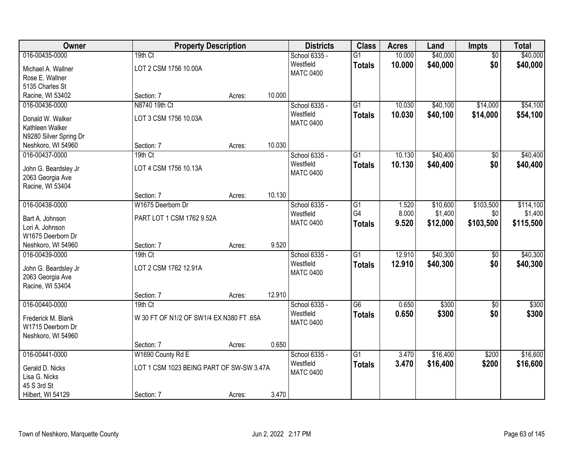| Owner                                    |                                          | <b>Property Description</b> |        | <b>Districts</b> | <b>Class</b>    | <b>Acres</b> | Land     | <b>Impts</b>    | <b>Total</b> |
|------------------------------------------|------------------------------------------|-----------------------------|--------|------------------|-----------------|--------------|----------|-----------------|--------------|
| 016-00435-0000                           | 19th Ct                                  |                             |        | School 6335 -    | $\overline{G1}$ | 10.000       | \$40,000 | $\overline{50}$ | \$40,000     |
| Michael A. Wallner                       | LOT 2 CSM 1756 10.00A                    |                             |        | Westfield        | <b>Totals</b>   | 10.000       | \$40,000 | \$0             | \$40,000     |
| Rose E. Wallner                          |                                          |                             |        | <b>MATC 0400</b> |                 |              |          |                 |              |
| 5135 Charles St                          |                                          |                             |        |                  |                 |              |          |                 |              |
| Racine, WI 53402                         | Section: 7                               | Acres:                      | 10.000 |                  |                 |              |          |                 |              |
| 016-00436-0000                           | N8740 19th Ct                            |                             |        | School 6335 -    | $\overline{G1}$ | 10.030       | \$40,100 | \$14,000        | \$54,100     |
| Donald W. Walker                         | LOT 3 CSM 1756 10.03A                    |                             |        | Westfield        | <b>Totals</b>   | 10.030       | \$40,100 | \$14,000        | \$54,100     |
| Kathleen Walker                          |                                          |                             |        | <b>MATC 0400</b> |                 |              |          |                 |              |
| N9280 Silver Spring Dr                   |                                          |                             |        |                  |                 |              |          |                 |              |
| Neshkoro, WI 54960                       | Section: 7                               | Acres:                      | 10.030 |                  |                 |              |          |                 |              |
| 016-00437-0000                           | 19th Ct                                  |                             |        | School 6335 -    | G1              | 10.130       | \$40,400 | \$0             | \$40,400     |
| John G. Beardsley Jr                     | LOT 4 CSM 1756 10.13A                    |                             |        | Westfield        | <b>Totals</b>   | 10.130       | \$40,400 | \$0             | \$40,400     |
| 2063 Georgia Ave                         |                                          |                             |        | <b>MATC 0400</b> |                 |              |          |                 |              |
| Racine, WI 53404                         |                                          |                             |        |                  |                 |              |          |                 |              |
|                                          | Section: 7                               | Acres:                      | 10.130 |                  |                 |              |          |                 |              |
| 016-00438-0000                           | W1675 Deerborn Dr                        |                             |        | School 6335 -    | G1              | 1.520        | \$10,600 | \$103,500       | \$114,100    |
| Bart A. Johnson                          | PART LOT 1 CSM 1762 9.52A                |                             |        | Westfield        | G4              | 8.000        | \$1,400  | \$0             | \$1,400      |
| Lori A. Johnson                          |                                          |                             |        | <b>MATC 0400</b> | <b>Totals</b>   | 9.520        | \$12,000 | \$103,500       | \$115,500    |
| W1675 Deerborn Dr                        |                                          |                             |        |                  |                 |              |          |                 |              |
| Neshkoro, WI 54960                       | Section: 7                               | Acres:                      | 9.520  |                  |                 |              |          |                 |              |
| 016-00439-0000                           | 19th Ct                                  |                             |        | School 6335 -    | $\overline{G1}$ | 12.910       | \$40,300 | $\overline{50}$ | \$40,300     |
|                                          |                                          |                             |        | Westfield        | <b>Totals</b>   | 12.910       | \$40,300 | \$0             | \$40,300     |
| John G. Beardsley Jr<br>2063 Georgia Ave | LOT 2 CSM 1762 12.91A                    |                             |        | <b>MATC 0400</b> |                 |              |          |                 |              |
| Racine, WI 53404                         |                                          |                             |        |                  |                 |              |          |                 |              |
|                                          | Section: 7                               | Acres:                      | 12.910 |                  |                 |              |          |                 |              |
| 016-00440-0000                           | $19th$ Ct                                |                             |        | School 6335 -    | $\overline{G6}$ | 0.650        | \$300    | $\overline{30}$ | \$300        |
| Frederick M. Blank                       | W 30 FT OF N1/2 OF SW1/4 EX N380 FT .65A |                             |        | Westfield        | <b>Totals</b>   | 0.650        | \$300    | \$0             | \$300        |
| W1715 Deerborn Dr                        |                                          |                             |        | <b>MATC 0400</b> |                 |              |          |                 |              |
| Neshkoro, WI 54960                       |                                          |                             |        |                  |                 |              |          |                 |              |
|                                          | Section: 7                               | Acres:                      | 0.650  |                  |                 |              |          |                 |              |
| 016-00441-0000                           | W1690 County Rd E                        |                             |        | School 6335 -    | $\overline{G1}$ | 3.470        | \$16,400 | \$200           | \$16,600     |
| Gerald D. Nicks                          | LOT 1 CSM 1023 BEING PART OF SW-SW 3.47A |                             |        | Westfield        | <b>Totals</b>   | 3.470        | \$16,400 | \$200           | \$16,600     |
| Lisa G. Nicks                            |                                          |                             |        | <b>MATC 0400</b> |                 |              |          |                 |              |
| 45 S 3rd St                              |                                          |                             |        |                  |                 |              |          |                 |              |
| Hilbert, WI 54129                        | Section: 7                               | Acres:                      | 3.470  |                  |                 |              |          |                 |              |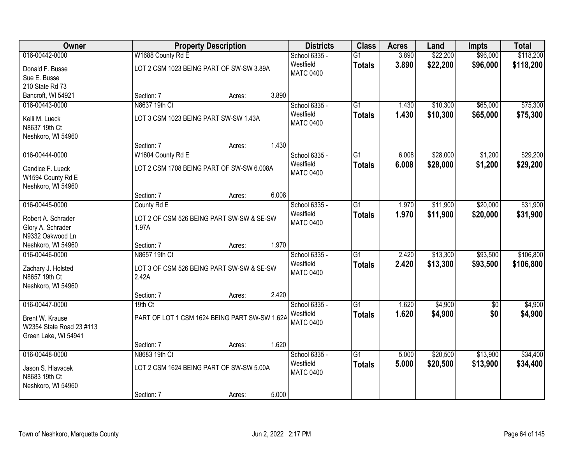| Owner                    |                   | <b>Property Description</b>                   |       | <b>Districts</b> | <b>Class</b>    | <b>Acres</b> | Land     | <b>Impts</b> | <b>Total</b> |
|--------------------------|-------------------|-----------------------------------------------|-------|------------------|-----------------|--------------|----------|--------------|--------------|
| 016-00442-0000           | W1688 County Rd E |                                               |       | School 6335 -    | $\overline{G1}$ | 3.890        | \$22,200 | \$96,000     | \$118,200    |
| Donald F. Busse          |                   | LOT 2 CSM 1023 BEING PART OF SW-SW 3.89A      |       | Westfield        | <b>Totals</b>   | 3.890        | \$22,200 | \$96,000     | \$118,200    |
| Sue E. Busse             |                   |                                               |       | <b>MATC 0400</b> |                 |              |          |              |              |
| 210 State Rd 73          |                   |                                               |       |                  |                 |              |          |              |              |
| Bancroft, WI 54921       | Section: 7        | Acres:                                        | 3.890 |                  |                 |              |          |              |              |
| 016-00443-0000           | N8637 19th Ct     |                                               |       | School 6335 -    | $\overline{G1}$ | 1.430        | \$10,300 | \$65,000     | \$75,300     |
| Kelli M. Lueck           |                   | LOT 3 CSM 1023 BEING PART SW-SW 1.43A         |       | Westfield        | <b>Totals</b>   | 1.430        | \$10,300 | \$65,000     | \$75,300     |
| N8637 19th Ct            |                   |                                               |       | <b>MATC 0400</b> |                 |              |          |              |              |
| Neshkoro, WI 54960       |                   |                                               |       |                  |                 |              |          |              |              |
|                          | Section: 7        | Acres:                                        | 1.430 |                  |                 |              |          |              |              |
| 016-00444-0000           | W1604 County Rd E |                                               |       | School 6335 -    | G1              | 6.008        | \$28,000 | \$1,200      | \$29,200     |
| Candice F. Lueck         |                   | LOT 2 CSM 1708 BEING PART OF SW-SW 6.008A     |       | Westfield        | <b>Totals</b>   | 6.008        | \$28,000 | \$1,200      | \$29,200     |
| W1594 County Rd E        |                   |                                               |       | <b>MATC 0400</b> |                 |              |          |              |              |
| Neshkoro, WI 54960       |                   |                                               |       |                  |                 |              |          |              |              |
|                          | Section: 7        | Acres:                                        | 6.008 |                  |                 |              |          |              |              |
| 016-00445-0000           | County Rd E       |                                               |       | School 6335 -    | $\overline{G1}$ | 1.970        | \$11,900 | \$20,000     | \$31,900     |
| Robert A. Schrader       |                   | LOT 2 OF CSM 526 BEING PART SW-SW & SE-SW     |       | Westfield        | <b>Totals</b>   | 1.970        | \$11,900 | \$20,000     | \$31,900     |
| Glory A. Schrader        | 1.97A             |                                               |       | <b>MATC 0400</b> |                 |              |          |              |              |
| N9332 Oakwood Ln         |                   |                                               |       |                  |                 |              |          |              |              |
| Neshkoro, WI 54960       | Section: 7        | Acres:                                        | 1.970 |                  |                 |              |          |              |              |
| 016-00446-0000           | N8657 19th Ct     |                                               |       | School 6335 -    | $\overline{G1}$ | 2.420        | \$13,300 | \$93,500     | \$106,800    |
| Zachary J. Holsted       |                   | LOT 3 OF CSM 526 BEING PART SW-SW & SE-SW     |       | Westfield        | <b>Totals</b>   | 2.420        | \$13,300 | \$93,500     | \$106,800    |
| N8657 19th Ct            | 2.42A             |                                               |       | <b>MATC 0400</b> |                 |              |          |              |              |
| Neshkoro, WI 54960       |                   |                                               |       |                  |                 |              |          |              |              |
|                          | Section: 7        | Acres:                                        | 2.420 |                  |                 |              |          |              |              |
| 016-00447-0000           | $19th$ Ct         |                                               |       | School 6335 -    | $\overline{G1}$ | 1.620        | \$4,900  | $\sqrt{6}$   | \$4,900      |
| Brent W. Krause          |                   | PART OF LOT 1 CSM 1624 BEING PART SW-SW 1.62A |       | Westfield        | <b>Totals</b>   | 1.620        | \$4,900  | \$0          | \$4,900      |
| W2354 State Road 23 #113 |                   |                                               |       | <b>MATC 0400</b> |                 |              |          |              |              |
| Green Lake, WI 54941     |                   |                                               |       |                  |                 |              |          |              |              |
|                          | Section: 7        | Acres:                                        | 1.620 |                  |                 |              |          |              |              |
| 016-00448-0000           | N8683 19th Ct     |                                               |       | School 6335 -    | $\overline{G1}$ | 5.000        | \$20,500 | \$13,900     | \$34,400     |
| Jason S. Hlavacek        |                   | LOT 2 CSM 1624 BEING PART OF SW-SW 5.00A      |       | Westfield        | <b>Totals</b>   | 5.000        | \$20,500 | \$13,900     | \$34,400     |
| N8683 19th Ct            |                   |                                               |       | <b>MATC 0400</b> |                 |              |          |              |              |
| Neshkoro, WI 54960       |                   |                                               |       |                  |                 |              |          |              |              |
|                          | Section: 7        | Acres:                                        | 5.000 |                  |                 |              |          |              |              |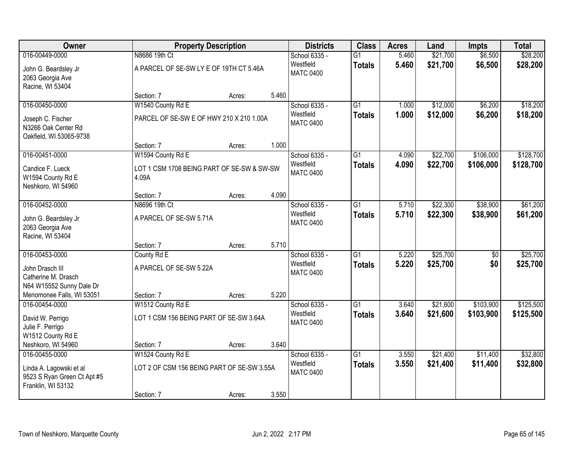| Owner                                                                        |                                                     | <b>Property Description</b> |       | <b>Districts</b>              | <b>Class</b>    | <b>Acres</b> | Land     | <b>Impts</b> | <b>Total</b> |
|------------------------------------------------------------------------------|-----------------------------------------------------|-----------------------------|-------|-------------------------------|-----------------|--------------|----------|--------------|--------------|
| 016-00449-0000                                                               | N8686 19th Ct                                       |                             |       | School 6335 -                 | $\overline{G1}$ | 5.460        | \$21,700 | \$6,500      | \$28,200     |
| John G. Beardsley Jr<br>2063 Georgia Ave<br>Racine, WI 53404                 | A PARCEL OF SE-SW LY E OF 19TH CT 5.46A             |                             |       | Westfield<br><b>MATC 0400</b> | <b>Totals</b>   | 5.460        | \$21,700 | \$6,500      | \$28,200     |
|                                                                              | Section: 7                                          | Acres:                      | 5.460 |                               |                 |              |          |              |              |
| 016-00450-0000                                                               | W1540 County Rd E                                   |                             |       | School 6335 -                 | $\overline{G1}$ | 1.000        | \$12,000 | \$6,200      | \$18,200     |
| Joseph C. Fischer<br>N3266 Oak Center Rd<br>Oakfield, WI 53065-9738          | PARCEL OF SE-SW E OF HWY 210 X 210 1.00A            |                             |       | Westfield<br><b>MATC 0400</b> | <b>Totals</b>   | 1.000        | \$12,000 | \$6,200      | \$18,200     |
|                                                                              | Section: 7                                          | Acres:                      | 1.000 |                               |                 |              |          |              |              |
| 016-00451-0000                                                               | W1594 County Rd E                                   |                             |       | School 6335 -                 | G1              | 4.090        | \$22,700 | \$106,000    | \$128,700    |
| Candice F. Lueck<br>W1594 County Rd E<br>Neshkoro, WI 54960                  | LOT 1 CSM 1708 BEING PART OF SE-SW & SW-SW<br>4.09A |                             |       | Westfield<br><b>MATC 0400</b> | <b>Totals</b>   | 4.090        | \$22,700 | \$106,000    | \$128,700    |
|                                                                              | Section: 7                                          | Acres:                      | 4.090 |                               |                 |              |          |              |              |
| 016-00452-0000                                                               | N8696 19th Ct                                       |                             |       | School 6335 -                 | $\overline{G1}$ | 5.710        | \$22,300 | \$38,900     | \$61,200     |
| John G. Beardsley Jr<br>2063 Georgia Ave<br>Racine, WI 53404                 | A PARCEL OF SE-SW 5.71A                             |                             |       | Westfield<br><b>MATC 0400</b> | <b>Totals</b>   | 5.710        | \$22,300 | \$38,900     | \$61,200     |
|                                                                              | Section: 7                                          | Acres:                      | 5.710 |                               |                 |              |          |              |              |
| 016-00453-0000                                                               | County Rd E                                         |                             |       | School 6335 -                 | $\overline{G1}$ | 5.220        | \$25,700 | \$0          | \$25,700     |
| John Drasch III                                                              | A PARCEL OF SE-SW 5.22A                             |                             |       | Westfield                     | <b>Totals</b>   | 5.220        | \$25,700 | \$0          | \$25,700     |
| Catherine M. Drasch                                                          |                                                     |                             |       | <b>MATC 0400</b>              |                 |              |          |              |              |
| N64 W15552 Sunny Dale Dr                                                     |                                                     |                             |       |                               |                 |              |          |              |              |
| Menomonee Falls, WI 53051                                                    | Section: 7                                          | Acres:                      | 5.220 |                               |                 |              |          |              |              |
| 016-00454-0000                                                               | W1512 County Rd E                                   |                             |       | School 6335 -                 | $\overline{G1}$ | 3.640        | \$21,600 | \$103,900    | \$125,500    |
| David W. Perrigo<br>Julie F. Perrigo<br>W1512 County Rd E                    | LOT 1 CSM 156 BEING PART OF SE-SW 3.64A             |                             |       | Westfield<br><b>MATC 0400</b> | <b>Totals</b>   | 3.640        | \$21,600 | \$103,900    | \$125,500    |
| Neshkoro, WI 54960                                                           | Section: 7                                          | Acres:                      | 3.640 |                               |                 |              |          |              |              |
| 016-00455-0000                                                               | W1524 County Rd E                                   |                             |       | School 6335 -                 | $\overline{G1}$ | 3.550        | \$21,400 | \$11,400     | \$32,800     |
| Linda A. Lagowski et al<br>9523 S Ryan Green Ct Apt #5<br>Franklin, WI 53132 | LOT 2 OF CSM 156 BEING PART OF SE-SW 3.55A          |                             |       | Westfield<br><b>MATC 0400</b> | <b>Totals</b>   | 3.550        | \$21,400 | \$11,400     | \$32,800     |
|                                                                              | Section: 7                                          | Acres:                      | 3.550 |                               |                 |              |          |              |              |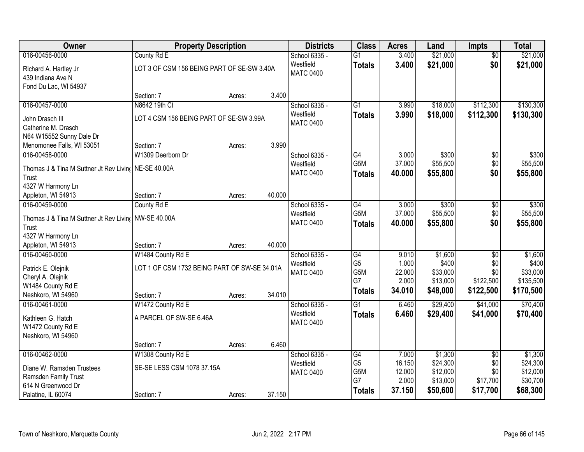| <b>Owner</b>                               | <b>Property Description</b>                  |        |        | <b>Districts</b> | <b>Class</b>    | <b>Acres</b> | Land     | <b>Impts</b>    | <b>Total</b> |
|--------------------------------------------|----------------------------------------------|--------|--------|------------------|-----------------|--------------|----------|-----------------|--------------|
| 016-00456-0000                             | County Rd E                                  |        |        | School 6335 -    | $\overline{G1}$ | 3.400        | \$21,000 | $\overline{50}$ | \$21,000     |
| Richard A. Hartley Jr                      | LOT 3 OF CSM 156 BEING PART OF SE-SW 3.40A   |        |        | Westfield        | <b>Totals</b>   | 3.400        | \$21,000 | \$0             | \$21,000     |
| 439 Indiana Ave N                          |                                              |        |        | <b>MATC 0400</b> |                 |              |          |                 |              |
| Fond Du Lac, WI 54937                      |                                              |        |        |                  |                 |              |          |                 |              |
|                                            | Section: 7                                   | Acres: | 3.400  |                  |                 |              |          |                 |              |
| 016-00457-0000                             | N8642 19th Ct                                |        |        | School 6335 -    | $\overline{G1}$ | 3.990        | \$18,000 | \$112,300       | \$130,300    |
| John Drasch III                            | LOT 4 CSM 156 BEING PART OF SE-SW 3.99A      |        |        | Westfield        | <b>Totals</b>   | 3.990        | \$18,000 | \$112,300       | \$130,300    |
| Catherine M. Drasch                        |                                              |        |        | <b>MATC 0400</b> |                 |              |          |                 |              |
| N64 W15552 Sunny Dale Dr                   |                                              |        |        |                  |                 |              |          |                 |              |
| Menomonee Falls, WI 53051                  | Section: 7                                   | Acres: | 3.990  |                  |                 |              |          |                 |              |
| 016-00458-0000                             | W1309 Deerborn Dr                            |        |        | School 6335 -    | $\overline{G4}$ | 3.000        | \$300    | $\overline{50}$ | \$300        |
| Thomas J & Tina M Suttner Jt Rev Livino    | NE-SE 40.00A                                 |        |        | Westfield        | G5M             | 37.000       | \$55,500 | \$0             | \$55,500     |
| Trust                                      |                                              |        |        | <b>MATC 0400</b> | <b>Totals</b>   | 40.000       | \$55,800 | \$0             | \$55,800     |
| 4327 W Harmony Ln                          |                                              |        |        |                  |                 |              |          |                 |              |
| Appleton, WI 54913                         | Section: 7                                   | Acres: | 40.000 |                  |                 |              |          |                 |              |
| 016-00459-0000                             | County Rd E                                  |        |        | School 6335 -    | G4              | 3.000        | \$300    | \$0             | \$300        |
| Thomas J & Tina M Suttner Jt Rev Living    | <b>NW-SE 40.00A</b>                          |        |        | Westfield        | G5M             | 37.000       | \$55,500 | \$0             | \$55,500     |
| Trust                                      |                                              |        |        | <b>MATC 0400</b> | <b>Totals</b>   | 40.000       | \$55,800 | \$0             | \$55,800     |
| 4327 W Harmony Ln                          |                                              |        |        |                  |                 |              |          |                 |              |
| Appleton, WI 54913                         | Section: 7                                   | Acres: | 40.000 |                  |                 |              |          |                 |              |
| 016-00460-0000                             | W1484 County Rd E                            |        |        | School 6335 -    | $\overline{G4}$ | 9.010        | \$1,600  | $\overline{30}$ | \$1,600      |
|                                            | LOT 1 OF CSM 1732 BEING PART OF SW-SE 34.01A |        |        | Westfield        | G <sub>5</sub>  | 1.000        | \$400    | \$0             | \$400        |
| Patrick E. Olejnik<br>Cheryl A. Olejnik    |                                              |        |        | <b>MATC 0400</b> | G5M             | 22.000       | \$33,000 | \$0             | \$33,000     |
| W1484 County Rd E                          |                                              |        |        |                  | G7              | 2.000        | \$13,000 | \$122,500       | \$135,500    |
| Neshkoro, WI 54960                         | Section: 7                                   | Acres: | 34.010 |                  | <b>Totals</b>   | 34.010       | \$48,000 | \$122,500       | \$170,500    |
| 016-00461-0000                             | W1472 County Rd E                            |        |        | School 6335 -    | $\overline{G1}$ | 6.460        | \$29,400 | \$41,000        | \$70,400     |
| Kathleen G. Hatch                          | A PARCEL OF SW-SE 6.46A                      |        |        | Westfield        | <b>Totals</b>   | 6.460        | \$29,400 | \$41,000        | \$70,400     |
| W1472 County Rd E                          |                                              |        |        | <b>MATC 0400</b> |                 |              |          |                 |              |
| Neshkoro, WI 54960                         |                                              |        |        |                  |                 |              |          |                 |              |
|                                            | Section: 7                                   | Acres: | 6.460  |                  |                 |              |          |                 |              |
| 016-00462-0000                             | W1308 County Rd E                            |        |        | School 6335 -    | G4              | 7.000        | \$1,300  | $\overline{50}$ | \$1,300      |
|                                            |                                              |        |        | Westfield        | G <sub>5</sub>  | 16.150       | \$24,300 | \$0             | \$24,300     |
| Diane W. Ramsden Trustees                  | SE-SE LESS CSM 1078 37.15A                   |        |        | <b>MATC 0400</b> | G5M             | 12.000       | \$12,000 | \$0             | \$12,000     |
| Ramsden Family Trust<br>614 N Greenwood Dr |                                              |        |        |                  | G7              | 2.000        | \$13,000 | \$17,700        | \$30,700     |
| Palatine, IL 60074                         | Section: 7                                   | Acres: | 37.150 |                  | <b>Totals</b>   | 37.150       | \$50,600 | \$17,700        | \$68,300     |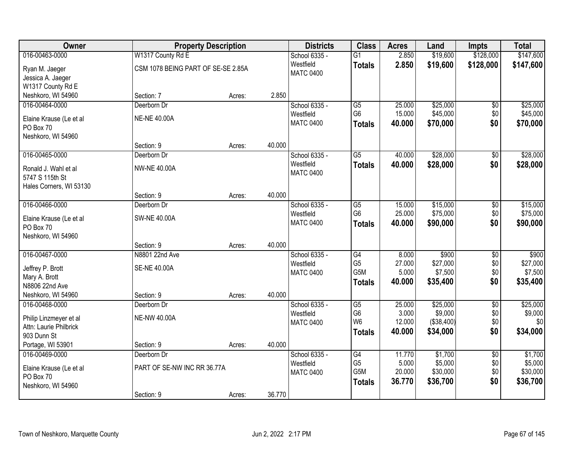| Owner                   | <b>Property Description</b>        |        |        | <b>Districts</b>              | <b>Class</b>                     | <b>Acres</b>    | Land                  | <b>Impts</b>    | <b>Total</b>        |
|-------------------------|------------------------------------|--------|--------|-------------------------------|----------------------------------|-----------------|-----------------------|-----------------|---------------------|
| 016-00463-0000          | W1317 County Rd E                  |        |        | School 6335 -                 | $\overline{G1}$                  | 2.850           | \$19,600              | \$128,000       | \$147,600           |
| Ryan M. Jaeger          | CSM 1078 BEING PART OF SE-SE 2.85A |        |        | Westfield                     | <b>Totals</b>                    | 2.850           | \$19,600              | \$128,000       | \$147,600           |
| Jessica A. Jaeger       |                                    |        |        | <b>MATC 0400</b>              |                                  |                 |                       |                 |                     |
| W1317 County Rd E       |                                    |        |        |                               |                                  |                 |                       |                 |                     |
| Neshkoro, WI 54960      | Section: 7                         | Acres: | 2.850  |                               |                                  |                 |                       |                 |                     |
| 016-00464-0000          | Deerborn Dr                        |        |        | School 6335 -                 | G5                               | 25.000          | \$25,000              | \$0             | \$25,000            |
| Elaine Krause (Le et al | <b>NE-NE 40.00A</b>                |        |        | Westfield                     | G <sub>6</sub>                   | 15.000          | \$45,000              | \$0             | \$45,000            |
| PO Box 70               |                                    |        |        | <b>MATC 0400</b>              | <b>Totals</b>                    | 40.000          | \$70,000              | \$0             | \$70,000            |
| Neshkoro, WI 54960      |                                    |        |        |                               |                                  |                 |                       |                 |                     |
|                         | Section: 9                         | Acres: | 40.000 |                               |                                  |                 |                       |                 |                     |
| 016-00465-0000          | Deerborn Dr                        |        |        | School 6335 -                 | $\overline{G5}$                  | 40.000          | \$28,000              | \$0             | \$28,000            |
| Ronald J. Wahl et al    | <b>NW-NE 40.00A</b>                |        |        | Westfield                     | <b>Totals</b>                    | 40.000          | \$28,000              | \$0             | \$28,000            |
| 5747 S 115th St         |                                    |        |        | <b>MATC 0400</b>              |                                  |                 |                       |                 |                     |
| Hales Corners, WI 53130 |                                    |        |        |                               |                                  |                 |                       |                 |                     |
|                         | Section: 9                         | Acres: | 40.000 |                               |                                  |                 |                       |                 |                     |
| 016-00466-0000          | Deerborn Dr                        |        |        | School 6335 -                 | G5                               | 15.000          | \$15,000              | \$0             | \$15,000            |
| Elaine Krause (Le et al | <b>SW-NE 40.00A</b>                |        |        | Westfield                     | G <sub>6</sub>                   | 25.000          | \$75,000              | \$0             | \$75,000            |
| PO Box 70               |                                    |        |        | <b>MATC 0400</b>              | <b>Totals</b>                    | 40.000          | \$90,000              | \$0             | \$90,000            |
| Neshkoro, WI 54960      |                                    |        |        |                               |                                  |                 |                       |                 |                     |
|                         | Section: 9                         | Acres: | 40.000 |                               |                                  |                 |                       |                 |                     |
| 016-00467-0000          | N8801 22nd Ave                     |        |        | School 6335 -                 | G4                               | 8.000           | \$900                 | $\overline{50}$ | \$900               |
| Jeffrey P. Brott        | <b>SE-NE 40.00A</b>                |        |        | Westfield                     | G <sub>5</sub><br>G5M            | 27.000<br>5.000 | \$27,000<br>\$7,500   | \$0<br>\$0      | \$27,000<br>\$7,500 |
| Mary A. Brott           |                                    |        |        | <b>MATC 0400</b>              |                                  | 40.000          | \$35,400              | \$0             | \$35,400            |
| N8806 22nd Ave          |                                    |        |        |                               | <b>Totals</b>                    |                 |                       |                 |                     |
| Neshkoro, WI 54960      | Section: 9                         | Acres: | 40.000 |                               |                                  |                 |                       |                 |                     |
| 016-00468-0000          | Deerborn Dr                        |        |        | School 6335 -                 | $\overline{G5}$                  | 25.000          | \$25,000              | $\overline{60}$ | \$25,000            |
| Philip Linzmeyer et al  | <b>NE-NW 40.00A</b>                |        |        | Westfield<br><b>MATC 0400</b> | G <sub>6</sub><br>W <sub>6</sub> | 3.000<br>12.000 | \$9,000<br>(\$38,400) | \$0<br>\$0      | \$9,000<br>\$0      |
| Attn: Laurie Philbrick  |                                    |        |        |                               | <b>Totals</b>                    | 40.000          | \$34,000              | \$0             | \$34,000            |
| 903 Dunn St             |                                    |        |        |                               |                                  |                 |                       |                 |                     |
| Portage, WI 53901       | Section: 9                         | Acres: | 40.000 |                               |                                  |                 |                       |                 |                     |
| 016-00469-0000          | Deerborn Dr                        |        |        | School 6335 -                 | G4                               | 11.770          | \$1,700               | $\overline{50}$ | \$1,700             |
| Elaine Krause (Le et al | PART OF SE-NW INC RR 36.77A        |        |        | Westfield<br><b>MATC 0400</b> | G <sub>5</sub><br>G5M            | 5.000<br>20.000 | \$5,000<br>\$30,000   | \$0<br>\$0      | \$5,000<br>\$30,000 |
| PO Box 70               |                                    |        |        |                               | <b>Totals</b>                    | 36.770          | \$36,700              | \$0             | \$36,700            |
| Neshkoro, WI 54960      |                                    |        |        |                               |                                  |                 |                       |                 |                     |
|                         | Section: 9                         | Acres: | 36.770 |                               |                                  |                 |                       |                 |                     |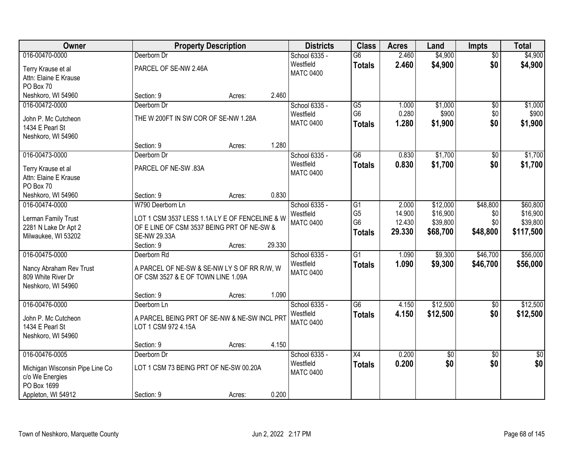| Owner                           |                                                | <b>Property Description</b> |        | <b>Districts</b> | <b>Class</b>    | <b>Acres</b> | Land            | <b>Impts</b>    | <b>Total</b>    |
|---------------------------------|------------------------------------------------|-----------------------------|--------|------------------|-----------------|--------------|-----------------|-----------------|-----------------|
| 016-00470-0000                  | Deerborn Dr                                    |                             |        | School 6335 -    | $\overline{G6}$ | 2.460        | \$4,900         | $\overline{50}$ | \$4,900         |
| Terry Krause et al              | PARCEL OF SE-NW 2.46A                          |                             |        | Westfield        | <b>Totals</b>   | 2.460        | \$4,900         | \$0             | \$4,900         |
| Attn: Elaine E Krause           |                                                |                             |        | <b>MATC 0400</b> |                 |              |                 |                 |                 |
| PO Box 70                       |                                                |                             |        |                  |                 |              |                 |                 |                 |
| Neshkoro, WI 54960              | Section: 9                                     | Acres:                      | 2.460  |                  |                 |              |                 |                 |                 |
| 016-00472-0000                  | Deerborn Dr                                    |                             |        | School 6335 -    | G5              | 1.000        | \$1,000         | $\overline{50}$ | \$1,000         |
|                                 |                                                |                             |        | Westfield        | G <sub>6</sub>  | 0.280        | \$900           | \$0             | \$900           |
| John P. Mc Cutcheon             | THE W 200FT IN SW COR OF SE-NW 1.28A           |                             |        | <b>MATC 0400</b> | <b>Totals</b>   | 1.280        | \$1,900         | \$0             | \$1,900         |
| 1434 E Pearl St                 |                                                |                             |        |                  |                 |              |                 |                 |                 |
| Neshkoro, WI 54960              |                                                |                             |        |                  |                 |              |                 |                 |                 |
|                                 | Section: 9                                     | Acres:                      | 1.280  |                  |                 |              |                 |                 |                 |
| 016-00473-0000                  | Deerborn Dr                                    |                             |        | School 6335 -    | $\overline{G6}$ | 0.830        | \$1,700         | \$0             | \$1,700         |
| Terry Krause et al              | PARCEL OF NE-SW .83A                           |                             |        | Westfield        | <b>Totals</b>   | 0.830        | \$1,700         | \$0             | \$1,700         |
| Attn: Elaine E Krause           |                                                |                             |        | <b>MATC 0400</b> |                 |              |                 |                 |                 |
| PO Box 70                       |                                                |                             |        |                  |                 |              |                 |                 |                 |
| Neshkoro, WI 54960              | Section: 9                                     | Acres:                      | 0.830  |                  |                 |              |                 |                 |                 |
| 016-00474-0000                  | W790 Deerborn Ln                               |                             |        | School 6335 -    | G1              | 2.000        | \$12,000        | \$48,800        | \$60,800        |
|                                 |                                                |                             |        | Westfield        | G <sub>5</sub>  | 14.900       | \$16,900        | \$0             | \$16,900        |
| Lerman Family Trust             | LOT 1 CSM 3537 LESS 1.1A LY E OF FENCELINE & W |                             |        | <b>MATC 0400</b> | G <sub>6</sub>  | 12.430       | \$39,800        | \$0             | \$39,800        |
| 2281 N Lake Dr Apt 2            | OF E LINE OF CSM 3537 BEING PRT OF NE-SW &     |                             |        |                  | <b>Totals</b>   | 29.330       | \$68,700        | \$48,800        | \$117,500       |
| Milwaukee, WI 53202             | SE-NW 29.33A                                   |                             |        |                  |                 |              |                 |                 |                 |
|                                 | Section: 9                                     | Acres:                      | 29.330 |                  |                 |              |                 |                 |                 |
| 016-00475-0000                  | Deerborn Rd                                    |                             |        | School 6335 -    | $\overline{G1}$ | 1.090        | \$9,300         | \$46,700        | \$56,000        |
| Nancy Abraham Rev Trust         | A PARCEL OF NE-SW & SE-NW LY S OF RR R/W, W    |                             |        | Westfield        | <b>Totals</b>   | 1.090        | \$9,300         | \$46,700        | \$56,000        |
| 809 White River Dr              | OF CSM 3527 & E OF TOWN LINE 1.09A             |                             |        | <b>MATC 0400</b> |                 |              |                 |                 |                 |
| Neshkoro, WI 54960              |                                                |                             |        |                  |                 |              |                 |                 |                 |
|                                 | Section: 9                                     | Acres:                      | 1.090  |                  |                 |              |                 |                 |                 |
| 016-00476-0000                  | Deerborn Ln                                    |                             |        | School 6335 -    | $\overline{G6}$ | 4.150        | \$12,500        | $\sqrt{$0}$     | \$12,500        |
| John P. Mc Cutcheon             | A PARCEL BEING PRT OF SE-NW & NE-SW INCL PRT   |                             |        | Westfield        | <b>Totals</b>   | 4.150        | \$12,500        | \$0             | \$12,500        |
| 1434 E Pearl St                 | LOT 1 CSM 972 4.15A                            |                             |        | <b>MATC 0400</b> |                 |              |                 |                 |                 |
| Neshkoro, WI 54960              |                                                |                             |        |                  |                 |              |                 |                 |                 |
|                                 | Section: 9                                     | Acres:                      | 4.150  |                  |                 |              |                 |                 |                 |
| 016-00476-0005                  | Deerborn Dr                                    |                             |        | School 6335 -    | $\overline{X4}$ | 0.200        | $\overline{30}$ | $\overline{30}$ | $\overline{50}$ |
|                                 |                                                |                             |        | Westfield        | <b>Totals</b>   | 0.200        | \$0             | \$0             | \$0             |
| Michigan Wisconsin Pipe Line Co | LOT 1 CSM 73 BEING PRT OF NE-SW 00.20A         |                             |        | <b>MATC 0400</b> |                 |              |                 |                 |                 |
| c/o We Energies                 |                                                |                             |        |                  |                 |              |                 |                 |                 |
| PO Box 1699                     |                                                |                             |        |                  |                 |              |                 |                 |                 |
| Appleton, WI 54912              | Section: 9                                     | Acres:                      | 0.200  |                  |                 |              |                 |                 |                 |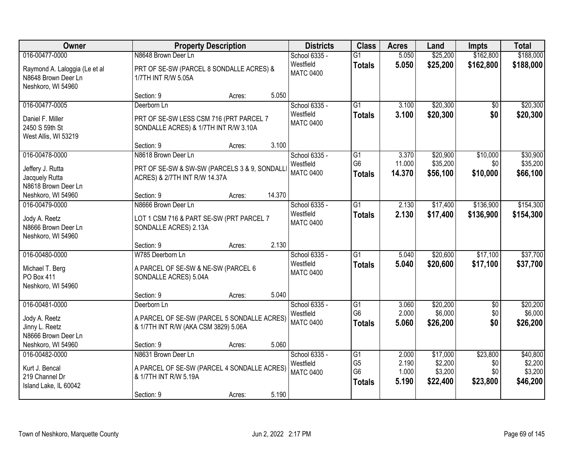| 016-00477-0000                                                               | N8648 Brown Deer Ln                                                                                       |        |        |                                                |                                                         |                                  |                                            |                                    | <b>Total</b>                               |
|------------------------------------------------------------------------------|-----------------------------------------------------------------------------------------------------------|--------|--------|------------------------------------------------|---------------------------------------------------------|----------------------------------|--------------------------------------------|------------------------------------|--------------------------------------------|
| Raymond A. Laloggia (Le et al<br>N8648 Brown Deer Ln<br>Neshkoro, WI 54960   | PRT OF SE-SW (PARCEL 8 SONDALLE ACRES) &<br>1/7TH INT R/W 5.05A                                           |        |        | School 6335 -<br>Westfield<br><b>MATC 0400</b> | $\overline{G1}$<br><b>Totals</b>                        | 5.050<br>5.050                   | \$25,200<br>\$25,200                       | \$162,800<br>\$162,800             | \$188,000<br>\$188,000                     |
|                                                                              | Section: 9                                                                                                | Acres: | 5.050  |                                                |                                                         |                                  |                                            |                                    |                                            |
| 016-00477-0005<br>Daniel F. Miller<br>2450 S 59th St<br>West Allis, WI 53219 | Deerborn Ln<br>PRT OF SE-SW LESS CSM 716 (PRT PARCEL 7<br>SONDALLE ACRES) & 1/7TH INT R/W 3.10A           |        |        | School 6335 -<br>Westfield<br><b>MATC 0400</b> | $\overline{G1}$<br><b>Totals</b>                        | 3.100<br>3.100                   | \$20,300<br>\$20,300                       | $\overline{50}$<br>\$0             | \$20,300<br>\$20,300                       |
|                                                                              | Section: 9                                                                                                | Acres: | 3.100  |                                                |                                                         |                                  |                                            |                                    |                                            |
| 016-00478-0000<br>Jeffery J. Rutta<br>Jacquely Rutta<br>N8618 Brown Deer Ln  | N8618 Brown Deer Ln<br>PRT OF SE-SW & SW-SW (PARCELS 3 & 9, SONDALL<br>ACRES) & 2/7TH INT R/W 14.37A      |        |        | School 6335 -<br>Westfield<br><b>MATC 0400</b> | G1<br>G <sub>6</sub><br>Totals                          | 3.370<br>11.000<br>14.370        | \$20,900<br>\$35,200<br>\$56,100           | \$10,000<br>\$0<br>\$10,000        | \$30,900<br>\$35,200<br>\$66,100           |
| Neshkoro, WI 54960                                                           | Section: 9                                                                                                | Acres: | 14.370 |                                                |                                                         |                                  |                                            |                                    |                                            |
| 016-00479-0000<br>Jody A. Reetz<br>N8666 Brown Deer Ln<br>Neshkoro, WI 54960 | N8666 Brown Deer Ln<br>LOT 1 CSM 716 & PART SE-SW (PRT PARCEL 7<br>SONDALLE ACRES) 2.13A                  |        |        | School 6335 -<br>Westfield<br><b>MATC 0400</b> | G1<br><b>Totals</b>                                     | 2.130<br>2.130                   | \$17,400<br>\$17,400                       | \$136,900<br>\$136,900             | \$154,300<br>\$154,300                     |
|                                                                              | Section: 9                                                                                                | Acres: | 2.130  |                                                |                                                         |                                  |                                            |                                    |                                            |
| 016-00480-0000<br>Michael T. Berg<br>PO Box 411<br>Neshkoro, WI 54960        | W785 Deerborn Ln<br>A PARCEL OF SE-SW & NE-SW (PARCEL 6<br>SONDALLE ACRES) 5.04A                          |        |        | School 6335 -<br>Westfield<br><b>MATC 0400</b> | $\overline{G1}$<br>Totals                               | 5.040<br>5.040                   | \$20,600<br>\$20,600                       | \$17,100<br>\$17,100               | \$37,700<br>\$37,700                       |
|                                                                              | Section: 9                                                                                                | Acres: | 5.040  |                                                |                                                         |                                  |                                            |                                    |                                            |
| 016-00481-0000<br>Jody A. Reetz<br>Jinny L. Reetz<br>N8666 Brown Deer Ln     | Deerborn Ln<br>A PARCEL OF SE-SW (PARCEL 5 SONDALLE ACRES)<br>& 1/7TH INT R/W (AKA CSM 3829) 5.06A        |        |        | School 6335 -<br>Westfield<br><b>MATC 0400</b> | $\overline{G1}$<br>G <sub>6</sub><br><b>Totals</b>      | 3.060<br>2.000<br>5.060          | \$20,200<br>\$6,000<br>\$26,200            | $\overline{60}$<br>\$0<br>\$0      | \$20,200<br>\$6,000<br>\$26,200            |
| Neshkoro, WI 54960                                                           | Section: 9                                                                                                | Acres: | 5.060  |                                                |                                                         |                                  |                                            |                                    |                                            |
| 016-00482-0000<br>Kurt J. Bencal<br>219 Channel Dr<br>Island Lake, IL 60042  | N8631 Brown Deer Ln<br>A PARCEL OF SE-SW (PARCEL 4 SONDALLE ACRES)<br>& 1/7TH INT R/W 5.19A<br>Section: 9 | Acres: | 5.190  | School 6335 -<br>Westfield<br><b>MATC 0400</b> | G1<br>G <sub>5</sub><br>G <sub>6</sub><br><b>Totals</b> | 2.000<br>2.190<br>1.000<br>5.190 | \$17,000<br>\$2,200<br>\$3,200<br>\$22,400 | \$23,800<br>\$0<br>\$0<br>\$23,800 | \$40,800<br>\$2,200<br>\$3,200<br>\$46,200 |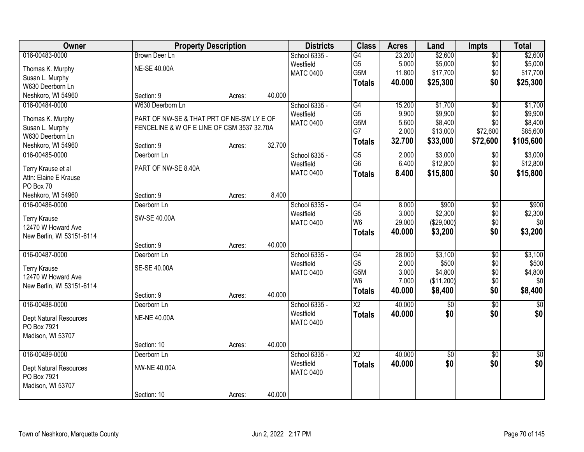| Owner                                       | <b>Property Description</b>                |        |        | <b>Districts</b>           | <b>Class</b>             | <b>Acres</b> | Land            | <b>Impts</b>    | <b>Total</b> |
|---------------------------------------------|--------------------------------------------|--------|--------|----------------------------|--------------------------|--------------|-----------------|-----------------|--------------|
| 016-00483-0000                              | <b>Brown Deer Ln</b>                       |        |        | School 6335 -              | G4                       | 23.200       | \$2,600         | $\overline{50}$ | \$2,600      |
| Thomas K. Murphy                            | <b>NE-SE 40.00A</b>                        |        |        | Westfield                  | G <sub>5</sub>           | 5.000        | \$5,000         | \$0             | \$5,000      |
| Susan L. Murphy                             |                                            |        |        | <b>MATC 0400</b>           | G5M                      | 11.800       | \$17,700        | \$0             | \$17,700     |
| W630 Deerborn Ln                            |                                            |        |        |                            | <b>Totals</b>            | 40.000       | \$25,300        | \$0             | \$25,300     |
| Neshkoro, WI 54960                          | Section: 9                                 | Acres: | 40.000 |                            |                          |              |                 |                 |              |
| 016-00484-0000                              | W630 Deerborn Ln                           |        |        | School 6335 -              | G4                       | 15.200       | \$1,700         | $\overline{50}$ | \$1,700      |
| Thomas K. Murphy                            | PART OF NW-SE & THAT PRT OF NE-SW LY E OF  |        |        | Westfield                  | G <sub>5</sub>           | 9.900        | \$9,900         | \$0             | \$9,900      |
| Susan L. Murphy                             | FENCELINE & W OF E LINE OF CSM 3537 32.70A |        |        | <b>MATC 0400</b>           | G5M                      | 5.600        | \$8,400         | \$0             | \$8,400      |
| W630 Deerborn Ln                            |                                            |        |        |                            | G7                       | 2.000        | \$13,000        | \$72,600        | \$85,600     |
| Neshkoro, WI 54960                          | Section: 9                                 | Acres: | 32.700 |                            | <b>Totals</b>            | 32.700       | \$33,000        | \$72,600        | \$105,600    |
| 016-00485-0000                              | Deerborn Ln                                |        |        | School 6335 -              | G5                       | 2.000        | \$3,000         | \$0             | \$3,000      |
|                                             | PART OF NW-SE 8.40A                        |        |        | Westfield                  | G <sub>6</sub>           | 6.400        | \$12,800        | \$0             | \$12,800     |
| Terry Krause et al<br>Attn: Elaine E Krause |                                            |        |        | <b>MATC 0400</b>           | <b>Totals</b>            | 8.400        | \$15,800        | \$0             | \$15,800     |
| PO Box 70                                   |                                            |        |        |                            |                          |              |                 |                 |              |
| Neshkoro, WI 54960                          | Section: 9                                 | Acres: | 8.400  |                            |                          |              |                 |                 |              |
| 016-00486-0000                              | Deerborn Ln                                |        |        | School 6335 -              | $\overline{G4}$          | 8.000        | \$900           | \$0             | \$900        |
|                                             |                                            |        |        | Westfield                  | G <sub>5</sub>           | 3.000        | \$2,300         | \$0             | \$2,300      |
| <b>Terry Krause</b>                         | SW-SE 40.00A                               |        |        | <b>MATC 0400</b>           | W <sub>6</sub>           | 29.000       | (\$29,000)      | \$0             | \$0          |
| 12470 W Howard Ave                          |                                            |        |        |                            | <b>Totals</b>            | 40.000       | \$3,200         | \$0             | \$3,200      |
| New Berlin, WI 53151-6114                   | Section: 9                                 | Acres: | 40.000 |                            |                          |              |                 |                 |              |
| 016-00487-0000                              | Deerborn Ln                                |        |        |                            | $\overline{G4}$          | 28.000       | \$3,100         | $\overline{30}$ | \$3,100      |
|                                             |                                            |        |        | School 6335 -<br>Westfield | G <sub>5</sub>           | 2.000        | \$500           | \$0             | \$500        |
| <b>Terry Krause</b>                         | SE-SE 40.00A                               |        |        | <b>MATC 0400</b>           | G5M                      | 3.000        | \$4,800         | \$0             | \$4,800      |
| 12470 W Howard Ave                          |                                            |        |        |                            | W <sub>6</sub>           | 7.000        | (\$11,200)      | \$0             | \$0          |
| New Berlin, WI 53151-6114                   |                                            |        |        |                            | <b>Totals</b>            | 40.000       | \$8,400         | \$0             | \$8,400      |
|                                             | Section: 9                                 | Acres: | 40.000 |                            |                          |              |                 |                 |              |
| 016-00488-0000                              | Deerborn Ln                                |        |        | School 6335 -              | $\overline{X2}$          | 40.000       | $\sqrt{$0}$     | $\overline{60}$ | $\sqrt{50}$  |
| Dept Natural Resources                      | <b>NE-NE 40.00A</b>                        |        |        | Westfield                  | <b>Totals</b>            | 40.000       | \$0             | \$0             | \$0          |
| PO Box 7921                                 |                                            |        |        | <b>MATC 0400</b>           |                          |              |                 |                 |              |
| Madison, WI 53707                           |                                            |        |        |                            |                          |              |                 |                 |              |
|                                             | Section: 10                                | Acres: | 40.000 |                            |                          |              |                 |                 |              |
| 016-00489-0000                              | Deerborn Ln                                |        |        | School 6335 -              | $\overline{\mathsf{X2}}$ | 40.000       | $\overline{60}$ | $\overline{30}$ | $\sqrt{30}$  |
| Dept Natural Resources                      | <b>NW-NE 40.00A</b>                        |        |        | Westfield                  | <b>Totals</b>            | 40.000       | \$0             | \$0             | \$0          |
| PO Box 7921                                 |                                            |        |        | <b>MATC 0400</b>           |                          |              |                 |                 |              |
| Madison, WI 53707                           |                                            |        |        |                            |                          |              |                 |                 |              |
|                                             | Section: 10                                | Acres: | 40.000 |                            |                          |              |                 |                 |              |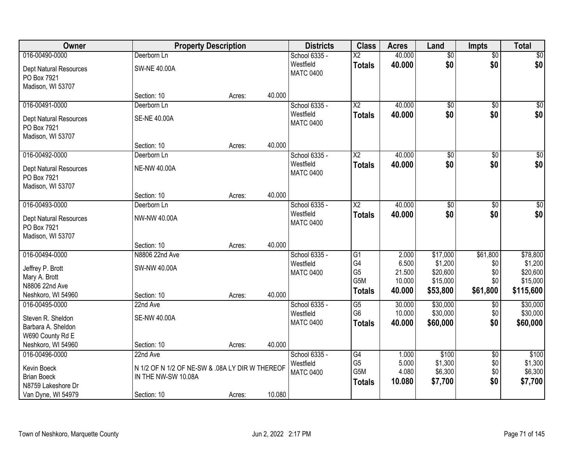| Owner                         | <b>Property Description</b>                     |        |        | <b>Districts</b> | <b>Class</b>           | <b>Acres</b> | Land            | <b>Impts</b>    | <b>Total</b>     |
|-------------------------------|-------------------------------------------------|--------|--------|------------------|------------------------|--------------|-----------------|-----------------|------------------|
| 016-00490-0000                | Deerborn Ln                                     |        |        | School 6335 -    | $\overline{\text{X2}}$ | 40.000       | $\overline{50}$ | $\overline{60}$ | \$0              |
| Dept Natural Resources        | <b>SW-NE 40.00A</b>                             |        |        | Westfield        | <b>Totals</b>          | 40.000       | \$0             | \$0             | \$0              |
| PO Box 7921                   |                                                 |        |        | <b>MATC 0400</b> |                        |              |                 |                 |                  |
| Madison, WI 53707             |                                                 |        |        |                  |                        |              |                 |                 |                  |
|                               | Section: 10                                     | Acres: | 40.000 |                  |                        |              |                 |                 |                  |
| 016-00491-0000                | Deerborn Ln                                     |        |        | School 6335 -    | $\overline{\text{X2}}$ | 40.000       | $\overline{50}$ | $\overline{50}$ | \$0              |
| Dept Natural Resources        | <b>SE-NE 40.00A</b>                             |        |        | Westfield        | <b>Totals</b>          | 40.000       | \$0             | \$0             | \$0              |
| PO Box 7921                   |                                                 |        |        | <b>MATC 0400</b> |                        |              |                 |                 |                  |
| Madison, WI 53707             |                                                 |        |        |                  |                        |              |                 |                 |                  |
|                               | Section: 10                                     | Acres: | 40.000 |                  |                        |              |                 |                 |                  |
| 016-00492-0000                | Deerborn Ln                                     |        |        | School 6335 -    | $\overline{\text{X2}}$ | 40.000       | $\overline{50}$ | $\overline{50}$ | $\overline{\$0}$ |
| <b>Dept Natural Resources</b> | <b>NE-NW 40.00A</b>                             |        |        | Westfield        | <b>Totals</b>          | 40.000       | \$0             | \$0             | \$0              |
| PO Box 7921                   |                                                 |        |        | <b>MATC 0400</b> |                        |              |                 |                 |                  |
| Madison, WI 53707             |                                                 |        |        |                  |                        |              |                 |                 |                  |
|                               | Section: 10                                     | Acres: | 40.000 |                  |                        |              |                 |                 |                  |
| 016-00493-0000                | Deerborn Ln                                     |        |        | School 6335 -    | $\overline{\text{X2}}$ | 40.000       | $\overline{60}$ | $\sqrt[6]{3}$   | $\sqrt{60}$      |
| Dept Natural Resources        | NW-NW 40.00A                                    |        |        | Westfield        | <b>Totals</b>          | 40.000       | \$0             | \$0             | \$0              |
| PO Box 7921                   |                                                 |        |        | <b>MATC 0400</b> |                        |              |                 |                 |                  |
| Madison, WI 53707             |                                                 |        |        |                  |                        |              |                 |                 |                  |
|                               | Section: 10                                     | Acres: | 40.000 |                  |                        |              |                 |                 |                  |
| 016-00494-0000                | N8806 22nd Ave                                  |        |        | School 6335 -    | $\overline{G1}$        | 2.000        | \$17,000        | \$61,800        | \$78,800         |
| Jeffrey P. Brott              | SW-NW 40.00A                                    |        |        | Westfield        | G4                     | 6.500        | \$1,200         | \$0             | \$1,200          |
| Mary A. Brott                 |                                                 |        |        | <b>MATC 0400</b> | G <sub>5</sub>         | 21.500       | \$20,600        | \$0             | \$20,600         |
| N8806 22nd Ave                |                                                 |        |        |                  | G5M                    | 10.000       | \$15,000        | \$0             | \$15,000         |
| Neshkoro, WI 54960            | Section: 10                                     | Acres: | 40.000 |                  | <b>Totals</b>          | 40.000       | \$53,800        | \$61,800        | \$115,600        |
| 016-00495-0000                | 22nd Ave                                        |        |        | School 6335 -    | $\overline{G5}$        | 30.000       | \$30,000        | $\sqrt{$0}$     | \$30,000         |
| Steven R. Sheldon             | <b>SE-NW 40.00A</b>                             |        |        | Westfield        | G <sub>6</sub>         | 10.000       | \$30,000        | \$0             | \$30,000         |
| Barbara A. Sheldon            |                                                 |        |        | <b>MATC 0400</b> | <b>Totals</b>          | 40.000       | \$60,000        | \$0             | \$60,000         |
| W690 County Rd E              |                                                 |        |        |                  |                        |              |                 |                 |                  |
| Neshkoro, WI 54960            | Section: 10                                     | Acres: | 40.000 |                  |                        |              |                 |                 |                  |
| 016-00496-0000                | 22nd Ave                                        |        |        | School 6335 -    | $\overline{G4}$        | 1.000        | \$100           | $\overline{60}$ | \$100            |
| Kevin Boeck                   | N 1/2 OF N 1/2 OF NE-SW & .08A LY DIR W THEREOF |        |        | Westfield        | G <sub>5</sub>         | 5.000        | \$1,300         | \$0             | \$1,300          |
| <b>Brian Boeck</b>            | IN THE NW-SW 10.08A                             |        |        | <b>MATC 0400</b> | G5M                    | 4.080        | \$6,300         | \$0             | \$6,300          |
| N8759 Lakeshore Dr            |                                                 |        |        |                  | <b>Totals</b>          | 10.080       | \$7,700         | \$0             | \$7,700          |
| Van Dyne, WI 54979            | Section: 10                                     | Acres: | 10.080 |                  |                        |              |                 |                 |                  |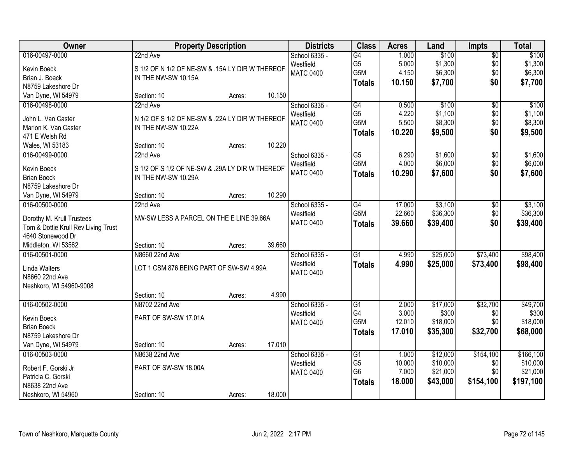| Owner                               | <b>Property Description</b>                     |        |        | <b>Districts</b> | <b>Class</b>         | <b>Acres</b>    | Land                 | <b>Impts</b>    | <b>Total</b>         |
|-------------------------------------|-------------------------------------------------|--------|--------|------------------|----------------------|-----------------|----------------------|-----------------|----------------------|
| 016-00497-0000                      | 22nd Ave                                        |        |        | School 6335 -    | $\overline{G4}$      | 1.000           | \$100                | \$0             | \$100                |
| Kevin Boeck                         | S 1/2 OF N 1/2 OF NE-SW & .15A LY DIR W THEREOF |        |        | Westfield        | G <sub>5</sub>       | 5.000           | \$1,300              | \$0             | \$1,300              |
| Brian J. Boeck                      | IN THE NW-SW 10.15A                             |        |        | <b>MATC 0400</b> | G5M                  | 4.150           | \$6,300              | \$0             | \$6,300              |
| N8759 Lakeshore Dr                  |                                                 |        |        |                  | <b>Totals</b>        | 10.150          | \$7,700              | \$0             | \$7,700              |
| Van Dyne, WI 54979                  | Section: 10                                     | Acres: | 10.150 |                  |                      |                 |                      |                 |                      |
| 016-00498-0000                      | 22nd Ave                                        |        |        | School 6335 -    | G4                   | 0.500           | \$100                | $\overline{50}$ | \$100                |
|                                     |                                                 |        |        | Westfield        | G <sub>5</sub>       | 4.220           | \$1,100              | \$0             | \$1,100              |
| John L. Van Caster                  | N 1/2 OF S 1/2 OF NE-SW & .22A LY DIR W THEREOF |        |        | <b>MATC 0400</b> | G5M                  | 5.500           | \$8,300              | \$0             | \$8,300              |
| Marion K. Van Caster                | IN THE NW-SW 10.22A                             |        |        |                  | <b>Totals</b>        | 10.220          | \$9,500              | \$0             | \$9,500              |
| 471 E Welsh Rd                      |                                                 |        |        |                  |                      |                 |                      |                 |                      |
| Wales, WI 53183                     | Section: 10                                     | Acres: | 10.220 |                  |                      |                 |                      |                 |                      |
| 016-00499-0000                      | 22nd Ave                                        |        |        | School 6335 -    | $\overline{G5}$      | 6.290           | \$1,600              | \$0             | \$1,600              |
| Kevin Boeck                         | S 1/2 OF S 1/2 OF NE-SW & .29A LY DIR W THEREOF |        |        | Westfield        | G5M                  | 4.000           | \$6,000              | \$0             | \$6,000              |
| <b>Brian Boeck</b>                  | IN THE NW-SW 10.29A                             |        |        | <b>MATC 0400</b> | <b>Totals</b>        | 10.290          | \$7,600              | \$0             | \$7,600              |
| N8759 Lakeshore Dr                  |                                                 |        |        |                  |                      |                 |                      |                 |                      |
| Van Dyne, WI 54979                  | Section: 10                                     | Acres: | 10.290 |                  |                      |                 |                      |                 |                      |
| 016-00500-0000                      | 22nd Ave                                        |        |        | School 6335 -    | G4                   | 17.000          | \$3,100              | $\sqrt[6]{3}$   | \$3,100              |
|                                     |                                                 |        |        | Westfield        | G5M                  | 22.660          | \$36,300             | \$0             | \$36,300             |
| Dorothy M. Krull Trustees           | NW-SW LESS A PARCEL ON THE E LINE 39.66A        |        |        | <b>MATC 0400</b> | <b>Totals</b>        | 39.660          | \$39,400             | \$0             | \$39,400             |
| Tom & Dottie Krull Rev Living Trust |                                                 |        |        |                  |                      |                 |                      |                 |                      |
| 4640 Stonewood Dr                   |                                                 |        |        |                  |                      |                 |                      |                 |                      |
| Middleton, WI 53562                 | Section: 10                                     | Acres: | 39.660 |                  |                      |                 |                      |                 |                      |
| 016-00501-0000                      | N8660 22nd Ave                                  |        |        | School 6335 -    | $\overline{G1}$      | 4.990           | \$25,000             | \$73,400        | \$98,400             |
| <b>Linda Walters</b>                | LOT 1 CSM 876 BEING PART OF SW-SW 4.99A         |        |        | Westfield        | <b>Totals</b>        | 4.990           | \$25,000             | \$73,400        | \$98,400             |
| N8660 22nd Ave                      |                                                 |        |        | <b>MATC 0400</b> |                      |                 |                      |                 |                      |
| Neshkoro, WI 54960-9008             |                                                 |        |        |                  |                      |                 |                      |                 |                      |
|                                     | Section: 10                                     | Acres: | 4.990  |                  |                      |                 |                      |                 |                      |
| 016-00502-0000                      | N8702 22nd Ave                                  |        |        | School 6335 -    | G1                   | 2.000           | \$17,000             | \$32,700        | \$49,700             |
| Kevin Boeck                         | PART OF SW-SW 17.01A                            |        |        | Westfield        | G4                   | 3.000           | \$300                | \$0             | \$300                |
| <b>Brian Boeck</b>                  |                                                 |        |        | <b>MATC 0400</b> | G5M                  | 12.010          | \$18,000             | \$0             | \$18,000             |
| N8759 Lakeshore Dr                  |                                                 |        |        |                  | <b>Totals</b>        | 17.010          | \$35,300             | \$32,700        | \$68,000             |
| Van Dyne, WI 54979                  | Section: 10                                     |        | 17.010 |                  |                      |                 |                      |                 |                      |
|                                     |                                                 | Acres: |        |                  |                      |                 |                      |                 |                      |
| 016-00503-0000                      | N8638 22nd Ave                                  |        |        | School 6335 -    | G1<br>G <sub>5</sub> | 1.000<br>10.000 | \$12,000             | \$154,100       | \$166, 100           |
| Robert F. Gorski Jr                 | PART OF SW-SW 18.00A                            |        |        | Westfield        | G <sub>6</sub>       | 7.000           | \$10,000<br>\$21,000 | \$0<br>\$0      | \$10,000<br>\$21,000 |
| Patricia C. Gorski                  |                                                 |        |        | <b>MATC 0400</b> |                      |                 |                      |                 |                      |
| N8638 22nd Ave                      |                                                 |        |        |                  | <b>Totals</b>        | 18.000          | \$43,000             | \$154,100       | \$197,100            |
| Neshkoro, WI 54960                  | Section: 10                                     | Acres: | 18.000 |                  |                      |                 |                      |                 |                      |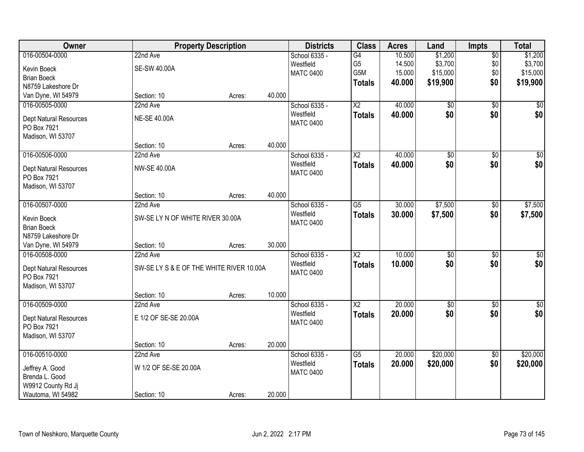| Owner                                    | <b>Property Description</b>              |        |        | <b>Districts</b>              | <b>Class</b>           | <b>Acres</b> | Land            | <b>Impts</b>    | <b>Total</b>     |
|------------------------------------------|------------------------------------------|--------|--------|-------------------------------|------------------------|--------------|-----------------|-----------------|------------------|
| 016-00504-0000                           | 22nd Ave                                 |        |        | School 6335 -                 | G4                     | 10.500       | \$1,200         | $\overline{50}$ | \$1,200          |
| Kevin Boeck                              | <b>SE-SW 40.00A</b>                      |        |        | Westfield                     | G <sub>5</sub>         | 14.500       | \$3,700         | \$0             | \$3,700          |
| <b>Brian Boeck</b>                       |                                          |        |        | <b>MATC 0400</b>              | G5M                    | 15.000       | \$15,000        | \$0             | \$15,000         |
| N8759 Lakeshore Dr                       |                                          |        |        |                               | <b>Totals</b>          | 40.000       | \$19,900        | \$0             | \$19,900         |
| Van Dyne, WI 54979                       | Section: 10                              | Acres: | 40.000 |                               |                        |              |                 |                 |                  |
| 016-00505-0000                           | 22nd Ave                                 |        |        | School 6335 -                 | $\overline{X2}$        | 40.000       | $\overline{50}$ | $\overline{50}$ | \$0              |
| <b>Dept Natural Resources</b>            | <b>NE-SE 40.00A</b>                      |        |        | Westfield                     | <b>Totals</b>          | 40.000       | \$0             | \$0             | \$0              |
| PO Box 7921                              |                                          |        |        | <b>MATC 0400</b>              |                        |              |                 |                 |                  |
| Madison, WI 53707                        |                                          |        |        |                               |                        |              |                 |                 |                  |
|                                          | Section: 10                              | Acres: | 40.000 |                               |                        |              |                 |                 |                  |
| 016-00506-0000                           | 22nd Ave                                 |        |        | School 6335 -                 | $\overline{\text{X2}}$ | 40.000       | \$0             | $\overline{50}$ | $\overline{\$0}$ |
|                                          | NW-SE 40.00A                             |        |        | Westfield                     | <b>Totals</b>          | 40.000       | \$0             | \$0             | \$0              |
| Dept Natural Resources<br>PO Box 7921    |                                          |        |        | <b>MATC 0400</b>              |                        |              |                 |                 |                  |
| Madison, WI 53707                        |                                          |        |        |                               |                        |              |                 |                 |                  |
|                                          | Section: 10                              | Acres: | 40.000 |                               |                        |              |                 |                 |                  |
| 016-00507-0000                           | 22nd Ave                                 |        |        | School 6335 -                 | $\overline{G5}$        | 30.000       | \$7,500         | \$0             | \$7,500          |
|                                          |                                          |        |        | Westfield                     | <b>Totals</b>          | 30.000       | \$7,500         | \$0             | \$7,500          |
| Kevin Boeck                              | SW-SE LY N OF WHITE RIVER 30.00A         |        |        | <b>MATC 0400</b>              |                        |              |                 |                 |                  |
| <b>Brian Boeck</b><br>N8759 Lakeshore Dr |                                          |        |        |                               |                        |              |                 |                 |                  |
| Van Dyne, WI 54979                       | Section: 10                              | Acres: | 30.000 |                               |                        |              |                 |                 |                  |
| 016-00508-0000                           | 22nd Ave                                 |        |        | School 6335 -                 | $\overline{\text{X2}}$ | 10.000       | $\overline{50}$ | \$0             | \$0              |
|                                          |                                          |        |        | Westfield                     | <b>Totals</b>          | 10.000       | \$0             | \$0             | \$0              |
| <b>Dept Natural Resources</b>            | SW-SE LY S & E OF THE WHITE RIVER 10.00A |        |        | <b>MATC 0400</b>              |                        |              |                 |                 |                  |
| PO Box 7921                              |                                          |        |        |                               |                        |              |                 |                 |                  |
| Madison, WI 53707                        |                                          |        | 10.000 |                               |                        |              |                 |                 |                  |
| 016-00509-0000                           | Section: 10<br>22nd Ave                  | Acres: |        | School 6335 -                 | $\overline{\text{X2}}$ | 20.000       | $\overline{60}$ | $\overline{60}$ | \$0              |
|                                          |                                          |        |        | Westfield                     |                        | 20.000       | \$0             | \$0             | \$0              |
| Dept Natural Resources                   | E 1/2 OF SE-SE 20.00A                    |        |        | <b>MATC 0400</b>              | <b>Totals</b>          |              |                 |                 |                  |
| PO Box 7921                              |                                          |        |        |                               |                        |              |                 |                 |                  |
| Madison, WI 53707                        |                                          |        |        |                               |                        |              |                 |                 |                  |
|                                          | Section: 10                              | Acres: | 20.000 |                               |                        |              |                 |                 |                  |
| 016-00510-0000                           | 22nd Ave                                 |        |        | School 6335 -                 | $\overline{G5}$        | 20.000       | \$20,000        | $\overline{50}$ | \$20,000         |
| Jeffrey A. Good                          | W 1/2 OF SE-SE 20.00A                    |        |        | Westfield<br><b>MATC 0400</b> | <b>Totals</b>          | 20.000       | \$20,000        | \$0             | \$20,000         |
| Brenda L. Good                           |                                          |        |        |                               |                        |              |                 |                 |                  |
| W9912 County Rd Jj                       |                                          |        |        |                               |                        |              |                 |                 |                  |
| Wautoma, WI 54982                        | Section: 10                              | Acres: | 20.000 |                               |                        |              |                 |                 |                  |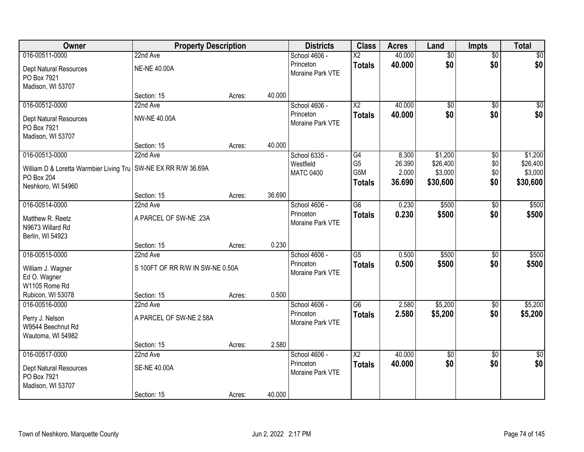| Owner                                                            | <b>Property Description</b>      |        |        | <b>Districts</b> | <b>Class</b>           | <b>Acres</b> | Land            | <b>Impts</b>    | <b>Total</b>  |
|------------------------------------------------------------------|----------------------------------|--------|--------|------------------|------------------------|--------------|-----------------|-----------------|---------------|
| 016-00511-0000                                                   | 22nd Ave                         |        |        | School 4606 -    | $\overline{\text{X2}}$ | 40.000       | $\overline{50}$ | $\overline{50}$ | $\sqrt{50}$   |
| Dept Natural Resources                                           | <b>NE-NE 40.00A</b>              |        |        | Princeton        | <b>Totals</b>          | 40.000       | \$0             | \$0             | \$0           |
| PO Box 7921                                                      |                                  |        |        | Moraine Park VTE |                        |              |                 |                 |               |
| Madison, WI 53707                                                |                                  |        |        |                  |                        |              |                 |                 |               |
|                                                                  | Section: 15                      | Acres: | 40.000 |                  |                        |              |                 |                 |               |
| 016-00512-0000                                                   | 22nd Ave                         |        |        | School 4606 -    | $\overline{X2}$        | 40.000       | $\overline{50}$ | $\overline{50}$ | $\sqrt{50}$   |
| Dept Natural Resources                                           | <b>NW-NE 40.00A</b>              |        |        | Princeton        | <b>Totals</b>          | 40.000       | \$0             | \$0             | \$0           |
| PO Box 7921                                                      |                                  |        |        | Moraine Park VTE |                        |              |                 |                 |               |
| Madison, WI 53707                                                |                                  |        |        |                  |                        |              |                 |                 |               |
|                                                                  | Section: 15                      | Acres: | 40.000 |                  |                        |              |                 |                 |               |
| 016-00513-0000                                                   | 22nd Ave                         |        |        | School 6335 -    | G4                     | 8.300        | \$1,200         | \$0             | \$1,200       |
| William D & Loretta Warmbier Living Tru   SW-NE EX RR R/W 36.69A |                                  |        |        | Westfield        | G <sub>5</sub>         | 26.390       | \$26,400        | \$0             | \$26,400      |
| PO Box 204                                                       |                                  |        |        | <b>MATC 0400</b> | G <sub>5</sub> M       | 2.000        | \$3,000         | \$0             | \$3,000       |
| Neshkoro, WI 54960                                               |                                  |        |        |                  | <b>Totals</b>          | 36.690       | \$30,600        | \$0             | \$30,600      |
|                                                                  | Section: 15                      | Acres: | 36.690 |                  |                        |              |                 |                 |               |
| 016-00514-0000                                                   | 22nd Ave                         |        |        | School 4606 -    | $\overline{G6}$        | 0.230        | \$500           | \$0             | \$500         |
| Matthew R. Reetz                                                 | A PARCEL OF SW-NE .23A           |        |        | Princeton        | <b>Totals</b>          | 0.230        | \$500           | \$0             | \$500         |
| N9673 Willard Rd                                                 |                                  |        |        | Moraine Park VTE |                        |              |                 |                 |               |
| Berlin, WI 54923                                                 |                                  |        |        |                  |                        |              |                 |                 |               |
|                                                                  | Section: 15                      | Acres: | 0.230  |                  |                        |              |                 |                 |               |
| 016-00515-0000                                                   | 22nd Ave                         |        |        | School 4606 -    | $\overline{G5}$        | 0.500        | \$500           | $\overline{30}$ | \$500         |
| William J. Wagner                                                | S 100FT OF RR R/W IN SW-NE 0.50A |        |        | Princeton        | <b>Totals</b>          | 0.500        | \$500           | \$0             | \$500         |
| Ed O. Wagner                                                     |                                  |        |        | Moraine Park VTE |                        |              |                 |                 |               |
| W1105 Rome Rd                                                    |                                  |        |        |                  |                        |              |                 |                 |               |
| Rubicon, WI 53078                                                | Section: 15                      | Acres: | 0.500  |                  |                        |              |                 |                 |               |
| 016-00516-0000                                                   | 22nd Ave                         |        |        | School 4606 -    | $\overline{G6}$        | 2.580        | \$5,200         | $\sqrt{6}$      | \$5,200       |
| Perry J. Nelson                                                  | A PARCEL OF SW-NE 2.58A          |        |        | Princeton        | <b>Totals</b>          | 2.580        | \$5,200         | \$0             | \$5,200       |
| W9544 Beechnut Rd                                                |                                  |        |        | Moraine Park VTE |                        |              |                 |                 |               |
| Wautoma, WI 54982                                                |                                  |        |        |                  |                        |              |                 |                 |               |
|                                                                  | Section: 15                      | Acres: | 2.580  |                  |                        |              |                 |                 |               |
| 016-00517-0000                                                   | 22nd Ave                         |        |        | School 4606 -    | $\overline{\text{X2}}$ | 40.000       | $\overline{50}$ | $\overline{50}$ | $\frac{1}{2}$ |
| <b>Dept Natural Resources</b>                                    | <b>SE-NE 40.00A</b>              |        |        | Princeton        | <b>Totals</b>          | 40.000       | \$0             | \$0             | \$0           |
| PO Box 7921                                                      |                                  |        |        | Moraine Park VTE |                        |              |                 |                 |               |
| Madison, WI 53707                                                |                                  |        |        |                  |                        |              |                 |                 |               |
|                                                                  | Section: 15                      | Acres: | 40.000 |                  |                        |              |                 |                 |               |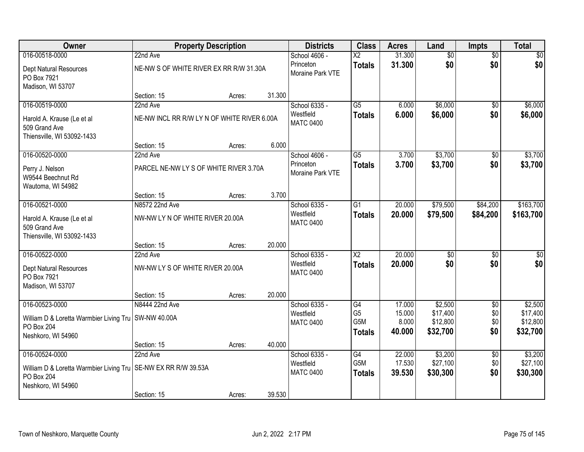| Owner                                                                       |                                             | <b>Property Description</b> |        | <b>Districts</b>              | <b>Class</b>                           | <b>Acres</b>              | Land                             | <b>Impts</b>      | <b>Total</b>                     |
|-----------------------------------------------------------------------------|---------------------------------------------|-----------------------------|--------|-------------------------------|----------------------------------------|---------------------------|----------------------------------|-------------------|----------------------------------|
| 016-00518-0000                                                              | 22nd Ave                                    |                             |        | School 4606 -                 | $\overline{\text{X2}}$                 | 31.300                    | $\overline{50}$                  | $\overline{50}$   | $\sqrt{30}$                      |
| Dept Natural Resources<br>PO Box 7921                                       | NE-NW S OF WHITE RIVER EX RR R/W 31.30A     |                             |        | Princeton<br>Moraine Park VTE | <b>Totals</b>                          | 31.300                    | \$0                              | \$0               | \$0                              |
| Madison, WI 53707                                                           | Section: 15                                 | Acres:                      | 31.300 |                               |                                        |                           |                                  |                   |                                  |
| 016-00519-0000                                                              | 22nd Ave                                    |                             |        | School 6335 -                 | $\overline{G5}$                        | 6.000                     | \$6,000                          | $\overline{50}$   | \$6,000                          |
| Harold A. Krause (Le et al<br>509 Grand Ave<br>Thiensville, WI 53092-1433   | NE-NW INCL RR R/W LY N OF WHITE RIVER 6.00A |                             |        | Westfield<br><b>MATC 0400</b> | <b>Totals</b>                          | 6.000                     | \$6,000                          | \$0               | \$6,000                          |
|                                                                             | Section: 15                                 | Acres:                      | 6.000  |                               |                                        |                           |                                  |                   |                                  |
| 016-00520-0000                                                              | 22nd Ave                                    |                             |        | School 4606 -                 | G5                                     | 3.700                     | \$3,700                          | \$0               | \$3,700                          |
| Perry J. Nelson<br>W9544 Beechnut Rd<br>Wautoma, WI 54982                   | PARCEL NE-NW LY S OF WHITE RIVER 3.70A      |                             |        | Princeton<br>Moraine Park VTE | <b>Totals</b>                          | 3.700                     | \$3,700                          | \$0               | \$3,700                          |
|                                                                             | Section: 15                                 | Acres:                      | 3.700  |                               |                                        |                           |                                  |                   |                                  |
| 016-00521-0000                                                              | N8572 22nd Ave                              |                             |        | School 6335 -                 | G1                                     | 20.000                    | \$79,500                         | \$84,200          | \$163,700                        |
| Harold A. Krause (Le et al<br>509 Grand Ave<br>Thiensville, WI 53092-1433   | NW-NW LY N OF WHITE RIVER 20.00A            |                             |        | Westfield<br><b>MATC 0400</b> | <b>Totals</b>                          | 20.000                    | \$79,500                         | \$84,200          | \$163,700                        |
|                                                                             | Section: 15                                 | Acres:                      | 20.000 |                               |                                        |                           |                                  |                   |                                  |
| 016-00522-0000                                                              | 22nd Ave                                    |                             |        | School 6335 -                 | $\overline{\text{X2}}$                 | 20.000                    | $\overline{50}$                  | $\overline{30}$   | $\sqrt{50}$                      |
| Dept Natural Resources<br>PO Box 7921<br>Madison, WI 53707                  | NW-NW LY S OF WHITE RIVER 20.00A            |                             |        | Westfield<br><b>MATC 0400</b> | <b>Totals</b>                          | 20.000                    | \$0                              | \$0               | \$0                              |
|                                                                             | Section: 15                                 | Acres:                      | 20.000 |                               |                                        |                           |                                  |                   |                                  |
| 016-00523-0000                                                              | N8444 22nd Ave                              |                             |        | School 6335 -                 | G4                                     | 17.000                    | \$2,500                          | $\overline{60}$   | \$2,500                          |
| William D & Loretta Warmbier Living Tru   SW-NW 40.00A<br>PO Box 204        |                                             |                             |        | Westfield<br><b>MATC 0400</b> | G <sub>5</sub><br>G5M<br><b>Totals</b> | 15.000<br>8.000<br>40.000 | \$17,400<br>\$12,800<br>\$32,700 | \$0<br>\$0<br>\$0 | \$17,400<br>\$12,800<br>\$32,700 |
| Neshkoro, WI 54960                                                          |                                             |                             | 40.000 |                               |                                        |                           |                                  |                   |                                  |
| 016-00524-0000                                                              | Section: 15<br>22nd Ave                     | Acres:                      |        | School 6335 -                 | $\overline{G4}$                        | 22.000                    | \$3,200                          | $\overline{50}$   | \$3,200                          |
| William D & Loretta Warmbier Living Tru<br>PO Box 204<br>Neshkoro, WI 54960 | SE-NW EX RR R/W 39.53A                      |                             |        | Westfield<br><b>MATC 0400</b> | G <sub>5</sub> M<br><b>Totals</b>      | 17.530<br>39.530          | \$27,100<br>\$30,300             | \$0<br>\$0        | \$27,100<br>\$30,300             |
|                                                                             | Section: 15                                 | Acres:                      | 39.530 |                               |                                        |                           |                                  |                   |                                  |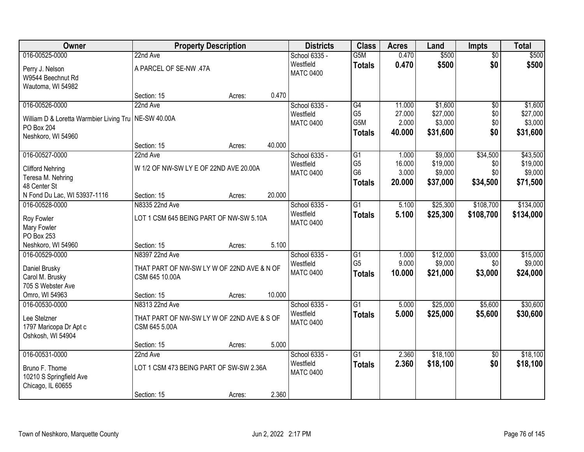| Owner                                                  | <b>Property Description</b>                |        |        | <b>Districts</b> | <b>Class</b>     | <b>Acres</b> | Land     | <b>Impts</b>    | <b>Total</b> |
|--------------------------------------------------------|--------------------------------------------|--------|--------|------------------|------------------|--------------|----------|-----------------|--------------|
| 016-00525-0000                                         | 22nd Ave                                   |        |        | School 6335 -    | G <sub>5</sub> M | 0.470        | \$500    | $\overline{50}$ | \$500        |
| Perry J. Nelson                                        | A PARCEL OF SE-NW .47A                     |        |        | Westfield        | <b>Totals</b>    | 0.470        | \$500    | \$0             | \$500        |
| W9544 Beechnut Rd                                      |                                            |        |        | <b>MATC 0400</b> |                  |              |          |                 |              |
| Wautoma, WI 54982                                      |                                            |        |        |                  |                  |              |          |                 |              |
|                                                        | Section: 15                                | Acres: | 0.470  |                  |                  |              |          |                 |              |
| 016-00526-0000                                         | 22nd Ave                                   |        |        | School 6335 -    | G4               | 11.000       | \$1,600  | $\overline{50}$ | \$1,600      |
| William D & Loretta Warmbier Living Tru   NE-SW 40.00A |                                            |        |        | Westfield        | G <sub>5</sub>   | 27.000       | \$27,000 | \$0             | \$27,000     |
| PO Box 204                                             |                                            |        |        | <b>MATC 0400</b> | G5M              | 2.000        | \$3,000  | \$0             | \$3,000      |
| Neshkoro, WI 54960                                     |                                            |        |        |                  | <b>Totals</b>    | 40.000       | \$31,600 | \$0             | \$31,600     |
|                                                        | Section: 15                                | Acres: | 40.000 |                  |                  |              |          |                 |              |
| 016-00527-0000                                         | 22nd Ave                                   |        |        | School 6335 -    | G1               | 1.000        | \$9,000  | \$34,500        | \$43,500     |
| <b>Clifford Nehring</b>                                | W 1/2 OF NW-SW LY E OF 22ND AVE 20.00A     |        |        | Westfield        | G <sub>5</sub>   | 16.000       | \$19,000 | \$0             | \$19,000     |
| Teresa M. Nehring                                      |                                            |        |        | <b>MATC 0400</b> | G <sub>6</sub>   | 3.000        | \$9,000  | \$0             | \$9,000      |
| 48 Center St                                           |                                            |        |        |                  | Totals           | 20.000       | \$37,000 | \$34,500        | \$71,500     |
| N Fond Du Lac, WI 53937-1116                           | Section: 15                                | Acres: | 20.000 |                  |                  |              |          |                 |              |
| 016-00528-0000                                         | N8335 22nd Ave                             |        |        | School 6335 -    | $\overline{G1}$  | 5.100        | \$25,300 | \$108,700       | \$134,000    |
| Roy Fowler                                             | LOT 1 CSM 645 BEING PART OF NW-SW 5.10A    |        |        | Westfield        | <b>Totals</b>    | 5.100        | \$25,300 | \$108,700       | \$134,000    |
| Mary Fowler                                            |                                            |        |        | <b>MATC 0400</b> |                  |              |          |                 |              |
| PO Box 253                                             |                                            |        |        |                  |                  |              |          |                 |              |
| Neshkoro, WI 54960                                     | Section: 15                                | Acres: | 5.100  |                  |                  |              |          |                 |              |
| 016-00529-0000                                         | N8397 22nd Ave                             |        |        | School 6335 -    | G1               | 1.000        | \$12,000 | \$3,000         | \$15,000     |
| Daniel Brusky                                          | THAT PART OF NW-SW LY W OF 22ND AVE & N OF |        |        | Westfield        | G <sub>5</sub>   | 9.000        | \$9,000  | \$0             | \$9,000      |
| Carol M. Brusky                                        | CSM 645 10.00A                             |        |        | <b>MATC 0400</b> | <b>Totals</b>    | 10.000       | \$21,000 | \$3,000         | \$24,000     |
| 705 S Webster Ave                                      |                                            |        |        |                  |                  |              |          |                 |              |
| Omro, WI 54963                                         | Section: 15                                | Acres: | 10.000 |                  |                  |              |          |                 |              |
| 016-00530-0000                                         | N8313 22nd Ave                             |        |        | School 6335 -    | $\overline{G1}$  | 5.000        | \$25,000 | \$5,600         | \$30,600     |
| Lee Stelzner                                           | THAT PART OF NW-SW LY W OF 22ND AVE & S OF |        |        | Westfield        | <b>Totals</b>    | 5.000        | \$25,000 | \$5,600         | \$30,600     |
| 1797 Maricopa Dr Apt c                                 | CSM 645 5.00A                              |        |        | <b>MATC 0400</b> |                  |              |          |                 |              |
| Oshkosh, WI 54904                                      |                                            |        |        |                  |                  |              |          |                 |              |
|                                                        | Section: 15                                | Acres: | 5.000  |                  |                  |              |          |                 |              |
| 016-00531-0000                                         | 22nd Ave                                   |        |        | School 6335 -    | $\overline{G1}$  | 2.360        | \$18,100 | $\sqrt{6}$      | \$18,100     |
| Bruno F. Thome                                         | LOT 1 CSM 473 BEING PART OF SW-SW 2.36A    |        |        | Westfield        | <b>Totals</b>    | 2.360        | \$18,100 | \$0             | \$18,100     |
| 10210 S Springfield Ave                                |                                            |        |        | <b>MATC 0400</b> |                  |              |          |                 |              |
| Chicago, IL 60655                                      |                                            |        |        |                  |                  |              |          |                 |              |
|                                                        | Section: 15                                | Acres: | 2.360  |                  |                  |              |          |                 |              |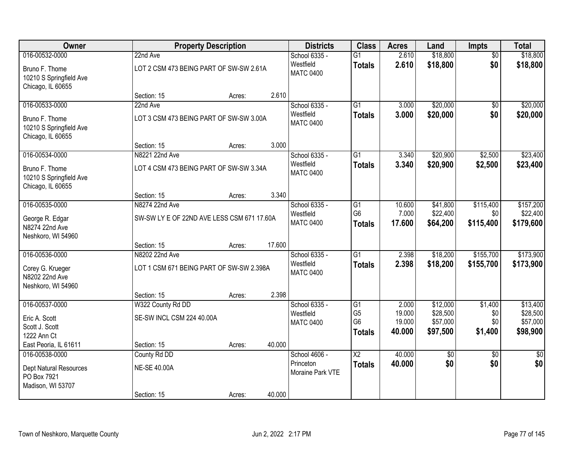| Owner                                                             |                                            | <b>Property Description</b> |        | <b>Districts</b>              | <b>Class</b>                     | <b>Acres</b>     | Land                 | <b>Impts</b>    | <b>Total</b>         |
|-------------------------------------------------------------------|--------------------------------------------|-----------------------------|--------|-------------------------------|----------------------------------|------------------|----------------------|-----------------|----------------------|
| 016-00532-0000                                                    | 22nd Ave                                   |                             |        | School 6335 -                 | $\overline{G1}$                  | 2.610            | \$18,800             | $\overline{50}$ | \$18,800             |
| Bruno F. Thome<br>10210 S Springfield Ave<br>Chicago, IL 60655    | LOT 2 CSM 473 BEING PART OF SW-SW 2.61A    |                             |        | Westfield<br><b>MATC 0400</b> | <b>Totals</b>                    | 2.610            | \$18,800             | \$0             | \$18,800             |
|                                                                   | Section: 15                                | Acres:                      | 2.610  |                               |                                  |                  |                      |                 |                      |
| 016-00533-0000                                                    | 22nd Ave                                   |                             |        | School 6335 -                 | $\overline{G1}$                  | 3.000            | \$20,000             | \$0             | \$20,000             |
| Bruno F. Thome<br>10210 S Springfield Ave<br>Chicago, IL 60655    | LOT 3 CSM 473 BEING PART OF SW-SW 3.00A    |                             |        | Westfield<br><b>MATC 0400</b> | <b>Totals</b>                    | 3.000            | \$20,000             | \$0             | \$20,000             |
|                                                                   | Section: 15                                | Acres:                      | 3.000  |                               |                                  |                  |                      |                 |                      |
| 016-00534-0000                                                    | N8221 22nd Ave                             |                             |        | School 6335 -                 | $\overline{G1}$                  | 3.340            | \$20,900             | \$2,500         | \$23,400             |
| Bruno F. Thome<br>10210 S Springfield Ave<br>Chicago, IL 60655    | LOT 4 CSM 473 BEING PART OF SW-SW 3.34A    |                             |        | Westfield<br><b>MATC 0400</b> | <b>Totals</b>                    | 3.340            | \$20,900             | \$2,500         | \$23,400             |
|                                                                   | Section: 15                                | Acres:                      | 3.340  |                               |                                  |                  |                      |                 |                      |
| 016-00535-0000                                                    | N8274 22nd Ave                             |                             |        | School 6335 -                 | G1                               | 10.600           | \$41,800             | \$115,400       | \$157,200            |
| George R. Edgar                                                   | SW-SW LY E OF 22ND AVE LESS CSM 671 17.60A |                             |        | Westfield                     | G <sub>6</sub>                   | 7.000            | \$22,400             | \$0             | \$22,400             |
| N8274 22nd Ave<br>Neshkoro, WI 54960                              |                                            |                             |        | <b>MATC 0400</b>              | <b>Totals</b>                    | 17.600           | \$64,200             | \$115,400       | \$179,600            |
|                                                                   | Section: 15                                | Acres:                      | 17.600 |                               |                                  |                  |                      |                 |                      |
| 016-00536-0000                                                    | N8202 22nd Ave                             |                             |        | School 6335 -                 | $\overline{G1}$                  | 2.398            | \$18,200             | \$155,700       | \$173,900            |
| Corey G. Krueger<br>N8202 22nd Ave<br>Neshkoro, WI 54960          | LOT 1 CSM 671 BEING PART OF SW-SW 2.398A   |                             |        | Westfield<br><b>MATC 0400</b> | <b>Totals</b>                    | 2.398            | \$18,200             | \$155,700       | \$173,900            |
|                                                                   | Section: 15                                | Acres:                      | 2.398  |                               |                                  |                  |                      |                 |                      |
| 016-00537-0000                                                    | W322 County Rd DD                          |                             |        | School 6335 -                 | $\overline{G1}$                  | 2.000            | \$12,000             | \$1,400         | \$13,400             |
| Eric A. Scott<br>Scott J. Scott                                   | SE-SW INCL CSM 224 40.00A                  |                             |        | Westfield<br><b>MATC 0400</b> | G <sub>5</sub><br>G <sub>6</sub> | 19.000<br>19.000 | \$28,500<br>\$57,000 | \$0<br>\$0      | \$28,500<br>\$57,000 |
| 1222 Ann Ct                                                       |                                            |                             |        |                               | <b>Totals</b>                    | 40.000           | \$97,500             | \$1,400         | \$98,900             |
| East Peoria, IL 61611                                             | Section: 15                                | Acres:                      | 40.000 |                               |                                  |                  |                      |                 |                      |
| 016-00538-0000                                                    | County Rd DD                               |                             |        | School 4606 -                 | $\overline{\text{X2}}$           | 40.000           | $\overline{30}$      | $\overline{30}$ | $\overline{50}$      |
| <b>Dept Natural Resources</b><br>PO Box 7921<br>Madison, WI 53707 | <b>NE-SE 40.00A</b>                        |                             |        | Princeton<br>Moraine Park VTE | <b>Totals</b>                    | 40.000           | \$0                  | \$0             | \$0                  |
|                                                                   | Section: 15                                | Acres:                      | 40.000 |                               |                                  |                  |                      |                 |                      |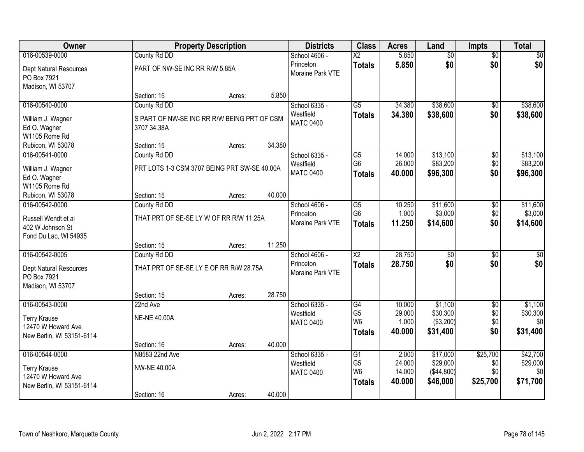| Owner                     |                                              | <b>Property Description</b> |        | <b>Districts</b> | <b>Class</b>           | <b>Acres</b> | Land            | Impts           | <b>Total</b>    |
|---------------------------|----------------------------------------------|-----------------------------|--------|------------------|------------------------|--------------|-----------------|-----------------|-----------------|
| 016-00539-0000            | County Rd DD                                 |                             |        | School 4606 -    | $\overline{\text{X2}}$ | 5.850        | $\overline{50}$ | $\overline{50}$ | \$0             |
| Dept Natural Resources    | PART OF NW-SE INC RR R/W 5.85A               |                             |        | Princeton        | <b>Totals</b>          | 5.850        | \$0             | \$0             | \$0             |
| PO Box 7921               |                                              |                             |        | Moraine Park VTE |                        |              |                 |                 |                 |
| Madison, WI 53707         |                                              |                             |        |                  |                        |              |                 |                 |                 |
|                           | Section: 15                                  | Acres:                      | 5.850  |                  |                        |              |                 |                 |                 |
| 016-00540-0000            | County Rd DD                                 |                             |        | School 6335 -    | $\overline{G5}$        | 34.380       | \$38,600        | $\overline{50}$ | \$38,600        |
| William J. Wagner         | S PART OF NW-SE INC RR R/W BEING PRT OF CSM  |                             |        | Westfield        | <b>Totals</b>          | 34.380       | \$38,600        | \$0             | \$38,600        |
| Ed O. Wagner              | 3707 34.38A                                  |                             |        | <b>MATC 0400</b> |                        |              |                 |                 |                 |
| W1105 Rome Rd             |                                              |                             |        |                  |                        |              |                 |                 |                 |
| Rubicon, WI 53078         | Section: 15                                  | Acres:                      | 34.380 |                  |                        |              |                 |                 |                 |
| 016-00541-0000            | County Rd DD                                 |                             |        | School 6335 -    | G5                     | 14.000       | \$13,100        | \$0             | \$13,100        |
| William J. Wagner         | PRT LOTS 1-3 CSM 3707 BEING PRT SW-SE 40.00A |                             |        | Westfield        | G <sub>6</sub>         | 26.000       | \$83,200        | \$0             | \$83,200        |
| Ed O. Wagner              |                                              |                             |        | <b>MATC 0400</b> | <b>Totals</b>          | 40.000       | \$96,300        | \$0             | \$96,300        |
| W1105 Rome Rd             |                                              |                             |        |                  |                        |              |                 |                 |                 |
| Rubicon, WI 53078         | Section: 15                                  | Acres:                      | 40.000 |                  |                        |              |                 |                 |                 |
| 016-00542-0000            | County Rd DD                                 |                             |        | School 4606 -    | G5                     | 10.250       | \$11,600        | \$0             | \$11,600        |
| Russell Wendt et al       | THAT PRT OF SE-SE LY W OF RR R/W 11.25A      |                             |        | Princeton        | G <sub>6</sub>         | 1.000        | \$3,000         | \$0             | \$3,000         |
| 402 W Johnson St          |                                              |                             |        | Moraine Park VTE | <b>Totals</b>          | 11.250       | \$14,600        | \$0             | \$14,600        |
| Fond Du Lac, WI 54935     |                                              |                             |        |                  |                        |              |                 |                 |                 |
|                           | Section: 15                                  | Acres:                      | 11.250 |                  |                        |              |                 |                 |                 |
| 016-00542-0005            | County Rd DD                                 |                             |        | School 4606 -    | $\overline{\text{X2}}$ | 28.750       | $\overline{50}$ | $\overline{50}$ | $\overline{50}$ |
| Dept Natural Resources    | THAT PRT OF SE-SE LY E OF RR R/W 28.75A      |                             |        | Princeton        | <b>Totals</b>          | 28.750       | \$0             | \$0             | \$0             |
| PO Box 7921               |                                              |                             |        | Moraine Park VTE |                        |              |                 |                 |                 |
| Madison, WI 53707         |                                              |                             |        |                  |                        |              |                 |                 |                 |
|                           | Section: 15                                  | Acres:                      | 28.750 |                  |                        |              |                 |                 |                 |
| 016-00543-0000            | 22nd Ave                                     |                             |        | School 6335 -    | G4                     | 10.000       | \$1,100         | $\overline{50}$ | \$1,100         |
| <b>Terry Krause</b>       | <b>NE-NE 40.00A</b>                          |                             |        | Westfield        | G <sub>5</sub>         | 29.000       | \$30,300        | \$0             | \$30,300        |
| 12470 W Howard Ave        |                                              |                             |        | <b>MATC 0400</b> | W <sub>6</sub>         | 1.000        | ( \$3,200)      | \$0             | \$0             |
| New Berlin, WI 53151-6114 |                                              |                             |        |                  | <b>Totals</b>          | 40.000       | \$31,400        | \$0             | \$31,400        |
|                           | Section: 16                                  | Acres:                      | 40.000 |                  |                        |              |                 |                 |                 |
| 016-00544-0000            | N8583 22nd Ave                               |                             |        | School 6335 -    | G1                     | 2.000        | \$17,000        | \$25,700        | \$42,700        |
| <b>Terry Krause</b>       | <b>NW-NE 40.00A</b>                          |                             |        | Westfield        | G <sub>5</sub>         | 24.000       | \$29,000        | \$0             | \$29,000        |
| 12470 W Howard Ave        |                                              |                             |        | <b>MATC 0400</b> | W <sub>6</sub>         | 14.000       | ( \$44, 800)    | \$0             | 30              |
| New Berlin, WI 53151-6114 |                                              |                             |        |                  | <b>Totals</b>          | 40.000       | \$46,000        | \$25,700        | \$71,700        |
|                           | Section: 16                                  | Acres:                      | 40.000 |                  |                        |              |                 |                 |                 |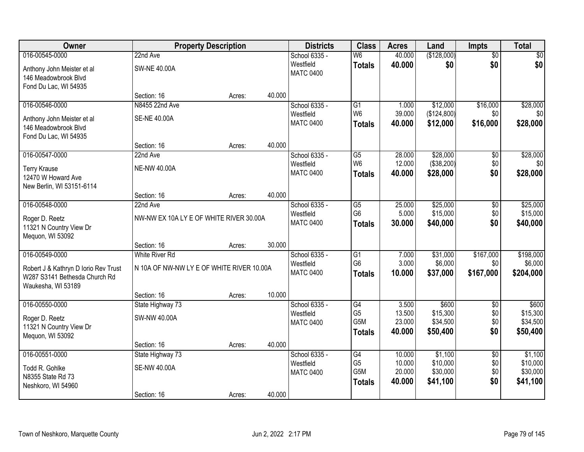| Owner                                              |                                           | <b>Property Description</b> |        | <b>Districts</b>              | <b>Class</b>         | <b>Acres</b>    | Land                    | <b>Impts</b>    | <b>Total</b>    |
|----------------------------------------------------|-------------------------------------------|-----------------------------|--------|-------------------------------|----------------------|-----------------|-------------------------|-----------------|-----------------|
| 016-00545-0000                                     | 22nd Ave                                  |                             |        | School 6335 -                 | W6                   | 40.000          | (\$128,000)             | $\overline{50}$ | $\sqrt{30}$     |
| Anthony John Meister et al<br>146 Meadowbrook Blvd | <b>SW-NE 40.00A</b>                       |                             |        | Westfield<br><b>MATC 0400</b> | <b>Totals</b>        | 40.000          | \$0                     | \$0             | \$0             |
| Fond Du Lac, WI 54935                              |                                           |                             |        |                               |                      |                 |                         |                 |                 |
|                                                    | Section: 16                               | Acres:                      | 40.000 |                               |                      |                 |                         |                 |                 |
| 016-00546-0000                                     | N8455 22nd Ave                            |                             |        | School 6335 -<br>Westfield    | G1<br>W <sub>6</sub> | 1.000<br>39.000 | \$12,000<br>(\$124,800) | \$16,000<br>\$0 | \$28,000<br>\$0 |
| Anthony John Meister et al                         | <b>SE-NE 40.00A</b>                       |                             |        | <b>MATC 0400</b>              |                      | 40.000          | \$12,000                | \$16,000        | \$28,000        |
| 146 Meadowbrook Blvd                               |                                           |                             |        |                               | <b>Totals</b>        |                 |                         |                 |                 |
| Fond Du Lac, WI 54935                              |                                           |                             |        |                               |                      |                 |                         |                 |                 |
|                                                    | Section: 16                               | Acres:                      | 40.000 |                               |                      |                 |                         |                 |                 |
| 016-00547-0000                                     | 22nd Ave                                  |                             |        | School 6335 -                 | $\overline{G5}$      | 28.000          | \$28,000                | $\overline{50}$ | \$28,000        |
| <b>Terry Krause</b>                                | <b>NE-NW 40.00A</b>                       |                             |        | Westfield                     | W <sub>6</sub>       | 12.000          | (\$38,200)              | \$0             | \$0             |
| 12470 W Howard Ave                                 |                                           |                             |        | <b>MATC 0400</b>              | <b>Totals</b>        | 40.000          | \$28,000                | \$0             | \$28,000        |
| New Berlin, WI 53151-6114                          |                                           |                             |        |                               |                      |                 |                         |                 |                 |
|                                                    | Section: 16                               | Acres:                      | 40.000 |                               |                      |                 |                         |                 |                 |
| 016-00548-0000                                     | 22nd Ave                                  |                             |        | School 6335 -                 | G <sub>5</sub>       | 25.000          | \$25,000                | \$0             | \$25,000        |
| Roger D. Reetz                                     | NW-NW EX 10A LY E OF WHITE RIVER 30.00A   |                             |        | Westfield                     | G <sub>6</sub>       | 5.000           | \$15,000                | \$0             | \$15,000        |
| 11321 N Country View Dr                            |                                           |                             |        | <b>MATC 0400</b>              | <b>Totals</b>        | 30.000          | \$40,000                | \$0             | \$40,000        |
| Mequon, WI 53092                                   |                                           |                             |        |                               |                      |                 |                         |                 |                 |
|                                                    | Section: 16                               | Acres:                      | 30.000 |                               |                      |                 |                         |                 |                 |
| 016-00549-0000                                     | <b>White River Rd</b>                     |                             |        | School 6335 -                 | $\overline{G1}$      | 7.000           | \$31,000                | \$167,000       | \$198,000       |
| Robert J & Kathryn D Iorio Rev Trust               | N 10A OF NW-NW LY E OF WHITE RIVER 10.00A |                             |        | Westfield                     | G <sub>6</sub>       | 3.000           | \$6,000                 | \$0             | \$6,000         |
| W287 S3141 Bethesda Church Rd                      |                                           |                             |        | <b>MATC 0400</b>              | <b>Totals</b>        | 10.000          | \$37,000                | \$167,000       | \$204,000       |
| Waukesha, WI 53189                                 |                                           |                             |        |                               |                      |                 |                         |                 |                 |
|                                                    | Section: 16                               | Acres:                      | 10.000 |                               |                      |                 |                         |                 |                 |
| 016-00550-0000                                     | State Highway 73                          |                             |        | School 6335 -                 | G4                   | 3.500           | \$600                   | $\sqrt{6}$      | \$600           |
| Roger D. Reetz                                     | SW-NW 40.00A                              |                             |        | Westfield                     | G <sub>5</sub>       | 13.500          | \$15,300                | \$0             | \$15,300        |
| 11321 N Country View Dr                            |                                           |                             |        | <b>MATC 0400</b>              | G5M                  | 23.000          | \$34,500                | \$0             | \$34,500        |
| Mequon, WI 53092                                   |                                           |                             |        |                               | <b>Totals</b>        | 40.000          | \$50,400                | \$0             | \$50,400        |
|                                                    | Section: 16                               | Acres:                      | 40.000 |                               |                      |                 |                         |                 |                 |
| 016-00551-0000                                     | State Highway 73                          |                             |        | School 6335 -                 | G4                   | 10.000          | \$1,100                 | $\overline{50}$ | \$1,100         |
| Todd R. Gohlke                                     | <b>SE-NW 40.00A</b>                       |                             |        | Westfield                     | G <sub>5</sub>       | 10.000          | \$10,000                | \$0             | \$10,000        |
| N8355 State Rd 73                                  |                                           |                             |        | <b>MATC 0400</b>              | G5M                  | 20.000          | \$30,000                | \$0             | \$30,000        |
| Neshkoro, WI 54960                                 |                                           |                             |        |                               | <b>Totals</b>        | 40.000          | \$41,100                | \$0             | \$41,100        |
|                                                    | Section: 16                               | Acres:                      | 40.000 |                               |                      |                 |                         |                 |                 |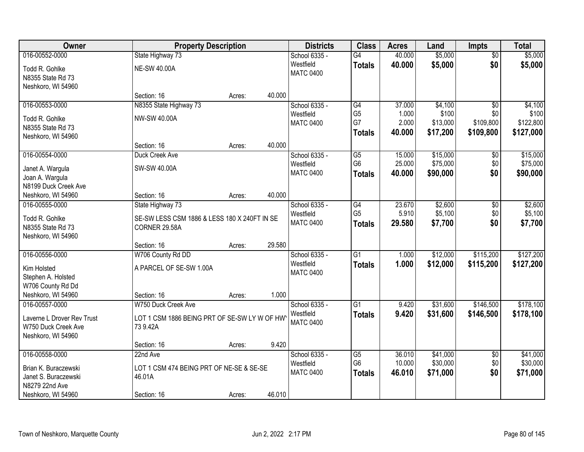| Owner                      | <b>Property Description</b>                  |        |        | <b>Districts</b> | <b>Class</b>    | <b>Acres</b> | Land     | <b>Impts</b>    | <b>Total</b> |
|----------------------------|----------------------------------------------|--------|--------|------------------|-----------------|--------------|----------|-----------------|--------------|
| 016-00552-0000             | State Highway 73                             |        |        | School 6335 -    | G4              | 40.000       | \$5,000  | $\overline{50}$ | \$5,000      |
| Todd R. Gohlke             | <b>NE-SW 40.00A</b>                          |        |        | Westfield        | <b>Totals</b>   | 40.000       | \$5,000  | \$0             | \$5,000      |
| N8355 State Rd 73          |                                              |        |        | <b>MATC 0400</b> |                 |              |          |                 |              |
| Neshkoro, WI 54960         |                                              |        |        |                  |                 |              |          |                 |              |
|                            | Section: 16                                  | Acres: | 40.000 |                  |                 |              |          |                 |              |
| 016-00553-0000             | N8355 State Highway 73                       |        |        | School 6335 -    | $\overline{G4}$ | 37.000       | \$4,100  | $\overline{50}$ | \$4,100      |
| Todd R. Gohlke             | NW-SW 40.00A                                 |        |        | Westfield        | G <sub>5</sub>  | 1.000        | \$100    | \$0             | \$100        |
| N8355 State Rd 73          |                                              |        |        | <b>MATC 0400</b> | G7              | 2.000        | \$13,000 | \$109,800       | \$122,800    |
| Neshkoro, WI 54960         |                                              |        |        |                  | <b>Totals</b>   | 40.000       | \$17,200 | \$109,800       | \$127,000    |
|                            | Section: 16                                  | Acres: | 40.000 |                  |                 |              |          |                 |              |
| 016-00554-0000             | Duck Creek Ave                               |        |        | School 6335 -    | $\overline{G5}$ | 15.000       | \$15,000 | \$0             | \$15,000     |
| Janet A. Wargula           | SW-SW 40.00A                                 |        |        | Westfield        | G <sub>6</sub>  | 25.000       | \$75,000 | \$0             | \$75,000     |
| Joan A. Wargula            |                                              |        |        | <b>MATC 0400</b> | <b>Totals</b>   | 40.000       | \$90,000 | \$0             | \$90,000     |
| N8199 Duck Creek Ave       |                                              |        |        |                  |                 |              |          |                 |              |
| Neshkoro, WI 54960         | Section: 16                                  | Acres: | 40.000 |                  |                 |              |          |                 |              |
| 016-00555-0000             | State Highway 73                             |        |        | School 6335 -    | G4              | 23.670       | \$2,600  | \$0             | \$2,600      |
| Todd R. Gohlke             | SE-SW LESS CSM 1886 & LESS 180 X 240FT IN SE |        |        | Westfield        | G <sub>5</sub>  | 5.910        | \$5,100  | \$0             | \$5,100      |
| N8355 State Rd 73          | CORNER 29.58A                                |        |        | <b>MATC 0400</b> | <b>Totals</b>   | 29.580       | \$7,700  | \$0             | \$7,700      |
| Neshkoro, WI 54960         |                                              |        |        |                  |                 |              |          |                 |              |
|                            | Section: 16                                  | Acres: | 29.580 |                  |                 |              |          |                 |              |
| 016-00556-0000             | W706 County Rd DD                            |        |        | School 6335 -    | $\overline{G1}$ | 1.000        | \$12,000 | \$115,200       | \$127,200    |
| Kim Holsted                | A PARCEL OF SE-SW 1.00A                      |        |        | Westfield        | <b>Totals</b>   | 1.000        | \$12,000 | \$115,200       | \$127,200    |
| Stephen A. Holsted         |                                              |        |        | <b>MATC 0400</b> |                 |              |          |                 |              |
| W706 County Rd Dd          |                                              |        |        |                  |                 |              |          |                 |              |
| Neshkoro, WI 54960         | Section: 16                                  | Acres: | 1.000  |                  |                 |              |          |                 |              |
| 016-00557-0000             | W750 Duck Creek Ave                          |        |        | School 6335 -    | $\overline{G1}$ | 9.420        | \$31,600 | \$146,500       | \$178,100    |
| Laverne L Drover Rev Trust | LOT 1 CSM 1886 BEING PRT OF SE-SW LY W OF HW |        |        | Westfield        | <b>Totals</b>   | 9.420        | \$31,600 | \$146,500       | \$178,100    |
| W750 Duck Creek Ave        | 73 9.42A                                     |        |        | <b>MATC 0400</b> |                 |              |          |                 |              |
| Neshkoro, WI 54960         |                                              |        |        |                  |                 |              |          |                 |              |
|                            | Section: 16                                  | Acres: | 9.420  |                  |                 |              |          |                 |              |
| 016-00558-0000             | 22nd Ave                                     |        |        | School 6335 -    | $\overline{G5}$ | 36.010       | \$41,000 | $\overline{30}$ | \$41,000     |
| Brian K. Buraczewski       | LOT 1 CSM 474 BEING PRT OF NE-SE & SE-SE     |        |        | Westfield        | G <sub>6</sub>  | 10.000       | \$30,000 | \$0             | \$30,000     |
| Janet S. Buraczewski       | 46.01A                                       |        |        | <b>MATC 0400</b> | <b>Totals</b>   | 46.010       | \$71,000 | \$0             | \$71,000     |
| N8279 22nd Ave             |                                              |        |        |                  |                 |              |          |                 |              |
| Neshkoro, WI 54960         | Section: 16                                  | Acres: | 46.010 |                  |                 |              |          |                 |              |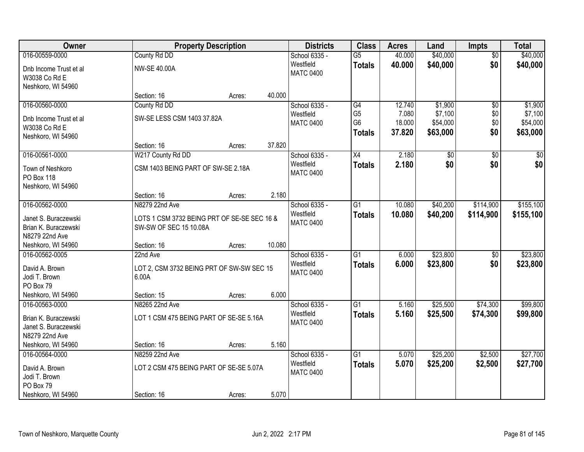| Owner                                   |                                             | <b>Property Description</b> |        | <b>Districts</b>              | <b>Class</b>    | <b>Acres</b> | Land     | <b>Impts</b>    | <b>Total</b>    |
|-----------------------------------------|---------------------------------------------|-----------------------------|--------|-------------------------------|-----------------|--------------|----------|-----------------|-----------------|
| 016-00559-0000                          | County Rd DD                                |                             |        | School 6335 -                 | $\overline{G5}$ | 40.000       | \$40,000 | $\overline{50}$ | \$40,000        |
| Dnb Income Trust et al<br>W3038 Co Rd E | <b>NW-SE 40.00A</b>                         |                             |        | Westfield<br><b>MATC 0400</b> | <b>Totals</b>   | 40.000       | \$40,000 | \$0             | \$40,000        |
| Neshkoro, WI 54960                      |                                             |                             |        |                               |                 |              |          |                 |                 |
|                                         | Section: 16                                 | Acres:                      | 40.000 |                               |                 |              |          |                 |                 |
| 016-00560-0000                          | County Rd DD                                |                             |        | School 6335 -                 | G4              | 12.740       | \$1,900  | $\overline{50}$ | \$1,900         |
| Dnb Income Trust et al                  | SW-SE LESS CSM 1403 37.82A                  |                             |        | Westfield                     | G <sub>5</sub>  | 7.080        | \$7,100  | \$0             | \$7,100         |
| W3038 Co Rd E                           |                                             |                             |        | <b>MATC 0400</b>              | G <sub>6</sub>  | 18.000       | \$54,000 | \$0             | \$54,000        |
| Neshkoro, WI 54960                      |                                             |                             |        |                               | <b>Totals</b>   | 37.820       | \$63,000 | \$0             | \$63,000        |
|                                         | Section: 16                                 | Acres:                      | 37.820 |                               |                 |              |          |                 |                 |
| 016-00561-0000                          | W217 County Rd DD                           |                             |        | School 6335 -                 | X4              | 2.180        | \$0      | \$0             | $\overline{50}$ |
| Town of Neshkoro                        | CSM 1403 BEING PART OF SW-SE 2.18A          |                             |        | Westfield                     | <b>Totals</b>   | 2.180        | \$0      | \$0             | \$0             |
| PO Box 118                              |                                             |                             |        | <b>MATC 0400</b>              |                 |              |          |                 |                 |
| Neshkoro, WI 54960                      |                                             |                             |        |                               |                 |              |          |                 |                 |
|                                         | Section: 16                                 | Acres:                      | 2.180  |                               |                 |              |          |                 |                 |
| 016-00562-0000                          | N8279 22nd Ave                              |                             |        | School 6335 -                 | G1              | 10.080       | \$40,200 | \$114,900       | \$155,100       |
| Janet S. Buraczewski                    | LOTS 1 CSM 3732 BEING PRT OF SE-SE SEC 16 & |                             |        | Westfield                     | <b>Totals</b>   | 10.080       | \$40,200 | \$114,900       | \$155,100       |
| Brian K. Buraczewski                    | SW-SW OF SEC 15 10.08A                      |                             |        | <b>MATC 0400</b>              |                 |              |          |                 |                 |
| N8279 22nd Ave                          |                                             |                             |        |                               |                 |              |          |                 |                 |
| Neshkoro, WI 54960                      | Section: 16                                 | Acres:                      | 10.080 |                               |                 |              |          |                 |                 |
| 016-00562-0005                          | 22nd Ave                                    |                             |        | School 6335 -                 | $\overline{G1}$ | 6.000        | \$23,800 | $\overline{50}$ | \$23,800        |
| David A. Brown                          | LOT 2, CSM 3732 BEING PRT OF SW-SW SEC 15   |                             |        | Westfield                     | <b>Totals</b>   | 6.000        | \$23,800 | \$0             | \$23,800        |
| Jodi T. Brown                           | 6.00A                                       |                             |        | <b>MATC 0400</b>              |                 |              |          |                 |                 |
| PO Box 79                               |                                             |                             |        |                               |                 |              |          |                 |                 |
| Neshkoro, WI 54960                      | Section: 15                                 | Acres:                      | 6.000  |                               |                 |              |          |                 |                 |
| 016-00563-0000                          | N8265 22nd Ave                              |                             |        | School 6335 -                 | $\overline{G1}$ | 5.160        | \$25,500 | \$74,300        | \$99,800        |
| Brian K. Buraczewski                    | LOT 1 CSM 475 BEING PART OF SE-SE 5.16A     |                             |        | Westfield                     | <b>Totals</b>   | 5.160        | \$25,500 | \$74,300        | \$99,800        |
| Janet S. Buraczewski                    |                                             |                             |        | <b>MATC 0400</b>              |                 |              |          |                 |                 |
| N8279 22nd Ave                          |                                             |                             |        |                               |                 |              |          |                 |                 |
| Neshkoro, WI 54960                      | Section: 16                                 | Acres:                      | 5.160  |                               |                 |              |          |                 |                 |
| 016-00564-0000                          | N8259 22nd Ave                              |                             |        | School 6335 -                 | $\overline{G1}$ | 5.070        | \$25,200 | \$2,500         | \$27,700        |
| David A. Brown                          | LOT 2 CSM 475 BEING PART OF SE-SE 5.07A     |                             |        | Westfield                     | <b>Totals</b>   | 5.070        | \$25,200 | \$2,500         | \$27,700        |
| Jodi T. Brown                           |                                             |                             |        | <b>MATC 0400</b>              |                 |              |          |                 |                 |
| PO Box 79                               |                                             |                             |        |                               |                 |              |          |                 |                 |
| Neshkoro, WI 54960                      | Section: 16                                 | Acres:                      | 5.070  |                               |                 |              |          |                 |                 |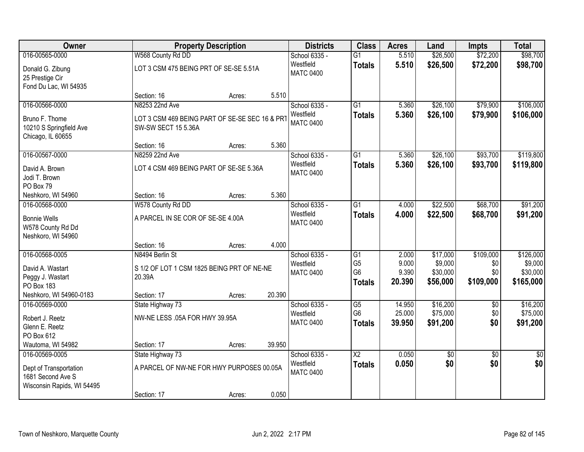| Owner                                                                     |                                                                       | <b>Property Description</b> |        | <b>Districts</b>              | <b>Class</b>             | <b>Acres</b> | Land     | <b>Impts</b>    | <b>Total</b> |
|---------------------------------------------------------------------------|-----------------------------------------------------------------------|-----------------------------|--------|-------------------------------|--------------------------|--------------|----------|-----------------|--------------|
| 016-00565-0000                                                            | W568 County Rd DD                                                     |                             |        | School 6335 -                 | $\overline{G1}$          | 5.510        | \$26,500 | \$72,200        | \$98,700     |
| Donald G. Zibung<br>25 Prestige Cir<br>Fond Du Lac, WI 54935              | LOT 3 CSM 475 BEING PRT OF SE-SE 5.51A                                |                             |        | Westfield<br><b>MATC 0400</b> | <b>Totals</b>            | 5.510        | \$26,500 | \$72,200        | \$98,700     |
|                                                                           | Section: 16                                                           | Acres:                      | 5.510  |                               |                          |              |          |                 |              |
| 016-00566-0000                                                            | N8253 22nd Ave                                                        |                             |        | School 6335 -                 | $\overline{G1}$          | 5.360        | \$26,100 | \$79,900        | \$106,000    |
| Bruno F. Thome<br>10210 S Springfield Ave<br>Chicago, IL 60655            | LOT 3 CSM 469 BEING PART OF SE-SE SEC 16 & PRT<br>SW-SW SECT 15 5.36A |                             |        | Westfield<br><b>MATC 0400</b> | <b>Totals</b>            | 5.360        | \$26,100 | \$79,900        | \$106,000    |
|                                                                           | Section: 16                                                           | Acres:                      | 5.360  |                               |                          |              |          |                 |              |
| 016-00567-0000                                                            | N8259 22nd Ave                                                        |                             |        | School 6335 -                 | $\overline{G1}$          | 5.360        | \$26,100 | \$93,700        | \$119,800    |
| David A. Brown<br>Jodi T. Brown<br>PO Box 79                              | LOT 4 CSM 469 BEING PART OF SE-SE 5.36A                               |                             |        | Westfield<br><b>MATC 0400</b> | <b>Totals</b>            | 5.360        | \$26,100 | \$93,700        | \$119,800    |
| Neshkoro, WI 54960                                                        | Section: 16                                                           | Acres:                      | 5.360  |                               |                          |              |          |                 |              |
| 016-00568-0000                                                            | W578 County Rd DD                                                     |                             |        | School 6335 -                 | G1                       | 4.000        | \$22,500 | \$68,700        | \$91,200     |
| <b>Bonnie Wells</b><br>W578 County Rd Dd<br>Neshkoro, WI 54960            | A PARCEL IN SE COR OF SE-SE 4.00A                                     |                             |        | Westfield<br><b>MATC 0400</b> | <b>Totals</b>            | 4.000        | \$22,500 | \$68,700        | \$91,200     |
|                                                                           | Section: 16                                                           | Acres:                      | 4.000  |                               |                          |              |          |                 |              |
| 016-00568-0005                                                            | N8494 Berlin St                                                       |                             |        | School 6335 -                 | $\overline{G1}$          | 2.000        | \$17,000 | \$109,000       | \$126,000    |
| David A. Wastart                                                          | S 1/2 OF LOT 1 CSM 1825 BEING PRT OF NE-NE                            |                             |        | Westfield                     | G <sub>5</sub>           | 9.000        | \$9,000  | \$0             | \$9,000      |
| Peggy J. Wastart                                                          | 20.39A                                                                |                             |        | <b>MATC 0400</b>              | G <sub>6</sub>           | 9.390        | \$30,000 | \$0             | \$30,000     |
| PO Box 183                                                                |                                                                       |                             |        |                               | <b>Totals</b>            | 20.390       | \$56,000 | \$109,000       | \$165,000    |
| Neshkoro, WI 54960-0183                                                   | Section: 17                                                           | Acres:                      | 20.390 |                               |                          |              |          |                 |              |
| 016-00569-0000                                                            | State Highway 73                                                      |                             |        | School 6335 -                 | $\overline{G5}$          | 14.950       | \$16,200 | \$0             | \$16,200     |
| Robert J. Reetz                                                           | NW-NE LESS .05A FOR HWY 39.95A                                        |                             |        | Westfield                     | G <sub>6</sub>           | 25.000       | \$75,000 | \$0             | \$75,000     |
| Glenn E. Reetz                                                            |                                                                       |                             |        | <b>MATC 0400</b>              | <b>Totals</b>            | 39.950       | \$91,200 | \$0             | \$91,200     |
| PO Box 612                                                                |                                                                       |                             |        |                               |                          |              |          |                 |              |
| Wautoma, WI 54982                                                         | Section: 17                                                           | Acres:                      | 39.950 |                               |                          |              |          |                 |              |
| 016-00569-0005                                                            | State Highway 73                                                      |                             |        | School 6335 -                 | $\overline{\mathsf{X2}}$ | 0.050        | \$0      | $\overline{50}$ | $\sqrt{50}$  |
| Dept of Transportation<br>1681 Second Ave S<br>Wisconsin Rapids, WI 54495 | A PARCEL OF NW-NE FOR HWY PURPOSES 00.05A                             |                             |        | Westfield<br><b>MATC 0400</b> | <b>Totals</b>            | 0.050        | \$0      | \$0             | \$0          |
|                                                                           | Section: 17                                                           | Acres:                      | 0.050  |                               |                          |              |          |                 |              |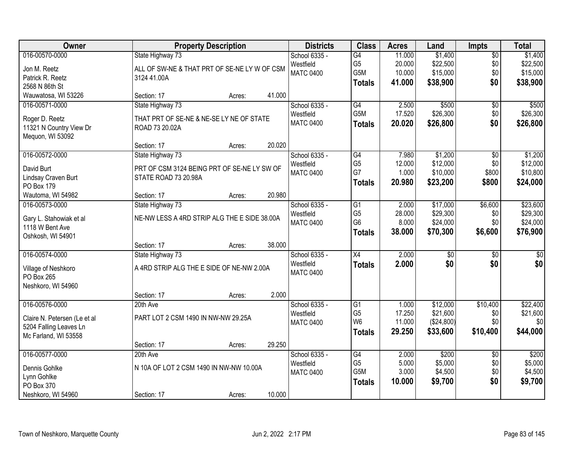| Owner                             |                                              | <b>Property Description</b> |        | <b>Districts</b> | <b>Class</b>     | <b>Acres</b> | Land            | <b>Impts</b>    | <b>Total</b>     |
|-----------------------------------|----------------------------------------------|-----------------------------|--------|------------------|------------------|--------------|-----------------|-----------------|------------------|
| 016-00570-0000                    | State Highway 73                             |                             |        | School 6335 -    | G4               | 11.000       | \$1,400         | $\overline{50}$ | \$1,400          |
| Jon M. Reetz                      | ALL OF SW-NE & THAT PRT OF SE-NE LY W OF CSM |                             |        | Westfield        | G <sub>5</sub>   | 20.000       | \$22,500        | \$0             | \$22,500         |
| Patrick R. Reetz                  | 3124 41.00A                                  |                             |        | <b>MATC 0400</b> | G5M              | 10.000       | \$15,000        | \$0             | \$15,000         |
| 2568 N 86th St                    |                                              |                             |        |                  | <b>Totals</b>    | 41.000       | \$38,900        | \$0             | \$38,900         |
| Wauwatosa, WI 53226               | Section: 17                                  | Acres:                      | 41.000 |                  |                  |              |                 |                 |                  |
| 016-00571-0000                    | State Highway 73                             |                             |        | School 6335 -    | G4               | 2.500        | \$500           | \$0             | \$500            |
| Roger D. Reetz                    | THAT PRT OF SE-NE & NE-SE LY NE OF STATE     |                             |        | Westfield        | G <sub>5</sub> M | 17.520       | \$26,300        | \$0             | \$26,300         |
| 11321 N Country View Dr           | ROAD 73 20.02A                               |                             |        | <b>MATC 0400</b> | <b>Totals</b>    | 20.020       | \$26,800        | \$0             | \$26,800         |
| Mequon, WI 53092                  |                                              |                             |        |                  |                  |              |                 |                 |                  |
|                                   | Section: 17                                  | Acres:                      | 20.020 |                  |                  |              |                 |                 |                  |
| 016-00572-0000                    | State Highway 73                             |                             |        | School 6335 -    | $\overline{G4}$  | 7.980        | \$1,200         | \$0             | \$1,200          |
| David Burt                        | PRT OF CSM 3124 BEING PRT OF SE-NE LY SW OF  |                             |        | Westfield        | G <sub>5</sub>   | 12.000       | \$12,000        | \$0             | \$12,000         |
| Lindsay Craven Burt               | STATE ROAD 73 20.98A                         |                             |        | <b>MATC 0400</b> | G7               | 1.000        | \$10,000        | \$800           | \$10,800         |
| PO Box 179                        |                                              |                             |        |                  | <b>Totals</b>    | 20.980       | \$23,200        | \$800           | \$24,000         |
| Wautoma, WI 54982                 | Section: 17                                  | Acres:                      | 20.980 |                  |                  |              |                 |                 |                  |
| 016-00573-0000                    | State Highway 73                             |                             |        | School 6335 -    | G1               | 2.000        | \$17,000        | \$6,600         | \$23,600         |
| Gary L. Stahowiak et al           | NE-NW LESS A 4RD STRIP ALG THE E SIDE 38.00A |                             |        | Westfield        | G <sub>5</sub>   | 28.000       | \$29,300        | \$0             | \$29,300         |
| 1118 W Bent Ave                   |                                              |                             |        | <b>MATC 0400</b> | G <sub>6</sub>   | 8.000        | \$24,000        | \$0             | \$24,000         |
| Oshkosh, WI 54901                 |                                              |                             |        |                  | <b>Totals</b>    | 38.000       | \$70,300        | \$6,600         | \$76,900         |
|                                   | Section: 17                                  | Acres:                      | 38.000 |                  |                  |              |                 |                 |                  |
| 016-00574-0000                    | State Highway 73                             |                             |        | School 6335 -    | $\overline{X4}$  | 2.000        | $\overline{50}$ | $\overline{50}$ | $\overline{\$0}$ |
|                                   |                                              |                             |        | Westfield        | <b>Totals</b>    | 2.000        | \$0             | \$0             | \$0              |
| Village of Neshkoro<br>PO Box 265 | A 4RD STRIP ALG THE E SIDE OF NE-NW 2.00A    |                             |        | <b>MATC 0400</b> |                  |              |                 |                 |                  |
| Neshkoro, WI 54960                |                                              |                             |        |                  |                  |              |                 |                 |                  |
|                                   | Section: 17                                  | Acres:                      | 2.000  |                  |                  |              |                 |                 |                  |
| 016-00576-0000                    | 20th Ave                                     |                             |        | School 6335 -    | $\overline{G1}$  | 1.000        | \$12,000        | \$10,400        | \$22,400         |
|                                   |                                              |                             |        | Westfield        | G <sub>5</sub>   | 17.250       | \$21,600        | \$0             | \$21,600         |
| Claire N. Petersen (Le et al      | PART LOT 2 CSM 1490 IN NW-NW 29.25A          |                             |        | <b>MATC 0400</b> | W <sub>6</sub>   | 11.000       | (\$24,800)      | \$0             | \$0              |
| 5204 Falling Leaves Ln            |                                              |                             |        |                  | <b>Totals</b>    | 29.250       | \$33,600        | \$10,400        | \$44,000         |
| Mc Farland, WI 53558              | Section: 17                                  | Acres:                      | 29.250 |                  |                  |              |                 |                 |                  |
| 016-00577-0000                    | 20th Ave                                     |                             |        | School 6335 -    | G4               | 2.000        | \$200           | $\overline{30}$ | \$200            |
|                                   |                                              |                             |        | Westfield        | G <sub>5</sub>   | 5.000        | \$5,000         | \$0             | \$5,000          |
| Dennis Gohlke                     | N 10A OF LOT 2 CSM 1490 IN NW-NW 10.00A      |                             |        | <b>MATC 0400</b> | G5M              | 3.000        | \$4,500         | \$0             | \$4,500          |
| Lynn Gohlke                       |                                              |                             |        |                  | <b>Totals</b>    | 10.000       | \$9,700         | \$0             | \$9,700          |
| PO Box 370                        |                                              |                             |        |                  |                  |              |                 |                 |                  |
| Neshkoro, WI 54960                | Section: 17                                  | Acres:                      | 10.000 |                  |                  |              |                 |                 |                  |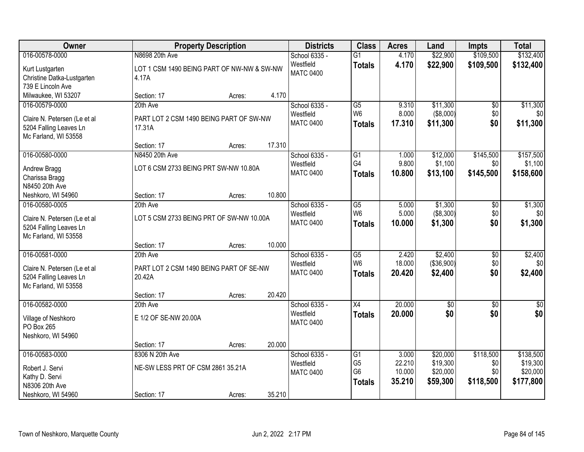| Owner                                                  |                                            | <b>Property Description</b> |        | <b>Districts</b>              | <b>Class</b>           | <b>Acres</b> | Land            | <b>Impts</b>    | <b>Total</b> |
|--------------------------------------------------------|--------------------------------------------|-----------------------------|--------|-------------------------------|------------------------|--------------|-----------------|-----------------|--------------|
| 016-00578-0000                                         | N8698 20th Ave                             |                             |        | School 6335 -                 | $\overline{G1}$        | 4.170        | \$22,900        | \$109,500       | \$132,400    |
| Kurt Lustgarten                                        | LOT 1 CSM 1490 BEING PART OF NW-NW & SW-NW |                             |        | Westfield                     | <b>Totals</b>          | 4.170        | \$22,900        | \$109,500       | \$132,400    |
| Christine Datka-Lustgarten                             | 4.17A                                      |                             |        | <b>MATC 0400</b>              |                        |              |                 |                 |              |
| 739 E Lincoln Ave                                      |                                            |                             |        |                               |                        |              |                 |                 |              |
| Milwaukee, WI 53207                                    | Section: 17                                | Acres:                      | 4.170  |                               |                        |              |                 |                 |              |
| 016-00579-0000                                         | 20th Ave                                   |                             |        | School 6335 -                 | $\overline{G5}$        | 9.310        | \$11,300        | \$0             | \$11,300     |
|                                                        | PART LOT 2 CSM 1490 BEING PART OF SW-NW    |                             |        | Westfield                     | W <sub>6</sub>         | 8.000        | (\$8,000)       | \$0             | \$0          |
| Claire N. Petersen (Le et al<br>5204 Falling Leaves Ln | 17.31A                                     |                             |        | <b>MATC 0400</b>              | Totals                 | 17.310       | \$11,300        | \$0             | \$11,300     |
| Mc Farland, WI 53558                                   |                                            |                             |        |                               |                        |              |                 |                 |              |
|                                                        | Section: 17                                | Acres:                      | 17.310 |                               |                        |              |                 |                 |              |
| 016-00580-0000                                         | N8450 20th Ave                             |                             |        | School 6335 -                 | G1                     | 1.000        | \$12,000        | \$145,500       | \$157,500    |
|                                                        | LOT 6 CSM 2733 BEING PRT SW-NW 10.80A      |                             |        | Westfield                     | G4                     | 9.800        | \$1,100         | \$0             | \$1,100      |
| Andrew Bragg<br>Charissa Bragg                         |                                            |                             |        | <b>MATC 0400</b>              | <b>Totals</b>          | 10.800       | \$13,100        | \$145,500       | \$158,600    |
| N8450 20th Ave                                         |                                            |                             |        |                               |                        |              |                 |                 |              |
| Neshkoro, WI 54960                                     | Section: 17                                | Acres:                      | 10.800 |                               |                        |              |                 |                 |              |
| 016-00580-0005                                         | 20th Ave                                   |                             |        | School 6335 -                 | $\overline{G5}$        | 5.000        | \$1,300         | \$0             | \$1,300      |
|                                                        |                                            |                             |        | Westfield                     | W <sub>6</sub>         | 5.000        | ( \$8,300)      | \$0             | \$0          |
| Claire N. Petersen (Le et al                           | LOT 5 CSM 2733 BEING PRT OF SW-NW 10.00A   |                             |        | <b>MATC 0400</b>              | <b>Totals</b>          | 10.000       | \$1,300         | \$0             | \$1,300      |
| 5204 Falling Leaves Ln<br>Mc Farland, WI 53558         |                                            |                             |        |                               |                        |              |                 |                 |              |
|                                                        | Section: 17                                | Acres:                      | 10.000 |                               |                        |              |                 |                 |              |
| 016-00581-0000                                         | 20th Ave                                   |                             |        | School 6335 -                 | $\overline{\text{G5}}$ | 2.420        | \$2,400         | $\overline{30}$ | \$2,400      |
|                                                        |                                            |                             |        | Westfield                     | W <sub>6</sub>         | 18.000       | (\$36,900)      | \$0             | \$0          |
| Claire N. Petersen (Le et al                           | PART LOT 2 CSM 1490 BEING PART OF SE-NW    |                             |        | <b>MATC 0400</b>              | <b>Totals</b>          | 20.420       | \$2,400         | \$0             | \$2,400      |
| 5204 Falling Leaves Ln                                 | 20.42A                                     |                             |        |                               |                        |              |                 |                 |              |
| Mc Farland, WI 53558                                   |                                            |                             |        |                               |                        |              |                 |                 |              |
|                                                        | Section: 17                                | Acres:                      | 20.420 |                               |                        |              |                 |                 |              |
| 016-00582-0000                                         | 20th Ave                                   |                             |        | School 6335 -                 | $\overline{X4}$        | 20.000       | $\overline{60}$ | $\overline{60}$ | $\sqrt{50}$  |
| Village of Neshkoro                                    | E 1/2 OF SE-NW 20.00A                      |                             |        | Westfield<br><b>MATC 0400</b> | <b>Totals</b>          | 20.000       | \$0             | \$0             | \$0          |
| PO Box 265                                             |                                            |                             |        |                               |                        |              |                 |                 |              |
| Neshkoro, WI 54960                                     |                                            |                             |        |                               |                        |              |                 |                 |              |
|                                                        | Section: 17                                | Acres:                      | 20.000 |                               |                        |              |                 |                 |              |
| 016-00583-0000                                         | 8306 N 20th Ave                            |                             |        | School 6335 -                 | G1                     | 3.000        | \$20,000        | \$118,500       | \$138,500    |
| Robert J. Servi                                        | NE-SW LESS PRT OF CSM 2861 35.21A          |                             |        | Westfield                     | G <sub>5</sub>         | 22.210       | \$19,300        | \$0             | \$19,300     |
| Kathy D. Servi                                         |                                            |                             |        | <b>MATC 0400</b>              | G <sub>6</sub>         | 10.000       | \$20,000        | \$0             | \$20,000     |
| N8306 20th Ave                                         |                                            |                             |        |                               | <b>Totals</b>          | 35.210       | \$59,300        | \$118,500       | \$177,800    |
| Neshkoro, WI 54960                                     | Section: 17                                | Acres:                      | 35.210 |                               |                        |              |                 |                 |              |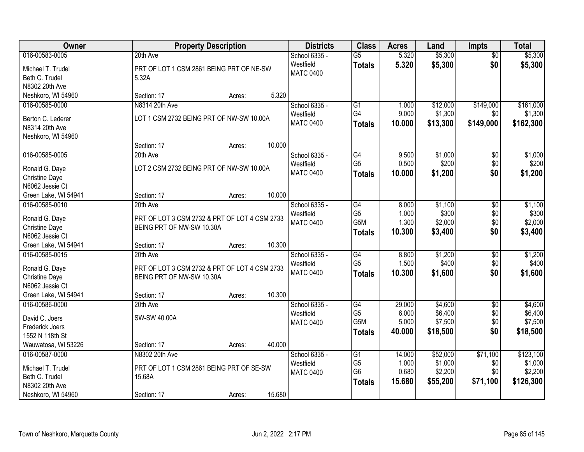| Owner                             | <b>Property Description</b>                   |        |        | <b>Districts</b>              | <b>Class</b>         | <b>Acres</b>   | Land               | <b>Impts</b>    | <b>Total</b>       |
|-----------------------------------|-----------------------------------------------|--------|--------|-------------------------------|----------------------|----------------|--------------------|-----------------|--------------------|
| 016-00583-0005                    | 20th Ave                                      |        |        | School 6335 -                 | $\overline{G5}$      | 5.320          | \$5,300            | $\overline{50}$ | \$5,300            |
| Michael T. Trudel                 | PRT OF LOT 1 CSM 2861 BEING PRT OF NE-SW      |        |        | Westfield                     | <b>Totals</b>        | 5.320          | \$5,300            | \$0             | \$5,300            |
| Beth C. Trudel                    | 5.32A                                         |        |        | <b>MATC 0400</b>              |                      |                |                    |                 |                    |
| N8302 20th Ave                    |                                               |        |        |                               |                      |                |                    |                 |                    |
| Neshkoro, WI 54960                | Section: 17                                   | Acres: | 5.320  |                               |                      |                |                    |                 |                    |
| 016-00585-0000                    | N8314 20th Ave                                |        |        | School 6335 -                 | $\overline{G1}$      | 1.000          | \$12,000           | \$149,000       | \$161,000          |
| Berton C. Lederer                 | LOT 1 CSM 2732 BEING PRT OF NW-SW 10.00A      |        |        | Westfield                     | G4                   | 9.000          | \$1,300            | \$0             | \$1,300            |
| N8314 20th Ave                    |                                               |        |        | <b>MATC 0400</b>              | <b>Totals</b>        | 10.000         | \$13,300           | \$149,000       | \$162,300          |
| Neshkoro, WI 54960                |                                               |        |        |                               |                      |                |                    |                 |                    |
|                                   | Section: 17                                   | Acres: | 10.000 |                               |                      |                |                    |                 |                    |
| 016-00585-0005                    | 20th Ave                                      |        |        | School 6335 -                 | G4                   | 9.500          | \$1,000            | \$0             | \$1,000            |
| Ronald G. Daye                    | LOT 2 CSM 2732 BEING PRT OF NW-SW 10.00A      |        |        | Westfield                     | G <sub>5</sub>       | 0.500          | \$200              | \$0             | \$200              |
| <b>Christine Daye</b>             |                                               |        |        | <b>MATC 0400</b>              | <b>Totals</b>        | 10,000         | \$1,200            | \$0             | \$1,200            |
| N6062 Jessie Ct                   |                                               |        |        |                               |                      |                |                    |                 |                    |
| Green Lake, WI 54941              | Section: 17                                   | Acres: | 10.000 |                               |                      |                |                    |                 |                    |
| 016-00585-0010                    | 20th Ave                                      |        |        | School 6335 -                 | $\overline{G4}$      | 8.000          | \$1,100            | $\overline{50}$ | \$1,100            |
|                                   |                                               |        |        | Westfield                     | G <sub>5</sub>       | 1.000          | \$300              | \$0             | \$300              |
| Ronald G. Daye                    | PRT OF LOT 3 CSM 2732 & PRT OF LOT 4 CSM 2733 |        |        | <b>MATC 0400</b>              | G5M                  | 1.300          | \$2,000            | \$0             | \$2,000            |
| Christine Daye<br>N6062 Jessie Ct | BEING PRT OF NW-SW 10.30A                     |        |        |                               | <b>Totals</b>        | 10.300         | \$3,400            | \$0             | \$3,400            |
| Green Lake, WI 54941              | Section: 17                                   | Acres: | 10.300 |                               |                      |                |                    |                 |                    |
| 016-00585-0015                    | 20th Ave                                      |        |        | School 6335 -                 | G4                   | 8.800          | \$1,200            | $\overline{50}$ | \$1,200            |
|                                   |                                               |        |        | Westfield                     | G <sub>5</sub>       | 1.500          | \$400              | \$0             | \$400              |
| Ronald G. Daye                    | PRT OF LOT 3 CSM 2732 & PRT OF LOT 4 CSM 2733 |        |        | <b>MATC 0400</b>              | <b>Totals</b>        | 10.300         | \$1,600            | \$0             | \$1,600            |
| Christine Daye                    | BEING PRT OF NW-SW 10.30A                     |        |        |                               |                      |                |                    |                 |                    |
| N6062 Jessie Ct                   |                                               |        |        |                               |                      |                |                    |                 |                    |
| Green Lake, WI 54941              | Section: 17                                   | Acres: | 10.300 |                               |                      |                |                    |                 |                    |
| 016-00586-0000                    | 20th Ave                                      |        |        | School 6335 -                 | G4<br>G <sub>5</sub> | 29.000         | \$4,600            | $\overline{60}$ | \$4,600            |
| David C. Joers                    | SW-SW 40.00A                                  |        |        | Westfield<br><b>MATC 0400</b> | G <sub>5</sub> M     | 6.000<br>5.000 | \$6,400<br>\$7,500 | \$0<br>\$0      | \$6,400<br>\$7,500 |
| Frederick Joers                   |                                               |        |        |                               |                      | 40.000         |                    | \$0             |                    |
| 1552 N 118th St                   |                                               |        |        |                               | <b>Totals</b>        |                | \$18,500           |                 | \$18,500           |
| Wauwatosa, WI 53226               | Section: 17                                   | Acres: | 40.000 |                               |                      |                |                    |                 |                    |
| 016-00587-0000                    | N8302 20th Ave                                |        |        | School 6335 -                 | G1                   | 14.000         | \$52,000           | \$71,100        | \$123,100          |
| Michael T. Trudel                 | PRT OF LOT 1 CSM 2861 BEING PRT OF SE-SW      |        |        | Westfield                     | G <sub>5</sub>       | 1.000          | \$1,000            | \$0             | \$1,000            |
| Beth C. Trudel                    | 15.68A                                        |        |        | <b>MATC 0400</b>              | G <sub>6</sub>       | 0.680          | \$2,200            | \$0             | \$2,200            |
| N8302 20th Ave                    |                                               |        |        |                               | <b>Totals</b>        | 15.680         | \$55,200           | \$71,100        | \$126,300          |
| Neshkoro, WI 54960                | Section: 17                                   | Acres: | 15.680 |                               |                      |                |                    |                 |                    |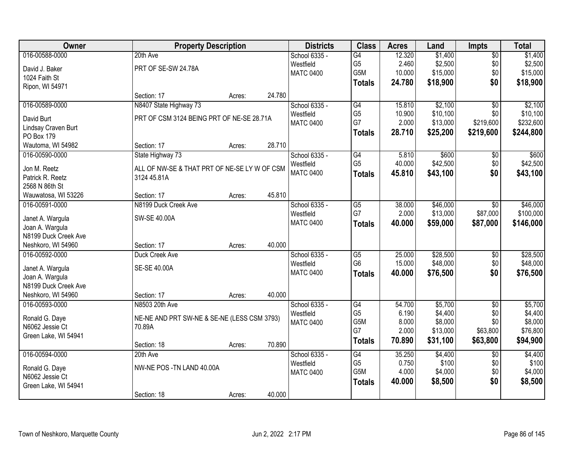| Owner                |                                              | <b>Property Description</b> |        | <b>Districts</b> | <b>Class</b>                      | <b>Acres</b>    | Land               | <b>Impts</b>    | <b>Total</b>       |
|----------------------|----------------------------------------------|-----------------------------|--------|------------------|-----------------------------------|-----------------|--------------------|-----------------|--------------------|
| 016-00588-0000       | 20th Ave                                     |                             |        | School 6335 -    | G4                                | 12.320          | \$1,400            | $\overline{50}$ | \$1,400            |
| David J. Baker       | PRT OF SE-SW 24.78A                          |                             |        | Westfield        | G <sub>5</sub>                    | 2.460           | \$2,500            | \$0             | \$2,500            |
| 1024 Faith St        |                                              |                             |        | <b>MATC 0400</b> | G5M                               | 10.000          | \$15,000           | \$0             | \$15,000           |
| Ripon, WI 54971      |                                              |                             |        |                  | <b>Totals</b>                     | 24.780          | \$18,900           | \$0             | \$18,900           |
|                      | Section: 17                                  | Acres:                      | 24.780 |                  |                                   |                 |                    |                 |                    |
| 016-00589-0000       | N8407 State Highway 73                       |                             |        | School 6335 -    | G4                                | 15.810          | \$2,100            | $\overline{50}$ | \$2,100            |
| David Burt           | PRT OF CSM 3124 BEING PRT OF NE-SE 28.71A    |                             |        | Westfield        | G <sub>5</sub>                    | 10.900          | \$10,100           | \$0             | \$10,100           |
| Lindsay Craven Burt  |                                              |                             |        | <b>MATC 0400</b> | G7                                | 2.000           | \$13,000           | \$219,600       | \$232,600          |
| PO Box 179           |                                              |                             |        |                  | <b>Totals</b>                     | 28.710          | \$25,200           | \$219,600       | \$244,800          |
| Wautoma, WI 54982    | Section: 17                                  | Acres:                      | 28.710 |                  |                                   |                 |                    |                 |                    |
| 016-00590-0000       | State Highway 73                             |                             |        | School 6335 -    | G4                                | 5.810           | \$600              | \$0             | \$600              |
|                      |                                              |                             |        | Westfield        | G <sub>5</sub>                    | 40.000          | \$42,500           | \$0             | \$42,500           |
| Jon M. Reetz         | ALL OF NW-SE & THAT PRT OF NE-SE LY W OF CSM |                             |        | <b>MATC 0400</b> | <b>Totals</b>                     | 45.810          | \$43,100           | \$0             | \$43,100           |
| Patrick R. Reetz     | 3124 45.81A                                  |                             |        |                  |                                   |                 |                    |                 |                    |
| 2568 N 86th St       |                                              |                             |        |                  |                                   |                 |                    |                 |                    |
| Wauwatosa, WI 53226  | Section: 17                                  | Acres:                      | 45.810 |                  |                                   |                 |                    |                 |                    |
| 016-00591-0000       | N8199 Duck Creek Ave                         |                             |        | School 6335 -    | $\overline{G5}$                   | 38.000          | \$46,000           | $\sqrt{6}$      | \$46,000           |
| Janet A. Wargula     | SW-SE 40.00A                                 |                             |        | Westfield        | G7                                | 2.000           | \$13,000           | \$87,000        | \$100,000          |
| Joan A. Wargula      |                                              |                             |        | <b>MATC 0400</b> | <b>Totals</b>                     | 40.000          | \$59,000           | \$87,000        | \$146,000          |
| N8199 Duck Creek Ave |                                              |                             |        |                  |                                   |                 |                    |                 |                    |
| Neshkoro, WI 54960   | Section: 17                                  | Acres:                      | 40.000 |                  |                                   |                 |                    |                 |                    |
| 016-00592-0000       | Duck Creek Ave                               |                             |        | School 6335 -    | $\overline{G5}$                   | 25.000          | \$28,500           | $\overline{30}$ | \$28,500           |
|                      |                                              |                             |        | Westfield        | G <sub>6</sub>                    | 15.000          | \$48,000           | \$0             | \$48,000           |
| Janet A. Wargula     | SE-SE 40.00A                                 |                             |        | <b>MATC 0400</b> | <b>Totals</b>                     | 40.000          | \$76,500           | \$0             | \$76,500           |
| Joan A. Wargula      |                                              |                             |        |                  |                                   |                 |                    |                 |                    |
| N8199 Duck Creek Ave |                                              |                             |        |                  |                                   |                 |                    |                 |                    |
| Neshkoro, WI 54960   | Section: 17                                  | Acres:                      | 40.000 |                  |                                   |                 |                    |                 |                    |
| 016-00593-0000       | N8503 20th Ave                               |                             |        | School 6335 -    | $\overline{G4}$<br>G <sub>5</sub> | 54.700<br>6.190 | \$5,700            | $\sqrt{6}$      | \$5,700            |
| Ronald G. Daye       | NE-NE AND PRT SW-NE & SE-NE (LESS CSM 3793)  |                             |        | Westfield        | G5M                               | 8.000           | \$4,400<br>\$8,000 | \$0<br>\$0      | \$4,400<br>\$8,000 |
| N6062 Jessie Ct      | 70.89A                                       |                             |        | <b>MATC 0400</b> | G7                                | 2.000           | \$13,000           | \$63,800        | \$76,800           |
| Green Lake, WI 54941 |                                              |                             |        |                  |                                   | 70.890          |                    |                 |                    |
|                      | Section: 18                                  | Acres:                      | 70.890 |                  | <b>Totals</b>                     |                 | \$31,100           | \$63,800        | \$94,900           |
| 016-00594-0000       | 20th Ave                                     |                             |        | School 6335 -    | $\overline{G4}$                   | 35.250          | \$4,400            | $\overline{30}$ | \$4,400            |
| Ronald G. Daye       | NW-NE POS - TN LAND 40.00A                   |                             |        | Westfield        | G <sub>5</sub>                    | 0.750           | \$100              | \$0             | \$100              |
| N6062 Jessie Ct      |                                              |                             |        | <b>MATC 0400</b> | G5M                               | 4.000           | \$4,000            | \$0             | \$4,000            |
| Green Lake, WI 54941 |                                              |                             |        |                  | <b>Totals</b>                     | 40.000          | \$8,500            | \$0             | \$8,500            |
|                      | Section: 18                                  | Acres:                      | 40.000 |                  |                                   |                 |                    |                 |                    |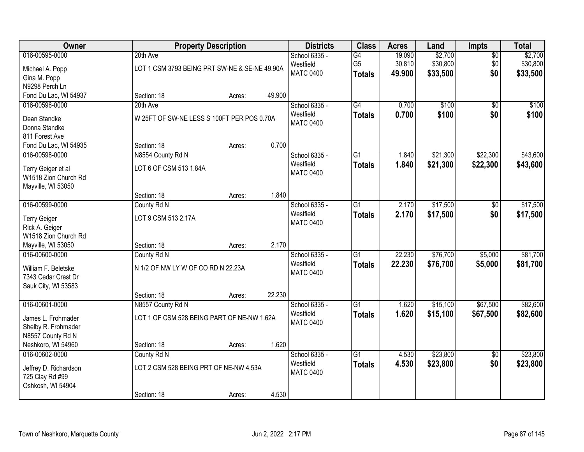| Owner                                                                               | <b>Property Description</b>                                          |        |        | <b>Districts</b>                               | <b>Class</b>                          | <b>Acres</b>               | Land                            | Impts                         | <b>Total</b>                    |
|-------------------------------------------------------------------------------------|----------------------------------------------------------------------|--------|--------|------------------------------------------------|---------------------------------------|----------------------------|---------------------------------|-------------------------------|---------------------------------|
| 016-00595-0000<br>Michael A. Popp<br>Gina M. Popp<br>N9298 Perch Ln                 | 20th Ave<br>LOT 1 CSM 3793 BEING PRT SW-NE & SE-NE 49.90A            |        |        | School 6335 -<br>Westfield<br><b>MATC 0400</b> | G4<br>G <sub>5</sub><br><b>Totals</b> | 19.090<br>30.810<br>49.900 | \$2,700<br>\$30,800<br>\$33,500 | $\overline{50}$<br>\$0<br>\$0 | \$2,700<br>\$30,800<br>\$33,500 |
| Fond Du Lac, WI 54937                                                               | Section: 18                                                          | Acres: | 49.900 |                                                |                                       |                            |                                 |                               |                                 |
| 016-00596-0000<br>Dean Standke<br>Donna Standke<br>811 Forest Ave                   | 20th Ave<br>W 25FT OF SW-NE LESS S 100FT PER POS 0.70A               |        |        | School 6335 -<br>Westfield<br><b>MATC 0400</b> | G4<br><b>Totals</b>                   | 0.700<br>0.700             | \$100<br>\$100                  | $\overline{50}$<br>\$0        | \$100<br>\$100                  |
| Fond Du Lac, WI 54935                                                               | Section: 18                                                          | Acres: | 0.700  |                                                |                                       |                            |                                 |                               |                                 |
| 016-00598-0000<br>Terry Geiger et al<br>W1518 Zion Church Rd<br>Mayville, WI 53050  | N8554 County Rd N<br>LOT 6 OF CSM 513 1.84A                          |        |        | School 6335 -<br>Westfield<br><b>MATC 0400</b> | G <sub>1</sub><br><b>Totals</b>       | 1.840<br>1.840             | \$21,300<br>\$21,300            | \$22,300<br>\$22,300          | \$43,600<br>\$43,600            |
|                                                                                     | Section: 18                                                          | Acres: | 1.840  |                                                |                                       |                            |                                 |                               |                                 |
| 016-00599-0000<br><b>Terry Geiger</b><br>Rick A. Geiger<br>W1518 Zion Church Rd     | County Rd N<br>LOT 9 CSM 513 2.17A                                   |        |        | School 6335 -<br>Westfield<br><b>MATC 0400</b> | $\overline{G1}$<br><b>Totals</b>      | 2.170<br>2.170             | \$17,500<br>\$17,500            | \$0<br>\$0                    | \$17,500<br>\$17,500            |
| Mayville, WI 53050                                                                  | Section: 18                                                          | Acres: | 2.170  |                                                |                                       |                            |                                 |                               |                                 |
| 016-00600-0000<br>William F. Beletske<br>7343 Cedar Crest Dr<br>Sauk City, WI 53583 | County Rd N<br>N 1/2 OF NW LY W OF CO RD N 22.23A<br>Section: 18     | Acres: | 22.230 | School 6335 -<br>Westfield<br><b>MATC 0400</b> | $\overline{G1}$<br><b>Totals</b>      | 22.230<br>22.230           | \$76,700<br>\$76,700            | \$5,000<br>\$5,000            | \$81,700<br>\$81,700            |
| 016-00601-0000                                                                      | N8557 County Rd N                                                    |        |        | School 6335 -                                  | $\overline{G1}$                       | 1.620                      | \$15,100                        | \$67,500                      | \$82,600                        |
| James L. Frohmader<br>Shelby R. Frohmader<br>N8557 County Rd N                      | LOT 1 OF CSM 528 BEING PART OF NE-NW 1.62A                           |        |        | Westfield<br><b>MATC 0400</b>                  | <b>Totals</b>                         | 1.620                      | \$15,100                        | \$67,500                      | \$82,600                        |
| Neshkoro, WI 54960                                                                  | Section: 18                                                          | Acres: | 1.620  |                                                |                                       |                            |                                 |                               |                                 |
| 016-00602-0000<br>Jeffrey D. Richardson<br>725 Clay Rd #99<br>Oshkosh, WI 54904     | County Rd N<br>LOT 2 CSM 528 BEING PRT OF NE-NW 4.53A<br>Section: 18 | Acres: | 4.530  | School 6335 -<br>Westfield<br><b>MATC 0400</b> | $\overline{G1}$<br><b>Totals</b>      | 4.530<br>4.530             | \$23,800<br>\$23,800            | $\overline{50}$<br>\$0        | \$23,800<br>\$23,800            |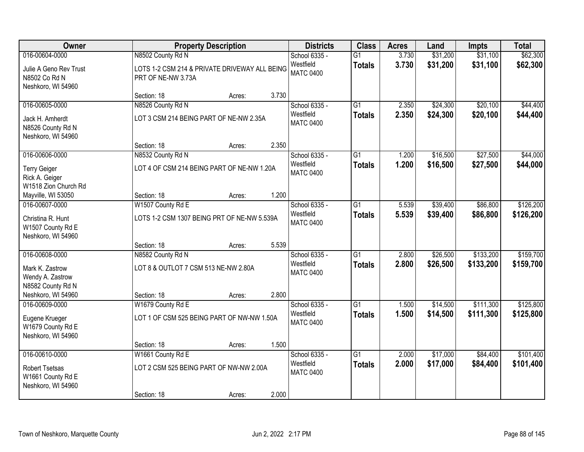| Owner                                                         |                                                                     | <b>Property Description</b> |       | <b>Districts</b>              | <b>Class</b>    | <b>Acres</b> | Land     | <b>Impts</b> | <b>Total</b> |
|---------------------------------------------------------------|---------------------------------------------------------------------|-----------------------------|-------|-------------------------------|-----------------|--------------|----------|--------------|--------------|
| 016-00604-0000                                                | N8502 County Rd N                                                   |                             |       | School 6335 -                 | $\overline{G1}$ | 3.730        | \$31,200 | \$31,100     | \$62,300     |
| Julie A Geno Rev Trust<br>N8502 Co Rd N<br>Neshkoro, WI 54960 | LOTS 1-2 CSM 214 & PRIVATE DRIVEWAY ALL BEING<br>PRT OF NE-NW 3.73A |                             |       | Westfield<br><b>MATC 0400</b> | <b>Totals</b>   | 3.730        | \$31,200 | \$31,100     | \$62,300     |
|                                                               | Section: 18                                                         | Acres:                      | 3.730 |                               |                 |              |          |              |              |
| 016-00605-0000                                                | N8526 County Rd N                                                   |                             |       | School 6335 -                 | $\overline{G1}$ | 2.350        | \$24,300 | \$20,100     | \$44,400     |
| Jack H. Amherdt<br>N8526 County Rd N<br>Neshkoro, WI 54960    | LOT 3 CSM 214 BEING PART OF NE-NW 2.35A                             |                             |       | Westfield<br><b>MATC 0400</b> | <b>Totals</b>   | 2.350        | \$24,300 | \$20,100     | \$44,400     |
|                                                               | Section: 18                                                         | Acres:                      | 2.350 |                               |                 |              |          |              |              |
| 016-00606-0000                                                | N8532 County Rd N                                                   |                             |       | School 6335 -                 | $\overline{G1}$ | 1.200        | \$16,500 | \$27,500     | \$44,000     |
| <b>Terry Geiger</b><br>Rick A. Geiger<br>W1518 Zion Church Rd | LOT 4 OF CSM 214 BEING PART OF NE-NW 1.20A                          |                             |       | Westfield<br><b>MATC 0400</b> | <b>Totals</b>   | 1.200        | \$16,500 | \$27,500     | \$44,000     |
| Mayville, WI 53050                                            | Section: 18                                                         | Acres:                      | 1.200 |                               |                 |              |          |              |              |
| 016-00607-0000                                                | W1507 County Rd E                                                   |                             |       | School 6335 -                 | $\overline{G1}$ | 5.539        | \$39,400 | \$86,800     | \$126,200    |
| Christina R. Hunt<br>W1507 County Rd E<br>Neshkoro, WI 54960  | LOTS 1-2 CSM 1307 BEING PRT OF NE-NW 5.539A                         |                             |       | Westfield<br><b>MATC 0400</b> | <b>Totals</b>   | 5.539        | \$39,400 | \$86,800     | \$126,200    |
|                                                               | Section: 18                                                         | Acres:                      | 5.539 |                               |                 |              |          |              |              |
| 016-00608-0000                                                | N8582 County Rd N                                                   |                             |       | School 6335 -                 | $\overline{G1}$ | 2.800        | \$26,500 | \$133,200    | \$159,700    |
| Mark K. Zastrow<br>Wendy A. Zastrow<br>N8582 County Rd N      | LOT 8 & OUTLOT 7 CSM 513 NE-NW 2.80A                                |                             |       | Westfield<br><b>MATC 0400</b> | <b>Totals</b>   | 2.800        | \$26,500 | \$133,200    | \$159,700    |
| Neshkoro, WI 54960                                            | Section: 18                                                         | Acres:                      | 2.800 |                               |                 |              |          |              |              |
| 016-00609-0000                                                | W1679 County Rd E                                                   |                             |       | School 6335 -                 | $\overline{G1}$ | 1.500        | \$14,500 | \$111,300    | \$125,800    |
| Eugene Krueger<br>W1679 County Rd E<br>Neshkoro, WI 54960     | LOT 1 OF CSM 525 BEING PART OF NW-NW 1.50A                          |                             |       | Westfield<br><b>MATC 0400</b> | <b>Totals</b>   | 1.500        | \$14,500 | \$111,300    | \$125,800    |
|                                                               | Section: 18                                                         | Acres:                      | 1.500 |                               |                 |              |          |              |              |
| 016-00610-0000                                                | W1661 County Rd E                                                   |                             |       | School 6335 -                 | $\overline{G1}$ | 2.000        | \$17,000 | \$84,400     | \$101,400    |
| Robert Tsetsas<br>W1661 County Rd E<br>Neshkoro, WI 54960     | LOT 2 CSM 525 BEING PART OF NW-NW 2.00A                             |                             |       | Westfield<br><b>MATC 0400</b> | <b>Totals</b>   | 2.000        | \$17,000 | \$84,400     | \$101,400    |
|                                                               | Section: 18                                                         | Acres:                      | 2.000 |                               |                 |              |          |              |              |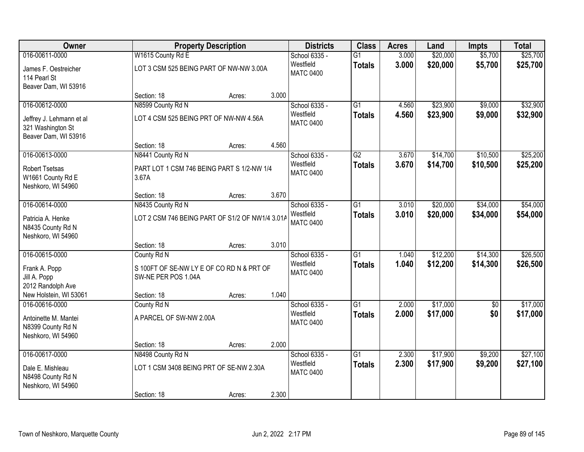| Owner                                                                 |                                                                  | <b>Property Description</b> |       | <b>Districts</b>                               | <b>Class</b>                     | <b>Acres</b>   | Land                 | <b>Impts</b>       | <b>Total</b>         |
|-----------------------------------------------------------------------|------------------------------------------------------------------|-----------------------------|-------|------------------------------------------------|----------------------------------|----------------|----------------------|--------------------|----------------------|
| 016-00611-0000<br>James F. Oestreicher<br>114 Pearl St                | W1615 County Rd E<br>LOT 3 CSM 525 BEING PART OF NW-NW 3.00A     |                             |       | School 6335 -<br>Westfield<br><b>MATC 0400</b> | $\overline{G1}$<br><b>Totals</b> | 3.000<br>3.000 | \$20,000<br>\$20,000 | \$5,700<br>\$5,700 | \$25,700<br>\$25,700 |
| Beaver Dam, WI 53916                                                  | Section: 18                                                      | Acres:                      | 3.000 |                                                |                                  |                |                      |                    |                      |
| 016-00612-0000                                                        | N8599 County Rd N                                                |                             |       | School 6335 -                                  | $\overline{G1}$                  | 4.560          | \$23,900             | \$9,000            | \$32,900             |
| Jeffrey J. Lehmann et al<br>321 Washington St<br>Beaver Dam, WI 53916 | LOT 4 CSM 525 BEING PRT OF NW-NW 4.56A                           |                             |       | Westfield<br><b>MATC 0400</b>                  | <b>Totals</b>                    | 4.560          | \$23,900             | \$9,000            | \$32,900             |
|                                                                       | Section: 18                                                      | Acres:                      | 4.560 |                                                |                                  |                |                      |                    |                      |
| 016-00613-0000                                                        | N8441 County Rd N                                                |                             |       | School 6335 -                                  | G2                               | 3.670          | \$14,700             | \$10,500           | \$25,200             |
| <b>Robert Tsetsas</b><br>W1661 County Rd E<br>Neshkoro, WI 54960      | PART LOT 1 CSM 746 BEING PART S 1/2-NW 1/4<br>3.67A              |                             |       | Westfield<br><b>MATC 0400</b>                  | <b>Totals</b>                    | 3.670          | \$14,700             | \$10,500           | \$25,200             |
|                                                                       | Section: 18                                                      | Acres:                      | 3.670 |                                                |                                  |                |                      |                    |                      |
| 016-00614-0000                                                        | N8435 County Rd N                                                |                             |       | School 6335 -                                  | $\overline{G1}$                  | 3.010          | \$20,000             | \$34,000           | \$54,000             |
| Patricia A. Henke<br>N8435 County Rd N<br>Neshkoro, WI 54960          | LOT 2 CSM 746 BEING PART OF S1/2 OF NW1/4 3.01A                  |                             |       | Westfield<br><b>MATC 0400</b>                  | <b>Totals</b>                    | 3.010          | \$20,000             | \$34,000           | \$54,000             |
|                                                                       | Section: 18                                                      | Acres:                      | 3.010 |                                                |                                  |                |                      |                    |                      |
| 016-00615-0000                                                        | County Rd N                                                      |                             |       | School 6335 -                                  | $\overline{G1}$                  | 1.040          | \$12,200             | \$14,300           | \$26,500             |
| Frank A. Popp<br>Jill A. Popp<br>2012 Randolph Ave                    | S 100FT OF SE-NW LY E OF CO RD N & PRT OF<br>SW-NE PER POS 1.04A |                             |       | Westfield<br><b>MATC 0400</b>                  | <b>Totals</b>                    | 1.040          | \$12,200             | \$14,300           | \$26,500             |
| New Holstein, WI 53061                                                | Section: 18                                                      | Acres:                      | 1.040 |                                                |                                  |                |                      |                    |                      |
| 016-00616-0000                                                        | County Rd N                                                      |                             |       | School 6335 -                                  | $\overline{G1}$                  | 2.000          | \$17,000             | $\sqrt{6}$         | \$17,000             |
| Antoinette M. Mantei<br>N8399 County Rd N<br>Neshkoro, WI 54960       | A PARCEL OF SW-NW 2.00A                                          |                             |       | Westfield<br><b>MATC 0400</b>                  | <b>Totals</b>                    | 2.000          | \$17,000             | \$0                | \$17,000             |
|                                                                       | Section: 18                                                      | Acres:                      | 2.000 |                                                |                                  |                |                      |                    |                      |
| 016-00617-0000                                                        | N8498 County Rd N                                                |                             |       | School 6335 -                                  | $\overline{G1}$                  | 2.300          | \$17,900             | \$9,200            | \$27,100             |
| Dale E. Mishleau<br>N8498 County Rd N<br>Neshkoro, WI 54960           | LOT 1 CSM 3408 BEING PRT OF SE-NW 2.30A                          |                             |       | Westfield<br><b>MATC 0400</b>                  | <b>Totals</b>                    | 2.300          | \$17,900             | \$9,200            | \$27,100             |
|                                                                       | Section: 18                                                      | Acres:                      | 2.300 |                                                |                                  |                |                      |                    |                      |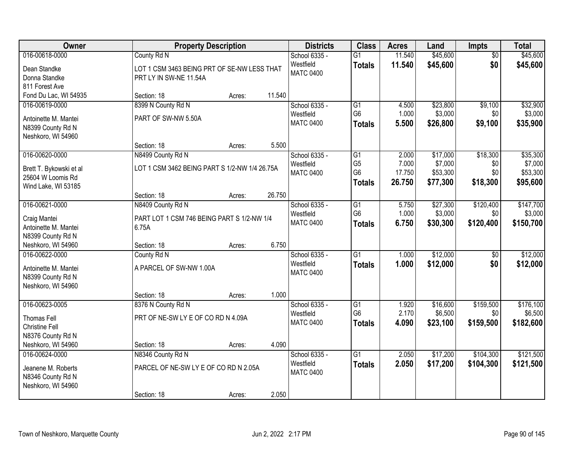| Owner                   |                                               | <b>Property Description</b> |        | <b>Districts</b> | <b>Class</b>    | <b>Acres</b> | Land     | <b>Impts</b>    | <b>Total</b> |
|-------------------------|-----------------------------------------------|-----------------------------|--------|------------------|-----------------|--------------|----------|-----------------|--------------|
| 016-00618-0000          | County Rd N                                   |                             |        | School 6335 -    | $\overline{G1}$ | 11.540       | \$45,600 | $\overline{50}$ | \$45,600     |
| Dean Standke            | LOT 1 CSM 3463 BEING PRT OF SE-NW LESS THAT   |                             |        | Westfield        | <b>Totals</b>   | 11.540       | \$45,600 | \$0             | \$45,600     |
| Donna Standke           | PRT LY IN SW-NE 11.54A                        |                             |        | <b>MATC 0400</b> |                 |              |          |                 |              |
| 811 Forest Ave          |                                               |                             |        |                  |                 |              |          |                 |              |
| Fond Du Lac, WI 54935   | Section: 18                                   | Acres:                      | 11.540 |                  |                 |              |          |                 |              |
| 016-00619-0000          | 8399 N County Rd N                            |                             |        | School 6335 -    | $\overline{G1}$ | 4.500        | \$23,800 | \$9,100         | \$32,900     |
| Antoinette M. Mantei    | PART OF SW-NW 5.50A                           |                             |        | Westfield        | G <sub>6</sub>  | 1.000        | \$3,000  | \$0             | \$3,000      |
| N8399 County Rd N       |                                               |                             |        | <b>MATC 0400</b> | <b>Totals</b>   | 5.500        | \$26,800 | \$9,100         | \$35,900     |
| Neshkoro, WI 54960      |                                               |                             |        |                  |                 |              |          |                 |              |
|                         | Section: 18                                   | Acres:                      | 5.500  |                  |                 |              |          |                 |              |
| 016-00620-0000          | N8499 County Rd N                             |                             |        | School 6335 -    | G1              | 2.000        | \$17,000 | \$18,300        | \$35,300     |
| Brett T. Bykowski et al | LOT 1 CSM 3462 BEING PART S 1/2-NW 1/4 26.75A |                             |        | Westfield        | G <sub>5</sub>  | 7.000        | \$7,000  | \$0             | \$7,000      |
| 25604 W Loomis Rd       |                                               |                             |        | <b>MATC 0400</b> | G <sub>6</sub>  | 17.750       | \$53,300 | \$0             | \$53,300     |
| Wind Lake, WI 53185     |                                               |                             |        |                  | <b>Totals</b>   | 26.750       | \$77,300 | \$18,300        | \$95,600     |
|                         | Section: 18                                   | Acres:                      | 26.750 |                  |                 |              |          |                 |              |
| 016-00621-0000          | N8409 County Rd N                             |                             |        | School 6335 -    | G1              | 5.750        | \$27,300 | \$120,400       | \$147,700    |
| Craig Mantei            | PART LOT 1 CSM 746 BEING PART S 1/2-NW 1/4    |                             |        | Westfield        | G <sub>6</sub>  | 1.000        | \$3,000  | \$0             | \$3,000      |
| Antoinette M. Mantei    | 6.75A                                         |                             |        | <b>MATC 0400</b> | <b>Totals</b>   | 6.750        | \$30,300 | \$120,400       | \$150,700    |
| N8399 County Rd N       |                                               |                             |        |                  |                 |              |          |                 |              |
| Neshkoro, WI 54960      | Section: 18                                   | Acres:                      | 6.750  |                  |                 |              |          |                 |              |
| 016-00622-0000          | County Rd N                                   |                             |        | School 6335 -    | $\overline{G1}$ | 1.000        | \$12,000 | $\overline{50}$ | \$12,000     |
| Antoinette M. Mantei    | A PARCEL OF SW-NW 1.00A                       |                             |        | Westfield        | <b>Totals</b>   | 1.000        | \$12,000 | \$0             | \$12,000     |
| N8399 County Rd N       |                                               |                             |        | <b>MATC 0400</b> |                 |              |          |                 |              |
| Neshkoro, WI 54960      |                                               |                             |        |                  |                 |              |          |                 |              |
|                         | Section: 18                                   | Acres:                      | 1.000  |                  |                 |              |          |                 |              |
| 016-00623-0005          | 8376 N County Rd N                            |                             |        | School 6335 -    | $\overline{G1}$ | 1.920        | \$16,600 | \$159,500       | \$176,100    |
| Thomas Fell             | PRT OF NE-SW LY E OF CO RD N 4.09A            |                             |        | Westfield        | G <sub>6</sub>  | 2.170        | \$6,500  | \$0             | \$6,500      |
| <b>Christine Fell</b>   |                                               |                             |        | <b>MATC 0400</b> | <b>Totals</b>   | 4.090        | \$23,100 | \$159,500       | \$182,600    |
| N8376 County Rd N       |                                               |                             |        |                  |                 |              |          |                 |              |
| Neshkoro, WI 54960      | Section: 18                                   | Acres:                      | 4.090  |                  |                 |              |          |                 |              |
| 016-00624-0000          | N8346 County Rd N                             |                             |        | School 6335 -    | $\overline{G1}$ | 2.050        | \$17,200 | \$104,300       | \$121,500    |
| Jeanene M. Roberts      | PARCEL OF NE-SW LY E OF CO RD N 2.05A         |                             |        | Westfield        | <b>Totals</b>   | 2.050        | \$17,200 | \$104,300       | \$121,500    |
| N8346 County Rd N       |                                               |                             |        | <b>MATC 0400</b> |                 |              |          |                 |              |
| Neshkoro, WI 54960      |                                               |                             |        |                  |                 |              |          |                 |              |
|                         | Section: 18                                   | Acres:                      | 2.050  |                  |                 |              |          |                 |              |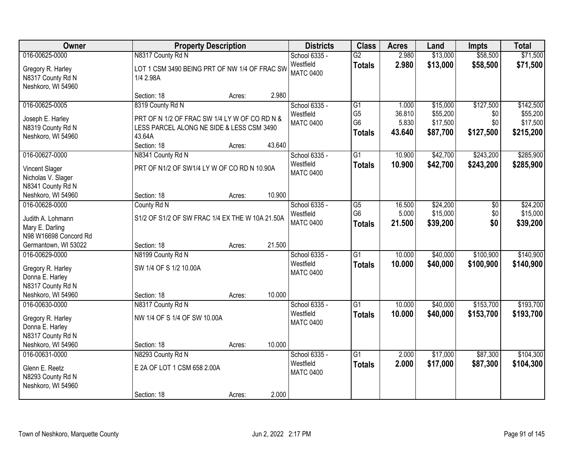| <b>Owner</b>                                                                                             |                                                                                                                                         | <b>Property Description</b> |        | <b>Districts</b>                               | <b>Class</b>                                                         | <b>Acres</b>                       | Land                                         | <b>Impts</b>                         | <b>Total</b>                                   |
|----------------------------------------------------------------------------------------------------------|-----------------------------------------------------------------------------------------------------------------------------------------|-----------------------------|--------|------------------------------------------------|----------------------------------------------------------------------|------------------------------------|----------------------------------------------|--------------------------------------|------------------------------------------------|
| 016-00625-0000<br>Gregory R. Harley<br>N8317 County Rd N<br>Neshkoro, WI 54960                           | N8317 County Rd N<br>LOT 1 CSM 3490 BEING PRT OF NW 1/4 OF FRAC SW<br>1/4 2.98A                                                         |                             |        | School 6335 -<br>Westfield<br><b>MATC 0400</b> | $\overline{G2}$<br><b>Totals</b>                                     | 2.980<br>2.980                     | \$13,000<br>\$13,000                         | \$58,500<br>\$58,500                 | \$71,500<br>\$71,500                           |
|                                                                                                          | Section: 18                                                                                                                             | Acres:                      | 2.980  |                                                |                                                                      |                                    |                                              |                                      |                                                |
| 016-00625-0005<br>Joseph E. Harley<br>N8319 County Rd N<br>Neshkoro, WI 54960                            | 8319 County Rd N<br>PRT OF N 1/2 OF FRAC SW 1/4 LY W OF CO RD N &<br>LESS PARCEL ALONG NE SIDE & LESS CSM 3490<br>43.64A<br>Section: 18 | Acres:                      | 43.640 | School 6335 -<br>Westfield<br><b>MATC 0400</b> | $\overline{G1}$<br>G <sub>5</sub><br>G <sub>6</sub><br><b>Totals</b> | 1.000<br>36.810<br>5.830<br>43.640 | \$15,000<br>\$55,200<br>\$17,500<br>\$87,700 | \$127,500<br>\$0<br>\$0<br>\$127,500 | \$142,500<br>\$55,200<br>\$17,500<br>\$215,200 |
| 016-00627-0000<br><b>Vincent Slager</b><br>Nicholas V. Slager<br>N8341 County Rd N<br>Neshkoro, WI 54960 | N8341 County Rd N<br>PRT OF N1/2 OF SW1/4 LYW OF CORD N 10.90A<br>Section: 18                                                           | Acres:                      | 10.900 | School 6335 -<br>Westfield<br><b>MATC 0400</b> | G1<br><b>Totals</b>                                                  | 10.900<br>10.900                   | \$42,700<br>\$42,700                         | \$243,200<br>\$243,200               | \$285,900<br>\$285,900                         |
| 016-00628-0000<br>Judith A. Lohmann<br>Mary E. Darling<br>N98 W16698 Concord Rd<br>Germantown, WI 53022  | County Rd N<br>S1/2 OF S1/2 OF SW FRAC 1/4 EX THE W 10A 21.50A<br>Section: 18                                                           | Acres:                      | 21.500 | School 6335 -<br>Westfield<br><b>MATC 0400</b> | G5<br>G <sub>6</sub><br><b>Totals</b>                                | 16.500<br>5.000<br>21.500          | \$24,200<br>\$15,000<br>\$39,200             | \$0<br>\$0<br>\$0                    | \$24,200<br>\$15,000<br>\$39,200               |
| 016-00629-0000<br>Gregory R. Harley<br>Donna E. Harley<br>N8317 County Rd N<br>Neshkoro, WI 54960        | N8199 County Rd N<br>SW 1/4 OF S 1/2 10.00A<br>Section: 18                                                                              | Acres:                      | 10.000 | School 6335 -<br>Westfield<br><b>MATC 0400</b> | $\overline{G1}$<br><b>Totals</b>                                     | 10.000<br>10.000                   | \$40,000<br>\$40,000                         | \$100,900<br>\$100,900               | \$140,900<br>\$140,900                         |
| 016-00630-0000<br>Gregory R. Harley<br>Donna E. Harley<br>N8317 County Rd N<br>Neshkoro, WI 54960        | N8317 County Rd N<br>NW 1/4 OF S 1/4 OF SW 10.00A<br>Section: 18                                                                        | Acres:                      | 10.000 | School 6335 -<br>Westfield<br><b>MATC 0400</b> | $\overline{G1}$<br><b>Totals</b>                                     | 10.000<br>10.000                   | \$40,000<br>\$40,000                         | \$153,700<br>\$153,700               | \$193,700<br>\$193,700                         |
| 016-00631-0000<br>Glenn E. Reetz<br>N8293 County Rd N<br>Neshkoro, WI 54960                              | N8293 County Rd N<br>E 2A OF LOT 1 CSM 658 2.00A<br>Section: 18                                                                         | Acres:                      | 2.000  | School 6335 -<br>Westfield<br><b>MATC 0400</b> | $\overline{G1}$<br><b>Totals</b>                                     | 2.000<br>2.000                     | \$17,000<br>\$17,000                         | \$87,300<br>\$87,300                 | \$104,300<br>\$104,300                         |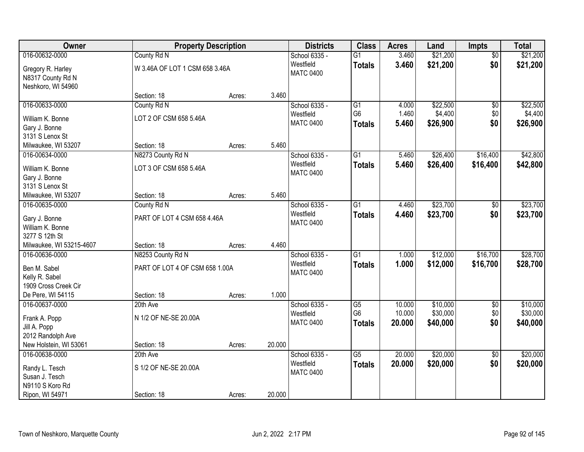| Owner                                  |                                | <b>Property Description</b> |        | <b>Districts</b>              | <b>Class</b>         | <b>Acres</b>     | Land                 | <b>Impts</b>      | <b>Total</b>         |
|----------------------------------------|--------------------------------|-----------------------------|--------|-------------------------------|----------------------|------------------|----------------------|-------------------|----------------------|
| 016-00632-0000                         | County Rd N                    |                             |        | School 6335 -                 | $\overline{G1}$      | 3.460            | \$21,200             | $\overline{50}$   | \$21,200             |
| Gregory R. Harley<br>N8317 County Rd N | W 3.46A OF LOT 1 CSM 658 3.46A |                             |        | Westfield<br><b>MATC 0400</b> | <b>Totals</b>        | 3.460            | \$21,200             | \$0               | \$21,200             |
| Neshkoro, WI 54960                     |                                |                             |        |                               |                      |                  |                      |                   |                      |
|                                        | Section: 18                    | Acres:                      | 3.460  |                               |                      |                  |                      |                   |                      |
| 016-00633-0000                         | County Rd N                    |                             |        | School 6335 -                 | G1                   | 4.000            | \$22,500             | \$0               | \$22,500             |
| William K. Bonne                       | LOT 2 OF CSM 658 5.46A         |                             |        | Westfield                     | G <sub>6</sub>       | 1.460            | \$4,400              | \$0               | \$4,400              |
| Gary J. Bonne                          |                                |                             |        | <b>MATC 0400</b>              | <b>Totals</b>        | 5.460            | \$26,900             | \$0               | \$26,900             |
| 3131 S Lenox St                        |                                |                             |        |                               |                      |                  |                      |                   |                      |
| Milwaukee, WI 53207                    | Section: 18                    | Acres:                      | 5.460  |                               |                      |                  |                      |                   |                      |
| 016-00634-0000                         | N8273 County Rd N              |                             |        | School 6335 -                 | $\overline{G1}$      | 5.460            | \$26,400             | \$16,400          | \$42,800             |
| William K. Bonne                       | LOT 3 OF CSM 658 5.46A         |                             |        | Westfield                     | <b>Totals</b>        | 5.460            | \$26,400             | \$16,400          | \$42,800             |
| Gary J. Bonne                          |                                |                             |        | <b>MATC 0400</b>              |                      |                  |                      |                   |                      |
| 3131 S Lenox St                        |                                |                             |        |                               |                      |                  |                      |                   |                      |
| Milwaukee, WI 53207                    | Section: 18                    | Acres:                      | 5.460  |                               |                      |                  |                      |                   |                      |
| 016-00635-0000                         | County Rd N                    |                             |        | School 6335 -                 | $\overline{G1}$      | 4.460            | \$23,700             | $\frac{1}{20}$    | \$23,700             |
|                                        |                                |                             |        | Westfield                     | <b>Totals</b>        | 4.460            | \$23,700             | \$0               | \$23,700             |
| Gary J. Bonne<br>William K. Bonne      | PART OF LOT 4 CSM 658 4.46A    |                             |        | <b>MATC 0400</b>              |                      |                  |                      |                   |                      |
| 3277 S 12th St                         |                                |                             |        |                               |                      |                  |                      |                   |                      |
| Milwaukee, WI 53215-4607               | Section: 18                    | Acres:                      | 4.460  |                               |                      |                  |                      |                   |                      |
| 016-00636-0000                         | N8253 County Rd N              |                             |        | School 6335 -                 | $\overline{G1}$      | 1.000            | \$12,000             | \$16,700          | \$28,700             |
|                                        |                                |                             |        | Westfield                     | Totals               | 1.000            | \$12,000             | \$16,700          | \$28,700             |
| Ben M. Sabel                           | PART OF LOT 4 OF CSM 658 1.00A |                             |        | <b>MATC 0400</b>              |                      |                  |                      |                   |                      |
| Kelly R. Sabel                         |                                |                             |        |                               |                      |                  |                      |                   |                      |
| 1909 Cross Creek Cir                   |                                |                             |        |                               |                      |                  |                      |                   |                      |
| De Pere, WI 54115                      | Section: 18                    | Acres:                      | 1.000  |                               |                      |                  |                      |                   |                      |
| 016-00637-0000                         | 20th Ave                       |                             |        | School 6335 -<br>Westfield    | G5<br>G <sub>6</sub> | 10.000<br>10.000 | \$10,000<br>\$30,000 | $\sqrt{6}$<br>\$0 | \$10,000<br>\$30,000 |
| Frank A. Popp                          | N 1/2 OF NE-SE 20.00A          |                             |        | <b>MATC 0400</b>              |                      | 20.000           | \$40,000             | \$0               |                      |
| Jill A. Popp                           |                                |                             |        |                               | <b>Totals</b>        |                  |                      |                   | \$40,000             |
| 2012 Randolph Ave                      |                                |                             |        |                               |                      |                  |                      |                   |                      |
| New Holstein, WI 53061                 | Section: 18                    | Acres:                      | 20.000 |                               |                      |                  |                      |                   |                      |
| 016-00638-0000                         | 20th Ave                       |                             |        | School 6335 -                 | $\overline{G5}$      | 20.000           | \$20,000             | $\overline{30}$   | \$20,000             |
| Randy L. Tesch                         | S 1/2 OF NE-SE 20.00A          |                             |        | Westfield                     | <b>Totals</b>        | 20.000           | \$20,000             | \$0               | \$20,000             |
| Susan J. Tesch                         |                                |                             |        | <b>MATC 0400</b>              |                      |                  |                      |                   |                      |
| N9110 S Koro Rd                        |                                |                             |        |                               |                      |                  |                      |                   |                      |
| Ripon, WI 54971                        | Section: 18                    | Acres:                      | 20.000 |                               |                      |                  |                      |                   |                      |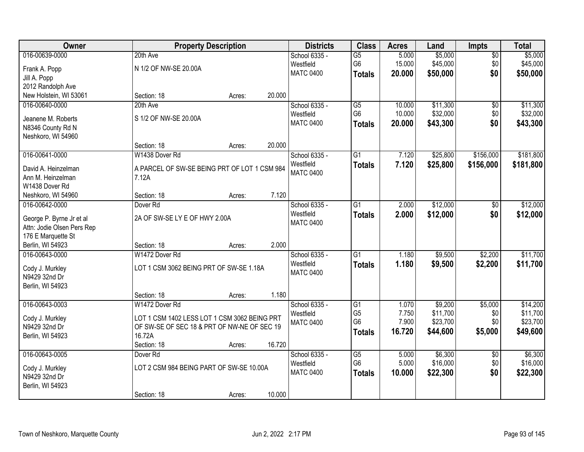| Owner                      |                                              | <b>Property Description</b> |        | <b>Districts</b> | <b>Class</b>    | <b>Acres</b> | Land     | Impts           | <b>Total</b> |
|----------------------------|----------------------------------------------|-----------------------------|--------|------------------|-----------------|--------------|----------|-----------------|--------------|
| 016-00639-0000             | 20th Ave                                     |                             |        | School 6335 -    | $\overline{G5}$ | 5.000        | \$5,000  | $\sqrt{$0}$     | \$5,000      |
| Frank A. Popp              | N 1/2 OF NW-SE 20.00A                        |                             |        | Westfield        | G <sub>6</sub>  | 15.000       | \$45,000 | \$0             | \$45,000     |
| Jill A. Popp               |                                              |                             |        | <b>MATC 0400</b> | <b>Totals</b>   | 20.000       | \$50,000 | \$0             | \$50,000     |
| 2012 Randolph Ave          |                                              |                             |        |                  |                 |              |          |                 |              |
| New Holstein, WI 53061     | Section: 18                                  | Acres:                      | 20.000 |                  |                 |              |          |                 |              |
| 016-00640-0000             | 20th Ave                                     |                             |        | School 6335 -    | $\overline{G5}$ | 10.000       | \$11,300 | $\overline{50}$ | \$11,300     |
|                            |                                              |                             |        | Westfield        | G <sub>6</sub>  | 10.000       | \$32,000 | \$0             | \$32,000     |
| Jeanene M. Roberts         | S 1/2 OF NW-SE 20.00A                        |                             |        | <b>MATC 0400</b> | <b>Totals</b>   | 20.000       | \$43,300 | \$0             | \$43,300     |
| N8346 County Rd N          |                                              |                             |        |                  |                 |              |          |                 |              |
| Neshkoro, WI 54960         |                                              |                             |        |                  |                 |              |          |                 |              |
|                            | Section: 18                                  | Acres:                      | 20.000 |                  |                 |              |          |                 |              |
| 016-00641-0000             | W1438 Dover Rd                               |                             |        | School 6335 -    | $\overline{G1}$ | 7.120        | \$25,800 | \$156,000       | \$181,800    |
| David A. Heinzelman        | A PARCEL OF SW-SE BEING PRT OF LOT 1 CSM 984 |                             |        | Westfield        | <b>Totals</b>   | 7.120        | \$25,800 | \$156,000       | \$181,800    |
| Ann M. Heinzelman          | 7.12A                                        |                             |        | <b>MATC 0400</b> |                 |              |          |                 |              |
| W1438 Dover Rd             |                                              |                             |        |                  |                 |              |          |                 |              |
| Neshkoro, WI 54960         | Section: 18                                  | Acres:                      | 7.120  |                  |                 |              |          |                 |              |
| 016-00642-0000             | Dover <sub>Rd</sub>                          |                             |        | School 6335 -    | $\overline{G1}$ | 2.000        | \$12,000 | $\sqrt[6]{}$    | \$12,000     |
|                            |                                              |                             |        | Westfield        | <b>Totals</b>   | 2.000        | \$12,000 | \$0             | \$12,000     |
| George P. Byrne Jr et al   | 2A OF SW-SE LY E OF HWY 2.00A                |                             |        | <b>MATC 0400</b> |                 |              |          |                 |              |
| Attn: Jodie Olsen Pers Rep |                                              |                             |        |                  |                 |              |          |                 |              |
| 176 E Marquette St         |                                              |                             |        |                  |                 |              |          |                 |              |
| Berlin, WI 54923           | Section: 18                                  | Acres:                      | 2.000  |                  |                 |              |          |                 |              |
| 016-00643-0000             | W1472 Dover Rd                               |                             |        | School 6335 -    | $\overline{G1}$ | 1.180        | \$9,500  | \$2,200         | \$11,700     |
| Cody J. Murkley            | LOT 1 CSM 3062 BEING PRT OF SW-SE 1.18A      |                             |        | Westfield        | <b>Totals</b>   | 1.180        | \$9,500  | \$2,200         | \$11,700     |
| N9429 32nd Dr              |                                              |                             |        | <b>MATC 0400</b> |                 |              |          |                 |              |
| Berlin, WI 54923           |                                              |                             |        |                  |                 |              |          |                 |              |
|                            | Section: 18                                  | Acres:                      | 1.180  |                  |                 |              |          |                 |              |
| 016-00643-0003             | W1472 Dover Rd                               |                             |        | School 6335 -    | G1              | 1.070        | \$9,200  | \$5,000         | \$14,200     |
| Cody J. Murkley            | LOT 1 CSM 1402 LESS LOT 1 CSM 3062 BEING PRT |                             |        | Westfield        | G <sub>5</sub>  | 7.750        | \$11,700 | \$0             | \$11,700     |
| N9429 32nd Dr              | OF SW-SE OF SEC 18 & PRT OF NW-NE OF SEC 19  |                             |        | <b>MATC 0400</b> | G <sub>6</sub>  | 7.900        | \$23,700 | \$0             | \$23,700     |
| Berlin, WI 54923           | 16.72A                                       |                             |        |                  | <b>Totals</b>   | 16.720       | \$44,600 | \$5,000         | \$49,600     |
|                            | Section: 18                                  | Acres:                      | 16.720 |                  |                 |              |          |                 |              |
| 016-00643-0005             | Dover <sub>Rd</sub>                          |                             |        | School 6335 -    | G5              | 5.000        | \$6,300  | $\overline{50}$ | \$6,300      |
|                            |                                              |                             |        | Westfield        | G <sub>6</sub>  | 5.000        | \$16,000 | \$0             | \$16,000     |
| Cody J. Murkley            | LOT 2 CSM 984 BEING PART OF SW-SE 10.00A     |                             |        | <b>MATC 0400</b> | <b>Totals</b>   | 10.000       | \$22,300 | \$0             | \$22,300     |
| N9429 32nd Dr              |                                              |                             |        |                  |                 |              |          |                 |              |
| Berlin, WI 54923           |                                              |                             |        |                  |                 |              |          |                 |              |
|                            | Section: 18                                  | Acres:                      | 10.000 |                  |                 |              |          |                 |              |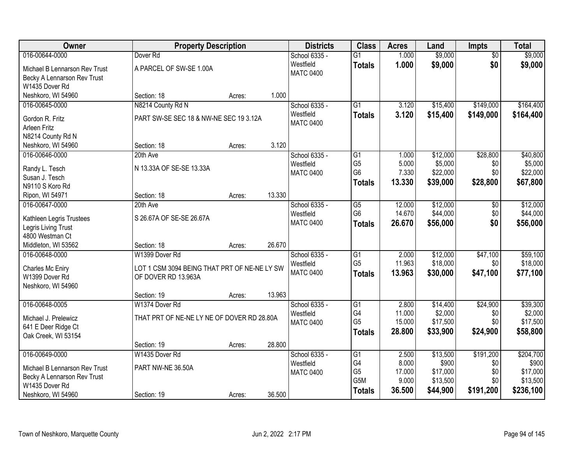| Owner                                           |                                                                     | <b>Property Description</b> |        | <b>Districts</b> | <b>Class</b>    | <b>Acres</b> | Land     | <b>Impts</b>    | <b>Total</b> |
|-------------------------------------------------|---------------------------------------------------------------------|-----------------------------|--------|------------------|-----------------|--------------|----------|-----------------|--------------|
| 016-00644-0000                                  | Dover <sub>Rd</sub>                                                 |                             |        | School 6335 -    | $\overline{G1}$ | 1.000        | \$9,000  | $\overline{50}$ | \$9,000      |
| Michael B Lennarson Rev Trust                   | A PARCEL OF SW-SE 1.00A                                             |                             |        | Westfield        | <b>Totals</b>   | 1.000        | \$9,000  | \$0             | \$9,000      |
| Becky A Lennarson Rev Trust                     |                                                                     |                             |        | <b>MATC 0400</b> |                 |              |          |                 |              |
| W1435 Dover Rd                                  |                                                                     |                             |        |                  |                 |              |          |                 |              |
| Neshkoro, WI 54960                              | Section: 18                                                         | Acres:                      | 1.000  |                  |                 |              |          |                 |              |
| 016-00645-0000                                  | N8214 County Rd N                                                   |                             |        | School 6335 -    | $\overline{G1}$ | 3.120        | \$15,400 | \$149,000       | \$164,400    |
| Gordon R. Fritz                                 | PART SW-SE SEC 18 & NW-NE SEC 19 3.12A                              |                             |        | Westfield        | <b>Totals</b>   | 3.120        | \$15,400 | \$149,000       | \$164,400    |
| <b>Arleen Fritz</b>                             |                                                                     |                             |        | <b>MATC 0400</b> |                 |              |          |                 |              |
| N8214 County Rd N                               |                                                                     |                             |        |                  |                 |              |          |                 |              |
| Neshkoro, WI 54960                              | Section: 18                                                         | Acres:                      | 3.120  |                  |                 |              |          |                 |              |
| 016-00646-0000                                  | 20th Ave                                                            |                             |        | School 6335 -    | $\overline{G1}$ | 1.000        | \$12,000 | \$28,800        | \$40,800     |
| Randy L. Tesch                                  | N 13.33A OF SE-SE 13.33A                                            |                             |        | Westfield        | G <sub>5</sub>  | 5.000        | \$5,000  | \$0             | \$5,000      |
| Susan J. Tesch                                  |                                                                     |                             |        | <b>MATC 0400</b> | G <sub>6</sub>  | 7.330        | \$22,000 | \$0             | \$22,000     |
| N9110 S Koro Rd                                 |                                                                     |                             |        |                  | <b>Totals</b>   | 13.330       | \$39,000 | \$28,800        | \$67,800     |
| Ripon, WI 54971                                 | Section: 18                                                         | Acres:                      | 13.330 |                  |                 |              |          |                 |              |
| 016-00647-0000                                  | 20th Ave                                                            |                             |        | School 6335 -    | $\overline{G5}$ | 12.000       | \$12,000 | \$0             | \$12,000     |
|                                                 | S 26.67A OF SE-SE 26.67A                                            |                             |        | Westfield        | G <sub>6</sub>  | 14.670       | \$44,000 | \$0             | \$44,000     |
| Kathleen Legris Trustees<br>Legris Living Trust |                                                                     |                             |        | <b>MATC 0400</b> | <b>Totals</b>   | 26.670       | \$56,000 | \$0             | \$56,000     |
| 4800 Westman Ct                                 |                                                                     |                             |        |                  |                 |              |          |                 |              |
| Middleton, WI 53562                             | Section: 18                                                         | Acres:                      | 26.670 |                  |                 |              |          |                 |              |
| 016-00648-0000                                  | W1399 Dover Rd                                                      |                             |        | School 6335 -    | $\overline{G1}$ | 2.000        | \$12,000 | \$47,100        | \$59,100     |
|                                                 |                                                                     |                             |        | Westfield        | G <sub>5</sub>  | 11.963       | \$18,000 | \$0             | \$18,000     |
| Charles Mc Eniry<br>W1399 Dover Rd              | LOT 1 CSM 3094 BEING THAT PRT OF NE-NE LY SW<br>OF DOVER RD 13.963A |                             |        | <b>MATC 0400</b> | <b>Totals</b>   | 13.963       | \$30,000 | \$47,100        | \$77,100     |
| Neshkoro, WI 54960                              |                                                                     |                             |        |                  |                 |              |          |                 |              |
|                                                 | Section: 19                                                         | Acres:                      | 13.963 |                  |                 |              |          |                 |              |
| 016-00648-0005                                  | W1374 Dover Rd                                                      |                             |        | School 6335 -    | G1              | 2.800        | \$14,400 | \$24,900        | \$39,300     |
|                                                 |                                                                     |                             |        | Westfield        | G4              | 11.000       | \$2,000  | \$0             | \$2,000      |
| Michael J. Prelewicz                            | THAT PRT OF NE-NE LY NE OF DOVER RD 28.80A                          |                             |        | <b>MATC 0400</b> | G <sub>5</sub>  | 15.000       | \$17,500 | \$0             | \$17,500     |
| 641 E Deer Ridge Ct<br>Oak Creek, WI 53154      |                                                                     |                             |        |                  | <b>Totals</b>   | 28.800       | \$33,900 | \$24,900        | \$58,800     |
|                                                 | Section: 19                                                         | Acres:                      | 28.800 |                  |                 |              |          |                 |              |
| 016-00649-0000                                  | W1435 Dover Rd                                                      |                             |        | School 6335 -    | $\overline{G1}$ | 2.500        | \$13,500 | \$191,200       | \$204,700    |
|                                                 |                                                                     |                             |        | Westfield        | G4              | 8.000        | \$900    | \$0             | \$900        |
| Michael B Lennarson Rev Trust                   | PART NW-NE 36.50A                                                   |                             |        | <b>MATC 0400</b> | G <sub>5</sub>  | 17.000       | \$17,000 | \$0             | \$17,000     |
| Becky A Lennarson Rev Trust                     |                                                                     |                             |        |                  | G5M             | 9.000        | \$13,500 | \$0             | \$13,500     |
| W1435 Dover Rd<br>Neshkoro, WI 54960            | Section: 19                                                         |                             | 36.500 |                  | <b>Totals</b>   | 36.500       | \$44,900 | \$191,200       | \$236,100    |
|                                                 |                                                                     | Acres:                      |        |                  |                 |              |          |                 |              |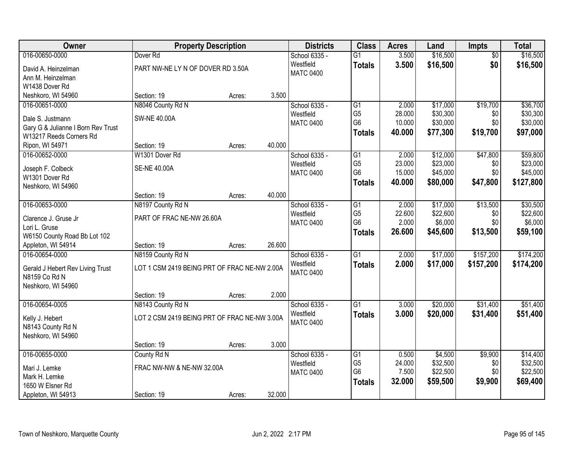| Owner                              |                                              | <b>Property Description</b> |        | <b>Districts</b> | <b>Class</b>    | <b>Acres</b> | Land     | <b>Impts</b>    | <b>Total</b> |
|------------------------------------|----------------------------------------------|-----------------------------|--------|------------------|-----------------|--------------|----------|-----------------|--------------|
| 016-00650-0000                     | Dover <sub>Rd</sub>                          |                             |        | School 6335 -    | $\overline{G1}$ | 3.500        | \$16,500 | $\overline{50}$ | \$16,500     |
| David A. Heinzelman                | PART NW-NE LY N OF DOVER RD 3.50A            |                             |        | Westfield        | <b>Totals</b>   | 3.500        | \$16,500 | \$0             | \$16,500     |
| Ann M. Heinzelman                  |                                              |                             |        | <b>MATC 0400</b> |                 |              |          |                 |              |
| W1438 Dover Rd                     |                                              |                             |        |                  |                 |              |          |                 |              |
| Neshkoro, WI 54960                 | Section: 19                                  | Acres:                      | 3.500  |                  |                 |              |          |                 |              |
| 016-00651-0000                     | N8046 County Rd N                            |                             |        | School 6335 -    | $\overline{G1}$ | 2.000        | \$17,000 | \$19,700        | \$36,700     |
| Dale S. Justmann                   | <b>SW-NE 40.00A</b>                          |                             |        | Westfield        | G <sub>5</sub>  | 28.000       | \$30,300 | \$0             | \$30,300     |
| Gary G & Julianne I Born Rev Trust |                                              |                             |        | <b>MATC 0400</b> | G <sub>6</sub>  | 10.000       | \$30,000 | \$0             | \$30,000     |
| W13217 Reeds Corners Rd            |                                              |                             |        |                  | <b>Totals</b>   | 40.000       | \$77,300 | \$19,700        | \$97,000     |
| Ripon, WI 54971                    | Section: 19                                  | Acres:                      | 40.000 |                  |                 |              |          |                 |              |
| 016-00652-0000                     | W1301 Dover Rd                               |                             |        | School 6335 -    | G1              | 2.000        | \$12,000 | \$47,800        | \$59,800     |
| Joseph F. Colbeck                  | <b>SE-NE 40.00A</b>                          |                             |        | Westfield        | G <sub>5</sub>  | 23.000       | \$23,000 | \$0             | \$23,000     |
| W1301 Dover Rd                     |                                              |                             |        | <b>MATC 0400</b> | G <sub>6</sub>  | 15.000       | \$45,000 | \$0             | \$45,000     |
| Neshkoro, WI 54960                 |                                              |                             |        |                  | <b>Totals</b>   | 40.000       | \$80,000 | \$47,800        | \$127,800    |
|                                    | Section: 19                                  | Acres:                      | 40.000 |                  |                 |              |          |                 |              |
| 016-00653-0000                     | N8197 County Rd N                            |                             |        | School 6335 -    | G1              | 2.000        | \$17,000 | \$13,500        | \$30,500     |
| Clarence J. Gruse Jr               | PART OF FRAC NE-NW 26.60A                    |                             |        | Westfield        | G <sub>5</sub>  | 22.600       | \$22,600 | \$0             | \$22,600     |
| Lori L. Gruse                      |                                              |                             |        | <b>MATC 0400</b> | G <sub>6</sub>  | 2.000        | \$6,000  | \$0             | \$6,000      |
| W6150 County Road Bb Lot 102       |                                              |                             |        |                  | <b>Totals</b>   | 26.600       | \$45,600 | \$13,500        | \$59,100     |
| Appleton, WI 54914                 | Section: 19                                  | Acres:                      | 26.600 |                  |                 |              |          |                 |              |
| 016-00654-0000                     | N8159 County Rd N                            |                             |        | School 6335 -    | $\overline{G1}$ | 2.000        | \$17,000 | \$157,200       | \$174,200    |
| Gerald J Hebert Rev Living Trust   | LOT 1 CSM 2419 BEING PRT OF FRAC NE-NW 2.00A |                             |        | Westfield        | <b>Totals</b>   | 2.000        | \$17,000 | \$157,200       | \$174,200    |
| N8159 Co Rd N                      |                                              |                             |        | <b>MATC 0400</b> |                 |              |          |                 |              |
| Neshkoro, WI 54960                 |                                              |                             |        |                  |                 |              |          |                 |              |
|                                    | Section: 19                                  | Acres:                      | 2.000  |                  |                 |              |          |                 |              |
| 016-00654-0005                     | N8143 County Rd N                            |                             |        | School 6335 -    | $\overline{G1}$ | 3.000        | \$20,000 | \$31,400        | \$51,400     |
| Kelly J. Hebert                    | LOT 2 CSM 2419 BEING PRT OF FRAC NE-NW 3.00A |                             |        | Westfield        | <b>Totals</b>   | 3.000        | \$20,000 | \$31,400        | \$51,400     |
| N8143 County Rd N                  |                                              |                             |        | <b>MATC 0400</b> |                 |              |          |                 |              |
| Neshkoro, WI 54960                 |                                              |                             |        |                  |                 |              |          |                 |              |
|                                    | Section: 19                                  | Acres:                      | 3.000  |                  |                 |              |          |                 |              |
| 016-00655-0000                     | County Rd N                                  |                             |        | School 6335 -    | G1              | 0.500        | \$4,500  | \$9,900         | \$14,400     |
| Mari J. Lemke                      | FRAC NW-NW & NE-NW 32.00A                    |                             |        | Westfield        | G <sub>5</sub>  | 24.000       | \$32,500 | \$0             | \$32,500     |
| Mark H. Lemke                      |                                              |                             |        | <b>MATC 0400</b> | G <sub>6</sub>  | 7.500        | \$22,500 | \$0             | \$22,500     |
| 1650 W Elsner Rd                   |                                              |                             |        |                  | <b>Totals</b>   | 32.000       | \$59,500 | \$9,900         | \$69,400     |
| Appleton, WI 54913                 | Section: 19                                  | Acres:                      | 32.000 |                  |                 |              |          |                 |              |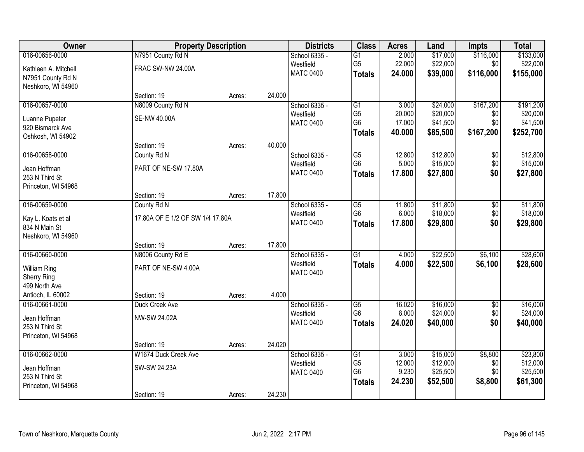| Owner                | <b>Property Description</b>      |        |        | <b>Districts</b> | <b>Class</b>    | <b>Acres</b>    | Land     | <b>Impts</b>    | <b>Total</b> |
|----------------------|----------------------------------|--------|--------|------------------|-----------------|-----------------|----------|-----------------|--------------|
| 016-00656-0000       | N7951 County Rd N                |        |        | School 6335 -    | $\overline{G1}$ | 2.000           | \$17,000 | \$116,000       | \$133,000    |
| Kathleen A. Mitchell | FRAC SW-NW 24.00A                |        |        | Westfield        | G <sub>5</sub>  | 22.000          | \$22,000 | \$0             | \$22,000     |
| N7951 County Rd N    |                                  |        |        | <b>MATC 0400</b> | <b>Totals</b>   | 24.000          | \$39,000 | \$116,000       | \$155,000    |
| Neshkoro, WI 54960   |                                  |        |        |                  |                 |                 |          |                 |              |
|                      | Section: 19                      | Acres: | 24.000 |                  |                 |                 |          |                 |              |
| 016-00657-0000       | N8009 County Rd N                |        |        | School 6335 -    | $\overline{G1}$ | 3.000           | \$24,000 | \$167,200       | \$191,200    |
| Luanne Pupeter       | <b>SE-NW 40.00A</b>              |        |        | Westfield        | G <sub>5</sub>  | 20.000          | \$20,000 | \$0             | \$20,000     |
| 920 Bismarck Ave     |                                  |        |        | <b>MATC 0400</b> | G <sub>6</sub>  | 17.000          | \$41,500 | \$0             | \$41,500     |
| Oshkosh, WI 54902    |                                  |        |        |                  | <b>Totals</b>   | 40.000          | \$85,500 | \$167,200       | \$252,700    |
|                      | Section: 19                      | Acres: | 40.000 |                  |                 |                 |          |                 |              |
| 016-00658-0000       | County Rd N                      |        |        | School 6335 -    | G5              | 12.800          | \$12,800 | \$0             | \$12,800     |
| Jean Hoffman         | PART OF NE-SW 17.80A             |        |        | Westfield        | G <sub>6</sub>  | 5.000           | \$15,000 | \$0             | \$15,000     |
| 253 N Third St       |                                  |        |        | <b>MATC 0400</b> | <b>Totals</b>   | 17.800          | \$27,800 | \$0             | \$27,800     |
| Princeton, WI 54968  |                                  |        |        |                  |                 |                 |          |                 |              |
|                      | Section: 19                      | Acres: | 17.800 |                  |                 |                 |          |                 |              |
| 016-00659-0000       | County Rd N                      |        |        | School 6335 -    | G5              | 11.800          | \$11,800 | \$0             | \$11,800     |
| Kay L. Koats et al   | 17.80A OF E 1/2 OF SW 1/4 17.80A |        |        | Westfield        | G <sub>6</sub>  | 6.000           | \$18,000 | \$0             | \$18,000     |
| 834 N Main St        |                                  |        |        | <b>MATC 0400</b> | <b>Totals</b>   | 17.800          | \$29,800 | \$0             | \$29,800     |
| Neshkoro, WI 54960   |                                  |        |        |                  |                 |                 |          |                 |              |
|                      | Section: 19                      | Acres: | 17.800 |                  |                 |                 |          |                 |              |
| 016-00660-0000       | N8006 County Rd E                |        |        | School 6335 -    | $\overline{G1}$ | 4.000           | \$22,500 | \$6,100         | \$28,600     |
| <b>William Ring</b>  | PART OF NE-SW 4.00A              |        |        | Westfield        | <b>Totals</b>   | 4.000           | \$22,500 | \$6,100         | \$28,600     |
| <b>Sherry Ring</b>   |                                  |        |        | <b>MATC 0400</b> |                 |                 |          |                 |              |
| 499 North Ave        |                                  |        |        |                  |                 |                 |          |                 |              |
| Antioch, IL 60002    | Section: 19                      | Acres: | 4.000  |                  |                 |                 |          |                 |              |
| 016-00661-0000       | Duck Creek Ave                   |        |        | School 6335 -    | $\overline{G5}$ | 16.020          | \$16,000 | $\overline{60}$ | \$16,000     |
| Jean Hoffman         | NW-SW 24.02A                     |        |        | Westfield        | G <sub>6</sub>  | 8.000           | \$24,000 | \$0             | \$24,000     |
| 253 N Third St       |                                  |        |        | <b>MATC 0400</b> | <b>Totals</b>   | 24.020          | \$40,000 | \$0             | \$40,000     |
| Princeton, WI 54968  |                                  |        |        |                  |                 |                 |          |                 |              |
|                      | Section: 19                      | Acres: | 24.020 |                  |                 |                 |          |                 |              |
| 016-00662-0000       | W1674 Duck Creek Ave             |        |        | School 6335 -    | G1              | 3.000           | \$15,000 | \$8,800         | \$23,800     |
| Jean Hoffman         | SW-SW 24.23A                     |        |        | Westfield        | G <sub>5</sub>  | 12.000          | \$12,000 | \$0             | \$12,000     |
| 253 N Third St       |                                  |        |        | <b>MATC 0400</b> | G <sub>6</sub>  | 9.230<br>24.230 | \$25,500 | \$0<br>\$8,800  | \$25,500     |
| Princeton, WI 54968  |                                  |        |        |                  | <b>Totals</b>   |                 | \$52,500 |                 | \$61,300     |
|                      | Section: 19                      | Acres: | 24.230 |                  |                 |                 |          |                 |              |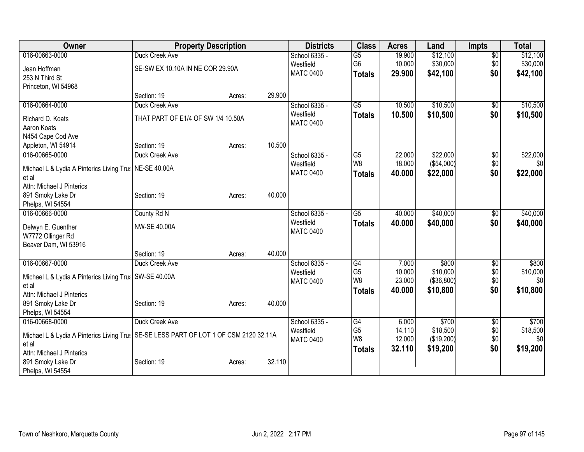| Owner                                                                                            | <b>Property Description</b>        |        |        | <b>Districts</b>              | <b>Class</b>    | <b>Acres</b> | Land         | <b>Impts</b>    | <b>Total</b> |
|--------------------------------------------------------------------------------------------------|------------------------------------|--------|--------|-------------------------------|-----------------|--------------|--------------|-----------------|--------------|
| 016-00663-0000                                                                                   | Duck Creek Ave                     |        |        | School 6335 -                 | $\overline{G5}$ | 19.900       | \$12,100     | $\overline{50}$ | \$12,100     |
| Jean Hoffman                                                                                     | SE-SW EX 10.10A IN NE COR 29.90A   |        |        | Westfield                     | G <sub>6</sub>  | 10.000       | \$30,000     | \$0             | \$30,000     |
| 253 N Third St                                                                                   |                                    |        |        | <b>MATC 0400</b>              | <b>Totals</b>   | 29.900       | \$42,100     | \$0             | \$42,100     |
| Princeton, WI 54968                                                                              |                                    |        |        |                               |                 |              |              |                 |              |
|                                                                                                  | Section: 19                        | Acres: | 29.900 |                               |                 |              |              |                 |              |
| 016-00664-0000                                                                                   | Duck Creek Ave                     |        |        | School 6335 -                 | $\overline{G5}$ | 10.500       | \$10,500     | \$0             | \$10,500     |
| Richard D. Koats                                                                                 | THAT PART OF E1/4 OF SW 1/4 10.50A |        |        | Westfield<br><b>MATC 0400</b> | <b>Totals</b>   | 10.500       | \$10,500     | \$0             | \$10,500     |
| Aaron Koats                                                                                      |                                    |        |        |                               |                 |              |              |                 |              |
| N454 Cape Cod Ave                                                                                | Section: 19                        | Acres: | 10.500 |                               |                 |              |              |                 |              |
| Appleton, WI 54914<br>016-00665-0000                                                             | Duck Creek Ave                     |        |        | School 6335 -                 | G5              | 22.000       | \$22,000     | \$0             | \$22,000     |
|                                                                                                  |                                    |        |        | Westfield                     | W <sub>8</sub>  | 18.000       | (\$54,000)   | \$0             | \$0          |
| Michael L & Lydia A Pinterics Living Trus   NE-SE 40.00A                                         |                                    |        |        | <b>MATC 0400</b>              | <b>Totals</b>   | 40.000       | \$22,000     | \$0             | \$22,000     |
| et al                                                                                            |                                    |        |        |                               |                 |              |              |                 |              |
| Attn: Michael J Pinterics                                                                        |                                    |        |        |                               |                 |              |              |                 |              |
| 891 Smoky Lake Dr                                                                                | Section: 19                        | Acres: | 40.000 |                               |                 |              |              |                 |              |
| Phelps, WI 54554                                                                                 |                                    |        |        |                               |                 |              |              |                 |              |
| 016-00666-0000                                                                                   | County Rd N                        |        |        | School 6335 -                 | $\overline{G5}$ | 40.000       | \$40,000     | \$0             | \$40,000     |
| Delwyn E. Guenther                                                                               | <b>NW-SE 40.00A</b>                |        |        | Westfield                     | <b>Totals</b>   | 40.000       | \$40,000     | \$0             | \$40,000     |
| W7772 Ollinger Rd                                                                                |                                    |        |        | <b>MATC 0400</b>              |                 |              |              |                 |              |
| Beaver Dam, WI 53916                                                                             |                                    |        |        |                               |                 |              |              |                 |              |
|                                                                                                  | Section: 19                        | Acres: | 40.000 |                               |                 |              |              |                 |              |
| 016-00667-0000                                                                                   | Duck Creek Ave                     |        |        | School 6335 -                 | G4              | 7.000        | \$800        | \$0             | \$800        |
| Michael L & Lydia A Pinterics Living Trus   SW-SE 40.00A                                         |                                    |        |        | Westfield                     | G <sub>5</sub>  | 10.000       | \$10,000     | \$0             | \$10,000     |
| et al                                                                                            |                                    |        |        | <b>MATC 0400</b>              | W <sub>8</sub>  | 23.000       | ( \$36, 800) | \$0             | \$0          |
| Attn: Michael J Pinterics                                                                        |                                    |        |        |                               | <b>Totals</b>   | 40.000       | \$10,800     | \$0             | \$10,800     |
| 891 Smoky Lake Dr                                                                                | Section: 19                        | Acres: | 40.000 |                               |                 |              |              |                 |              |
| Phelps, WI 54554                                                                                 |                                    |        |        |                               |                 |              |              |                 |              |
| 016-00668-0000                                                                                   | Duck Creek Ave                     |        |        | School 6335 -                 | G4              | 6.000        | \$700        | \$0             | \$700        |
|                                                                                                  |                                    |        |        | Westfield                     | G <sub>5</sub>  | 14.110       | \$18,500     | \$0             | \$18,500     |
| Michael L & Lydia A Pinterics Living Trus   SE-SE LESS PART OF LOT 1 OF CSM 2120 32.11A<br>et al |                                    |        |        | <b>MATC 0400</b>              | W8              | 12.000       | (\$19,200)   | \$0             | \$0          |
| Attn: Michael J Pinterics                                                                        |                                    |        |        |                               | <b>Totals</b>   | 32.110       | \$19,200     | \$0             | \$19,200     |
| 891 Smoky Lake Dr                                                                                | Section: 19                        | Acres: | 32.110 |                               |                 |              |              |                 |              |
| Phelps, WI 54554                                                                                 |                                    |        |        |                               |                 |              |              |                 |              |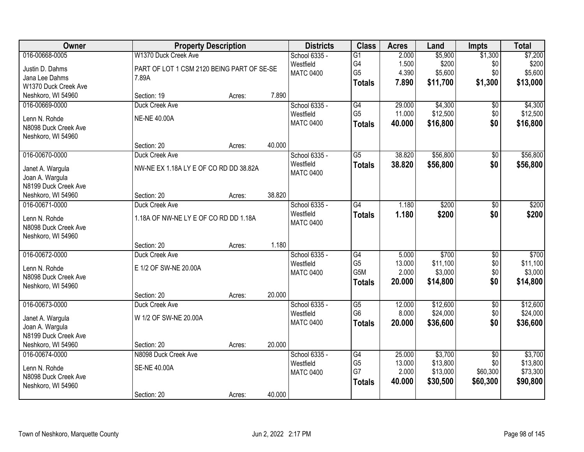| Owner                               | <b>Property Description</b>                |        |        | <b>Districts</b>              | <b>Class</b>                      | <b>Acres</b> | Land     | <b>Impts</b>    | <b>Total</b> |
|-------------------------------------|--------------------------------------------|--------|--------|-------------------------------|-----------------------------------|--------------|----------|-----------------|--------------|
| 016-00668-0005                      | W1370 Duck Creek Ave                       |        |        | School 6335 -                 | $\overline{G1}$                   | 2.000        | \$5,900  | \$1,300         | \$7,200      |
| Justin D. Dahms                     | PART OF LOT 1 CSM 2120 BEING PART OF SE-SE |        |        | Westfield                     | G4                                | 1.500        | \$200    | \$0             | \$200        |
| Jana Lee Dahms                      | 7.89A                                      |        |        | <b>MATC 0400</b>              | G <sub>5</sub>                    | 4.390        | \$5,600  | \$0             | \$5,600      |
| W1370 Duck Creek Ave                |                                            |        |        |                               | <b>Totals</b>                     | 7.890        | \$11,700 | \$1,300         | \$13,000     |
| Neshkoro, WI 54960                  | Section: 19                                | Acres: | 7.890  |                               |                                   |              |          |                 |              |
| 016-00669-0000                      | Duck Creek Ave                             |        |        | School 6335 -                 | G4                                | 29.000       | \$4,300  | $\overline{50}$ | \$4,300      |
| Lenn N. Rohde                       | <b>NE-NE 40.00A</b>                        |        |        | Westfield                     | G <sub>5</sub>                    | 11.000       | \$12,500 | \$0             | \$12,500     |
| N8098 Duck Creek Ave                |                                            |        |        | <b>MATC 0400</b>              | <b>Totals</b>                     | 40.000       | \$16,800 | \$0             | \$16,800     |
| Neshkoro, WI 54960                  |                                            |        |        |                               |                                   |              |          |                 |              |
|                                     | Section: 20                                | Acres: | 40.000 |                               |                                   |              |          |                 |              |
| 016-00670-0000                      | Duck Creek Ave                             |        |        | School 6335 -                 | G5                                | 38.820       | \$56,800 | \$0             | \$56,800     |
|                                     | NW-NE EX 1.18A LY E OF CO RD DD 38.82A     |        |        | Westfield                     | <b>Totals</b>                     | 38.820       | \$56,800 | \$0             | \$56,800     |
| Janet A. Wargula<br>Joan A. Wargula |                                            |        |        | <b>MATC 0400</b>              |                                   |              |          |                 |              |
| N8199 Duck Creek Ave                |                                            |        |        |                               |                                   |              |          |                 |              |
| Neshkoro, WI 54960                  | Section: 20                                | Acres: | 38.820 |                               |                                   |              |          |                 |              |
| 016-00671-0000                      | Duck Creek Ave                             |        |        | School 6335 -                 | G4                                | 1.180        | \$200    | \$0             | \$200        |
|                                     |                                            |        |        | Westfield                     | <b>Totals</b>                     | 1.180        | \$200    | \$0             | \$200        |
| Lenn N. Rohde                       | 1.18A OF NW-NE LY E OF CO RD DD 1.18A      |        |        | <b>MATC 0400</b>              |                                   |              |          |                 |              |
| N8098 Duck Creek Ave                |                                            |        |        |                               |                                   |              |          |                 |              |
| Neshkoro, WI 54960                  | Section: 20                                | Acres: | 1.180  |                               |                                   |              |          |                 |              |
| 016-00672-0000                      | Duck Creek Ave                             |        |        | School 6335 -                 | G4                                | 5.000        | \$700    | $\overline{30}$ | \$700        |
|                                     |                                            |        |        | Westfield                     | G <sub>5</sub>                    | 13.000       | \$11,100 | \$0             | \$11,100     |
| Lenn N. Rohde                       | E 1/2 OF SW-NE 20.00A                      |        |        | <b>MATC 0400</b>              | G5M                               | 2.000        | \$3,000  | \$0             | \$3,000      |
| N8098 Duck Creek Ave                |                                            |        |        |                               | <b>Totals</b>                     | 20.000       | \$14,800 | \$0             | \$14,800     |
| Neshkoro, WI 54960                  |                                            |        |        |                               |                                   |              |          |                 |              |
|                                     | Section: 20                                | Acres: | 20.000 |                               |                                   |              |          |                 |              |
| 016-00673-0000                      | Duck Creek Ave                             |        |        | School 6335 -                 | $\overline{G5}$<br>G <sub>6</sub> | 12.000       | \$12,600 | $\overline{60}$ | \$12,600     |
| Janet A. Wargula                    | W 1/2 OF SW-NE 20.00A                      |        |        | Westfield<br><b>MATC 0400</b> |                                   | 8.000        | \$24,000 | \$0             | \$24,000     |
| Joan A. Wargula                     |                                            |        |        |                               | <b>Totals</b>                     | 20,000       | \$36,600 | \$0             | \$36,600     |
| N8199 Duck Creek Ave                |                                            |        |        |                               |                                   |              |          |                 |              |
| Neshkoro, WI 54960                  | Section: 20                                | Acres: | 20.000 |                               |                                   |              |          |                 |              |
| 016-00674-0000                      | N8098 Duck Creek Ave                       |        |        | School 6335 -                 | G4                                | 25.000       | \$3,700  | $\overline{50}$ | \$3,700      |
| Lenn N. Rohde                       | <b>SE-NE 40.00A</b>                        |        |        | Westfield                     | G <sub>5</sub>                    | 13.000       | \$13,800 | \$0             | \$13,800     |
| N8098 Duck Creek Ave                |                                            |        |        | <b>MATC 0400</b>              | G7                                | 2.000        | \$13,000 | \$60,300        | \$73,300     |
| Neshkoro, WI 54960                  |                                            |        |        |                               | <b>Totals</b>                     | 40.000       | \$30,500 | \$60,300        | \$90,800     |
|                                     | Section: 20                                | Acres: | 40.000 |                               |                                   |              |          |                 |              |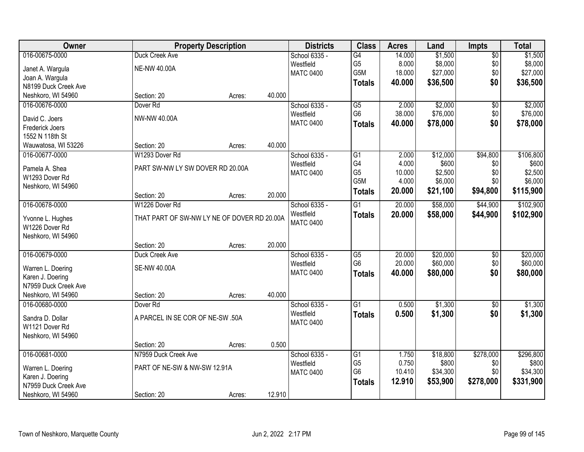| Owner                                 |                                             | <b>Property Description</b> |        | <b>Districts</b>           | <b>Class</b>    | <b>Acres</b> | Land     | <b>Impts</b>    | <b>Total</b> |
|---------------------------------------|---------------------------------------------|-----------------------------|--------|----------------------------|-----------------|--------------|----------|-----------------|--------------|
| 016-00675-0000                        | Duck Creek Ave                              |                             |        | School 6335 -              | G4              | 14.000       | \$1,500  | $\overline{50}$ | \$1,500      |
| Janet A. Wargula                      | <b>NE-NW 40.00A</b>                         |                             |        | Westfield                  | G <sub>5</sub>  | 8.000        | \$8,000  | \$0             | \$8,000      |
| Joan A. Wargula                       |                                             |                             |        | <b>MATC 0400</b>           | G5M             | 18.000       | \$27,000 | \$0             | \$27,000     |
| N8199 Duck Creek Ave                  |                                             |                             |        |                            | <b>Totals</b>   | 40.000       | \$36,500 | \$0             | \$36,500     |
| Neshkoro, WI 54960                    | Section: 20                                 | Acres:                      | 40.000 |                            |                 |              |          |                 |              |
| 016-00676-0000                        | Dover <sub>Rd</sub>                         |                             |        | School 6335 -              | $\overline{G5}$ | 2.000        | \$2,000  | $\overline{50}$ | \$2,000      |
|                                       |                                             |                             |        | Westfield                  | G <sub>6</sub>  | 38.000       | \$76,000 | \$0             | \$76,000     |
| David C. Joers                        | NW-NW 40.00A                                |                             |        | <b>MATC 0400</b>           | <b>Totals</b>   | 40.000       | \$78,000 | \$0             | \$78,000     |
| Frederick Joers                       |                                             |                             |        |                            |                 |              |          |                 |              |
| 1552 N 118th St                       | Section: 20                                 |                             | 40.000 |                            |                 |              |          |                 |              |
| Wauwatosa, WI 53226<br>016-00677-0000 | W1293 Dover Rd                              | Acres:                      |        |                            | G1              | 2.000        | \$12,000 |                 | \$106,800    |
|                                       |                                             |                             |        | School 6335 -<br>Westfield | G4              | 4.000        | \$600    | \$94,800<br>\$0 | \$600        |
| Pamela A. Shea                        | PART SW-NW LY SW DOVER RD 20.00A            |                             |        | <b>MATC 0400</b>           | G <sub>5</sub>  | 10.000       | \$2,500  | \$0             | \$2,500      |
| W1293 Dover Rd                        |                                             |                             |        |                            | G5M             | 4.000        | \$6,000  | \$0             | \$6,000      |
| Neshkoro, WI 54960                    |                                             |                             |        |                            |                 | 20.000       |          |                 |              |
|                                       | Section: 20                                 | Acres:                      | 20.000 |                            | <b>Totals</b>   |              | \$21,100 | \$94,800        | \$115,900    |
| 016-00678-0000                        | W1226 Dover Rd                              |                             |        | School 6335 -              | G1              | 20.000       | \$58,000 | \$44,900        | \$102,900    |
| Yvonne L. Hughes                      | THAT PART OF SW-NW LY NE OF DOVER RD 20.00A |                             |        | Westfield                  | <b>Totals</b>   | 20.000       | \$58,000 | \$44,900        | \$102,900    |
| W1226 Dover Rd                        |                                             |                             |        | <b>MATC 0400</b>           |                 |              |          |                 |              |
| Neshkoro, WI 54960                    |                                             |                             |        |                            |                 |              |          |                 |              |
|                                       | Section: 20                                 | Acres:                      | 20.000 |                            |                 |              |          |                 |              |
| 016-00679-0000                        | Duck Creek Ave                              |                             |        | School 6335 -              | $\overline{G5}$ | 20.000       | \$20,000 | $\overline{30}$ | \$20,000     |
|                                       |                                             |                             |        | Westfield                  | G <sub>6</sub>  | 20.000       | \$60,000 | \$0             | \$60,000     |
| Warren L. Doering                     | <b>SE-NW 40.00A</b>                         |                             |        | <b>MATC 0400</b>           | <b>Totals</b>   | 40.000       | \$80,000 | \$0             | \$80,000     |
| Karen J. Doering                      |                                             |                             |        |                            |                 |              |          |                 |              |
| N7959 Duck Creek Ave                  |                                             |                             |        |                            |                 |              |          |                 |              |
| Neshkoro, WI 54960                    | Section: 20                                 | Acres:                      | 40.000 |                            |                 |              |          |                 |              |
| 016-00680-0000                        | Dover <sub>Rd</sub>                         |                             |        | School 6335 -              | $\overline{G1}$ | 0.500        | \$1,300  | $\overline{60}$ | \$1,300      |
| Sandra D. Dollar                      | A PARCEL IN SE COR OF NE-SW .50A            |                             |        | Westfield                  | <b>Totals</b>   | 0.500        | \$1,300  | \$0             | \$1,300      |
| W1121 Dover Rd                        |                                             |                             |        | <b>MATC 0400</b>           |                 |              |          |                 |              |
| Neshkoro, WI 54960                    |                                             |                             |        |                            |                 |              |          |                 |              |
|                                       | Section: 20                                 | Acres:                      | 0.500  |                            |                 |              |          |                 |              |
| 016-00681-0000                        | N7959 Duck Creek Ave                        |                             |        | School 6335 -              | $\overline{G1}$ | 1.750        | \$18,800 | \$278,000       | \$296,800    |
|                                       |                                             |                             |        | Westfield                  | G <sub>5</sub>  | 0.750        | \$800    | \$0             | \$800        |
| Warren L. Doering                     | PART OF NE-SW & NW-SW 12.91A                |                             |        | <b>MATC 0400</b>           | G <sub>6</sub>  | 10.410       | \$34,300 | \$0             | \$34,300     |
| Karen J. Doering                      |                                             |                             |        |                            | <b>Totals</b>   | 12.910       | \$53,900 | \$278,000       | \$331,900    |
| N7959 Duck Creek Ave                  |                                             |                             |        |                            |                 |              |          |                 |              |
| Neshkoro, WI 54960                    | Section: 20                                 | Acres:                      | 12.910 |                            |                 |              |          |                 |              |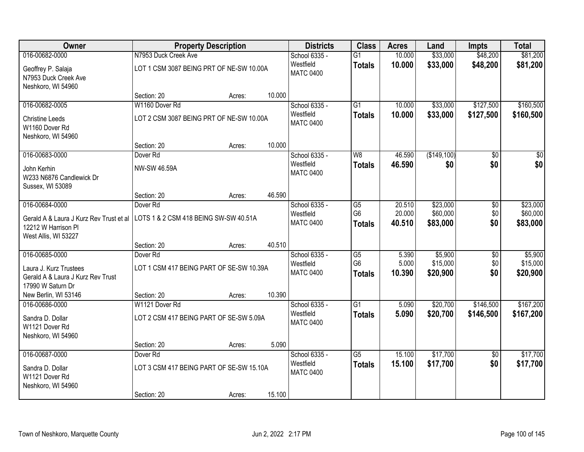| Owner                                                                                  | <b>Property Description</b>              |        |        | <b>Districts</b>              | <b>Class</b>                    | <b>Acres</b>     | Land                 | <b>Impts</b>    | <b>Total</b>         |
|----------------------------------------------------------------------------------------|------------------------------------------|--------|--------|-------------------------------|---------------------------------|------------------|----------------------|-----------------|----------------------|
| 016-00682-0000                                                                         | N7953 Duck Creek Ave                     |        |        | School 6335 -                 | $\overline{G1}$                 | 10.000           | \$33,000             | \$48,200        | \$81,200             |
| Geoffrey P. Salaja<br>N7953 Duck Creek Ave<br>Neshkoro, WI 54960                       | LOT 1 CSM 3087 BEING PRT OF NE-SW 10.00A |        |        | Westfield<br><b>MATC 0400</b> | <b>Totals</b>                   | 10.000           | \$33,000             | \$48,200        | \$81,200             |
|                                                                                        | Section: 20                              | Acres: | 10.000 |                               |                                 |                  |                      |                 |                      |
| 016-00682-0005                                                                         | W1160 Dover Rd                           |        |        | School 6335 -                 | $\overline{G1}$                 | 10.000           | \$33,000             | \$127,500       | \$160,500            |
| <b>Christine Leeds</b><br>W1160 Dover Rd<br>Neshkoro, WI 54960                         | LOT 2 CSM 3087 BEING PRT OF NE-SW 10.00A |        |        | Westfield<br><b>MATC 0400</b> | <b>Totals</b>                   | 10.000           | \$33,000             | \$127,500       | \$160,500            |
|                                                                                        | Section: 20                              | Acres: | 10.000 |                               |                                 |                  |                      |                 |                      |
| 016-00683-0000                                                                         | Dover <sub>Rd</sub>                      |        |        | School 6335 -                 | W8                              | 46.590           | (\$149,100)          | \$0             | $\overline{\$0}$     |
| John Kerhin<br>W233 N6876 Candlewick Dr<br>Sussex, WI 53089                            | NW-SW 46.59A                             |        |        | Westfield<br><b>MATC 0400</b> | <b>Totals</b>                   | 46.590           | \$0                  | \$0             | \$0                  |
|                                                                                        | Section: 20                              | Acres: | 46.590 |                               |                                 |                  |                      |                 |                      |
| 016-00684-0000                                                                         | Dover <sub>Rd</sub>                      |        |        | School 6335 -                 | G5                              | 20.510           | \$23,000             | \$0             | \$23,000             |
| Gerald A & Laura J Kurz Rev Trust et al<br>12212 W Harrison Pl<br>West Allis, WI 53227 | LOTS 1 & 2 CSM 418 BEING SW-SW 40.51A    |        |        | Westfield<br><b>MATC 0400</b> | G <sub>6</sub><br><b>Totals</b> | 20.000<br>40.510 | \$60,000<br>\$83,000 | \$0<br>\$0      | \$60,000<br>\$83,000 |
|                                                                                        | Section: 20                              | Acres: | 40.510 |                               |                                 |                  |                      |                 |                      |
| 016-00685-0000                                                                         | Dover <sub>Rd</sub>                      |        |        | School 6335 -                 | $\overline{G5}$                 | 5.390            | \$5,900              | \$0             | \$5,900              |
| Laura J. Kurz Trustees                                                                 | LOT 1 CSM 417 BEING PART OF SE-SW 10.39A |        |        | Westfield                     | G <sub>6</sub>                  | 5.000            | \$15,000             | \$0             | \$15,000             |
| Gerald A & Laura J Kurz Rev Trust                                                      |                                          |        |        | <b>MATC 0400</b>              | <b>Totals</b>                   | 10.390           | \$20,900             | \$0             | \$20,900             |
| 17990 W Saturn Dr<br>New Berlin, WI 53146                                              | Section: 20                              | Acres: | 10.390 |                               |                                 |                  |                      |                 |                      |
| 016-00686-0000                                                                         | W1121 Dover Rd                           |        |        | School 6335 -                 | $\overline{G1}$                 | 5.090            | \$20,700             | \$146,500       | \$167,200            |
| Sandra D. Dollar<br>W1121 Dover Rd<br>Neshkoro, WI 54960                               | LOT 2 CSM 417 BEING PART OF SE-SW 5.09A  |        |        | Westfield<br><b>MATC 0400</b> | <b>Totals</b>                   | 5.090            | \$20,700             | \$146,500       | \$167,200            |
|                                                                                        | Section: 20                              | Acres: | 5.090  |                               |                                 |                  |                      |                 |                      |
| 016-00687-0000                                                                         | Dover <sub>Rd</sub>                      |        |        | School 6335 -                 | $\overline{G5}$                 | 15.100           | \$17,700             | $\overline{50}$ | \$17,700             |
| Sandra D. Dollar<br>W1121 Dover Rd<br>Neshkoro, WI 54960                               | LOT 3 CSM 417 BEING PART OF SE-SW 15.10A |        |        | Westfield<br><b>MATC 0400</b> | <b>Totals</b>                   | 15.100           | \$17,700             | \$0             | \$17,700             |
|                                                                                        | Section: 20                              | Acres: | 15.100 |                               |                                 |                  |                      |                 |                      |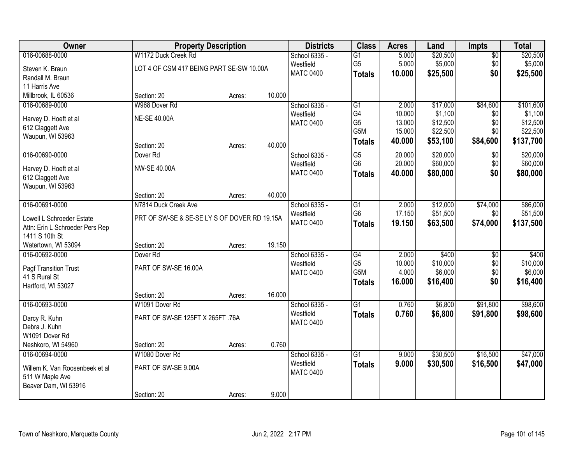| Owner                           | <b>Property Description</b>                  |        |        | <b>Districts</b> | <b>Class</b>    | <b>Acres</b> | Land     | <b>Impts</b>    | <b>Total</b> |
|---------------------------------|----------------------------------------------|--------|--------|------------------|-----------------|--------------|----------|-----------------|--------------|
| 016-00688-0000                  | W1172 Duck Creek Rd                          |        |        | School 6335 -    | $\overline{G1}$ | 5.000        | \$20,500 | $\sqrt{$0}$     | \$20,500     |
| Steven K. Braun                 | LOT 4 OF CSM 417 BEING PART SE-SW 10.00A     |        |        | Westfield        | G <sub>5</sub>  | 5.000        | \$5,000  | \$0             | \$5,000      |
| Randall M. Braun                |                                              |        |        | <b>MATC 0400</b> | <b>Totals</b>   | 10.000       | \$25,500 | \$0             | \$25,500     |
| 11 Harris Ave                   |                                              |        |        |                  |                 |              |          |                 |              |
| Millbrook, IL 60536             | Section: 20                                  | Acres: | 10.000 |                  |                 |              |          |                 |              |
| 016-00689-0000                  | W968 Dover Rd                                |        |        | School 6335 -    | $\overline{G1}$ | 2.000        | \$17,000 | \$84,600        | \$101,600    |
| Harvey D. Hoeft et al           | <b>NE-SE 40.00A</b>                          |        |        | Westfield        | G4              | 10.000       | \$1,100  | \$0             | \$1,100      |
| 612 Claggett Ave                |                                              |        |        | <b>MATC 0400</b> | G <sub>5</sub>  | 13.000       | \$12,500 | \$0             | \$12,500     |
| Waupun, WI 53963                |                                              |        |        |                  | G5M             | 15.000       | \$22,500 | \$0             | \$22,500     |
|                                 | Section: 20                                  | Acres: | 40.000 |                  | <b>Totals</b>   | 40.000       | \$53,100 | \$84,600        | \$137,700    |
| 016-00690-0000                  | Dover <sub>Rd</sub>                          |        |        | School 6335 -    | G5              | 20.000       | \$20,000 | \$0             | \$20,000     |
| Harvey D. Hoeft et al           | <b>NW-SE 40.00A</b>                          |        |        | Westfield        | G <sub>6</sub>  | 20.000       | \$60,000 | \$0             | \$60,000     |
| 612 Claggett Ave                |                                              |        |        | <b>MATC 0400</b> | <b>Totals</b>   | 40.000       | \$80,000 | \$0             | \$80,000     |
| Waupun, WI 53963                |                                              |        |        |                  |                 |              |          |                 |              |
|                                 | Section: 20                                  | Acres: | 40.000 |                  |                 |              |          |                 |              |
| 016-00691-0000                  | N7814 Duck Creek Ave                         |        |        | School 6335 -    | G1              | 2.000        | \$12,000 | \$74,000        | \$86,000     |
| Lowell L Schroeder Estate       | PRT OF SW-SE & SE-SE LY S OF DOVER RD 19.15A |        |        | Westfield        | G <sub>6</sub>  | 17.150       | \$51,500 | \$0             | \$51,500     |
| Attn: Erin L Schroeder Pers Rep |                                              |        |        | <b>MATC 0400</b> | <b>Totals</b>   | 19.150       | \$63,500 | \$74,000        | \$137,500    |
| 1411 S 10th St                  |                                              |        |        |                  |                 |              |          |                 |              |
| Watertown, WI 53094             | Section: 20                                  | Acres: | 19.150 |                  |                 |              |          |                 |              |
| 016-00692-0000                  | Dover <sub>Rd</sub>                          |        |        | School 6335 -    | $\overline{G4}$ | 2.000        | \$400    | $\overline{50}$ | \$400        |
| Pagf Transition Trust           | PART OF SW-SE 16.00A                         |        |        | Westfield        | G <sub>5</sub>  | 10.000       | \$10,000 | \$0             | \$10,000     |
| 41 S Rural St                   |                                              |        |        | <b>MATC 0400</b> | G5M             | 4.000        | \$6,000  | \$0             | \$6,000      |
| Hartford, WI 53027              |                                              |        |        |                  | <b>Totals</b>   | 16.000       | \$16,400 | \$0             | \$16,400     |
|                                 | Section: 20                                  | Acres: | 16.000 |                  |                 |              |          |                 |              |
| 016-00693-0000                  | W1091 Dover Rd                               |        |        | School 6335 -    | $\overline{G1}$ | 0.760        | \$6,800  | \$91,800        | \$98,600     |
| Darcy R. Kuhn                   | PART OF SW-SE 125FT X 265FT .76A             |        |        | Westfield        | <b>Totals</b>   | 0.760        | \$6,800  | \$91,800        | \$98,600     |
| Debra J. Kuhn                   |                                              |        |        | <b>MATC 0400</b> |                 |              |          |                 |              |
| W1091 Dover Rd                  |                                              |        |        |                  |                 |              |          |                 |              |
| Neshkoro, WI 54960              | Section: 20                                  | Acres: | 0.760  |                  |                 |              |          |                 |              |
| 016-00694-0000                  | W1080 Dover Rd                               |        |        | School 6335 -    | $\overline{G1}$ | 9.000        | \$30,500 | \$16,500        | \$47,000     |
| Willem K. Van Roosenbeek et al  | PART OF SW-SE 9.00A                          |        |        | Westfield        | <b>Totals</b>   | 9.000        | \$30,500 | \$16,500        | \$47,000     |
| 511 W Maple Ave                 |                                              |        |        | <b>MATC 0400</b> |                 |              |          |                 |              |
| Beaver Dam, WI 53916            |                                              |        |        |                  |                 |              |          |                 |              |
|                                 | Section: 20                                  | Acres: | 9.000  |                  |                 |              |          |                 |              |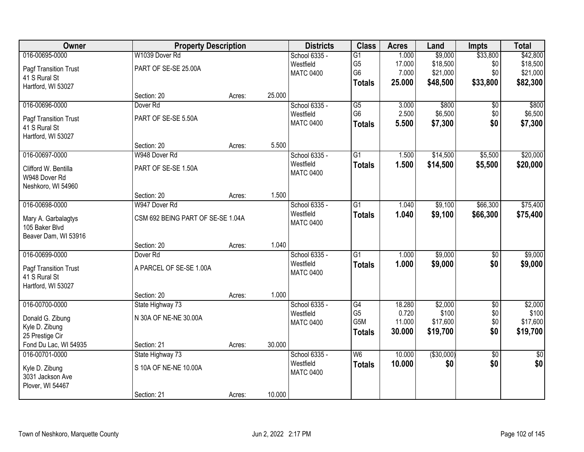| Owner                 | <b>Property Description</b>       |        |        | <b>Districts</b> | <b>Class</b>             | <b>Acres</b> | Land        | <b>Impts</b>    | <b>Total</b>    |
|-----------------------|-----------------------------------|--------|--------|------------------|--------------------------|--------------|-------------|-----------------|-----------------|
| 016-00695-0000        | W1039 Dover Rd                    |        |        | School 6335 -    | $\overline{G1}$          | 1.000        | \$9,000     | \$33,800        | \$42,800        |
| Pagf Transition Trust | PART OF SE-SE 25.00A              |        |        | Westfield        | G <sub>5</sub>           | 17.000       | \$18,500    | \$0             | \$18,500        |
| 41 S Rural St         |                                   |        |        | <b>MATC 0400</b> | G <sub>6</sub>           | 7.000        | \$21,000    | \$0             | \$21,000        |
| Hartford, WI 53027    |                                   |        |        |                  | <b>Totals</b>            | 25.000       | \$48,500    | \$33,800        | \$82,300        |
|                       | Section: 20                       | Acres: | 25.000 |                  |                          |              |             |                 |                 |
| 016-00696-0000        | Dover <sub>Rd</sub>               |        |        | School 6335 -    | $\overline{G5}$          | 3.000        | \$800       | $\overline{50}$ | \$800           |
| Pagf Transition Trust | PART OF SE-SE 5.50A               |        |        | Westfield        | G <sub>6</sub>           | 2.500        | \$6,500     | \$0             | \$6,500         |
| 41 S Rural St         |                                   |        |        | <b>MATC 0400</b> | <b>Totals</b>            | 5.500        | \$7,300     | \$0             | \$7,300         |
| Hartford, WI 53027    |                                   |        |        |                  |                          |              |             |                 |                 |
|                       | Section: 20                       | Acres: | 5.500  |                  |                          |              |             |                 |                 |
| 016-00697-0000        | W948 Dover Rd                     |        |        | School 6335 -    | G1                       | 1.500        | \$14,500    | \$5,500         | \$20,000        |
| Clifford W. Bentilla  | PART OF SE-SE 1.50A               |        |        | Westfield        | <b>Totals</b>            | 1.500        | \$14,500    | \$5,500         | \$20,000        |
| W948 Dover Rd         |                                   |        |        | <b>MATC 0400</b> |                          |              |             |                 |                 |
| Neshkoro, WI 54960    |                                   |        |        |                  |                          |              |             |                 |                 |
|                       | Section: 20                       | Acres: | 1.500  |                  |                          |              |             |                 |                 |
| 016-00698-0000        | W947 Dover Rd                     |        |        | School 6335 -    | G1                       | 1.040        | \$9,100     | \$66,300        | \$75,400        |
| Mary A. Garbalagtys   | CSM 692 BEING PART OF SE-SE 1.04A |        |        | Westfield        | <b>Totals</b>            | 1.040        | \$9,100     | \$66,300        | \$75,400        |
| 105 Baker Blvd        |                                   |        |        | <b>MATC 0400</b> |                          |              |             |                 |                 |
| Beaver Dam, WI 53916  |                                   |        |        |                  |                          |              |             |                 |                 |
|                       | Section: 20                       | Acres: | 1.040  |                  |                          |              |             |                 |                 |
| 016-00699-0000        | Dover <sub>Rd</sub>               |        |        | School 6335 -    | $\overline{G1}$          | 1.000        | \$9,000     | $\overline{50}$ | \$9,000         |
| Pagf Transition Trust | A PARCEL OF SE-SE 1.00A           |        |        | Westfield        | <b>Totals</b>            | 1.000        | \$9,000     | \$0             | \$9,000         |
| 41 S Rural St         |                                   |        |        | <b>MATC 0400</b> |                          |              |             |                 |                 |
| Hartford, WI 53027    |                                   |        |        |                  |                          |              |             |                 |                 |
|                       | Section: 20                       | Acres: | 1.000  |                  |                          |              |             |                 |                 |
| 016-00700-0000        | State Highway 73                  |        |        | School 6335 -    | G4                       | 18.280       | \$2,000     | $\overline{50}$ | \$2,000         |
| Donald G. Zibung      | N 30A OF NE-NE 30.00A             |        |        | Westfield        | G <sub>5</sub>           | 0.720        | \$100       | \$0             | \$100           |
| Kyle D. Zibung        |                                   |        |        | <b>MATC 0400</b> | G5M                      | 11.000       | \$17,600    | \$0             | \$17,600        |
| 25 Prestige Cir       |                                   |        |        |                  | <b>Totals</b>            | 30.000       | \$19,700    | \$0             | \$19,700        |
| Fond Du Lac, WI 54935 | Section: 21                       | Acres: | 30.000 |                  |                          |              |             |                 |                 |
| 016-00701-0000        | State Highway 73                  |        |        | School 6335 -    | $\overline{\mathsf{W6}}$ | 10.000       | ( \$30,000] | $\overline{50}$ | $\overline{50}$ |
| Kyle D. Zibung        | S 10A OF NE-NE 10.00A             |        |        | Westfield        | <b>Totals</b>            | 10.000       | \$0         | \$0             | \$0             |
| 3031 Jackson Ave      |                                   |        |        | <b>MATC 0400</b> |                          |              |             |                 |                 |
| Plover, WI 54467      |                                   |        |        |                  |                          |              |             |                 |                 |
|                       | Section: 21                       | Acres: | 10.000 |                  |                          |              |             |                 |                 |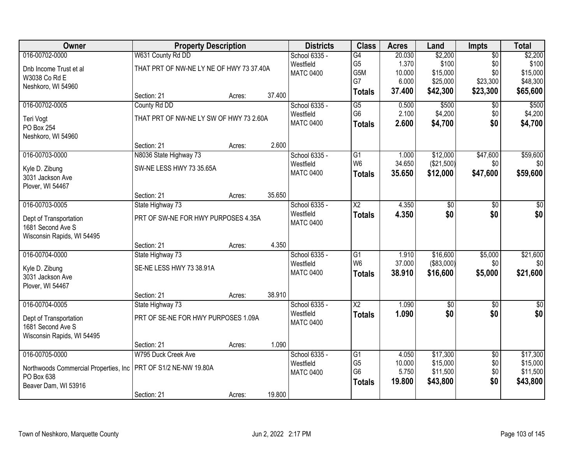| Owner                                  | <b>Property Description</b>              |        |        | <b>Districts</b> | <b>Class</b>    | <b>Acres</b> | Land              | Impts           | <b>Total</b>    |
|----------------------------------------|------------------------------------------|--------|--------|------------------|-----------------|--------------|-------------------|-----------------|-----------------|
| 016-00702-0000                         | W631 County Rd DD                        |        |        | School 6335 -    | G4              | 20.030       | \$2,200           | $\overline{50}$ | \$2,200         |
| Dnb Income Trust et al                 | THAT PRT OF NW-NE LY NE OF HWY 73 37.40A |        |        | Westfield        | G <sub>5</sub>  | 1.370        | \$100             | \$0             | \$100           |
| W3038 Co Rd E                          |                                          |        |        | <b>MATC 0400</b> | G5M             | 10.000       | \$15,000          | \$0             | \$15,000        |
| Neshkoro, WI 54960                     |                                          |        |        |                  | G7              | 6.000        | \$25,000          | \$23,300        | \$48,300        |
|                                        | Section: 21                              | Acres: | 37.400 |                  | <b>Totals</b>   | 37.400       | \$42,300          | \$23,300        | \$65,600        |
| 016-00702-0005                         | County Rd DD                             |        |        | School 6335 -    | $\overline{G5}$ | 0.500        | \$500             | $\overline{50}$ | \$500           |
| Teri Vogt                              | THAT PRT OF NW-NE LY SW OF HWY 73 2.60A  |        |        | Westfield        | G <sub>6</sub>  | 2.100        | \$4,200           | \$0             | \$4,200         |
| PO Box 254                             |                                          |        |        | <b>MATC 0400</b> | <b>Totals</b>   | 2.600        | \$4,700           | \$0             | \$4,700         |
| Neshkoro, WI 54960                     |                                          |        |        |                  |                 |              |                   |                 |                 |
|                                        | Section: 21                              | Acres: | 2.600  |                  |                 |              |                   |                 |                 |
| 016-00703-0000                         | N8036 State Highway 73                   |        |        | School 6335 -    | G <sub>1</sub>  | 1.000        | \$12,000          | \$47,600        | \$59,600        |
| Kyle D. Zibung                         | SW-NE LESS HWY 73 35.65A                 |        |        | Westfield        | W <sub>6</sub>  | 34.650       | (\$21,500)        | \$0             | \$0             |
| 3031 Jackson Ave                       |                                          |        |        | <b>MATC 0400</b> | <b>Totals</b>   | 35.650       | \$12,000          | \$47,600        | \$59,600        |
| Plover, WI 54467                       |                                          |        |        |                  |                 |              |                   |                 |                 |
|                                        | Section: 21                              | Acres: | 35.650 |                  |                 |              |                   |                 |                 |
| 016-00703-0005                         | State Highway 73                         |        |        | School 6335 -    | $\overline{X2}$ | 4.350        | \$0               | \$0             | \$0             |
| Dept of Transportation                 | PRT OF SW-NE FOR HWY PURPOSES 4.35A      |        |        | Westfield        | <b>Totals</b>   | 4.350        | \$0               | \$0             | \$0             |
| 1681 Second Ave S                      |                                          |        |        | <b>MATC 0400</b> |                 |              |                   |                 |                 |
| Wisconsin Rapids, WI 54495             |                                          |        |        |                  |                 |              |                   |                 |                 |
|                                        | Section: 21                              | Acres: | 4.350  |                  |                 |              |                   |                 |                 |
| 016-00704-0000                         | State Highway 73                         |        |        | School 6335 -    | $\overline{G1}$ | 1.910        | \$16,600          | \$5,000         | \$21,600        |
| Kyle D. Zibung                         | SE-NE LESS HWY 73 38.91A                 |        |        | Westfield        | W <sub>6</sub>  | 37.000       | $($ \$83,000) $ $ | \$0             | 30              |
| 3031 Jackson Ave                       |                                          |        |        | <b>MATC 0400</b> | <b>Totals</b>   | 38.910       | \$16,600          | \$5,000         | \$21,600        |
| Plover, WI 54467                       |                                          |        |        |                  |                 |              |                   |                 |                 |
|                                        | Section: 21                              | Acres: | 38.910 |                  |                 |              |                   |                 |                 |
| 016-00704-0005                         | State Highway 73                         |        |        | School 6335 -    | $\overline{X2}$ | 1.090        | $\overline{60}$   | $\overline{50}$ | $\overline{50}$ |
| Dept of Transportation                 | PRT OF SE-NE FOR HWY PURPOSES 1.09A      |        |        | Westfield        | <b>Totals</b>   | 1.090        | \$0               | \$0             | \$0             |
| 1681 Second Ave S                      |                                          |        |        | <b>MATC 0400</b> |                 |              |                   |                 |                 |
| Wisconsin Rapids, WI 54495             |                                          |        |        |                  |                 |              |                   |                 |                 |
|                                        | Section: 21                              | Acres: | 1.090  |                  |                 |              |                   |                 |                 |
| 016-00705-0000                         | W795 Duck Creek Ave                      |        |        | School 6335 -    | G1              | 4.050        | \$17,300          | $\overline{50}$ | \$17,300        |
| Northwoods Commercial Properties, Inc. | PRT OF S1/2 NE-NW 19.80A                 |        |        | Westfield        | G <sub>5</sub>  | 10.000       | \$15,000          | \$0             | \$15,000        |
| PO Box 638                             |                                          |        |        | <b>MATC 0400</b> | G <sub>6</sub>  | 5.750        | \$11,500          | \$0             | \$11,500        |
| Beaver Dam, WI 53916                   |                                          |        |        |                  | <b>Totals</b>   | 19.800       | \$43,800          | \$0             | \$43,800        |
|                                        | Section: 21                              | Acres: | 19.800 |                  |                 |              |                   |                 |                 |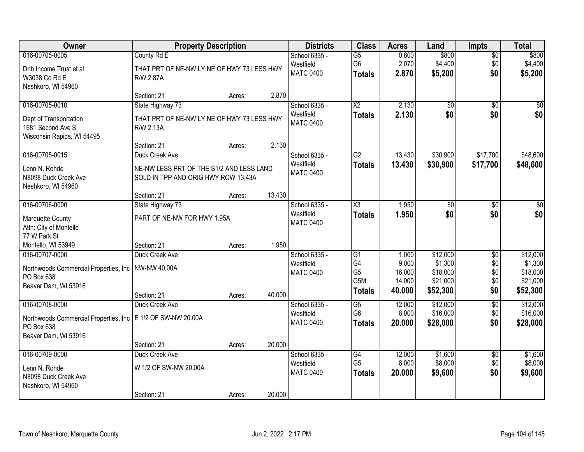| Owner                                                                       | <b>Property Description</b>                                                     |        |        | <b>Districts</b>              | <b>Class</b>                      | <b>Acres</b>    | Land                 | <b>Impts</b>           | <b>Total</b>         |
|-----------------------------------------------------------------------------|---------------------------------------------------------------------------------|--------|--------|-------------------------------|-----------------------------------|-----------------|----------------------|------------------------|----------------------|
| 016-00705-0005                                                              | County Rd E                                                                     |        |        | School 6335 -                 | $\overline{G5}$                   | 0.800           | \$800                | $\overline{50}$        | \$800                |
| Dnb Income Trust et al<br>W3038 Co Rd E<br>Neshkoro, WI 54960               | THAT PRT OF NE-NW LY NE OF HWY 73 LESS HWY<br>R/W 2.87A                         |        |        | Westfield<br><b>MATC 0400</b> | G <sub>6</sub><br><b>Totals</b>   | 2.070<br>2.870  | \$4,400<br>\$5,200   | \$0<br>\$0             | \$4,400<br>\$5,200   |
|                                                                             | Section: 21                                                                     | Acres: | 2.870  |                               |                                   |                 |                      |                        |                      |
| 016-00705-0010                                                              | State Highway 73                                                                |        |        | School 6335 -                 | $\overline{\text{X2}}$            | 2.130           | $\overline{50}$      | $\overline{30}$        | $\sqrt{50}$          |
| Dept of Transportation<br>1681 Second Ave S<br>Wisconsin Rapids, WI 54495   | THAT PRT OF NE-NW LY NE OF HWY 73 LESS HWY<br>R/W 2.13A                         |        |        | Westfield<br><b>MATC 0400</b> | <b>Totals</b>                     | 2.130           | \$0                  | \$0                    | \$0                  |
|                                                                             | Section: 21                                                                     | Acres: | 2.130  |                               |                                   |                 |                      |                        |                      |
| 016-00705-0015                                                              | Duck Creek Ave                                                                  |        |        | School 6335 -                 | G2                                | 13.430          | \$30,900             | \$17,700               | \$48,600             |
| Lenn N. Rohde<br>N8098 Duck Creek Ave<br>Neshkoro, WI 54960                 | NE-NW LESS PRT OF THE S1/2 AND LESS LAND<br>SOLD IN TPP AND ORIG HWY ROW 13.43A |        |        | Westfield<br><b>MATC 0400</b> | <b>Totals</b>                     | 13.430          | \$30,900             | \$17,700               | \$48,600             |
|                                                                             | Section: 21                                                                     | Acres: | 13.430 |                               |                                   |                 |                      |                        |                      |
| 016-00706-0000                                                              | State Highway 73                                                                |        |        | School 6335 -                 | X3                                | 1.950           | \$0                  | $\sqrt{6}$             | \$0                  |
| <b>Marquette County</b><br>Attn: City of Montello                           | PART OF NE-NW FOR HWY 1.95A                                                     |        |        | Westfield<br><b>MATC 0400</b> | <b>Totals</b>                     | 1.950           | \$0                  | \$0                    | \$0                  |
| 77 W Park St                                                                |                                                                                 |        |        |                               |                                   |                 |                      |                        |                      |
| Montello, WI 53949                                                          | Section: 21                                                                     | Acres: | 1.950  |                               |                                   |                 |                      |                        |                      |
| 016-00707-0000                                                              | Duck Creek Ave                                                                  |        |        | School 6335 -<br>Westfield    | $\overline{G1}$<br>G4             | 1.000<br>9.000  | \$12,000<br>\$1,300  | $\overline{30}$<br>\$0 | \$12,000<br>\$1,300  |
| Northwoods Commercial Properties, Inc.                                      | NW-NW 40.00A                                                                    |        |        | <b>MATC 0400</b>              | G <sub>5</sub>                    | 16.000          | \$18,000             | \$0                    | \$18,000             |
| PO Box 638                                                                  |                                                                                 |        |        |                               | G5M                               | 14.000          | \$21,000             | \$0                    | \$21,000             |
| Beaver Dam, WI 53916                                                        | Section: 21                                                                     | Acres: | 40.000 |                               | <b>Totals</b>                     | 40.000          | \$52,300             | \$0                    | \$52,300             |
| 016-00708-0000                                                              | Duck Creek Ave                                                                  |        |        | School 6335 -                 | $\overline{G5}$                   | 12.000          | \$12,000             | $\overline{50}$        | \$12,000             |
| Northwoods Commercial Properties, Inc   E 1/2 OF SW-NW 20.00A<br>PO Box 638 |                                                                                 |        |        | Westfield<br><b>MATC 0400</b> | G <sub>6</sub><br><b>Totals</b>   | 8.000<br>20,000 | \$16,000<br>\$28,000 | \$0<br>\$0             | \$16,000<br>\$28,000 |
| Beaver Dam, WI 53916                                                        |                                                                                 |        |        |                               |                                   |                 |                      |                        |                      |
|                                                                             | Section: 21                                                                     | Acres: | 20.000 |                               |                                   |                 |                      |                        |                      |
| 016-00709-0000                                                              | Duck Creek Ave                                                                  |        |        | School 6335 -<br>Westfield    | $\overline{G4}$<br>G <sub>5</sub> | 12.000<br>8.000 | \$1,600<br>\$8,000   | $\overline{50}$<br>\$0 | \$1,600<br>\$8,000   |
| Lenn N. Rohde<br>N8098 Duck Creek Ave<br>Neshkoro, WI 54960                 | W 1/2 OF SW-NW 20.00A                                                           |        |        | <b>MATC 0400</b>              | <b>Totals</b>                     | 20.000          | \$9,600              | \$0                    | \$9,600              |
|                                                                             | Section: 21                                                                     | Acres: | 20.000 |                               |                                   |                 |                      |                        |                      |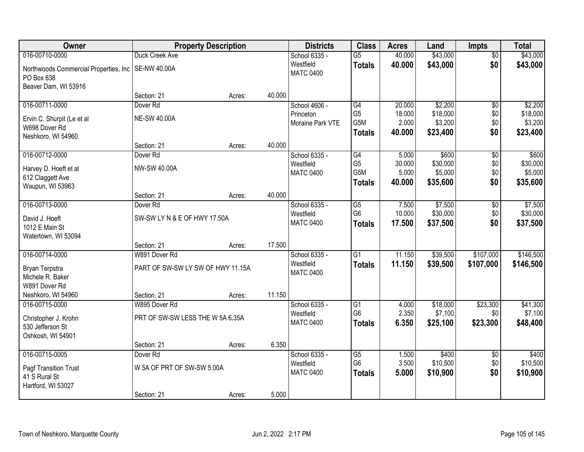| Owner                                                |                                   | <b>Property Description</b> |        | <b>Districts</b>              | <b>Class</b>         | <b>Acres</b>   | Land                | <b>Impts</b>    | <b>Total</b>        |
|------------------------------------------------------|-----------------------------------|-----------------------------|--------|-------------------------------|----------------------|----------------|---------------------|-----------------|---------------------|
| 016-00710-0000                                       | Duck Creek Ave                    |                             |        | School 6335 -                 | $\overline{G5}$      | 40.000         | \$43,000            | $\overline{50}$ | \$43,000            |
| Northwoods Commercial Properties, Inc.<br>PO Box 638 | SE-NW 40.00A                      |                             |        | Westfield<br><b>MATC 0400</b> | <b>Totals</b>        | 40.000         | \$43,000            | \$0             | \$43,000            |
| Beaver Dam, WI 53916                                 |                                   |                             |        |                               |                      |                |                     |                 |                     |
|                                                      | Section: 21                       | Acres:                      | 40.000 |                               |                      |                |                     |                 |                     |
| 016-00711-0000                                       | Dover <sub>Rd</sub>               |                             |        | School 4606 -                 | G4                   | 20.000         | \$2,200             | $\overline{50}$ | \$2,200             |
| Ervin C. Shurpit (Le et al                           | <b>NE-SW 40.00A</b>               |                             |        | Princeton                     | G <sub>5</sub>       | 18.000         | \$18,000            | \$0             | \$18,000            |
| W698 Dover Rd                                        |                                   |                             |        | Moraine Park VTE              | G5M                  | 2.000          | \$3,200             | \$0             | \$3,200             |
| Neshkoro, WI 54960                                   |                                   |                             |        |                               | <b>Totals</b>        | 40.000         | \$23,400            | \$0             | \$23,400            |
|                                                      | Section: 21                       | Acres:                      | 40.000 |                               |                      |                |                     |                 |                     |
| 016-00712-0000                                       | Dover <sub>Rd</sub>               |                             |        | School 6335 -                 | G4                   | 5.000          | \$600               | $\overline{60}$ | \$600               |
| Harvey D. Hoeft et al                                | NW-SW 40.00A                      |                             |        | Westfield                     | G <sub>5</sub>       | 30.000         | \$30,000            | \$0             | \$30,000            |
| 612 Claggett Ave                                     |                                   |                             |        | <b>MATC 0400</b>              | G5M                  | 5.000          | \$5,000             | \$0             | \$5,000             |
| Waupun, WI 53963                                     |                                   |                             |        |                               | <b>Totals</b>        | 40.000         | \$35,600            | \$0             | \$35,600            |
|                                                      | Section: 21                       | Acres:                      | 40.000 |                               |                      |                |                     |                 |                     |
| 016-00713-0000                                       | Dover <sub>Rd</sub>               |                             |        | School 6335 -                 | $\overline{G5}$      | 7.500          | \$7,500             | \$0             | \$7,500             |
| David J. Hoeft                                       | SW-SW LY N & E OF HWY 17.50A      |                             |        | Westfield                     | G <sub>6</sub>       | 10.000         | \$30,000            | \$0             | \$30,000            |
| 1012 E Main St                                       |                                   |                             |        | <b>MATC 0400</b>              | <b>Totals</b>        | 17.500         | \$37,500            | \$0             | \$37,500            |
| Watertown, WI 53094                                  |                                   |                             |        |                               |                      |                |                     |                 |                     |
|                                                      | Section: 21                       | Acres:                      | 17.500 |                               |                      |                |                     |                 |                     |
| 016-00714-0000                                       | W891 Dover Rd                     |                             |        | School 6335 -                 | $\overline{G1}$      | 11.150         | \$39,500            | \$107,000       | \$146,500           |
| Bryan Terpstra                                       | PART OF SW-SW LY SW OF HWY 11.15A |                             |        | Westfield<br><b>MATC 0400</b> | <b>Totals</b>        | 11.150         | \$39,500            | \$107,000       | \$146,500           |
| Michele R. Baker                                     |                                   |                             |        |                               |                      |                |                     |                 |                     |
| W891 Dover Rd                                        |                                   |                             |        |                               |                      |                |                     |                 |                     |
| Neshkoro, WI 54960                                   | Section: 21                       | Acres:                      | 11.150 |                               |                      |                |                     |                 |                     |
| 016-00715-0000                                       | W895 Dover Rd                     |                             |        | School 6335 -                 | G1<br>G <sub>6</sub> | 4.000<br>2.350 | \$18,000<br>\$7,100 | \$23,300        | \$41,300            |
| Christopher J. Krohn                                 | PRT OF SW-SW LESS THE W 5A 6.35A  |                             |        | Westfield<br><b>MATC 0400</b> |                      | 6.350          |                     | \$0<br>\$23,300 | \$7,100<br>\$48,400 |
| 530 Jefferson St                                     |                                   |                             |        |                               | <b>Totals</b>        |                | \$25,100            |                 |                     |
| Oshkosh, WI 54901                                    |                                   |                             |        |                               |                      |                |                     |                 |                     |
|                                                      | Section: 21                       | Acres:                      | 6.350  |                               |                      |                |                     |                 |                     |
| 016-00715-0005                                       | Dover <sub>Rd</sub>               |                             |        | School 6335 -<br>Westfield    | G5<br>G <sub>6</sub> | 1.500<br>3.500 | \$400<br>\$10,500   | \$0<br>\$0      | \$400<br>\$10,500   |
| Pagf Transition Trust                                | W 5A OF PRT OF SW-SW 5.00A        |                             |        | <b>MATC 0400</b>              | <b>Totals</b>        | 5.000          | \$10,900            | \$0             | \$10,900            |
| 41 S Rural St                                        |                                   |                             |        |                               |                      |                |                     |                 |                     |
| Hartford, WI 53027                                   |                                   |                             |        |                               |                      |                |                     |                 |                     |
|                                                      | Section: 21                       | Acres:                      | 5.000  |                               |                      |                |                     |                 |                     |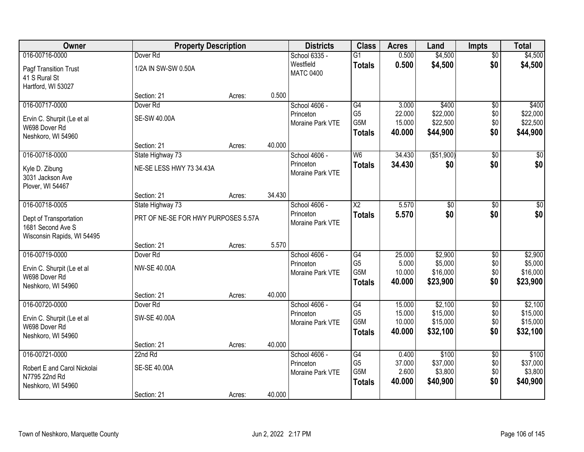| <b>Owner</b>                                    | <b>Property Description</b>         |        |        | <b>Districts</b>              | <b>Class</b>           | <b>Acres</b>     | Land                | <b>Impts</b>    | <b>Total</b>        |
|-------------------------------------------------|-------------------------------------|--------|--------|-------------------------------|------------------------|------------------|---------------------|-----------------|---------------------|
| 016-00716-0000                                  | Dover <sub>Rd</sub>                 |        |        | School 6335 -                 | $\overline{G1}$        | 0.500            | \$4,500             | $\overline{50}$ | \$4,500             |
| Pagf Transition Trust<br>41 S Rural St          | 1/2A IN SW-SW 0.50A                 |        |        | Westfield<br><b>MATC 0400</b> | <b>Totals</b>          | 0.500            | \$4,500             | \$0             | \$4,500             |
| Hartford, WI 53027                              | Section: 21                         | Acres: | 0.500  |                               |                        |                  |                     |                 |                     |
| 016-00717-0000                                  | Dover <sub>Rd</sub>                 |        |        | School 4606 -                 | G4                     | 3.000            | \$400               | \$0             | \$400               |
|                                                 |                                     |        |        | Princeton                     | G <sub>5</sub>         | 22.000           | \$22,000            | \$0             | \$22,000            |
| Ervin C. Shurpit (Le et al                      | SE-SW 40.00A                        |        |        | Moraine Park VTE              | G5M                    | 15.000           | \$22,500            | \$0             | \$22,500            |
| W698 Dover Rd<br>Neshkoro, WI 54960             |                                     |        |        |                               | <b>Totals</b>          | 40.000           | \$44,900            | \$0             | \$44,900            |
|                                                 | Section: 21                         | Acres: | 40.000 |                               |                        |                  |                     |                 |                     |
| 016-00718-0000                                  | State Highway 73                    |        |        | School 4606 -                 | W <sub>6</sub>         | 34.430           | ( \$51,900)         | \$0             | $\sqrt{50}$         |
| Kyle D. Zibung                                  | NE-SE LESS HWY 73 34.43A            |        |        | Princeton<br>Moraine Park VTE | <b>Totals</b>          | 34.430           | \$0                 | \$0             | \$0                 |
| 3031 Jackson Ave                                |                                     |        |        |                               |                        |                  |                     |                 |                     |
| Plover, WI 54467                                | Section: 21                         |        | 34.430 |                               |                        |                  |                     |                 |                     |
| 016-00718-0005                                  | State Highway 73                    | Acres: |        | School 4606 -                 | $\overline{\text{X2}}$ | 5.570            | $\overline{50}$     | \$0             | $\sqrt{50}$         |
|                                                 |                                     |        |        | Princeton                     | <b>Totals</b>          | 5.570            | \$0                 | \$0             | \$0                 |
| Dept of Transportation                          | PRT OF NE-SE FOR HWY PURPOSES 5.57A |        |        | Moraine Park VTE              |                        |                  |                     |                 |                     |
| 1681 Second Ave S<br>Wisconsin Rapids, WI 54495 |                                     |        |        |                               |                        |                  |                     |                 |                     |
|                                                 | Section: 21                         | Acres: | 5.570  |                               |                        |                  |                     |                 |                     |
| 016-00719-0000                                  | Dover <sub>Rd</sub>                 |        |        | School 4606 -                 | G4                     | 25.000           | \$2,900             | \$0             | \$2,900             |
|                                                 | <b>NW-SE 40.00A</b>                 |        |        | Princeton                     | G <sub>5</sub>         | 5.000            | \$5,000             | \$0             | \$5,000             |
| Ervin C. Shurpit (Le et al<br>W698 Dover Rd     |                                     |        |        | Moraine Park VTE              | G5M                    | 10.000           | \$16,000            | \$0             | \$16,000            |
| Neshkoro, WI 54960                              |                                     |        |        |                               | <b>Totals</b>          | 40.000           | \$23,900            | \$0             | \$23,900            |
|                                                 | Section: 21                         | Acres: | 40.000 |                               |                        |                  |                     |                 |                     |
| 016-00720-0000                                  | Dover <sub>Rd</sub>                 |        |        | School 4606 -                 | $\overline{G4}$        | 15.000           | \$2,100             | $\overline{50}$ | \$2,100             |
| Ervin C. Shurpit (Le et al                      | SW-SE 40.00A                        |        |        | Princeton                     | G <sub>5</sub>         | 15.000           | \$15,000            | \$0             | \$15,000            |
| W698 Dover Rd                                   |                                     |        |        | Moraine Park VTE              | G5M                    | 10.000<br>40.000 | \$15,000            | \$0<br>\$0      | \$15,000            |
| Neshkoro, WI 54960                              |                                     |        |        |                               | <b>Totals</b>          |                  | \$32,100            |                 | \$32,100            |
|                                                 | Section: 21                         | Acres: | 40.000 |                               |                        |                  |                     |                 |                     |
| 016-00721-0000                                  | 22nd Rd                             |        |        | School 4606 -                 | G4                     | 0.400            | \$100               | $\overline{50}$ | \$100               |
| Robert E and Carol Nickolai                     | SE-SE 40.00A                        |        |        | Princeton<br>Moraine Park VTE | G <sub>5</sub><br>G5M  | 37.000<br>2.600  | \$37,000<br>\$3,800 | \$0<br>\$0      | \$37,000<br>\$3,800 |
| N7795 22nd Rd                                   |                                     |        |        |                               | <b>Totals</b>          | 40.000           | \$40,900            | \$0             | \$40,900            |
| Neshkoro, WI 54960                              |                                     |        |        |                               |                        |                  |                     |                 |                     |
|                                                 | Section: 21                         | Acres: | 40.000 |                               |                        |                  |                     |                 |                     |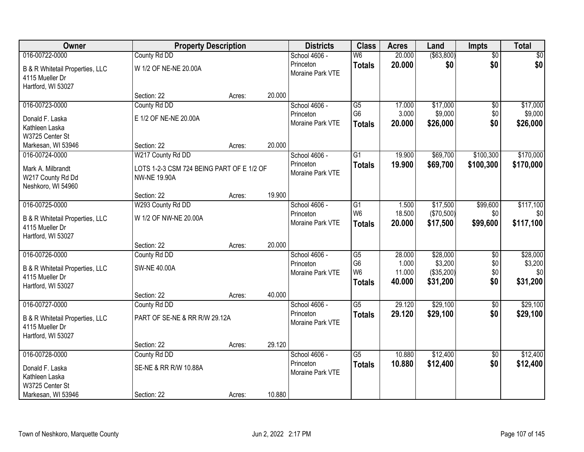| Owner                                      | <b>Property Description</b>               |        |        | <b>Districts</b>              | <b>Class</b>                     | <b>Acres</b>    | Land                  | Impts           | <b>Total</b>   |
|--------------------------------------------|-------------------------------------------|--------|--------|-------------------------------|----------------------------------|-----------------|-----------------------|-----------------|----------------|
| 016-00722-0000                             | County Rd DD                              |        |        | School 4606 -                 | $\overline{\mathsf{W6}}$         | 20.000          | ( \$63, 800)          | $\overline{50}$ | \$0            |
| B & R Whitetail Properties, LLC            | W 1/2 OF NE-NE 20.00A                     |        |        | Princeton                     | <b>Totals</b>                    | 20.000          | \$0                   | \$0             | \$0            |
| 4115 Mueller Dr                            |                                           |        |        | Moraine Park VTE              |                                  |                 |                       |                 |                |
| Hartford, WI 53027                         |                                           |        |        |                               |                                  |                 |                       |                 |                |
|                                            | Section: 22                               | Acres: | 20.000 |                               |                                  |                 |                       |                 |                |
| 016-00723-0000                             | County Rd DD                              |        |        | School 4606 -                 | $\overline{G5}$                  | 17.000          | \$17,000              | \$0             | \$17,000       |
| Donald F. Laska                            | E 1/2 OF NE-NE 20.00A                     |        |        | Princeton                     | G <sub>6</sub>                   | 3.000           | \$9,000               | \$0             | \$9,000        |
| Kathleen Laska                             |                                           |        |        | Moraine Park VTE              | <b>Totals</b>                    | 20.000          | \$26,000              | \$0             | \$26,000       |
| W3725 Center St                            |                                           |        |        |                               |                                  |                 |                       |                 |                |
| Markesan, WI 53946                         | Section: 22                               | Acres: | 20.000 |                               |                                  |                 |                       |                 |                |
| 016-00724-0000                             | W217 County Rd DD                         |        |        | School 4606 -                 | $\overline{G1}$                  | 19.900          | \$69,700              | \$100,300       | \$170,000      |
| Mark A. Milbrandt                          | LOTS 1-2-3 CSM 724 BEING PART OF E 1/2 OF |        |        | Princeton<br>Moraine Park VTE | <b>Totals</b>                    | 19.900          | \$69,700              | \$100,300       | \$170,000      |
| W217 County Rd Dd                          | <b>NW-NE 19.90A</b>                       |        |        |                               |                                  |                 |                       |                 |                |
| Neshkoro, WI 54960                         |                                           |        |        |                               |                                  |                 |                       |                 |                |
|                                            | Section: 22                               | Acres: | 19.900 |                               |                                  |                 |                       |                 |                |
| 016-00725-0000                             | W293 County Rd DD                         |        |        | School 4606 -                 | $\overline{G1}$                  | 1.500           | \$17,500              | \$99,600        | \$117,100      |
| B & R Whitetail Properties, LLC            | W 1/2 OF NW-NE 20.00A                     |        |        | Princeton<br>Moraine Park VTE | W <sub>6</sub>                   | 18.500          | (\$70,500)            | \$0             | \$0            |
| 4115 Mueller Dr                            |                                           |        |        |                               | <b>Totals</b>                    | 20.000          | \$17,500              | \$99,600        | \$117,100      |
| Hartford, WI 53027                         |                                           |        |        |                               |                                  |                 |                       |                 |                |
|                                            | Section: 22                               | Acres: | 20.000 |                               |                                  |                 |                       |                 |                |
| 016-00726-0000                             | County Rd DD                              |        |        | School 4606 -                 | G5                               | 28.000          | \$28,000              | $\overline{50}$ | \$28,000       |
| <b>B &amp; R Whitetail Properties, LLC</b> | <b>SW-NE 40.00A</b>                       |        |        | Princeton<br>Moraine Park VTE | G <sub>6</sub><br>W <sub>6</sub> | 1.000<br>11.000 | \$3,200<br>(\$35,200) | \$0<br>\$0      | \$3,200<br>\$0 |
| 4115 Mueller Dr                            |                                           |        |        |                               | <b>Totals</b>                    | 40.000          | \$31,200              | \$0             | \$31,200       |
| Hartford, WI 53027                         |                                           |        |        |                               |                                  |                 |                       |                 |                |
|                                            | Section: 22                               | Acres: | 40.000 |                               |                                  |                 |                       |                 |                |
| 016-00727-0000                             | County Rd DD                              |        |        | School 4606 -                 | $\overline{\text{G5}}$           | 29.120          | \$29,100              | $\overline{50}$ | \$29,100       |
| B & R Whitetail Properties, LLC            | PART OF SE-NE & RR R/W 29.12A             |        |        | Princeton<br>Moraine Park VTE | <b>Totals</b>                    | 29.120          | \$29,100              | \$0             | \$29,100       |
| 4115 Mueller Dr                            |                                           |        |        |                               |                                  |                 |                       |                 |                |
| Hartford, WI 53027                         |                                           |        |        |                               |                                  |                 |                       |                 |                |
|                                            | Section: 22                               | Acres: | 29.120 |                               |                                  |                 |                       |                 |                |
| 016-00728-0000                             | County Rd DD                              |        |        | School 4606 -                 | $\overline{G5}$                  | 10.880          | \$12,400              | $\overline{50}$ | \$12,400       |
| Donald F. Laska                            | SE-NE & RR R/W 10.88A                     |        |        | Princeton<br>Moraine Park VTE | <b>Totals</b>                    | 10.880          | \$12,400              | \$0             | \$12,400       |
| Kathleen Laska                             |                                           |        |        |                               |                                  |                 |                       |                 |                |
| W3725 Center St                            |                                           |        |        |                               |                                  |                 |                       |                 |                |
| Markesan, WI 53946                         | Section: 22                               | Acres: | 10.880 |                               |                                  |                 |                       |                 |                |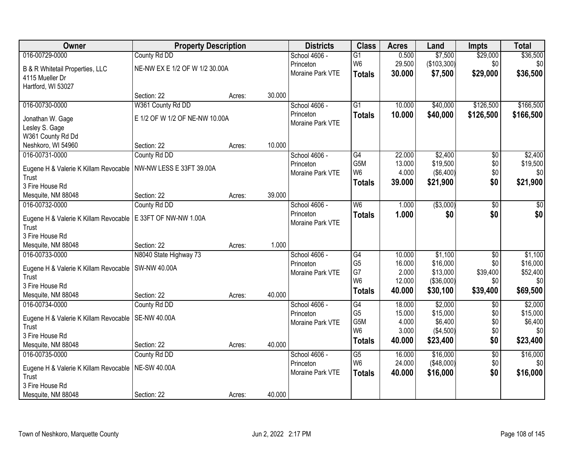| Owner                                          | <b>Property Description</b>    |        |        | <b>Districts</b> | <b>Class</b>                      | <b>Acres</b> | Land             | <b>Impts</b>    | <b>Total</b> |
|------------------------------------------------|--------------------------------|--------|--------|------------------|-----------------------------------|--------------|------------------|-----------------|--------------|
| 016-00729-0000                                 | County Rd DD                   |        |        | School 4606 -    | $\overline{G1}$                   | 0.500        | \$7,500          | \$29,000        | \$36,500     |
| B & R Whitetail Properties, LLC                | NE-NW EX E 1/2 OF W 1/2 30.00A |        |        | Princeton        | W <sub>6</sub>                    | 29.500       | (\$103,300)      | \$0             | \$0          |
| 4115 Mueller Dr                                |                                |        |        | Moraine Park VTE | <b>Totals</b>                     | 30.000       | \$7,500          | \$29,000        | \$36,500     |
| Hartford, WI 53027                             |                                |        |        |                  |                                   |              |                  |                 |              |
|                                                | Section: 22                    | Acres: | 30.000 |                  |                                   |              |                  |                 |              |
| 016-00730-0000                                 | W361 County Rd DD              |        |        | School 4606 -    | $\overline{G1}$                   | 10.000       | \$40,000         | \$126,500       | \$166,500    |
| Jonathan W. Gage                               | E 1/2 OF W 1/2 OF NE-NW 10.00A |        |        | Princeton        | <b>Totals</b>                     | 10.000       | \$40,000         | \$126,500       | \$166,500    |
| Lesley S. Gage                                 |                                |        |        | Moraine Park VTE |                                   |              |                  |                 |              |
| W361 County Rd Dd                              |                                |        |        |                  |                                   |              |                  |                 |              |
| Neshkoro, WI 54960                             | Section: 22                    | Acres: | 10.000 |                  |                                   |              |                  |                 |              |
| 016-00731-0000                                 | County Rd DD                   |        |        | School 4606 -    | G4                                | 22.000       | \$2,400          | \$0             | \$2,400      |
|                                                | NW-NW LESS E 33FT 39.00A       |        |        | Princeton        | G5M                               | 13.000       | \$19,500         | \$0             | \$19,500     |
| Eugene H & Valerie K Killam Revocable<br>Trust |                                |        |        | Moraine Park VTE | W <sub>6</sub>                    | 4.000        | $($ \$6,400) $ $ | \$0             | \$0          |
| 3 Fire House Rd                                |                                |        |        |                  | <b>Totals</b>                     | 39.000       | \$21,900         | \$0             | \$21,900     |
| Mesquite, NM 88048                             | Section: 22                    | Acres: | 39.000 |                  |                                   |              |                  |                 |              |
| 016-00732-0000                                 | County Rd DD                   |        |        | School 4606 -    | W <sub>6</sub>                    | 1.000        | ( \$3,000)       | \$0             | \$0          |
|                                                |                                |        |        | Princeton        | <b>Totals</b>                     | 1.000        | \$0              | \$0             | \$0          |
| Eugene H & Valerie K Killam Revocable<br>Trust | E 33FT OF NW-NW 1.00A          |        |        | Moraine Park VTE |                                   |              |                  |                 |              |
| 3 Fire House Rd                                |                                |        |        |                  |                                   |              |                  |                 |              |
| Mesquite, NM 88048                             | Section: 22                    | Acres: | 1.000  |                  |                                   |              |                  |                 |              |
| 016-00733-0000                                 | N8040 State Highway 73         |        |        | School 4606 -    | G4                                | 10.000       | \$1,100          | $\overline{50}$ | \$1,100      |
|                                                |                                |        |        | Princeton        | G <sub>5</sub>                    | 16.000       | \$16,000         | \$0             | \$16,000     |
| Eugene H & Valerie K Killam Revocable          | SW-NW 40.00A                   |        |        | Moraine Park VTE | G7                                | 2.000        | \$13,000         | \$39,400        | \$52,400     |
| Trust                                          |                                |        |        |                  | W <sub>6</sub>                    | 12.000       | ( \$36,000)      | \$0             | \$0          |
| 3 Fire House Rd<br>Mesquite, NM 88048          | Section: 22                    |        | 40.000 |                  | <b>Totals</b>                     | 40.000       | \$30,100         | \$39,400        | \$69,500     |
| 016-00734-0000                                 | County Rd DD                   | Acres: |        | School 4606 -    | $\overline{G4}$                   | 18.000       | \$2,000          | $\overline{30}$ | \$2,000      |
|                                                |                                |        |        | Princeton        | G <sub>5</sub>                    | 15.000       | \$15,000         | \$0             | \$15,000     |
| Eugene H & Valerie K Killam Revocable          | <b>SE-NW 40.00A</b>            |        |        | Moraine Park VTE | G5M                               | 4.000        | \$6,400          | \$0             | \$6,400      |
| Trust                                          |                                |        |        |                  | W <sub>6</sub>                    | 3.000        | ( \$4,500)       | \$0             | \$0          |
| 3 Fire House Rd                                |                                |        |        |                  | <b>Totals</b>                     | 40.000       | \$23,400         | \$0             | \$23,400     |
| Mesquite, NM 88048                             | Section: 22                    | Acres: | 40.000 |                  |                                   |              |                  |                 |              |
| 016-00735-0000                                 | County Rd DD                   |        |        | School 4606 -    | $\overline{G5}$<br>W <sub>6</sub> | 16.000       | \$16,000         | $\overline{60}$ | \$16,000     |
| Eugene H & Valerie K Killam Revocable          | <b>NE-SW 40.00A</b>            |        |        | Princeton        |                                   | 24.000       | ( \$48,000)      | \$0             | \$0          |
| Trust                                          |                                |        |        | Moraine Park VTE | <b>Totals</b>                     | 40.000       | \$16,000         | \$0             | \$16,000     |
| 3 Fire House Rd                                |                                |        |        |                  |                                   |              |                  |                 |              |
| Mesquite, NM 88048                             | Section: 22                    | Acres: | 40.000 |                  |                                   |              |                  |                 |              |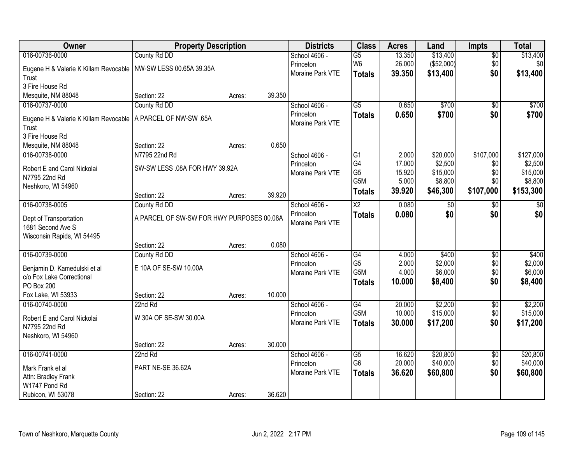| Owner                                                     | <b>Property Description</b>               |        |        | <b>Districts</b> | <b>Class</b>    | <b>Acres</b> | Land          | <b>Impts</b>    | <b>Total</b> |
|-----------------------------------------------------------|-------------------------------------------|--------|--------|------------------|-----------------|--------------|---------------|-----------------|--------------|
| 016-00736-0000                                            | County Rd DD                              |        |        | School 4606 -    | $\overline{G5}$ | 13.350       | \$13,400      | \$0             | \$13,400     |
| Eugene H & Valerie K Killam Revocable                     | NW-SW LESS 00.65A 39.35A                  |        |        | Princeton        | W <sub>6</sub>  | 26.000       | (\$52,000)    | \$0             | \$0          |
| Trust                                                     |                                           |        |        | Moraine Park VTE | <b>Totals</b>   | 39.350       | \$13,400      | \$0             | \$13,400     |
| 3 Fire House Rd                                           |                                           |        |        |                  |                 |              |               |                 |              |
| Mesquite, NM 88048                                        | Section: 22                               | Acres: | 39.350 |                  |                 |              |               |                 |              |
| 016-00737-0000                                            | County Rd DD                              |        |        | School 4606 -    | $\overline{G5}$ | 0.650        | \$700         | $\overline{50}$ | \$700        |
| Eugene H & Valerie K Killam Revocable                     | A PARCEL OF NW-SW .65A                    |        |        | Princeton        | <b>Totals</b>   | 0.650        | \$700         | \$0             | \$700        |
| Trust                                                     |                                           |        |        | Moraine Park VTE |                 |              |               |                 |              |
| 3 Fire House Rd                                           |                                           |        |        |                  |                 |              |               |                 |              |
| Mesquite, NM 88048                                        | Section: 22                               | Acres: | 0.650  |                  |                 |              |               |                 |              |
| 016-00738-0000                                            | N7795 22nd Rd                             |        |        | School 4606 -    | G1              | 2.000        | \$20,000      | \$107,000       | \$127,000    |
| Robert E and Carol Nickolai                               | SW-SW LESS .08A FOR HWY 39.92A            |        |        | Princeton        | G4              | 17.000       | \$2,500       | \$0             | \$2,500      |
| N7795 22nd Rd                                             |                                           |        |        | Moraine Park VTE | G <sub>5</sub>  | 15.920       | \$15,000      | \$0             | \$15,000     |
| Neshkoro, WI 54960                                        |                                           |        |        |                  | G5M             | 5.000        | \$8,800       | \$0             | \$8,800      |
|                                                           | Section: 22                               | Acres: | 39.920 |                  | <b>Totals</b>   | 39.920       | \$46,300      | \$107,000       | \$153,300    |
| 016-00738-0005                                            | County Rd DD                              |        |        | School 4606 -    | X2              | 0.080        | $\sqrt[6]{3}$ | \$0             | \$0          |
| Dept of Transportation                                    | A PARCEL OF SW-SW FOR HWY PURPOSES 00.08A |        |        | Princeton        | <b>Totals</b>   | 0.080        | \$0           | \$0             | \$0          |
| 1681 Second Ave S                                         |                                           |        |        | Moraine Park VTE |                 |              |               |                 |              |
| Wisconsin Rapids, WI 54495                                |                                           |        |        |                  |                 |              |               |                 |              |
|                                                           | Section: 22                               | Acres: | 0.080  |                  |                 |              |               |                 |              |
| 016-00739-0000                                            | County Rd DD                              |        |        | School 4606 -    | $\overline{G4}$ | 4.000        | \$400         | $\overline{30}$ | \$400        |
|                                                           | E 10A OF SE-SW 10.00A                     |        |        | Princeton        | G <sub>5</sub>  | 2.000        | \$2,000       | \$0             | \$2,000      |
| Benjamin D. Kamedulski et al<br>c/o Fox Lake Correctional |                                           |        |        | Moraine Park VTE | G5M             | 4.000        | \$6,000       | \$0             | \$6,000      |
| PO Box 200                                                |                                           |        |        |                  | <b>Totals</b>   | 10.000       | \$8,400       | \$0             | \$8,400      |
| Fox Lake, WI 53933                                        | Section: 22                               | Acres: | 10.000 |                  |                 |              |               |                 |              |
| 016-00740-0000                                            | 22nd Rd                                   |        |        | School 4606 -    | $\overline{G4}$ | 20.000       | \$2,200       | $\sqrt{6}$      | \$2,200      |
|                                                           | W 30A OF SE-SW 30.00A                     |        |        | Princeton        | G5M             | 10.000       | \$15,000      | \$0             | \$15,000     |
| Robert E and Carol Nickolai<br>N7795 22nd Rd              |                                           |        |        | Moraine Park VTE | <b>Totals</b>   | 30.000       | \$17,200      | \$0             | \$17,200     |
| Neshkoro, WI 54960                                        |                                           |        |        |                  |                 |              |               |                 |              |
|                                                           | Section: 22                               | Acres: | 30.000 |                  |                 |              |               |                 |              |
| 016-00741-0000                                            | 22nd Rd                                   |        |        | School 4606 -    | $\overline{G5}$ | 16.620       | \$20,800      | $\overline{50}$ | \$20,800     |
|                                                           | PART NE-SE 36.62A                         |        |        | Princeton        | G <sub>6</sub>  | 20.000       | \$40,000      | \$0             | \$40,000     |
| Mark Frank et al<br>Attn: Bradley Frank                   |                                           |        |        | Moraine Park VTE | <b>Totals</b>   | 36.620       | \$60,800      | \$0             | \$60,800     |
| W1747 Pond Rd                                             |                                           |        |        |                  |                 |              |               |                 |              |
| Rubicon, WI 53078                                         | Section: 22                               | Acres: | 36.620 |                  |                 |              |               |                 |              |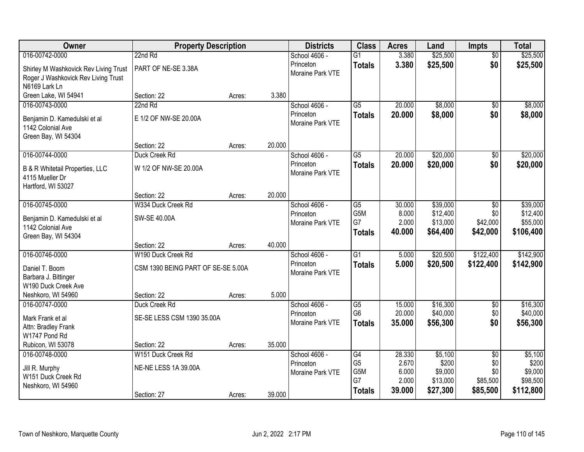| Owner                                 | <b>Property Description</b>        |        |        | <b>Districts</b> | <b>Class</b>    | <b>Acres</b>   | Land                | <b>Impts</b>    | <b>Total</b>        |
|---------------------------------------|------------------------------------|--------|--------|------------------|-----------------|----------------|---------------------|-----------------|---------------------|
| 016-00742-0000                        | 22nd Rd                            |        |        | School 4606 -    | $\overline{G1}$ | 3.380          | \$25,500            | $\overline{50}$ | \$25,500            |
| Shirley M Washkovick Rev Living Trust | PART OF NE-SE 3.38A                |        |        | Princeton        | <b>Totals</b>   | 3.380          | \$25,500            | \$0             | \$25,500            |
| Roger J Washkovick Rev Living Trust   |                                    |        |        | Moraine Park VTE |                 |                |                     |                 |                     |
| N6169 Lark Ln                         |                                    |        |        |                  |                 |                |                     |                 |                     |
| Green Lake, WI 54941                  | Section: 22                        | Acres: | 3.380  |                  |                 |                |                     |                 |                     |
| 016-00743-0000                        | 22nd Rd                            |        |        | School 4606 -    | $\overline{G5}$ | 20.000         | \$8,000             | $\overline{50}$ | \$8,000             |
| Benjamin D. Kamedulski et al          | E 1/2 OF NW-SE 20.00A              |        |        | Princeton        | <b>Totals</b>   | 20.000         | \$8,000             | \$0             | \$8,000             |
| 1142 Colonial Ave                     |                                    |        |        | Moraine Park VTE |                 |                |                     |                 |                     |
| Green Bay, WI 54304                   |                                    |        |        |                  |                 |                |                     |                 |                     |
|                                       | Section: 22                        | Acres: | 20.000 |                  |                 |                |                     |                 |                     |
| 016-00744-0000                        | Duck Creek Rd                      |        |        | School 4606 -    | $\overline{G5}$ | 20.000         | \$20,000            | \$0             | \$20,000            |
| B & R Whitetail Properties, LLC       | W 1/2 OF NW-SE 20.00A              |        |        | Princeton        | <b>Totals</b>   | 20.000         | \$20,000            | \$0             | \$20,000            |
| 4115 Mueller Dr                       |                                    |        |        | Moraine Park VTE |                 |                |                     |                 |                     |
| Hartford, WI 53027                    |                                    |        |        |                  |                 |                |                     |                 |                     |
|                                       | Section: 22                        | Acres: | 20.000 |                  |                 |                |                     |                 |                     |
| 016-00745-0000                        | W334 Duck Creek Rd                 |        |        | School 4606 -    | $\overline{G5}$ | 30.000         | \$39,000            | \$0             | \$39,000            |
| Benjamin D. Kamedulski et al          | SW-SE 40.00A                       |        |        | Princeton        | G5M             | 8.000          | \$12,400            | \$0             | \$12,400            |
| 1142 Colonial Ave                     |                                    |        |        | Moraine Park VTE | G7              | 2.000          | \$13,000            | \$42,000        | \$55,000            |
| Green Bay, WI 54304                   |                                    |        |        |                  | <b>Totals</b>   | 40.000         | \$64,400            | \$42,000        | \$106,400           |
|                                       | Section: 22                        | Acres: | 40.000 |                  |                 |                |                     |                 |                     |
| 016-00746-0000                        | W190 Duck Creek Rd                 |        |        | School 4606 -    | $\overline{G1}$ | 5.000          | \$20,500            | \$122,400       | \$142,900           |
| Daniel T. Boom                        | CSM 1390 BEING PART OF SE-SE 5.00A |        |        | Princeton        | <b>Totals</b>   | 5.000          | \$20,500            | \$122,400       | \$142,900           |
| Barbara J. Bittinger                  |                                    |        |        | Moraine Park VTE |                 |                |                     |                 |                     |
| W190 Duck Creek Ave                   |                                    |        |        |                  |                 |                |                     |                 |                     |
| Neshkoro, WI 54960                    | Section: 22                        | Acres: | 5.000  |                  |                 |                |                     |                 |                     |
| 016-00747-0000                        | Duck Creek Rd                      |        |        | School 4606 -    | $\overline{G5}$ | 15.000         | \$16,300            | $\sqrt{6}$      | \$16,300            |
| Mark Frank et al                      | SE-SE LESS CSM 1390 35.00A         |        |        | Princeton        | G <sub>6</sub>  | 20.000         | \$40,000            | \$0             | \$40,000            |
| Attn: Bradley Frank                   |                                    |        |        | Moraine Park VTE | <b>Totals</b>   | 35.000         | \$56,300            | \$0             | \$56,300            |
| W1747 Pond Rd                         |                                    |        |        |                  |                 |                |                     |                 |                     |
| Rubicon, WI 53078                     | Section: 22                        | Acres: | 35.000 |                  |                 |                |                     |                 |                     |
| 016-00748-0000                        | W151 Duck Creek Rd                 |        |        | School 4606 -    | G4              | 28.330         | \$5,100             | $\overline{50}$ | \$5,100             |
| Jill R. Murphy                        | NE-NE LESS 1A 39.00A               |        |        | Princeton        | G <sub>5</sub>  | 2.670          | \$200               | \$0             | \$200               |
| W151 Duck Creek Rd                    |                                    |        |        | Moraine Park VTE | G5M<br>G7       | 6.000<br>2.000 | \$9,000<br>\$13,000 | \$0<br>\$85,500 | \$9,000<br>\$98,500 |
| Neshkoro, WI 54960                    |                                    |        |        |                  | <b>Totals</b>   | 39.000         | \$27,300            | \$85,500        | \$112,800           |
|                                       | Section: 27                        | Acres: | 39.000 |                  |                 |                |                     |                 |                     |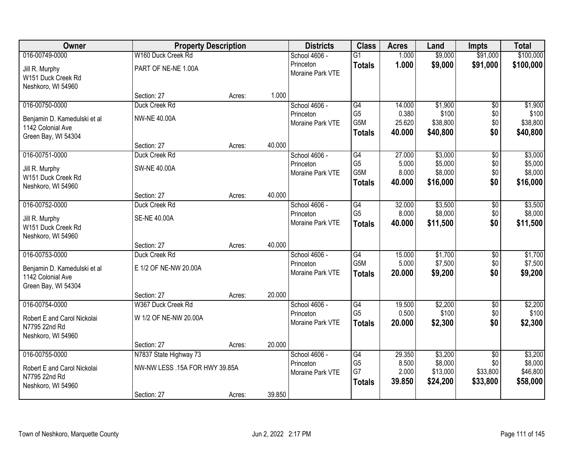| Owner                                                                    | <b>Property Description</b>    |        |        | <b>Districts</b>              | <b>Class</b>                           | <b>Acres</b>              | Land                            | <b>Impts</b>                | <b>Total</b>                    |
|--------------------------------------------------------------------------|--------------------------------|--------|--------|-------------------------------|----------------------------------------|---------------------------|---------------------------------|-----------------------------|---------------------------------|
| 016-00749-0000                                                           | W160 Duck Creek Rd             |        |        | School 4606 -                 | $\overline{G1}$                        | 1.000                     | \$9,000                         | \$91,000                    | \$100,000                       |
| Jill R. Murphy<br>W151 Duck Creek Rd<br>Neshkoro, WI 54960               | PART OF NE-NE 1.00A            |        |        | Princeton<br>Moraine Park VTE | <b>Totals</b>                          | 1.000                     | \$9,000                         | \$91,000                    | \$100,000                       |
|                                                                          | Section: 27                    | Acres: | 1.000  |                               |                                        |                           |                                 |                             |                                 |
| 016-00750-0000                                                           | Duck Creek Rd                  |        |        | School 4606 -                 | G4                                     | 14.000                    | \$1,900                         | \$0                         | \$1,900                         |
| Benjamin D. Kamedulski et al<br>1142 Colonial Ave                        | <b>NW-NE 40.00A</b>            |        |        | Princeton<br>Moraine Park VTE | G <sub>5</sub><br>G5M<br><b>Totals</b> | 0.380<br>25.620<br>40.000 | \$100<br>\$38,800<br>\$40,800   | \$0<br>\$0<br>\$0           | \$100<br>\$38,800<br>\$40,800   |
| Green Bay, WI 54304                                                      | Section: 27                    | Acres: | 40.000 |                               |                                        |                           |                                 |                             |                                 |
| 016-00751-0000                                                           | Duck Creek Rd                  |        |        | School 4606 -                 | G4                                     | 27.000                    | \$3,000                         | \$0                         | \$3,000                         |
| Jill R. Murphy<br>W151 Duck Creek Rd<br>Neshkoro, WI 54960               | <b>SW-NE 40.00A</b>            |        |        | Princeton<br>Moraine Park VTE | G <sub>5</sub><br>G5M<br><b>Totals</b> | 5.000<br>8.000<br>40.000  | \$5,000<br>\$8,000<br>\$16,000  | \$0<br>\$0<br>\$0           | \$5,000<br>\$8,000<br>\$16,000  |
|                                                                          | Section: 27                    | Acres: | 40.000 |                               |                                        |                           |                                 |                             |                                 |
| 016-00752-0000                                                           | Duck Creek Rd                  |        |        | School 4606 -                 | $\overline{G4}$                        | 32.000                    | \$3,500                         | \$0                         | \$3,500                         |
| Jill R. Murphy<br>W151 Duck Creek Rd<br>Neshkoro, WI 54960               | <b>SE-NE 40.00A</b>            |        |        | Princeton<br>Moraine Park VTE | G <sub>5</sub><br><b>Totals</b>        | 8.000<br>40.000           | \$8,000<br>\$11,500             | \$0<br>\$0                  | \$8,000<br>\$11,500             |
|                                                                          | Section: 27                    | Acres: | 40.000 |                               |                                        |                           |                                 |                             |                                 |
| 016-00753-0000                                                           | Duck Creek Rd                  |        |        | School 4606 -                 | $\overline{G4}$                        | 15.000                    | \$1,700                         | \$0                         | \$1,700                         |
| Benjamin D. Kamedulski et al<br>1142 Colonial Ave<br>Green Bay, WI 54304 | E 1/2 OF NE-NW 20.00A          |        |        | Princeton<br>Moraine Park VTE | G <sub>5</sub> M<br><b>Totals</b>      | 5.000<br>20.000           | \$7,500<br>\$9,200              | \$0<br>\$0                  | \$7,500<br>\$9,200              |
|                                                                          | Section: 27                    | Acres: | 20.000 |                               |                                        |                           |                                 |                             |                                 |
| 016-00754-0000                                                           | W367 Duck Creek Rd             |        |        | School 4606 -                 | G4                                     | 19.500                    | \$2,200                         | $\sqrt{6}$                  | \$2,200                         |
| Robert E and Carol Nickolai<br>N7795 22nd Rd<br>Neshkoro, WI 54960       | W 1/2 OF NE-NW 20.00A          |        |        | Princeton<br>Moraine Park VTE | G <sub>5</sub><br><b>Totals</b>        | 0.500<br>20,000           | \$100<br>\$2,300                | \$0<br>\$0                  | \$100<br>\$2,300                |
|                                                                          | Section: 27                    | Acres: | 20.000 |                               |                                        |                           |                                 |                             |                                 |
| 016-00755-0000                                                           | N7837 State Highway 73         |        |        | School 4606 -                 | $\overline{G4}$                        | 29.350                    | \$3,200                         | $\overline{30}$             | \$3,200                         |
| Robert E and Carol Nickolai<br>N7795 22nd Rd<br>Neshkoro, WI 54960       | NW-NW LESS .15A FOR HWY 39.85A |        |        | Princeton<br>Moraine Park VTE | G <sub>5</sub><br>G7<br><b>Totals</b>  | 8.500<br>2.000<br>39.850  | \$8,000<br>\$13,000<br>\$24,200 | \$0<br>\$33,800<br>\$33,800 | \$8,000<br>\$46,800<br>\$58,000 |
|                                                                          | Section: 27                    | Acres: | 39.850 |                               |                                        |                           |                                 |                             |                                 |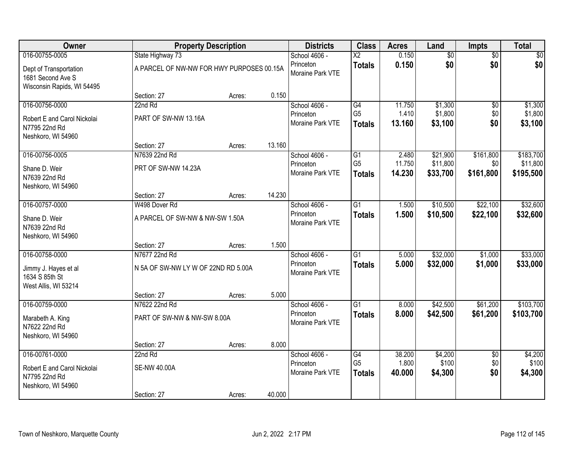| Owner                                                                                |                                                     | <b>Property Description</b> |        | <b>Districts</b>                               | <b>Class</b>                                       | <b>Acres</b>              | Land                             | <b>Impts</b>                  | <b>Total</b>                       |
|--------------------------------------------------------------------------------------|-----------------------------------------------------|-----------------------------|--------|------------------------------------------------|----------------------------------------------------|---------------------------|----------------------------------|-------------------------------|------------------------------------|
| 016-00755-0005                                                                       | State Highway 73                                    |                             |        | School 4606 -                                  | $\overline{X2}$                                    | 0.150                     | \$0                              | $\overline{50}$               | \$0                                |
| Dept of Transportation<br>1681 Second Ave S<br>Wisconsin Rapids, WI 54495            | A PARCEL OF NW-NW FOR HWY PURPOSES 00.15A           |                             |        | Princeton<br>Moraine Park VTE                  | <b>Totals</b>                                      | 0.150                     | \$0                              | \$0                           | \$0                                |
|                                                                                      | Section: 27                                         | Acres:                      | 0.150  |                                                |                                                    |                           |                                  |                               |                                    |
| 016-00756-0000                                                                       | 22nd Rd                                             |                             |        | School 4606 -                                  | G4                                                 | 11.750                    | \$1,300                          | \$0                           | \$1,300                            |
| Robert E and Carol Nickolai<br>N7795 22nd Rd<br>Neshkoro, WI 54960                   | PART OF SW-NW 13.16A                                |                             |        | Princeton<br>Moraine Park VTE                  | G <sub>5</sub><br><b>Totals</b>                    | 1.410<br>13.160           | \$1,800<br>\$3,100               | \$0<br>\$0                    | \$1,800<br>\$3,100                 |
|                                                                                      | Section: 27                                         | Acres:                      | 13.160 |                                                |                                                    |                           |                                  |                               |                                    |
| 016-00756-0005<br>Shane D. Weir<br>N7639 22nd Rd<br>Neshkoro, WI 54960               | N7639 22nd Rd<br>PRT OF SW-NW 14.23A                |                             |        | School 4606 -<br>Princeton<br>Moraine Park VTE | $\overline{G1}$<br>G <sub>5</sub><br><b>Totals</b> | 2.480<br>11.750<br>14.230 | \$21,900<br>\$11,800<br>\$33,700 | \$161,800<br>\$0<br>\$161,800 | \$183,700<br>\$11,800<br>\$195,500 |
|                                                                                      | Section: 27                                         | Acres:                      | 14.230 |                                                |                                                    |                           |                                  |                               |                                    |
| 016-00757-0000                                                                       | W498 Dover Rd                                       |                             |        | School 4606 -                                  | $\overline{G1}$                                    | 1.500                     | \$10,500                         | \$22,100                      | \$32,600                           |
| Shane D. Weir<br>N7639 22nd Rd<br>Neshkoro, WI 54960                                 | A PARCEL OF SW-NW & NW-SW 1.50A                     |                             |        | Princeton<br>Moraine Park VTE                  | <b>Totals</b>                                      | 1.500                     | \$10,500                         | \$22,100                      | \$32,600                           |
|                                                                                      | Section: 27                                         | Acres:                      | 1.500  |                                                |                                                    |                           |                                  |                               |                                    |
| 016-00758-0000<br>Jimmy J. Hayes et al<br>1634 S 85th St<br>West Allis, WI 53214     | N7677 22nd Rd<br>N 5A OF SW-NW LYW OF 22ND RD 5.00A |                             |        | School 4606 -<br>Princeton<br>Moraine Park VTE | $\overline{G1}$<br><b>Totals</b>                   | 5.000<br>5.000            | \$32,000<br>\$32,000             | \$1,000<br>\$1,000            | \$33,000<br>\$33,000               |
|                                                                                      | Section: 27                                         | Acres:                      | 5.000  |                                                |                                                    |                           |                                  |                               |                                    |
| 016-00759-0000                                                                       | N7622 22nd Rd                                       |                             |        | School 4606 -                                  | $\overline{G1}$                                    | 8.000                     | \$42,500                         | \$61,200                      | \$103,700                          |
| Marabeth A. King<br>N7622 22nd Rd<br>Neshkoro, WI 54960                              | PART OF SW-NW & NW-SW 8.00A                         |                             |        | Princeton<br>Moraine Park VTE                  | <b>Totals</b>                                      | 8.000                     | \$42,500                         | \$61,200                      | \$103,700                          |
|                                                                                      | Section: 27                                         | Acres:                      | 8.000  |                                                |                                                    |                           |                                  |                               |                                    |
| 016-00761-0000<br>Robert E and Carol Nickolai<br>N7795 22nd Rd<br>Neshkoro, WI 54960 | 22nd Rd<br><b>SE-NW 40.00A</b>                      |                             |        | School 4606 -<br>Princeton<br>Moraine Park VTE | $\overline{G4}$<br>G <sub>5</sub><br><b>Totals</b> | 38.200<br>1.800<br>40.000 | \$4,200<br>\$100<br>\$4,300      | $\overline{50}$<br>\$0<br>\$0 | \$4,200<br>\$100<br>\$4,300        |
|                                                                                      | Section: 27                                         | Acres:                      | 40.000 |                                                |                                                    |                           |                                  |                               |                                    |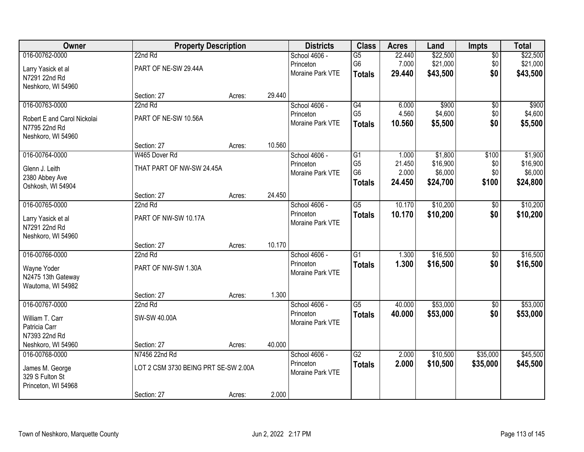| Owner                       |                                      | <b>Property Description</b> |        | <b>Districts</b> | <b>Class</b>    | <b>Acres</b> | Land     | <b>Impts</b>    | <b>Total</b> |
|-----------------------------|--------------------------------------|-----------------------------|--------|------------------|-----------------|--------------|----------|-----------------|--------------|
| 016-00762-0000              | 22nd Rd                              |                             |        | School 4606 -    | $\overline{G5}$ | 22.440       | \$22,500 | $\overline{50}$ | \$22,500     |
| Larry Yasick et al          | PART OF NE-SW 29.44A                 |                             |        | Princeton        | G <sub>6</sub>  | 7.000        | \$21,000 | \$0             | \$21,000     |
| N7291 22nd Rd               |                                      |                             |        | Moraine Park VTE | <b>Totals</b>   | 29.440       | \$43,500 | \$0             | \$43,500     |
| Neshkoro, WI 54960          |                                      |                             |        |                  |                 |              |          |                 |              |
|                             | Section: 27                          | Acres:                      | 29.440 |                  |                 |              |          |                 |              |
| 016-00763-0000              | 22nd Rd                              |                             |        | School 4606 -    | $\overline{G4}$ | 6.000        | \$900    | \$0             | \$900        |
| Robert E and Carol Nickolai | PART OF NE-SW 10.56A                 |                             |        | Princeton        | G <sub>5</sub>  | 4.560        | \$4,600  | \$0             | \$4,600      |
| N7795 22nd Rd               |                                      |                             |        | Moraine Park VTE | <b>Totals</b>   | 10.560       | \$5,500  | \$0             | \$5,500      |
| Neshkoro, WI 54960          |                                      |                             |        |                  |                 |              |          |                 |              |
|                             | Section: 27                          | Acres:                      | 10.560 |                  |                 |              |          |                 |              |
| 016-00764-0000              | W465 Dover Rd                        |                             |        | School 4606 -    | $\overline{G1}$ | 1.000        | \$1,800  | \$100           | \$1,900      |
| Glenn J. Leith              | THAT PART OF NW-SW 24.45A            |                             |        | Princeton        | G <sub>5</sub>  | 21.450       | \$16,900 | \$0             | \$16,900     |
| 2380 Abbey Ave              |                                      |                             |        | Moraine Park VTE | G <sub>6</sub>  | 2.000        | \$6,000  | \$0             | \$6,000      |
| Oshkosh, WI 54904           |                                      |                             |        |                  | <b>Totals</b>   | 24.450       | \$24,700 | \$100           | \$24,800     |
|                             | Section: 27                          | Acres:                      | 24.450 |                  |                 |              |          |                 |              |
| 016-00765-0000              | 22nd Rd                              |                             |        | School 4606 -    | $\overline{G5}$ | 10.170       | \$10,200 | \$0             | \$10,200     |
| Larry Yasick et al          | PART OF NW-SW 10.17A                 |                             |        | Princeton        | <b>Totals</b>   | 10.170       | \$10,200 | \$0             | \$10,200     |
| N7291 22nd Rd               |                                      |                             |        | Moraine Park VTE |                 |              |          |                 |              |
| Neshkoro, WI 54960          |                                      |                             |        |                  |                 |              |          |                 |              |
|                             | Section: 27                          | Acres:                      | 10.170 |                  |                 |              |          |                 |              |
| 016-00766-0000              | 22nd Rd                              |                             |        | School 4606 -    | $\overline{G1}$ | 1.300        | \$16,500 | \$0             | \$16,500     |
| Wayne Yoder                 | PART OF NW-SW 1.30A                  |                             |        | Princeton        | <b>Totals</b>   | 1.300        | \$16,500 | \$0             | \$16,500     |
| N2475 13th Gateway          |                                      |                             |        | Moraine Park VTE |                 |              |          |                 |              |
| Wautoma, WI 54982           |                                      |                             |        |                  |                 |              |          |                 |              |
|                             | Section: 27                          | Acres:                      | 1.300  |                  |                 |              |          |                 |              |
| 016-00767-0000              | 22nd Rd                              |                             |        | School 4606 -    | $\overline{G5}$ | 40.000       | \$53,000 | $\sqrt{6}$      | \$53,000     |
| William T. Carr             | SW-SW 40.00A                         |                             |        | Princeton        | <b>Totals</b>   | 40.000       | \$53,000 | \$0             | \$53,000     |
| Patricia Carr               |                                      |                             |        | Moraine Park VTE |                 |              |          |                 |              |
| N7393 22nd Rd               |                                      |                             |        |                  |                 |              |          |                 |              |
| Neshkoro, WI 54960          | Section: 27                          | Acres:                      | 40.000 |                  |                 |              |          |                 |              |
| 016-00768-0000              | N7456 22nd Rd                        |                             |        | School 4606 -    | $\overline{G2}$ | 2.000        | \$10,500 | \$35,000        | \$45,500     |
| James M. George             | LOT 2 CSM 3730 BEING PRT SE-SW 2.00A |                             |        | Princeton        | <b>Totals</b>   | 2.000        | \$10,500 | \$35,000        | \$45,500     |
| 329 S Fulton St             |                                      |                             |        | Moraine Park VTE |                 |              |          |                 |              |
| Princeton, WI 54968         |                                      |                             |        |                  |                 |              |          |                 |              |
|                             | Section: 27                          | Acres:                      | 2.000  |                  |                 |              |          |                 |              |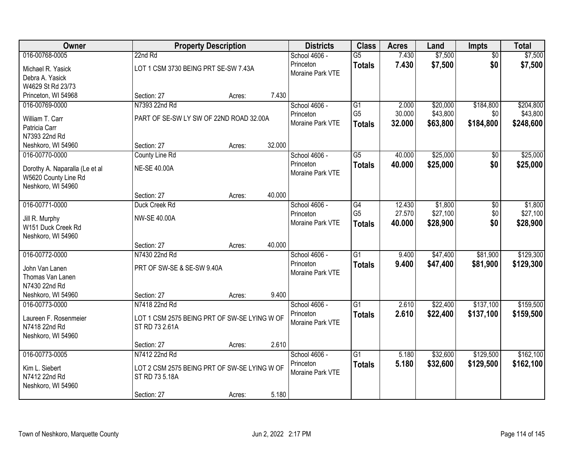| Owner                          |                                              | <b>Property Description</b> |        | <b>Districts</b> | <b>Class</b>    | <b>Acres</b> | Land     | Impts           | <b>Total</b> |
|--------------------------------|----------------------------------------------|-----------------------------|--------|------------------|-----------------|--------------|----------|-----------------|--------------|
| 016-00768-0005                 | 22nd Rd                                      |                             |        | School 4606 -    | $\overline{G5}$ | 7.430        | \$7,500  | $\overline{50}$ | \$7,500      |
| Michael R. Yasick              | LOT 1 CSM 3730 BEING PRT SE-SW 7.43A         |                             |        | Princeton        | <b>Totals</b>   | 7.430        | \$7,500  | \$0             | \$7,500      |
| Debra A. Yasick                |                                              |                             |        | Moraine Park VTE |                 |              |          |                 |              |
| W4629 St Rd 23/73              |                                              |                             |        |                  |                 |              |          |                 |              |
| Princeton, WI 54968            | Section: 27                                  | Acres:                      | 7.430  |                  |                 |              |          |                 |              |
| 016-00769-0000                 | N7393 22nd Rd                                |                             |        | School 4606 -    | $\overline{G1}$ | 2.000        | \$20,000 | \$184,800       | \$204,800    |
| William T. Carr                | PART OF SE-SW LY SW OF 22ND ROAD 32.00A      |                             |        | Princeton        | G <sub>5</sub>  | 30.000       | \$43,800 | \$0             | \$43,800     |
| Patricia Carr                  |                                              |                             |        | Moraine Park VTE | <b>Totals</b>   | 32.000       | \$63,800 | \$184,800       | \$248,600    |
| N7393 22nd Rd                  |                                              |                             |        |                  |                 |              |          |                 |              |
| Neshkoro, WI 54960             | Section: 27                                  | Acres:                      | 32.000 |                  |                 |              |          |                 |              |
| 016-00770-0000                 | County Line Rd                               |                             |        | School 4606 -    | G5              | 40.000       | \$25,000 | \$0             | \$25,000     |
| Dorothy A. Naparalla (Le et al | <b>NE-SE 40.00A</b>                          |                             |        | Princeton        | <b>Totals</b>   | 40.000       | \$25,000 | \$0             | \$25,000     |
| W5620 County Line Rd           |                                              |                             |        | Moraine Park VTE |                 |              |          |                 |              |
| Neshkoro, WI 54960             |                                              |                             |        |                  |                 |              |          |                 |              |
|                                | Section: 27                                  | Acres:                      | 40.000 |                  |                 |              |          |                 |              |
| 016-00771-0000                 | Duck Creek Rd                                |                             |        | School 4606 -    | G4              | 12.430       | \$1,800  | \$0             | \$1,800      |
| Jill R. Murphy                 | <b>NW-SE 40.00A</b>                          |                             |        | Princeton        | G <sub>5</sub>  | 27.570       | \$27,100 | \$0             | \$27,100     |
| W151 Duck Creek Rd             |                                              |                             |        | Moraine Park VTE | <b>Totals</b>   | 40.000       | \$28,900 | \$0             | \$28,900     |
| Neshkoro, WI 54960             |                                              |                             |        |                  |                 |              |          |                 |              |
|                                | Section: 27                                  | Acres:                      | 40.000 |                  |                 |              |          |                 |              |
| 016-00772-0000                 | N7430 22nd Rd                                |                             |        | School 4606 -    | $\overline{G1}$ | 9.400        | \$47,400 | \$81,900        | \$129,300    |
| John Van Lanen                 | PRT OF SW-SE & SE-SW 9.40A                   |                             |        | Princeton        | <b>Totals</b>   | 9.400        | \$47,400 | \$81,900        | \$129,300    |
| Thomas Van Lanen               |                                              |                             |        | Moraine Park VTE |                 |              |          |                 |              |
| N7430 22nd Rd                  |                                              |                             |        |                  |                 |              |          |                 |              |
| Neshkoro, WI 54960             | Section: 27                                  | Acres:                      | 9.400  |                  |                 |              |          |                 |              |
| 016-00773-0000                 | N7418 22nd Rd                                |                             |        | School 4606 -    | $\overline{G1}$ | 2.610        | \$22,400 | \$137,100       | \$159,500    |
| Laureen F. Rosenmeier          | LOT 1 CSM 2575 BEING PRT OF SW-SE LYING W OF |                             |        | Princeton        | <b>Totals</b>   | 2.610        | \$22,400 | \$137,100       | \$159,500    |
| N7418 22nd Rd                  | ST RD 73 2.61A                               |                             |        | Moraine Park VTE |                 |              |          |                 |              |
| Neshkoro, WI 54960             |                                              |                             |        |                  |                 |              |          |                 |              |
|                                | Section: 27                                  | Acres:                      | 2.610  |                  |                 |              |          |                 |              |
| 016-00773-0005                 | N7412 22nd Rd                                |                             |        | School 4606 -    | $\overline{G1}$ | 5.180        | \$32,600 | \$129,500       | \$162,100    |
| Kim L. Siebert                 | LOT 2 CSM 2575 BEING PRT OF SW-SE LYING W OF |                             |        | Princeton        | <b>Totals</b>   | 5.180        | \$32,600 | \$129,500       | \$162,100    |
| N7412 22nd Rd                  | ST RD 73 5.18A                               |                             |        | Moraine Park VTE |                 |              |          |                 |              |
| Neshkoro, WI 54960             |                                              |                             |        |                  |                 |              |          |                 |              |
|                                | Section: 27                                  | Acres:                      | 5.180  |                  |                 |              |          |                 |              |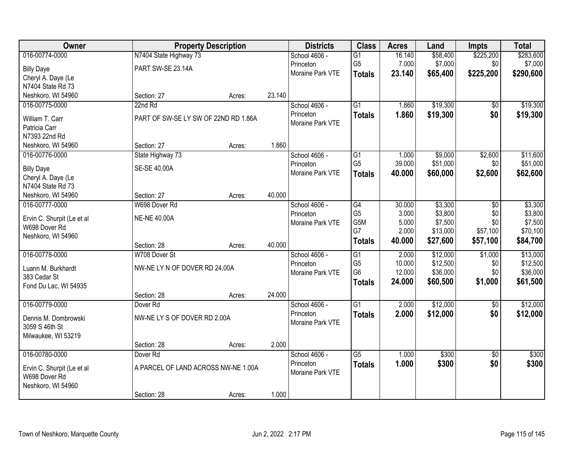| Owner                      |                                      | <b>Property Description</b> |        | <b>Districts</b> | <b>Class</b>          | <b>Acres</b>   | Land               | <b>Impts</b>    | <b>Total</b>       |
|----------------------------|--------------------------------------|-----------------------------|--------|------------------|-----------------------|----------------|--------------------|-----------------|--------------------|
| 016-00774-0000             | N7404 State Highway 73               |                             |        | School 4606 -    | $\overline{G1}$       | 16.140         | \$58,400           | \$225,200       | \$283,600          |
| <b>Billy Daye</b>          | PART SW-SE 23.14A                    |                             |        | Princeton        | G <sub>5</sub>        | 7.000          | \$7,000            | \$0             | \$7,000            |
| Cheryl A. Daye (Le         |                                      |                             |        | Moraine Park VTE | <b>Totals</b>         | 23.140         | \$65,400           | \$225,200       | \$290,600          |
| N7404 State Rd 73          |                                      |                             |        |                  |                       |                |                    |                 |                    |
| Neshkoro, WI 54960         | Section: 27                          | Acres:                      | 23.140 |                  |                       |                |                    |                 |                    |
| 016-00775-0000             | 22nd Rd                              |                             |        | School 4606 -    | $\overline{G1}$       | 1.860          | \$19,300           | $\overline{50}$ | \$19,300           |
| William T. Carr            | PART OF SW-SE LY SW OF 22ND RD 1.86A |                             |        | Princeton        | <b>Totals</b>         | 1.860          | \$19,300           | \$0             | \$19,300           |
| Patricia Carr              |                                      |                             |        | Moraine Park VTE |                       |                |                    |                 |                    |
| N7393 22nd Rd              |                                      |                             |        |                  |                       |                |                    |                 |                    |
| Neshkoro, WI 54960         | Section: 27                          | Acres:                      | 1.860  |                  |                       |                |                    |                 |                    |
| 016-00776-0000             | State Highway 73                     |                             |        | School 4606 -    | $\overline{G1}$       | 1.000          | \$9,000            | \$2,600         | \$11,600           |
|                            |                                      |                             |        | Princeton        | G <sub>5</sub>        | 39.000         | \$51,000           | \$0             | \$51,000           |
| <b>Billy Daye</b>          | SE-SE 40.00A                         |                             |        | Moraine Park VTE | <b>Totals</b>         | 40.000         | \$60,000           | \$2,600         | \$62,600           |
| Cheryl A. Daye (Le         |                                      |                             |        |                  |                       |                |                    |                 |                    |
| N7404 State Rd 73          |                                      |                             |        |                  |                       |                |                    |                 |                    |
| Neshkoro, WI 54960         | Section: 27                          | Acres:                      | 40.000 |                  |                       |                |                    |                 |                    |
| 016-00777-0000             | W698 Dover Rd                        |                             |        | School 4606 -    | $\overline{G4}$       | 30.000         | \$3,300            | $\overline{50}$ | \$3,300            |
| Ervin C. Shurpit (Le et al | <b>NE-NE 40.00A</b>                  |                             |        | Princeton        | G <sub>5</sub><br>G5M | 3.000<br>5.000 | \$3,800<br>\$7,500 | \$0<br>\$0      | \$3,800<br>\$7,500 |
| W698 Dover Rd              |                                      |                             |        | Moraine Park VTE | G7                    | 2.000          | \$13,000           | \$57,100        | \$70,100           |
| Neshkoro, WI 54960         |                                      |                             |        |                  |                       | 40.000         | \$27,600           | \$57,100        | \$84,700           |
|                            | Section: 28                          | Acres:                      | 40.000 |                  | <b>Totals</b>         |                |                    |                 |                    |
| 016-00778-0000             | W708 Dover St                        |                             |        | School 4606 -    | $\overline{G1}$       | 2.000          | \$12,000           | \$1,000         | \$13,000           |
| Luann M. Burkhardt         | NW-NE LY N OF DOVER RD 24.00A        |                             |        | Princeton        | G <sub>5</sub>        | 10.000         | \$12,500           | \$0             | \$12,500           |
| 383 Cedar St               |                                      |                             |        | Moraine Park VTE | G <sub>6</sub>        | 12.000         | \$36,000           | \$0             | \$36,000           |
| Fond Du Lac, WI 54935      |                                      |                             |        |                  | <b>Totals</b>         | 24.000         | \$60,500           | \$1,000         | \$61,500           |
|                            | Section: 28                          | Acres:                      | 24.000 |                  |                       |                |                    |                 |                    |
| 016-00779-0000             | Dover <sub>Rd</sub>                  |                             |        | School 4606 -    | $\overline{G1}$       | 2.000          | \$12,000           | $\overline{50}$ | \$12,000           |
| Dennis M. Dombrowski       | NW-NE LY S OF DOVER RD 2.00A         |                             |        | Princeton        | <b>Totals</b>         | 2.000          | \$12,000           | \$0             | \$12,000           |
| 3059 S 46th St             |                                      |                             |        | Moraine Park VTE |                       |                |                    |                 |                    |
| Milwaukee, WI 53219        |                                      |                             |        |                  |                       |                |                    |                 |                    |
|                            | Section: 28                          | Acres:                      | 2.000  |                  |                       |                |                    |                 |                    |
| 016-00780-0000             | Dover <sub>Rd</sub>                  |                             |        | School 4606 -    | $\overline{G5}$       | 1.000          | \$300              | $\overline{50}$ | \$300              |
|                            |                                      |                             |        | Princeton        | <b>Totals</b>         | 1.000          | \$300              | \$0             | \$300              |
| Ervin C. Shurpit (Le et al | A PARCEL OF LAND ACROSS NW-NE 1.00A  |                             |        | Moraine Park VTE |                       |                |                    |                 |                    |
| W698 Dover Rd              |                                      |                             |        |                  |                       |                |                    |                 |                    |
| Neshkoro, WI 54960         | Section: 28                          |                             | 1.000  |                  |                       |                |                    |                 |                    |
|                            |                                      | Acres:                      |        |                  |                       |                |                    |                 |                    |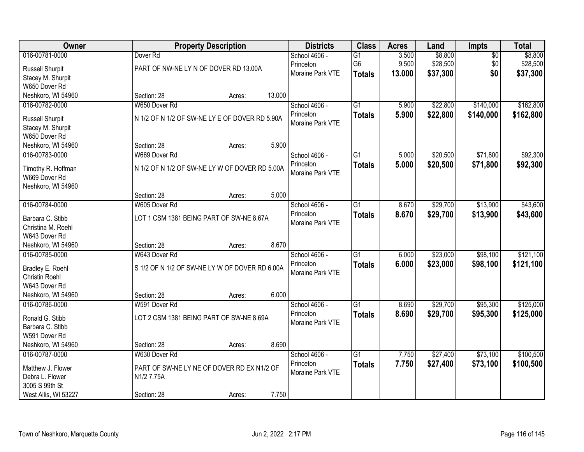| Owner                 |                                                | <b>Property Description</b> |        | <b>Districts</b> | <b>Class</b>    | <b>Acres</b> | Land     | Impts           | <b>Total</b> |
|-----------------------|------------------------------------------------|-----------------------------|--------|------------------|-----------------|--------------|----------|-----------------|--------------|
| 016-00781-0000        | Dover <sub>Rd</sub>                            |                             |        | School 4606 -    | $\overline{G1}$ | 3.500        | \$8,800  | $\overline{50}$ | \$8,800      |
| Russell Shurpit       | PART OF NW-NE LY N OF DOVER RD 13.00A          |                             |        | Princeton        | G6              | 9.500        | \$28,500 | \$0             | \$28,500     |
| Stacey M. Shurpit     |                                                |                             |        | Moraine Park VTE | <b>Totals</b>   | 13.000       | \$37,300 | \$0             | \$37,300     |
| W650 Dover Rd         |                                                |                             |        |                  |                 |              |          |                 |              |
| Neshkoro, WI 54960    | Section: 28                                    | Acres:                      | 13.000 |                  |                 |              |          |                 |              |
| 016-00782-0000        | W650 Dover Rd                                  |                             |        | School 4606 -    | $\overline{G1}$ | 5.900        | \$22,800 | \$140,000       | \$162,800    |
| Russell Shurpit       | N 1/2 OF N 1/2 OF SW-NE LY E OF DOVER RD 5.90A |                             |        | Princeton        | <b>Totals</b>   | 5.900        | \$22,800 | \$140,000       | \$162,800    |
| Stacey M. Shurpit     |                                                |                             |        | Moraine Park VTE |                 |              |          |                 |              |
| W650 Dover Rd         |                                                |                             |        |                  |                 |              |          |                 |              |
| Neshkoro, WI 54960    | Section: 28                                    | Acres:                      | 5.900  |                  |                 |              |          |                 |              |
| 016-00783-0000        | W669 Dover Rd                                  |                             |        | School 4606 -    | $\overline{G1}$ | 5.000        | \$20,500 | \$71,800        | \$92,300     |
| Timothy R. Hoffman    | N 1/2 OF N 1/2 OF SW-NE LY W OF DOVER RD 5.00A |                             |        | Princeton        | <b>Totals</b>   | 5.000        | \$20,500 | \$71,800        | \$92,300     |
| W669 Dover Rd         |                                                |                             |        | Moraine Park VTE |                 |              |          |                 |              |
| Neshkoro, WI 54960    |                                                |                             |        |                  |                 |              |          |                 |              |
|                       | Section: 28                                    | Acres:                      | 5.000  |                  |                 |              |          |                 |              |
| 016-00784-0000        | W605 Dover Rd                                  |                             |        | School 4606 -    | G1              | 8.670        | \$29,700 | \$13,900        | \$43,600     |
| Barbara C. Stibb      | LOT 1 CSM 1381 BEING PART OF SW-NE 8.67A       |                             |        | Princeton        | <b>Totals</b>   | 8.670        | \$29,700 | \$13,900        | \$43,600     |
| Christina M. Roehl    |                                                |                             |        | Moraine Park VTE |                 |              |          |                 |              |
| W643 Dover Rd         |                                                |                             |        |                  |                 |              |          |                 |              |
| Neshkoro, WI 54960    | Section: 28                                    | Acres:                      | 8.670  |                  |                 |              |          |                 |              |
| 016-00785-0000        | W643 Dover Rd                                  |                             |        | School 4606 -    | $\overline{G1}$ | 6.000        | \$23,000 | \$98,100        | \$121,100    |
| Bradley E. Roehl      | S 1/2 OF N 1/2 OF SW-NE LY W OF DOVER RD 6.00A |                             |        | Princeton        | <b>Totals</b>   | 6.000        | \$23,000 | \$98,100        | \$121,100    |
| <b>Christin Roehl</b> |                                                |                             |        | Moraine Park VTE |                 |              |          |                 |              |
| W643 Dover Rd         |                                                |                             |        |                  |                 |              |          |                 |              |
| Neshkoro, WI 54960    | Section: 28                                    | Acres:                      | 6.000  |                  |                 |              |          |                 |              |
| 016-00786-0000        | W591 Dover Rd                                  |                             |        | School 4606 -    | $\overline{G1}$ | 8.690        | \$29,700 | \$95,300        | \$125,000    |
| Ronald G. Stibb       | LOT 2 CSM 1381 BEING PART OF SW-NE 8.69A       |                             |        | Princeton        | <b>Totals</b>   | 8.690        | \$29,700 | \$95,300        | \$125,000    |
| Barbara C. Stibb      |                                                |                             |        | Moraine Park VTE |                 |              |          |                 |              |
| W591 Dover Rd         |                                                |                             |        |                  |                 |              |          |                 |              |
| Neshkoro, WI 54960    | Section: 28                                    | Acres:                      | 8.690  |                  |                 |              |          |                 |              |
| 016-00787-0000        | W630 Dover Rd                                  |                             |        | School 4606 -    | $\overline{G1}$ | 7.750        | \$27,400 | \$73,100        | \$100,500    |
| Matthew J. Flower     | PART OF SW-NE LY NE OF DOVER RD EX N1/2 OF     |                             |        | Princeton        | <b>Totals</b>   | 7.750        | \$27,400 | \$73,100        | \$100,500    |
| Debra L. Flower       | N1/2 7.75A                                     |                             |        | Moraine Park VTE |                 |              |          |                 |              |
| 3005 S 99th St        |                                                |                             |        |                  |                 |              |          |                 |              |
| West Allis, WI 53227  | Section: 28                                    | Acres:                      | 7.750  |                  |                 |              |          |                 |              |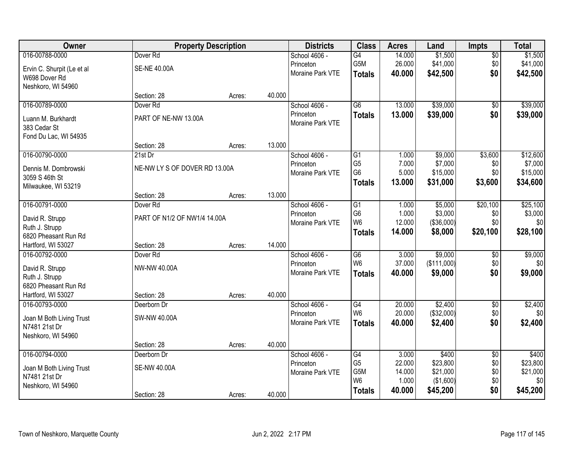| Owner                      |                               | <b>Property Description</b> |        | <b>Districts</b> | <b>Class</b>    | <b>Acres</b> | Land        | <b>Impts</b>    | <b>Total</b> |
|----------------------------|-------------------------------|-----------------------------|--------|------------------|-----------------|--------------|-------------|-----------------|--------------|
| 016-00788-0000             | Dover <sub>Rd</sub>           |                             |        | School 4606 -    | G4              | 14.000       | \$1,500     | $\overline{50}$ | \$1,500      |
| Ervin C. Shurpit (Le et al | <b>SE-NE 40.00A</b>           |                             |        | Princeton        | G5M             | 26.000       | \$41,000    | \$0             | \$41,000     |
| W698 Dover Rd              |                               |                             |        | Moraine Park VTE | <b>Totals</b>   | 40.000       | \$42,500    | \$0             | \$42,500     |
| Neshkoro, WI 54960         |                               |                             |        |                  |                 |              |             |                 |              |
|                            | Section: 28                   | Acres:                      | 40.000 |                  |                 |              |             |                 |              |
| 016-00789-0000             | Dover <sub>Rd</sub>           |                             |        | School 4606 -    | $\overline{G6}$ | 13.000       | \$39,000    | \$0             | \$39,000     |
| Luann M. Burkhardt         | PART OF NE-NW 13.00A          |                             |        | Princeton        | <b>Totals</b>   | 13.000       | \$39,000    | \$0             | \$39,000     |
| 383 Cedar St               |                               |                             |        | Moraine Park VTE |                 |              |             |                 |              |
| Fond Du Lac, WI 54935      |                               |                             |        |                  |                 |              |             |                 |              |
|                            | Section: 28                   | Acres:                      | 13.000 |                  |                 |              |             |                 |              |
| 016-00790-0000             | 21st Dr                       |                             |        | School 4606 -    | $\overline{G1}$ | 1.000        | \$9,000     | \$3,600         | \$12,600     |
| Dennis M. Dombrowski       | NE-NW LY S OF DOVER RD 13.00A |                             |        | Princeton        | G <sub>5</sub>  | 7.000        | \$7,000     | \$0             | \$7,000      |
| 3059 S 46th St             |                               |                             |        | Moraine Park VTE | G <sub>6</sub>  | 5.000        | \$15,000    | \$0             | \$15,000     |
| Milwaukee, WI 53219        |                               |                             |        |                  | <b>Totals</b>   | 13.000       | \$31,000    | \$3,600         | \$34,600     |
|                            | Section: 28                   | Acres:                      | 13.000 |                  |                 |              |             |                 |              |
| 016-00791-0000             | Dover <sub>Rd</sub>           |                             |        | School 4606 -    | G1              | 1.000        | \$5,000     | \$20,100        | \$25,100     |
| David R. Strupp            | PART OF N1/2 OF NW1/4 14.00A  |                             |        | Princeton        | G <sub>6</sub>  | 1.000        | \$3,000     | \$0             | \$3,000      |
| Ruth J. Strupp             |                               |                             |        | Moraine Park VTE | W <sub>6</sub>  | 12.000       | (\$36,000)  | \$0             | \$0          |
| 6820 Pheasant Run Rd       |                               |                             |        |                  | <b>Totals</b>   | 14.000       | \$8,000     | \$20,100        | \$28,100     |
| Hartford, WI 53027         | Section: 28                   | Acres:                      | 14.000 |                  |                 |              |             |                 |              |
| 016-00792-0000             | Dover <sub>Rd</sub>           |                             |        | School 4606 -    | $\overline{G6}$ | 3.000        | \$9,000     | \$0             | \$9,000      |
| David R. Strupp            | NW-NW 40.00A                  |                             |        | Princeton        | W <sub>6</sub>  | 37.000       | (\$111,000) | \$0             | \$0          |
| Ruth J. Strupp             |                               |                             |        | Moraine Park VTE | <b>Totals</b>   | 40.000       | \$9,000     | \$0             | \$9,000      |
| 6820 Pheasant Run Rd       |                               |                             |        |                  |                 |              |             |                 |              |
| Hartford, WI 53027         | Section: 28                   | Acres:                      | 40.000 |                  |                 |              |             |                 |              |
| 016-00793-0000             | Deerborn Dr                   |                             |        | School 4606 -    | G4              | 20.000       | \$2,400     | $\sqrt{$0}$     | \$2,400      |
| Joan M Both Living Trust   | SW-NW 40.00A                  |                             |        | Princeton        | W <sub>6</sub>  | 20.000       | (\$32,000)  | \$0             | \$0          |
| N7481 21st Dr              |                               |                             |        | Moraine Park VTE | <b>Totals</b>   | 40.000       | \$2,400     | \$0             | \$2,400      |
| Neshkoro, WI 54960         |                               |                             |        |                  |                 |              |             |                 |              |
|                            | Section: 28                   | Acres:                      | 40.000 |                  |                 |              |             |                 |              |
| 016-00794-0000             | Deerborn Dr                   |                             |        | School 4606 -    | $\overline{G4}$ | 3.000        | \$400       | $\overline{50}$ | \$400        |
| Joan M Both Living Trust   | SE-NW 40.00A                  |                             |        | Princeton        | G <sub>5</sub>  | 22.000       | \$23,800    | \$0             | \$23,800     |
| N7481 21st Dr              |                               |                             |        | Moraine Park VTE | G5M             | 14.000       | \$21,000    | \$0             | \$21,000     |
| Neshkoro, WI 54960         |                               |                             |        |                  | W <sub>6</sub>  | 1.000        | (\$1,600)   | \$0             | \$0          |
|                            | Section: 28                   | Acres:                      | 40.000 |                  | <b>Totals</b>   | 40.000       | \$45,200    | \$0             | \$45,200     |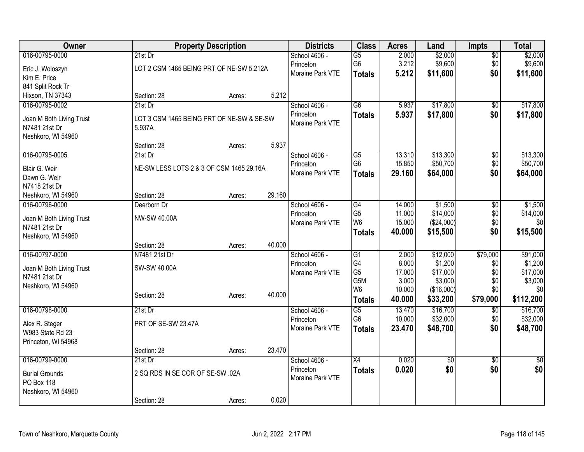| Owner                               | <b>Property Description</b>               |        |        | <b>Districts</b> | <b>Class</b>    | <b>Acres</b> | Land       | <b>Impts</b>    | <b>Total</b> |
|-------------------------------------|-------------------------------------------|--------|--------|------------------|-----------------|--------------|------------|-----------------|--------------|
| 016-00795-0000                      | $21st$ Dr                                 |        |        | School 4606 -    | $\overline{G5}$ | 2.000        | \$2,000    | $\overline{50}$ | \$2,000      |
| Eric J. Woloszyn                    | LOT 2 CSM 1465 BEING PRT OF NE-SW 5.212A  |        |        | Princeton        | G <sub>6</sub>  | 3.212        | \$9,600    | \$0             | \$9,600      |
| Kim E. Price                        |                                           |        |        | Moraine Park VTE | <b>Totals</b>   | 5.212        | \$11,600   | \$0             | \$11,600     |
| 841 Split Rock Tr                   |                                           |        |        |                  |                 |              |            |                 |              |
| Hixson, TN 37343                    | Section: 28                               | Acres: | 5.212  |                  |                 |              |            |                 |              |
| 016-00795-0002                      | $21st$ Dr                                 |        |        | School 4606 -    | $\overline{G6}$ | 5.937        | \$17,800   | \$0             | \$17,800     |
| Joan M Both Living Trust            | LOT 3 CSM 1465 BEING PRT OF NE-SW & SE-SW |        |        | Princeton        | <b>Totals</b>   | 5.937        | \$17,800   | \$0             | \$17,800     |
| N7481 21st Dr                       | 5.937A                                    |        |        | Moraine Park VTE |                 |              |            |                 |              |
| Neshkoro, WI 54960                  |                                           |        |        |                  |                 |              |            |                 |              |
|                                     | Section: 28                               | Acres: | 5.937  |                  |                 |              |            |                 |              |
| 016-00795-0005                      | 21st Dr                                   |        |        | School 4606 -    | $\overline{G5}$ | 13.310       | \$13,300   | $\overline{50}$ | \$13,300     |
| Blair G. Weir                       | NE-SW LESS LOTS 2 & 3 OF CSM 1465 29.16A  |        |        | Princeton        | G <sub>6</sub>  | 15.850       | \$50,700   | \$0             | \$50,700     |
| Dawn G. Weir                        |                                           |        |        | Moraine Park VTE | <b>Totals</b>   | 29.160       | \$64,000   | \$0             | \$64,000     |
| N7418 21st Dr                       |                                           |        |        |                  |                 |              |            |                 |              |
| Neshkoro, WI 54960                  | Section: 28                               | Acres: | 29.160 |                  |                 |              |            |                 |              |
| 016-00796-0000                      | Deerborn Dr                               |        |        | School 4606 -    | G4              | 14.000       | \$1,500    | $\overline{50}$ | \$1,500      |
|                                     |                                           |        |        | Princeton        | G <sub>5</sub>  | 11.000       | \$14,000   | \$0             | \$14,000     |
| Joan M Both Living Trust            | NW-SW 40.00A                              |        |        | Moraine Park VTE | W <sub>6</sub>  | 15.000       | (\$24,000) | \$0             | \$0          |
| N7481 21st Dr<br>Neshkoro, WI 54960 |                                           |        |        |                  | <b>Totals</b>   | 40.000       | \$15,500   | \$0             | \$15,500     |
|                                     | Section: 28                               | Acres: | 40.000 |                  |                 |              |            |                 |              |
| 016-00797-0000                      | N7481 21st Dr                             |        |        | School 4606 -    | $\overline{G1}$ | 2.000        | \$12,000   | \$79,000        | \$91,000     |
|                                     |                                           |        |        | Princeton        | G4              | 8.000        | \$1,200    | \$0             | \$1,200      |
| Joan M Both Living Trust            | SW-SW 40.00A                              |        |        | Moraine Park VTE | G <sub>5</sub>  | 17.000       | \$17,000   | \$0             | \$17,000     |
| N7481 21st Dr                       |                                           |        |        |                  | G5M             | 3.000        | \$3,000    | \$0             | \$3,000      |
| Neshkoro, WI 54960                  | Section: 28                               |        | 40.000 |                  | W <sub>6</sub>  | 10.000       | (\$16,000) | \$0             | \$0          |
|                                     |                                           | Acres: |        |                  | <b>Totals</b>   | 40.000       | \$33,200   | \$79,000        | \$112,200    |
| 016-00798-0000                      | 21st Dr                                   |        |        | School 4606 -    | $\overline{G5}$ | 13.470       | \$16,700   | \$0             | \$16,700     |
| Alex R. Steger                      | PRT OF SE-SW 23.47A                       |        |        | Princeton        | G <sub>6</sub>  | 10.000       | \$32,000   | \$0             | \$32,000     |
| W983 State Rd 23                    |                                           |        |        | Moraine Park VTE | <b>Totals</b>   | 23.470       | \$48,700   | \$0             | \$48,700     |
| Princeton, WI 54968                 |                                           |        |        |                  |                 |              |            |                 |              |
|                                     | Section: 28                               | Acres: | 23.470 |                  |                 |              |            |                 |              |
| 016-00799-0000                      | 21st Dr                                   |        |        | School 4606 -    | $\overline{X4}$ | 0.020        | \$0        | $\overline{50}$ | $\sqrt{50}$  |
| <b>Burial Grounds</b>               | 2 SQ RDS IN SE COR OF SE-SW .02A          |        |        | Princeton        | <b>Totals</b>   | 0.020        | \$0        | \$0             | \$0          |
| PO Box 118                          |                                           |        |        | Moraine Park VTE |                 |              |            |                 |              |
| Neshkoro, WI 54960                  |                                           |        |        |                  |                 |              |            |                 |              |
|                                     | Section: 28                               | Acres: | 0.020  |                  |                 |              |            |                 |              |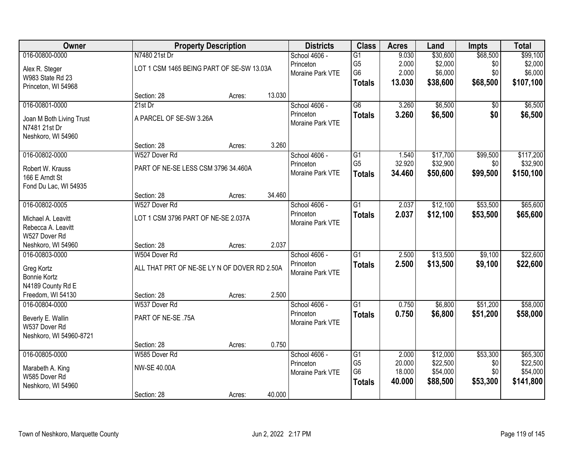| Owner                    |                                              | <b>Property Description</b> |        | <b>Districts</b> | <b>Class</b>    | <b>Acres</b> | Land     | <b>Impts</b> | <b>Total</b> |
|--------------------------|----------------------------------------------|-----------------------------|--------|------------------|-----------------|--------------|----------|--------------|--------------|
| 016-00800-0000           | N7480 21st Dr                                |                             |        | School 4606 -    | $\overline{G1}$ | 9.030        | \$30,600 | \$68,500     | \$99,100     |
| Alex R. Steger           | LOT 1 CSM 1465 BEING PART OF SE-SW 13.03A    |                             |        | Princeton        | G <sub>5</sub>  | 2.000        | \$2,000  | \$0          | \$2,000      |
| W983 State Rd 23         |                                              |                             |        | Moraine Park VTE | G <sub>6</sub>  | 2.000        | \$6,000  | \$0          | \$6,000      |
| Princeton, WI 54968      |                                              |                             |        |                  | <b>Totals</b>   | 13.030       | \$38,600 | \$68,500     | \$107,100    |
|                          | Section: 28                                  | Acres:                      | 13.030 |                  |                 |              |          |              |              |
| 016-00801-0000           | $21st$ Dr                                    |                             |        | School 4606 -    | $\overline{G6}$ | 3.260        | \$6,500  | \$0          | \$6,500      |
| Joan M Both Living Trust | A PARCEL OF SE-SW 3.26A                      |                             |        | Princeton        | <b>Totals</b>   | 3.260        | \$6,500  | \$0          | \$6,500      |
| N7481 21st Dr            |                                              |                             |        | Moraine Park VTE |                 |              |          |              |              |
| Neshkoro, WI 54960       |                                              |                             |        |                  |                 |              |          |              |              |
|                          | Section: 28                                  | Acres:                      | 3.260  |                  |                 |              |          |              |              |
| 016-00802-0000           | W527 Dover Rd                                |                             |        | School 4606 -    | G1              | 1.540        | \$17,700 | \$99,500     | \$117,200    |
| Robert W. Krauss         | PART OF NE-SE LESS CSM 3796 34.460A          |                             |        | Princeton        | G <sub>5</sub>  | 32.920       | \$32,900 | \$0          | \$32,900     |
| 166 E Arndt St           |                                              |                             |        | Moraine Park VTE | <b>Totals</b>   | 34.460       | \$50,600 | \$99,500     | \$150,100    |
| Fond Du Lac, WI 54935    |                                              |                             |        |                  |                 |              |          |              |              |
|                          | Section: 28                                  | Acres:                      | 34.460 |                  |                 |              |          |              |              |
| 016-00802-0005           | W527 Dover Rd                                |                             |        | School 4606 -    | $\overline{G1}$ | 2.037        | \$12,100 | \$53,500     | \$65,600     |
| Michael A. Leavitt       | LOT 1 CSM 3796 PART OF NE-SE 2.037A          |                             |        | Princeton        | <b>Totals</b>   | 2.037        | \$12,100 | \$53,500     | \$65,600     |
| Rebecca A. Leavitt       |                                              |                             |        | Moraine Park VTE |                 |              |          |              |              |
| W527 Dover Rd            |                                              |                             |        |                  |                 |              |          |              |              |
| Neshkoro, WI 54960       | Section: 28                                  | Acres:                      | 2.037  |                  |                 |              |          |              |              |
| 016-00803-0000           | W504 Dover Rd                                |                             |        | School 4606 -    | $\overline{G1}$ | 2.500        | \$13,500 | \$9,100      | \$22,600     |
| Greg Kortz               | ALL THAT PRT OF NE-SE LY N OF DOVER RD 2.50A |                             |        | Princeton        | <b>Totals</b>   | 2.500        | \$13,500 | \$9,100      | \$22,600     |
| <b>Bonnie Kortz</b>      |                                              |                             |        | Moraine Park VTE |                 |              |          |              |              |
| N4189 County Rd E        |                                              |                             |        |                  |                 |              |          |              |              |
| Freedom, WI 54130        | Section: 28                                  | Acres:                      | 2.500  |                  |                 |              |          |              |              |
| 016-00804-0000           | W537 Dover Rd                                |                             |        | School 4606 -    | $\overline{G1}$ | 0.750        | \$6,800  | \$51,200     | \$58,000     |
| Beverly E. Wallin        | PART OF NE-SE .75A                           |                             |        | Princeton        | <b>Totals</b>   | 0.750        | \$6,800  | \$51,200     | \$58,000     |
| W537 Dover Rd            |                                              |                             |        | Moraine Park VTE |                 |              |          |              |              |
| Neshkoro, WI 54960-8721  |                                              |                             |        |                  |                 |              |          |              |              |
|                          | Section: 28                                  | Acres:                      | 0.750  |                  |                 |              |          |              |              |
| 016-00805-0000           | W585 Dover Rd                                |                             |        | School 4606 -    | $\overline{G1}$ | 2.000        | \$12,000 | \$53,300     | \$65,300     |
| Marabeth A. King         | <b>NW-SE 40.00A</b>                          |                             |        | Princeton        | G <sub>5</sub>  | 20.000       | \$22,500 | \$0          | \$22,500     |
| W585 Dover Rd            |                                              |                             |        | Moraine Park VTE | G <sub>6</sub>  | 18.000       | \$54,000 | \$0          | \$54,000     |
| Neshkoro, WI 54960       |                                              |                             |        |                  | <b>Totals</b>   | 40.000       | \$88,500 | \$53,300     | \$141,800    |
|                          | Section: 28                                  | Acres:                      | 40.000 |                  |                 |              |          |              |              |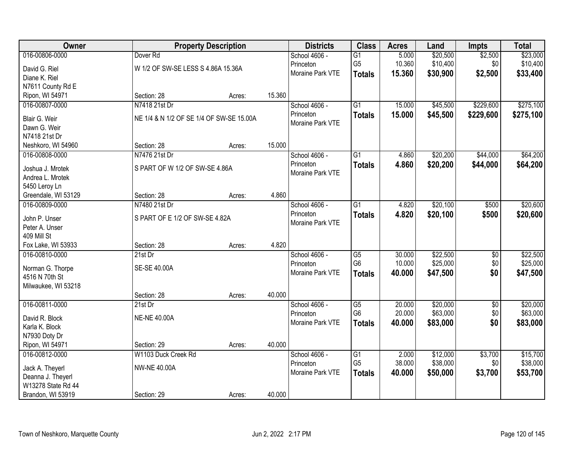| Owner                            |                                          | <b>Property Description</b> |        | <b>Districts</b> | <b>Class</b>    | <b>Acres</b> | Land     | <b>Impts</b>    | <b>Total</b> |
|----------------------------------|------------------------------------------|-----------------------------|--------|------------------|-----------------|--------------|----------|-----------------|--------------|
| 016-00806-0000                   | Dover <sub>Rd</sub>                      |                             |        | School 4606 -    | $\overline{G1}$ | 5.000        | \$20,500 | \$2,500         | \$23,000     |
| David G. Riel                    | W 1/2 OF SW-SE LESS S 4.86A 15.36A       |                             |        | Princeton        | G <sub>5</sub>  | 10.360       | \$10,400 | \$0             | \$10,400     |
| Diane K. Riel                    |                                          |                             |        | Moraine Park VTE | <b>Totals</b>   | 15.360       | \$30,900 | \$2,500         | \$33,400     |
| N7611 County Rd E                |                                          |                             |        |                  |                 |              |          |                 |              |
| Ripon, WI 54971                  | Section: 28                              | Acres:                      | 15.360 |                  |                 |              |          |                 |              |
| 016-00807-0000                   | N7418 21st Dr                            |                             |        | School 4606 -    | $\overline{G1}$ | 15.000       | \$45,500 | \$229,600       | \$275,100    |
| Blair G. Weir                    | NE 1/4 & N 1/2 OF SE 1/4 OF SW-SE 15.00A |                             |        | Princeton        | <b>Totals</b>   | 15.000       | \$45,500 | \$229,600       | \$275,100    |
| Dawn G. Weir                     |                                          |                             |        | Moraine Park VTE |                 |              |          |                 |              |
| N7418 21st Dr                    |                                          |                             |        |                  |                 |              |          |                 |              |
| Neshkoro, WI 54960               | Section: 28                              | Acres:                      | 15.000 |                  |                 |              |          |                 |              |
| 016-00808-0000                   | N7476 21st Dr                            |                             |        | School 4606 -    | $\overline{G1}$ | 4.860        | \$20,200 | \$44,000        | \$64,200     |
|                                  |                                          |                             |        | Princeton        | <b>Totals</b>   | 4.860        | \$20,200 | \$44,000        | \$64,200     |
| Joshua J. Mrotek                 | S PART OF W 1/2 OF SW-SE 4.86A           |                             |        | Moraine Park VTE |                 |              |          |                 |              |
| Andrea L. Mrotek                 |                                          |                             |        |                  |                 |              |          |                 |              |
| 5450 Leroy Ln                    |                                          |                             |        |                  |                 |              |          |                 |              |
| Greendale, WI 53129              | Section: 28                              | Acres:                      | 4.860  |                  |                 |              |          |                 |              |
| 016-00809-0000                   | N7480 21st Dr                            |                             |        | School 4606 -    | $\overline{G1}$ | 4.820        | \$20,100 | \$500           | \$20,600     |
| John P. Unser                    | S PART OF E 1/2 OF SW-SE 4.82A           |                             |        | Princeton        | <b>Totals</b>   | 4.820        | \$20,100 | \$500           | \$20,600     |
| Peter A. Unser                   |                                          |                             |        | Moraine Park VTE |                 |              |          |                 |              |
| 409 Mill St                      |                                          |                             |        |                  |                 |              |          |                 |              |
| Fox Lake, WI 53933               | Section: 28                              | Acres:                      | 4.820  |                  |                 |              |          |                 |              |
| 016-00810-0000                   | 21st Dr                                  |                             |        | School 4606 -    | G5              | 30.000       | \$22,500 | \$0             | \$22,500     |
| Norman G. Thorpe                 | SE-SE 40.00A                             |                             |        | Princeton        | G <sub>6</sub>  | 10.000       | \$25,000 | \$0             | \$25,000     |
| 4516 N 70th St                   |                                          |                             |        | Moraine Park VTE | <b>Totals</b>   | 40.000       | \$47,500 | \$0             | \$47,500     |
| Milwaukee, WI 53218              |                                          |                             |        |                  |                 |              |          |                 |              |
|                                  | Section: 28                              | Acres:                      | 40.000 |                  |                 |              |          |                 |              |
| 016-00811-0000                   | $21st$ Dr                                |                             |        | School 4606 -    | $\overline{G5}$ | 20.000       | \$20,000 | $\overline{50}$ | \$20,000     |
|                                  |                                          |                             |        | Princeton        | G <sub>6</sub>  | 20.000       | \$63,000 | \$0             | \$63,000     |
| David R. Block                   | <b>NE-NE 40.00A</b>                      |                             |        | Moraine Park VTE | <b>Totals</b>   | 40.000       | \$83,000 | \$0             | \$83,000     |
| Karla K. Block                   |                                          |                             |        |                  |                 |              |          |                 |              |
| N7930 Doty Dr<br>Ripon, WI 54971 | Section: 29                              |                             | 40.000 |                  |                 |              |          |                 |              |
| 016-00812-0000                   | W1103 Duck Creek Rd                      | Acres:                      |        | School 4606 -    | $\overline{G1}$ | 2.000        | \$12,000 | \$3,700         | \$15,700     |
|                                  |                                          |                             |        | Princeton        | G <sub>5</sub>  | 38.000       | \$38,000 | \$0             | \$38,000     |
| Jack A. Theyerl                  | <b>NW-NE 40.00A</b>                      |                             |        | Moraine Park VTE |                 | 40.000       | \$50,000 | \$3,700         |              |
| Deanna J. Theyerl                |                                          |                             |        |                  | <b>Totals</b>   |              |          |                 | \$53,700     |
| W13278 State Rd 44               |                                          |                             |        |                  |                 |              |          |                 |              |
| Brandon, WI 53919                | Section: 29                              | Acres:                      | 40.000 |                  |                 |              |          |                 |              |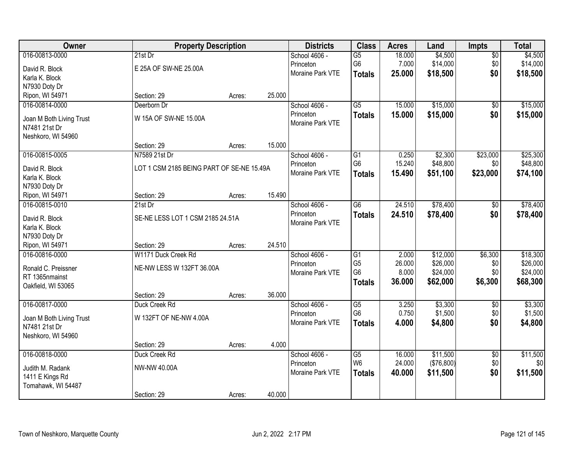| Owner                    |                                           | <b>Property Description</b> |        | <b>Districts</b> | <b>Class</b>    | <b>Acres</b> | Land       | Impts           | <b>Total</b> |
|--------------------------|-------------------------------------------|-----------------------------|--------|------------------|-----------------|--------------|------------|-----------------|--------------|
| 016-00813-0000           | $21st$ Dr                                 |                             |        | School 4606 -    | $\overline{G5}$ | 18.000       | \$4,500    | $\overline{50}$ | \$4,500      |
| David R. Block           | E 25A OF SW-NE 25.00A                     |                             |        | Princeton        | G <sub>6</sub>  | 7.000        | \$14,000   | \$0             | \$14,000     |
| Karla K. Block           |                                           |                             |        | Moraine Park VTE | <b>Totals</b>   | 25.000       | \$18,500   | \$0             | \$18,500     |
| N7930 Doty Dr            |                                           |                             |        |                  |                 |              |            |                 |              |
| Ripon, WI 54971          | Section: 29                               | Acres:                      | 25.000 |                  |                 |              |            |                 |              |
| 016-00814-0000           | Deerborn Dr                               |                             |        | School 4606 -    | $\overline{G5}$ | 15.000       | \$15,000   | \$0             | \$15,000     |
|                          |                                           |                             |        | Princeton        | <b>Totals</b>   | 15.000       | \$15,000   | \$0             | \$15,000     |
| Joan M Both Living Trust | W 15A OF SW-NE 15.00A                     |                             |        | Moraine Park VTE |                 |              |            |                 |              |
| N7481 21st Dr            |                                           |                             |        |                  |                 |              |            |                 |              |
| Neshkoro, WI 54960       |                                           |                             |        |                  |                 |              |            |                 |              |
|                          | Section: 29                               | Acres:                      | 15.000 |                  |                 |              |            |                 |              |
| 016-00815-0005           | N7589 21st Dr                             |                             |        | School 4606 -    | $\overline{G1}$ | 0.250        | \$2,300    | \$23,000        | \$25,300     |
| David R. Block           | LOT 1 CSM 2185 BEING PART OF SE-NE 15.49A |                             |        | Princeton        | G <sub>6</sub>  | 15.240       | \$48,800   | \$0             | \$48,800     |
| Karla K. Block           |                                           |                             |        | Moraine Park VTE | <b>Totals</b>   | 15.490       | \$51,100   | \$23,000        | \$74,100     |
| N7930 Doty Dr            |                                           |                             |        |                  |                 |              |            |                 |              |
| Ripon, WI 54971          | Section: 29                               | Acres:                      | 15.490 |                  |                 |              |            |                 |              |
| 016-00815-0010           | 21st Dr                                   |                             |        | School 4606 -    | $\overline{G6}$ | 24.510       | \$78,400   | \$0             | \$78,400     |
|                          |                                           |                             |        | Princeton        | <b>Totals</b>   | 24.510       | \$78,400   | \$0             | \$78,400     |
| David R. Block           | SE-NE LESS LOT 1 CSM 2185 24.51A          |                             |        | Moraine Park VTE |                 |              |            |                 |              |
| Karla K. Block           |                                           |                             |        |                  |                 |              |            |                 |              |
| N7930 Doty Dr            |                                           |                             |        |                  |                 |              |            |                 |              |
| Ripon, WI 54971          | Section: 29                               | Acres:                      | 24.510 |                  |                 |              |            |                 |              |
| 016-00816-0000           | W1171 Duck Creek Rd                       |                             |        | School 4606 -    | G1              | 2.000        | \$12,000   | \$6,300         | \$18,300     |
| Ronald C. Preissner      | NE-NW LESS W 132FT 36.00A                 |                             |        | Princeton        | G <sub>5</sub>  | 26.000       | \$26,000   | \$0             | \$26,000     |
| RT 1365nmainst           |                                           |                             |        | Moraine Park VTE | G <sub>6</sub>  | 8.000        | \$24,000   | \$0             | \$24,000     |
| Oakfield, WI 53065       |                                           |                             |        |                  | <b>Totals</b>   | 36.000       | \$62,000   | \$6,300         | \$68,300     |
|                          | Section: 29                               | Acres:                      | 36.000 |                  |                 |              |            |                 |              |
| 016-00817-0000           | Duck Creek Rd                             |                             |        | School 4606 -    | $\overline{G5}$ | 3.250        | \$3,300    | $\sqrt{6}$      | \$3,300      |
| Joan M Both Living Trust | W 132FT OF NE-NW 4.00A                    |                             |        | Princeton        | G <sub>6</sub>  | 0.750        | \$1,500    | \$0             | \$1,500      |
| N7481 21st Dr            |                                           |                             |        | Moraine Park VTE | <b>Totals</b>   | 4.000        | \$4,800    | \$0             | \$4,800      |
| Neshkoro, WI 54960       |                                           |                             |        |                  |                 |              |            |                 |              |
|                          | Section: 29                               | Acres:                      | 4.000  |                  |                 |              |            |                 |              |
| 016-00818-0000           | Duck Creek Rd                             |                             |        | School 4606 -    | $\overline{G5}$ | 16.000       | \$11,500   | $\overline{60}$ | \$11,500     |
|                          |                                           |                             |        | Princeton        | W <sub>6</sub>  | 24.000       | (\$76,800) | \$0             | \$0          |
| Judith M. Radank         | NW-NW 40.00A                              |                             |        | Moraine Park VTE | <b>Totals</b>   | 40.000       | \$11,500   | \$0             | \$11,500     |
| 1411 E Kings Rd          |                                           |                             |        |                  |                 |              |            |                 |              |
| Tomahawk, WI 54487       |                                           |                             |        |                  |                 |              |            |                 |              |
|                          | Section: 29                               | Acres:                      | 40.000 |                  |                 |              |            |                 |              |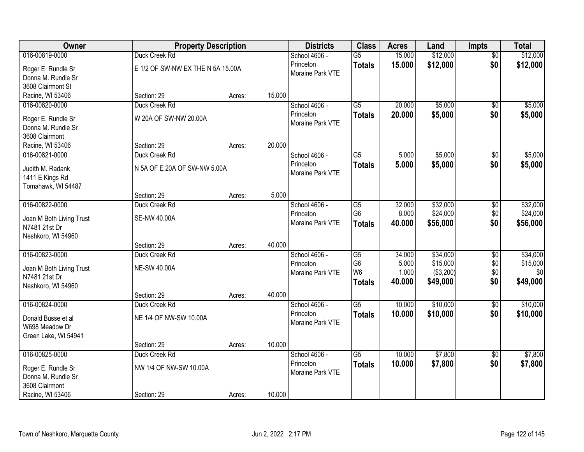| Owner                    |                                   | <b>Property Description</b> |        | <b>Districts</b> | <b>Class</b>    | <b>Acres</b> | Land      | <b>Impts</b>    | <b>Total</b> |
|--------------------------|-----------------------------------|-----------------------------|--------|------------------|-----------------|--------------|-----------|-----------------|--------------|
| 016-00819-0000           | Duck Creek Rd                     |                             |        | School 4606 -    | $\overline{G5}$ | 15.000       | \$12,000  | $\overline{60}$ | \$12,000     |
| Roger E. Rundle Sr       | E 1/2 OF SW-NW EX THE N 5A 15.00A |                             |        | Princeton        | <b>Totals</b>   | 15.000       | \$12,000  | \$0             | \$12,000     |
| Donna M. Rundle Sr       |                                   |                             |        | Moraine Park VTE |                 |              |           |                 |              |
| 3608 Clairmont St        |                                   |                             |        |                  |                 |              |           |                 |              |
| Racine, WI 53406         | Section: 29                       | Acres:                      | 15.000 |                  |                 |              |           |                 |              |
| 016-00820-0000           | Duck Creek Rd                     |                             |        | School 4606 -    | $\overline{G5}$ | 20.000       | \$5,000   | $\overline{50}$ | \$5,000      |
| Roger E. Rundle Sr       | W 20A OF SW-NW 20.00A             |                             |        | Princeton        | <b>Totals</b>   | 20.000       | \$5,000   | \$0             | \$5,000      |
| Donna M. Rundle Sr       |                                   |                             |        | Moraine Park VTE |                 |              |           |                 |              |
| 3608 Clairmont           |                                   |                             |        |                  |                 |              |           |                 |              |
| Racine, WI 53406         | Section: 29                       | Acres:                      | 20.000 |                  |                 |              |           |                 |              |
| 016-00821-0000           | Duck Creek Rd                     |                             |        | School 4606 -    | $\overline{G5}$ | 5.000        | \$5,000   | $\sqrt[6]{30}$  | \$5,000      |
| Judith M. Radank         | N 5A OF E 20A OF SW-NW 5.00A      |                             |        | Princeton        | <b>Totals</b>   | 5.000        | \$5,000   | \$0             | \$5,000      |
| 1411 E Kings Rd          |                                   |                             |        | Moraine Park VTE |                 |              |           |                 |              |
| Tomahawk, WI 54487       |                                   |                             |        |                  |                 |              |           |                 |              |
|                          | Section: 29                       | Acres:                      | 5.000  |                  |                 |              |           |                 |              |
| 016-00822-0000           | Duck Creek Rd                     |                             |        | School 4606 -    | $\overline{G5}$ | 32.000       | \$32,000  | \$0             | \$32,000     |
| Joan M Both Living Trust | <b>SE-NW 40.00A</b>               |                             |        | Princeton        | G <sub>6</sub>  | 8.000        | \$24,000  | \$0             | \$24,000     |
| N7481 21st Dr            |                                   |                             |        | Moraine Park VTE | <b>Totals</b>   | 40.000       | \$56,000  | \$0             | \$56,000     |
| Neshkoro, WI 54960       |                                   |                             |        |                  |                 |              |           |                 |              |
|                          | Section: 29                       | Acres:                      | 40.000 |                  |                 |              |           |                 |              |
| 016-00823-0000           | Duck Creek Rd                     |                             |        | School 4606 -    | $\overline{G5}$ | 34.000       | \$34,000  | \$0             | \$34,000     |
| Joan M Both Living Trust | <b>NE-SW 40.00A</b>               |                             |        | Princeton        | G <sub>6</sub>  | 5.000        | \$15,000  | \$0             | \$15,000     |
| N7481 21st Dr            |                                   |                             |        | Moraine Park VTE | W <sub>6</sub>  | 1.000        | (\$3,200) | \$0<br>\$0      | \$0          |
| Neshkoro, WI 54960       |                                   |                             |        |                  | <b>Totals</b>   | 40.000       | \$49,000  |                 | \$49,000     |
|                          | Section: 29                       | Acres:                      | 40.000 |                  |                 |              |           |                 |              |
| 016-00824-0000           | Duck Creek Rd                     |                             |        | School 4606 -    | $\overline{G5}$ | 10.000       | \$10,000  | $\sqrt{6}$      | \$10,000     |
| Donald Busse et al       | NE 1/4 OF NW-SW 10.00A            |                             |        | Princeton        | <b>Totals</b>   | 10.000       | \$10,000  | \$0             | \$10,000     |
| W698 Meadow Dr           |                                   |                             |        | Moraine Park VTE |                 |              |           |                 |              |
| Green Lake, WI 54941     |                                   |                             |        |                  |                 |              |           |                 |              |
|                          | Section: 29                       | Acres:                      | 10.000 |                  |                 |              |           |                 |              |
| 016-00825-0000           | Duck Creek Rd                     |                             |        | School 4606 -    | $\overline{G5}$ | 10.000       | \$7,800   | $\overline{50}$ | \$7,800      |
| Roger E. Rundle Sr       | NW 1/4 OF NW-SW 10.00A            |                             |        | Princeton        | <b>Totals</b>   | 10.000       | \$7,800   | \$0             | \$7,800      |
| Donna M. Rundle Sr       |                                   |                             |        | Moraine Park VTE |                 |              |           |                 |              |
| 3608 Clairmont           |                                   |                             |        |                  |                 |              |           |                 |              |
| Racine, WI 53406         | Section: 29                       | Acres:                      | 10.000 |                  |                 |              |           |                 |              |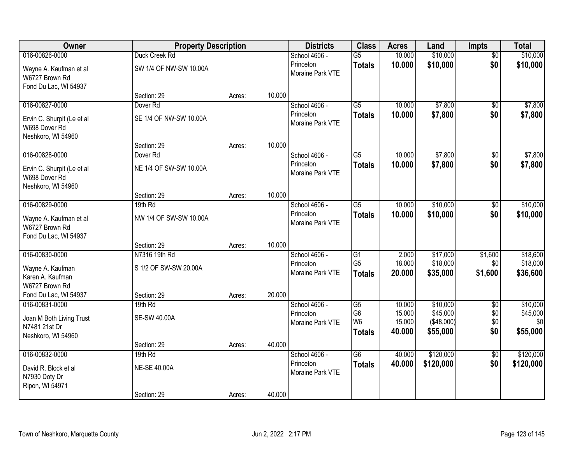| Owner                                                             | <b>Property Description</b> |        |        | <b>Districts</b>              | <b>Class</b>                     | <b>Acres</b>     | Land                    | <b>Impts</b>    | <b>Total</b>    |
|-------------------------------------------------------------------|-----------------------------|--------|--------|-------------------------------|----------------------------------|------------------|-------------------------|-----------------|-----------------|
| 016-00826-0000                                                    | Duck Creek Rd               |        |        | School 4606 -                 | G5                               | 10.000           | \$10,000                | $\overline{50}$ | \$10,000        |
| Wayne A. Kaufman et al<br>W6727 Brown Rd<br>Fond Du Lac, WI 54937 | SW 1/4 OF NW-SW 10.00A      |        |        | Princeton<br>Moraine Park VTE | <b>Totals</b>                    | 10.000           | \$10,000                | \$0             | \$10,000        |
|                                                                   | Section: 29                 | Acres: | 10.000 |                               |                                  |                  |                         |                 |                 |
| 016-00827-0000                                                    | Dover <sub>Rd</sub>         |        |        | School 4606 -                 | G5                               | 10.000           | \$7,800                 | \$0             | \$7,800         |
| Ervin C. Shurpit (Le et al<br>W698 Dover Rd<br>Neshkoro, WI 54960 | SE 1/4 OF NW-SW 10.00A      |        |        | Princeton<br>Moraine Park VTE | <b>Totals</b>                    | 10.000           | \$7,800                 | \$0             | \$7,800         |
|                                                                   | Section: 29                 | Acres: | 10.000 |                               |                                  |                  |                         |                 |                 |
| 016-00828-0000                                                    | Dover <sub>Rd</sub>         |        |        | School 4606 -                 | $\overline{G5}$                  | 10.000           | \$7,800                 | \$0             | \$7,800         |
| Ervin C. Shurpit (Le et al<br>W698 Dover Rd<br>Neshkoro, WI 54960 | NE 1/4 OF SW-SW 10.00A      |        |        | Princeton<br>Moraine Park VTE | <b>Totals</b>                    | 10.000           | \$7,800                 | \$0             | \$7,800         |
|                                                                   | Section: 29                 | Acres: | 10.000 |                               |                                  |                  |                         |                 |                 |
| 016-00829-0000                                                    | 19th Rd                     |        |        | School 4606 -                 | $\overline{G5}$                  | 10.000           | \$10,000                | \$0             | \$10,000        |
| Wayne A. Kaufman et al<br>W6727 Brown Rd<br>Fond Du Lac, WI 54937 | NW 1/4 OF SW-SW 10.00A      |        |        | Princeton<br>Moraine Park VTE | <b>Totals</b>                    | 10.000           | \$10,000                | \$0             | \$10,000        |
|                                                                   | Section: 29                 | Acres: | 10.000 |                               |                                  |                  |                         |                 |                 |
| 016-00830-0000                                                    | N7316 19th Rd               |        |        | School 4606 -                 | G1                               | 2.000            | \$17,000                | \$1,600         | \$18,600        |
| Wayne A. Kaufman                                                  | S 1/2 OF SW-SW 20.00A       |        |        | Princeton                     | G <sub>5</sub>                   | 18.000           | \$18,000                | \$0             | \$18,000        |
| Karen A. Kaufman                                                  |                             |        |        | Moraine Park VTE              | <b>Totals</b>                    | 20.000           | \$35,000                | \$1,600         | \$36,600        |
| W6727 Brown Rd                                                    |                             |        |        |                               |                                  |                  |                         |                 |                 |
| Fond Du Lac, WI 54937                                             | Section: 29                 | Acres: | 20.000 |                               |                                  |                  |                         |                 |                 |
| 016-00831-0000                                                    | 19th Rd                     |        |        | School 4606 -                 | G5                               | 10.000           | \$10,000                | $\overline{50}$ | \$10,000        |
| Joan M Both Living Trust                                          | <b>SE-SW 40.00A</b>         |        |        | Princeton<br>Moraine Park VTE | G <sub>6</sub><br>W <sub>6</sub> | 15.000<br>15.000 | \$45,000<br>( \$48,000] | \$0<br>\$0      | \$45,000<br>\$0 |
| N7481 21st Dr                                                     |                             |        |        |                               | <b>Totals</b>                    | 40.000           | \$55,000                | \$0             | \$55,000        |
| Neshkoro, WI 54960                                                |                             |        | 40.000 |                               |                                  |                  |                         |                 |                 |
| 016-00832-0000                                                    | Section: 29<br>19th Rd      | Acres: |        | School 4606 -                 | $\overline{G6}$                  | 40.000           | \$120,000               | $\overline{50}$ | \$120,000       |
| David R. Block et al<br>N7930 Doty Dr                             | <b>NE-SE 40.00A</b>         |        |        | Princeton<br>Moraine Park VTE | <b>Totals</b>                    | 40.000           | \$120,000               | \$0             | \$120,000       |
| Ripon, WI 54971                                                   | Section: 29                 | Acres: | 40.000 |                               |                                  |                  |                         |                 |                 |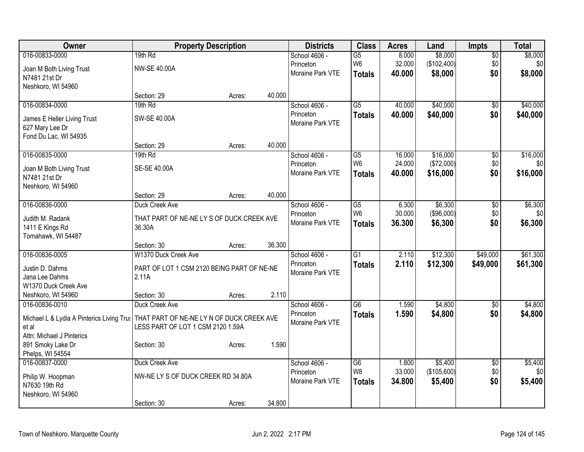| Owner                                     | <b>Property Description</b>                |        |        | <b>Districts</b>           | <b>Class</b>          | <b>Acres</b>    | Land                   | <b>Impts</b>           | <b>Total</b>   |
|-------------------------------------------|--------------------------------------------|--------|--------|----------------------------|-----------------------|-----------------|------------------------|------------------------|----------------|
| 016-00833-0000                            | 19th Rd                                    |        |        | School 4606 -              | $\overline{G5}$       | 8.000           | \$8,000                | $\overline{50}$        | \$8,000        |
| Joan M Both Living Trust                  | <b>NW-SE 40.00A</b>                        |        |        | Princeton                  | W <sub>6</sub>        | 32.000          | (\$102,400)            | \$0                    | \$0            |
| N7481 21st Dr                             |                                            |        |        | Moraine Park VTE           | <b>Totals</b>         | 40.000          | \$8,000                | \$0                    | \$8,000        |
| Neshkoro, WI 54960                        |                                            |        |        |                            |                       |                 |                        |                        |                |
|                                           | Section: 29                                | Acres: | 40.000 |                            |                       |                 |                        |                        |                |
| 016-00834-0000                            | 19th Rd                                    |        |        | School 4606 -              | $\overline{G5}$       | 40.000          | \$40,000               | $\sqrt{6}$             | \$40,000       |
| James E Heller Living Trust               | SW-SE 40.00A                               |        |        | Princeton                  | <b>Totals</b>         | 40.000          | \$40,000               | \$0                    | \$40,000       |
| 627 Mary Lee Dr                           |                                            |        |        | Moraine Park VTE           |                       |                 |                        |                        |                |
| Fond Du Lac, WI 54935                     |                                            |        |        |                            |                       |                 |                        |                        |                |
|                                           | Section: 29                                | Acres: | 40.000 |                            |                       |                 |                        |                        |                |
| 016-00835-0000                            | 19th Rd                                    |        |        | School 4606 -              | G5                    | 16.000          | \$16,000               | \$0                    | \$16,000       |
| Joan M Both Living Trust                  | SE-SE 40.00A                               |        |        | Princeton                  | W <sub>6</sub>        | 24.000          | (\$72,000)             | \$0                    | \$0            |
| N7481 21st Dr                             |                                            |        |        | Moraine Park VTE           | <b>Totals</b>         | 40.000          | \$16,000               | \$0                    | \$16,000       |
| Neshkoro, WI 54960                        |                                            |        |        |                            |                       |                 |                        |                        |                |
|                                           | Section: 29                                | Acres: | 40.000 |                            |                       |                 |                        |                        |                |
| 016-00836-0000                            | Duck Creek Ave                             |        |        | School 4606 -              | $\overline{G5}$       | 6.300           | \$6,300                | \$0                    | \$6,300        |
| Judith M. Radank                          | THAT PART OF NE-NE LY S OF DUCK CREEK AVE  |        |        | Princeton                  | W <sub>6</sub>        | 30.000          | (\$96,000)             | \$0                    | \$0            |
| 1411 E Kings Rd                           | 36.30A                                     |        |        | Moraine Park VTE           | <b>Totals</b>         | 36.300          | \$6,300                | \$0                    | \$6,300        |
| Tomahawk, WI 54487                        |                                            |        |        |                            |                       |                 |                        |                        |                |
|                                           | Section: 30                                | Acres: | 36.300 |                            |                       |                 |                        |                        |                |
| 016-00836-0005                            | W1370 Duck Creek Ave                       |        |        | School 4606 -              | $\overline{G1}$       | 2.110           | \$12,300               | \$49,000               | \$61,300       |
| Justin D. Dahms                           | PART OF LOT 1 CSM 2120 BEING PART OF NE-NE |        |        | Princeton                  | <b>Totals</b>         | 2.110           | \$12,300               | \$49,000               | \$61,300       |
| Jana Lee Dahms                            | 2.11A                                      |        |        | Moraine Park VTE           |                       |                 |                        |                        |                |
| W1370 Duck Creek Ave                      |                                            |        |        |                            |                       |                 |                        |                        |                |
| Neshkoro, WI 54960                        | Section: 30                                | Acres: | 2.110  |                            |                       |                 |                        |                        |                |
| 016-00836-0010                            | Duck Creek Ave                             |        |        | School 4606 -              | $\overline{G6}$       | 1.590           | \$4,800                | $\overline{50}$        | \$4,800        |
| Michael L & Lydia A Pinterics Living Trus | THAT PART OF NE-NE LY N OF DUCK CREEK AVE  |        |        | Princeton                  | <b>Totals</b>         | 1.590           | \$4,800                | \$0                    | \$4,800        |
| et al                                     | LESS PART OF LOT 1 CSM 2120 1.59A          |        |        | Moraine Park VTE           |                       |                 |                        |                        |                |
| Attn: Michael J Pinterics                 |                                            |        |        |                            |                       |                 |                        |                        |                |
| 891 Smoky Lake Dr                         | Section: 30                                | Acres: | 1.590  |                            |                       |                 |                        |                        |                |
| Phelps, WI 54554                          |                                            |        |        |                            |                       |                 |                        |                        |                |
| 016-00837-0000                            | Duck Creek Ave                             |        |        | School 4606 -<br>Princeton | $\overline{G6}$<br>W8 | 1.800<br>33.000 | \$5,400<br>(\$105,600) | $\overline{60}$<br>\$0 | \$5,400<br>\$0 |
| Philip W. Hoopman                         | NW-NE LY S OF DUCK CREEK RD 34.80A         |        |        | Moraine Park VTE           | <b>Totals</b>         | 34.800          | \$5,400                | \$0                    | \$5,400        |
| N7630 19th Rd                             |                                            |        |        |                            |                       |                 |                        |                        |                |
| Neshkoro, WI 54960                        |                                            |        |        |                            |                       |                 |                        |                        |                |
|                                           | Section: 30                                | Acres: | 34.800 |                            |                       |                 |                        |                        |                |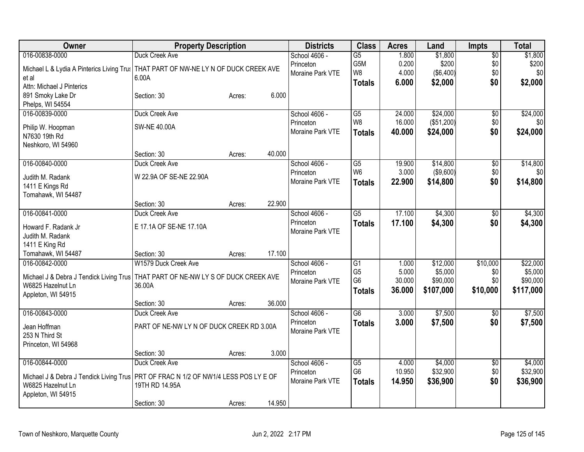| Owner                                                        | <b>Property Description</b>                         | <b>Districts</b> | <b>Class</b>    | <b>Acres</b> | Land             | Impts           | <b>Total</b> |
|--------------------------------------------------------------|-----------------------------------------------------|------------------|-----------------|--------------|------------------|-----------------|--------------|
| 016-00838-0000                                               | Duck Creek Ave                                      | School 4606 -    | $\overline{G5}$ | 1.800        | \$1,800          | $\overline{50}$ | \$1,800      |
| Michael L & Lydia A Pinterics Living Trus                    | THAT PART OF NW-NE LY N OF DUCK CREEK AVE           | Princeton        | G5M             | 0.200        | \$200            | \$0             | \$200        |
| et al                                                        | 6.00A                                               | Moraine Park VTE | W8              | 4.000        | $($ \$6,400) $ $ | \$0             | \$0          |
| Attn: Michael J Pinterics                                    |                                                     |                  | <b>Totals</b>   | 6.000        | \$2,000          | \$0             | \$2,000      |
| 891 Smoky Lake Dr                                            | 6.000<br>Section: 30<br>Acres:                      |                  |                 |              |                  |                 |              |
| Phelps, WI 54554                                             |                                                     |                  |                 |              |                  |                 |              |
| 016-00839-0000                                               | Duck Creek Ave                                      | School 4606 -    | G5              | 24.000       | \$24,000         | $\overline{50}$ | \$24,000     |
| Philip W. Hoopman                                            | <b>SW-NE 40.00A</b>                                 | Princeton        | W8              | 16.000       | (\$51,200)       | \$0\$           | \$0          |
| N7630 19th Rd                                                |                                                     | Moraine Park VTE | <b>Totals</b>   | 40.000       | \$24,000         | \$0             | \$24,000     |
| Neshkoro, WI 54960                                           |                                                     |                  |                 |              |                  |                 |              |
|                                                              | 40.000<br>Section: 30<br>Acres:                     |                  |                 |              |                  |                 |              |
| 016-00840-0000                                               | Duck Creek Ave                                      | School 4606 -    | G5              | 19.900       | \$14,800         | $\overline{50}$ | \$14,800     |
| Judith M. Radank                                             | W 22.9A OF SE-NE 22.90A                             | Princeton        | W <sub>6</sub>  | 3.000        | ( \$9,600)       | \$0             | \$0          |
| 1411 E Kings Rd                                              |                                                     | Moraine Park VTE | <b>Totals</b>   | 22.900       | \$14,800         | \$0             | \$14,800     |
| Tomahawk, WI 54487                                           |                                                     |                  |                 |              |                  |                 |              |
|                                                              | 22.900<br>Section: 30<br>Acres:                     |                  |                 |              |                  |                 |              |
| 016-00841-0000                                               | Duck Creek Ave                                      | School 4606 -    | $\overline{G5}$ | 17.100       | \$4,300          | $\overline{50}$ | \$4,300      |
| Howard F. Radank Jr                                          | E 17.1A OF SE-NE 17.10A                             | Princeton        | <b>Totals</b>   | 17.100       | \$4,300          | \$0             | \$4,300      |
| Judith M. Radank                                             |                                                     | Moraine Park VTE |                 |              |                  |                 |              |
| 1411 E King Rd                                               |                                                     |                  |                 |              |                  |                 |              |
| Tomahawk, WI 54487                                           | 17.100<br>Section: 30<br>Acres:                     |                  |                 |              |                  |                 |              |
| 016-00842-0000                                               | W1579 Duck Creek Ave                                | School 4606 -    | $\overline{G1}$ | 1.000        | \$12,000         | \$10,000        | \$22,000     |
|                                                              |                                                     | Princeton        | G <sub>5</sub>  | 5.000        | \$5,000          | \$0             | \$5,000      |
| Michael J & Debra J Tendick Living Trus<br>W6825 Hazelnut Ln | THAT PART OF NE-NW LY S OF DUCK CREEK AVE<br>36.00A | Moraine Park VTE | G <sub>6</sub>  | 30.000       | \$90,000         | \$0             | \$90,000     |
| Appleton, WI 54915                                           |                                                     |                  | <b>Totals</b>   | 36.000       | \$107,000        | \$10,000        | \$117,000    |
|                                                              | 36.000<br>Section: 30<br>Acres:                     |                  |                 |              |                  |                 |              |
| 016-00843-0000                                               | Duck Creek Ave                                      | School 4606 -    | $\overline{G6}$ | 3.000        | \$7,500          | $\overline{30}$ | \$7,500      |
|                                                              |                                                     | Princeton        | <b>Totals</b>   | 3.000        | \$7,500          | \$0             | \$7,500      |
| Jean Hoffman                                                 | PART OF NE-NW LY N OF DUCK CREEK RD 3.00A           | Moraine Park VTE |                 |              |                  |                 |              |
| 253 N Third St                                               |                                                     |                  |                 |              |                  |                 |              |
| Princeton, WI 54968                                          | 3.000<br>Section: 30<br>Acres:                      |                  |                 |              |                  |                 |              |
| 016-00844-0000                                               | Duck Creek Ave                                      | School 4606 -    | $\overline{G5}$ | 4.000        | \$4,000          | $\overline{50}$ | \$4,000      |
|                                                              |                                                     | Princeton        | G <sub>6</sub>  | 10.950       | \$32,900         | \$0             | \$32,900     |
| Michael J & Debra J Tendick Living Trus                      | PRT OF FRAC N 1/2 OF NW1/4 LESS POS LY E OF         | Moraine Park VTE | <b>Totals</b>   | 14.950       | \$36,900         | \$0             | \$36,900     |
| W6825 Hazelnut Ln                                            | 19TH RD 14.95A                                      |                  |                 |              |                  |                 |              |
| Appleton, WI 54915                                           |                                                     |                  |                 |              |                  |                 |              |
|                                                              | 14.950<br>Section: 30<br>Acres:                     |                  |                 |              |                  |                 |              |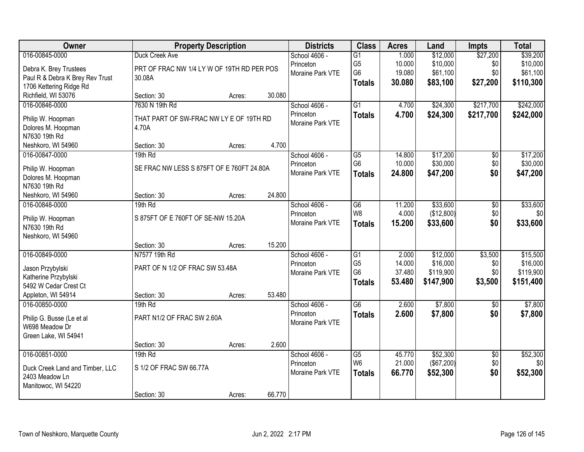| Owner                                   |                                            | <b>Property Description</b> |        | <b>Districts</b> | <b>Class</b>    | <b>Acres</b> | Land       | <b>Impts</b>    | <b>Total</b> |
|-----------------------------------------|--------------------------------------------|-----------------------------|--------|------------------|-----------------|--------------|------------|-----------------|--------------|
| 016-00845-0000                          | Duck Creek Ave                             |                             |        | School 4606 -    | $\overline{G1}$ | 1.000        | \$12,000   | \$27,200        | \$39,200     |
| Debra K. Brey Trustees                  | PRT OF FRAC NW 1/4 LY W OF 19TH RD PER POS |                             |        | Princeton        | G <sub>5</sub>  | 10.000       | \$10,000   | \$0             | \$10,000     |
| Paul R & Debra K Brey Rev Trust         | 30.08A                                     |                             |        | Moraine Park VTE | G <sub>6</sub>  | 19.080       | \$61,100   | \$0             | \$61,100     |
| 1706 Kettering Ridge Rd                 |                                            |                             |        |                  | <b>Totals</b>   | 30.080       | \$83,100   | \$27,200        | \$110,300    |
| Richfield, WI 53076                     | Section: 30                                | Acres:                      | 30.080 |                  |                 |              |            |                 |              |
| 016-00846-0000                          | 7630 N 19th Rd                             |                             |        | School 4606 -    | $\overline{G1}$ | 4.700        | \$24,300   | \$217,700       | \$242,000    |
| Philip W. Hoopman                       | THAT PART OF SW-FRAC NW LY E OF 19TH RD    |                             |        | Princeton        | <b>Totals</b>   | 4.700        | \$24,300   | \$217,700       | \$242,000    |
| Dolores M. Hoopman                      | 4.70A                                      |                             |        | Moraine Park VTE |                 |              |            |                 |              |
| N7630 19th Rd                           |                                            |                             |        |                  |                 |              |            |                 |              |
| Neshkoro, WI 54960                      | Section: 30                                | Acres:                      | 4.700  |                  |                 |              |            |                 |              |
| 016-00847-0000                          | 19th Rd                                    |                             |        | School 4606 -    | G5              | 14.800       | \$17,200   | $\overline{50}$ | \$17,200     |
|                                         | SE FRAC NW LESS S 875FT OF E 760FT 24.80A  |                             |        | Princeton        | G <sub>6</sub>  | 10.000       | \$30,000   | \$0             | \$30,000     |
| Philip W. Hoopman<br>Dolores M. Hoopman |                                            |                             |        | Moraine Park VTE | <b>Totals</b>   | 24.800       | \$47,200   | \$0             | \$47,200     |
| N7630 19th Rd                           |                                            |                             |        |                  |                 |              |            |                 |              |
| Neshkoro, WI 54960                      | Section: 30                                | Acres:                      | 24.800 |                  |                 |              |            |                 |              |
| 016-00848-0000                          | 19th Rd                                    |                             |        | School 4606 -    | $\overline{G6}$ | 11.200       | \$33,600   | $\overline{50}$ | \$33,600     |
|                                         |                                            |                             |        | Princeton        | W <sub>8</sub>  | 4.000        | (\$12,800) | \$0             | \$0          |
| Philip W. Hoopman                       | S 875FT OF E 760FT OF SE-NW 15.20A         |                             |        | Moraine Park VTE | <b>Totals</b>   | 15.200       | \$33,600   | \$0             | \$33,600     |
| N7630 19th Rd                           |                                            |                             |        |                  |                 |              |            |                 |              |
| Neshkoro, WI 54960                      |                                            |                             | 15.200 |                  |                 |              |            |                 |              |
| 016-00849-0000                          | Section: 30<br>N7577 19th Rd               | Acres:                      |        | School 4606 -    | $\overline{G1}$ | 2.000        | \$12,000   | \$3,500         | \$15,500     |
|                                         |                                            |                             |        | Princeton        | G <sub>5</sub>  | 14.000       | \$16,000   | \$0             | \$16,000     |
| Jason Przybylski                        | PART OF N 1/2 OF FRAC SW 53.48A            |                             |        | Moraine Park VTE | G <sub>6</sub>  | 37.480       | \$119,900  | \$0             | \$119,900    |
| Katherine Przybylski                    |                                            |                             |        |                  | <b>Totals</b>   | 53.480       | \$147,900  | \$3,500         | \$151,400    |
| 5492 W Cedar Crest Ct                   |                                            |                             |        |                  |                 |              |            |                 |              |
| Appleton, WI 54914                      | Section: 30                                | Acres:                      | 53.480 |                  |                 |              |            |                 |              |
| 016-00850-0000                          | 19th Rd                                    |                             |        | School 4606 -    | $\overline{G6}$ | 2.600        | \$7,800    | $\sqrt{6}$      | \$7,800      |
| Philip G. Busse (Le et al               | PART N1/2 OF FRAC SW 2.60A                 |                             |        | Princeton        | <b>Totals</b>   | 2.600        | \$7,800    | \$0             | \$7,800      |
| W698 Meadow Dr                          |                                            |                             |        | Moraine Park VTE |                 |              |            |                 |              |
| Green Lake, WI 54941                    |                                            |                             |        |                  |                 |              |            |                 |              |
|                                         | Section: 30                                | Acres:                      | 2.600  |                  |                 |              |            |                 |              |
| 016-00851-0000                          | 19th Rd                                    |                             |        | School 4606 -    | $\overline{G5}$ | 45.770       | \$52,300   | $\overline{50}$ | \$52,300     |
| Duck Creek Land and Timber, LLC         | S 1/2 OF FRAC SW 66.77A                    |                             |        | Princeton        | W <sub>6</sub>  | 21.000       | (\$67,200) | \$0             | \$0          |
| 2403 Meadow Ln                          |                                            |                             |        | Moraine Park VTE | <b>Totals</b>   | 66.770       | \$52,300   | \$0             | \$52,300     |
| Manitowoc, WI 54220                     |                                            |                             |        |                  |                 |              |            |                 |              |
|                                         | Section: 30                                | Acres:                      | 66.770 |                  |                 |              |            |                 |              |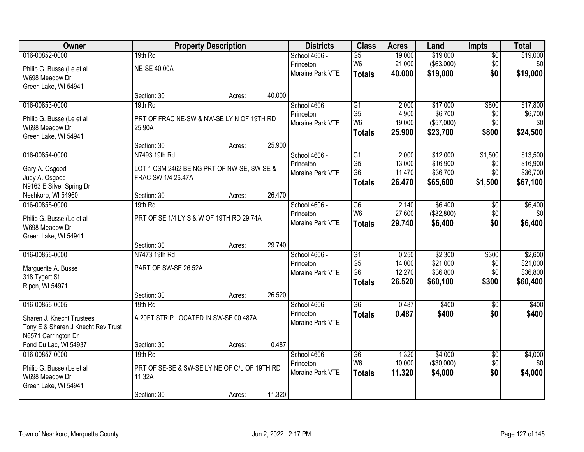| Owner                              |                                              | <b>Property Description</b> |        | <b>Districts</b> | <b>Class</b>    | <b>Acres</b> | Land              | Impts           | <b>Total</b> |
|------------------------------------|----------------------------------------------|-----------------------------|--------|------------------|-----------------|--------------|-------------------|-----------------|--------------|
| 016-00852-0000                     | 19th Rd                                      |                             |        | School 4606 -    | $\overline{G5}$ | 19.000       | \$19,000          | $\overline{50}$ | \$19,000     |
| Philip G. Busse (Le et al          | <b>NE-SE 40.00A</b>                          |                             |        | Princeton        | W <sub>6</sub>  | 21.000       | $($ \$63,000) $ $ | \$0             | \$0          |
| W698 Meadow Dr                     |                                              |                             |        | Moraine Park VTE | <b>Totals</b>   | 40.000       | \$19,000          | \$0             | \$19,000     |
| Green Lake, WI 54941               |                                              |                             |        |                  |                 |              |                   |                 |              |
|                                    | Section: 30                                  | Acres:                      | 40.000 |                  |                 |              |                   |                 |              |
| 016-00853-0000                     | 19th Rd                                      |                             |        | School 4606 -    | $\overline{G1}$ | 2.000        | \$17,000          | \$800           | \$17,800     |
| Philip G. Busse (Le et al          | PRT OF FRAC NE-SW & NW-SE LY N OF 19TH RD    |                             |        | Princeton        | G <sub>5</sub>  | 4.900        | \$6,700           | \$0             | \$6,700      |
| W698 Meadow Dr                     | 25.90A                                       |                             |        | Moraine Park VTE | W <sub>6</sub>  | 19.000       | (\$57,000)        | \$0             | \$0          |
| Green Lake, WI 54941               |                                              |                             |        |                  | <b>Totals</b>   | 25.900       | \$23,700          | \$800           | \$24,500     |
|                                    | Section: 30                                  | Acres:                      | 25.900 |                  |                 |              |                   |                 |              |
| 016-00854-0000                     | N7493 19th Rd                                |                             |        | School 4606 -    | G1              | 2.000        | \$12,000          | \$1,500         | \$13,500     |
| Gary A. Osgood                     | LOT 1 CSM 2462 BEING PRT OF NW-SE, SW-SE &   |                             |        | Princeton        | G <sub>5</sub>  | 13.000       | \$16,900          | \$0             | \$16,900     |
| Judy A. Osgood                     | FRAC SW 1/4 26.47A                           |                             |        | Moraine Park VTE | G <sub>6</sub>  | 11.470       | \$36,700          | \$0             | \$36,700     |
| N9163 E Silver Spring Dr           |                                              |                             |        |                  | <b>Totals</b>   | 26.470       | \$65,600          | \$1,500         | \$67,100     |
| Neshkoro, WI 54960                 | Section: 30                                  | Acres:                      | 26.470 |                  |                 |              |                   |                 |              |
| 016-00855-0000                     | 19th Rd                                      |                             |        | School 4606 -    | G <sub>6</sub>  | 2.140        | \$6,400           | \$0             | \$6,400      |
| Philip G. Busse (Le et al          | PRT OF SE 1/4 LY S & W OF 19TH RD 29.74A     |                             |        | Princeton        | W <sub>6</sub>  | 27.600       | (\$82,800)        | \$0             | \$0          |
| W698 Meadow Dr                     |                                              |                             |        | Moraine Park VTE | <b>Totals</b>   | 29.740       | \$6,400           | \$0             | \$6,400      |
| Green Lake, WI 54941               |                                              |                             |        |                  |                 |              |                   |                 |              |
|                                    | Section: 30                                  | Acres:                      | 29.740 |                  |                 |              |                   |                 |              |
| 016-00856-0000                     | N7473 19th Rd                                |                             |        | School 4606 -    | $\overline{G1}$ | 0.250        | \$2,300           | \$300           | \$2,600      |
| Marguerite A. Busse                | PART OF SW-SE 26.52A                         |                             |        | Princeton        | G <sub>5</sub>  | 14.000       | \$21,000          | \$0             | \$21,000     |
| 318 Tygert St                      |                                              |                             |        | Moraine Park VTE | G <sub>6</sub>  | 12.270       | \$36,800          | \$0             | \$36,800     |
| Ripon, WI 54971                    |                                              |                             |        |                  | <b>Totals</b>   | 26.520       | \$60,100          | \$300           | \$60,400     |
|                                    | Section: 30                                  | Acres:                      | 26.520 |                  |                 |              |                   |                 |              |
| 016-00856-0005                     | 19th Rd                                      |                             |        | School 4606 -    | G6              | 0.487        | \$400             | $\sqrt{6}$      | \$400        |
| Sharen J. Knecht Trustees          | A 20FT STRIP LOCATED IN SW-SE 00.487A        |                             |        | Princeton        | <b>Totals</b>   | 0.487        | \$400             | \$0             | \$400        |
| Tony E & Sharen J Knecht Rev Trust |                                              |                             |        | Moraine Park VTE |                 |              |                   |                 |              |
| N6571 Carrington Dr                |                                              |                             |        |                  |                 |              |                   |                 |              |
| Fond Du Lac, WI 54937              | Section: 30                                  | Acres:                      | 0.487  |                  |                 |              |                   |                 |              |
| 016-00857-0000                     | 19th Rd                                      |                             |        | School 4606 -    | G6              | 1.320        | \$4,000           | $\overline{50}$ | \$4,000      |
| Philip G. Busse (Le et al          | PRT OF SE-SE & SW-SE LY NE OF C/L OF 19TH RD |                             |        | Princeton        | W <sub>6</sub>  | 10.000       | (\$30,000)        | \$0             | \$0          |
| W698 Meadow Dr                     | 11.32A                                       |                             |        | Moraine Park VTE | <b>Totals</b>   | 11.320       | \$4,000           | \$0             | \$4,000      |
| Green Lake, WI 54941               |                                              |                             |        |                  |                 |              |                   |                 |              |
|                                    | Section: 30                                  | Acres:                      | 11.320 |                  |                 |              |                   |                 |              |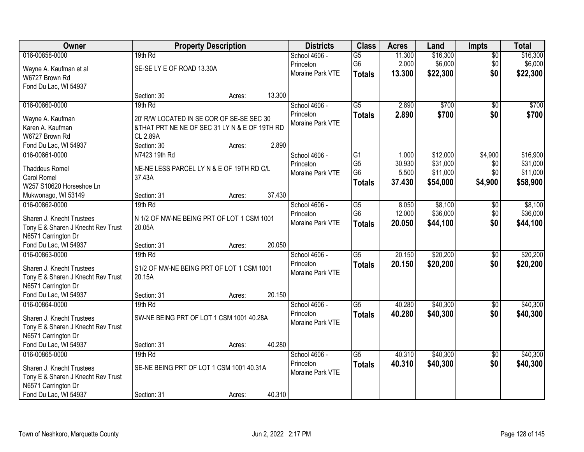| Owner                                        | <b>Property Description</b>                    |        |        | <b>Districts</b> | <b>Class</b>    | <b>Acres</b> | Land     | <b>Impts</b>    | <b>Total</b> |
|----------------------------------------------|------------------------------------------------|--------|--------|------------------|-----------------|--------------|----------|-----------------|--------------|
| 016-00858-0000                               | 19th Rd                                        |        |        | School 4606 -    | $\overline{G5}$ | 11.300       | \$16,300 | $\overline{50}$ | \$16,300     |
| Wayne A. Kaufman et al                       | SE-SE LY E OF ROAD 13.30A                      |        |        | Princeton        | G6              | 2.000        | \$6,000  | \$0             | \$6,000      |
| W6727 Brown Rd                               |                                                |        |        | Moraine Park VTE | <b>Totals</b>   | 13.300       | \$22,300 | \$0             | \$22,300     |
| Fond Du Lac, WI 54937                        |                                                |        |        |                  |                 |              |          |                 |              |
|                                              | Section: 30                                    | Acres: | 13.300 |                  |                 |              |          |                 |              |
| 016-00860-0000                               | 19th Rd                                        |        |        | School 4606 -    | $\overline{G5}$ | 2.890        | \$700    | $\overline{50}$ | \$700        |
| Wayne A. Kaufman                             | 20' R/W LOCATED IN SE COR OF SE-SE SEC 30      |        |        | Princeton        | <b>Totals</b>   | 2.890        | \$700    | \$0             | \$700        |
| Karen A. Kaufman                             | & THAT PRT NE NE OF SEC 31 LY N & E OF 19TH RD |        |        | Moraine Park VTE |                 |              |          |                 |              |
| W6727 Brown Rd                               | CL 2.89A                                       |        |        |                  |                 |              |          |                 |              |
| Fond Du Lac, WI 54937                        | Section: 30                                    | Acres: | 2.890  |                  |                 |              |          |                 |              |
| 016-00861-0000                               | N7423 19th Rd                                  |        |        | School 4606 -    | $\overline{G1}$ | 1.000        | \$12,000 | \$4,900         | \$16,900     |
|                                              |                                                |        |        | Princeton        | G <sub>5</sub>  | 30.930       | \$31,000 | \$0             | \$31,000     |
| <b>Thaddeus Romel</b>                        | NE-NE LESS PARCEL LY N & E OF 19TH RD C/L      |        |        | Moraine Park VTE | G <sub>6</sub>  | 5.500        | \$11,000 | \$0             | \$11,000     |
| Carol Romel                                  | 37.43A                                         |        |        |                  | <b>Totals</b>   | 37.430       | \$54,000 | \$4,900         | \$58,900     |
| W257 S10620 Horseshoe Ln                     |                                                |        |        |                  |                 |              |          |                 |              |
| Mukwonago, WI 53149                          | Section: 31                                    | Acres: | 37.430 |                  |                 |              |          |                 |              |
| 016-00862-0000                               | 19th Rd                                        |        |        | School 4606 -    | $\overline{G5}$ | 8.050        | \$8,100  | \$0             | \$8,100      |
| Sharen J. Knecht Trustees                    | N 1/2 OF NW-NE BEING PRT OF LOT 1 CSM 1001     |        |        | Princeton        | G <sub>6</sub>  | 12.000       | \$36,000 | \$0             | \$36,000     |
| Tony E & Sharen J Knecht Rev Trust           | 20.05A                                         |        |        | Moraine Park VTE | <b>Totals</b>   | 20.050       | \$44,100 | \$0             | \$44,100     |
| N6571 Carrington Dr                          |                                                |        |        |                  |                 |              |          |                 |              |
| Fond Du Lac, WI 54937                        | Section: 31                                    | Acres: | 20.050 |                  |                 |              |          |                 |              |
| 016-00863-0000                               | 19th Rd                                        |        |        | School 4606 -    | $\overline{G5}$ | 20.150       | \$20,200 | \$0             | \$20,200     |
| Sharen J. Knecht Trustees                    | S1/2 OF NW-NE BEING PRT OF LOT 1 CSM 1001      |        |        | Princeton        | <b>Totals</b>   | 20.150       | \$20,200 | \$0             | \$20,200     |
| Tony E & Sharen J Knecht Rev Trust           | 20.15A                                         |        |        | Moraine Park VTE |                 |              |          |                 |              |
| N6571 Carrington Dr                          |                                                |        |        |                  |                 |              |          |                 |              |
| Fond Du Lac, WI 54937                        | Section: 31                                    | Acres: | 20.150 |                  |                 |              |          |                 |              |
| 016-00864-0000                               | 19th Rd                                        |        |        | School 4606 -    | $\overline{G5}$ | 40.280       | \$40,300 | $\sqrt{$0}$     | \$40,300     |
|                                              |                                                |        |        | Princeton        | <b>Totals</b>   | 40.280       | \$40,300 | \$0             | \$40,300     |
| Sharen J. Knecht Trustees                    | SW-NE BEING PRT OF LOT 1 CSM 1001 40.28A       |        |        | Moraine Park VTE |                 |              |          |                 |              |
| Tony E & Sharen J Knecht Rev Trust           |                                                |        |        |                  |                 |              |          |                 |              |
| N6571 Carrington Dr<br>Fond Du Lac, WI 54937 |                                                |        | 40.280 |                  |                 |              |          |                 |              |
|                                              | Section: 31<br>19th Rd                         | Acres: |        | School 4606 -    | $\overline{G5}$ | 40.310       | \$40,300 |                 | \$40,300     |
| 016-00865-0000                               |                                                |        |        | Princeton        |                 |              |          | $\overline{30}$ |              |
| Sharen J. Knecht Trustees                    | SE-NE BEING PRT OF LOT 1 CSM 1001 40.31A       |        |        | Moraine Park VTE | <b>Totals</b>   | 40.310       | \$40,300 | \$0             | \$40,300     |
| Tony E & Sharen J Knecht Rev Trust           |                                                |        |        |                  |                 |              |          |                 |              |
| N6571 Carrington Dr                          |                                                |        |        |                  |                 |              |          |                 |              |
| Fond Du Lac, WI 54937                        | Section: 31                                    | Acres: | 40.310 |                  |                 |              |          |                 |              |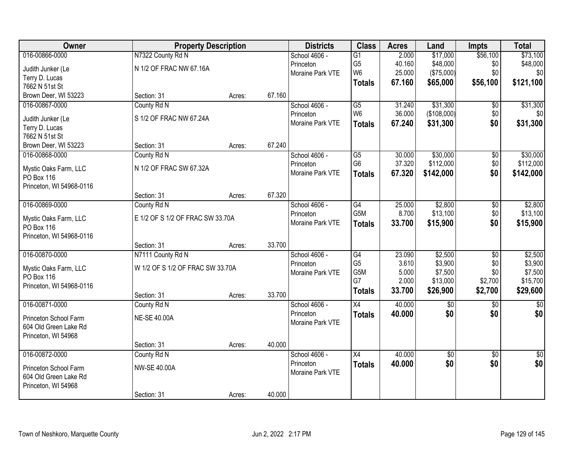| Owner                    |                                  | <b>Property Description</b> |        | <b>Districts</b> | <b>Class</b>    | <b>Acres</b> | Land        | <b>Impts</b>    | <b>Total</b>    |
|--------------------------|----------------------------------|-----------------------------|--------|------------------|-----------------|--------------|-------------|-----------------|-----------------|
| 016-00866-0000           | N7322 County Rd N                |                             |        | School 4606 -    | $\overline{G1}$ | 2.000        | \$17,000    | \$56,100        | \$73,100        |
| Judith Junker (Le        | N 1/2 OF FRAC NW 67.16A          |                             |        | Princeton        | G <sub>5</sub>  | 40.160       | \$48,000    | \$0             | \$48,000        |
| Terry D. Lucas           |                                  |                             |        | Moraine Park VTE | W <sub>6</sub>  | 25.000       | (\$75,000)  | \$0             | \$0             |
| 7662 N 51st St           |                                  |                             |        |                  | <b>Totals</b>   | 67.160       | \$65,000    | \$56,100        | \$121,100       |
| Brown Deer, WI 53223     | Section: 31                      | Acres:                      | 67.160 |                  |                 |              |             |                 |                 |
| 016-00867-0000           | County Rd N                      |                             |        | School 4606 -    | $\overline{G5}$ | 31.240       | \$31,300    | $\overline{50}$ | \$31,300        |
| Judith Junker (Le        | S 1/2 OF FRAC NW 67.24A          |                             |        | Princeton        | W <sub>6</sub>  | 36.000       | (\$108,000) | \$0             | \$0             |
| Terry D. Lucas           |                                  |                             |        | Moraine Park VTE | <b>Totals</b>   | 67.240       | \$31,300    | \$0             | \$31,300        |
| 7662 N 51st St           |                                  |                             |        |                  |                 |              |             |                 |                 |
| Brown Deer, WI 53223     | Section: 31                      | Acres:                      | 67.240 |                  |                 |              |             |                 |                 |
| 016-00868-0000           | County Rd N                      |                             |        | School 4606 -    | $\overline{G5}$ | 30.000       | \$30,000    | \$0             | \$30,000        |
| Mystic Oaks Farm, LLC    | N 1/2 OF FRAC SW 67.32A          |                             |        | Princeton        | G <sub>6</sub>  | 37.320       | \$112,000   | \$0             | \$112,000       |
| PO Box 116               |                                  |                             |        | Moraine Park VTE | <b>Totals</b>   | 67.320       | \$142,000   | \$0             | \$142,000       |
| Princeton, WI 54968-0116 |                                  |                             |        |                  |                 |              |             |                 |                 |
|                          | Section: 31                      | Acres:                      | 67.320 |                  |                 |              |             |                 |                 |
| 016-00869-0000           | County Rd N                      |                             |        | School 4606 -    | G4              | 25.000       | \$2,800     | \$0             | \$2,800         |
| Mystic Oaks Farm, LLC    | E 1/2 OF S 1/2 OF FRAC SW 33.70A |                             |        | Princeton        | G5M             | 8.700        | \$13,100    | \$0             | \$13,100        |
| PO Box 116               |                                  |                             |        | Moraine Park VTE | <b>Totals</b>   | 33.700       | \$15,900    | \$0             | \$15,900        |
| Princeton, WI 54968-0116 |                                  |                             |        |                  |                 |              |             |                 |                 |
|                          | Section: 31                      | Acres:                      | 33.700 |                  |                 |              |             |                 |                 |
| 016-00870-0000           | N7111 County Rd N                |                             |        | School 4606 -    | $\overline{G4}$ | 23.090       | \$2,500     | $\overline{50}$ | \$2,500         |
| Mystic Oaks Farm, LLC    | W 1/2 OF S 1/2 OF FRAC SW 33.70A |                             |        | Princeton        | G <sub>5</sub>  | 3.610        | \$3,900     | \$0             | \$3,900         |
| PO Box 116               |                                  |                             |        | Moraine Park VTE | G5M             | 5.000        | \$7,500     | \$0             | \$7,500         |
| Princeton, WI 54968-0116 |                                  |                             |        |                  | G7              | 2.000        | \$13,000    | \$2,700         | \$15,700        |
|                          | Section: 31                      | Acres:                      | 33.700 |                  | <b>Totals</b>   | 33.700       | \$26,900    | \$2,700         | \$29,600        |
| 016-00871-0000           | County Rd N                      |                             |        | School 4606 -    | X4              | 40.000       | $\sqrt{$0}$ | $\sqrt{6}$      | $\sqrt{50}$     |
| Princeton School Farm    | <b>NE-SE 40.00A</b>              |                             |        | Princeton        | <b>Totals</b>   | 40.000       | \$0         | \$0             | \$0             |
| 604 Old Green Lake Rd    |                                  |                             |        | Moraine Park VTE |                 |              |             |                 |                 |
| Princeton, WI 54968      |                                  |                             |        |                  |                 |              |             |                 |                 |
|                          | Section: 31                      | Acres:                      | 40.000 |                  |                 |              |             |                 |                 |
| 016-00872-0000           | County Rd N                      |                             |        | School 4606 -    | $\overline{X4}$ | 40.000       | $\sqrt{6}$  | $\overline{30}$ | $\overline{50}$ |
| Princeton School Farm    | NW-SE 40.00A                     |                             |        | Princeton        | <b>Totals</b>   | 40.000       | \$0         | \$0             | \$0             |
| 604 Old Green Lake Rd    |                                  |                             |        | Moraine Park VTE |                 |              |             |                 |                 |
| Princeton, WI 54968      |                                  |                             |        |                  |                 |              |             |                 |                 |
|                          | Section: 31                      | Acres:                      | 40.000 |                  |                 |              |             |                 |                 |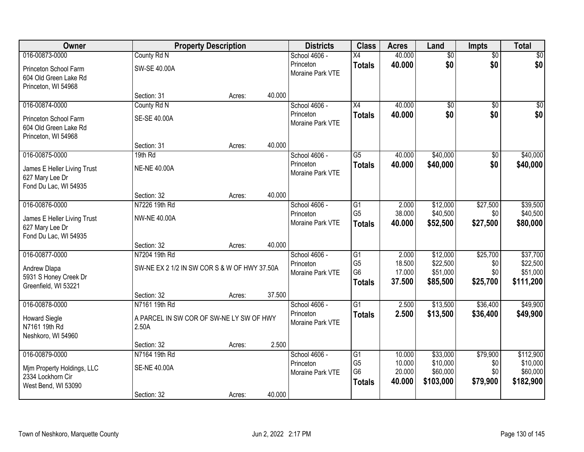| Owner                                                                   |                                                   | <b>Property Description</b> |        | <b>Districts</b>              | <b>Class</b>                                      | <b>Acres</b>               | Land                              | Impts                  | <b>Total</b>                      |
|-------------------------------------------------------------------------|---------------------------------------------------|-----------------------------|--------|-------------------------------|---------------------------------------------------|----------------------------|-----------------------------------|------------------------|-----------------------------------|
| 016-00873-0000                                                          | County Rd N                                       |                             |        | School 4606 -                 | X4                                                | 40.000                     | $\overline{50}$                   | $\overline{50}$        | \$0                               |
| Princeton School Farm<br>604 Old Green Lake Rd<br>Princeton, WI 54968   | <b>SW-SE 40.00A</b>                               |                             |        | Princeton<br>Moraine Park VTE | <b>Totals</b>                                     | 40.000                     | \$0                               | \$0                    | \$0                               |
|                                                                         | Section: 31                                       | Acres:                      | 40.000 |                               |                                                   |                            |                                   |                        |                                   |
| 016-00874-0000                                                          | County Rd N                                       |                             |        | School 4606 -                 | X4                                                | 40.000                     | $\overline{60}$                   | $\overline{50}$        | $\overline{50}$                   |
| Princeton School Farm<br>604 Old Green Lake Rd<br>Princeton, WI 54968   | SE-SE 40.00A                                      |                             |        | Princeton<br>Moraine Park VTE | <b>Totals</b>                                     | 40.000                     | \$0                               | \$0                    | \$0                               |
|                                                                         | Section: 31                                       | Acres:                      | 40.000 |                               |                                                   |                            |                                   |                        |                                   |
| 016-00875-0000                                                          | 19th Rd                                           |                             |        | School 4606 -                 | G5                                                | 40.000                     | \$40,000                          | \$0                    | \$40,000                          |
| James E Heller Living Trust<br>627 Mary Lee Dr<br>Fond Du Lac, WI 54935 | <b>NE-NE 40.00A</b>                               |                             |        | Princeton<br>Moraine Park VTE | <b>Totals</b>                                     | 40.000                     | \$40,000                          | \$0                    | \$40,000                          |
|                                                                         | Section: 32                                       | Acres:                      | 40.000 |                               |                                                   |                            |                                   |                        |                                   |
| 016-00876-0000                                                          | N7226 19th Rd                                     |                             |        | School 4606 -                 | G1                                                | 2.000                      | \$12,000                          | \$27,500               | \$39,500                          |
| James E Heller Living Trust<br>627 Mary Lee Dr<br>Fond Du Lac, WI 54935 | <b>NW-NE 40.00A</b>                               |                             |        | Princeton<br>Moraine Park VTE | G <sub>5</sub><br><b>Totals</b>                   | 38.000<br>40.000           | \$40,500<br>\$52,500              | \$0<br>\$27,500        | \$40,500<br>\$80,000              |
|                                                                         | Section: 32                                       | Acres:                      | 40.000 |                               |                                                   |                            |                                   |                        |                                   |
| 016-00877-0000                                                          | N7204 19th Rd                                     |                             |        | School 4606 -<br>Princeton    | $\overline{G1}$<br>G <sub>5</sub>                 | 2.000<br>18.500            | \$12,000<br>\$22,500              | \$25,700<br>\$0        | \$37,700<br>\$22,500              |
| Andrew Dlapa<br>5931 S Honey Creek Dr<br>Greenfield, WI 53221           | SW-NE EX 2 1/2 IN SW COR S & W OF HWY 37.50A      |                             |        | Moraine Park VTE              | G <sub>6</sub><br><b>Totals</b>                   | 17.000<br>37.500           | \$51,000<br>\$85,500              | \$0<br>\$25,700        | \$51,000<br>\$111,200             |
|                                                                         | Section: 32                                       | Acres:                      | 37.500 |                               |                                                   |                            |                                   |                        |                                   |
| 016-00878-0000                                                          | N7161 19th Rd                                     |                             |        | School 4606 -                 | $\overline{G1}$                                   | 2.500                      | \$13,500                          | \$36,400               | \$49,900                          |
| <b>Howard Siegle</b><br>N7161 19th Rd<br>Neshkoro, WI 54960             | A PARCEL IN SW COR OF SW-NE LY SW OF HWY<br>2.50A |                             |        | Princeton<br>Moraine Park VTE | <b>Totals</b>                                     | 2.500                      | \$13,500                          | \$36,400               | \$49,900                          |
|                                                                         | Section: 32                                       | Acres:                      | 2.500  |                               |                                                   |                            |                                   |                        |                                   |
| 016-00879-0000                                                          | N7164 19th Rd                                     |                             |        | School 4606 -                 | G1                                                | 10.000                     | \$33,000                          | \$79,900               | \$112,900                         |
| Mjm Property Holdings, LLC<br>2334 Lockhorn Cir<br>West Bend, WI 53090  | <b>SE-NE 40.00A</b>                               |                             |        | Princeton<br>Moraine Park VTE | G <sub>5</sub><br>G <sub>6</sub><br><b>Totals</b> | 10.000<br>20.000<br>40.000 | \$10,000<br>\$60,000<br>\$103,000 | \$0<br>\$0<br>\$79,900 | \$10,000<br>\$60,000<br>\$182,900 |
|                                                                         | Section: 32                                       | Acres:                      | 40.000 |                               |                                                   |                            |                                   |                        |                                   |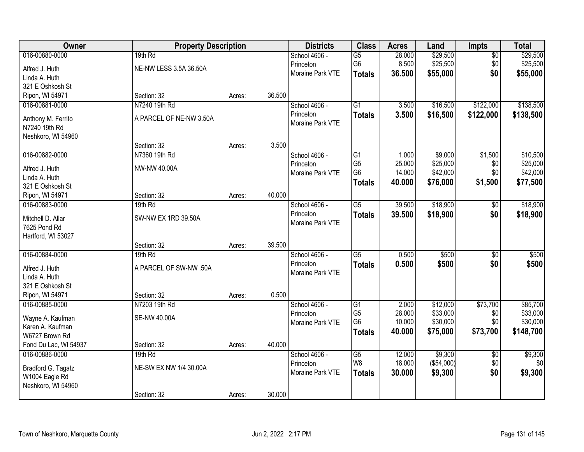| Owner                 | <b>Property Description</b> |        |        | <b>Districts</b> | <b>Class</b>    | <b>Acres</b> | Land       | <b>Impts</b>    | <b>Total</b> |
|-----------------------|-----------------------------|--------|--------|------------------|-----------------|--------------|------------|-----------------|--------------|
| 016-00880-0000        | 19th Rd                     |        |        | School 4606 -    | $\overline{G5}$ | 28.000       | \$29,500   | $\overline{50}$ | \$29,500     |
| Alfred J. Huth        | NE-NW LESS 3.5A 36.50A      |        |        | Princeton        | G6              | 8.500        | \$25,500   | \$0             | \$25,500     |
| Linda A. Huth         |                             |        |        | Moraine Park VTE | <b>Totals</b>   | 36.500       | \$55,000   | \$0             | \$55,000     |
| 321 E Oshkosh St      |                             |        |        |                  |                 |              |            |                 |              |
| Ripon, WI 54971       | Section: 32                 | Acres: | 36.500 |                  |                 |              |            |                 |              |
| 016-00881-0000        | N7240 19th Rd               |        |        | School 4606 -    | $\overline{G1}$ | 3.500        | \$16,500   | \$122,000       | \$138,500    |
|                       |                             |        |        | Princeton        | <b>Totals</b>   | 3.500        | \$16,500   | \$122,000       | \$138,500    |
| Anthony M. Ferrito    | A PARCEL OF NE-NW 3.50A     |        |        | Moraine Park VTE |                 |              |            |                 |              |
| N7240 19th Rd         |                             |        |        |                  |                 |              |            |                 |              |
| Neshkoro, WI 54960    |                             |        |        |                  |                 |              |            |                 |              |
|                       | Section: 32                 | Acres: | 3.500  |                  |                 |              |            |                 |              |
| 016-00882-0000        | N7360 19th Rd               |        |        | School 4606 -    | G1              | 1.000        | \$9,000    | \$1,500         | \$10,500     |
| Alfred J. Huth        | NW-NW 40.00A                |        |        | Princeton        | G <sub>5</sub>  | 25.000       | \$25,000   | \$0             | \$25,000     |
| Linda A. Huth         |                             |        |        | Moraine Park VTE | G <sub>6</sub>  | 14.000       | \$42,000   | \$0             | \$42,000     |
| 321 E Oshkosh St      |                             |        |        |                  | <b>Totals</b>   | 40.000       | \$76,000   | \$1,500         | \$77,500     |
| Ripon, WI 54971       | Section: 32                 | Acres: | 40.000 |                  |                 |              |            |                 |              |
| 016-00883-0000        | 19th Rd                     |        |        | School 4606 -    | $\overline{G5}$ | 39.500       | \$18,900   | $\sqrt[6]{3}$   | \$18,900     |
|                       |                             |        |        | Princeton        | <b>Totals</b>   | 39.500       | \$18,900   | \$0             | \$18,900     |
| Mitchell D. Allar     | SW-NW EX 1RD 39.50A         |        |        | Moraine Park VTE |                 |              |            |                 |              |
| 7625 Pond Rd          |                             |        |        |                  |                 |              |            |                 |              |
| Hartford, WI 53027    | Section: 32                 | Acres: | 39.500 |                  |                 |              |            |                 |              |
| 016-00884-0000        | 19th Rd                     |        |        | School 4606 -    | $\overline{G5}$ | 0.500        | \$500      | \$0             | \$500        |
|                       |                             |        |        | Princeton        |                 |              |            |                 |              |
| Alfred J. Huth        | A PARCEL OF SW-NW .50A      |        |        | Moraine Park VTE | <b>Totals</b>   | 0.500        | \$500      | \$0             | \$500        |
| Linda A. Huth         |                             |        |        |                  |                 |              |            |                 |              |
| 321 E Oshkosh St      |                             |        |        |                  |                 |              |            |                 |              |
| Ripon, WI 54971       | Section: 32                 | Acres: | 0.500  |                  |                 |              |            |                 |              |
| 016-00885-0000        | N7203 19th Rd               |        |        | School 4606 -    | $\overline{G1}$ | 2.000        | \$12,000   | \$73,700        | \$85,700     |
| Wayne A. Kaufman      | <b>SE-NW 40.00A</b>         |        |        | Princeton        | G <sub>5</sub>  | 28.000       | \$33,000   | \$0             | \$33,000     |
| Karen A. Kaufman      |                             |        |        | Moraine Park VTE | G <sub>6</sub>  | 10.000       | \$30,000   | \$0             | \$30,000     |
| W6727 Brown Rd        |                             |        |        |                  | <b>Totals</b>   | 40.000       | \$75,000   | \$73,700        | \$148,700    |
| Fond Du Lac, WI 54937 | Section: 32                 | Acres: | 40.000 |                  |                 |              |            |                 |              |
| 016-00886-0000        | 19th Rd                     |        |        | School 4606 -    | G5              | 12.000       | \$9,300    | $\overline{30}$ | \$9,300      |
|                       |                             |        |        | Princeton        | W8              | 18.000       | (\$54,000) | \$0             | \$0          |
| Bradford G. Tagatz    | NE-SW EX NW 1/4 30.00A      |        |        | Moraine Park VTE | <b>Totals</b>   | 30.000       | \$9,300    | \$0             | \$9,300      |
| W1004 Eagle Rd        |                             |        |        |                  |                 |              |            |                 |              |
| Neshkoro, WI 54960    |                             |        |        |                  |                 |              |            |                 |              |
|                       | Section: 32                 | Acres: | 30.000 |                  |                 |              |            |                 |              |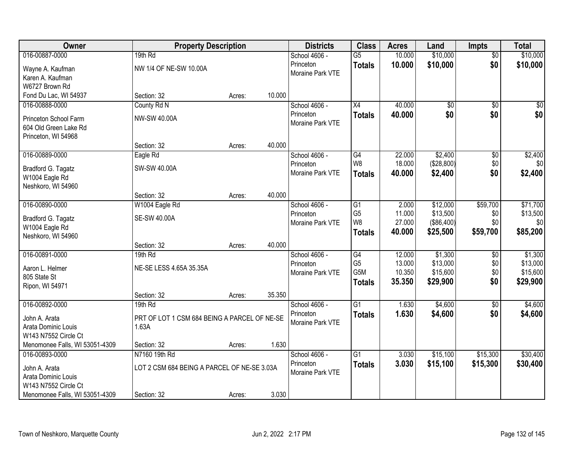| Owner                          | <b>Property Description</b>                  |        |        | <b>Districts</b> | <b>Class</b>    | <b>Acres</b> | Land            | <b>Impts</b>    | <b>Total</b> |
|--------------------------------|----------------------------------------------|--------|--------|------------------|-----------------|--------------|-----------------|-----------------|--------------|
| 016-00887-0000                 | 19th Rd                                      |        |        | School 4606 -    | $\overline{G5}$ | 10.000       | \$10,000        | $\overline{50}$ | \$10,000     |
| Wayne A. Kaufman               | NW 1/4 OF NE-SW 10.00A                       |        |        | Princeton        | <b>Totals</b>   | 10.000       | \$10,000        | \$0             | \$10,000     |
| Karen A. Kaufman               |                                              |        |        | Moraine Park VTE |                 |              |                 |                 |              |
| W6727 Brown Rd                 |                                              |        |        |                  |                 |              |                 |                 |              |
| Fond Du Lac, WI 54937          | Section: 32                                  | Acres: | 10.000 |                  |                 |              |                 |                 |              |
| 016-00888-0000                 | County Rd N                                  |        |        | School 4606 -    | $\overline{X4}$ | 40.000       | $\overline{50}$ | $\overline{50}$ | \$0          |
| Princeton School Farm          | NW-SW 40.00A                                 |        |        | Princeton        | <b>Totals</b>   | 40.000       | \$0             | \$0             | \$0          |
| 604 Old Green Lake Rd          |                                              |        |        | Moraine Park VTE |                 |              |                 |                 |              |
| Princeton, WI 54968            |                                              |        |        |                  |                 |              |                 |                 |              |
|                                | Section: 32                                  | Acres: | 40.000 |                  |                 |              |                 |                 |              |
| 016-00889-0000                 | Eagle Rd                                     |        |        | School 4606 -    | $\overline{G4}$ | 22.000       | \$2,400         | \$0             | \$2,400      |
| Bradford G. Tagatz             | SW-SW 40.00A                                 |        |        | Princeton        | W8              | 18.000       | (\$28,800)      | \$0             | \$0          |
| W1004 Eagle Rd                 |                                              |        |        | Moraine Park VTE | <b>Totals</b>   | 40.000       | \$2,400         | \$0             | \$2,400      |
| Neshkoro, WI 54960             |                                              |        |        |                  |                 |              |                 |                 |              |
|                                | Section: 32                                  | Acres: | 40.000 |                  |                 |              |                 |                 |              |
| 016-00890-0000                 | W1004 Eagle Rd                               |        |        | School 4606 -    | G1              | 2.000        | \$12,000        | \$59,700        | \$71,700     |
| Bradford G. Tagatz             | SE-SW 40.00A                                 |        |        | Princeton        | G <sub>5</sub>  | 11.000       | \$13,500        | \$0             | \$13,500     |
| W1004 Eagle Rd                 |                                              |        |        | Moraine Park VTE | W8              | 27.000       | (\$86,400)      | \$0             | \$0          |
| Neshkoro, WI 54960             |                                              |        |        |                  | <b>Totals</b>   | 40.000       | \$25,500        | \$59,700        | \$85,200     |
|                                | Section: 32                                  | Acres: | 40.000 |                  |                 |              |                 |                 |              |
| 016-00891-0000                 | 19th Rd                                      |        |        | School 4606 -    | G4              | 12.000       | \$1,300         | \$0             | \$1,300      |
| Aaron L. Helmer                | NE-SE LESS 4.65A 35.35A                      |        |        | Princeton        | G <sub>5</sub>  | 13.000       | \$13,000        | \$0             | \$13,000     |
| 805 State St                   |                                              |        |        | Moraine Park VTE | G5M             | 10.350       | \$15,600        | \$0             | \$15,600     |
| Ripon, WI 54971                |                                              |        |        |                  | <b>Totals</b>   | 35.350       | \$29,900        | \$0             | \$29,900     |
|                                | Section: 32                                  | Acres: | 35.350 |                  |                 |              |                 |                 |              |
| 016-00892-0000                 | 19th Rd                                      |        |        | School 4606 -    | $\overline{G1}$ | 1.630        | \$4,600         | \$0             | \$4,600      |
| John A. Arata                  | PRT OF LOT 1 CSM 684 BEING A PARCEL OF NE-SE |        |        | Princeton        | <b>Totals</b>   | 1.630        | \$4,600         | \$0             | \$4,600      |
| Arata Dominic Louis            | 1.63A                                        |        |        | Moraine Park VTE |                 |              |                 |                 |              |
| W143 N7552 Circle Ct           |                                              |        |        |                  |                 |              |                 |                 |              |
| Menomonee Falls, WI 53051-4309 | Section: 32                                  | Acres: | 1.630  |                  |                 |              |                 |                 |              |
| 016-00893-0000                 | N7160 19th Rd                                |        |        | School 4606 -    | $\overline{G1}$ | 3.030        | \$15,100        | \$15,300        | \$30,400     |
| John A. Arata                  | LOT 2 CSM 684 BEING A PARCEL OF NE-SE 3.03A  |        |        | Princeton        | <b>Totals</b>   | 3.030        | \$15,100        | \$15,300        | \$30,400     |
| Arata Dominic Louis            |                                              |        |        | Moraine Park VTE |                 |              |                 |                 |              |
| W143 N7552 Circle Ct           |                                              |        |        |                  |                 |              |                 |                 |              |
| Menomonee Falls, WI 53051-4309 | Section: 32                                  | Acres: | 3.030  |                  |                 |              |                 |                 |              |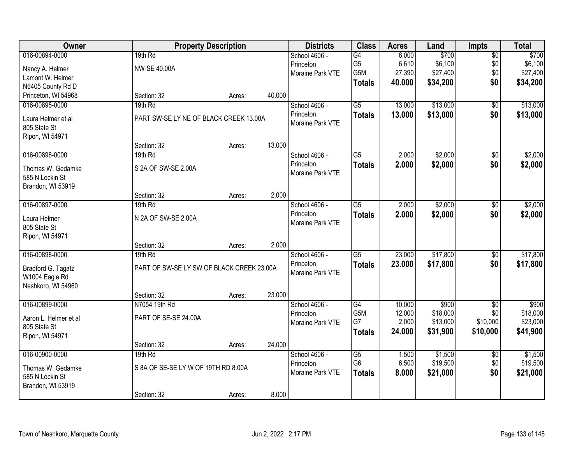| Owner                                | <b>Property Description</b>               |        |        | <b>Districts</b> | <b>Class</b>    | <b>Acres</b> | Land     | Impts           | <b>Total</b> |
|--------------------------------------|-------------------------------------------|--------|--------|------------------|-----------------|--------------|----------|-----------------|--------------|
| 016-00894-0000                       | 19th Rd                                   |        |        | School 4606 -    | G4              | 6.000        | \$700    | $\overline{50}$ | \$700        |
| Nancy A. Helmer                      | <b>NW-SE 40.00A</b>                       |        |        | Princeton        | G <sub>5</sub>  | 6.610        | \$6,100  | \$0             | \$6,100      |
| Lamont W. Helmer                     |                                           |        |        | Moraine Park VTE | G5M             | 27.390       | \$27,400 | \$0             | \$27,400     |
| N6405 County Rd D                    |                                           |        |        |                  | <b>Totals</b>   | 40.000       | \$34,200 | \$0             | \$34,200     |
| Princeton, WI 54968                  | Section: 32                               | Acres: | 40.000 |                  |                 |              |          |                 |              |
| 016-00895-0000                       | 19th Rd                                   |        |        | School 4606 -    | $\overline{G5}$ | 13.000       | \$13,000 | $\overline{50}$ | \$13,000     |
| Laura Helmer et al                   | PART SW-SE LY NE OF BLACK CREEK 13.00A    |        |        | Princeton        | <b>Totals</b>   | 13.000       | \$13,000 | \$0             | \$13,000     |
| 805 State St                         |                                           |        |        | Moraine Park VTE |                 |              |          |                 |              |
| Ripon, WI 54971                      |                                           |        |        |                  |                 |              |          |                 |              |
|                                      | Section: 32                               | Acres: | 13.000 |                  |                 |              |          |                 |              |
| 016-00896-0000                       | 19th Rd                                   |        |        | School 4606 -    | G5              | 2.000        | \$2,000  | \$0             | \$2,000      |
| Thomas W. Gedamke                    | S 2A OF SW-SE 2.00A                       |        |        | Princeton        | <b>Totals</b>   | 2.000        | \$2,000  | \$0             | \$2,000      |
| 585 N Lockin St                      |                                           |        |        | Moraine Park VTE |                 |              |          |                 |              |
| Brandon, WI 53919                    |                                           |        |        |                  |                 |              |          |                 |              |
|                                      | Section: 32                               | Acres: | 2.000  |                  |                 |              |          |                 |              |
| 016-00897-0000                       | 19th Rd                                   |        |        | School 4606 -    | $\overline{G5}$ | 2.000        | \$2,000  | \$0             | \$2,000      |
| Laura Helmer                         | N 2A OF SW-SE 2.00A                       |        |        | Princeton        | <b>Totals</b>   | 2.000        | \$2,000  | \$0             | \$2,000      |
| 805 State St                         |                                           |        |        | Moraine Park VTE |                 |              |          |                 |              |
| Ripon, WI 54971                      |                                           |        |        |                  |                 |              |          |                 |              |
|                                      | Section: 32                               | Acres: | 2.000  |                  |                 |              |          |                 |              |
| 016-00898-0000                       | 19th Rd                                   |        |        | School 4606 -    | $\overline{G5}$ | 23.000       | \$17,800 | $\overline{50}$ | \$17,800     |
|                                      | PART OF SW-SE LY SW OF BLACK CREEK 23.00A |        |        | Princeton        | <b>Totals</b>   | 23.000       | \$17,800 | \$0             | \$17,800     |
| Bradford G. Tagatz<br>W1004 Eagle Rd |                                           |        |        | Moraine Park VTE |                 |              |          |                 |              |
| Neshkoro, WI 54960                   |                                           |        |        |                  |                 |              |          |                 |              |
|                                      | Section: 32                               | Acres: | 23.000 |                  |                 |              |          |                 |              |
| 016-00899-0000                       | N7054 19th Rd                             |        |        | School 4606 -    | $\overline{G4}$ | 10.000       | \$900    | $\overline{50}$ | \$900        |
| Aaron L. Helmer et al                | PART OF SE-SE 24.00A                      |        |        | Princeton        | G5M             | 12.000       | \$18,000 | \$0             | \$18,000     |
| 805 State St                         |                                           |        |        | Moraine Park VTE | G7              | 2.000        | \$13,000 | \$10,000        | \$23,000     |
| Ripon, WI 54971                      |                                           |        |        |                  | <b>Totals</b>   | 24.000       | \$31,900 | \$10,000        | \$41,900     |
|                                      | Section: 32                               | Acres: | 24.000 |                  |                 |              |          |                 |              |
| 016-00900-0000                       | 19th Rd                                   |        |        | School 4606 -    | $\overline{G5}$ | 1.500        | \$1,500  | $\overline{50}$ | \$1,500      |
| Thomas W. Gedamke                    | S 8A OF SE-SE LY W OF 19TH RD 8.00A       |        |        | Princeton        | G <sub>6</sub>  | 6.500        | \$19,500 | \$0             | \$19,500     |
| 585 N Lockin St                      |                                           |        |        | Moraine Park VTE | <b>Totals</b>   | 8.000        | \$21,000 | \$0             | \$21,000     |
| Brandon, WI 53919                    |                                           |        |        |                  |                 |              |          |                 |              |
|                                      | Section: 32                               | Acres: | 8.000  |                  |                 |              |          |                 |              |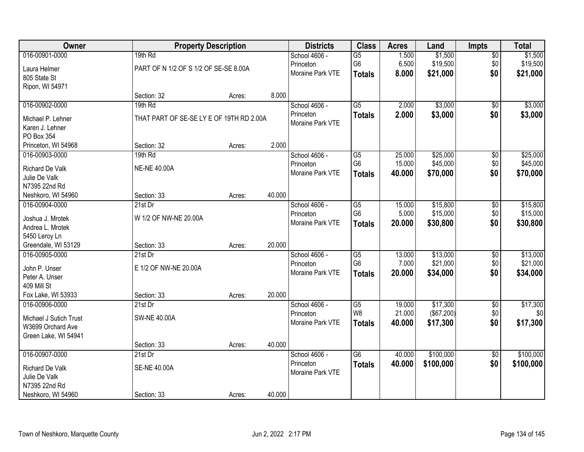| Owner                          |                                          | <b>Property Description</b> |        | <b>Districts</b> | <b>Class</b>    | <b>Acres</b> | Land       | <b>Impts</b>    | <b>Total</b> |
|--------------------------------|------------------------------------------|-----------------------------|--------|------------------|-----------------|--------------|------------|-----------------|--------------|
| 016-00901-0000                 | 19th Rd                                  |                             |        | School 4606 -    | G5              | 1.500        | \$1,500    | $\overline{50}$ | \$1,500      |
| Laura Helmer                   | PART OF N 1/2 OF S 1/2 OF SE-SE 8.00A    |                             |        | Princeton        | G <sub>6</sub>  | 6.500        | \$19,500   | \$0             | \$19,500     |
| 805 State St                   |                                          |                             |        | Moraine Park VTE | <b>Totals</b>   | 8.000        | \$21,000   | \$0             | \$21,000     |
| Ripon, WI 54971                |                                          |                             |        |                  |                 |              |            |                 |              |
|                                | Section: 32                              | Acres:                      | 8.000  |                  |                 |              |            |                 |              |
| 016-00902-0000                 | 19th Rd                                  |                             |        | School 4606 -    | $\overline{G5}$ | 2.000        | \$3,000    | $\overline{50}$ | \$3,000      |
| Michael P. Lehner              | THAT PART OF SE-SE LY E OF 19TH RD 2.00A |                             |        | Princeton        | <b>Totals</b>   | 2.000        | \$3,000    | \$0             | \$3,000      |
| Karen J. Lehner                |                                          |                             |        | Moraine Park VTE |                 |              |            |                 |              |
| PO Box 354                     |                                          |                             |        |                  |                 |              |            |                 |              |
| Princeton, WI 54968            | Section: 32                              | Acres:                      | 2.000  |                  |                 |              |            |                 |              |
| 016-00903-0000                 | 19th Rd                                  |                             |        | School 4606 -    | G5              | 25.000       | \$25,000   | \$0             | \$25,000     |
|                                |                                          |                             |        | Princeton        | G <sub>6</sub>  | 15.000       | \$45,000   | \$0             | \$45,000     |
| <b>Richard De Valk</b>         | <b>NE-NE 40.00A</b>                      |                             |        | Moraine Park VTE | <b>Totals</b>   | 40.000       | \$70,000   | \$0             | \$70,000     |
| Julie De Valk<br>N7395 22nd Rd |                                          |                             |        |                  |                 |              |            |                 |              |
| Neshkoro, WI 54960             | Section: 33                              | Acres:                      | 40.000 |                  |                 |              |            |                 |              |
| 016-00904-0000                 | $21st$ Dr                                |                             |        | School 4606 -    | G <sub>5</sub>  | 15.000       | \$15,800   | \$0             | \$15,800     |
|                                |                                          |                             |        | Princeton        | G <sub>6</sub>  | 5.000        | \$15,000   | \$0             | \$15,000     |
| Joshua J. Mrotek               | W 1/2 OF NW-NE 20.00A                    |                             |        | Moraine Park VTE | <b>Totals</b>   | 20.000       | \$30,800   | \$0             | \$30,800     |
| Andrea L. Mrotek               |                                          |                             |        |                  |                 |              |            |                 |              |
| 5450 Leroy Ln                  |                                          |                             |        |                  |                 |              |            |                 |              |
| Greendale, WI 53129            | Section: 33                              | Acres:                      | 20.000 |                  |                 |              |            |                 |              |
| 016-00905-0000                 | 21st Dr                                  |                             |        | School 4606 -    | $\overline{G5}$ | 13.000       | \$13,000   | $\overline{30}$ | \$13,000     |
| John P. Unser                  | E 1/2 OF NW-NE 20.00A                    |                             |        | Princeton        | G <sub>6</sub>  | 7.000        | \$21,000   | \$0             | \$21,000     |
| Peter A. Unser                 |                                          |                             |        | Moraine Park VTE | <b>Totals</b>   | 20.000       | \$34,000   | \$0             | \$34,000     |
| 409 Mill St                    |                                          |                             |        |                  |                 |              |            |                 |              |
| Fox Lake, WI 53933             | Section: 33                              | Acres:                      | 20.000 |                  |                 |              |            |                 |              |
| 016-00906-0000                 | $21st$ Dr                                |                             |        | School 4606 -    | $\overline{G5}$ | 19.000       | \$17,300   | $\overline{60}$ | \$17,300     |
| Michael J Sutich Trust         | <b>SW-NE 40.00A</b>                      |                             |        | Princeton        | W8              | 21.000       | (\$67,200) | \$0             | \$0          |
| W3699 Orchard Ave              |                                          |                             |        | Moraine Park VTE | <b>Totals</b>   | 40.000       | \$17,300   | \$0             | \$17,300     |
| Green Lake, WI 54941           |                                          |                             |        |                  |                 |              |            |                 |              |
|                                | Section: 33                              | Acres:                      | 40.000 |                  |                 |              |            |                 |              |
| 016-00907-0000                 | 21st Dr                                  |                             |        | School 4606 -    | $\overline{G6}$ | 40.000       | \$100,000  | $\overline{50}$ | \$100,000    |
| <b>Richard De Valk</b>         | <b>SE-NE 40.00A</b>                      |                             |        | Princeton        | <b>Totals</b>   | 40.000       | \$100,000  | \$0             | \$100,000    |
| Julie De Valk                  |                                          |                             |        | Moraine Park VTE |                 |              |            |                 |              |
| N7395 22nd Rd                  |                                          |                             |        |                  |                 |              |            |                 |              |
| Neshkoro, WI 54960             | Section: 33                              | Acres:                      | 40.000 |                  |                 |              |            |                 |              |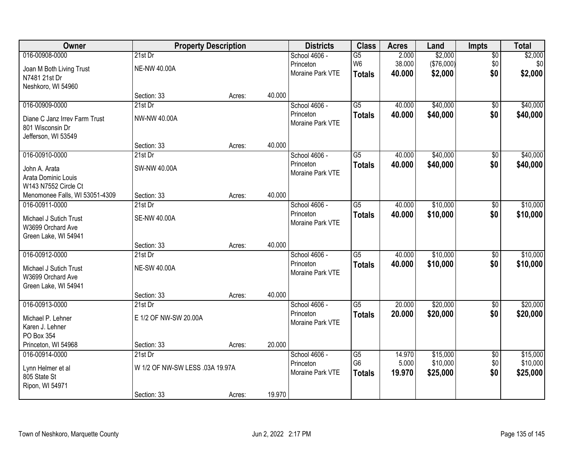| Owner                          | <b>Property Description</b>     |        |        | <b>Districts</b>              | <b>Class</b>    | <b>Acres</b> | Land       | Impts           | <b>Total</b> |
|--------------------------------|---------------------------------|--------|--------|-------------------------------|-----------------|--------------|------------|-----------------|--------------|
| 016-00908-0000                 | $21st$ Dr                       |        |        | School 4606 -                 | $\overline{G5}$ | 2.000        | \$2,000    | $\overline{50}$ | \$2,000      |
| Joan M Both Living Trust       | <b>NE-NW 40.00A</b>             |        |        | Princeton                     | W <sub>6</sub>  | 38.000       | (\$76,000) | \$0             | \$0          |
| N7481 21st Dr                  |                                 |        |        | Moraine Park VTE              | <b>Totals</b>   | 40.000       | \$2,000    | \$0             | \$2,000      |
| Neshkoro, WI 54960             |                                 |        |        |                               |                 |              |            |                 |              |
|                                | Section: 33                     | Acres: | 40.000 |                               |                 |              |            |                 |              |
| 016-00909-0000                 | $21st$ Dr                       |        |        | School 4606 -                 | $\overline{G5}$ | 40.000       | \$40,000   | $\overline{50}$ | \$40,000     |
| Diane C Janz Irrey Farm Trust  | NW-NW 40.00A                    |        |        | Princeton                     | <b>Totals</b>   | 40.000       | \$40,000   | \$0             | \$40,000     |
| 801 Wisconsin Dr               |                                 |        |        | Moraine Park VTE              |                 |              |            |                 |              |
| Jefferson, WI 53549            |                                 |        |        |                               |                 |              |            |                 |              |
|                                | Section: 33                     | Acres: | 40.000 |                               |                 |              |            |                 |              |
| 016-00910-0000                 | 21st Dr                         |        |        | School 4606 -                 | $\overline{G5}$ | 40.000       | \$40,000   | $\overline{50}$ | \$40,000     |
| John A. Arata                  | <b>SW-NW 40.00A</b>             |        |        | Princeton                     | <b>Totals</b>   | 40.000       | \$40,000   | \$0             | \$40,000     |
| Arata Dominic Louis            |                                 |        |        | Moraine Park VTE              |                 |              |            |                 |              |
| W143 N7552 Circle Ct           |                                 |        |        |                               |                 |              |            |                 |              |
| Menomonee Falls, WI 53051-4309 | Section: 33                     | Acres: | 40.000 |                               |                 |              |            |                 |              |
| 016-00911-0000                 | $21st$ Dr                       |        |        | School 4606 -                 | G5              | 40.000       | \$10,000   | \$0             | \$10,000     |
| Michael J Sutich Trust         | <b>SE-NW 40.00A</b>             |        |        | Princeton                     | <b>Totals</b>   | 40.000       | \$10,000   | \$0             | \$10,000     |
| W3699 Orchard Ave              |                                 |        |        | Moraine Park VTE              |                 |              |            |                 |              |
| Green Lake, WI 54941           |                                 |        |        |                               |                 |              |            |                 |              |
|                                | Section: 33                     | Acres: | 40.000 |                               |                 |              |            |                 |              |
| 016-00912-0000                 | 21st Dr                         |        |        | School 4606 -                 | $\overline{G5}$ | 40.000       | \$10,000   | $\overline{50}$ | \$10,000     |
| Michael J Sutich Trust         | <b>NE-SW 40.00A</b>             |        |        | Princeton                     | <b>Totals</b>   | 40.000       | \$10,000   | \$0             | \$10,000     |
| W3699 Orchard Ave              |                                 |        |        | Moraine Park VTE              |                 |              |            |                 |              |
| Green Lake, WI 54941           |                                 |        |        |                               |                 |              |            |                 |              |
|                                | Section: 33                     | Acres: | 40.000 |                               |                 |              |            |                 |              |
| 016-00913-0000                 | 21st Dr                         |        |        | School 4606 -                 | G5              | 20.000       | \$20,000   | $\sqrt{6}$      | \$20,000     |
| Michael P. Lehner              | E 1/2 OF NW-SW 20.00A           |        |        | Princeton<br>Moraine Park VTE | <b>Totals</b>   | 20.000       | \$20,000   | \$0             | \$20,000     |
| Karen J. Lehner                |                                 |        |        |                               |                 |              |            |                 |              |
| PO Box 354                     |                                 |        |        |                               |                 |              |            |                 |              |
| Princeton, WI 54968            | Section: 33                     | Acres: | 20.000 |                               |                 |              |            |                 |              |
| 016-00914-0000                 | $21st$ Dr                       |        |        | School 4606 -                 | G5              | 14.970       | \$15,000   | $\overline{50}$ | \$15,000     |
| Lynn Helmer et al              | W 1/2 OF NW-SW LESS .03A 19.97A |        |        | Princeton<br>Moraine Park VTE | G <sub>6</sub>  | 5.000        | \$10,000   | \$0             | \$10,000     |
| 805 State St                   |                                 |        |        |                               | <b>Totals</b>   | 19.970       | \$25,000   | \$0             | \$25,000     |
| Ripon, WI 54971                |                                 |        |        |                               |                 |              |            |                 |              |
|                                | Section: 33                     | Acres: | 19.970 |                               |                 |              |            |                 |              |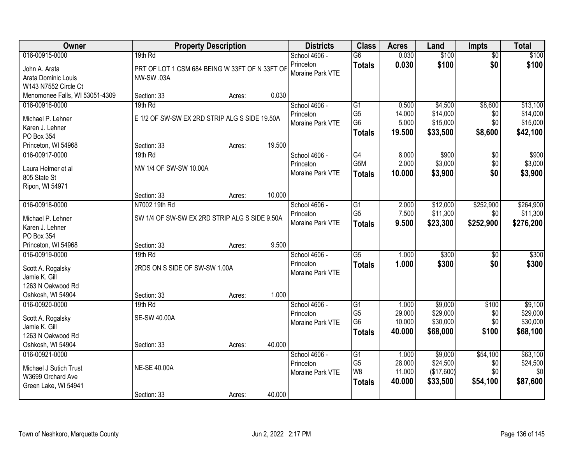| Owner                              |                                                | <b>Property Description</b> |        | <b>Districts</b> | <b>Class</b>    | <b>Acres</b> | Land       | <b>Impts</b>    | <b>Total</b> |
|------------------------------------|------------------------------------------------|-----------------------------|--------|------------------|-----------------|--------------|------------|-----------------|--------------|
| 016-00915-0000                     | 19th Rd                                        |                             |        | School 4606 -    | $\overline{G6}$ | 0.030        | \$100      | $\overline{50}$ | \$100        |
| John A. Arata                      | PRT OF LOT 1 CSM 684 BEING W 33FT OF N 33FT OF |                             |        | Princeton        | <b>Totals</b>   | 0.030        | \$100      | \$0             | \$100        |
| Arata Dominic Louis                | NW-SW .03A                                     |                             |        | Moraine Park VTE |                 |              |            |                 |              |
| W143 N7552 Circle Ct               |                                                |                             |        |                  |                 |              |            |                 |              |
| Menomonee Falls, WI 53051-4309     | Section: 33                                    | Acres:                      | 0.030  |                  |                 |              |            |                 |              |
| 016-00916-0000                     | 19th Rd                                        |                             |        | School 4606 -    | $\overline{G1}$ | 0.500        | \$4,500    | \$8,600         | \$13,100     |
| Michael P. Lehner                  | E 1/2 OF SW-SW EX 2RD STRIP ALG S SIDE 19.50A  |                             |        | Princeton        | G <sub>5</sub>  | 14.000       | \$14,000   | \$0             | \$14,000     |
| Karen J. Lehner                    |                                                |                             |        | Moraine Park VTE | G <sub>6</sub>  | 5.000        | \$15,000   | \$0             | \$15,000     |
| PO Box 354                         |                                                |                             |        |                  | <b>Totals</b>   | 19.500       | \$33,500   | \$8,600         | \$42,100     |
| Princeton, WI 54968                | Section: 33                                    | Acres:                      | 19.500 |                  |                 |              |            |                 |              |
| 016-00917-0000                     | 19th Rd                                        |                             |        | School 4606 -    | $\overline{G4}$ | 8.000        | \$900      | $\overline{50}$ | \$900        |
| Laura Helmer et al                 | NW 1/4 OF SW-SW 10.00A                         |                             |        | Princeton        | G5M             | 2.000        | \$3,000    | \$0             | \$3,000      |
| 805 State St                       |                                                |                             |        | Moraine Park VTE | <b>Totals</b>   | 10.000       | \$3,900    | \$0             | \$3,900      |
| Ripon, WI 54971                    |                                                |                             |        |                  |                 |              |            |                 |              |
|                                    | Section: 33                                    | Acres:                      | 10.000 |                  |                 |              |            |                 |              |
| 016-00918-0000                     | N7002 19th Rd                                  |                             |        | School 4606 -    | $\overline{G1}$ | 2.000        | \$12,000   | \$252,900       | \$264,900    |
| Michael P. Lehner                  | SW 1/4 OF SW-SW EX 2RD STRIP ALG S SIDE 9.50A  |                             |        | Princeton        | G <sub>5</sub>  | 7.500        | \$11,300   | \$0             | \$11,300     |
| Karen J. Lehner                    |                                                |                             |        | Moraine Park VTE | <b>Totals</b>   | 9.500        | \$23,300   | \$252,900       | \$276,200    |
| PO Box 354                         |                                                |                             |        |                  |                 |              |            |                 |              |
| Princeton, WI 54968                | Section: 33                                    | Acres:                      | 9.500  |                  |                 |              |            |                 |              |
| 016-00919-0000                     | 19th Rd                                        |                             |        | School 4606 -    | $\overline{G5}$ | 1.000        | \$300      | $\overline{30}$ | \$300        |
|                                    |                                                |                             |        | Princeton        | <b>Totals</b>   | 1.000        | \$300      | \$0             | \$300        |
| Scott A. Rogalsky<br>Jamie K. Gill | 2RDS ON S SIDE OF SW-SW 1.00A                  |                             |        | Moraine Park VTE |                 |              |            |                 |              |
| 1263 N Oakwood Rd                  |                                                |                             |        |                  |                 |              |            |                 |              |
| Oshkosh, WI 54904                  | Section: 33                                    | Acres:                      | 1.000  |                  |                 |              |            |                 |              |
| 016-00920-0000                     | 19th Rd                                        |                             |        | School 4606 -    | $\overline{G1}$ | 1.000        | \$9,000    | \$100           | \$9,100      |
|                                    |                                                |                             |        | Princeton        | G <sub>5</sub>  | 29.000       | \$29,000   | \$0             | \$29,000     |
| Scott A. Rogalsky                  | <b>SE-SW 40.00A</b>                            |                             |        | Moraine Park VTE | G <sub>6</sub>  | 10.000       | \$30,000   | \$0             | \$30,000     |
| Jamie K. Gill<br>1263 N Oakwood Rd |                                                |                             |        |                  | <b>Totals</b>   | 40.000       | \$68,000   | \$100           | \$68,100     |
| Oshkosh, WI 54904                  | Section: 33                                    | Acres:                      | 40.000 |                  |                 |              |            |                 |              |
| 016-00921-0000                     |                                                |                             |        | School 4606 -    | $\overline{G1}$ | 1.000        | \$9,000    | \$54,100        | \$63,100     |
|                                    |                                                |                             |        | Princeton        | G <sub>5</sub>  | 28.000       | \$24,500   | \$0             | \$24,500     |
| Michael J Sutich Trust             | <b>NE-SE 40.00A</b>                            |                             |        | Moraine Park VTE | W <sub>8</sub>  | 11.000       | (\$17,600) | \$0             | \$0          |
| W3699 Orchard Ave                  |                                                |                             |        |                  | <b>Totals</b>   | 40.000       | \$33,500   | \$54,100        | \$87,600     |
| Green Lake, WI 54941               |                                                |                             | 40.000 |                  |                 |              |            |                 |              |
|                                    | Section: 33                                    | Acres:                      |        |                  |                 |              |            |                 |              |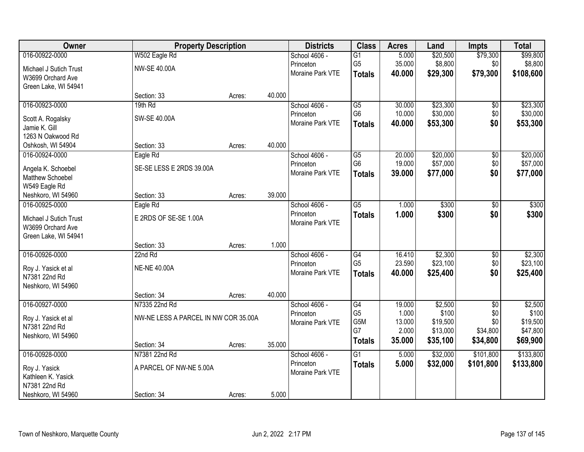| Owner                  |                                      | <b>Property Description</b> |        | <b>Districts</b> | <b>Class</b>          | <b>Acres</b>    | Land              | <b>Impts</b>    | <b>Total</b>      |
|------------------------|--------------------------------------|-----------------------------|--------|------------------|-----------------------|-----------------|-------------------|-----------------|-------------------|
| 016-00922-0000         | W502 Eagle Rd                        |                             |        | School 4606 -    | G1                    | 5.000           | \$20,500          | \$79,300        | \$99,800          |
| Michael J Sutich Trust | NW-SE 40.00A                         |                             |        | Princeton        | G <sub>5</sub>        | 35.000          | \$8,800           | \$0             | \$8,800           |
| W3699 Orchard Ave      |                                      |                             |        | Moraine Park VTE | <b>Totals</b>         | 40.000          | \$29,300          | \$79,300        | \$108,600         |
| Green Lake, WI 54941   |                                      |                             |        |                  |                       |                 |                   |                 |                   |
|                        | Section: 33                          | Acres:                      | 40.000 |                  |                       |                 |                   |                 |                   |
| 016-00923-0000         | 19th Rd                              |                             |        | School 4606 -    | $\overline{G5}$       | 30.000          | \$23,300          | \$0             | \$23,300          |
| Scott A. Rogalsky      | SW-SE 40.00A                         |                             |        | Princeton        | G <sub>6</sub>        | 10.000          | \$30,000          | \$0             | \$30,000          |
| Jamie K. Gill          |                                      |                             |        | Moraine Park VTE | <b>Totals</b>         | 40.000          | \$53,300          | \$0             | \$53,300          |
| 1263 N Oakwood Rd      |                                      |                             |        |                  |                       |                 |                   |                 |                   |
| Oshkosh, WI 54904      | Section: 33                          | Acres:                      | 40.000 |                  |                       |                 |                   |                 |                   |
| 016-00924-0000         | Eagle Rd                             |                             |        | School 4606 -    | $\overline{G5}$       | 20.000          | \$20,000          | \$0             | \$20,000          |
| Angela K. Schoebel     | SE-SE LESS E 2RDS 39.00A             |                             |        | Princeton        | G <sub>6</sub>        | 19.000          | \$57,000          | \$0             | \$57,000          |
| Matthew Schoebel       |                                      |                             |        | Moraine Park VTE | <b>Totals</b>         | 39.000          | \$77,000          | \$0             | \$77,000          |
| W549 Eagle Rd          |                                      |                             |        |                  |                       |                 |                   |                 |                   |
| Neshkoro, WI 54960     | Section: 33                          | Acres:                      | 39.000 |                  |                       |                 |                   |                 |                   |
| 016-00925-0000         | Eagle Rd                             |                             |        | School 4606 -    | $\overline{G5}$       | 1.000           | \$300             | $\overline{50}$ | \$300             |
| Michael J Sutich Trust | E 2RDS OF SE-SE 1.00A                |                             |        | Princeton        | <b>Totals</b>         | 1.000           | \$300             | \$0             | \$300             |
| W3699 Orchard Ave      |                                      |                             |        | Moraine Park VTE |                       |                 |                   |                 |                   |
| Green Lake, WI 54941   |                                      |                             |        |                  |                       |                 |                   |                 |                   |
|                        | Section: 33                          | Acres:                      | 1.000  |                  |                       |                 |                   |                 |                   |
| 016-00926-0000         | 22nd Rd                              |                             |        | School 4606 -    | G4                    | 16.410          | \$2,300           | \$0             | \$2,300           |
| Roy J. Yasick et al    | <b>NE-NE 40.00A</b>                  |                             |        | Princeton        | G <sub>5</sub>        | 23.590          | \$23,100          | \$0             | \$23,100          |
| N7381 22nd Rd          |                                      |                             |        | Moraine Park VTE | <b>Totals</b>         | 40.000          | \$25,400          | \$0             | \$25,400          |
| Neshkoro, WI 54960     |                                      |                             |        |                  |                       |                 |                   |                 |                   |
|                        | Section: 34                          | Acres:                      | 40.000 |                  |                       |                 |                   |                 |                   |
| 016-00927-0000         | N7335 22nd Rd                        |                             |        | School 4606 -    | G4                    | 19.000          | \$2,500           | $\sqrt{6}$      | \$2,500           |
| Roy J. Yasick et al    | NW-NE LESS A PARCEL IN NW COR 35.00A |                             |        | Princeton        | G <sub>5</sub><br>G5M | 1.000<br>13.000 | \$100<br>\$19,500 | \$0<br>\$0      | \$100<br>\$19,500 |
| N7381 22nd Rd          |                                      |                             |        | Moraine Park VTE | G7                    | 2.000           | \$13,000          | \$34,800        | \$47,800          |
| Neshkoro, WI 54960     |                                      |                             |        |                  | <b>Totals</b>         | 35.000          | \$35,100          | \$34,800        | \$69,900          |
|                        | Section: 34                          | Acres:                      | 35.000 |                  |                       |                 |                   |                 |                   |
| 016-00928-0000         | N7381 22nd Rd                        |                             |        | School 4606 -    | $\overline{G1}$       | 5.000           | \$32,000          | \$101,800       | \$133,800         |
| Roy J. Yasick          | A PARCEL OF NW-NE 5.00A              |                             |        | Princeton        | <b>Totals</b>         | 5.000           | \$32,000          | \$101,800       | \$133,800         |
| Kathleen K. Yasick     |                                      |                             |        | Moraine Park VTE |                       |                 |                   |                 |                   |
| N7381 22nd Rd          |                                      |                             |        |                  |                       |                 |                   |                 |                   |
| Neshkoro, WI 54960     | Section: 34                          | Acres:                      | 5.000  |                  |                       |                 |                   |                 |                   |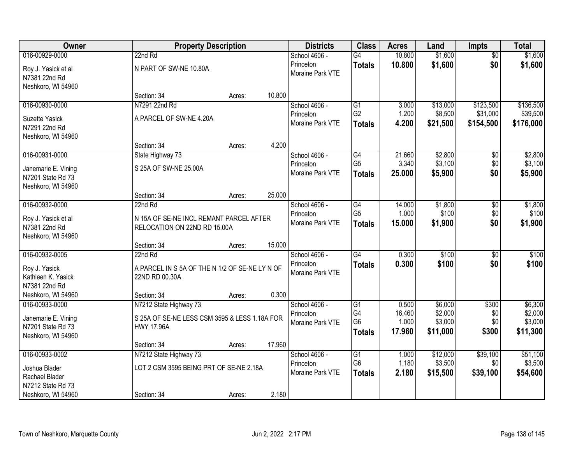| Owner                                                          |                                                                         | <b>Property Description</b> |        | <b>Districts</b>              | <b>Class</b>                    | <b>Acres</b>    | Land                | <b>Impts</b>    | <b>Total</b>        |
|----------------------------------------------------------------|-------------------------------------------------------------------------|-----------------------------|--------|-------------------------------|---------------------------------|-----------------|---------------------|-----------------|---------------------|
| 016-00929-0000                                                 | 22nd Rd                                                                 |                             |        | School 4606 -                 | $\overline{G4}$                 | 10.800          | \$1,600             | $\overline{50}$ | \$1,600             |
| Roy J. Yasick et al<br>N7381 22nd Rd<br>Neshkoro, WI 54960     | N PART OF SW-NE 10.80A                                                  |                             |        | Princeton<br>Moraine Park VTE | <b>Totals</b>                   | 10.800          | \$1,600             | \$0             | \$1,600             |
|                                                                | Section: 34                                                             | Acres:                      | 10.800 |                               |                                 |                 |                     |                 |                     |
| 016-00930-0000                                                 | N7291 22nd Rd                                                           |                             |        | School 4606 -                 | G1                              | 3.000           | \$13,000            | \$123,500       | \$136,500           |
| Suzette Yasick                                                 | A PARCEL OF SW-NE 4.20A                                                 |                             |        | Princeton                     | G <sub>2</sub>                  | 1.200           | \$8,500             | \$31,000        | \$39,500            |
| N7291 22nd Rd<br>Neshkoro, WI 54960                            |                                                                         |                             |        | Moraine Park VTE              | <b>Totals</b>                   | 4.200           | \$21,500            | \$154,500       | \$176,000           |
|                                                                | Section: 34                                                             | Acres:                      | 4.200  |                               |                                 |                 |                     |                 |                     |
| 016-00931-0000                                                 | State Highway 73                                                        |                             |        | School 4606 -                 | $\overline{G4}$                 | 21.660          | \$2,800             | \$0             | \$2,800             |
| Janemarie E. Vining<br>N7201 State Rd 73<br>Neshkoro, WI 54960 | S 25A OF SW-NE 25.00A                                                   |                             |        | Princeton<br>Moraine Park VTE | G <sub>5</sub><br><b>Totals</b> | 3.340<br>25.000 | \$3,100<br>\$5,900  | \$0<br>\$0      | \$3,100<br>\$5,900  |
|                                                                | Section: 34                                                             | Acres:                      | 25.000 |                               |                                 |                 |                     |                 |                     |
| 016-00932-0000                                                 | 22nd Rd                                                                 |                             |        | School 4606 -                 | G4                              | 14.000          | \$1,800             | \$0             | \$1,800             |
| Roy J. Yasick et al<br>N7381 22nd Rd<br>Neshkoro, WI 54960     | N 15A OF SE-NE INCL REMANT PARCEL AFTER<br>RELOCATION ON 22ND RD 15.00A |                             |        | Princeton<br>Moraine Park VTE | G <sub>5</sub><br><b>Totals</b> | 1.000<br>15.000 | \$100<br>\$1,900    | \$0<br>\$0      | \$100<br>\$1,900    |
|                                                                | Section: 34                                                             | Acres:                      | 15.000 |                               |                                 |                 |                     |                 |                     |
| 016-00932-0005                                                 | 22nd Rd                                                                 |                             |        | School 4606 -                 | $\overline{G4}$                 | 0.300           | \$100               | \$0             | \$100               |
| Roy J. Yasick<br>Kathleen K. Yasick<br>N7381 22nd Rd           | A PARCEL IN S 5A OF THE N 1/2 OF SE-NE LY N OF<br>22ND RD 00.30A        |                             |        | Princeton<br>Moraine Park VTE | <b>Totals</b>                   | 0.300           | \$100               | \$0             | \$100               |
| Neshkoro, WI 54960                                             | Section: 34                                                             | Acres:                      | 0.300  |                               |                                 |                 |                     |                 |                     |
| 016-00933-0000                                                 | N7212 State Highway 73                                                  |                             |        | School 4606 -                 | G1                              | 0.500           | \$6,000             | \$300           | \$6,300             |
| Janemarie E. Vining                                            | S 25A OF SE-NE LESS CSM 3595 & LESS 1.18A FOR                           |                             |        | Princeton                     | G4                              | 16.460          | \$2,000             | \$0             | \$2,000             |
| N7201 State Rd 73                                              | <b>HWY 17.96A</b>                                                       |                             |        | Moraine Park VTE              | G <sub>6</sub>                  | 1.000           | \$3,000             | \$0             | \$3,000             |
| Neshkoro, WI 54960                                             |                                                                         |                             |        |                               | <b>Totals</b>                   | 17.960          | \$11,000            | \$300           | \$11,300            |
|                                                                | Section: 34                                                             | Acres:                      | 17.960 |                               |                                 |                 |                     |                 |                     |
| 016-00933-0002                                                 | N7212 State Highway 73                                                  |                             |        | School 4606 -                 | $\overline{G1}$                 | 1.000           | \$12,000            | \$39,100        | \$51,100            |
| Joshua Blader<br>Rachael Blader<br>N7212 State Rd 73           | LOT 2 CSM 3595 BEING PRT OF SE-NE 2.18A                                 |                             |        | Princeton<br>Moraine Park VTE | G <sub>6</sub><br><b>Totals</b> | 1.180<br>2.180  | \$3,500<br>\$15,500 | \$0<br>\$39,100 | \$3,500<br>\$54,600 |
| Neshkoro, WI 54960                                             | Section: 34                                                             | Acres:                      | 2.180  |                               |                                 |                 |                     |                 |                     |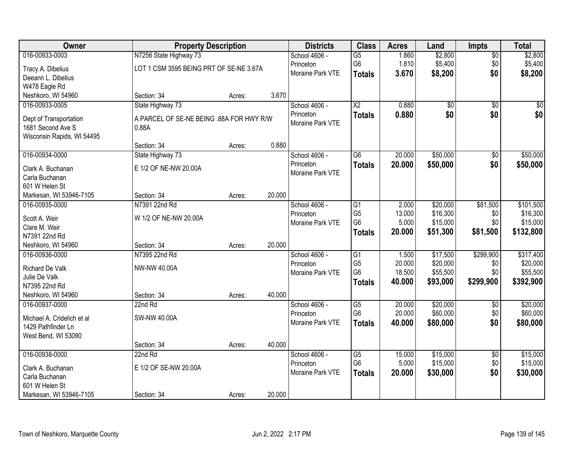| Owner                      | <b>Property Description</b>              |        |        | <b>Districts</b> | <b>Class</b>           | <b>Acres</b> | Land     | Impts           | <b>Total</b> |
|----------------------------|------------------------------------------|--------|--------|------------------|------------------------|--------------|----------|-----------------|--------------|
| 016-00933-0003             | N7256 State Highway 73                   |        |        | School 4606 -    | $\overline{G5}$        | 1.860        | \$2,800  | $\overline{50}$ | \$2,800      |
| Tracy A. Dibelius          | LOT 1 CSM 3595 BEING PRT OF SE-NE 3.67A  |        |        | Princeton        | G6                     | 1.810        | \$5,400  | \$0             | \$5,400      |
| Deeann L. Dibelius         |                                          |        |        | Moraine Park VTE | <b>Totals</b>          | 3.670        | \$8,200  | \$0             | \$8,200      |
| W478 Eagle Rd              |                                          |        |        |                  |                        |              |          |                 |              |
| Neshkoro, WI 54960         | Section: 34                              | Acres: | 3.670  |                  |                        |              |          |                 |              |
| 016-00933-0005             | State Highway 73                         |        |        | School 4606 -    | $\overline{\text{X2}}$ | 0.880        | \$0      | $\overline{50}$ | \$0          |
| Dept of Transportation     | A PARCEL OF SE-NE BEING .88A FOR HWY R/W |        |        | Princeton        | <b>Totals</b>          | 0.880        | \$0      | \$0             | \$0          |
| 1681 Second Ave S          | 0.88A                                    |        |        | Moraine Park VTE |                        |              |          |                 |              |
| Wisconsin Rapids, WI 54495 |                                          |        |        |                  |                        |              |          |                 |              |
|                            | Section: 34                              | Acres: | 0.880  |                  |                        |              |          |                 |              |
| 016-00934-0000             | State Highway 73                         |        |        | School 4606 -    | $\overline{G6}$        | 20.000       | \$50,000 | $\overline{50}$ | \$50,000     |
| Clark A. Buchanan          | E 1/2 OF NE-NW 20.00A                    |        |        | Princeton        | <b>Totals</b>          | 20.000       | \$50,000 | \$0             | \$50,000     |
| Carla Buchanan             |                                          |        |        | Moraine Park VTE |                        |              |          |                 |              |
| 601 W Helen St             |                                          |        |        |                  |                        |              |          |                 |              |
| Markesan, WI 53946-7105    | Section: 34                              | Acres: | 20.000 |                  |                        |              |          |                 |              |
| 016-00935-0000             | N7391 22nd Rd                            |        |        | School 4606 -    | G1                     | 2.000        | \$20,000 | \$81,500        | \$101,500    |
| Scott A. Weir              | W 1/2 OF NE-NW 20.00A                    |        |        | Princeton        | G <sub>5</sub>         | 13.000       | \$16,300 | \$0             | \$16,300     |
| Clare M. Weir              |                                          |        |        | Moraine Park VTE | G <sub>6</sub>         | 5.000        | \$15,000 | \$0             | \$15,000     |
| N7391 22nd Rd              |                                          |        |        |                  | <b>Totals</b>          | 20.000       | \$51,300 | \$81,500        | \$132,800    |
| Neshkoro, WI 54960         | Section: 34                              | Acres: | 20.000 |                  |                        |              |          |                 |              |
| 016-00936-0000             | N7395 22nd Rd                            |        |        | School 4606 -    | $\overline{G1}$        | 1.500        | \$17,500 | \$299,900       | \$317,400    |
| <b>Richard De Valk</b>     | NW-NW 40.00A                             |        |        | Princeton        | G <sub>5</sub>         | 20.000       | \$20,000 | \$0             | \$20,000     |
| Julie De Valk              |                                          |        |        | Moraine Park VTE | G <sub>6</sub>         | 18.500       | \$55,500 | \$0             | \$55,500     |
| N7395 22nd Rd              |                                          |        |        |                  | <b>Totals</b>          | 40.000       | \$93,000 | \$299,900       | \$392,900    |
| Neshkoro, WI 54960         | Section: 34                              | Acres: | 40.000 |                  |                        |              |          |                 |              |
| 016-00937-0000             | 22nd Rd                                  |        |        | School 4606 -    | $\overline{G5}$        | 20.000       | \$20,000 | $\sqrt{6}$      | \$20,000     |
| Michael A. Cridelich et al | SW-NW 40.00A                             |        |        | Princeton        | G <sub>6</sub>         | 20.000       | \$60,000 | \$0             | \$60,000     |
| 1429 Pathfinder Ln         |                                          |        |        | Moraine Park VTE | <b>Totals</b>          | 40.000       | \$80,000 | \$0             | \$80,000     |
| West Bend, WI 53090        |                                          |        |        |                  |                        |              |          |                 |              |
|                            | Section: 34                              | Acres: | 40.000 |                  |                        |              |          |                 |              |
| 016-00938-0000             | 22nd Rd                                  |        |        | School 4606 -    | $\overline{G5}$        | 15.000       | \$15,000 | $\overline{50}$ | \$15,000     |
| Clark A. Buchanan          | E 1/2 OF SE-NW 20.00A                    |        |        | Princeton        | G6                     | 5.000        | \$15,000 | \$0             | \$15,000     |
| Carla Buchanan             |                                          |        |        | Moraine Park VTE | <b>Totals</b>          | 20.000       | \$30,000 | \$0             | \$30,000     |
| 601 W Helen St             |                                          |        |        |                  |                        |              |          |                 |              |
| Markesan, WI 53946-7105    | Section: 34                              | Acres: | 20.000 |                  |                        |              |          |                 |              |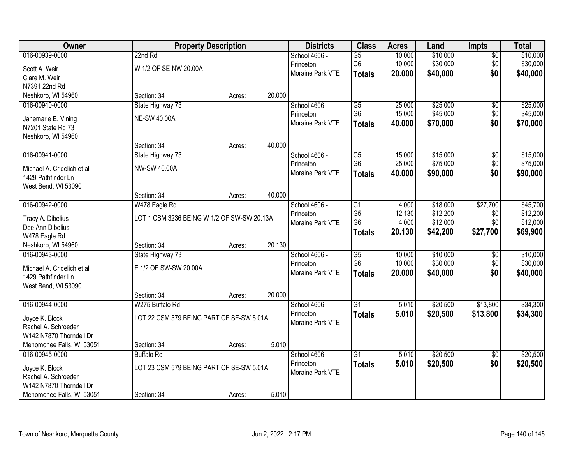| <b>Owner</b>               | <b>Property Description</b>                |        |        | <b>Districts</b> | <b>Class</b>    | <b>Acres</b> | Land     | <b>Impts</b>    | <b>Total</b> |
|----------------------------|--------------------------------------------|--------|--------|------------------|-----------------|--------------|----------|-----------------|--------------|
| 016-00939-0000             | 22nd Rd                                    |        |        | School 4606 -    | $\overline{G5}$ | 10.000       | \$10,000 | $\overline{50}$ | \$10,000     |
| Scott A. Weir              | W 1/2 OF SE-NW 20.00A                      |        |        | Princeton        | G6              | 10.000       | \$30,000 | \$0             | \$30,000     |
| Clare M. Weir              |                                            |        |        | Moraine Park VTE | <b>Totals</b>   | 20.000       | \$40,000 | \$0             | \$40,000     |
| N7391 22nd Rd              |                                            |        |        |                  |                 |              |          |                 |              |
| Neshkoro, WI 54960         | Section: 34                                | Acres: | 20.000 |                  |                 |              |          |                 |              |
| 016-00940-0000             | State Highway 73                           |        |        | School 4606 -    | $\overline{G5}$ | 25.000       | \$25,000 | $\overline{50}$ | \$25,000     |
| Janemarie E. Vining        | <b>NE-SW 40.00A</b>                        |        |        | Princeton        | G <sub>6</sub>  | 15.000       | \$45,000 | \$0             | \$45,000     |
| N7201 State Rd 73          |                                            |        |        | Moraine Park VTE | <b>Totals</b>   | 40.000       | \$70,000 | \$0             | \$70,000     |
| Neshkoro, WI 54960         |                                            |        |        |                  |                 |              |          |                 |              |
|                            | Section: 34                                | Acres: | 40.000 |                  |                 |              |          |                 |              |
| 016-00941-0000             | State Highway 73                           |        |        | School 4606 -    | G5              | 15.000       | \$15,000 | \$0             | \$15,000     |
| Michael A. Cridelich et al | NW-SW 40.00A                               |        |        | Princeton        | G <sub>6</sub>  | 25.000       | \$75,000 | \$0             | \$75,000     |
| 1429 Pathfinder Ln         |                                            |        |        | Moraine Park VTE | <b>Totals</b>   | 40.000       | \$90,000 | \$0             | \$90,000     |
| West Bend, WI 53090        |                                            |        |        |                  |                 |              |          |                 |              |
|                            | Section: 34                                | Acres: | 40.000 |                  |                 |              |          |                 |              |
| 016-00942-0000             | W478 Eagle Rd                              |        |        | School 4606 -    | G1              | 4.000        | \$18,000 | \$27,700        | \$45,700     |
| Tracy A. Dibelius          | LOT 1 CSM 3236 BEING W 1/2 OF SW-SW 20.13A |        |        | Princeton        | G <sub>5</sub>  | 12.130       | \$12,200 | \$0             | \$12,200     |
| Dee Ann Dibelius           |                                            |        |        | Moraine Park VTE | G <sub>6</sub>  | 4.000        | \$12,000 | \$0             | \$12,000     |
| W478 Eagle Rd              |                                            |        |        |                  | <b>Totals</b>   | 20.130       | \$42,200 | \$27,700        | \$69,900     |
| Neshkoro, WI 54960         | Section: 34                                | Acres: | 20.130 |                  |                 |              |          |                 |              |
| 016-00943-0000             | State Highway 73                           |        |        | School 4606 -    | $\overline{G5}$ | 10.000       | \$10,000 | \$0             | \$10,000     |
| Michael A. Cridelich et al | E 1/2 OF SW-SW 20.00A                      |        |        | Princeton        | G <sub>6</sub>  | 10.000       | \$30,000 | \$0             | \$30,000     |
| 1429 Pathfinder Ln         |                                            |        |        | Moraine Park VTE | <b>Totals</b>   | 20.000       | \$40,000 | \$0             | \$40,000     |
| West Bend, WI 53090        |                                            |        |        |                  |                 |              |          |                 |              |
|                            | Section: 34                                | Acres: | 20.000 |                  |                 |              |          |                 |              |
| 016-00944-0000             | W275 Buffalo Rd                            |        |        | School 4606 -    | $\overline{G1}$ | 5.010        | \$20,500 | \$13,800        | \$34,300     |
| Joyce K. Block             | LOT 22 CSM 579 BEING PART OF SE-SW 5.01A   |        |        | Princeton        | <b>Totals</b>   | 5.010        | \$20,500 | \$13,800        | \$34,300     |
| Rachel A. Schroeder        |                                            |        |        | Moraine Park VTE |                 |              |          |                 |              |
| W142 N7870 Thorndell Dr    |                                            |        |        |                  |                 |              |          |                 |              |
| Menomonee Falls, WI 53051  | Section: 34                                | Acres: | 5.010  |                  |                 |              |          |                 |              |
| 016-00945-0000             | <b>Buffalo Rd</b>                          |        |        | School 4606 -    | $\overline{G1}$ | 5.010        | \$20,500 | $\overline{50}$ | \$20,500     |
| Joyce K. Block             | LOT 23 CSM 579 BEING PART OF SE-SW 5.01A   |        |        | Princeton        | <b>Totals</b>   | 5.010        | \$20,500 | \$0             | \$20,500     |
| Rachel A. Schroeder        |                                            |        |        | Moraine Park VTE |                 |              |          |                 |              |
| W142 N7870 Thorndell Dr    |                                            |        |        |                  |                 |              |          |                 |              |
| Menomonee Falls, WI 53051  | Section: 34                                | Acres: | 5.010  |                  |                 |              |          |                 |              |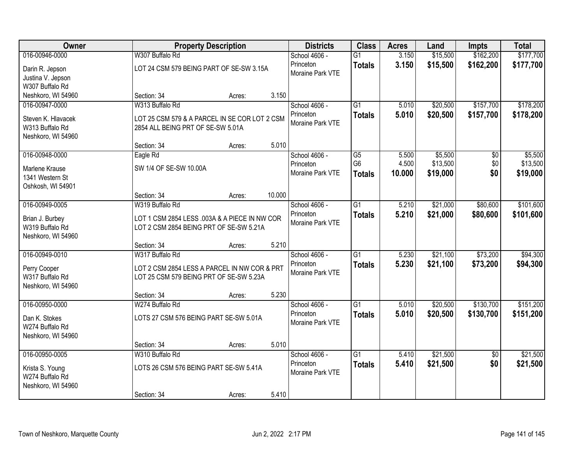| Owner              |                                               | <b>Property Description</b> |        | <b>Districts</b> | <b>Class</b>    | <b>Acres</b> | Land     | <b>Impts</b>    | <b>Total</b> |
|--------------------|-----------------------------------------------|-----------------------------|--------|------------------|-----------------|--------------|----------|-----------------|--------------|
| 016-00946-0000     | W307 Buffalo Rd                               |                             |        | School 4606 -    | $\overline{G1}$ | 3.150        | \$15,500 | \$162,200       | \$177,700    |
| Darin R. Jepson    | LOT 24 CSM 579 BEING PART OF SE-SW 3.15A      |                             |        | Princeton        | <b>Totals</b>   | 3.150        | \$15,500 | \$162,200       | \$177,700    |
| Justina V. Jepson  |                                               |                             |        | Moraine Park VTE |                 |              |          |                 |              |
| W307 Buffalo Rd    |                                               |                             |        |                  |                 |              |          |                 |              |
| Neshkoro, WI 54960 | Section: 34                                   | Acres:                      | 3.150  |                  |                 |              |          |                 |              |
| 016-00947-0000     | W313 Buffalo Rd                               |                             |        | School 4606 -    | $\overline{G1}$ | 5.010        | \$20,500 | \$157,700       | \$178,200    |
| Steven K. Hlavacek | LOT 25 CSM 579 & A PARCEL IN SE COR LOT 2 CSM |                             |        | Princeton        | <b>Totals</b>   | 5.010        | \$20,500 | \$157,700       | \$178,200    |
| W313 Buffalo Rd    | 2854 ALL BEING PRT OF SE-SW 5.01A             |                             |        | Moraine Park VTE |                 |              |          |                 |              |
| Neshkoro, WI 54960 |                                               |                             |        |                  |                 |              |          |                 |              |
|                    | Section: 34                                   | Acres:                      | 5.010  |                  |                 |              |          |                 |              |
| 016-00948-0000     | Eagle Rd                                      |                             |        | School 4606 -    | $\overline{G5}$ | 5.500        | \$5,500  | \$0             | \$5,500      |
| Marlene Krause     | SW 1/4 OF SE-SW 10.00A                        |                             |        | Princeton        | G <sub>6</sub>  | 4.500        | \$13,500 | \$0             | \$13,500     |
| 1341 Western St    |                                               |                             |        | Moraine Park VTE | <b>Totals</b>   | 10.000       | \$19,000 | \$0             | \$19,000     |
| Oshkosh, WI 54901  |                                               |                             |        |                  |                 |              |          |                 |              |
|                    | Section: 34                                   | Acres:                      | 10.000 |                  |                 |              |          |                 |              |
| 016-00949-0005     | W319 Buffalo Rd                               |                             |        | School 4606 -    | $\overline{G1}$ | 5.210        | \$21,000 | \$80,600        | \$101,600    |
| Brian J. Burbey    | LOT 1 CSM 2854 LESS .003A & A PIECE IN NW COR |                             |        | Princeton        | <b>Totals</b>   | 5.210        | \$21,000 | \$80,600        | \$101,600    |
| W319 Buffalo Rd    | LOT 2 CSM 2854 BEING PRT OF SE-SW 5.21A       |                             |        | Moraine Park VTE |                 |              |          |                 |              |
| Neshkoro, WI 54960 |                                               |                             |        |                  |                 |              |          |                 |              |
|                    | Section: 34                                   | Acres:                      | 5.210  |                  |                 |              |          |                 |              |
| 016-00949-0010     | W317 Buffalo Rd                               |                             |        | School 4606 -    | $\overline{G1}$ | 5.230        | \$21,100 | \$73,200        | \$94,300     |
| Perry Cooper       | LOT 2 CSM 2854 LESS A PARCEL IN NW COR & PRT  |                             |        | Princeton        | <b>Totals</b>   | 5.230        | \$21,100 | \$73,200        | \$94,300     |
| W317 Buffalo Rd    | LOT 25 CSM 579 BEING PRT OF SE-SW 5.23A       |                             |        | Moraine Park VTE |                 |              |          |                 |              |
| Neshkoro, WI 54960 |                                               |                             |        |                  |                 |              |          |                 |              |
|                    | Section: 34                                   | Acres:                      | 5.230  |                  |                 |              |          |                 |              |
| 016-00950-0000     | W274 Buffalo Rd                               |                             |        | School 4606 -    | $\overline{G1}$ | 5.010        | \$20,500 | \$130,700       | \$151,200    |
| Dan K. Stokes      | LOTS 27 CSM 576 BEING PART SE-SW 5.01A        |                             |        | Princeton        | <b>Totals</b>   | 5.010        | \$20,500 | \$130,700       | \$151,200    |
| W274 Buffalo Rd    |                                               |                             |        | Moraine Park VTE |                 |              |          |                 |              |
| Neshkoro, WI 54960 |                                               |                             |        |                  |                 |              |          |                 |              |
|                    | Section: 34                                   | Acres:                      | 5.010  |                  |                 |              |          |                 |              |
| 016-00950-0005     | W310 Buffalo Rd                               |                             |        | School 4606 -    | $\overline{G1}$ | 5.410        | \$21,500 | $\overline{50}$ | \$21,500     |
| Krista S. Young    | LOTS 26 CSM 576 BEING PART SE-SW 5.41A        |                             |        | Princeton        | <b>Totals</b>   | 5.410        | \$21,500 | \$0             | \$21,500     |
| W274 Buffalo Rd    |                                               |                             |        | Moraine Park VTE |                 |              |          |                 |              |
| Neshkoro, WI 54960 |                                               |                             |        |                  |                 |              |          |                 |              |
|                    | Section: 34                                   | Acres:                      | 5.410  |                  |                 |              |          |                 |              |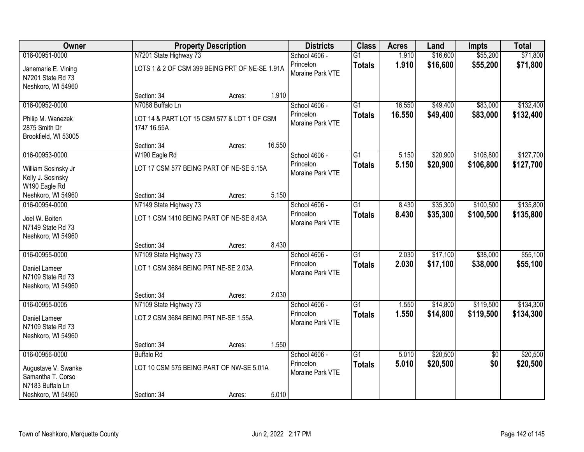| Owner                                                          |                                                            | <b>Property Description</b> |        | <b>Districts</b>              | <b>Class</b>    | <b>Acres</b> | Land     | <b>Impts</b>    | <b>Total</b> |
|----------------------------------------------------------------|------------------------------------------------------------|-----------------------------|--------|-------------------------------|-----------------|--------------|----------|-----------------|--------------|
| 016-00951-0000                                                 | N7201 State Highway 73                                     |                             |        | School 4606 -                 | $\overline{G1}$ | 1.910        | \$16,600 | \$55,200        | \$71,800     |
| Janemarie E. Vining<br>N7201 State Rd 73<br>Neshkoro, WI 54960 | LOTS 1 & 2 OF CSM 399 BEING PRT OF NE-SE 1.91A             |                             |        | Princeton<br>Moraine Park VTE | <b>Totals</b>   | 1.910        | \$16,600 | \$55,200        | \$71,800     |
|                                                                | Section: 34                                                | Acres:                      | 1.910  |                               |                 |              |          |                 |              |
| 016-00952-0000                                                 | N7088 Buffalo Ln                                           |                             |        | School 4606 -                 | $\overline{G1}$ | 16.550       | \$49,400 | \$83,000        | \$132,400    |
| Philip M. Wanezek<br>2875 Smith Dr<br>Brookfield, WI 53005     | LOT 14 & PART LOT 15 CSM 577 & LOT 1 OF CSM<br>1747 16.55A |                             |        | Princeton<br>Moraine Park VTE | <b>Totals</b>   | 16.550       | \$49,400 | \$83,000        | \$132,400    |
|                                                                | Section: 34                                                | Acres:                      | 16.550 |                               |                 |              |          |                 |              |
| 016-00953-0000                                                 | W190 Eagle Rd                                              |                             |        | School 4606 -                 | $\overline{G1}$ | 5.150        | \$20,900 | \$106,800       | \$127,700    |
| William Sosinsky Jr<br>Kelly J. Sosinsky<br>W190 Eagle Rd      | LOT 17 CSM 577 BEING PART OF NE-SE 5.15A                   |                             |        | Princeton<br>Moraine Park VTE | <b>Totals</b>   | 5.150        | \$20,900 | \$106,800       | \$127,700    |
| Neshkoro, WI 54960                                             | Section: 34                                                | Acres:                      | 5.150  |                               |                 |              |          |                 |              |
| 016-00954-0000                                                 | N7149 State Highway 73                                     |                             |        | School 4606 -                 | $\overline{G1}$ | 8.430        | \$35,300 | \$100,500       | \$135,800    |
| Joel W. Boiten<br>N7149 State Rd 73<br>Neshkoro, WI 54960      | LOT 1 CSM 1410 BEING PART OF NE-SE 8.43A                   |                             |        | Princeton<br>Moraine Park VTE | <b>Totals</b>   | 8.430        | \$35,300 | \$100,500       | \$135,800    |
|                                                                | Section: 34                                                | Acres:                      | 8.430  |                               |                 |              |          |                 |              |
| 016-00955-0000                                                 | N7109 State Highway 73                                     |                             |        | School 4606 -                 | $\overline{G1}$ | 2.030        | \$17,100 | \$38,000        | \$55,100     |
| Daniel Lameer<br>N7109 State Rd 73<br>Neshkoro, WI 54960       | LOT 1 CSM 3684 BEING PRT NE-SE 2.03A                       |                             |        | Princeton<br>Moraine Park VTE | <b>Totals</b>   | 2.030        | \$17,100 | \$38,000        | \$55,100     |
|                                                                | Section: 34                                                | Acres:                      | 2.030  |                               |                 |              |          |                 |              |
| 016-00955-0005                                                 | N7109 State Highway 73                                     |                             |        | School 4606 -                 | $\overline{G1}$ | 1.550        | \$14,800 | \$119,500       | \$134,300    |
| Daniel Lameer<br>N7109 State Rd 73<br>Neshkoro, WI 54960       | LOT 2 CSM 3684 BEING PRT NE-SE 1.55A                       |                             |        | Princeton<br>Moraine Park VTE | <b>Totals</b>   | 1.550        | \$14,800 | \$119,500       | \$134,300    |
|                                                                | Section: 34                                                | Acres:                      | 1.550  |                               |                 |              |          |                 |              |
| 016-00956-0000                                                 | <b>Buffalo Rd</b>                                          |                             |        | School 4606 -                 | $\overline{G1}$ | 5.010        | \$20,500 | $\overline{50}$ | \$20,500     |
| Augustave V. Swanke<br>Samantha T. Corso<br>N7183 Buffalo Ln   | LOT 10 CSM 575 BEING PART OF NW-SE 5.01A                   |                             |        | Princeton<br>Moraine Park VTE | <b>Totals</b>   | 5.010        | \$20,500 | \$0             | \$20,500     |
| Neshkoro, WI 54960                                             | Section: 34                                                | Acres:                      | 5.010  |                               |                 |              |          |                 |              |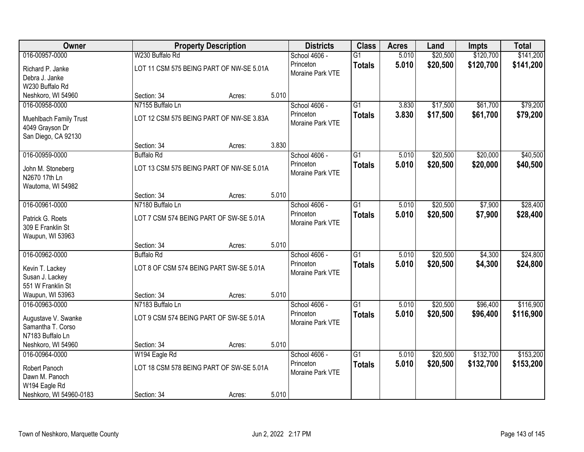| Owner                                     |                                          | <b>Property Description</b> |       | <b>Districts</b>              | <b>Class</b>    | <b>Acres</b> | Land     | <b>Impts</b> | <b>Total</b> |
|-------------------------------------------|------------------------------------------|-----------------------------|-------|-------------------------------|-----------------|--------------|----------|--------------|--------------|
| 016-00957-0000                            | W230 Buffalo Rd                          |                             |       | School 4606 -                 | $\overline{G1}$ | 5.010        | \$20,500 | \$120,700    | \$141,200    |
| Richard P. Janke                          | LOT 11 CSM 575 BEING PART OF NW-SE 5.01A |                             |       | Princeton                     | <b>Totals</b>   | 5.010        | \$20,500 | \$120,700    | \$141,200    |
| Debra J. Janke                            |                                          |                             |       | Moraine Park VTE              |                 |              |          |              |              |
| W230 Buffalo Rd                           |                                          |                             |       |                               |                 |              |          |              |              |
| Neshkoro, WI 54960                        | Section: 34                              | Acres:                      | 5.010 |                               |                 |              |          |              |              |
| 016-00958-0000                            | N7155 Buffalo Ln                         |                             |       | School 4606 -                 | $\overline{G1}$ | 3.830        | \$17,500 | \$61,700     | \$79,200     |
| Muehlbach Family Trust<br>4049 Grayson Dr | LOT 12 CSM 575 BEING PART OF NW-SE 3.83A |                             |       | Princeton<br>Moraine Park VTE | <b>Totals</b>   | 3.830        | \$17,500 | \$61,700     | \$79,200     |
| San Diego, CA 92130                       |                                          |                             |       |                               |                 |              |          |              |              |
|                                           | Section: 34                              | Acres:                      | 3.830 |                               |                 |              |          |              |              |
| 016-00959-0000                            | <b>Buffalo Rd</b>                        |                             |       | School 4606 -                 | $\overline{G1}$ | 5.010        | \$20,500 | \$20,000     | \$40,500     |
| John M. Stoneberg                         | LOT 13 CSM 575 BEING PART OF NW-SE 5.01A |                             |       | Princeton                     | <b>Totals</b>   | 5.010        | \$20,500 | \$20,000     | \$40,500     |
| N2670 17th Ln                             |                                          |                             |       | Moraine Park VTE              |                 |              |          |              |              |
| Wautoma, WI 54982                         |                                          |                             |       |                               |                 |              |          |              |              |
|                                           | Section: 34                              | Acres:                      | 5.010 |                               |                 |              |          |              |              |
| 016-00961-0000                            | N7180 Buffalo Ln                         |                             |       | School 4606 -                 | $\overline{G1}$ | 5.010        | \$20,500 | \$7,900      | \$28,400     |
| Patrick G. Roets                          | LOT 7 CSM 574 BEING PART OF SW-SE 5.01A  |                             |       | Princeton                     | <b>Totals</b>   | 5.010        | \$20,500 | \$7,900      | \$28,400     |
| 309 E Franklin St                         |                                          |                             |       | Moraine Park VTE              |                 |              |          |              |              |
| Waupun, WI 53963                          |                                          |                             |       |                               |                 |              |          |              |              |
|                                           | Section: 34                              | Acres:                      | 5.010 |                               |                 |              |          |              |              |
| 016-00962-0000                            | <b>Buffalo Rd</b>                        |                             |       | School 4606 -                 | $\overline{G1}$ | 5.010        | \$20,500 | \$4,300      | \$24,800     |
| Kevin T. Lackey                           | LOT 8 OF CSM 574 BEING PART SW-SE 5.01A  |                             |       | Princeton                     | <b>Totals</b>   | 5.010        | \$20,500 | \$4,300      | \$24,800     |
| Susan J. Lackey                           |                                          |                             |       | Moraine Park VTE              |                 |              |          |              |              |
| 551 W Franklin St                         |                                          |                             |       |                               |                 |              |          |              |              |
| Waupun, WI 53963                          | Section: 34                              | Acres:                      | 5.010 |                               |                 |              |          |              |              |
| 016-00963-0000                            | N7183 Buffalo Ln                         |                             |       | School 4606 -                 | $\overline{G1}$ | 5.010        | \$20,500 | \$96,400     | \$116,900    |
| Augustave V. Swanke                       | LOT 9 CSM 574 BEING PART OF SW-SE 5.01A  |                             |       | Princeton                     | <b>Totals</b>   | 5.010        | \$20,500 | \$96,400     | \$116,900    |
| Samantha T. Corso                         |                                          |                             |       | Moraine Park VTE              |                 |              |          |              |              |
| N7183 Buffalo Ln                          |                                          |                             |       |                               |                 |              |          |              |              |
| Neshkoro, WI 54960                        | Section: 34                              | Acres:                      | 5.010 |                               |                 |              |          |              |              |
| 016-00964-0000                            | W194 Eagle Rd                            |                             |       | School 4606 -                 | $\overline{G1}$ | 5.010        | \$20,500 | \$132,700    | \$153,200    |
| Robert Panoch                             | LOT 18 CSM 578 BEING PART OF SW-SE 5.01A |                             |       | Princeton                     | <b>Totals</b>   | 5.010        | \$20,500 | \$132,700    | \$153,200    |
| Dawn M. Panoch                            |                                          |                             |       | Moraine Park VTE              |                 |              |          |              |              |
| W194 Eagle Rd                             |                                          |                             |       |                               |                 |              |          |              |              |
| Neshkoro, WI 54960-0183                   | Section: 34                              | Acres:                      | 5.010 |                               |                 |              |          |              |              |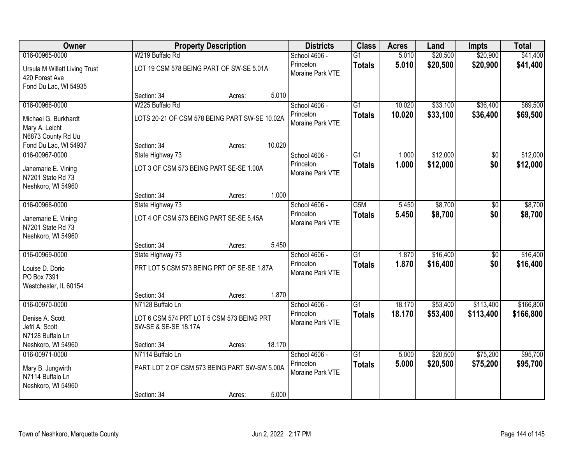| Owner                                                                    |                                                                   | <b>Property Description</b> |        | <b>Districts</b>              | <b>Class</b>    | <b>Acres</b> | Land     | <b>Impts</b>    | <b>Total</b> |
|--------------------------------------------------------------------------|-------------------------------------------------------------------|-----------------------------|--------|-------------------------------|-----------------|--------------|----------|-----------------|--------------|
| 016-00965-0000                                                           | W219 Buffalo Rd                                                   |                             |        | School 4606 -                 | $\overline{G1}$ | 5.010        | \$20,500 | \$20,900        | \$41,400     |
| Ursula M Willett Living Trust<br>420 Forest Ave<br>Fond Du Lac, WI 54935 | LOT 19 CSM 578 BEING PART OF SW-SE 5.01A                          |                             |        | Princeton<br>Moraine Park VTE | <b>Totals</b>   | 5.010        | \$20,500 | \$20,900        | \$41,400     |
|                                                                          | Section: 34                                                       | Acres:                      | 5.010  |                               |                 |              |          |                 |              |
| 016-00966-0000                                                           | W225 Buffalo Rd                                                   |                             |        | School 4606 -                 | $\overline{G1}$ | 10.020       | \$33,100 | \$36,400        | \$69,500     |
| Michael G. Burkhardt<br>Mary A. Leicht<br>N6873 County Rd Uu             | LOTS 20-21 OF CSM 578 BEING PART SW-SE 10.02A                     |                             |        | Princeton<br>Moraine Park VTE | <b>Totals</b>   | 10.020       | \$33,100 | \$36,400        | \$69,500     |
| Fond Du Lac, WI 54937                                                    | Section: 34                                                       | Acres:                      | 10.020 |                               |                 |              |          |                 |              |
| 016-00967-0000                                                           | State Highway 73                                                  |                             |        | School 4606 -                 | G1              | 1.000        | \$12,000 | \$0             | \$12,000     |
| Janemarie E. Vining<br>N7201 State Rd 73<br>Neshkoro, WI 54960           | LOT 3 OF CSM 573 BEING PART SE-SE 1.00A                           |                             |        | Princeton<br>Moraine Park VTE | <b>Totals</b>   | 1.000        | \$12,000 | \$0             | \$12,000     |
|                                                                          | Section: 34                                                       | Acres:                      | 1.000  |                               |                 |              |          |                 |              |
| 016-00968-0000                                                           | State Highway 73                                                  |                             |        | School 4606 -                 | G5M             | 5.450        | \$8,700  | \$0             | \$8,700      |
| Janemarie E. Vining<br>N7201 State Rd 73<br>Neshkoro, WI 54960           | LOT 4 OF CSM 573 BEING PART SE-SE 5.45A                           |                             |        | Princeton<br>Moraine Park VTE | <b>Totals</b>   | 5.450        | \$8,700  | \$0             | \$8,700      |
|                                                                          | Section: 34                                                       | Acres:                      | 5.450  |                               |                 |              |          |                 |              |
| 016-00969-0000                                                           | State Highway 73                                                  |                             |        | School 4606 -                 | $\overline{G1}$ | 1.870        | \$16,400 | $\overline{50}$ | \$16,400     |
| Louise D. Dorio<br>PO Box 7391<br>Westchester, IL 60154                  | PRT LOT 5 CSM 573 BEING PRT OF SE-SE 1.87A                        |                             |        | Princeton<br>Moraine Park VTE | <b>Totals</b>   | 1.870        | \$16,400 | \$0             | \$16,400     |
|                                                                          | Section: 34                                                       | Acres:                      | 1.870  |                               |                 |              |          |                 |              |
| 016-00970-0000                                                           | N7128 Buffalo Ln                                                  |                             |        | School 4606 -                 | $\overline{G1}$ | 18.170       | \$53,400 | \$113,400       | \$166,800    |
| Denise A. Scott<br>Jefri A. Scott<br>N7128 Buffalo Ln                    | LOT 6 CSM 574 PRT LOT 5 CSM 573 BEING PRT<br>SW-SE & SE-SE 18.17A |                             |        | Princeton<br>Moraine Park VTE | <b>Totals</b>   | 18.170       | \$53,400 | \$113,400       | \$166,800    |
| Neshkoro, WI 54960                                                       | Section: 34                                                       | Acres:                      | 18.170 |                               |                 |              |          |                 |              |
| 016-00971-0000                                                           | N7114 Buffalo Ln                                                  |                             |        | School 4606 -                 | $\overline{G1}$ | 5.000        | \$20,500 | \$75,200        | \$95,700     |
| Mary B. Jungwirth<br>N7114 Buffalo Ln<br>Neshkoro, WI 54960              | PART LOT 2 OF CSM 573 BEING PART SW-SW 5.00A                      |                             |        | Princeton<br>Moraine Park VTE | <b>Totals</b>   | 5.000        | \$20,500 | \$75,200        | \$95,700     |
|                                                                          | Section: 34                                                       | Acres:                      | 5.000  |                               |                 |              |          |                 |              |